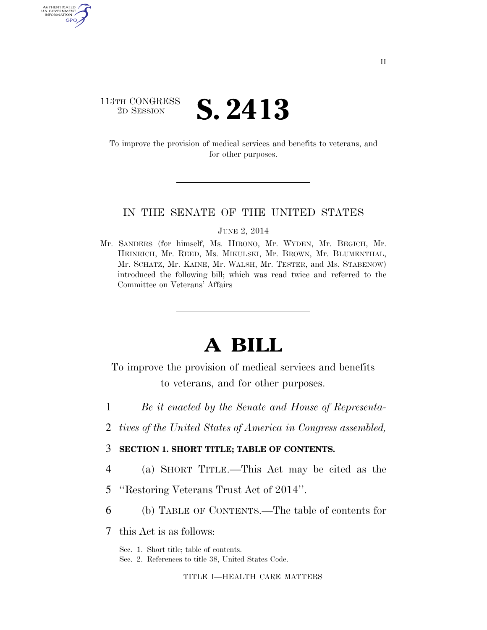# 113TH CONGRESS 2D SESSION **S. 2413**

AUTHENTICATED U.S. GOVERNMENT GPO

> To improve the provision of medical services and benefits to veterans, and for other purposes.

### IN THE SENATE OF THE UNITED STATES

JUNE 2, 2014

Mr. SANDERS (for himself, Ms. HIRONO, Mr. WYDEN, Mr. BEGICH, Mr. HEINRICH, Mr. REED, Ms. MIKULSKI, Mr. BROWN, Mr. BLUMENTHAL, Mr. SCHATZ, Mr. KAINE, Mr. WALSH, Mr. TESTER, and Ms. STABENOW) introduced the following bill; which was read twice and referred to the Committee on Veterans' Affairs

# **A BILL**

To improve the provision of medical services and benefits to veterans, and for other purposes.

- 1 *Be it enacted by the Senate and House of Representa-*
- 2 *tives of the United States of America in Congress assembled,*
- 3 **SECTION 1. SHORT TITLE; TABLE OF CONTENTS.**
- 4 (a) SHORT TITLE.—This Act may be cited as the
- 5 ''Restoring Veterans Trust Act of 2014''.
- 6 (b) TABLE OF CONTENTS.—The table of contents for

7 this Act is as follows:

Sec. 1. Short title; table of contents.

Sec. 2. References to title 38, United States Code.

TITLE I—HEALTH CARE MATTERS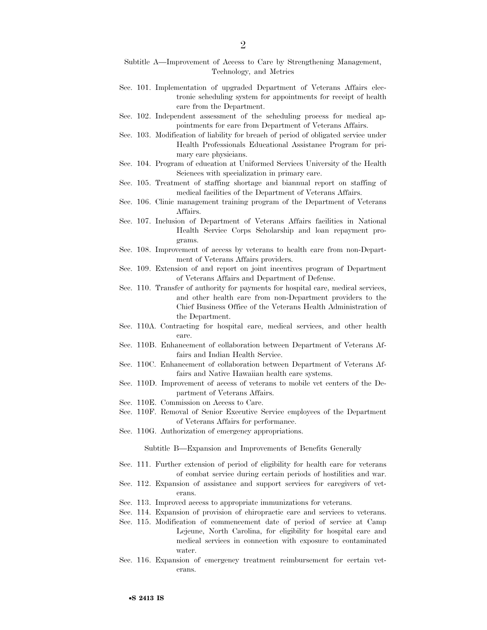- Subtitle A—Improvement of Access to Care by Strengthening Management, Technology, and Metrics
- Sec. 101. Implementation of upgraded Department of Veterans Affairs electronic scheduling system for appointments for receipt of health care from the Department.
- Sec. 102. Independent assessment of the scheduling process for medical appointments for care from Department of Veterans Affairs.
- Sec. 103. Modification of liability for breach of period of obligated service under Health Professionals Educational Assistance Program for primary care physicians.
- Sec. 104. Program of education at Uniformed Services University of the Health Sciences with specialization in primary care.
- Sec. 105. Treatment of staffing shortage and biannual report on staffing of medical facilities of the Department of Veterans Affairs.
- Sec. 106. Clinic management training program of the Department of Veterans Affairs.
- Sec. 107. Inclusion of Department of Veterans Affairs facilities in National Health Service Corps Scholarship and loan repayment programs.
- Sec. 108. Improvement of access by veterans to health care from non-Department of Veterans Affairs providers.
- Sec. 109. Extension of and report on joint incentives program of Department of Veterans Affairs and Department of Defense.
- Sec. 110. Transfer of authority for payments for hospital care, medical services, and other health care from non-Department providers to the Chief Business Office of the Veterans Health Administration of the Department.
- Sec. 110A. Contracting for hospital care, medical services, and other health care.
- Sec. 110B. Enhancement of collaboration between Department of Veterans Affairs and Indian Health Service.
- Sec. 110C. Enhancement of collaboration between Department of Veterans Affairs and Native Hawaiian health care systems.
- Sec. 110D. Improvement of access of veterans to mobile vet centers of the Department of Veterans Affairs.
- Sec. 110E. Commission on Access to Care.
- Sec. 110F. Removal of Senior Executive Service employees of the Department of Veterans Affairs for performance.
- Sec. 110G. Authorization of emergency appropriations.

Subtitle B—Expansion and Improvements of Benefits Generally

- Sec. 111. Further extension of period of eligibility for health care for veterans of combat service during certain periods of hostilities and war.
- Sec. 112. Expansion of assistance and support services for caregivers of veterans.
- Sec. 113. Improved access to appropriate immunizations for veterans.
- Sec. 114. Expansion of provision of chiropractic care and services to veterans.
- Sec. 115. Modification of commencement date of period of service at Camp Lejeune, North Carolina, for eligibility for hospital care and medical services in connection with exposure to contaminated water.
- Sec. 116. Expansion of emergency treatment reimbursement for certain veterans.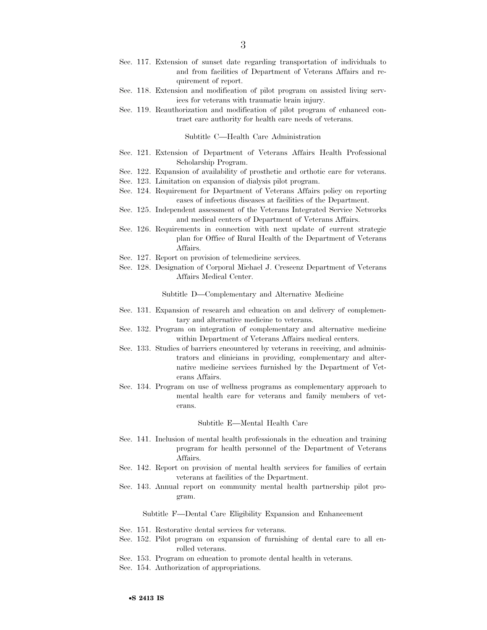- Sec. 117. Extension of sunset date regarding transportation of individuals to and from facilities of Department of Veterans Affairs and requirement of report.
- Sec. 118. Extension and modification of pilot program on assisted living services for veterans with traumatic brain injury.
- Sec. 119. Reauthorization and modification of pilot program of enhanced contract care authority for health care needs of veterans.

Subtitle C—Health Care Administration

- Sec. 121. Extension of Department of Veterans Affairs Health Professional Scholarship Program.
- Sec. 122. Expansion of availability of prosthetic and orthotic care for veterans.
- Sec. 123. Limitation on expansion of dialysis pilot program.
- Sec. 124. Requirement for Department of Veterans Affairs policy on reporting cases of infectious diseases at facilities of the Department.
- Sec. 125. Independent assessment of the Veterans Integrated Service Networks and medical centers of Department of Veterans Affairs.
- Sec. 126. Requirements in connection with next update of current strategic plan for Office of Rural Health of the Department of Veterans Affairs.
- Sec. 127. Report on provision of telemedicine services.
- Sec. 128. Designation of Corporal Michael J. Crescenz Department of Veterans Affairs Medical Center.

Subtitle D—Complementary and Alternative Medicine

- Sec. 131. Expansion of research and education on and delivery of complementary and alternative medicine to veterans.
- Sec. 132. Program on integration of complementary and alternative medicine within Department of Veterans Affairs medical centers.
- Sec. 133. Studies of barriers encountered by veterans in receiving, and administrators and clinicians in providing, complementary and alternative medicine services furnished by the Department of Veterans Affairs.
- Sec. 134. Program on use of wellness programs as complementary approach to mental health care for veterans and family members of veterans.

#### Subtitle E—Mental Health Care

- Sec. 141. Inclusion of mental health professionals in the education and training program for health personnel of the Department of Veterans Affairs.
- Sec. 142. Report on provision of mental health services for families of certain veterans at facilities of the Department.
- Sec. 143. Annual report on community mental health partnership pilot program.

Subtitle F—Dental Care Eligibility Expansion and Enhancement

- Sec. 151. Restorative dental services for veterans.
- Sec. 152. Pilot program on expansion of furnishing of dental care to all enrolled veterans.
- Sec. 153. Program on education to promote dental health in veterans.
- Sec. 154. Authorization of appropriations.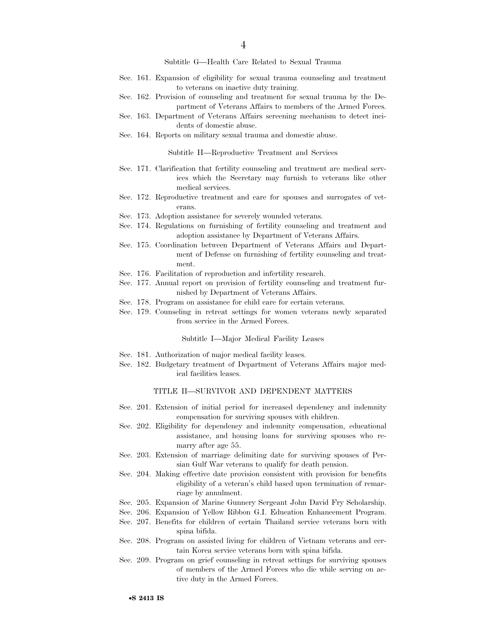Subtitle G—Health Care Related to Sexual Trauma

- Sec. 161. Expansion of eligibility for sexual trauma counseling and treatment to veterans on inactive duty training.
- Sec. 162. Provision of counseling and treatment for sexual trauma by the Department of Veterans Affairs to members of the Armed Forces.
- Sec. 163. Department of Veterans Affairs screening mechanism to detect incidents of domestic abuse.
- Sec. 164. Reports on military sexual trauma and domestic abuse.

Subtitle H—Reproductive Treatment and Services

- Sec. 171. Clarification that fertility counseling and treatment are medical services which the Secretary may furnish to veterans like other medical services.
- Sec. 172. Reproductive treatment and care for spouses and surrogates of veterans.
- Sec. 173. Adoption assistance for severely wounded veterans.
- Sec. 174. Regulations on furnishing of fertility counseling and treatment and adoption assistance by Department of Veterans Affairs.
- Sec. 175. Coordination between Department of Veterans Affairs and Department of Defense on furnishing of fertility counseling and treatment.
- Sec. 176. Facilitation of reproduction and infertility research.
- Sec. 177. Annual report on provision of fertility counseling and treatment furnished by Department of Veterans Affairs.
- Sec. 178. Program on assistance for child care for certain veterans.
- Sec. 179. Counseling in retreat settings for women veterans newly separated from service in the Armed Forces.

Subtitle I—Major Medical Facility Leases

- Sec. 181. Authorization of major medical facility leases.
- Sec. 182. Budgetary treatment of Department of Veterans Affairs major medical facilities leases.

#### TITLE II—SURVIVOR AND DEPENDENT MATTERS

- Sec. 201. Extension of initial period for increased dependency and indemnity compensation for surviving spouses with children.
- Sec. 202. Eligibility for dependency and indemnity compensation, educational assistance, and housing loans for surviving spouses who remarry after age 55.
- Sec. 203. Extension of marriage delimiting date for surviving spouses of Persian Gulf War veterans to qualify for death pension.
- Sec. 204. Making effective date provision consistent with provision for benefits eligibility of a veteran's child based upon termination of remarriage by annulment.
- Sec. 205. Expansion of Marine Gunnery Sergeant John David Fry Scholarship.
- Sec. 206. Expansion of Yellow Ribbon G.I. Education Enhancement Program.
- Sec. 207. Benefits for children of certain Thailand service veterans born with spina bifida.
- Sec. 208. Program on assisted living for children of Vietnam veterans and certain Korea service veterans born with spina bifida.
- Sec. 209. Program on grief counseling in retreat settings for surviving spouses of members of the Armed Forces who die while serving on active duty in the Armed Forces.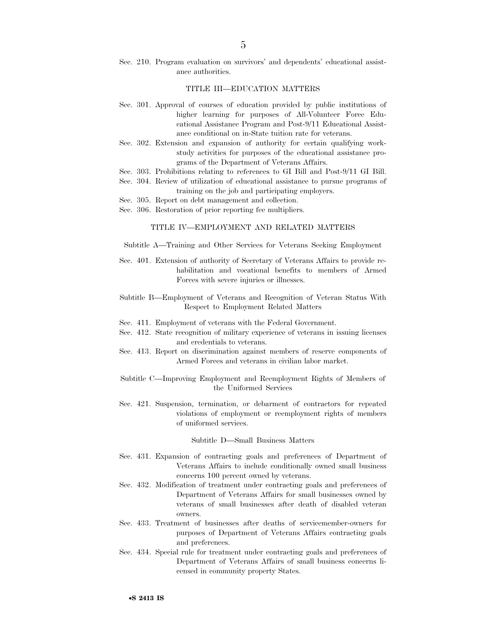Sec. 210. Program evaluation on survivors' and dependents' educational assistance authorities.

#### TITLE III—EDUCATION MATTERS

- Sec. 301. Approval of courses of education provided by public institutions of higher learning for purposes of All-Volunteer Force Educational Assistance Program and Post-9/11 Educational Assistance conditional on in-State tuition rate for veterans.
- Sec. 302. Extension and expansion of authority for certain qualifying workstudy activities for purposes of the educational assistance programs of the Department of Veterans Affairs.
- Sec. 303. Prohibitions relating to references to GI Bill and Post-9/11 GI Bill.
- Sec. 304. Review of utilization of educational assistance to pursue programs of training on the job and participating employers.
- Sec. 305. Report on debt management and collection.
- Sec. 306. Restoration of prior reporting fee multipliers.

#### TITLE IV—EMPLOYMENT AND RELATED MATTERS

- Subtitle A—Training and Other Services for Veterans Seeking Employment
- Sec. 401. Extension of authority of Secretary of Veterans Affairs to provide rehabilitation and vocational benefits to members of Armed Forces with severe injuries or illnesses.
- Subtitle B—Employment of Veterans and Recognition of Veteran Status With Respect to Employment Related Matters
- Sec. 411. Employment of veterans with the Federal Government.
- Sec. 412. State recognition of military experience of veterans in issuing licenses and credentials to veterans.
- Sec. 413. Report on discrimination against members of reserve components of Armed Forces and veterans in civilian labor market.
- Subtitle C—Improving Employment and Reemployment Rights of Members of the Uniformed Services
- Sec. 421. Suspension, termination, or debarment of contractors for repeated violations of employment or reemployment rights of members of uniformed services.

#### Subtitle D—Small Business Matters

- Sec. 431. Expansion of contracting goals and preferences of Department of Veterans Affairs to include conditionally owned small business concerns 100 percent owned by veterans.
- Sec. 432. Modification of treatment under contracting goals and preferences of Department of Veterans Affairs for small businesses owned by veterans of small businesses after death of disabled veteran owners.
- Sec. 433. Treatment of businesses after deaths of servicemember-owners for purposes of Department of Veterans Affairs contracting goals and preferences.
- Sec. 434. Special rule for treatment under contracting goals and preferences of Department of Veterans Affairs of small business concerns licensed in community property States.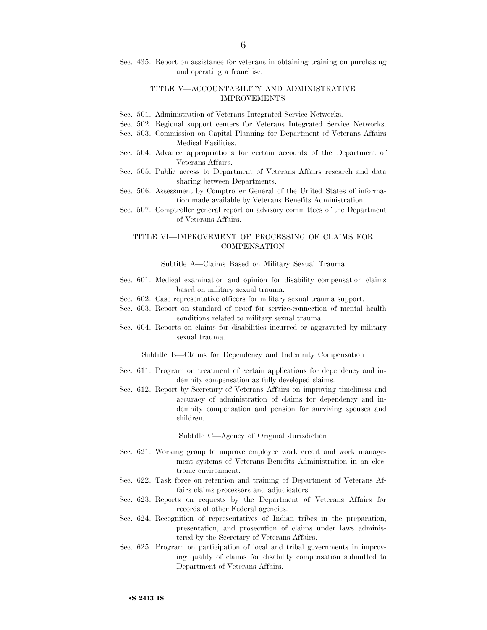#### TITLE V—ACCOUNTABILITY AND ADMINISTRATIVE IMPROVEMENTS

- Sec. 501. Administration of Veterans Integrated Service Networks.
- Sec. 502. Regional support centers for Veterans Integrated Service Networks.
- Sec. 503. Commission on Capital Planning for Department of Veterans Affairs Medical Facilities.
- Sec. 504. Advance appropriations for certain accounts of the Department of Veterans Affairs.
- Sec. 505. Public access to Department of Veterans Affairs research and data sharing between Departments.
- Sec. 506. Assessment by Comptroller General of the United States of information made available by Veterans Benefits Administration.
- Sec. 507. Comptroller general report on advisory committees of the Department of Veterans Affairs.

#### TITLE VI—IMPROVEMENT OF PROCESSING OF CLAIMS FOR COMPENSATION

#### Subtitle A—Claims Based on Military Sexual Trauma

- Sec. 601. Medical examination and opinion for disability compensation claims based on military sexual trauma.
- Sec. 602. Case representative officers for military sexual trauma support.
- Sec. 603. Report on standard of proof for service-connection of mental health conditions related to military sexual trauma.
- Sec. 604. Reports on claims for disabilities incurred or aggravated by military sexual trauma.

Subtitle B—Claims for Dependency and Indemnity Compensation

- Sec. 611. Program on treatment of certain applications for dependency and indemnity compensation as fully developed claims.
- Sec. 612. Report by Secretary of Veterans Affairs on improving timeliness and accuracy of administration of claims for dependency and indemnity compensation and pension for surviving spouses and children.

Subtitle C—Agency of Original Jurisdiction

- Sec. 621. Working group to improve employee work credit and work management systems of Veterans Benefits Administration in an electronic environment.
- Sec. 622. Task force on retention and training of Department of Veterans Affairs claims processors and adjudicators.
- Sec. 623. Reports on requests by the Department of Veterans Affairs for records of other Federal agencies.
- Sec. 624. Recognition of representatives of Indian tribes in the preparation, presentation, and prosecution of claims under laws administered by the Secretary of Veterans Affairs.
- Sec. 625. Program on participation of local and tribal governments in improving quality of claims for disability compensation submitted to Department of Veterans Affairs.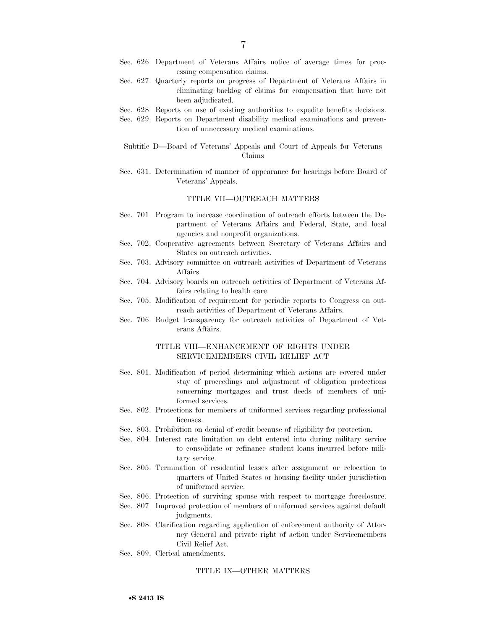- Sec. 626. Department of Veterans Affairs notice of average times for processing compensation claims.
- Sec. 627. Quarterly reports on progress of Department of Veterans Affairs in eliminating backlog of claims for compensation that have not been adjudicated.
- Sec. 628. Reports on use of existing authorities to expedite benefits decisions.
- Sec. 629. Reports on Department disability medical examinations and prevention of unnecessary medical examinations.
- Subtitle D—Board of Veterans' Appeals and Court of Appeals for Veterans Claims
- Sec. 631. Determination of manner of appearance for hearings before Board of Veterans' Appeals.

#### TITLE VII—OUTREACH MATTERS

- Sec. 701. Program to increase coordination of outreach efforts between the Department of Veterans Affairs and Federal, State, and local agencies and nonprofit organizations.
- Sec. 702. Cooperative agreements between Secretary of Veterans Affairs and States on outreach activities.
- Sec. 703. Advisory committee on outreach activities of Department of Veterans Affairs.
- Sec. 704. Advisory boards on outreach activities of Department of Veterans Affairs relating to health care.
- Sec. 705. Modification of requirement for periodic reports to Congress on outreach activities of Department of Veterans Affairs.
- Sec. 706. Budget transparency for outreach activities of Department of Veterans Affairs.

#### TITLE VIII—ENHANCEMENT OF RIGHTS UNDER SERVICEMEMBERS CIVIL RELIEF ACT

- Sec. 801. Modification of period determining which actions are covered under stay of proceedings and adjustment of obligation protections concerning mortgages and trust deeds of members of uniformed services.
- Sec. 802. Protections for members of uniformed services regarding professional licenses.
- Sec. 803. Prohibition on denial of credit because of eligibility for protection.
- Sec. 804. Interest rate limitation on debt entered into during military service to consolidate or refinance student loans incurred before military service.
- Sec. 805. Termination of residential leases after assignment or relocation to quarters of United States or housing facility under jurisdiction of uniformed service.
- Sec. 806. Protection of surviving spouse with respect to mortgage foreclosure.
- Sec. 807. Improved protection of members of uniformed services against default judgments.
- Sec. 808. Clarification regarding application of enforcement authority of Attorney General and private right of action under Servicemembers Civil Relief Act.
- Sec. 809. Clerical amendments.

#### TITLE IX—OTHER MATTERS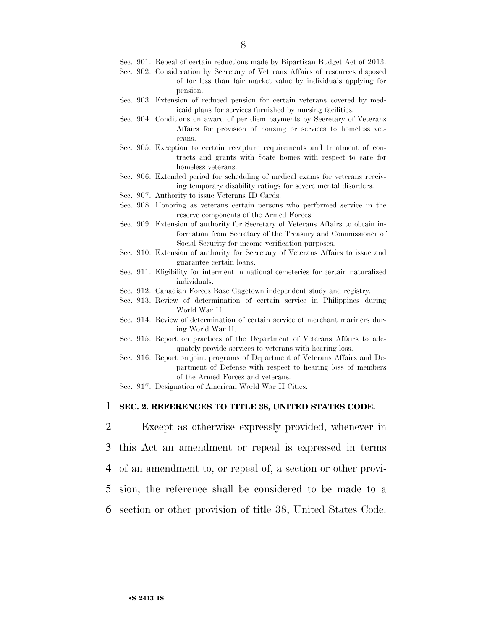- Sec. 901. Repeal of certain reductions made by Bipartisan Budget Act of 2013.
- Sec. 902. Consideration by Secretary of Veterans Affairs of resources disposed of for less than fair market value by individuals applying for pension.
- Sec. 903. Extension of reduced pension for certain veterans covered by medicaid plans for services furnished by nursing facilities.
- Sec. 904. Conditions on award of per diem payments by Secretary of Veterans Affairs for provision of housing or services to homeless veterans.
- Sec. 905. Exception to certain recapture requirements and treatment of contracts and grants with State homes with respect to care for homeless veterans.
- Sec. 906. Extended period for scheduling of medical exams for veterans receiving temporary disability ratings for severe mental disorders.
- Sec. 907. Authority to issue Veterans ID Cards.
- Sec. 908. Honoring as veterans certain persons who performed service in the reserve components of the Armed Forces.
- Sec. 909. Extension of authority for Secretary of Veterans Affairs to obtain information from Secretary of the Treasury and Commissioner of Social Security for income verification purposes.
- Sec. 910. Extension of authority for Secretary of Veterans Affairs to issue and guarantee certain loans.
- Sec. 911. Eligibility for interment in national cemeteries for certain naturalized individuals.
- Sec. 912. Canadian Forces Base Gagetown independent study and registry.
- Sec. 913. Review of determination of certain service in Philippines during World War II.
- Sec. 914. Review of determination of certain service of merchant mariners during World War II.
- Sec. 915. Report on practices of the Department of Veterans Affairs to adequately provide services to veterans with hearing loss.
- Sec. 916. Report on joint programs of Department of Veterans Affairs and Department of Defense with respect to hearing loss of members of the Armed Forces and veterans.
- Sec. 917. Designation of American World War II Cities.

### 1 **SEC. 2. REFERENCES TO TITLE 38, UNITED STATES CODE.**

 Except as otherwise expressly provided, whenever in this Act an amendment or repeal is expressed in terms of an amendment to, or repeal of, a section or other provi- sion, the reference shall be considered to be made to a section or other provision of title 38, United States Code.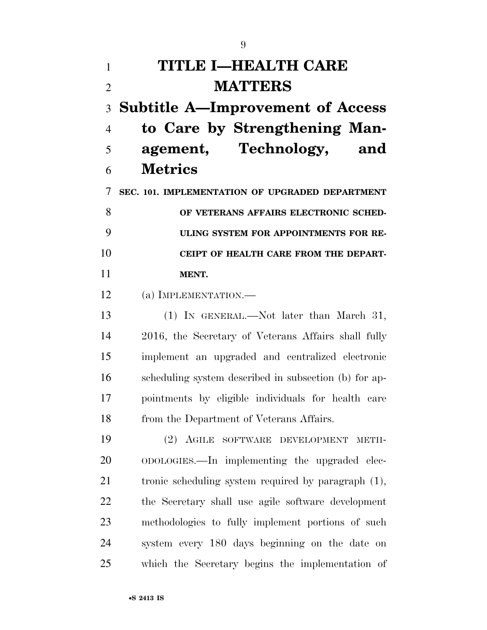# **TITLE I—HEALTH CARE MATTERS**

 **Subtitle A—Improvement of Access to Care by Strengthening Man- agement, Technology, and Metrics** 

 **SEC. 101. IMPLEMENTATION OF UPGRADED DEPARTMENT OF VETERANS AFFAIRS ELECTRONIC SCHED- ULING SYSTEM FOR APPOINTMENTS FOR RE-CEIPT OF HEALTH CARE FROM THE DEPART-MENT.** 

(a) IMPLEMENTATION.—

 (1) IN GENERAL.—Not later than March 31, 2016, the Secretary of Veterans Affairs shall fully implement an upgraded and centralized electronic scheduling system described in subsection (b) for ap- pointments by eligible individuals for health care from the Department of Veterans Affairs.

 (2) AGILE SOFTWARE DEVELOPMENT METH- ODOLOGIES.—In implementing the upgraded elec- tronic scheduling system required by paragraph (1), the Secretary shall use agile software development methodologies to fully implement portions of such system every 180 days beginning on the date on which the Secretary begins the implementation of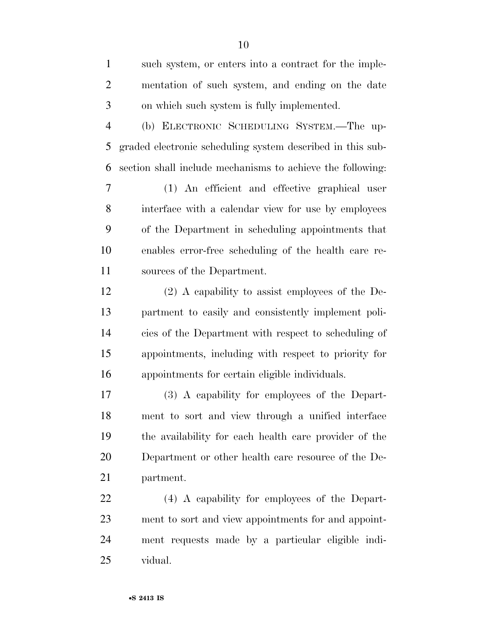| $\mathbf{1}$   | such system, or enters into a contract for the imple-      |
|----------------|------------------------------------------------------------|
| $\overline{2}$ | mentation of such system, and ending on the date           |
| 3              | on which such system is fully implemented.                 |
| $\overline{4}$ | (b) ELECTRONIC SCHEDULING SYSTEM.—The up-                  |
| 5              | graded electronic scheduling system described in this sub- |
| 6              | section shall include mechanisms to achieve the following: |
| 7              | (1) An efficient and effective graphical user              |
| 8              | interface with a calendar view for use by employees        |
| 9              | of the Department in scheduling appointments that          |
| 10             | enables error-free scheduling of the health care re-       |
| 11             | sources of the Department.                                 |
| 12             | $(2)$ A capability to assist employees of the De-          |
| 13             | partment to easily and consistently implement poli-        |
| 14             | cies of the Department with respect to scheduling of       |
| 15             | appointments, including with respect to priority for       |
| 16             | appointments for certain eligible individuals.             |
| 17             | (3) A capability for employees of the Depart-              |
| 18             | ment to sort and view through a unified interface          |
| 19             | the availability for each health care provider of the      |
| 20             | Department or other health care resource of the De-        |
| 21             | partment.                                                  |
| 22             | (4) A capability for employees of the Depart-              |
| 23             | ment to sort and view appointments for and appoint-        |
| 24             | ment requests made by a particular eligible indi-          |
| 25             | vidual.                                                    |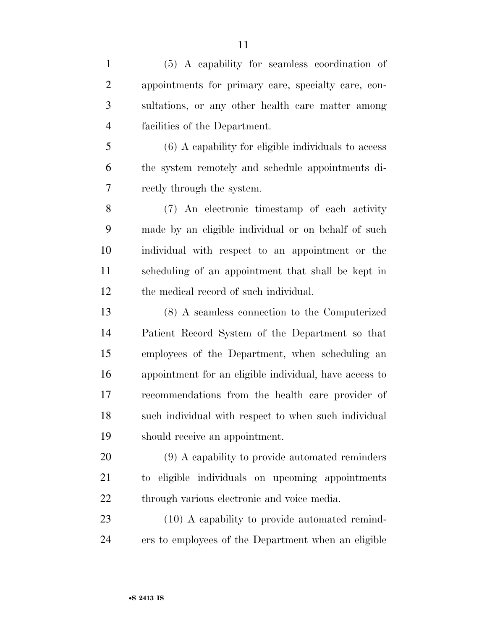(5) A capability for seamless coordination of appointments for primary care, specialty care, con- sultations, or any other health care matter among facilities of the Department. (6) A capability for eligible individuals to access the system remotely and schedule appointments di- rectly through the system. (7) An electronic timestamp of each activity made by an eligible individual or on behalf of such individual with respect to an appointment or the scheduling of an appointment that shall be kept in the medical record of such individual. (8) A seamless connection to the Computerized Patient Record System of the Department so that employees of the Department, when scheduling an appointment for an eligible individual, have access to recommendations from the health care provider of such individual with respect to when such individual should receive an appointment. (9) A capability to provide automated reminders to eligible individuals on upcoming appointments through various electronic and voice media. 23 (10) A capability to provide automated remind-ers to employees of the Department when an eligible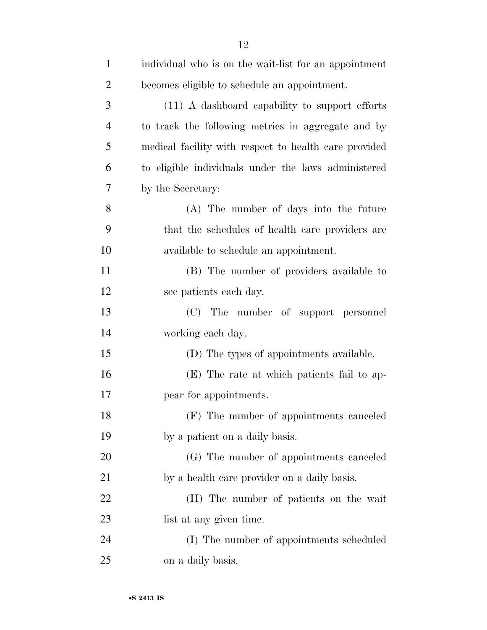| $\mathbf{1}$   | individual who is on the wait-list for an appointment |
|----------------|-------------------------------------------------------|
| $\overline{2}$ | becomes eligible to schedule an appointment.          |
| 3              | (11) A dashboard capability to support efforts        |
| $\overline{4}$ | to track the following metrics in aggregate and by    |
| 5              | medical facility with respect to health care provided |
| 6              | to eligible individuals under the laws administered   |
| 7              | by the Secretary:                                     |
| 8              | (A) The number of days into the future                |
| 9              | that the schedules of health care providers are       |
| 10             | available to schedule an appointment.                 |
| 11             | (B) The number of providers available to              |
| 12             | see patients each day.                                |
| 13             | The number of support personnel<br>(C)                |
| 14             | working each day.                                     |
| 15             | (D) The types of appointments available.              |
| 16             | (E) The rate at which patients fail to ap-            |
| 17             | pear for appointments.                                |
| 18             | (F) The number of appointments canceled               |
| 19             | by a patient on a daily basis.                        |
| 20             | (G) The number of appointments canceled               |
| 21             | by a health care provider on a daily basis.           |
| 22             | (H) The number of patients on the wait                |
| 23             | list at any given time.                               |
| 24             | (I) The number of appointments scheduled              |
| 25             | on a daily basis.                                     |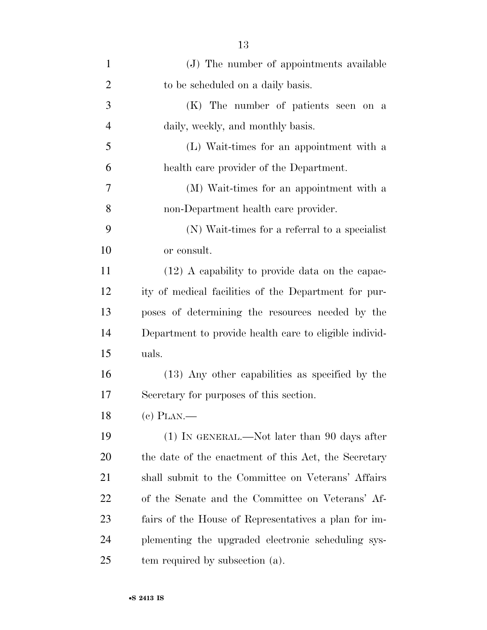| $\mathbf{1}$   | (J) The number of appointments available               |
|----------------|--------------------------------------------------------|
| $\overline{2}$ | to be scheduled on a daily basis.                      |
| 3              | (K) The number of patients seen on a                   |
| $\overline{4}$ | daily, weekly, and monthly basis.                      |
| 5              | (L) Wait-times for an appointment with a               |
| 6              | health care provider of the Department.                |
| 7              | (M) Wait-times for an appointment with a               |
| 8              | non-Department health care provider.                   |
| 9              | (N) Wait-times for a referral to a specialist          |
| 10             | or consult.                                            |
| 11             | $(12)$ A capability to provide data on the capac-      |
| 12             | ity of medical facilities of the Department for pur-   |
| 13             | poses of determining the resources needed by the       |
| 14             | Department to provide health care to eligible individ- |
| 15             | uals.                                                  |
| 16             | (13) Any other capabilities as specified by the        |
| 17             | Secretary for purposes of this section.                |
| 18             | $(e)$ PLAN.—                                           |
| 19             | $(1)$ In GENERAL.—Not later than 90 days after         |
| 20             | the date of the enactment of this Act, the Secretary   |
| 21             | shall submit to the Committee on Veterans' Affairs     |
| 22             | of the Senate and the Committee on Veterans' Af-       |
| 23             | fairs of the House of Representatives a plan for im-   |
| 24             | plementing the upgraded electronic scheduling sys-     |
| 25             | tem required by subsection (a).                        |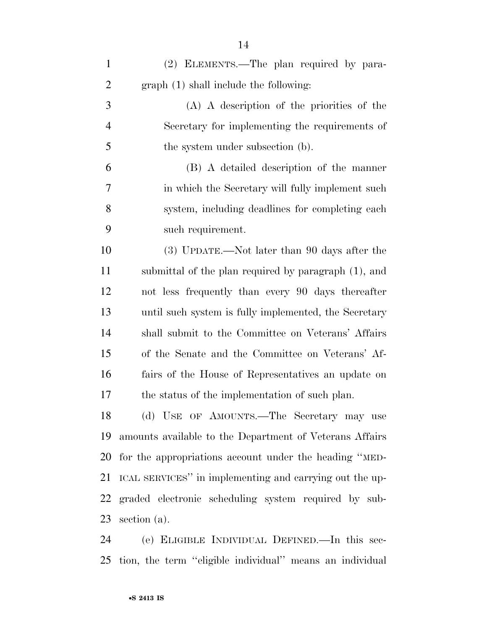| $\mathbf{1}$   | (2) ELEMENTS.—The plan required by para-                   |
|----------------|------------------------------------------------------------|
| $\overline{2}$ | graph (1) shall include the following:                     |
| 3              | $(A)$ A description of the priorities of the               |
| $\overline{4}$ | Secretary for implementing the requirements of             |
| 5              | the system under subsection (b).                           |
| 6              | (B) A detailed description of the manner                   |
| 7              | in which the Secretary will fully implement such           |
| 8              | system, including deadlines for completing each            |
| 9              | such requirement.                                          |
| 10             | (3) UPDATE.—Not later than 90 days after the               |
| 11             | submittal of the plan required by paragraph (1), and       |
| 12             | not less frequently than every 90 days thereafter          |
| 13             | until such system is fully implemented, the Secretary      |
| 14             | shall submit to the Committee on Veterans' Affairs         |
| 15             | of the Senate and the Committee on Veterans' Af-           |
| 16             | fairs of the House of Representatives an update on         |
| 17             | the status of the implementation of such plan.             |
|                | 18 (d) USE OF AMOUNTS.—The Secretary may use               |
| 19             | amounts available to the Department of Veterans Affairs    |
|                | 20 for the appropriations account under the heading "MED-  |
| 21             | ICAL SERVICES" in implementing and carrying out the up-    |
|                | 22 graded electronic scheduling system required by sub-    |
|                | 23 section (a).                                            |
| $\mathbf{A}$   | $\left( \cdot \right)$ Expansion Improvement Dimitian Inc. |

 (e) ELIGIBLE INDIVIDUAL DEFINED.—In this sec-tion, the term ''eligible individual'' means an individual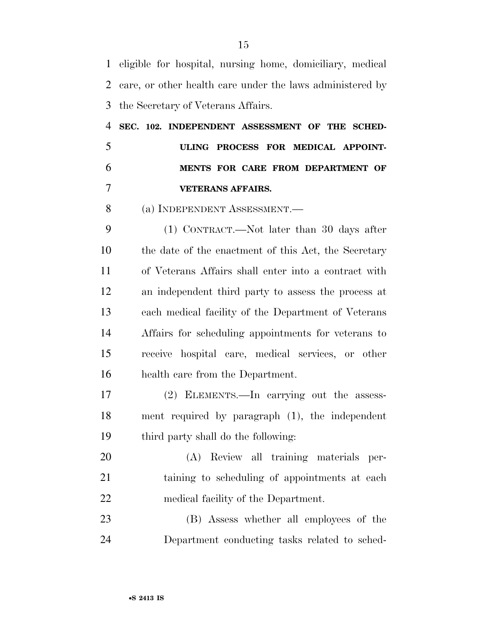eligible for hospital, nursing home, domiciliary, medical care, or other health care under the laws administered by the Secretary of Veterans Affairs.

 **SEC. 102. INDEPENDENT ASSESSMENT OF THE SCHED- ULING PROCESS FOR MEDICAL APPOINT- MENTS FOR CARE FROM DEPARTMENT OF VETERANS AFFAIRS.** 

(a) INDEPENDENT ASSESSMENT.—

 (1) CONTRACT.—Not later than 30 days after the date of the enactment of this Act, the Secretary of Veterans Affairs shall enter into a contract with an independent third party to assess the process at each medical facility of the Department of Veterans Affairs for scheduling appointments for veterans to receive hospital care, medical services, or other health care from the Department.

 (2) ELEMENTS.—In carrying out the assess- ment required by paragraph (1), the independent third party shall do the following:

 (A) Review all training materials per- taining to scheduling of appointments at each medical facility of the Department.

 (B) Assess whether all employees of the Department conducting tasks related to sched-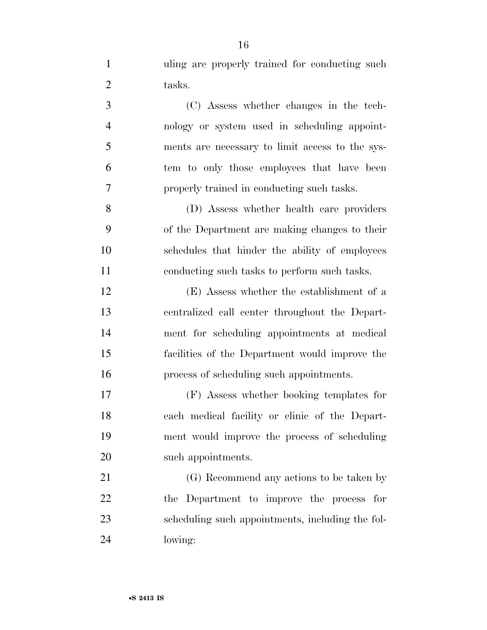| $\mathbf{1}$   | uling are properly trained for conducting such   |
|----------------|--------------------------------------------------|
| $\overline{2}$ | tasks.                                           |
| 3              | (C) Assess whether changes in the tech-          |
| $\overline{4}$ | nology or system used in scheduling appoint-     |
| 5              | ments are necessary to limit access to the sys-  |
| 6              | tem to only those employees that have been       |
| 7              | properly trained in conducting such tasks.       |
| 8              | (D) Assess whether health care providers         |
| 9              | of the Department are making changes to their    |
| 10             | schedules that hinder the ability of employees   |
| 11             | conducting such tasks to perform such tasks.     |
| 12             | (E) Assess whether the establishment of a        |
| 13             | centralized call center throughout the Depart-   |
| 14             | ment for scheduling appointments at medical      |
| 15             | facilities of the Department would improve the   |
| 16             | process of scheduling such appointments.         |
| 17             | (F) Assess whether booking templates for         |
| 18             | each medical facility or clinic of the Depart-   |
| 19             | ment would improve the process of scheduling     |
| 20             | such appointments.                               |
| 21             | (G) Recommend any actions to be taken by         |
| 22             | the Department to improve the process for        |
| 23             | scheduling such appointments, including the fol- |

lowing: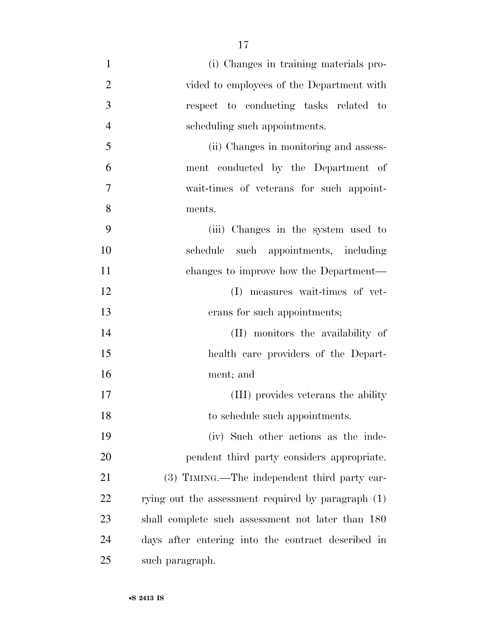(i) Changes in training materials pro-2 vided to employees of the Department with respect to conducting tasks related to scheduling such appointments. (ii) Changes in monitoring and assess- ment conducted by the Department of wait-times of veterans for such appoint- ments. (iii) Changes in the system used to schedule such appointments, including changes to improve how the Department— (I) measures wait-times of vet- erans for such appointments; (II) monitors the availability of health care providers of the Depart- ment; and (III) provides veterans the ability 18 to schedule such appointments. (iv) Such other actions as the inde- pendent third party considers appropriate. 21 (3) TIMING.—The independent third party car-22 rying out the assessment required by paragraph (1) shall complete such assessment not later than 180 days after entering into the contract described in such paragraph.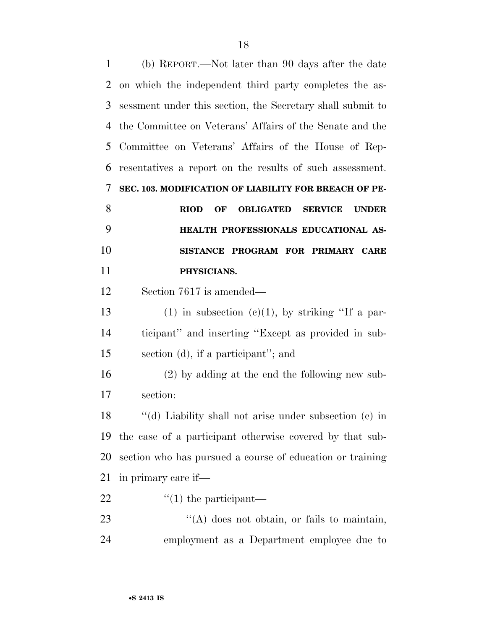| 1  | (b) REPORT.—Not later than 90 days after the date                       |
|----|-------------------------------------------------------------------------|
| 2  | on which the independent third party completes the as-                  |
| 3  | sessment under this section, the Secretary shall submit to              |
| 4  | the Committee on Veterans' Affairs of the Senate and the                |
| 5  | Committee on Veterans' Affairs of the House of Rep-                     |
| 6  | resentatives a report on the results of such assessment.                |
| 7  | SEC. 103. MODIFICATION OF LIABILITY FOR BREACH OF PE-                   |
| 8  | <b>OBLIGATED</b><br><b>RIOD</b><br>OF<br><b>SERVICE</b><br><b>UNDER</b> |
| 9  | HEALTH PROFESSIONALS EDUCATIONAL AS-                                    |
| 10 | SISTANCE PROGRAM FOR PRIMARY CARE                                       |
| 11 | PHYSICIANS.                                                             |
| 12 | Section 7617 is amended—                                                |
| 13 | $(1)$ in subsection $(e)(1)$ , by striking "If a par-                   |
| 14 | ticipant" and inserting "Except as provided in sub-                     |
| 15 | section (d), if a participant"; and                                     |
| 16 | $(2)$ by adding at the end the following new sub-                       |
| 17 | section:                                                                |
| 18 | "(d) Liability shall not arise under subsection (c) in                  |
| 19 | the case of a participant otherwise covered by that sub-                |
| 20 | section who has pursued a course of education or training               |
| 21 | in primary care if—                                                     |
|    |                                                                         |
| 22 | $\lq(1)$ the participant—                                               |
| 23 | $\lq\lq$ does not obtain, or fails to maintain,                         |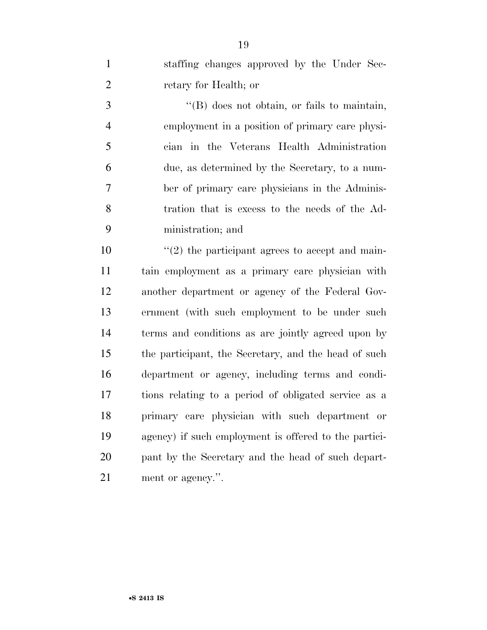| $\mathbf{1}$   | staffing changes approved by the Under Sec-           |
|----------------|-------------------------------------------------------|
| $\mathbf{2}$   | retary for Health; or                                 |
| 3              | $\lq\lq$ does not obtain, or fails to maintain,       |
| $\overline{4}$ | employment in a position of primary care physi-       |
| 5              | cian in the Veterans Health Administration            |
| 6              | due, as determined by the Secretary, to a num-        |
| 7              | ber of primary care physicians in the Adminis-        |
| 8              | tration that is excess to the needs of the Ad-        |
| 9              | ministration; and                                     |
| 10             | $\lq(2)$ the participant agrees to accept and main-   |
| 11             | tain employment as a primary care physician with      |
| 12             | another department or agency of the Federal Gov-      |
| 13             | ernment (with such employment to be under such        |
| 14             | terms and conditions as are jointly agreed upon by    |
| 15             | the participant, the Secretary, and the head of such  |
| 16             | department or agency, including terms and condi-      |
| 17             | tions relating to a period of obligated service as a  |
| 18             | primary care physician with such department or        |
| 19             | agency) if such employment is offered to the partici- |
| 20             | pant by the Secretary and the head of such depart-    |
| 21             | ment or agency.".                                     |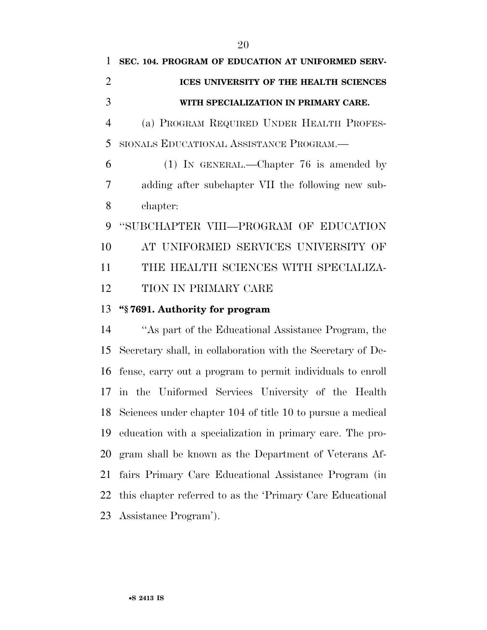TION IN PRIMARY CARE

# **''§ 7691. Authority for program**

 ''As part of the Educational Assistance Program, the Secretary shall, in collaboration with the Secretary of De- fense, carry out a program to permit individuals to enroll in the Uniformed Services University of the Health Sciences under chapter 104 of title 10 to pursue a medical education with a specialization in primary care. The pro- gram shall be known as the Department of Veterans Af- fairs Primary Care Educational Assistance Program (in this chapter referred to as the 'Primary Care Educational Assistance Program').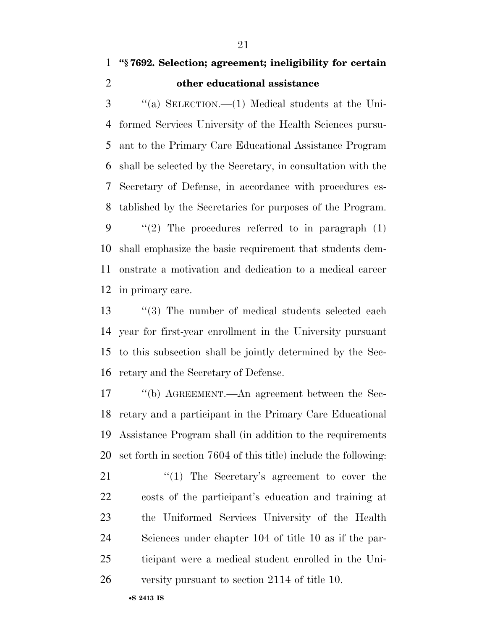# **''§ 7692. Selection; agreement; ineligibility for certain other educational assistance**

 ''(a) SELECTION.—(1) Medical students at the Uni- formed Services University of the Health Sciences pursu- ant to the Primary Care Educational Assistance Program shall be selected by the Secretary, in consultation with the Secretary of Defense, in accordance with procedures es-tablished by the Secretaries for purposes of the Program.

 $\frac{1}{2}$  The procedures referred to in paragraph (1) shall emphasize the basic requirement that students dem- onstrate a motivation and dedication to a medical career in primary care.

13 ''(3) The number of medical students selected each year for first-year enrollment in the University pursuant to this subsection shall be jointly determined by the Sec-retary and the Secretary of Defense.

 ''(b) AGREEMENT.—An agreement between the Sec- retary and a participant in the Primary Care Educational Assistance Program shall (in addition to the requirements set forth in section 7604 of this title) include the following:

21 "(1) The Secretary's agreement to cover the costs of the participant's education and training at the Uniformed Services University of the Health Sciences under chapter 104 of title 10 as if the par- ticipant were a medical student enrolled in the Uni-versity pursuant to section 2114 of title 10.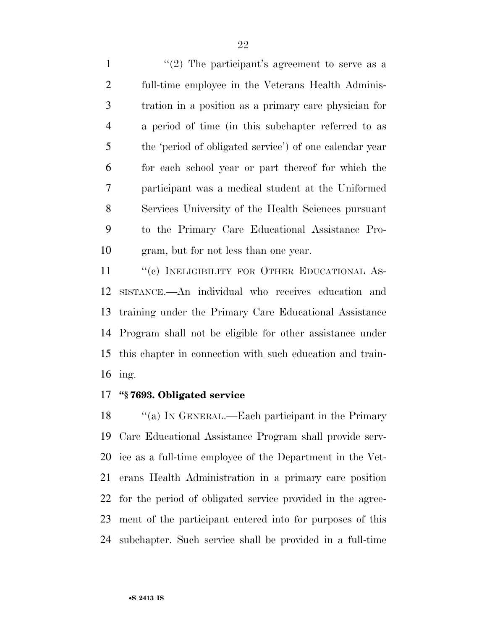$\frac{1}{2}$  The participant's agreement to serve as a full-time employee in the Veterans Health Adminis- tration in a position as a primary care physician for a period of time (in this subchapter referred to as the 'period of obligated service') of one calendar year for each school year or part thereof for which the participant was a medical student at the Uniformed Services University of the Health Sciences pursuant to the Primary Care Educational Assistance Pro-gram, but for not less than one year.

11 "(c) INELIGIBILITY FOR OTHER EDUCATIONAL AS- SISTANCE.—An individual who receives education and training under the Primary Care Educational Assistance Program shall not be eligible for other assistance under this chapter in connection with such education and train-ing.

# **''§ 7693. Obligated service**

18 "(a) IN GENERAL.—Each participant in the Primary Care Educational Assistance Program shall provide serv- ice as a full-time employee of the Department in the Vet- erans Health Administration in a primary care position for the period of obligated service provided in the agree- ment of the participant entered into for purposes of this subchapter. Such service shall be provided in a full-time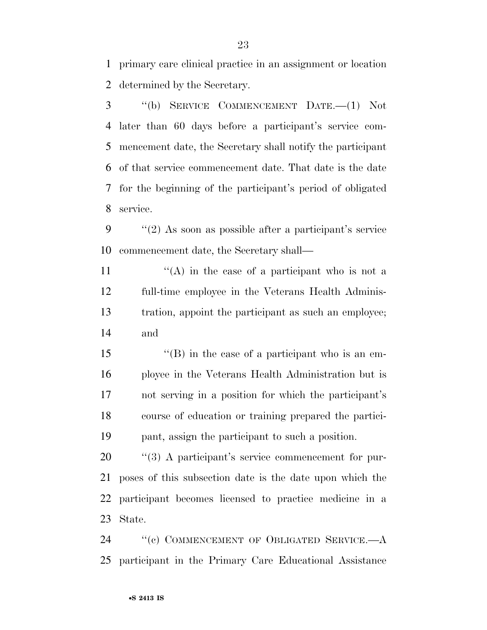primary care clinical practice in an assignment or location determined by the Secretary.

 ''(b) SERVICE COMMENCEMENT DATE.—(1) Not later than 60 days before a participant's service com- mencement date, the Secretary shall notify the participant of that service commencement date. That date is the date for the beginning of the participant's period of obligated service.

 ''(2) As soon as possible after a participant's service commencement date, the Secretary shall—

 $\langle (A)$  in the case of a participant who is not a full-time employee in the Veterans Health Adminis- tration, appoint the participant as such an employee; and

 ''(B) in the case of a participant who is an em- ployee in the Veterans Health Administration but is not serving in a position for which the participant's course of education or training prepared the partici-pant, assign the participant to such a position.

 $\frac{1}{20}$  (3) A participant's service commencement for pur- poses of this subsection date is the date upon which the participant becomes licensed to practice medicine in a State.

24 "(c) COMMENCEMENT OF OBLIGATED SERVICE.—A participant in the Primary Care Educational Assistance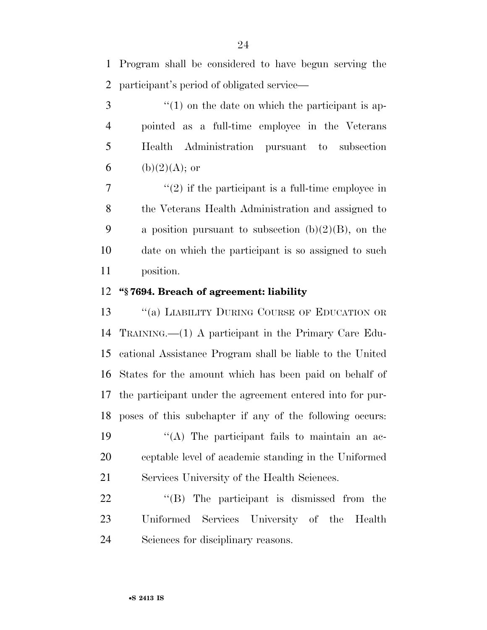Program shall be considered to have begun serving the participant's period of obligated service—

 ''(1) on the date on which the participant is ap- pointed as a full-time employee in the Veterans Health Administration pursuant to subsection 6 (b)(2)(A); or

 ''(2) if the participant is a full-time employee in the Veterans Health Administration and assigned to 9 a position pursuant to subsection  $(b)(2)(B)$ , on the date on which the participant is so assigned to such position.

# **''§ 7694. Breach of agreement: liability**

13 "(a) LIABILITY DURING COURSE OF EDUCATION OR TRAINING.—(1) A participant in the Primary Care Edu- cational Assistance Program shall be liable to the United States for the amount which has been paid on behalf of the participant under the agreement entered into for pur- poses of this subchapter if any of the following occurs:  $\langle (A)$  The participant fails to maintain an ac- ceptable level of academic standing in the Uniformed Services University of the Health Sciences.

22 "(B) The participant is dismissed from the Uniformed Services University of the Health Sciences for disciplinary reasons.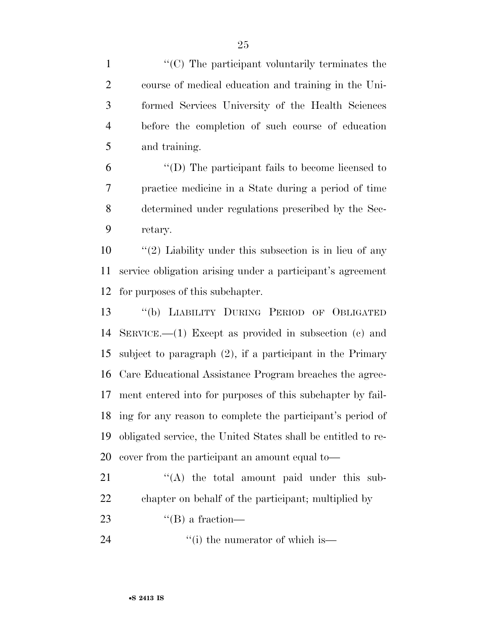$\langle (C)$  The participant voluntarily terminates the course of medical education and training in the Uni- formed Services University of the Health Sciences before the completion of such course of education and training.

 ''(D) The participant fails to become licensed to practice medicine in a State during a period of time determined under regulations prescribed by the Sec-retary.

10 ''(2) Liability under this subsection is in lieu of any service obligation arising under a participant's agreement for purposes of this subchapter.

 ''(b) LIABILITY DURING PERIOD OF OBLIGATED SERVICE.—(1) Except as provided in subsection (c) and subject to paragraph (2), if a participant in the Primary Care Educational Assistance Program breaches the agree- ment entered into for purposes of this subchapter by fail- ing for any reason to complete the participant's period of obligated service, the United States shall be entitled to re-cover from the participant an amount equal to—

21 ''(A) the total amount paid under this sub-chapter on behalf of the participant; multiplied by

- 23  $\text{``(B) a fraction}$
- 24 ''(i) the numerator of which is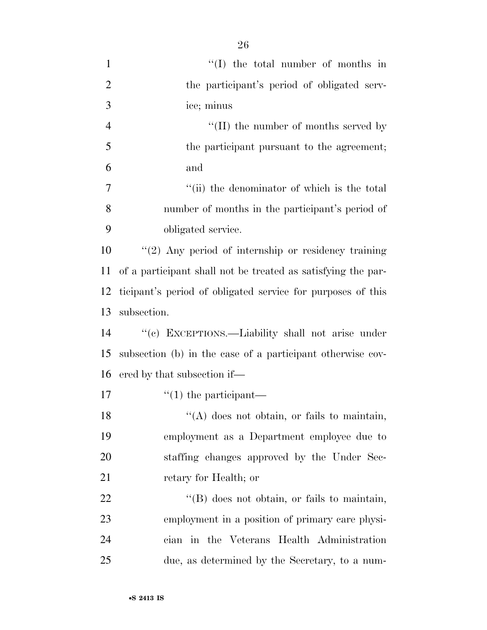| $\mathbf{1}$   | $\lq\lq$ the total number of months in                       |
|----------------|--------------------------------------------------------------|
| $\overline{2}$ | the participant's period of obligated serv-                  |
| 3              | ice; minus                                                   |
| $\overline{4}$ | $\lq\lq$ (II) the number of months served by                 |
| 5              | the participant pursuant to the agreement;                   |
| 6              | and                                                          |
| 7              | "(ii) the denominator of which is the total                  |
| 8              | number of months in the participant's period of              |
| 9              | obligated service.                                           |
| 10             | $"(2)$ Any period of internship or residency training        |
| 11             | of a participant shall not be treated as satisfying the par- |
| 12             | ticipant's period of obligated service for purposes of this  |
| 13             | subsection.                                                  |
| 14             | "(c) EXCEPTIONS.—Liability shall not arise under             |
| 15             | subsection (b) in the case of a participant otherwise cov-   |
| 16             | ered by that subsection if—                                  |
| 17             | $\lq(1)$ the participant—                                    |
| 18             | "(A) does not obtain, or fails to maintain,                  |
| 19             | employment as a Department employee due to                   |
| 20             | staffing changes approved by the Under Sec-                  |
| 21             | retary for Health; or                                        |
| 22             | $\lq\lq$ $(B)$ does not obtain, or fails to maintain,        |
| 23             | employment in a position of primary care physi-              |
| 24             | cian in the Veterans Health Administration                   |
| 25             | due, as determined by the Secretary, to a num-               |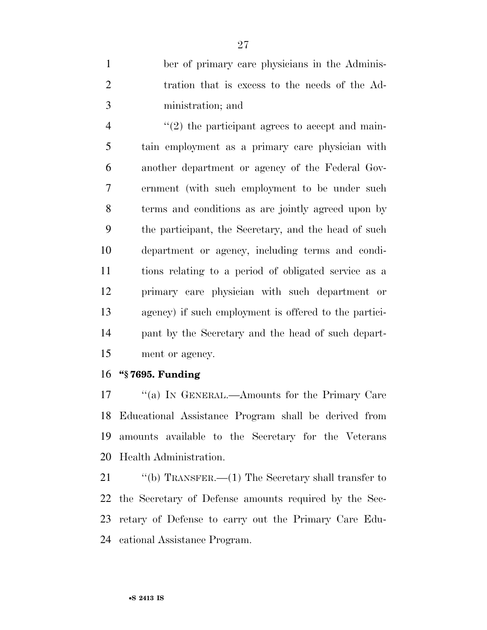ber of primary care physicians in the Adminis- tration that is excess to the needs of the Ad-ministration; and

 $\frac{1}{2}$  the participant agrees to accept and main- tain employment as a primary care physician with another department or agency of the Federal Gov- ernment (with such employment to be under such terms and conditions as are jointly agreed upon by the participant, the Secretary, and the head of such department or agency, including terms and condi- tions relating to a period of obligated service as a primary care physician with such department or agency) if such employment is offered to the partici- pant by the Secretary and the head of such depart-ment or agency.

## **''§ 7695. Funding**

17 "(a) IN GENERAL.—Amounts for the Primary Care Educational Assistance Program shall be derived from amounts available to the Secretary for the Veterans Health Administration.

21 "(b) TRANSFER.—(1) The Secretary shall transfer to the Secretary of Defense amounts required by the Sec- retary of Defense to carry out the Primary Care Edu-cational Assistance Program.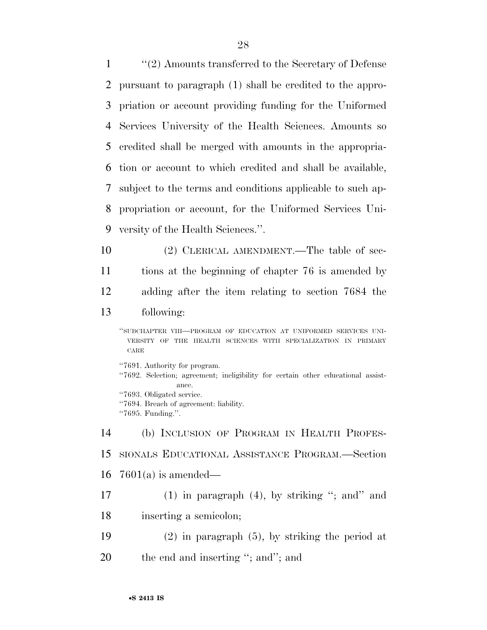''(2) Amounts transferred to the Secretary of Defense pursuant to paragraph (1) shall be credited to the appro- priation or account providing funding for the Uniformed Services University of the Health Sciences. Amounts so credited shall be merged with amounts in the appropria- tion or account to which credited and shall be available, subject to the terms and conditions applicable to such ap- propriation or account, for the Uniformed Services Uni- versity of the Health Sciences.''. (2) CLERICAL AMENDMENT.—The table of sec-tions at the beginning of chapter 76 is amended by

adding after the item relating to section 7684 the

# following:

''SUBCHAPTER VIII—PROGRAM OF EDUCATION AT UNIFORMED SERVICES UNI-VERSITY OF THE HEALTH SCIENCES WITH SPECIALIZATION IN PRIMARY CARE

''7691. Authority for program. ''7692. Selection; agreement; ineligibility for certain other educational assistance. ''7693. Obligated service. ''7694. Breach of agreement: liability. ''7695. Funding.''.

 (b) INCLUSION OF PROGRAM IN HEALTH PROFES- SIONALS EDUCATIONAL ASSISTANCE PROGRAM.—Section 7601(a) is amended—

17 (1) in paragraph  $(4)$ , by striking "; and" and inserting a semicolon;

- (2) in paragraph (5), by striking the period at
- 20 the end and inserting "; and"; and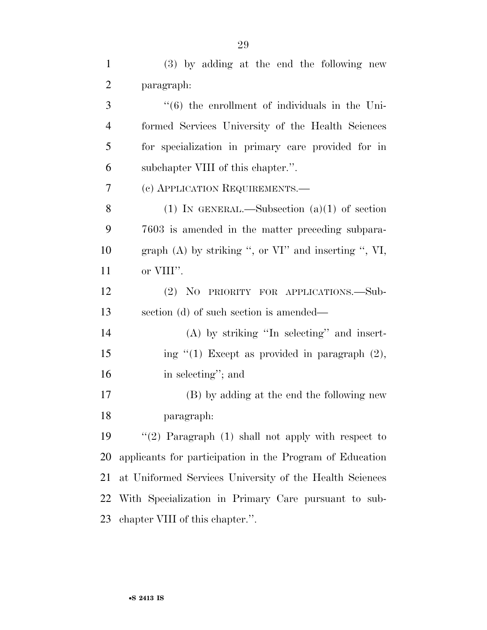(3) by adding at the end the following new paragraph: ''(6) the enrollment of individuals in the Uni- formed Services University of the Health Sciences for specialization in primary care provided for in subchapter VIII of this chapter.''. (c) APPLICATION REQUIREMENTS.— 8 (1) IN GENERAL.—Subsection  $(a)(1)$  of section 7603 is amended in the matter preceding subpara- graph (A) by striking '', or VI'' and inserting '', VI, or VIII''. (2) NO PRIORITY FOR APPLICATIONS.—Sub- section (d) of such section is amended— (A) by striking ''In selecting'' and insert-15 ing "(1) Except as provided in paragraph (2), in selecting''; and (B) by adding at the end the following new paragraph: ''(2) Paragraph (1) shall not apply with respect to applicants for participation in the Program of Education at Uniformed Services University of the Health Sciences With Specialization in Primary Care pursuant to sub-chapter VIII of this chapter.''.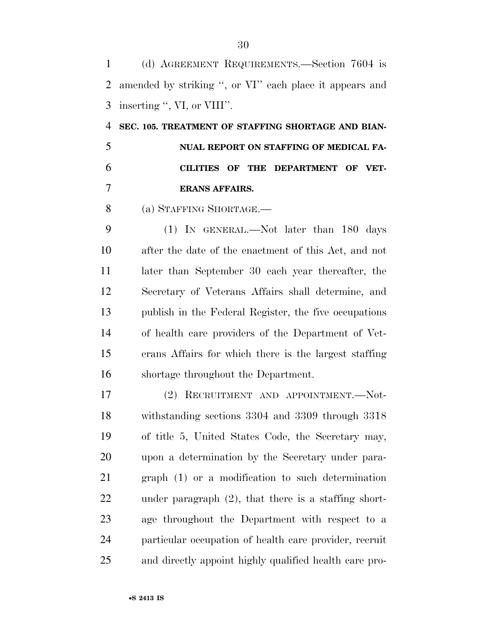(d) AGREEMENT REQUIREMENTS.—Section 7604 is amended by striking '', or VI'' each place it appears and inserting '', VI, or VIII''.

 **SEC. 105. TREATMENT OF STAFFING SHORTAGE AND BIAN- NUAL REPORT ON STAFFING OF MEDICAL FA- CILITIES OF THE DEPARTMENT OF VET-ERANS AFFAIRS.** 

(a) STAFFING SHORTAGE.—

 (1) IN GENERAL.—Not later than 180 days after the date of the enactment of this Act, and not later than September 30 each year thereafter, the Secretary of Veterans Affairs shall determine, and publish in the Federal Register, the five occupations of health care providers of the Department of Vet- erans Affairs for which there is the largest staffing shortage throughout the Department.

 (2) RECRUITMENT AND APPOINTMENT.—Not- withstanding sections 3304 and 3309 through 3318 of title 5, United States Code, the Secretary may, upon a determination by the Secretary under para- graph (1) or a modification to such determination under paragraph (2), that there is a staffing short- age throughout the Department with respect to a particular occupation of health care provider, recruit and directly appoint highly qualified health care pro-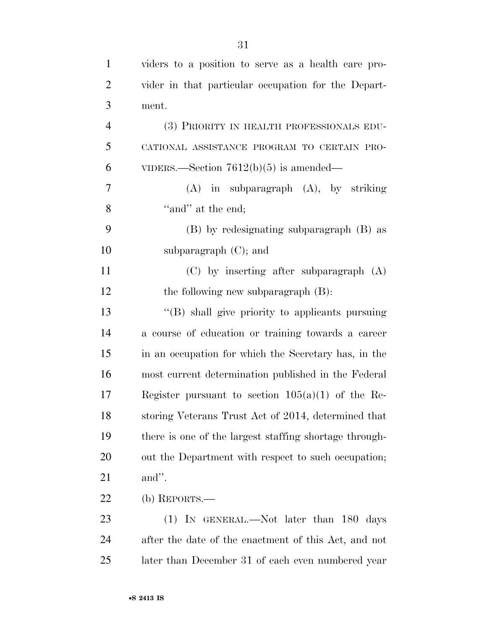| $\mathbf{1}$   | viders to a position to serve as a health care pro-    |
|----------------|--------------------------------------------------------|
| $\overline{2}$ | vider in that particular occupation for the Depart-    |
| 3              | ment.                                                  |
| $\overline{4}$ | (3) PRIORITY IN HEALTH PROFESSIONALS EDU-              |
| 5              | CATIONAL ASSISTANCE PROGRAM TO CERTAIN PRO-            |
| 6              | VIDERS.—Section $7612(b)(5)$ is amended—               |
| $\tau$         | $(A)$ in subparagraph $(A)$ , by striking              |
| 8              | "and" at the end;                                      |
| 9              | (B) by redesignating subparagraph (B) as               |
| 10             | subparagraph $(C)$ ; and                               |
| 11             | $(C)$ by inserting after subparagraph $(A)$            |
| 12             | the following new subparagraph $(B)$ :                 |
| 13             | "(B) shall give priority to applicants pursuing        |
| 14             | a course of education or training towards a career     |
| 15             | in an occupation for which the Secretary has, in the   |
| 16             | most current determination published in the Federal    |
| 17             | Register pursuant to section $105(a)(1)$ of the Re-    |
| 18             | storing Veterans Trust Act of 2014, determined that    |
| 19             | there is one of the largest staffing shortage through- |
| 20             | out the Department with respect to such occupation;    |
| 21             | and".                                                  |
| 22             | (b) REPORTS.—                                          |
| 23             | $(1)$ IN GENERAL.—Not later than 180 days              |
| 24             | after the date of the enactment of this Act, and not   |
| 25             | later than December 31 of each even numbered year      |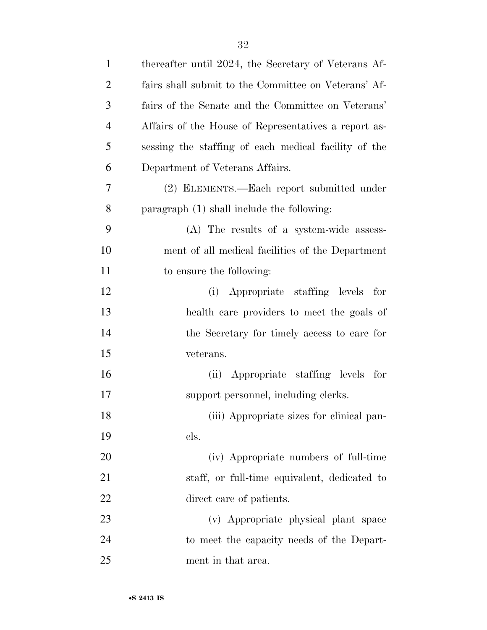| $\mathbf{1}$   | thereafter until 2024, the Secretary of Veterans Af- |
|----------------|------------------------------------------------------|
| $\overline{c}$ | fairs shall submit to the Committee on Veterans' Af- |
| 3              | fairs of the Senate and the Committee on Veterans'   |
| 4              | Affairs of the House of Representatives a report as- |
| 5              | sessing the staffing of each medical facility of the |
| 6              | Department of Veterans Affairs.                      |
| 7              | (2) ELEMENTS.—Each report submitted under            |
| 8              | paragraph $(1)$ shall include the following:         |
| 9              | (A) The results of a system-wide assess-             |
| 10             | ment of all medical facilities of the Department     |
| 11             | to ensure the following:                             |
| 12             | (i) Appropriate staffing levels for                  |
| 13             | health care providers to meet the goals of           |
| 14             | the Secretary for timely access to care for          |
| 15             | veterans.                                            |
| 16             | (ii) Appropriate staffing levels for                 |
| 17             | support personnel, including clerks.                 |
| 18             | (iii) Appropriate sizes for clinical pan-            |
| 19             | els.                                                 |
| <b>20</b>      | (iv) Appropriate numbers of full-time                |
| 21             | staff, or full-time equivalent, dedicated to         |
| 22             | direct care of patients.                             |
| 23             | (v) Appropriate physical plant space                 |
| 24             | to meet the capacity needs of the Depart-            |
| 25             | ment in that area.                                   |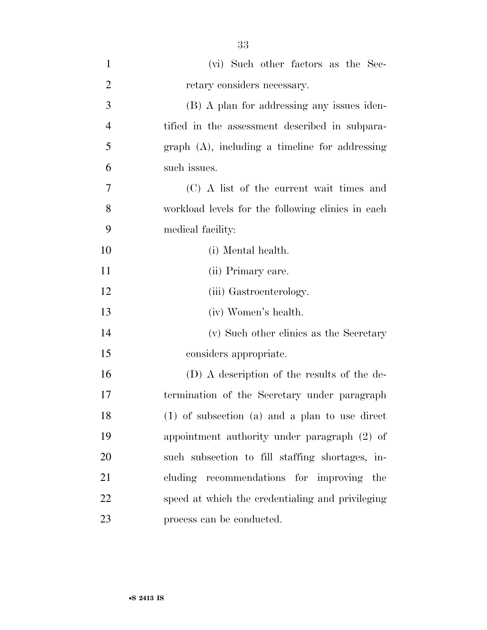| 1              | (vi) Such other factors as the Sec-                |
|----------------|----------------------------------------------------|
| $\overline{2}$ | retary considers necessary.                        |
| 3              | (B) A plan for addressing any issues iden-         |
| $\overline{4}$ | tified in the assessment described in subpara-     |
| 5              | $graph$ (A), including a timeline for addressing   |
| 6              | such issues.                                       |
| 7              | (C) A list of the current wait times and           |
| 8              | workload levels for the following clinics in each  |
| 9              | medical facility:                                  |
| 10             | (i) Mental health.                                 |
| 11             | (ii) Primary care.                                 |
| 12             | (iii) Gastroenterology.                            |
| 13             | (iv) Women's health.                               |
| 14             | (v) Such other clinics as the Secretary            |
| 15             | considers appropriate.                             |
| 16             | (D) A description of the results of the de-        |
| 17             | termination of the Secretary under paragraph       |
| 18             | $(1)$ of subsection $(a)$ and a plan to use direct |
| 19             | appointment authority under paragraph (2) of       |
| 20             | such subsection to fill staffing shortages, in-    |
| 21             | cluding recommendations for improving the          |
| 22             | speed at which the credentialing and privileging   |
| 23             | process can be conducted.                          |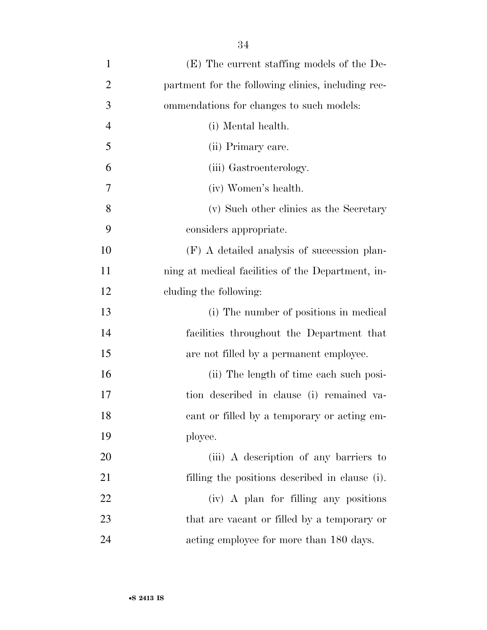| $\mathbf{1}$   | (E) The current staffing models of the De-         |
|----------------|----------------------------------------------------|
| $\overline{2}$ | partment for the following clinics, including rec- |
| 3              | ommendations for changes to such models:           |
| $\overline{4}$ | (i) Mental health.                                 |
| 5              | (ii) Primary care.                                 |
| 6              | (iii) Gastroenterology.                            |
| 7              | (iv) Women's health.                               |
| $8\,$          | (v) Such other clinics as the Secretary            |
| 9              | considers appropriate.                             |
| 10             | (F) A detailed analysis of succession plan-        |
| 11             | ning at medical facilities of the Department, in-  |
| 12             | cluding the following:                             |
| 13             | (i) The number of positions in medical             |
| 14             | facilities throughout the Department that          |
| 15             | are not filled by a permanent employee.            |
| 16             | (ii) The length of time each such posi-            |
| 17             | tion described in clause (i) remained va-          |
| 18             | cant or filled by a temporary or acting em-        |
| 19             | ployee.                                            |
| 20             | (iii) A description of any barriers to             |
| 21             | filling the positions described in clause (i).     |
| 22             | (iv) A plan for filling any positions              |
| 23             | that are vacant or filled by a temporary or        |
| 24             | acting employee for more than 180 days.            |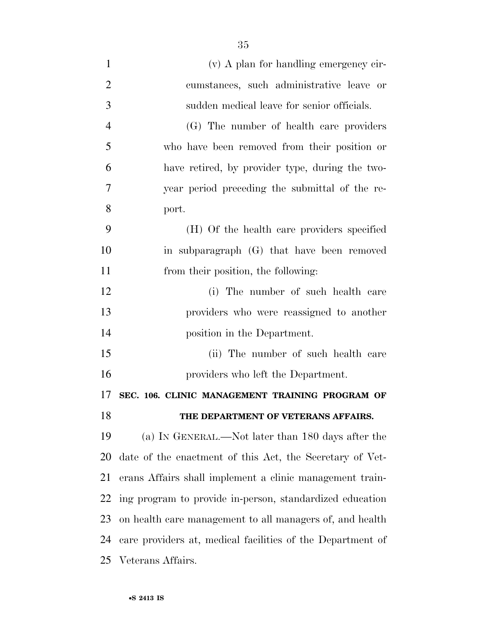| $\mathbf{1}$   | (v) A plan for handling emergency cir-                     |
|----------------|------------------------------------------------------------|
| $\overline{2}$ | cumstances, such administrative leave or                   |
| 3              | sudden medical leave for senior officials.                 |
| $\overline{4}$ | (G) The number of health care providers                    |
| 5              | who have been removed from their position or               |
| 6              | have retired, by provider type, during the two-            |
| 7              | year period preceding the submittal of the re-             |
| 8              | port.                                                      |
| 9              | (H) Of the health care providers specified                 |
| 10             | in subparagraph (G) that have been removed                 |
| 11             | from their position, the following:                        |
| 12             | (i) The number of such health care                         |
| 13             | providers who were reassigned to another                   |
| 14             | position in the Department.                                |
| 15             | (ii) The number of such health care                        |
| 16             | providers who left the Department.                         |
| 17             | SEC. 106. CLINIC MANAGEMENT TRAINING PROGRAM OF            |
| 18             | THE DEPARTMENT OF VETERANS AFFAIRS.                        |
| 19             | (a) IN GENERAL.—Not later than 180 days after the          |
| 20             | date of the enactment of this Act, the Secretary of Vet-   |
| 21             | erans Affairs shall implement a clinic management train-   |
| 22             | ing program to provide in-person, standardized education   |
| 23             | on health care management to all managers of, and health   |
| 24             | care providers at, medical facilities of the Department of |
| 25             | Veterans Affairs.                                          |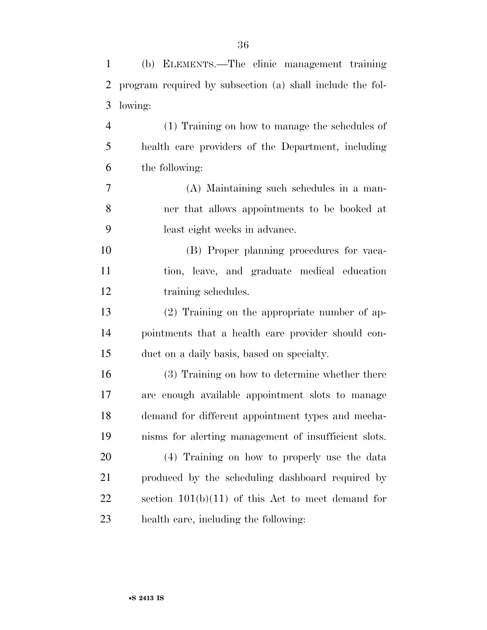| $\mathbf{1}$   | (b) ELEMENTS.—The clinic management training              |
|----------------|-----------------------------------------------------------|
| $\overline{2}$ | program required by subsection (a) shall include the fol- |
| 3              | lowing:                                                   |
| $\overline{4}$ | (1) Training on how to manage the schedules of            |
| 5              | health care providers of the Department, including        |
| 6              | the following:                                            |
| 7              | (A) Maintaining such schedules in a man-                  |
| 8              | ner that allows appointments to be booked at              |
| 9              | least eight weeks in advance.                             |
| 10             | (B) Proper planning procedures for vaca-                  |
| 11             | tion, leave, and graduate medical education               |
| 12             | training schedules.                                       |
| 13             | $(2)$ Training on the appropriate number of ap-           |
| 14             | pointments that a health care provider should con-        |
| 15             | duct on a daily basis, based on specialty.                |
| 16             | (3) Training on how to determine whether there            |
| 17             | are enough available appointment slots to manage          |
| 18             | demand for different appointment types and mecha-         |
| 19             | nisms for alerting management of insufficient slots.      |
| 20             | (4) Training on how to properly use the data              |
| 21             | produced by the scheduling dashboard required by          |
| 22             | section $101(b)(11)$ of this Act to meet demand for       |
| 23             | health care, including the following:                     |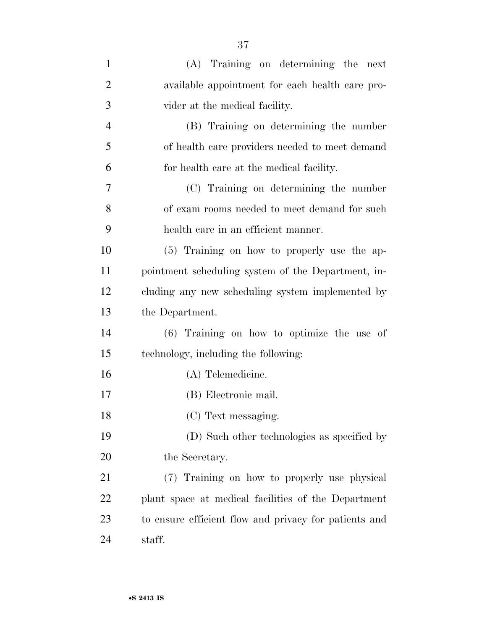| $\mathbf{1}$   | (A) Training on determining the next                  |
|----------------|-------------------------------------------------------|
| $\overline{2}$ | available appointment for each health care pro-       |
| 3              | vider at the medical facility.                        |
| 4              | (B) Training on determining the number                |
| 5              | of health care providers needed to meet demand        |
| 6              | for health care at the medical facility.              |
| 7              | (C) Training on determining the number                |
| 8              | of exam rooms needed to meet demand for such          |
| 9              | health care in an efficient manner.                   |
| 10             | (5) Training on how to properly use the ap-           |
| 11             | pointment scheduling system of the Department, in-    |
| 12             | cluding any new scheduling system implemented by      |
| 13             | the Department.                                       |
| 14             | (6) Training on how to optimize the use of            |
| 15             | technology, including the following:                  |
| 16             | (A) Telemedicine.                                     |
| 17             | (B) Electronic mail.                                  |
| 18             | (C) Text messaging.                                   |
| 19             | (D) Such other technologies as specified by           |
| 20             | the Secretary.                                        |
| 21             | (7) Training on how to properly use physical          |
| <u>22</u>      | plant space at medical facilities of the Department   |
| 23             | to ensure efficient flow and privacy for patients and |
| 24             | staff.                                                |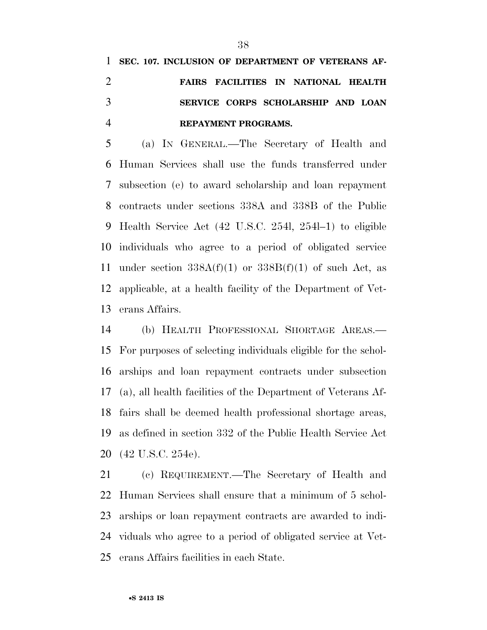## **SEC. 107. INCLUSION OF DEPARTMENT OF VETERANS AF- FAIRS FACILITIES IN NATIONAL HEALTH SERVICE CORPS SCHOLARSHIP AND LOAN REPAYMENT PROGRAMS.**

 (a) IN GENERAL.—The Secretary of Health and Human Services shall use the funds transferred under subsection (e) to award scholarship and loan repayment contracts under sections 338A and 338B of the Public Health Service Act (42 U.S.C. 254l, 254l–1) to eligible individuals who agree to a period of obligated service 11 under section  $338A(f)(1)$  or  $338B(f)(1)$  of such Act, as applicable, at a health facility of the Department of Vet-erans Affairs.

 (b) HEALTH PROFESSIONAL SHORTAGE AREAS.— For purposes of selecting individuals eligible for the schol- arships and loan repayment contracts under subsection (a), all health facilities of the Department of Veterans Af- fairs shall be deemed health professional shortage areas, as defined in section 332 of the Public Health Service Act (42 U.S.C. 254e).

 (c) REQUIREMENT.—The Secretary of Health and Human Services shall ensure that a minimum of 5 schol- arships or loan repayment contracts are awarded to indi- viduals who agree to a period of obligated service at Vet-erans Affairs facilities in each State.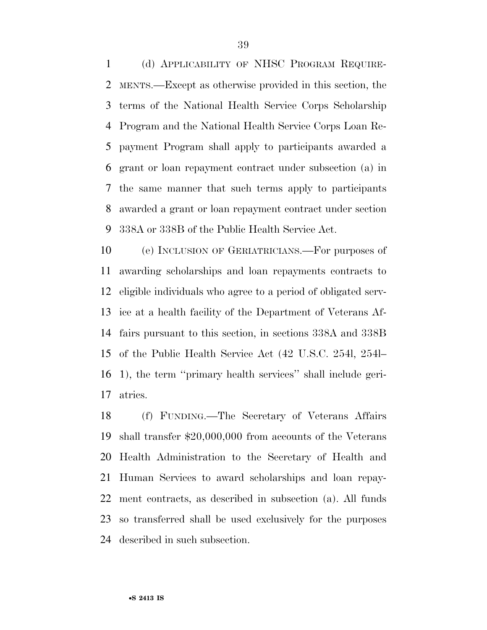(d) APPLICABILITY OF NHSC PROGRAM REQUIRE- MENTS.—Except as otherwise provided in this section, the terms of the National Health Service Corps Scholarship Program and the National Health Service Corps Loan Re- payment Program shall apply to participants awarded a grant or loan repayment contract under subsection (a) in the same manner that such terms apply to participants awarded a grant or loan repayment contract under section 338A or 338B of the Public Health Service Act.

 (e) INCLUSION OF GERIATRICIANS.—For purposes of awarding scholarships and loan repayments contracts to eligible individuals who agree to a period of obligated serv- ice at a health facility of the Department of Veterans Af- fairs pursuant to this section, in sections 338A and 338B of the Public Health Service Act (42 U.S.C. 254l, 254l– 1), the term ''primary health services'' shall include geri-atrics.

 (f) FUNDING.—The Secretary of Veterans Affairs shall transfer \$20,000,000 from accounts of the Veterans Health Administration to the Secretary of Health and Human Services to award scholarships and loan repay- ment contracts, as described in subsection (a). All funds so transferred shall be used exclusively for the purposes described in such subsection.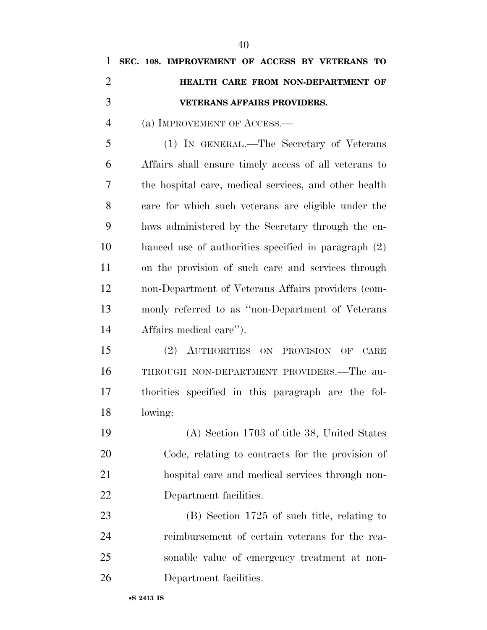| $\mathbf{1}$   | SEC. 108. IMPROVEMENT OF ACCESS BY VETERANS TO                 |
|----------------|----------------------------------------------------------------|
| $\overline{2}$ | HEALTH CARE FROM NON-DEPARTMENT OF                             |
| 3              | <b>VETERANS AFFAIRS PROVIDERS.</b>                             |
| $\overline{4}$ | (a) IMPROVEMENT OF ACCESS.—                                    |
| 5              | (1) IN GENERAL.—The Secretary of Veterans                      |
| 6              | Affairs shall ensure timely access of all veterans to          |
| 7              | the hospital care, medical services, and other health          |
| 8              | care for which such veterans are eligible under the            |
| 9              | laws administered by the Secretary through the en-             |
| 10             | hanced use of authorities specified in paragraph (2)           |
| 11             | on the provision of such care and services through             |
| 12             | non-Department of Veterans Affairs providers (com-             |
| 13             | monly referred to as "non-Department of Veterans"              |
| 14             | Affairs medical care").                                        |
| 15             | (2) AUTHORITIES ON PROVISION<br>$\overline{\text{OF}}$<br>CARE |
| 16             | THROUGH NON-DEPARTMENT PROVIDERS.—The au-                      |
| 17             | thorities specified in this paragraph are the fol-             |
| 18             | lowing:                                                        |
| 19             | (A) Section 1703 of title 38, United States                    |
| 20             | Code, relating to contracts for the provision of               |
| 21             | hospital care and medical services through non-                |
| 22             | Department facilities.                                         |
| 23             | $(B)$ Section 1725 of such title, relating to                  |
| 24             | reimbursement of certain veterans for the rea-                 |
| 25             | sonable value of emergency treatment at non-                   |
| 26             | Department facilities.                                         |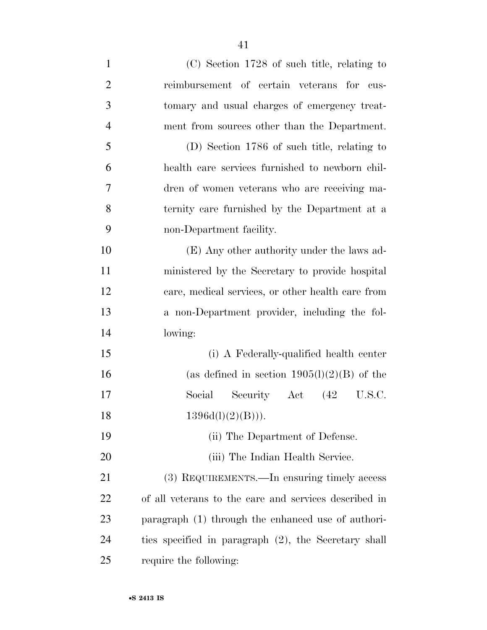| $\mathbf{1}$   | $(C)$ Section 1728 of such title, relating to         |
|----------------|-------------------------------------------------------|
| $\overline{2}$ | reimbursement of certain veterans for cus-            |
| 3              | tomary and usual charges of emergency treat-          |
| $\overline{4}$ | ment from sources other than the Department.          |
| 5              | (D) Section 1786 of such title, relating to           |
| 6              | health care services furnished to newborn chil-       |
| 7              | dren of women veterans who are receiving ma-          |
| 8              | ternity care furnished by the Department at a         |
| 9              | non-Department facility.                              |
| 10             | (E) Any other authority under the laws ad-            |
| 11             | ministered by the Secretary to provide hospital       |
| 12             | care, medical services, or other health care from     |
| 13             | a non-Department provider, including the fol-         |
| 14             | lowing:                                               |
| 15             | (i) A Federally-qualified health center               |
| 16             | (as defined in section $1905(l)(2)(B)$ of the         |
| 17             | Social<br>Security Act (42 U.S.C.                     |
| 18             | $1396d(l)(2)(B))$ .                                   |
| 19             | (ii) The Department of Defense.                       |
| 20             | (iii) The Indian Health Service.                      |
| 21             | (3) REQUIREMENTS.—In ensuring timely access           |
| 22             | of all veterans to the care and services described in |
| 23             | paragraph (1) through the enhanced use of authori-    |
| 24             | ties specified in paragraph (2), the Secretary shall  |
| 25             | require the following:                                |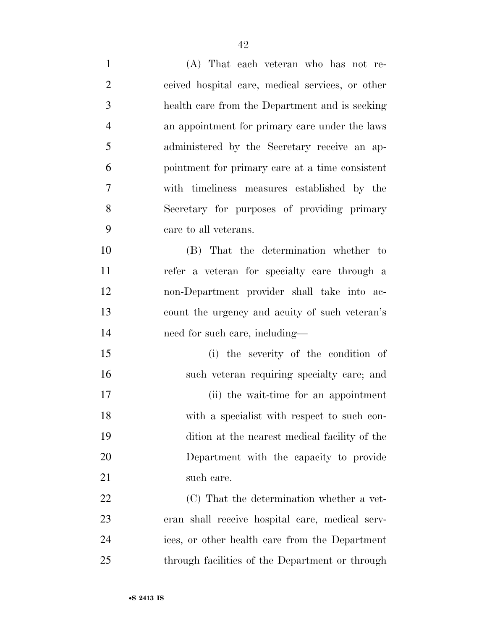| $\mathbf{1}$   | (A) That each veteran who has not re-            |
|----------------|--------------------------------------------------|
| $\overline{2}$ | ceived hospital care, medical services, or other |
| 3              | health care from the Department and is seeking   |
| $\overline{4}$ | an appointment for primary care under the laws   |
| 5              | administered by the Secretary receive an ap-     |
| 6              | pointment for primary care at a time consistent  |
| 7              | with timeliness measures established by the      |
| 8              | Secretary for purposes of providing primary      |
| 9              | care to all veterans.                            |
| 10             | (B) That the determination whether to            |
| 11             | refer a veteran for specialty care through a     |
| 12             | non-Department provider shall take into ac-      |
| 13             | count the urgency and acuity of such veteran's   |
| 14             | need for such care, including—                   |
| 15             | (i) the severity of the condition of             |
| 16             | such veteran requiring specialty care; and       |
| 17             | (ii) the wait-time for an appointment            |
| 18             | with a specialist with respect to such con-      |
| 19             | dition at the nearest medical facility of the    |
| 20             | Department with the capacity to provide          |
| 21             | such care.                                       |
| 22             | (C) That the determination whether a vet-        |
| 23             | eran shall receive hospital care, medical serv-  |
| 24             | ices, or other health care from the Department   |
| 25             | through facilities of the Department or through  |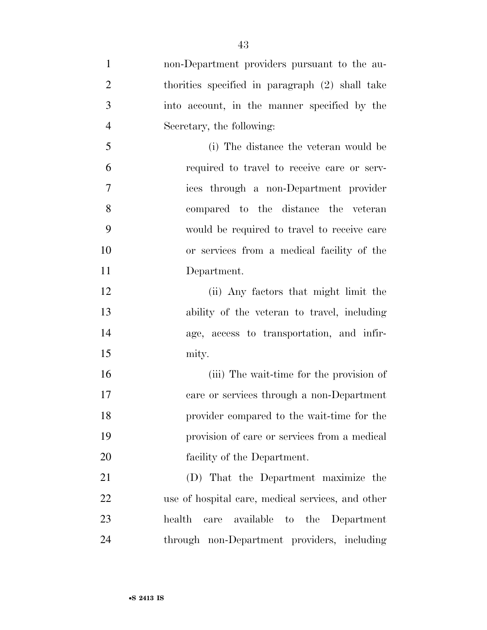non-Department providers pursuant to the au- thorities specified in paragraph (2) shall take into account, in the manner specified by the Secretary, the following: (i) The distance the veteran would be required to travel to receive care or serv- ices through a non-Department provider compared to the distance the veteran would be required to travel to receive care or services from a medical facility of the Department. (ii) Any factors that might limit the ability of the veteran to travel, including age, access to transportation, and infir- mity. (iii) The wait-time for the provision of care or services through a non-Department provider compared to the wait-time for the provision of care or services from a medical facility of the Department. (D) That the Department maximize the use of hospital care, medical services, and other health care available to the Department through non-Department providers, including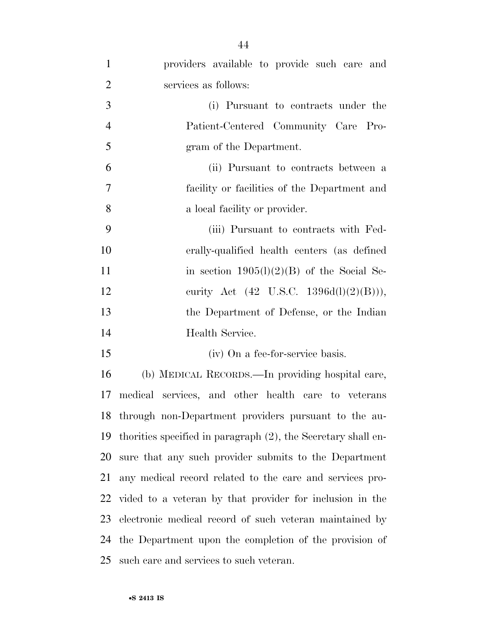| $\mathbf{1}$   | providers available to provide such care and                  |
|----------------|---------------------------------------------------------------|
| $\overline{2}$ | services as follows:                                          |
| 3              | (i) Pursuant to contracts under the                           |
| $\overline{4}$ | Patient-Centered Community Care Pro-                          |
| 5              | gram of the Department.                                       |
| 6              | (ii) Pursuant to contracts between a                          |
| $\overline{7}$ | facility or facilities of the Department and                  |
| 8              | a local facility or provider.                                 |
| 9              | (iii) Pursuant to contracts with Fed-                         |
| 10             | erally-qualified health centers (as defined                   |
| 11             | in section $1905(l)(2)(B)$ of the Social Se-                  |
| 12             | curity Act $(42 \text{ U.S.C. } 1396d(l)(2)(B))),$            |
| 13             | the Department of Defense, or the Indian                      |
| 14             | Health Service.                                               |
| 15             | (iv) On a fee-for-service basis.                              |
| 16             | (b) MEDICAL RECORDS.—In providing hospital care,              |
| 17             | medical services, and other health care to veterans           |
|                | 18 through non-Department providers pursuant to the au-       |
| 19             | thorities specified in paragraph (2), the Secretary shall en- |
| 20             | sure that any such provider submits to the Department         |
| 21             | any medical record related to the care and services pro-      |
|                | 22 vided to a veteran by that provider for inclusion in the   |
| 23             | electronic medical record of such veteran maintained by       |
| 24             | the Department upon the completion of the provision of        |
| 25             | such care and services to such veteran.                       |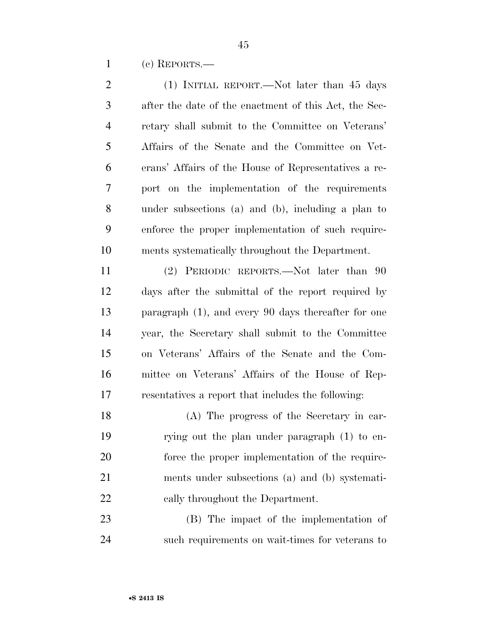(c) REPORTS.—

| $\mathbf{2}$   | (1) INITIAL REPORT.—Not later than 45 days             |
|----------------|--------------------------------------------------------|
| 3              | after the date of the enactment of this Act, the Sec-  |
| $\overline{4}$ | retary shall submit to the Committee on Veterans'      |
| 5              | Affairs of the Senate and the Committee on Vet-        |
| 6              | erans' Affairs of the House of Representatives a re-   |
| 7              | port on the implementation of the requirements         |
| 8              | under subsections (a) and (b), including a plan to     |
| 9              | enforce the proper implementation of such require-     |
| 10             | ments systematically throughout the Department.        |
| 11             | (2) PERIODIC REPORTS.—Not later than 90                |
| 12             | days after the submittal of the report required by     |
| 13             | paragraph $(1)$ , and every 90 days thereafter for one |
| 14             | year, the Secretary shall submit to the Committee      |
| 15             | on Veterans' Affairs of the Senate and the Com-        |
| 16             | mittee on Veterans' Affairs of the House of Rep-       |
| 17             | resentatives a report that includes the following:     |
| 18             | (A) The progress of the Secretary in car-              |
| 19             | rying out the plan under paragraph (1) to en-          |
| 20             | force the proper implementation of the require-        |
| 21             | ments under subsections (a) and (b) systemati-         |
| 22             | cally throughout the Department.                       |
| 23             | (B) The impact of the implementation of                |
| 24             | such requirements on wait-times for veterans to        |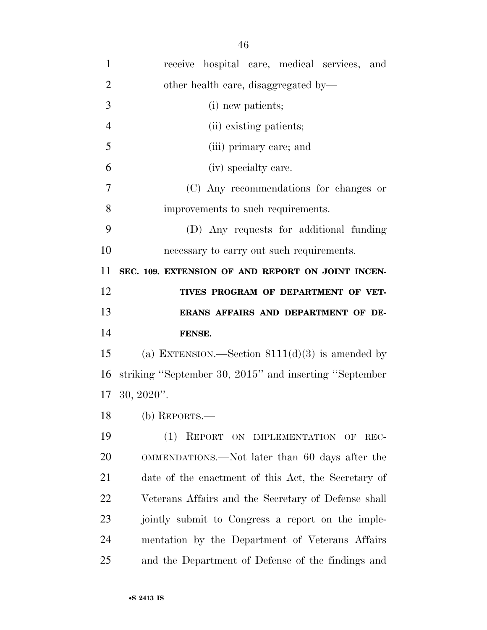| $\mathbf{1}$   | receive hospital care, medical services, and           |
|----------------|--------------------------------------------------------|
| $\overline{2}$ | other health care, disaggregated by—                   |
| 3              | (i) new patients;                                      |
| $\overline{4}$ | (ii) existing patients;                                |
| 5              | (iii) primary care; and                                |
| 6              | (iv) specialty care.                                   |
| 7              | (C) Any recommendations for changes or                 |
| 8              | improvements to such requirements.                     |
| 9              | (D) Any requests for additional funding                |
| 10             | necessary to carry out such requirements.              |
| 11             | SEC. 109. EXTENSION OF AND REPORT ON JOINT INCEN-      |
| 12             | TIVES PROGRAM OF DEPARTMENT OF VET-                    |
| 13             | ERANS AFFAIRS AND DEPARTMENT OF DE-                    |
|                |                                                        |
| 14             | FENSE.                                                 |
| 15             | (a) EXTENSION.—Section $8111(d)(3)$ is amended by      |
| 16             | striking "September 30, 2015" and inserting "September |
|                | $17 \t30, 2020$ ".                                     |
| 18             | (b) REPORTS.—                                          |
| 19             | (1)<br>REPORT ON IMPLEMENTATION OF<br>REC-             |
| 20             | OMMENDATIONS.—Not later than 60 days after the         |
| 21             | date of the enactment of this Act, the Secretary of    |
| 22             | Veterans Affairs and the Secretary of Defense shall    |
| 23             | jointly submit to Congress a report on the imple-      |
| 24             | mentation by the Department of Veterans Affairs        |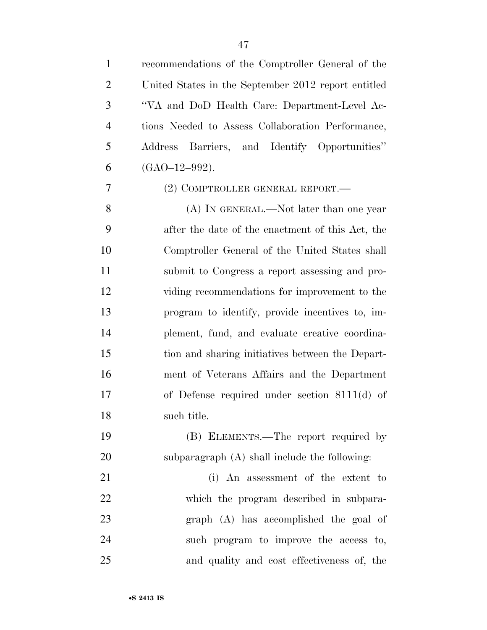| $\mathbf{1}$   | recommendations of the Comptroller General of the   |
|----------------|-----------------------------------------------------|
| $\overline{2}$ | United States in the September 2012 report entitled |
| 3              | "VA and DoD Health Care: Department-Level Ac-       |
| $\overline{4}$ | tions Needed to Assess Collaboration Performance,   |
| 5              | Address Barriers, and Identify Opportunities"       |
| 6              | $(GAO-12-992)$ .                                    |
| 7              | (2) COMPTROLLER GENERAL REPORT.—                    |
| 8              | (A) IN GENERAL.—Not later than one year             |
| 9              | after the date of the enactment of this Act, the    |
| 10             | Comptroller General of the United States shall      |
| 11             | submit to Congress a report assessing and pro-      |
| 12             | viding recommendations for improvement to the       |
| 13             | program to identify, provide incentives to, im-     |
| 14             | plement, fund, and evaluate creative coordina-      |
| 15             | tion and sharing initiatives between the Depart-    |
| 16             | ment of Veterans Affairs and the Department         |
| 17             | of Defense required under section $8111(d)$ of      |
| 18             | such title.                                         |
| 19             | (B) ELEMENTS.—The report required by                |
| 20             | subparagraph (A) shall include the following:       |
| 21             | (i) An assessment of the extent to                  |
| 22             | which the program described in subpara-             |
| 23             | graph (A) has accomplished the goal of              |
| 24             | such program to improve the access to,              |
| 25             | and quality and cost effectiveness of, the          |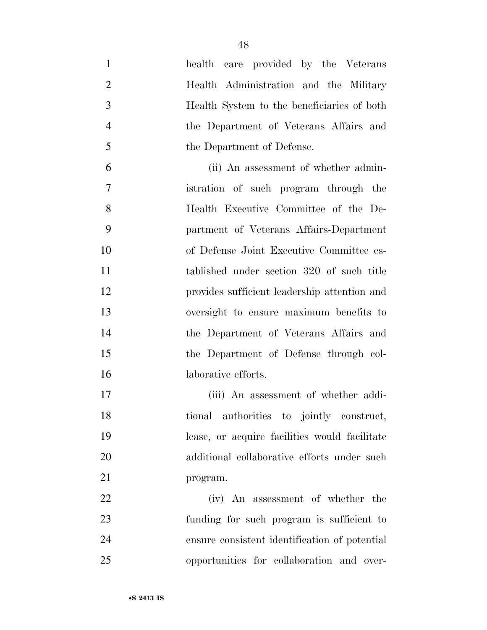health care provided by the Veterans Health Administration and the Military Health System to the beneficiaries of both the Department of Veterans Affairs and 5 the Department of Defense. (ii) An assessment of whether admin- istration of such program through the Health Executive Committee of the De- partment of Veterans Affairs-Department of Defense Joint Executive Committee es- tablished under section 320 of such title provides sufficient leadership attention and oversight to ensure maximum benefits to the Department of Veterans Affairs and the Department of Defense through col- laborative efforts. (iii) An assessment of whether addi-

 tional authorities to jointly construct, lease, or acquire facilities would facilitate additional collaborative efforts under such program.

 (iv) An assessment of whether the funding for such program is sufficient to ensure consistent identification of potential opportunities for collaboration and over-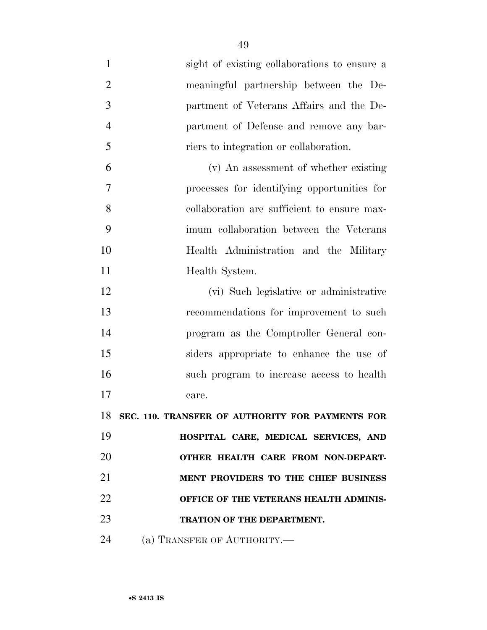sight of existing collaborations to ensure a meaningful partnership between the De- partment of Veterans Affairs and the De- partment of Defense and remove any bar- riers to integration or collaboration. (v) An assessment of whether existing processes for identifying opportunities for collaboration are sufficient to ensure max- imum collaboration between the Veterans Health Administration and the Military 11 Health System. (vi) Such legislative or administrative recommendations for improvement to such program as the Comptroller General con- siders appropriate to enhance the use of such program to increase access to health care. **SEC. 110. TRANSFER OF AUTHORITY FOR PAYMENTS FOR HOSPITAL CARE, MEDICAL SERVICES, AND OTHER HEALTH CARE FROM NON-DEPART- MENT PROVIDERS TO THE CHIEF BUSINESS OFFICE OF THE VETERANS HEALTH ADMINIS-TRATION OF THE DEPARTMENT.** 

24 (a) TRANSFER OF AUTHORITY.—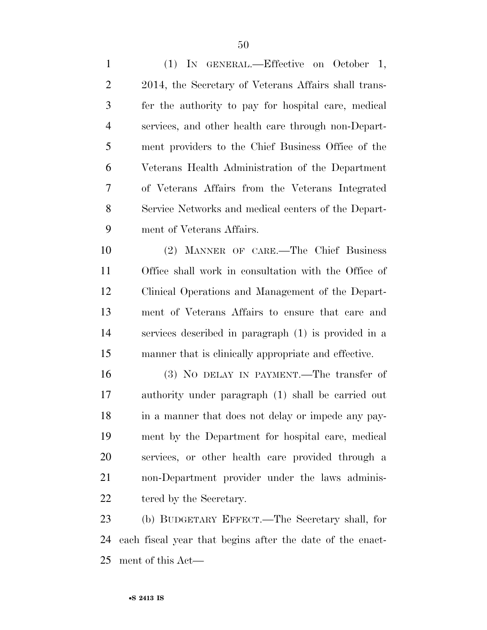(1) IN GENERAL.—Effective on October 1, 2014, the Secretary of Veterans Affairs shall trans- fer the authority to pay for hospital care, medical services, and other health care through non-Depart- ment providers to the Chief Business Office of the Veterans Health Administration of the Department of Veterans Affairs from the Veterans Integrated Service Networks and medical centers of the Depart-ment of Veterans Affairs.

 (2) MANNER OF CARE.—The Chief Business Office shall work in consultation with the Office of Clinical Operations and Management of the Depart- ment of Veterans Affairs to ensure that care and services described in paragraph (1) is provided in a manner that is clinically appropriate and effective.

 (3) NO DELAY IN PAYMENT.—The transfer of authority under paragraph (1) shall be carried out in a manner that does not delay or impede any pay- ment by the Department for hospital care, medical services, or other health care provided through a non-Department provider under the laws adminis-22 tered by the Secretary.

 (b) BUDGETARY EFFECT.—The Secretary shall, for each fiscal year that begins after the date of the enact-ment of this Act—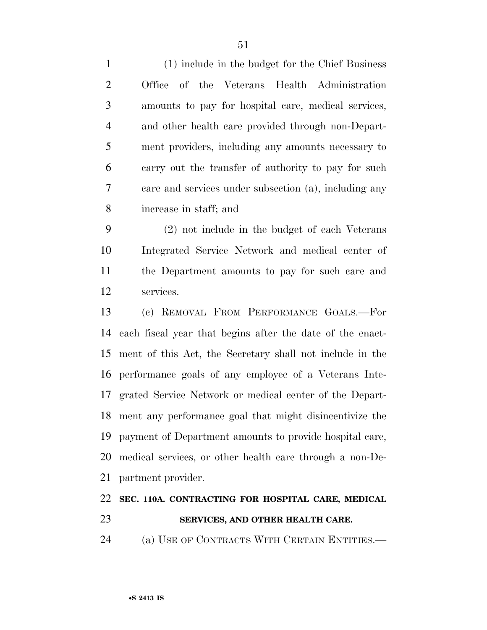| $\mathbf{1}$   | (1) include in the budget for the Chief Business      |
|----------------|-------------------------------------------------------|
| 2              | Office of the Veterans Health Administration          |
| 3              | amounts to pay for hospital care, medical services,   |
| $\overline{4}$ | and other health care provided through non-Depart-    |
| 5              | ment providers, including any amounts necessary to    |
| 6              | carry out the transfer of authority to pay for such   |
| 7              | care and services under subsection (a), including any |
| 8              | increase in staff; and                                |

 (2) not include in the budget of each Veterans Integrated Service Network and medical center of the Department amounts to pay for such care and services.

 (c) REMOVAL FROM PERFORMANCE GOALS.—For each fiscal year that begins after the date of the enact- ment of this Act, the Secretary shall not include in the performance goals of any employee of a Veterans Inte- grated Service Network or medical center of the Depart- ment any performance goal that might disincentivize the payment of Department amounts to provide hospital care, medical services, or other health care through a non-De-partment provider.

## **SEC. 110A. CONTRACTING FOR HOSPITAL CARE, MEDICAL SERVICES, AND OTHER HEALTH CARE.**

(a) USE OF CONTRACTS WITH CERTAIN ENTITIES.—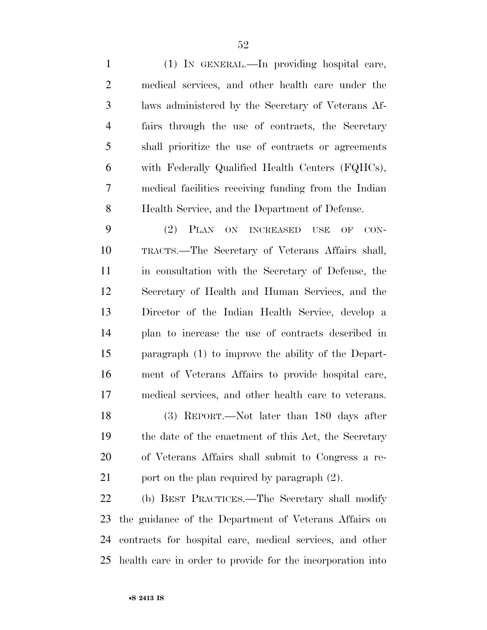(1) IN GENERAL.—In providing hospital care, medical services, and other health care under the laws administered by the Secretary of Veterans Af- fairs through the use of contracts, the Secretary shall prioritize the use of contracts or agreements with Federally Qualified Health Centers (FQHCs), medical facilities receiving funding from the Indian Health Service, and the Department of Defense.

 (2) PLAN ON INCREASED USE OF CON- TRACTS.—The Secretary of Veterans Affairs shall, in consultation with the Secretary of Defense, the Secretary of Health and Human Services, and the Director of the Indian Health Service, develop a plan to increase the use of contracts described in paragraph (1) to improve the ability of the Depart- ment of Veterans Affairs to provide hospital care, medical services, and other health care to veterans. (3) REPORT.—Not later than 180 days after the date of the enactment of this Act, the Secretary of Veterans Affairs shall submit to Congress a re-21 port on the plan required by paragraph  $(2)$ .

 (b) BEST PRACTICES.—The Secretary shall modify the guidance of the Department of Veterans Affairs on contracts for hospital care, medical services, and other health care in order to provide for the incorporation into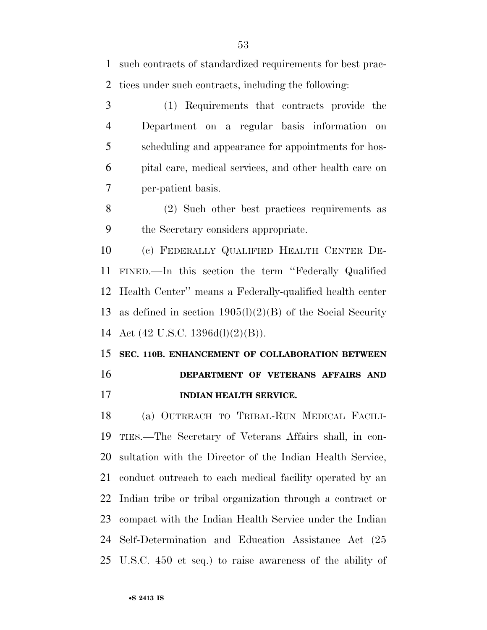such contracts of standardized requirements for best prac-tices under such contracts, including the following:

 (1) Requirements that contracts provide the Department on a regular basis information on scheduling and appearance for appointments for hos- pital care, medical services, and other health care on per-patient basis.

 (2) Such other best practices requirements as the Secretary considers appropriate.

 (c) FEDERALLY QUALIFIED HEALTH CENTER DE- FINED.—In this section the term ''Federally Qualified Health Center'' means a Federally-qualified health center as defined in section 1905(l)(2)(B) of the Social Security Act (42 U.S.C. 1396d(l)(2)(B)).

 **SEC. 110B. ENHANCEMENT OF COLLABORATION BETWEEN DEPARTMENT OF VETERANS AFFAIRS AND** 

**INDIAN HEALTH SERVICE.** 

 (a) OUTREACH TO TRIBAL-RUN MEDICAL FACILI- TIES.—The Secretary of Veterans Affairs shall, in con- sultation with the Director of the Indian Health Service, conduct outreach to each medical facility operated by an Indian tribe or tribal organization through a contract or compact with the Indian Health Service under the Indian Self-Determination and Education Assistance Act (25 U.S.C. 450 et seq.) to raise awareness of the ability of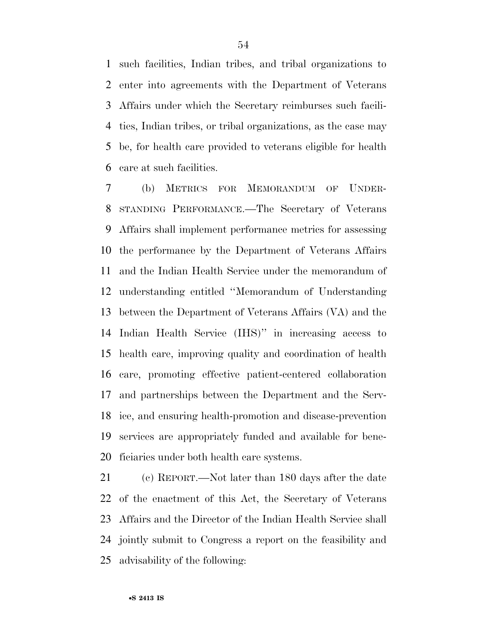such facilities, Indian tribes, and tribal organizations to enter into agreements with the Department of Veterans Affairs under which the Secretary reimburses such facili- ties, Indian tribes, or tribal organizations, as the case may be, for health care provided to veterans eligible for health care at such facilities.

 (b) METRICS FOR MEMORANDUM OF UNDER- STANDING PERFORMANCE.—The Secretary of Veterans Affairs shall implement performance metrics for assessing the performance by the Department of Veterans Affairs and the Indian Health Service under the memorandum of understanding entitled ''Memorandum of Understanding between the Department of Veterans Affairs (VA) and the Indian Health Service (IHS)'' in increasing access to health care, improving quality and coordination of health care, promoting effective patient-centered collaboration and partnerships between the Department and the Serv- ice, and ensuring health-promotion and disease-prevention services are appropriately funded and available for bene-ficiaries under both health care systems.

 (c) REPORT.—Not later than 180 days after the date of the enactment of this Act, the Secretary of Veterans Affairs and the Director of the Indian Health Service shall jointly submit to Congress a report on the feasibility and advisability of the following: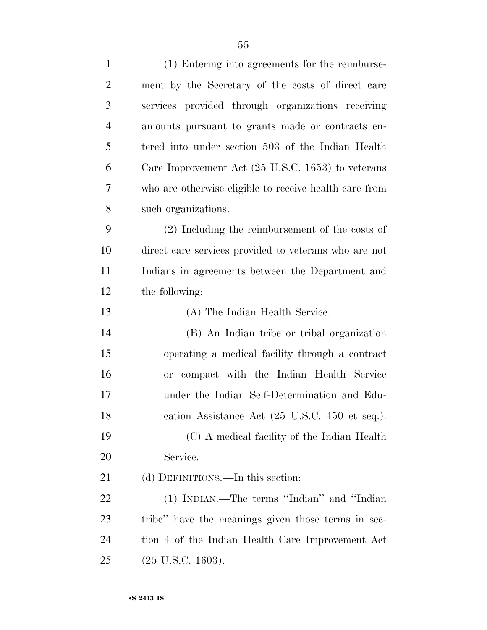| ment by the Secretary of the costs of direct care<br>services provided through organizations receiving<br>amounts pursuant to grants made or contracts en-<br>tered into under section 503 of the Indian Health<br>Care Improvement Act $(25 \text{ U.S.C. } 1653)$ to veterans |
|---------------------------------------------------------------------------------------------------------------------------------------------------------------------------------------------------------------------------------------------------------------------------------|
|                                                                                                                                                                                                                                                                                 |
|                                                                                                                                                                                                                                                                                 |
|                                                                                                                                                                                                                                                                                 |
|                                                                                                                                                                                                                                                                                 |
|                                                                                                                                                                                                                                                                                 |
| who are otherwise eligible to receive health care from                                                                                                                                                                                                                          |
| such organizations.                                                                                                                                                                                                                                                             |
| (2) Including the reimbursement of the costs of                                                                                                                                                                                                                                 |
| direct care services provided to veterans who are not                                                                                                                                                                                                                           |
| Indians in agreements between the Department and                                                                                                                                                                                                                                |
| the following:                                                                                                                                                                                                                                                                  |
| (A) The Indian Health Service.                                                                                                                                                                                                                                                  |
| (B) An Indian tribe or tribal organization                                                                                                                                                                                                                                      |
| operating a medical facility through a contract                                                                                                                                                                                                                                 |
| or compact with the Indian Health Service                                                                                                                                                                                                                                       |
| under the Indian Self-Determination and Edu-                                                                                                                                                                                                                                    |
| cation Assistance Act (25 U.S.C. 450 et seq.).                                                                                                                                                                                                                                  |
| (C) A medical facility of the Indian Health                                                                                                                                                                                                                                     |
| Service.                                                                                                                                                                                                                                                                        |
| (d) DEFINITIONS.—In this section:                                                                                                                                                                                                                                               |
| (1) INDIAN.—The terms "Indian" and "Indian                                                                                                                                                                                                                                      |
| tribe" have the meanings given those terms in sec-                                                                                                                                                                                                                              |
| tion 4 of the Indian Health Care Improvement Act                                                                                                                                                                                                                                |
|                                                                                                                                                                                                                                                                                 |
|                                                                                                                                                                                                                                                                                 |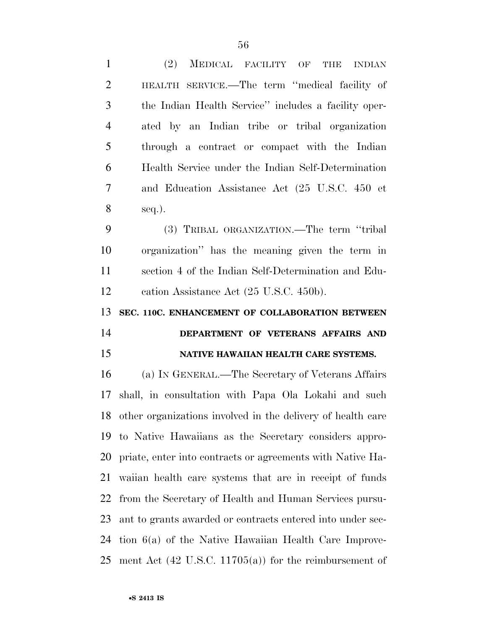| 1              | MEDICAL FACILITY OF<br>(2)<br><b>INDIAN</b><br>THE             |
|----------------|----------------------------------------------------------------|
| $\overline{2}$ | HEALTH SERVICE.—The term "medical facility of                  |
| 3              | the Indian Health Service" includes a facility oper-           |
| $\overline{4}$ | ated by an Indian tribe or tribal organization                 |
| 5              | through a contract or compact with the Indian                  |
| 6              | Health Service under the Indian Self-Determination             |
| 7              | and Education Assistance Act (25 U.S.C. 450 et                 |
| 8              | $seq.$ ).                                                      |
| 9              | (3) TRIBAL ORGANIZATION.—The term "tribal                      |
| 10             | organization" has the meaning given the term in                |
| 11             | section 4 of the Indian Self-Determination and Edu-            |
| 12             | eation Assistance Act (25 U.S.C. 450b).                        |
|                |                                                                |
| 13             | SEC. 110C. ENHANCEMENT OF COLLABORATION BETWEEN                |
| 14             | DEPARTMENT OF VETERANS AFFAIRS AND                             |
| 15             | NATIVE HAWAIIAN HEALTH CARE SYSTEMS.                           |
| 16             | (a) IN GENERAL.—The Secretary of Veterans Affairs              |
| 17             | shall, in consultation with Papa Ola Lokahi and such           |
|                | 18 other organizations involved in the delivery of health care |
|                | 19 to Native Hawaiians as the Secretary considers appro-       |
|                | 20 priate, enter into contracts or agreements with Native Ha-  |
| 21             | waiian health care systems that are in receipt of funds        |
| 22             | from the Secretary of Health and Human Services pursu-         |
| 23             | ant to grants awarded or contracts entered into under sec-     |
|                | 24 tion 6(a) of the Native Hawaiian Health Care Improve-       |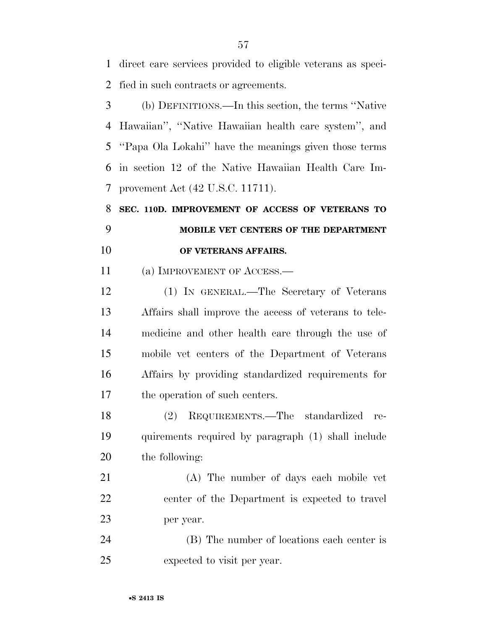direct care services provided to eligible veterans as speci-fied in such contracts or agreements.

 (b) DEFINITIONS.—In this section, the terms ''Native Hawaiian'', ''Native Hawaiian health care system'', and ''Papa Ola Lokahi'' have the meanings given those terms in section 12 of the Native Hawaiian Health Care Im-provement Act (42 U.S.C. 11711).

 **SEC. 110D. IMPROVEMENT OF ACCESS OF VETERANS TO MOBILE VET CENTERS OF THE DEPARTMENT OF VETERANS AFFAIRS.** 

11 (a) IMPROVEMENT OF ACCESS.—

 (1) IN GENERAL.—The Secretary of Veterans Affairs shall improve the access of veterans to tele- medicine and other health care through the use of mobile vet centers of the Department of Veterans Affairs by providing standardized requirements for the operation of such centers.

 (2) REQUIREMENTS.—The standardized re- quirements required by paragraph (1) shall include the following:

 (A) The number of days each mobile vet center of the Department is expected to travel per year.

 (B) The number of locations each center is expected to visit per year.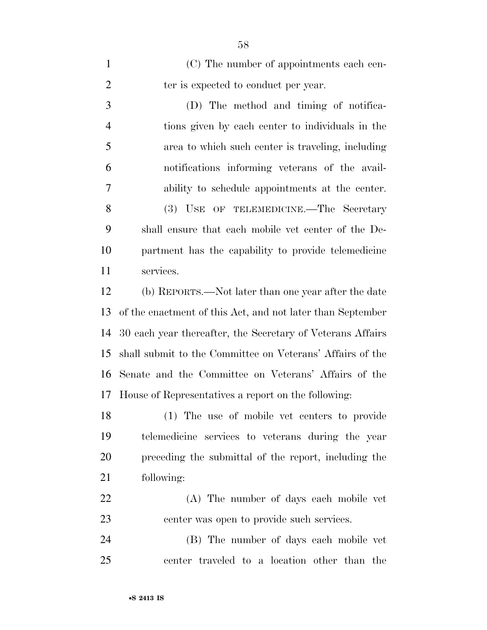| $\mathbf{1}$   | (C) The number of appointments each cen-                   |
|----------------|------------------------------------------------------------|
| $\overline{2}$ | ter is expected to conduct per year.                       |
| 3              | (D) The method and timing of notifica-                     |
| $\overline{4}$ | tions given by each center to individuals in the           |
| 5              | area to which such center is traveling, including          |
| 6              | notifications informing veterans of the avail-             |
| 7              | ability to schedule appointments at the center.            |
| 8              | (3) USE OF TELEMEDICINE.—The Secretary                     |
| 9              | shall ensure that each mobile vet center of the De-        |
| 10             | partment has the capability to provide telemedicine        |
| 11             | services.                                                  |
| 12             | (b) REPORTS.—Not later than one year after the date        |
| 13             | of the enactment of this Act, and not later than September |
| 14             | 30 each year thereafter, the Secretary of Veterans Affairs |
| 15             | shall submit to the Committee on Veterans' Affairs of the  |
| 16             | Senate and the Committee on Veterans' Affairs of the       |
| 17             | House of Representatives a report on the following:        |
| 18             | (1) The use of mobile vet centers to provide               |
| 19             | telemedicine services to veterans during the year          |
| 20             | preceding the submittal of the report, including the       |
| 21             | following:                                                 |
| 22             | (A) The number of days each mobile vet                     |
| 23             | center was open to provide such services.                  |
| 24             | (B) The number of days each mobile vet                     |
| 25             | center traveled to a location other than the               |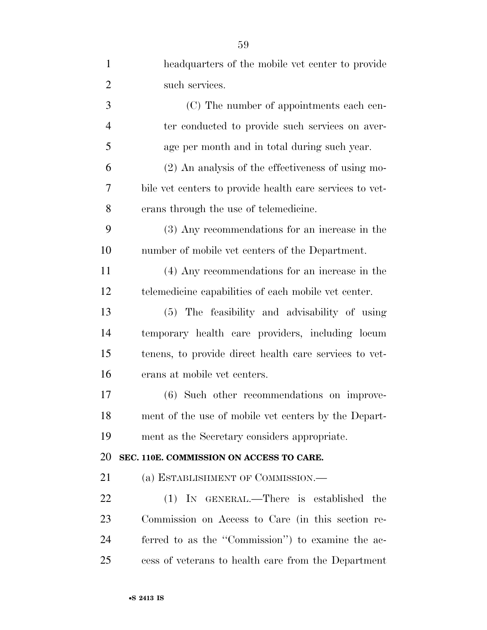| $\mathbf{1}$   | headquarters of the mobile vet center to provide         |
|----------------|----------------------------------------------------------|
| $\overline{2}$ | such services.                                           |
| 3              | (C) The number of appointments each cen-                 |
| $\overline{4}$ | ter conducted to provide such services on aver-          |
| 5              | age per month and in total during such year.             |
| 6              | $(2)$ An analysis of the effectiveness of using mo-      |
| 7              | bile vet centers to provide health care services to vet- |
| 8              | erans through the use of telemedicine.                   |
| 9              | (3) Any recommendations for an increase in the           |
| 10             | number of mobile vet centers of the Department.          |
| 11             | (4) Any recommendations for an increase in the           |
| 12             | telemedicine capabilities of each mobile vet center.     |
| 13             | (5) The feasibility and advisability of using            |
| 14             | temporary health care providers, including locum         |
| 15             | tenens, to provide direct health care services to vet-   |
| 16             | erans at mobile vet centers.                             |
| 17             | (6) Such other recommendations on improve-               |
| 18             | ment of the use of mobile vet centers by the Depart-     |
| 19             | ment as the Secretary considers appropriate.             |
| 20             | SEC. 110E. COMMISSION ON ACCESS TO CARE.                 |
| 21             | (a) ESTABLISHMENT OF COMMISSION.—                        |
| 22             | (1) IN GENERAL.—There is established the                 |
| 23             | Commission on Access to Care (in this section re-        |
| 24             | ferred to as the "Commission") to examine the ac-        |
| 25             | cess of veterans to health care from the Department      |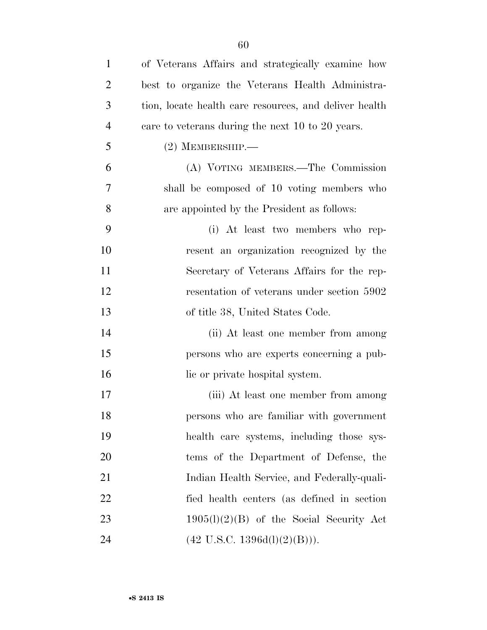| $\mathbf{1}$   | of Veterans Affairs and strategically examine how      |
|----------------|--------------------------------------------------------|
| $\overline{2}$ | best to organize the Veterans Health Administra-       |
| 3              | tion, locate health care resources, and deliver health |
| $\overline{4}$ | care to veterans during the next 10 to 20 years.       |
| 5              | $(2)$ MEMBERSHIP.—                                     |
| 6              | (A) VOTING MEMBERS.—The Commission                     |
| 7              | shall be composed of 10 voting members who             |
| 8              | are appointed by the President as follows:             |
| 9              | (i) At least two members who rep-                      |
| 10             | resent an organization recognized by the               |
| 11             | Secretary of Veterans Affairs for the rep-             |
| 12             | resentation of veterans under section 5902             |
| 13             | of title 38, United States Code.                       |
| 14             | (ii) At least one member from among                    |
| 15             | persons who are experts concerning a pub-              |
| 16             | lic or private hospital system.                        |
| 17             | (iii) At least one member from among                   |
| 18             | persons who are familiar with government               |
| 19             | health care systems, including those sys-              |
| 20             | tems of the Department of Defense, the                 |
| 21             | Indian Health Service, and Federally-quali-            |
| 22             | fied health centers (as defined in section             |
| 23             | $1905(l)(2)(B)$ of the Social Security Act             |
| 24             | $(42 \text{ U.S.C. } 1396d(l)(2)(B))).$                |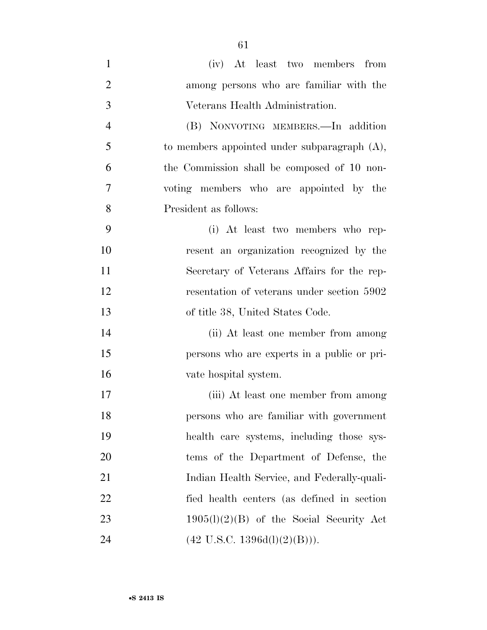- (iv) At least two members from among persons who are familiar with the Veterans Health Administration. (B) NONVOTING MEMBERS.—In addition to members appointed under subparagraph (A), the Commission shall be composed of 10 non- voting members who are appointed by the President as follows: (i) At least two members who rep- resent an organization recognized by the Secretary of Veterans Affairs for the rep-12 resentation of veterans under section 5902 of title 38, United States Code. (ii) At least one member from among persons who are experts in a public or pri- vate hospital system. (iii) At least one member from among persons who are familiar with government health care systems, including those sys- tems of the Department of Defense, the Indian Health Service, and Federally-quali- fied health centers (as defined in section 23  $1905(l)(2)(B)$  of the Social Security Act 24 (42 U.S.C.  $1396d(l)(2)(B))$ ).
-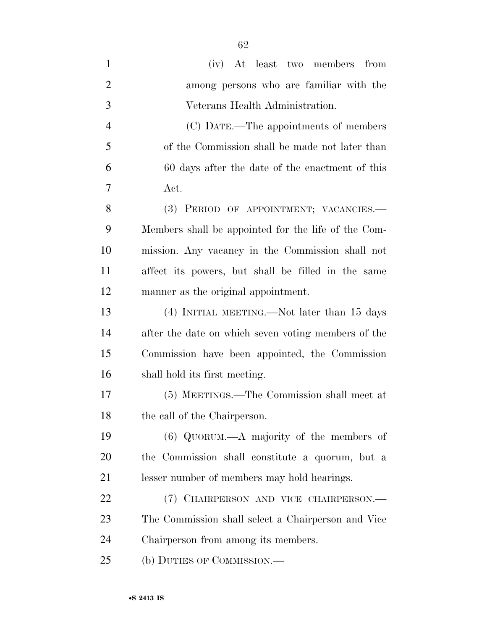| $\mathbf{1}$   | (iv) At least two members from                      |
|----------------|-----------------------------------------------------|
| $\overline{2}$ | among persons who are familiar with the             |
| 3              | Veterans Health Administration.                     |
| $\overline{4}$ | (C) DATE.—The appointments of members               |
| 5              | of the Commission shall be made not later than      |
| 6              | 60 days after the date of the enactment of this     |
| 7              | Act.                                                |
| 8              | (3) PERIOD OF APPOINTMENT; VACANCIES.—              |
| 9              | Members shall be appointed for the life of the Com- |
| 10             | mission. Any vacancy in the Commission shall not    |
| 11             | affect its powers, but shall be filled in the same  |
| 12             | manner as the original appointment.                 |
| 13             | (4) INITIAL MEETING.—Not later than 15 days         |
| 14             | after the date on which seven voting members of the |
| 15             | Commission have been appointed, the Commission      |
| 16             | shall hold its first meeting.                       |
| 17             | (5) MEETINGS.—The Commission shall meet at          |
| 18             | the call of the Chairperson.                        |
| 19             | $(6)$ QUORUM.—A majority of the members of          |
| 20             | the Commission shall constitute a quorum, but a     |
| 21             | lesser number of members may hold hearings.         |
| 22             | (7) CHAIRPERSON AND VICE CHAIRPERSON.—              |
| 23             | The Commission shall select a Chairperson and Vice  |
| 24             | Chairperson from among its members.                 |
| 25             | (b) DUTIES OF COMMISSION.—                          |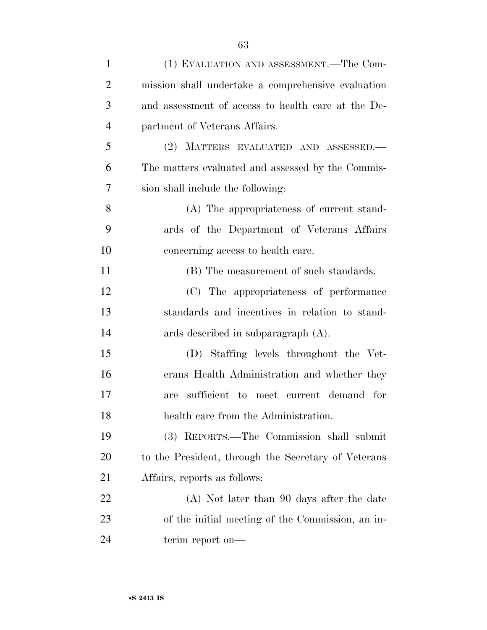| $\mathbf{1}$   | (1) EVALUATION AND ASSESSMENT.—The Com-             |
|----------------|-----------------------------------------------------|
| $\overline{2}$ | mission shall undertake a comprehensive evaluation  |
| 3              | and assessment of access to health care at the De-  |
| $\overline{4}$ | partment of Veterans Affairs.                       |
| 5              | (2) MATTERS EVALUATED AND ASSESSED.                 |
| 6              | The matters evaluated and assessed by the Commis-   |
| 7              | sion shall include the following:                   |
| 8              | (A) The appropriateness of current stand-           |
| 9              | ards of the Department of Veterans Affairs          |
| 10             | concerning access to health care.                   |
| 11             | (B) The measurement of such standards.              |
| 12             | (C) The appropriateness of performance              |
| 13             | standards and incentives in relation to stand-      |
| 14             | ards described in subparagraph $(A)$ .              |
| 15             | (D) Staffing levels throughout the Vet-             |
| 16             | erans Health Administration and whether they        |
| 17             | sufficient to meet current demand for<br>are        |
| 18             | health care from the Administration.                |
| 19             | (3) REPORTS.—The Commission shall submit            |
| <b>20</b>      | to the President, through the Secretary of Veterans |
| 21             | Affairs, reports as follows:                        |
| 22             | (A) Not later than 90 days after the date           |
| 23             | of the initial meeting of the Commission, an in-    |
| 24             | terim report on—                                    |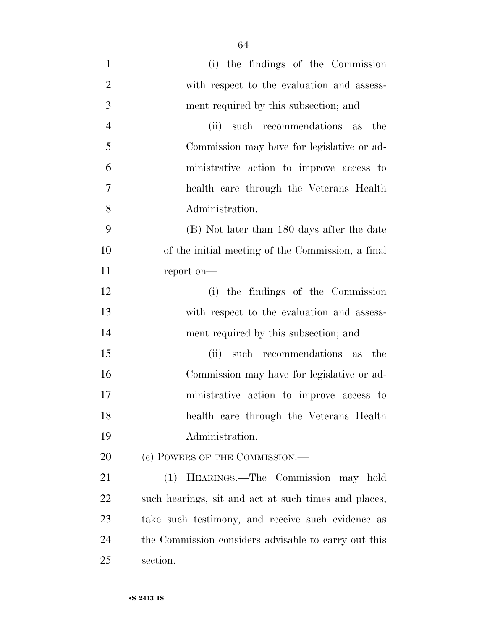| $\mathbf{1}$   | (i) the findings of the Commission                   |
|----------------|------------------------------------------------------|
| $\overline{2}$ | with respect to the evaluation and assess-           |
| 3              | ment required by this subsection; and                |
| $\overline{4}$ | (ii)<br>such recommendations as the                  |
| 5              | Commission may have for legislative or ad-           |
| 6              | ministrative action to improve access to             |
| 7              | health care through the Veterans Health              |
| 8              | Administration.                                      |
| 9              | (B) Not later than 180 days after the date           |
| 10             | of the initial meeting of the Commission, a final    |
| 11             | report on-                                           |
| 12             | (i) the findings of the Commission                   |
| 13             | with respect to the evaluation and assess-           |
| 14             | ment required by this subsection; and                |
| 15             | such recommendations as<br>(ii)<br>the               |
| 16             | Commission may have for legislative or ad-           |
| 17             | ministrative action to improve access to             |
| 18             | health care through the Veterans Health              |
| 19             | Administration.                                      |
| 20             | (c) POWERS OF THE COMMISSION.—                       |
| 21             | HEARINGS.—The Commission may hold<br>(1)             |
| 22             | such hearings, sit and act at such times and places, |
| 23             | take such testimony, and receive such evidence as    |
| 24             | the Commission considers advisable to carry out this |
| 25             | section.                                             |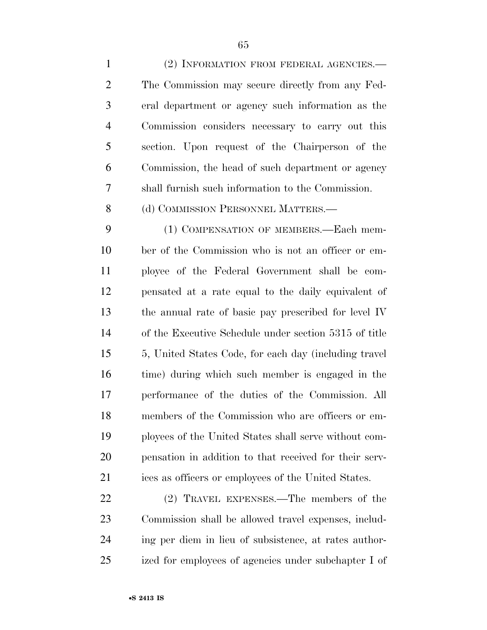(2) INFORMATION FROM FEDERAL AGENCIES.— The Commission may secure directly from any Fed- eral department or agency such information as the Commission considers necessary to carry out this section. Upon request of the Chairperson of the Commission, the head of such department or agency shall furnish such information to the Commission. 8 (d) COMMISSION PERSONNEL MATTERS.— (1) COMPENSATION OF MEMBERS.—Each mem- ber of the Commission who is not an officer or em- ployee of the Federal Government shall be com- pensated at a rate equal to the daily equivalent of the annual rate of basic pay prescribed for level IV of the Executive Schedule under section 5315 of title 5, United States Code, for each day (including travel time) during which such member is engaged in the performance of the duties of the Commission. All members of the Commission who are officers or em- ployees of the United States shall serve without com-pensation in addition to that received for their serv-

 (2) TRAVEL EXPENSES.—The members of the Commission shall be allowed travel expenses, includ- ing per diem in lieu of subsistence, at rates author-ized for employees of agencies under subchapter I of

ices as officers or employees of the United States.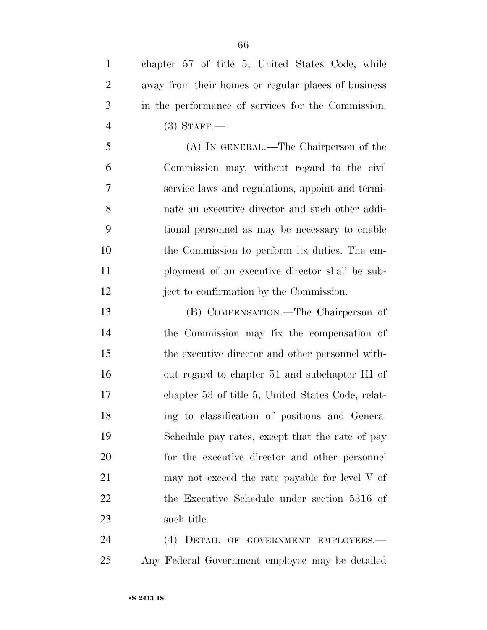chapter 57 of title 5, United States Code, while away from their homes or regular places of business in the performance of services for the Commission. (3) STAFF.—

 (A) IN GENERAL.—The Chairperson of the Commission may, without regard to the civil service laws and regulations, appoint and termi- nate an executive director and such other addi- tional personnel as may be necessary to enable the Commission to perform its duties. The em- ployment of an executive director shall be sub-ject to confirmation by the Commission.

 (B) COMPENSATION.—The Chairperson of the Commission may fix the compensation of the executive director and other personnel with- out regard to chapter 51 and subchapter III of chapter 53 of title 5, United States Code, relat- ing to classification of positions and General Schedule pay rates, except that the rate of pay for the executive director and other personnel 21 may not exceed the rate payable for level V of the Executive Schedule under section 5316 of such title.

 (4) DETAIL OF GOVERNMENT EMPLOYEES.— Any Federal Government employee may be detailed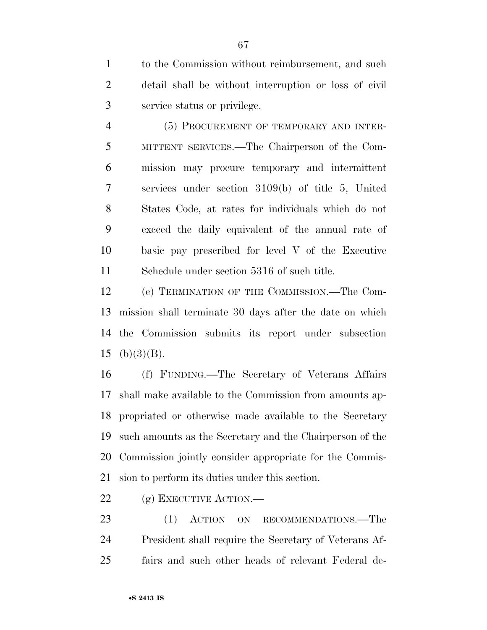to the Commission without reimbursement, and such detail shall be without interruption or loss of civil service status or privilege.

 (5) PROCUREMENT OF TEMPORARY AND INTER- MITTENT SERVICES.—The Chairperson of the Com- mission may procure temporary and intermittent services under section 3109(b) of title 5, United States Code, at rates for individuals which do not exceed the daily equivalent of the annual rate of basic pay prescribed for level V of the Executive Schedule under section 5316 of such title.

 (e) TERMINATION OF THE COMMISSION.—The Com- mission shall terminate 30 days after the date on which the Commission submits its report under subsection 15 (b) $(3)(B)$ .

 (f) FUNDING.—The Secretary of Veterans Affairs shall make available to the Commission from amounts ap- propriated or otherwise made available to the Secretary such amounts as the Secretary and the Chairperson of the Commission jointly consider appropriate for the Commis-sion to perform its duties under this section.

22 (g) EXECUTIVE ACTION.—

23 (1) ACTION ON RECOMMENDATIONS.—The President shall require the Secretary of Veterans Af-fairs and such other heads of relevant Federal de-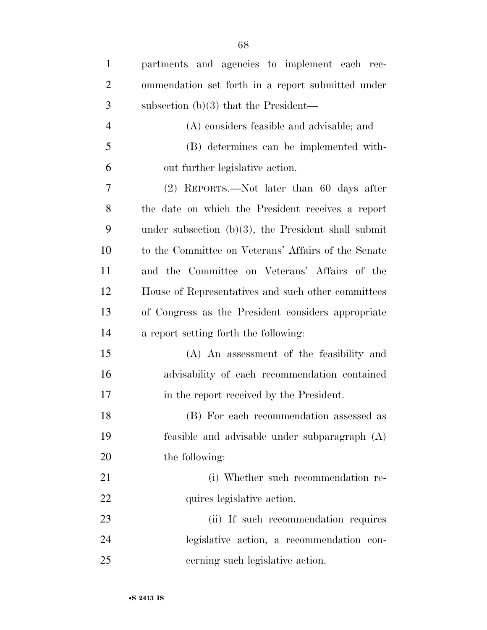| $\mathbf{1}$   | partments and agencies to implement each rec-          |
|----------------|--------------------------------------------------------|
| $\overline{2}$ | ommendation set forth in a report submitted under      |
| 3              | subsection $(b)(3)$ that the President—                |
| $\overline{4}$ | (A) considers feasible and advisable; and              |
| 5              | (B) determines can be implemented with-                |
| 6              | out further legislative action.                        |
| 7              | (2) REPORTS.—Not later than 60 days after              |
| 8              | the date on which the President receives a report      |
| 9              | under subsection $(b)(3)$ , the President shall submit |
| 10             | to the Committee on Veterans' Affairs of the Senate    |
| 11             | and the Committee on Veterans' Affairs of the          |
| 12             | House of Representatives and such other committees     |
| 13             | of Congress as the President considers appropriate     |
| 14             | a report setting forth the following:                  |
| 15             | (A) An assessment of the feasibility and               |
| 16             | advisability of each recommendation contained          |
| 17             | in the report received by the President.               |
| 18             | (B) For each recommendation assessed as                |
| 19             | feasible and advisable under subparagraph (A)          |
| 20             | the following:                                         |
| 21             | (i) Whether such recommendation re-                    |
| 22             | quires legislative action.                             |
| 23             | (ii) If such recommendation requires                   |
| 24             | legislative action, a recommendation con-              |
| 25             | cerning such legislative action.                       |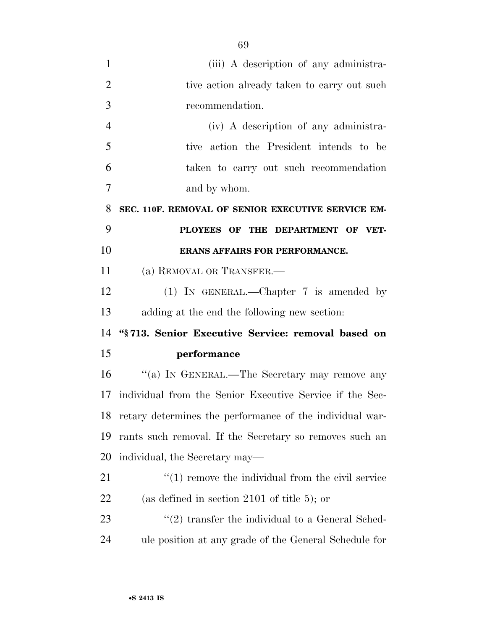| 1              | (iii) A description of any administra-                            |
|----------------|-------------------------------------------------------------------|
| $\overline{2}$ | tive action already taken to carry out such                       |
| 3              | recommendation.                                                   |
| $\overline{4}$ | (iv) A description of any administra-                             |
| 5              | tive action the President intends to be                           |
| 6              | taken to carry out such recommendation                            |
| 7              | and by whom.                                                      |
| 8              | SEC. 110F. REMOVAL OF SENIOR EXECUTIVE SERVICE EM-                |
| 9              | PLOYEES OF THE DEPARTMENT OF VET-                                 |
| 10             | ERANS AFFAIRS FOR PERFORMANCE.                                    |
| 11             | (a) REMOVAL OR TRANSFER.                                          |
| 12             | (1) IN GENERAL.—Chapter 7 is amended by                           |
| 13             | adding at the end the following new section:                      |
| 14             | "§713. Senior Executive Service: removal based on                 |
| 15             | performance                                                       |
| 16             | "(a) IN GENERAL.—The Secretary may remove any                     |
| 17             | individual from the Senior Executive Service if the Sec-          |
| 18             | retary determines the performance of the individual war-          |
|                |                                                                   |
| 19             | rants such removal. If the Secretary so removes such an           |
| 20             | individual, the Secretary may—                                    |
| 21             | $\cdot\cdot\cdot(1)$ remove the individual from the civil service |
| 22             | (as defined in section 2101 of title 5); or                       |
| 23             | $\lq(2)$ transfer the individual to a General Sched-              |
| 24             | ule position at any grade of the General Schedule for             |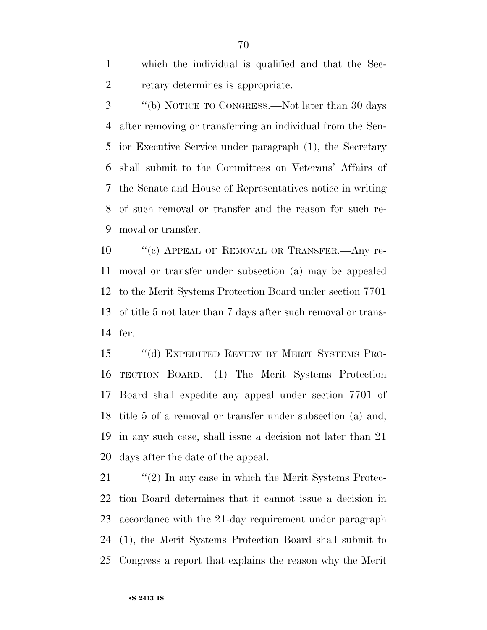which the individual is qualified and that the Sec-retary determines is appropriate.

 ''(b) NOTICE TO CONGRESS.—Not later than 30 days after removing or transferring an individual from the Sen- ior Executive Service under paragraph (1), the Secretary shall submit to the Committees on Veterans' Affairs of the Senate and House of Representatives notice in writing of such removal or transfer and the reason for such re-moval or transfer.

10 " (c) APPEAL OF REMOVAL OR TRANSFER.—Any re- moval or transfer under subsection (a) may be appealed to the Merit Systems Protection Board under section 7701 of title 5 not later than 7 days after such removal or trans-fer.

 ''(d) EXPEDITED REVIEW BY MERIT SYSTEMS PRO- TECTION BOARD.—(1) The Merit Systems Protection Board shall expedite any appeal under section 7701 of title 5 of a removal or transfer under subsection (a) and, in any such case, shall issue a decision not later than 21 days after the date of the appeal.

 ''(2) In any case in which the Merit Systems Protec- tion Board determines that it cannot issue a decision in accordance with the 21-day requirement under paragraph (1), the Merit Systems Protection Board shall submit to Congress a report that explains the reason why the Merit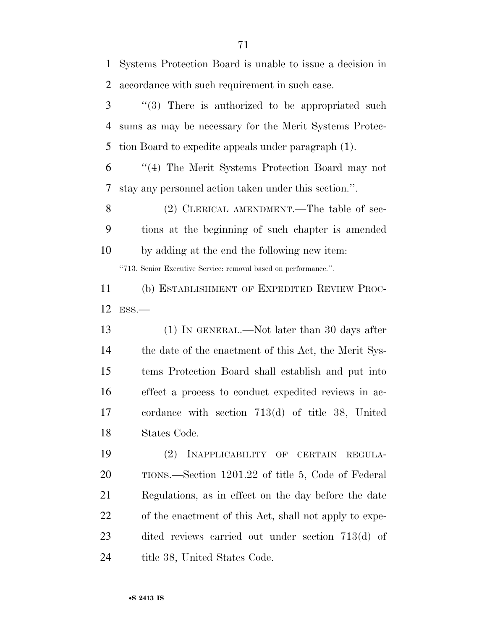Systems Protection Board is unable to issue a decision in accordance with such requirement in such case.

 ''(3) There is authorized to be appropriated such sums as may be necessary for the Merit Systems Protec-tion Board to expedite appeals under paragraph (1).

 ''(4) The Merit Systems Protection Board may not stay any personnel action taken under this section.''.

8 (2) CLERICAL AMENDMENT.—The table of sec- tions at the beginning of such chapter is amended by adding at the end the following new item:

''713. Senior Executive Service: removal based on performance.''.

 (b) ESTABLISHMENT OF EXPEDITED REVIEW PROC-ESS.—

 (1) IN GENERAL.—Not later than 30 days after 14 the date of the enactment of this Act, the Merit Sys- tems Protection Board shall establish and put into effect a process to conduct expedited reviews in ac- cordance with section 713(d) of title 38, United States Code.

 (2) INAPPLICABILITY OF CERTAIN REGULA- TIONS.—Section 1201.22 of title 5, Code of Federal Regulations, as in effect on the day before the date of the enactment of this Act, shall not apply to expe- dited reviews carried out under section 713(d) of 24 title 38, United States Code.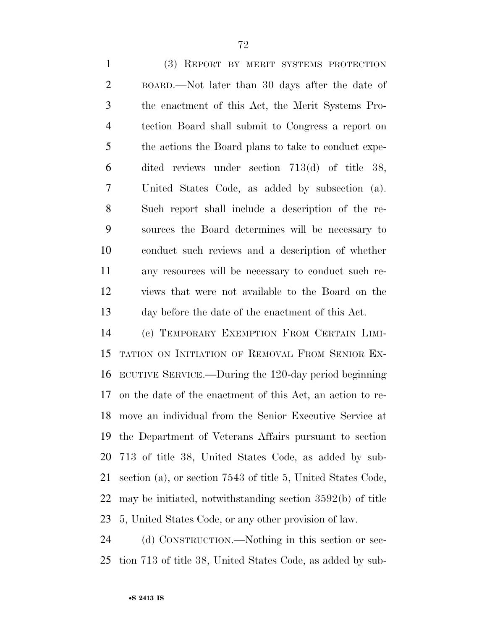(3) REPORT BY MERIT SYSTEMS PROTECTION BOARD.—Not later than 30 days after the date of the enactment of this Act, the Merit Systems Pro- tection Board shall submit to Congress a report on 5 the actions the Board plans to take to conduct expe- dited reviews under section 713(d) of title 38, United States Code, as added by subsection (a). Such report shall include a description of the re- sources the Board determines will be necessary to conduct such reviews and a description of whether any resources will be necessary to conduct such re- views that were not available to the Board on the day before the date of the enactment of this Act.

 (c) TEMPORARY EXEMPTION FROM CERTAIN LIMI- TATION ON INITIATION OF REMOVAL FROM SENIOR EX- ECUTIVE SERVICE.—During the 120-day period beginning on the date of the enactment of this Act, an action to re- move an individual from the Senior Executive Service at the Department of Veterans Affairs pursuant to section 713 of title 38, United States Code, as added by sub- section (a), or section 7543 of title 5, United States Code, may be initiated, notwithstanding section 3592(b) of title 5, United States Code, or any other provision of law.

 (d) CONSTRUCTION.—Nothing in this section or sec-tion 713 of title 38, United States Code, as added by sub-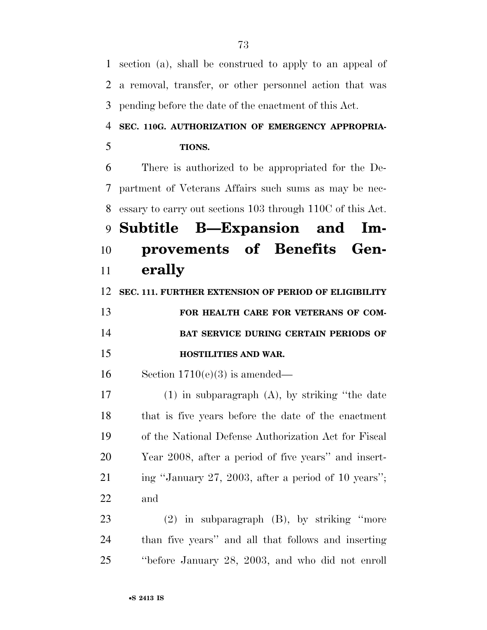section (a), shall be construed to apply to an appeal of a removal, transfer, or other personnel action that was pending before the date of the enactment of this Act. **SEC. 110G. AUTHORIZATION OF EMERGENCY APPROPRIA- TIONS.**  There is authorized to be appropriated for the De- partment of Veterans Affairs such sums as may be nec- essary to carry out sections 103 through 110C of this Act. **Subtitle B—Expansion and Im-provements of Benefits Gen-**

# **erally**

**SEC. 111. FURTHER EXTENSION OF PERIOD OF ELIGIBILITY** 

| 13 | FOR HEALTH CARE FOR VETERANS OF COM-         |
|----|----------------------------------------------|
| 14 | <b>BAT SERVICE DURING CERTAIN PERIODS OF</b> |
| 15 | <b>HOSTILITIES AND WAR.</b>                  |

16 Section  $1710(e)(3)$  is amended—

 (1) in subparagraph (A), by striking ''the date that is five years before the date of the enactment of the National Defense Authorization Act for Fiscal Year 2008, after a period of five years'' and insert-21 ing "January 27, 2003, after a period of 10 years"; and

 (2) in subparagraph (B), by striking ''more than five years'' and all that follows and inserting ''before January 28, 2003, and who did not enroll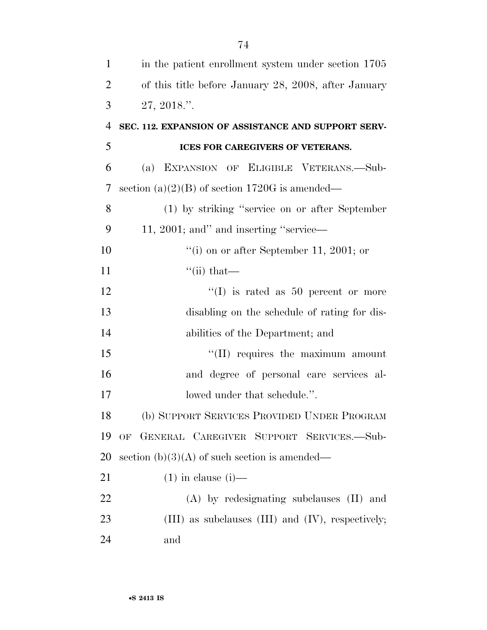| $\mathbf{1}$   | in the patient enrollment system under section 1705      |
|----------------|----------------------------------------------------------|
| $\overline{2}$ | of this title before January 28, 2008, after January     |
| 3              | 27, 2018."                                               |
| $\overline{4}$ | SEC. 112. EXPANSION OF ASSISTANCE AND SUPPORT SERV-      |
| 5              | ICES FOR CAREGIVERS OF VETERANS.                         |
| 6              | (a) EXPANSION OF ELIGIBLE VETERANS.—Sub-                 |
| 7              | section (a)(2)(B) of section 1720G is amended—           |
| 8              | (1) by striking "service on or after September           |
| 9              | 11, 2001; and inserting "service—                        |
| 10             | "(i) on or after September 11, 2001; or                  |
| 11             | $\lq\lq$ (ii) that—                                      |
| 12             | $\lq\lq$ is rated as 50 percent or more                  |
| 13             | disabling on the schedule of rating for dis-             |
| 14             | abilities of the Department; and                         |
| 15             | "(II) requires the maximum amount                        |
| 16             | and degree of personal care services al-                 |
| 17             | lowed under that schedule.".                             |
| 18             | (b) SUPPORT SERVICES PROVIDED UNDER PROGRAM              |
| 19             | OF GENERAL CAREGIVER SUPPORT SERVICES.-Sub-              |
| 20             | section $(b)(3)(A)$ of such section is amended—          |
| 21             | $(1)$ in clause $(i)$ —                                  |
| 22             | $(A)$ by redesignating subclauses $(II)$ and             |
| 23             | $(III)$ as subclauses $(III)$ and $(IV)$ , respectively; |
| 24             | and                                                      |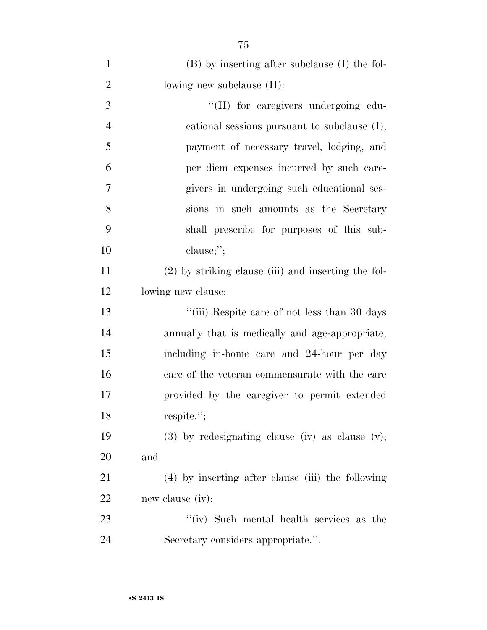| 1              | (B) by inserting after subclause (I) the fol-         |
|----------------|-------------------------------------------------------|
| $\overline{2}$ | lowing new subclause $(II)$ :                         |
| 3              | "(II) for caregivers undergoing edu-                  |
| $\overline{4}$ | cational sessions pursuant to subclause (I),          |
| 5              | payment of necessary travel, lodging, and             |
| 6              | per diem expenses incurred by such care-              |
| 7              | givers in undergoing such educational ses-            |
| 8              | sions in such amounts as the Secretary                |
| 9              | shall prescribe for purposes of this sub-             |
| 10             | clause;";                                             |
| 11             | $(2)$ by striking clause (iii) and inserting the fol- |
| 12             | lowing new clause:                                    |
| 13             | "(iii) Respite care of not less than 30 days          |
| 14             | annually that is medically and age-appropriate,       |
| 15             | including in-home care and 24-hour per day            |
| 16             | care of the veteran commensurate with the care        |
| 17             | provided by the caregiver to permit extended          |
| 18             | respite.";                                            |
| 19             | $(3)$ by redesignating clause (iv) as clause (v);     |
| 20             | and                                                   |
| 21             | (4) by inserting after clause (iii) the following     |
| 22             | new clause (iv):                                      |
| 23             | "(iv) Such mental health services as the              |
| 24             | Secretary considers appropriate.".                    |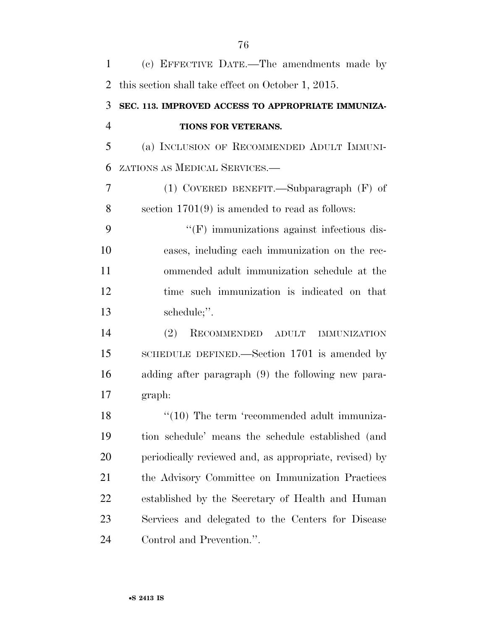| $\mathbf{1}$   | (c) EFFECTIVE DATE.—The amendments made by             |
|----------------|--------------------------------------------------------|
| $\overline{2}$ | this section shall take effect on October 1, 2015.     |
| 3              | SEC. 113. IMPROVED ACCESS TO APPROPRIATE IMMUNIZA-     |
| $\overline{4}$ | TIONS FOR VETERANS.                                    |
| 5              | (a) INCLUSION OF RECOMMENDED ADULT IMMUNI-             |
| 6              | ZATIONS AS MEDICAL SERVICES.-                          |
| 7              | (1) COVERED BENEFIT.—Subparagraph $(F)$ of             |
| 8              | section $1701(9)$ is amended to read as follows:       |
| 9              | "(F) immunizations against infectious dis-             |
| 10             | eases, including each immunization on the rec-         |
| 11             | ommended adult immunization schedule at the            |
| 12             | time such immunization is indicated on that            |
| 13             | schedule;".                                            |
| 14             | (2)<br>RECOMMENDED ADULT<br><b>IMMUNIZATION</b>        |
| 15             | SCHEDULE DEFINED.—Section 1701 is amended by           |
| 16             | adding after paragraph (9) the following new para-     |
| 17             | graph:                                                 |
| 18             | "(10) The term 'recommended adult immuniza-            |
| 19             | tion schedule' means the schedule established (and     |
| 20             | periodically reviewed and, as appropriate, revised) by |
| 21             | the Advisory Committee on Immunization Practices       |
| 22             | established by the Secretary of Health and Human       |
| 23             | Services and delegated to the Centers for Disease      |
| 24             | Control and Prevention.".                              |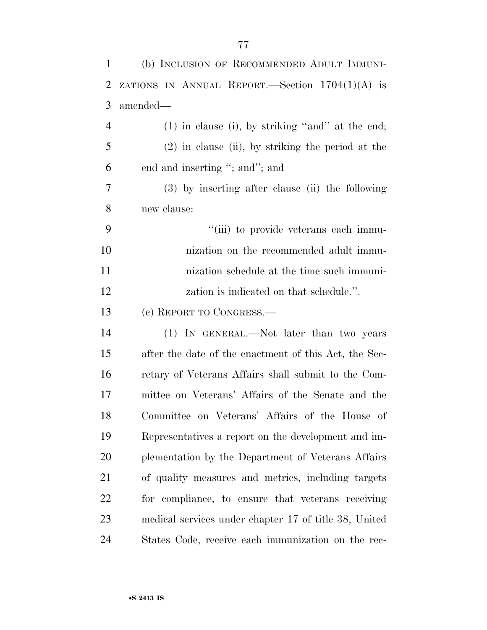| $\mathbf{1}$   | (b) INCLUSION OF RECOMMENDED ADULT IMMUNI-            |
|----------------|-------------------------------------------------------|
| $\overline{2}$ | ZATIONS IN ANNUAL REPORT.—Section $1704(1)(A)$ is     |
| 3              | amended—                                              |
| $\overline{4}$ | $(1)$ in clause (i), by striking "and" at the end;    |
| 5              | $(2)$ in clause (ii), by striking the period at the   |
| 6              | end and inserting "; and"; and                        |
| 7              | $(3)$ by inserting after clause (ii) the following    |
| 8              | new clause:                                           |
| 9              | "(iii) to provide veterans each immu-                 |
| 10             | nization on the recommended adult immu-               |
| 11             | nization schedule at the time such immuni-            |
| 12             | zation is indicated on that schedule.".               |
| 13             | (c) REPORT TO CONGRESS.-                              |
| 14             | (1) IN GENERAL.—Not later than two years              |
| 15             | after the date of the enactment of this Act, the Sec- |
| 16             | retary of Veterans Affairs shall submit to the Com-   |
| 17             | mittee on Veterans' Affairs of the Senate and the     |
| 18             | Committee on Veterans' Affairs of the House of        |
| 19             | Representatives a report on the development and im-   |
| 20             | plementation by the Department of Veterans Affairs    |
| 21             | of quality measures and metrics, including targets    |
| 22             | for compliance, to ensure that veterans receiving     |
| 23             | medical services under chapter 17 of title 38, United |
| 24             | States Code, receive each immunization on the rec-    |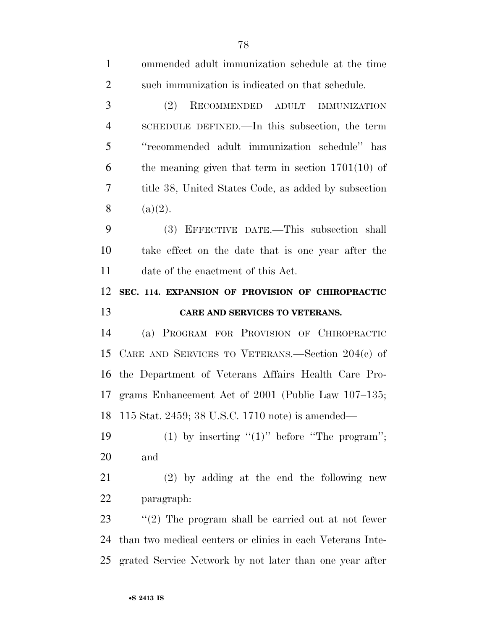| $\mathbf{1}$   | ommended adult immunization schedule at the time           |
|----------------|------------------------------------------------------------|
| $\overline{2}$ | such immunization is indicated on that schedule.           |
| 3              | (2)<br>RECOMMENDED ADULT IMMUNIZATION                      |
| $\overline{4}$ | SCHEDULE DEFINED.—In this subsection, the term             |
| 5              | "recommended adult immunization schedule" has              |
| 6              | the meaning given that term in section $1701(10)$ of       |
| 7              | title 38, United States Code, as added by subsection       |
| 8              | (a)(2).                                                    |
| 9              | (3) EFFECTIVE DATE.—This subsection shall                  |
| 10             | take effect on the date that is one year after the         |
| 11             | date of the enactment of this Act.                         |
| 12             | SEC. 114. EXPANSION OF PROVISION OF CHIROPRACTIC           |
|                |                                                            |
| 13             | CARE AND SERVICES TO VETERANS.                             |
| 14             | (a) PROGRAM FOR PROVISION OF CHIROPRACTIC                  |
| 15             | CARE AND SERVICES TO VETERANS.—Section $204(e)$ of         |
| 16             | the Department of Veterans Affairs Health Care Pro-        |
| 17             | grams Enhancement Act of 2001 (Public Law 107–135;         |
| 18             | 115 Stat. 2459; 38 U.S.C. 1710 note) is amended—           |
| 19             | (1) by inserting " $(1)$ " before "The program";           |
| 20             | and                                                        |
| 21             | $(2)$ by adding at the end the following new               |
| 22             | paragraph:                                                 |
| 23             | "(2) The program shall be carried out at not fewer         |
| 24             | than two medical centers or clinics in each Veterans Inte- |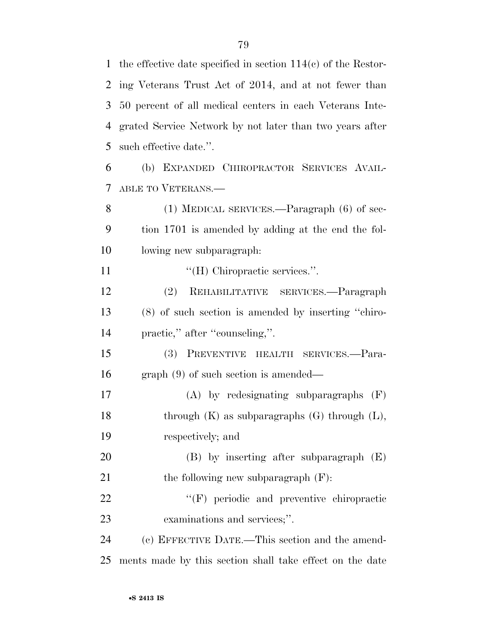the effective date specified in section 114(c) of the Restor- ing Veterans Trust Act of 2014, and at not fewer than 50 percent of all medical centers in each Veterans Inte- grated Service Network by not later than two years after such effective date.''.

 (b) EXPANDED CHIROPRACTOR SERVICES AVAIL-ABLE TO VETERANS.—

8 (1) MEDICAL SERVICES.—Paragraph (6) of sec- tion 1701 is amended by adding at the end the fol-lowing new subparagraph:

11  $\text{``(H)}$  Chiropractic services.".

 (2) REHABILITATIVE SERVICES.—Paragraph (8) of such section is amended by inserting ''chiro-14 practic," after "counseling,".

 (3) PREVENTIVE HEALTH SERVICES.—Para-graph (9) of such section is amended—

 (A) by redesignating subparagraphs (F) 18 through (K) as subparagraphs (G) through (L), respectively; and

 (B) by inserting after subparagraph (E) 21 the following new subparagraph  $(F)$ :

22  $\bullet$  "(F) periodic and preventive chiropractic examinations and services;''.

 (c) EFFECTIVE DATE.—This section and the amend-ments made by this section shall take effect on the date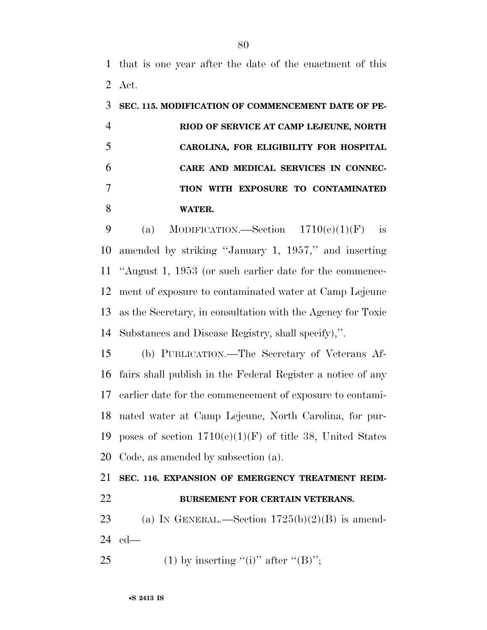that is one year after the date of the enactment of this Act.

| SEC. 115. MODIFICATION OF COMMENCEMENT DATE OF PE- |
|----------------------------------------------------|
| RIOD OF SERVICE AT CAMP LEJEUNE, NORTH             |
| CAROLINA, FOR ELIGIBILITY FOR HOSPITAL             |
| CARE AND MEDICAL SERVICES IN CONNEC-               |
| TION WITH EXPOSURE TO CONTAMINATED                 |
| WATER.                                             |

9 (a) MODIFICATION.—Section  $1710(e)(1)(F)$  is amended by striking ''January 1, 1957,'' and inserting ''August 1, 1953 (or such earlier date for the commence- ment of exposure to contaminated water at Camp Lejeune as the Secretary, in consultation with the Agency for Toxic Substances and Disease Registry, shall specify),''.

 (b) PUBLICATION.—The Secretary of Veterans Af- fairs shall publish in the Federal Register a notice of any earlier date for the commencement of exposure to contami- nated water at Camp Lejeune, North Carolina, for pur-19 poses of section  $1710(e)(1)(F)$  of title 38, United States Code, as amended by subsection (a).

# **SEC. 116. EXPANSION OF EMERGENCY TREATMENT REIM- BURSEMENT FOR CERTAIN VETERANS.**  23 (a) IN GENERAL.—Section  $1725(b)(2)(B)$  is amend-

- ed—
- 25 (1) by inserting "(i)" after " $(B)$ ";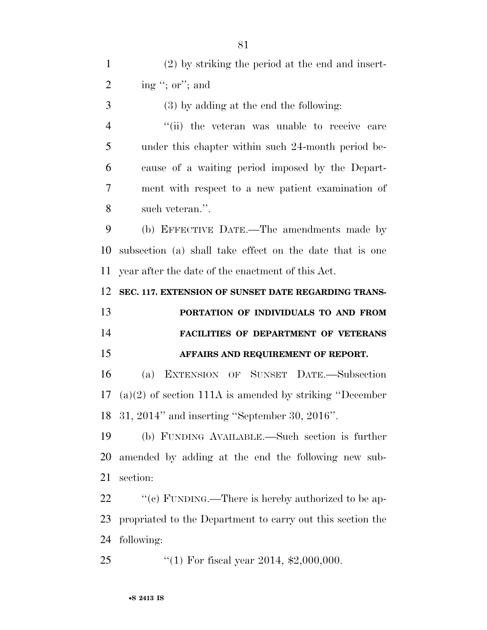(2) by striking the period at the end and insert- $2 \qquad \text{ing ``; or''; and}$  (3) by adding at the end the following: 4 "(ii) the veteran was unable to receive care under this chapter within such 24-month period be- cause of a waiting period imposed by the Depart- ment with respect to a new patient examination of such veteran.''. (b) EFFECTIVE DATE.—The amendments made by subsection (a) shall take effect on the date that is one year after the date of the enactment of this Act. **SEC. 117. EXTENSION OF SUNSET DATE REGARDING TRANS- PORTATION OF INDIVIDUALS TO AND FROM FACILITIES OF DEPARTMENT OF VETERANS AFFAIRS AND REQUIREMENT OF REPORT.**  (a) EXTENSION OF SUNSET DATE.—Subsection (a)(2) of section 111A is amended by striking ''December 31, 2014'' and inserting ''September 30, 2016''. (b) FUNDING AVAILABLE.—Such section is further amended by adding at the end the following new sub- section:  $\cdot$  "(c) FUNDING.—There is hereby authorized to be ap- propriated to the Department to carry out this section the following: 25 "(1) For fiscal year 2014, \$2,000,000.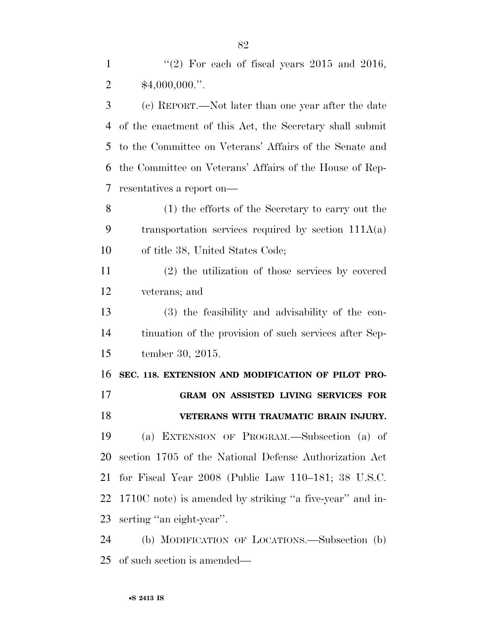(c) REPORT.—Not later than one year after the date of the enactment of this Act, the Secretary shall submit to the Committee on Veterans' Affairs of the Senate and the Committee on Veterans' Affairs of the House of Rep-resentatives a report on—

 (1) the efforts of the Secretary to carry out the transportation services required by section 111A(a) of title 38, United States Code;

 (2) the utilization of those services by covered veterans; and

 (3) the feasibility and advisability of the con- tinuation of the provision of such services after Sep-tember 30, 2015.

**SEC. 118. EXTENSION AND MODIFICATION OF PILOT PRO-**

**GRAM ON ASSISTED LIVING SERVICES FOR** 

**VETERANS WITH TRAUMATIC BRAIN INJURY.** 

 (a) EXTENSION OF PROGRAM.—Subsection (a) of section 1705 of the National Defense Authorization Act for Fiscal Year 2008 (Public Law 110–181; 38 U.S.C. 1710C note) is amended by striking ''a five-year'' and in-serting ''an eight-year''.

 (b) MODIFICATION OF LOCATIONS.—Subsection (b) of such section is amended—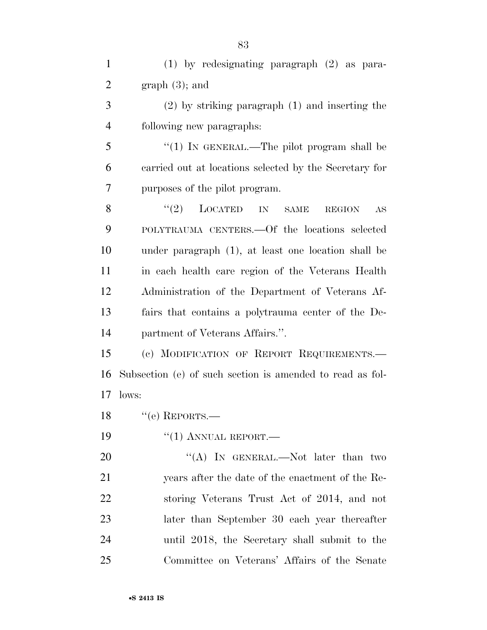| $\mathbf{1}$   | $(1)$ by redesignating paragraph $(2)$ as para-            |
|----------------|------------------------------------------------------------|
| $\overline{2}$ | graph(3); and                                              |
| 3              | $(2)$ by striking paragraph $(1)$ and inserting the        |
| $\overline{4}$ | following new paragraphs:                                  |
| 5              | "(1) IN GENERAL.—The pilot program shall be                |
| 6              | carried out at locations selected by the Secretary for     |
| 7              | purposes of the pilot program.                             |
| 8              | (2)<br>LOCATED<br><b>SAME</b><br>IN<br><b>REGION</b><br>AS |
| 9              | POLYTRAUMA CENTERS. - Of the locations selected            |
| 10             | under paragraph (1), at least one location shall be        |
| 11             | in each health care region of the Veterans Health          |
| 12             | Administration of the Department of Veterans Af-           |
| 13             | fairs that contains a polytrauma center of the De-         |
| 14             | partment of Veterans Affairs.".                            |
| 15             | (c) MODIFICATION OF REPORT REQUIREMENTS.                   |
| 16             | Subsection (e) of such section is amended to read as fol-  |
| 17             | lows:                                                      |
|                | 18 $"$ (e) REPORTS.                                        |
| 19             | $``(1)$ ANNUAL REPORT.—                                    |
| 20             | "(A) IN GENERAL.—Not later than two                        |
| 21             | years after the date of the enactment of the Re-           |
| 22             | storing Veterans Trust Act of 2014, and not                |
| 23             | later than September 30 each year thereafter               |
| 24             | until 2018, the Secretary shall submit to the              |
| 25             | Committee on Veterans' Affairs of the Senate               |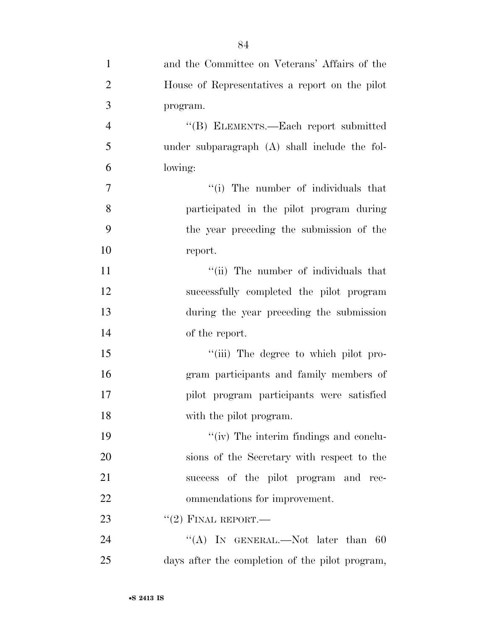| $\mathbf{1}$   | and the Committee on Veterans' Affairs of the   |
|----------------|-------------------------------------------------|
| $\overline{2}$ | House of Representatives a report on the pilot  |
| 3              | program.                                        |
| $\overline{4}$ | "(B) ELEMENTS.—Each report submitted            |
| 5              | under subparagraph $(A)$ shall include the fol- |
| 6              | lowing:                                         |
| $\tau$         | "(i) The number of individuals that             |
| 8              | participated in the pilot program during        |
| 9              | the year preceding the submission of the        |
| 10             | report.                                         |
| 11             | "(ii) The number of individuals that            |
| 12             | successfully completed the pilot program        |
| 13             | during the year preceding the submission        |
| 14             | of the report.                                  |
| 15             | "(iii) The degree to which pilot pro-           |
| 16             | gram participants and family members of         |
| 17             | pilot program participants were satisfied       |
| 18             | with the pilot program.                         |
| 19             | "(iv) The interim findings and conclu-          |
| 20             | sions of the Secretary with respect to the      |
| 21             | success of the pilot program and rec-           |
| 22             | ommendations for improvement.                   |
| 23             | $``(2)$ FINAL REPORT.—                          |
| 24             | "(A) IN GENERAL.—Not later than<br>60           |

days after the completion of the pilot program,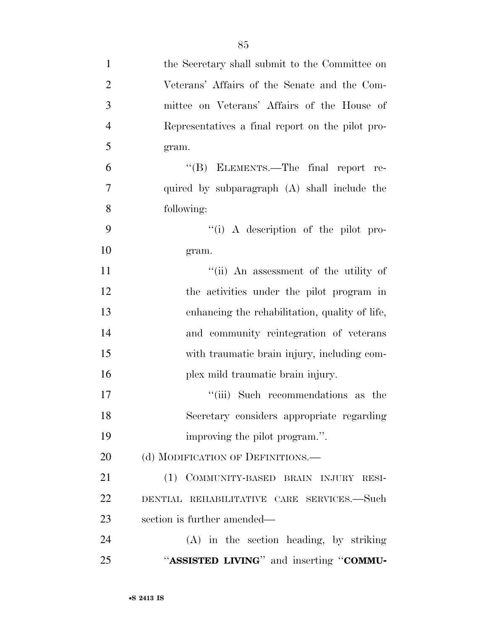| $\mathbf{1}$   | the Secretary shall submit to the Committee on   |
|----------------|--------------------------------------------------|
| $\overline{2}$ | Veterans' Affairs of the Senate and the Com-     |
| 3              | mittee on Veterans' Affairs of the House of      |
| $\overline{4}$ | Representatives a final report on the pilot pro- |
| 5              | gram.                                            |
| 6              | "(B) ELEMENTS.—The final report re-              |
| 7              | quired by subparagraph (A) shall include the     |
| 8              | following:                                       |
| 9              | "(i) A description of the pilot pro-             |
| 10             | gram.                                            |
| 11             | "(ii) An assessment of the utility of            |
| 12             | the activities under the pilot program in        |
| 13             | enhancing the rehabilitation, quality of life,   |
| 14             | and community reintegration of veterans          |
| 15             | with traumatic brain injury, including com-      |
| 16             | plex mild traumatic brain injury.                |
| 17             | "(iii) Such recommendations as the               |
| 18             | Secretary considers appropriate regarding        |
| 19             | improving the pilot program.".                   |
| 20             | (d) MODIFICATION OF DEFINITIONS.—                |
| 21             | (1) COMMUNITY-BASED BRAIN INJURY RESI-           |
| 22             | DENTIAL REHABILITATIVE CARE SERVICES.-Such       |
| 23             | section is further amended—                      |
| 24             | (A) in the section heading, by striking          |
| 25             | "ASSISTED LIVING" and inserting "COMMU-          |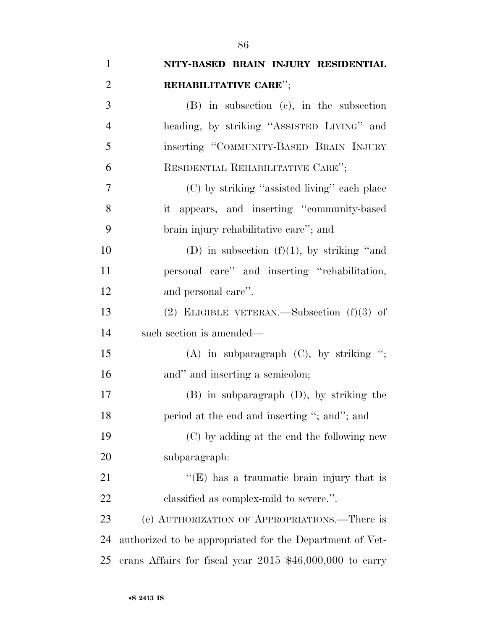| $\mathbf{1}$   | NITY-BASED BRAIN INJURY RESIDENTIAL                        |
|----------------|------------------------------------------------------------|
| $\overline{2}$ | REHABILITATIVE CARE";                                      |
| 3              | (B) in subsection (c), in the subsection                   |
| $\overline{4}$ | heading, by striking "ASSISTED LIVING" and                 |
| 5              | inserting "COMMUNITY-BASED BRAIN INJURY                    |
| 6              | RESIDENTIAL REHABILITATIVE CARE";                          |
| 7              | (C) by striking "assisted living" each place               |
| 8              | it appears, and inserting "community-based                 |
| 9              | brain injury rehabilitative care"; and                     |
| 10             | (D) in subsection $(f)(1)$ , by striking "and              |
| 11             | personal care" and inserting "rehabilitation,              |
| 12             | and personal care".                                        |
| 13             | (2) ELIGIBLE VETERAN.—Subsection $(f)(3)$ of               |
| 14             | such section is amended—                                   |
| 15             | (A) in subparagraph $(C)$ , by striking ";                 |
| 16             | and" and inserting a semicolon;                            |
| 17             | $(B)$ in subparagraph $(D)$ , by striking the              |
| 18             | period at the end and inserting "; and"; and               |
| 19             | (C) by adding at the end the following new                 |
| 20             | subparagraph:                                              |
| 21             | $\lq\lq(E)$ has a traumatic brain injury that is           |
| 22             | classified as complex-mild to severe.".                    |
| 23             | (e) AUTHORIZATION OF APPROPRIATIONS.—There is              |
| 24             | authorized to be appropriated for the Department of Vet-   |
| 25             | erans Affairs for fiscal year $2015$ \$46,000,000 to carry |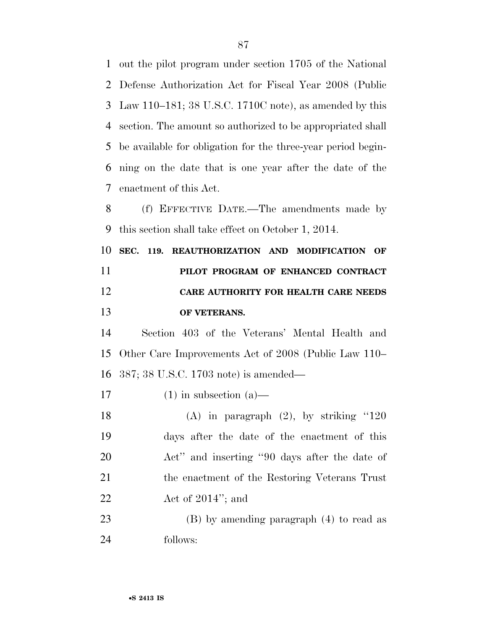out the pilot program under section 1705 of the National Defense Authorization Act for Fiscal Year 2008 (Public Law 110–181; 38 U.S.C. 1710C note), as amended by this section. The amount so authorized to be appropriated shall be available for obligation for the three-year period begin- ning on the date that is one year after the date of the enactment of this Act. (f) EFFECTIVE DATE.—The amendments made by this section shall take effect on October 1, 2014.

 **SEC. 119. REAUTHORIZATION AND MODIFICATION OF PILOT PROGRAM OF ENHANCED CONTRACT CARE AUTHORITY FOR HEALTH CARE NEEDS OF VETERANS.** 

 Section 403 of the Veterans' Mental Health and Other Care Improvements Act of 2008 (Public Law 110– 387; 38 U.S.C. 1703 note) is amended—

17 (1) in subsection  $(a)$ —

 (A) in paragraph (2), by striking ''120 days after the date of the enactment of this Act'' and inserting ''90 days after the date of the enactment of the Restoring Veterans Trust Act of 2014''; and

 (B) by amending paragraph (4) to read as follows: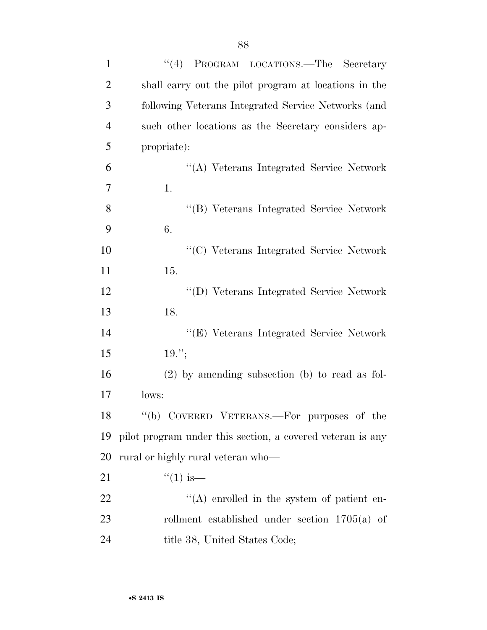| $\mathbf{1}$   | ``(4)<br>PROGRAM LOCATIONS.—The Secretary                  |
|----------------|------------------------------------------------------------|
| $\overline{2}$ | shall carry out the pilot program at locations in the      |
| 3              | following Veterans Integrated Service Networks (and        |
| $\overline{4}$ | such other locations as the Secretary considers ap-        |
| 5              | propriate):                                                |
| 6              | "(A) Veterans Integrated Service Network                   |
| 7              | 1.                                                         |
| 8              | "(B) Veterans Integrated Service Network                   |
| 9              | 6.                                                         |
| 10             | "(C) Veterans Integrated Service Network                   |
| 11             | 15.                                                        |
| 12             | "(D) Veterans Integrated Service Network                   |
| 13             | 18.                                                        |
| 14             | "(E) Veterans Integrated Service Network                   |
| 15             | $19.$ ";                                                   |
| 16             | $(2)$ by amending subsection (b) to read as fol-           |
| 17             | lows:                                                      |
| 18             | "(b) COVERED VETERANS.—For purposes of the                 |
| 19             | pilot program under this section, a covered veteran is any |
| 20             | rural or highly rural veteran who—                         |
| 21             | $``(1)$ is—                                                |
| 22             | $\lq\lq$ enrolled in the system of patient en-             |
| 23             | rollment established under section $1705(a)$ of            |
| 24             | title 38, United States Code;                              |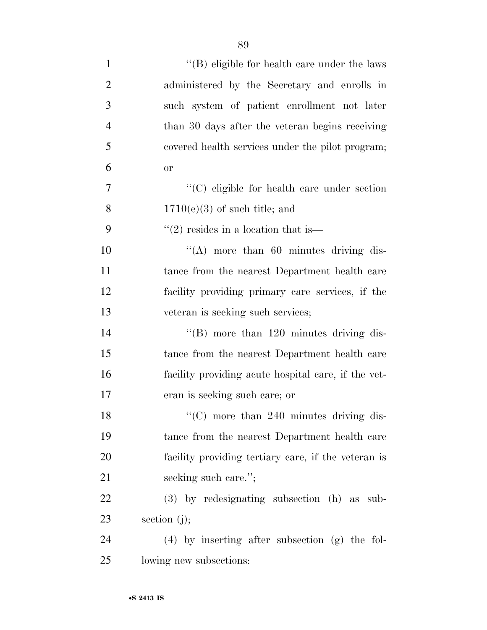| $\mathbf{1}$   | $\lq\lq$ (B) eligible for health care under the laws |
|----------------|------------------------------------------------------|
| $\overline{2}$ | administered by the Secretary and enrolls in         |
| 3              | such system of patient enrollment not later          |
| $\overline{4}$ | than 30 days after the veteran begins receiving      |
| 5              | covered health services under the pilot program;     |
| 6              | <b>or</b>                                            |
| 7              | "(C) eligible for health care under section          |
| 8              | $1710(e)(3)$ of such title; and                      |
| 9              | $\cdot\cdot\cdot(2)$ resides in a location that is—  |
| 10             | "(A) more than 60 minutes driving dis-               |
| 11             | tance from the nearest Department health care        |
| 12             | facility providing primary care services, if the     |
| 13             | veteran is seeking such services;                    |
| 14             | "(B) more than $120$ minutes driving dis-            |
| 15             | tance from the nearest Department health care        |
| 16             | facility providing acute hospital care, if the vet-  |
| 17             | eran is seeking such care; or                        |
| 18             | $\lq\lq$ more than 240 minutes driving dis-          |
| 19             | tance from the nearest Department health care        |
| 20             | facility providing tertiary care, if the veteran is  |
| 21             | seeking such care.";                                 |
| 22             | $(3)$ by redesignating subsection $(h)$ as sub-      |
| 23             | section $(j)$ ;                                      |
| 24             | $(4)$ by inserting after subsection $(g)$ the fol-   |
| 25             | lowing new subsections:                              |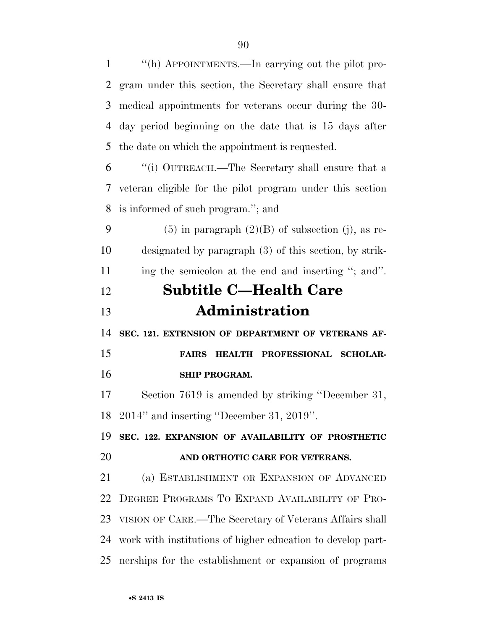''(h) APPOINTMENTS.—In carrying out the pilot pro- gram under this section, the Secretary shall ensure that medical appointments for veterans occur during the 30- day period beginning on the date that is 15 days after the date on which the appointment is requested. ''(i) OUTREACH.—The Secretary shall ensure that a veteran eligible for the pilot program under this section is informed of such program.''; and 9 (5) in paragraph  $(2)(B)$  of subsection (j), as re- designated by paragraph (3) of this section, by strik- ing the semicolon at the end and inserting ''; and''. **Subtitle C—Health Care Administration SEC. 121. EXTENSION OF DEPARTMENT OF VETERANS AF- FAIRS HEALTH PROFESSIONAL SCHOLAR- SHIP PROGRAM.**  Section 7619 is amended by striking ''December 31, 2014'' and inserting ''December 31, 2019''. **SEC. 122. EXPANSION OF AVAILABILITY OF PROSTHETIC AND ORTHOTIC CARE FOR VETERANS.**  (a) ESTABLISHMENT OR EXPANSION OF ADVANCED DEGREE PROGRAMS TO EXPAND AVAILABILITY OF PRO- VISION OF CARE.—The Secretary of Veterans Affairs shall work with institutions of higher education to develop part-

nerships for the establishment or expansion of programs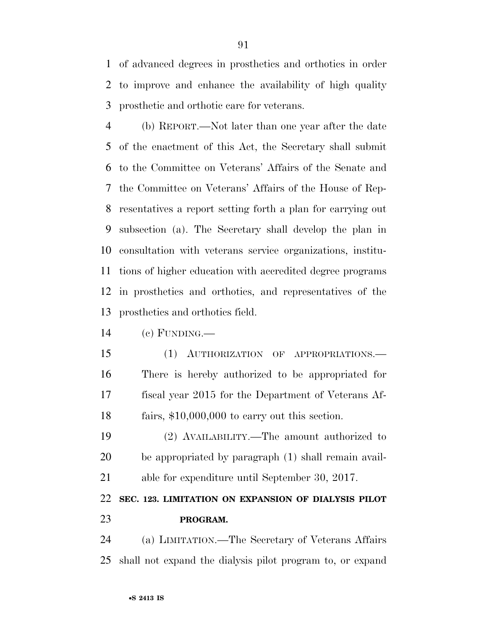of advanced degrees in prosthetics and orthotics in order to improve and enhance the availability of high quality prosthetic and orthotic care for veterans.

 (b) REPORT.—Not later than one year after the date of the enactment of this Act, the Secretary shall submit to the Committee on Veterans' Affairs of the Senate and the Committee on Veterans' Affairs of the House of Rep- resentatives a report setting forth a plan for carrying out subsection (a). The Secretary shall develop the plan in consultation with veterans service organizations, institu- tions of higher education with accredited degree programs in prosthetics and orthotics, and representatives of the prosthetics and orthotics field.

(c) FUNDING.—

 (1) AUTHORIZATION OF APPROPRIATIONS.— There is hereby authorized to be appropriated for fiscal year 2015 for the Department of Veterans Af-fairs, \$10,000,000 to carry out this section.

 (2) AVAILABILITY.—The amount authorized to be appropriated by paragraph (1) shall remain avail-able for expenditure until September 30, 2017.

### **SEC. 123. LIMITATION ON EXPANSION OF DIALYSIS PILOT PROGRAM.**

 (a) LIMITATION.—The Secretary of Veterans Affairs shall not expand the dialysis pilot program to, or expand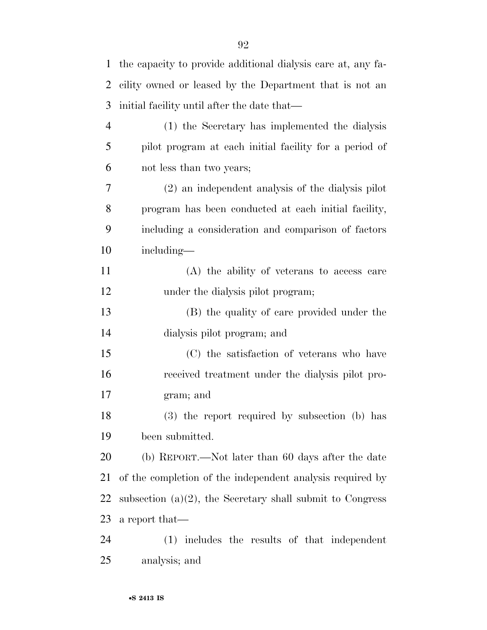| 1              | the capacity to provide additional dialysis care at, any fa- |
|----------------|--------------------------------------------------------------|
| 2              | cility owned or leased by the Department that is not an      |
| 3              | initial facility until after the date that—                  |
| $\overline{4}$ | (1) the Secretary has implemented the dialysis               |
| 5              | pilot program at each initial facility for a period of       |
| 6              | not less than two years;                                     |
| 7              | (2) an independent analysis of the dialysis pilot            |
| 8              | program has been conducted at each initial facility,         |
| 9              | including a consideration and comparison of factors          |
| 10             | including—                                                   |
| 11             | (A) the ability of veterans to access care                   |
| 12             | under the dialysis pilot program;                            |
| 13             | (B) the quality of care provided under the                   |
| 14             | dialysis pilot program; and                                  |
| 15             | (C) the satisfaction of veterans who have                    |
| 16             | received treatment under the dialysis pilot pro-             |
| 17             | gram; and                                                    |
| 18             | (3) the report required by subsection (b) has                |
| 19             | been submitted.                                              |
| 20             | (b) REPORT.—Not later than 60 days after the date            |
| 21             | of the completion of the independent analysis required by    |
| 22             | subsection $(a)(2)$ , the Secretary shall submit to Congress |
| 23             | a report that—                                               |
| 24             | (1) includes the results of that independent                 |
| 25             | analysis; and                                                |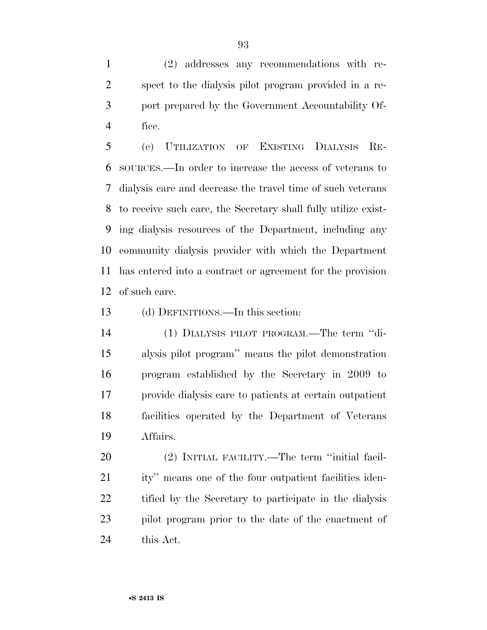(2) addresses any recommendations with re- spect to the dialysis pilot program provided in a re- port prepared by the Government Accountability Of-fice.

 (c) UTILIZATION OF EXISTING DIALYSIS RE- SOURCES.—In order to increase the access of veterans to dialysis care and decrease the travel time of such veterans to receive such care, the Secretary shall fully utilize exist- ing dialysis resources of the Department, including any community dialysis provider with which the Department has entered into a contract or agreement for the provision of such care.

(d) DEFINITIONS.—In this section:

 (1) DIALYSIS PILOT PROGRAM.—The term ''di- alysis pilot program'' means the pilot demonstration program established by the Secretary in 2009 to provide dialysis care to patients at certain outpatient facilities operated by the Department of Veterans Affairs.

 (2) INITIAL FACILITY.—The term ''initial facil- ity'' means one of the four outpatient facilities iden- tified by the Secretary to participate in the dialysis pilot program prior to the date of the enactment of this Act.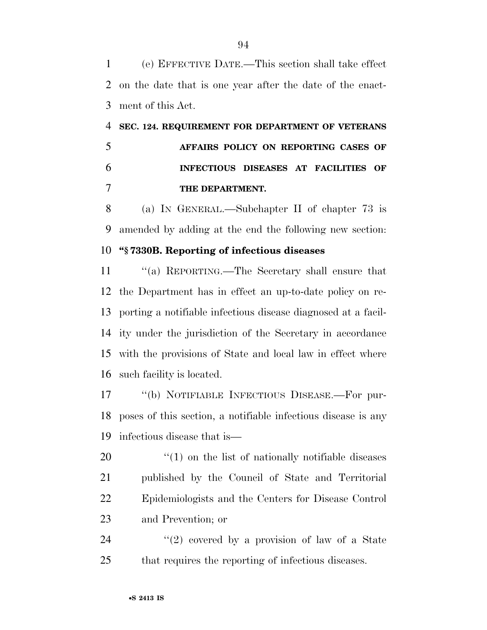(e) EFFECTIVE DATE.—This section shall take effect on the date that is one year after the date of the enact-ment of this Act.

## **SEC. 124. REQUIREMENT FOR DEPARTMENT OF VETERANS AFFAIRS POLICY ON REPORTING CASES OF INFECTIOUS DISEASES AT FACILITIES OF THE DEPARTMENT.**

 (a) IN GENERAL.—Subchapter II of chapter 73 is amended by adding at the end the following new section:

#### **''§ 7330B. Reporting of infectious diseases**

 ''(a) REPORTING.—The Secretary shall ensure that the Department has in effect an up-to-date policy on re- porting a notifiable infectious disease diagnosed at a facil- ity under the jurisdiction of the Secretary in accordance with the provisions of State and local law in effect where such facility is located.

 ''(b) NOTIFIABLE INFECTIOUS DISEASE.—For pur- poses of this section, a notifiable infectious disease is any infectious disease that is—

 $\frac{1}{20}$  (1) on the list of nationally notifiable diseases published by the Council of State and Territorial Epidemiologists and the Centers for Disease Control and Prevention; or

24  $(2)$  covered by a provision of law of a State that requires the reporting of infectious diseases.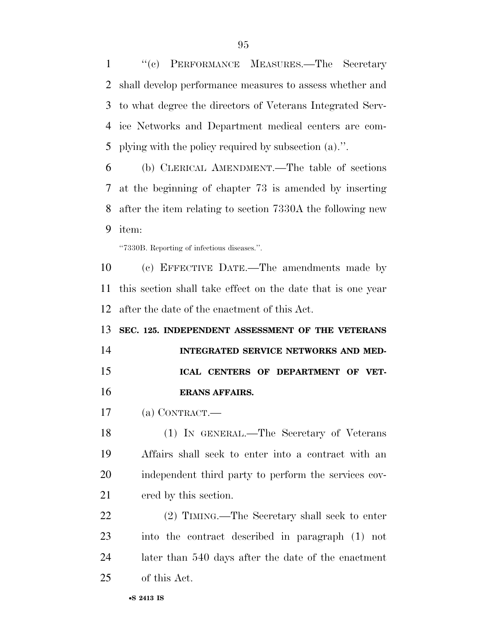''(c) PERFORMANCE MEASURES.—The Secretary shall develop performance measures to assess whether and to what degree the directors of Veterans Integrated Serv- ice Networks and Department medical centers are com-plying with the policy required by subsection (a).''.

 (b) CLERICAL AMENDMENT.—The table of sections at the beginning of chapter 73 is amended by inserting after the item relating to section 7330A the following new item:

''7330B. Reporting of infectious diseases.''.

 (c) EFFECTIVE DATE.—The amendments made by this section shall take effect on the date that is one year after the date of the enactment of this Act.

 **SEC. 125. INDEPENDENT ASSESSMENT OF THE VETERANS INTEGRATED SERVICE NETWORKS AND MED- ICAL CENTERS OF DEPARTMENT OF VET-ERANS AFFAIRS.** 

(a) CONTRACT.—

 (1) IN GENERAL.—The Secretary of Veterans Affairs shall seek to enter into a contract with an independent third party to perform the services cov-ered by this section.

 (2) TIMING.—The Secretary shall seek to enter into the contract described in paragraph (1) not later than 540 days after the date of the enactment of this Act.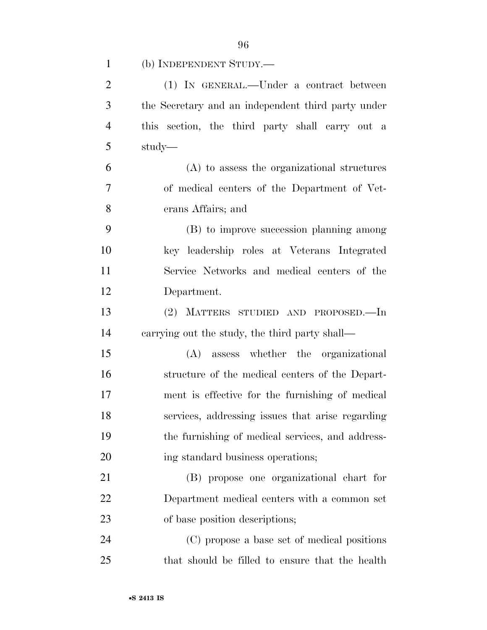| $\mathbf{1}$   | (b) INDEPENDENT STUDY.—                            |
|----------------|----------------------------------------------------|
| $\overline{2}$ | (1) IN GENERAL.—Under a contract between           |
| 3              | the Secretary and an independent third party under |
| $\overline{4}$ | this section, the third party shall carry out a    |
| 5              | study—                                             |
| 6              | (A) to assess the organizational structures        |
| 7              | of medical centers of the Department of Vet-       |
| 8              | erans Affairs; and                                 |
| 9              | (B) to improve succession planning among           |
| 10             | key leadership roles at Veterans Integrated        |
| 11             | Service Networks and medical centers of the        |
| 12             | Department.                                        |
| 13             | (2) MATTERS STUDIED AND PROPOSED.—In               |
| 14             | carrying out the study, the third party shall—     |
| 15             | (A) assess whether the organizational              |
| 16             | structure of the medical centers of the Depart-    |
| 17             | ment is effective for the furnishing of medical    |
| 18             | services, addressing issues that arise regarding   |
| 19             | the furnishing of medical services, and address-   |
| 20             | ing standard business operations;                  |
| 21             | (B) propose one organizational chart for           |
| 22             | Department medical centers with a common set       |
| 23             | of base position descriptions;                     |
| 24             | (C) propose a base set of medical positions        |
| 25             | that should be filled to ensure that the health    |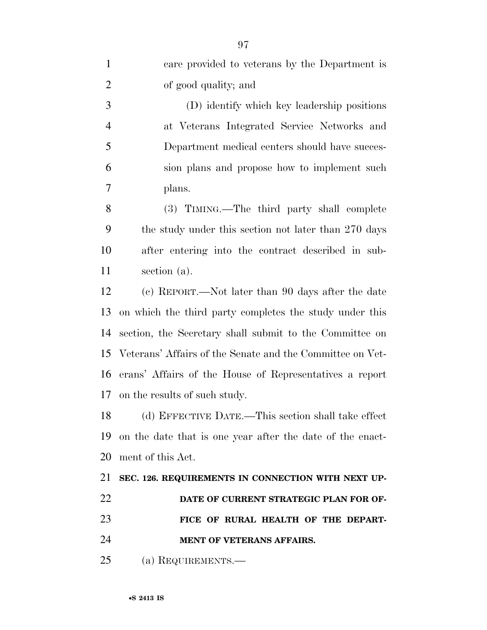| $\mathbf{1}$   | care provided to veterans by the Department is            |
|----------------|-----------------------------------------------------------|
| $\overline{2}$ | of good quality; and                                      |
| 3              | (D) identify which key leadership positions               |
| $\overline{4}$ | at Veterans Integrated Service Networks and               |
| 5              | Department medical centers should have succes-            |
| 6              | sion plans and propose how to implement such              |
| 7              | plans.                                                    |
| 8              | (3) TIMING.—The third party shall complete                |
| 9              | the study under this section not later than 270 days      |
| 10             | after entering into the contract described in sub-        |
| 11             | section (a).                                              |
| 12             | (c) REPORT.—Not later than 90 days after the date         |
| 13             | on which the third party completes the study under this   |
| 14             | section, the Secretary shall submit to the Committee on   |
| 15             | Veterans' Affairs of the Senate and the Committee on Vet- |
| 16             | erans' Affairs of the House of Representatives a report   |
| 17             | on the results of such study.                             |
| 18             | (d) EFFECTIVE DATE.—This section shall take effect        |
| 19             | on the date that is one year after the date of the enact- |
| 20             | ment of this Act.                                         |
| 21             | SEC. 126. REQUIREMENTS IN CONNECTION WITH NEXT UP-        |
| 22             | DATE OF CURRENT STRATEGIC PLAN FOR OF-                    |
| 23             | FICE OF RURAL HEALTH OF THE DEPART-                       |
| 24             | <b>MENT OF VETERANS AFFAIRS.</b>                          |
| 25             | (a) REQUIREMENTS.—                                        |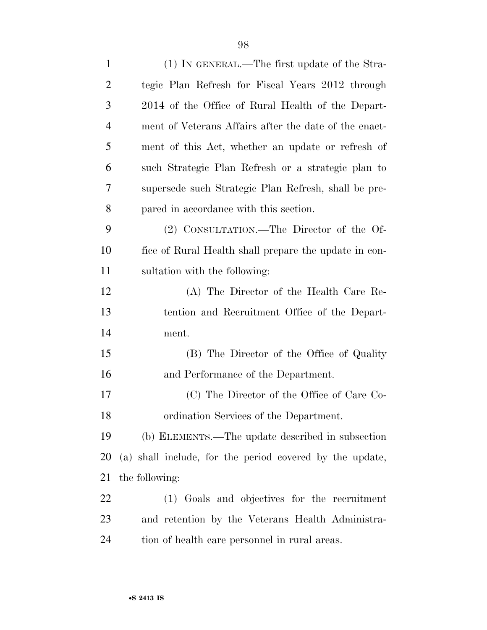| $\mathbf{1}$   | (1) IN GENERAL.—The first update of the Stra-            |
|----------------|----------------------------------------------------------|
| $\overline{2}$ | tegic Plan Refresh for Fiscal Years 2012 through         |
| 3              | 2014 of the Office of Rural Health of the Depart-        |
| $\overline{4}$ | ment of Veterans Affairs after the date of the enact-    |
| 5              | ment of this Act, whether an update or refresh of        |
| 6              | such Strategic Plan Refresh or a strategic plan to       |
| 7              | supersede such Strategic Plan Refresh, shall be pre-     |
| 8              | pared in accordance with this section.                   |
| 9              | (2) CONSULTATION.—The Director of the Of-                |
| 10             | fice of Rural Health shall prepare the update in con-    |
| 11             | sultation with the following:                            |
| 12             | (A) The Director of the Health Care Re-                  |
| 13             | tention and Recruitment Office of the Depart-            |
| 14             | ment.                                                    |
| 15             | (B) The Director of the Office of Quality                |
| 16             | and Performance of the Department.                       |
| 17             | (C) The Director of the Office of Care Co-               |
| 18             | ordination Services of the Department.                   |
| 19             | (b) ELEMENTS.—The update described in subsection         |
| 20             | (a) shall include, for the period covered by the update, |
| 21             | the following:                                           |
| 22             | (1) Goals and objectives for the recruitment             |
| 23             | and retention by the Veterans Health Administra-         |
| 24             | tion of health care personnel in rural areas.            |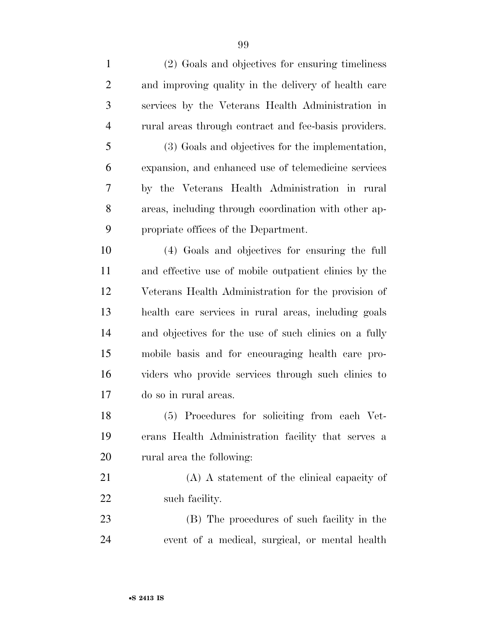| $\mathbf{1}$   | (2) Goals and objectives for ensuring timeliness      |
|----------------|-------------------------------------------------------|
| $\overline{2}$ | and improving quality in the delivery of health care  |
| 3              | services by the Veterans Health Administration in     |
| $\overline{4}$ | rural areas through contract and fee-basis providers. |
| 5              | (3) Goals and objectives for the implementation,      |
| 6              | expansion, and enhanced use of telemedicine services  |
| 7              | by the Veterans Health Administration in rural        |
| 8              | areas, including through coordination with other ap-  |
| 9              | propriate offices of the Department.                  |
| 10             | (4) Goals and objectives for ensuring the full        |
| 11             | and effective use of mobile outpatient clinics by the |
| 12             | Veterans Health Administration for the provision of   |
| 13             | health care services in rural areas, including goals  |
| 14             | and objectives for the use of such clinics on a fully |
| 15             | mobile basis and for encouraging health care pro-     |
| 16             | viders who provide services through such clinics to   |
| 17             | do so in rural areas.                                 |
| 18             | (5) Procedures for soliciting from each Vet-          |
| 19             | erans Health Administration facility that serves a    |
| 20             | rural area the following:                             |
| 21             | (A) A statement of the clinical capacity of           |
| 22             | such facility.                                        |
| 23             | (B) The procedures of such facility in the            |
| 24             | event of a medical, surgical, or mental health        |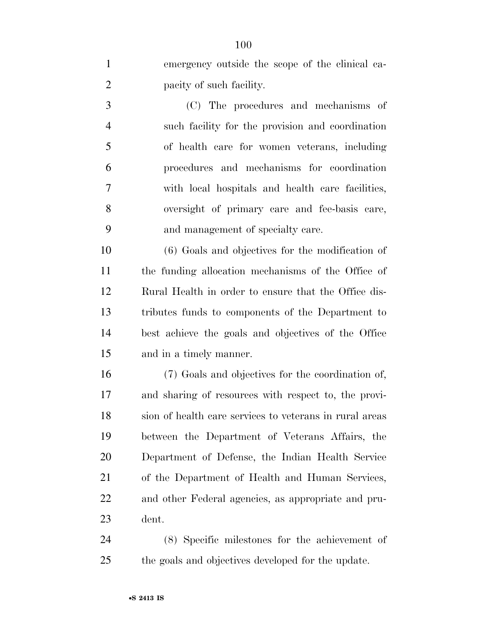emergency outside the scope of the clinical ca- pacity of such facility. (C) The procedures and mechanisms of such facility for the provision and coordination of health care for women veterans, including

 procedures and mechanisms for coordination with local hospitals and health care facilities, oversight of primary care and fee-basis care, and management of specialty care.

 (6) Goals and objectives for the modification of the funding allocation mechanisms of the Office of Rural Health in order to ensure that the Office dis- tributes funds to components of the Department to best achieve the goals and objectives of the Office and in a timely manner.

 (7) Goals and objectives for the coordination of, and sharing of resources with respect to, the provi- sion of health care services to veterans in rural areas between the Department of Veterans Affairs, the Department of Defense, the Indian Health Service of the Department of Health and Human Services, and other Federal agencies, as appropriate and pru-dent.

 (8) Specific milestones for the achievement of the goals and objectives developed for the update.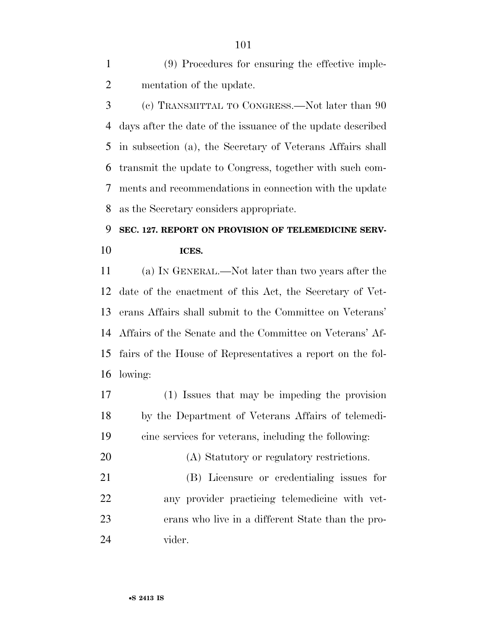(9) Procedures for ensuring the effective imple-mentation of the update.

 (c) TRANSMITTAL TO CONGRESS.—Not later than 90 days after the date of the issuance of the update described in subsection (a), the Secretary of Veterans Affairs shall transmit the update to Congress, together with such com- ments and recommendations in connection with the update as the Secretary considers appropriate.

## **SEC. 127. REPORT ON PROVISION OF TELEMEDICINE SERV-ICES.**

 (a) IN GENERAL.—Not later than two years after the date of the enactment of this Act, the Secretary of Vet- erans Affairs shall submit to the Committee on Veterans' Affairs of the Senate and the Committee on Veterans' Af- fairs of the House of Representatives a report on the fol-lowing:

- (1) Issues that may be impeding the provision by the Department of Veterans Affairs of telemedi-cine services for veterans, including the following:
- (A) Statutory or regulatory restrictions.

 (B) Licensure or credentialing issues for any provider practicing telemedicine with vet- erans who live in a different State than the pro-vider.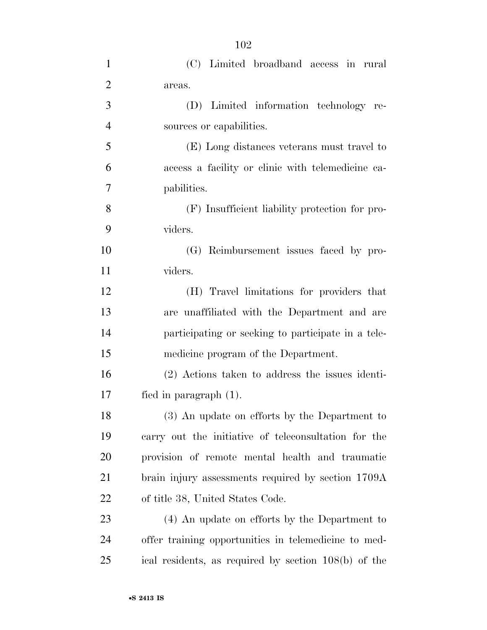| 1              | (C) Limited broadband access in rural                |
|----------------|------------------------------------------------------|
| $\overline{2}$ | areas.                                               |
| 3              | (D) Limited information technology re-               |
| $\overline{4}$ | sources or capabilities.                             |
| 5              | (E) Long distances veterans must travel to           |
| 6              | access a facility or clinic with telemedicine ca-    |
| 7              | pabilities.                                          |
| 8              | (F) Insufficient liability protection for pro-       |
| 9              | viders.                                              |
| 10             | (G) Reimbursement issues faced by pro-               |
| 11             | viders.                                              |
| 12             | (H) Travel limitations for providers that            |
| 13             | are unaffiliated with the Department and are         |
| 14             | participating or seeking to participate in a tele-   |
| 15             | medicine program of the Department.                  |
| 16             | (2) Actions taken to address the issues identi-      |
| 17             | fied in paragraph $(1)$ .                            |
| 18             | (3) An update on efforts by the Department to        |
| 19             | carry out the initiative of teleconsultation for the |
| <b>20</b>      | provision of remote mental health and traumatic      |
| 21             | brain injury assessments required by section 1709A   |
| <u>22</u>      | of title 38, United States Code.                     |
| 23             | (4) An update on efforts by the Department to        |
| 24             | offer training opportunities in telemedicine to med- |
| 25             | ical residents, as required by section 108(b) of the |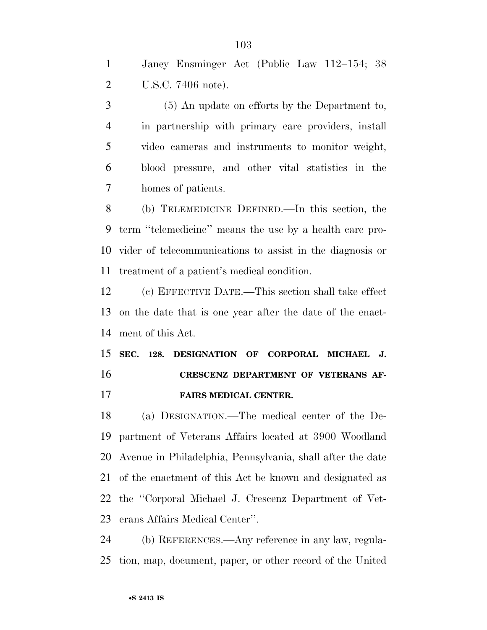Janey Ensminger Act (Public Law 112–154; 38 U.S.C. 7406 note).

 (5) An update on efforts by the Department to, in partnership with primary care providers, install video cameras and instruments to monitor weight, blood pressure, and other vital statistics in the homes of patients.

 (b) TELEMEDICINE DEFINED.—In this section, the term ''telemedicine'' means the use by a health care pro- vider of telecommunications to assist in the diagnosis or treatment of a patient's medical condition.

 (c) EFFECTIVE DATE.—This section shall take effect on the date that is one year after the date of the enact-ment of this Act.

# **SEC. 128. DESIGNATION OF CORPORAL MICHAEL J. CRESCENZ DEPARTMENT OF VETERANS AF-**

**FAIRS MEDICAL CENTER.** 

 (a) DESIGNATION.—The medical center of the De- partment of Veterans Affairs located at 3900 Woodland Avenue in Philadelphia, Pennsylvania, shall after the date of the enactment of this Act be known and designated as the ''Corporal Michael J. Crescenz Department of Vet-erans Affairs Medical Center''.

 (b) REFERENCES.—Any reference in any law, regula-tion, map, document, paper, or other record of the United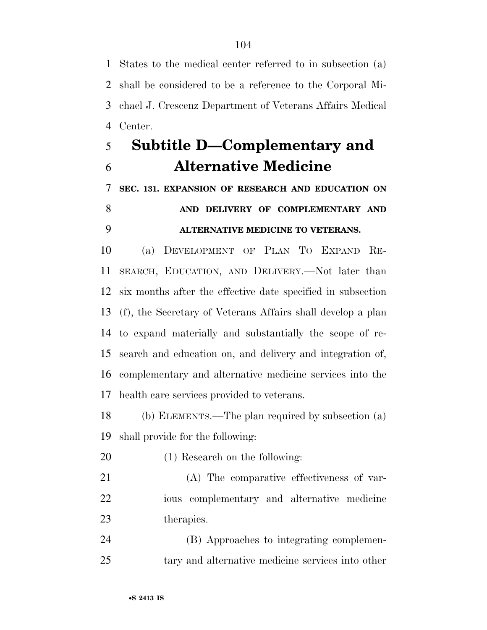States to the medical center referred to in subsection (a) shall be considered to be a reference to the Corporal Mi- chael J. Crescenz Department of Veterans Affairs Medical Center.

## **Subtitle D—Complementary and Alternative Medicine**

**SEC. 131. EXPANSION OF RESEARCH AND EDUCATION ON** 

## **AND DELIVERY OF COMPLEMENTARY AND ALTERNATIVE MEDICINE TO VETERANS.**

 (a) DEVELOPMENT OF PLAN TO EXPAND RE- SEARCH, EDUCATION, AND DELIVERY.—Not later than six months after the effective date specified in subsection (f), the Secretary of Veterans Affairs shall develop a plan to expand materially and substantially the scope of re- search and education on, and delivery and integration of, complementary and alternative medicine services into the health care services provided to veterans.

 (b) ELEMENTS.—The plan required by subsection (a) shall provide for the following:

- (1) Research on the following:
- (A) The comparative effectiveness of var- ious complementary and alternative medicine therapies.

 (B) Approaches to integrating complemen-tary and alternative medicine services into other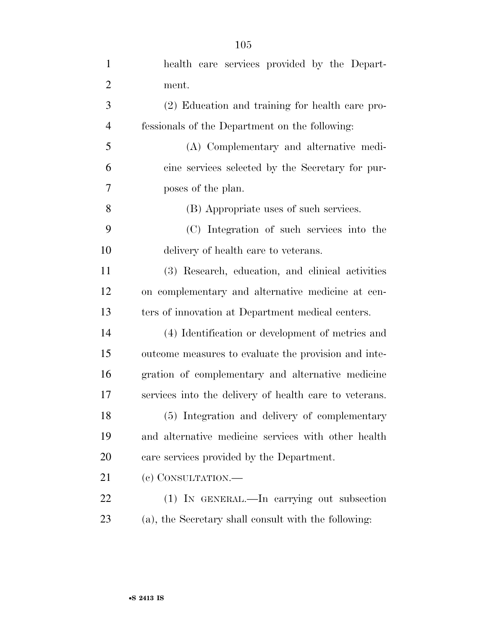| health care services provided by the Depart-           |
|--------------------------------------------------------|
| ment.                                                  |
| (2) Education and training for health care pro-        |
| fessionals of the Department on the following:         |
| (A) Complementary and alternative medi-                |
| cine services selected by the Secretary for pur-       |
| poses of the plan.                                     |
| (B) Appropriate uses of such services.                 |
| (C) Integration of such services into the              |
| delivery of health care to veterans.                   |
| (3) Research, education, and clinical activities       |
| on complementary and alternative medicine at cen-      |
| ters of innovation at Department medical centers.      |
| (4) Identification or development of metrics and       |
| outcome measures to evaluate the provision and inte-   |
| gration of complementary and alternative medicine      |
| services into the delivery of health care to veterans. |
| (5) Integration and delivery of complementary          |
| and alternative medicine services with other health    |
| care services provided by the Department.              |
| (e) CONSULTATION.-                                     |
| (1) IN GENERAL.—In carrying out subsection             |
| (a), the Secretary shall consult with the following:   |
|                                                        |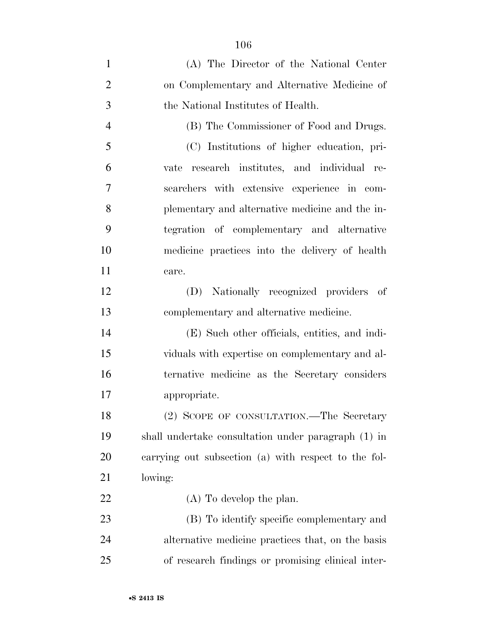| $\mathbf{1}$   | (A) The Director of the National Center              |
|----------------|------------------------------------------------------|
| $\overline{2}$ | on Complementary and Alternative Medicine of         |
| 3              | the National Institutes of Health.                   |
| $\overline{4}$ | (B) The Commissioner of Food and Drugs.              |
| 5              | (C) Institutions of higher education, pri-           |
| 6              | research institutes, and individual re-<br>vate      |
| 7              | searchers with extensive experience in com-          |
| 8              | plementary and alternative medicine and the in-      |
| 9              | tegration of complementary and alternative           |
| 10             | medicine practices into the delivery of health       |
| 11             | care.                                                |
| 12             | (D) Nationally recognized providers of               |
| 13             | complementary and alternative medicine.              |
| 14             | (E) Such other officials, entities, and indi-        |
| 15             | viduals with expertise on complementary and al-      |
| 16             | ternative medicine as the Secretary considers        |
| 17             | appropriate.                                         |
| 18             | (2) SCOPE OF CONSULTATION.—The Secretary             |
| 19             | shall undertake consultation under paragraph (1) in  |
| 20             | carrying out subsection (a) with respect to the fol- |
| 21             | lowing:                                              |
| 22             | $(A)$ To develop the plan.                           |
| 23             | (B) To identify specific complementary and           |
| 24             | alternative medicine practices that, on the basis    |
| 25             | of research findings or promising clinical inter-    |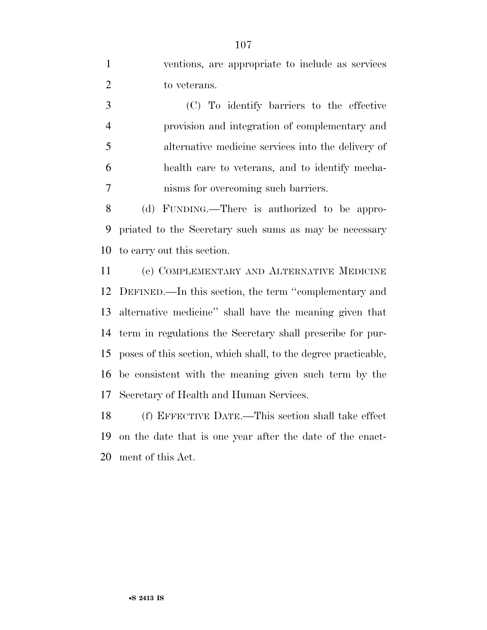ventions, are appropriate to include as services 2 to veterans.

 (C) To identify barriers to the effective provision and integration of complementary and alternative medicine services into the delivery of health care to veterans, and to identify mecha-nisms for overcoming such barriers.

 (d) FUNDING.—There is authorized to be appro- priated to the Secretary such sums as may be necessary to carry out this section.

 (e) COMPLEMENTARY AND ALTERNATIVE MEDICINE DEFINED.—In this section, the term ''complementary and alternative medicine'' shall have the meaning given that term in regulations the Secretary shall prescribe for pur- poses of this section, which shall, to the degree practicable, be consistent with the meaning given such term by the Secretary of Health and Human Services.

 (f) EFFECTIVE DATE.—This section shall take effect on the date that is one year after the date of the enact-ment of this Act.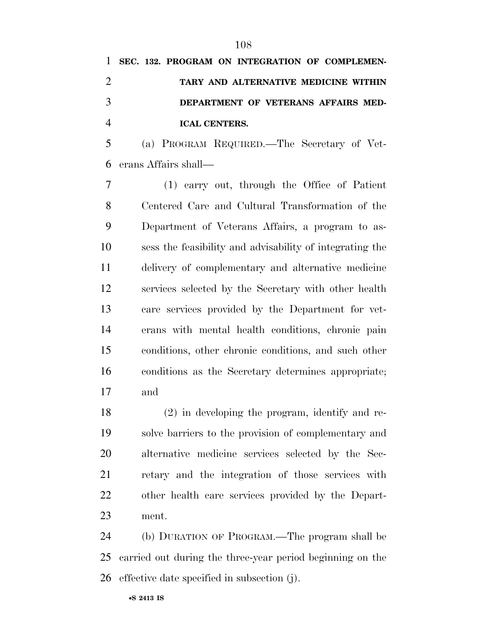**SEC. 132. PROGRAM ON INTEGRATION OF COMPLEMEN- TARY AND ALTERNATIVE MEDICINE WITHIN DEPARTMENT OF VETERANS AFFAIRS MED-ICAL CENTERS.** 

 (a) PROGRAM REQUIRED.—The Secretary of Vet-erans Affairs shall—

 (1) carry out, through the Office of Patient Centered Care and Cultural Transformation of the Department of Veterans Affairs, a program to as- sess the feasibility and advisability of integrating the delivery of complementary and alternative medicine services selected by the Secretary with other health care services provided by the Department for vet- erans with mental health conditions, chronic pain conditions, other chronic conditions, and such other conditions as the Secretary determines appropriate; and

 (2) in developing the program, identify and re- solve barriers to the provision of complementary and alternative medicine services selected by the Sec- retary and the integration of those services with other health care services provided by the Depart-ment.

 (b) DURATION OF PROGRAM.—The program shall be carried out during the three-year period beginning on the effective date specified in subsection (j).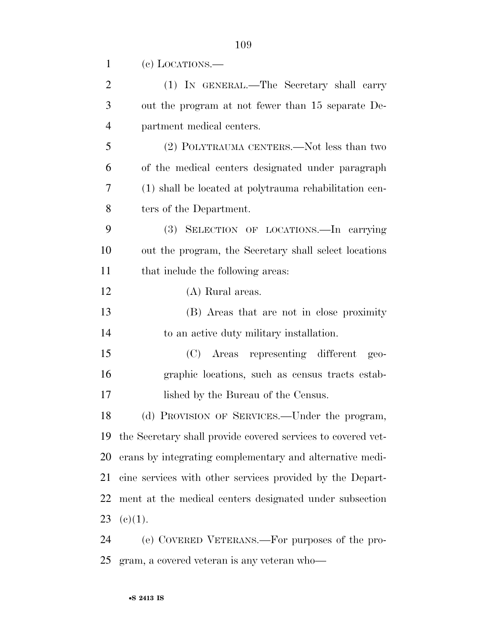| $\overline{2}$ | (1) IN GENERAL.—The Secretary shall carry              |
|----------------|--------------------------------------------------------|
| 3              | out the program at not fewer than 15 separate De-      |
| 4              | partment medical centers.                              |
| 5              | (2) POLYTRAUMA CENTERS.—Not less than two              |
| 6              | of the medical centers designated under paragraph      |
| 7              | (1) shall be located at polytrauma rehabilitation cen- |
| 8              | ters of the Department.                                |

(c) LOCATIONS.—

 (3) SELECTION OF LOCATIONS.—In carrying out the program, the Secretary shall select locations 11 that include the following areas:

#### (A) Rural areas.

 (B) Areas that are not in close proximity to an active duty military installation.

 (C) Areas representing different geo- graphic locations, such as census tracts estab-17 lished by the Bureau of the Census.

 (d) PROVISION OF SERVICES.—Under the program, the Secretary shall provide covered services to covered vet- erans by integrating complementary and alternative medi- cine services with other services provided by the Depart- ment at the medical centers designated under subsection 23 (e)(1).

 (e) COVERED VETERANS.—For purposes of the pro-gram, a covered veteran is any veteran who—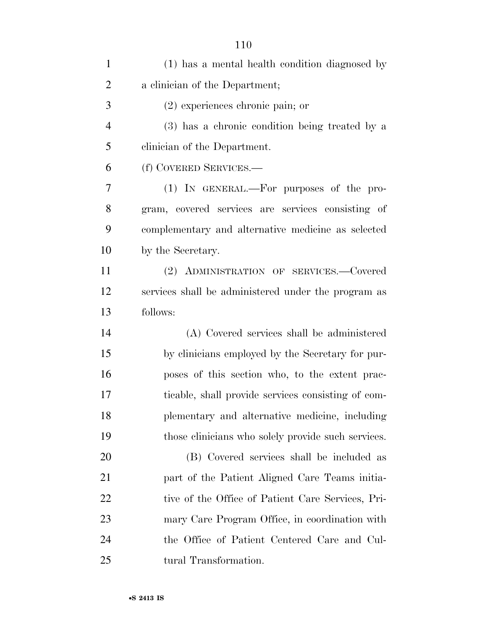| $\mathbf{1}$   | (1) has a mental health condition diagnosed by      |
|----------------|-----------------------------------------------------|
| $\overline{2}$ | a clinician of the Department;                      |
| 3              | $(2)$ experiences chronic pain; or                  |
| $\overline{4}$ | (3) has a chronic condition being treated by a      |
| 5              | clinician of the Department.                        |
| 6              | (f) COVERED SERVICES.—                              |
| 7              | (1) IN GENERAL.—For purposes of the pro-            |
| 8              | gram, covered services are services consisting of   |
| 9              | complementary and alternative medicine as selected  |
| 10             | by the Secretary.                                   |
| 11             | (2) ADMINISTRATION OF SERVICES.-Covered             |
| 12             | services shall be administered under the program as |
| 13             | follows:                                            |
| 14             | (A) Covered services shall be administered          |
| 15             | by clinicians employed by the Secretary for pur-    |
| 16             | poses of this section who, to the extent prac-      |
| 17             | ticable, shall provide services consisting of com-  |
| 18             | plementary and alternative medicine, including      |
| 19             | those clinicians who solely provide such services.  |
| 20             | (B) Covered services shall be included as           |
| 21             | part of the Patient Aligned Care Teams initia-      |
| 22             | tive of the Office of Patient Care Services, Pri-   |
| 23             | mary Care Program Office, in coordination with      |
| 24             | the Office of Patient Centered Care and Cul-        |
| 25             | tural Transformation.                               |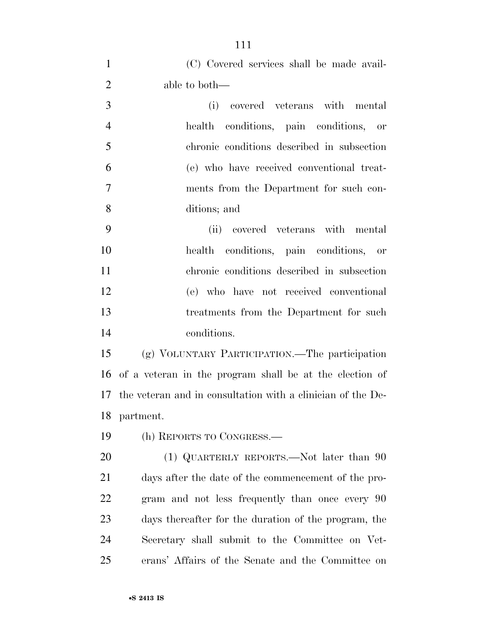| $\mathbf{1}$   | (C) Covered services shall be made avail-                   |
|----------------|-------------------------------------------------------------|
| $\overline{2}$ | able to both—                                               |
| 3              | covered veterans with mental<br>(i)                         |
| $\overline{4}$ | health conditions, pain conditions, or                      |
| 5              | chronic conditions described in subsection                  |
| 6              | (e) who have received conventional treat-                   |
| $\tau$         | ments from the Department for such con-                     |
| 8              | ditions; and                                                |
| 9              | (ii) covered veterans with mental                           |
| 10             | health conditions, pain conditions, or                      |
| 11             | chronic conditions described in subsection                  |
| 12             | (e) who have not received conventional                      |
| 13             | treatments from the Department for such                     |
| 14             | conditions.                                                 |
| 15             | (g) VOLUNTARY PARTICIPATION.—The participation              |
| 16             | of a veteran in the program shall be at the election of     |
| 17             | the veteran and in consultation with a clinician of the De- |
| 18             | partment.                                                   |
| 19             | (h) REPORTS TO CONGRESS.—                                   |
| 20             | (1) QUARTERLY REPORTS.—Not later than 90                    |
| 21             | days after the date of the commencement of the pro-         |
| 22             | gram and not less frequently than once every 90             |
| 23             | days thereafter for the duration of the program, the        |
| 24             | Secretary shall submit to the Committee on Vet-             |
| 25             | erans' Affairs of the Senate and the Committee on           |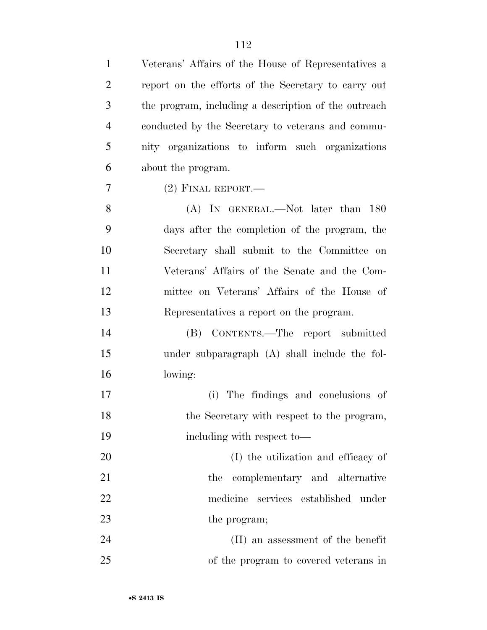| $\mathbf{1}$   | Veterans' Affairs of the House of Representatives a  |
|----------------|------------------------------------------------------|
| $\overline{2}$ | report on the efforts of the Secretary to carry out  |
| 3              | the program, including a description of the outreach |
| $\overline{4}$ | conducted by the Secretary to veterans and commu-    |
| 5              | nity organizations to inform such organizations      |
| 6              | about the program.                                   |
| 7              | $(2)$ FINAL REPORT.—                                 |
| 8              | (A) IN GENERAL.—Not later than 180                   |
| 9              | days after the completion of the program, the        |
| 10             | Secretary shall submit to the Committee on           |
| 11             | Veterans' Affairs of the Senate and the Com-         |
| 12             | mittee on Veterans' Affairs of the House of          |
| 13             | Representatives a report on the program.             |
| 14             | CONTENTS.—The report submitted<br>(B)                |
| 15             | under subparagraph (A) shall include the fol-        |
| 16             | lowing:                                              |
| 17             | The findings and conclusions of<br>(i)               |
| 18             | the Secretary with respect to the program,           |
| 19             | including with respect to-                           |
| 20             | (I) the utilization and efficacy of                  |
| 21             | complementary and alternative<br>the                 |
| 22             | services established under<br>medicine               |
| 23             | the program;                                         |
| 24             | (II) an assessment of the benefit                    |
| 25             | of the program to covered veterans in                |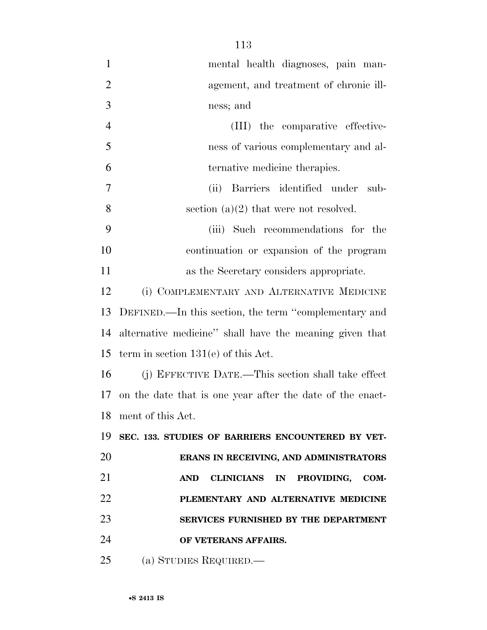| $\mathbf{1}$   | mental health diagnoses, pain man-                        |
|----------------|-----------------------------------------------------------|
| $\overline{2}$ | agement, and treatment of chronic ill-                    |
| 3              | ness; and                                                 |
| $\overline{4}$ | (III) the comparative effective-                          |
| 5              | ness of various complementary and al-                     |
| 6              | ternative medicine therapies.                             |
| 7              | Barriers identified under<br>(ii)<br>sub-                 |
| 8              | section $(a)(2)$ that were not resolved.                  |
| 9              | (iii) Such recommendations for the                        |
| 10             | continuation or expansion of the program                  |
| 11             | as the Secretary considers appropriate.                   |
| 12             | (i) COMPLEMENTARY AND ALTERNATIVE MEDICINE                |
| 13             | DEFINED.—In this section, the term "complementary and     |
| 14             | alternative medicine" shall have the meaning given that   |
| 15             | term in section $131(e)$ of this Act.                     |
| 16             | (j) EFFECTIVE DATE.—This section shall take effect        |
| 17             | on the date that is one year after the date of the enact- |
| 18             | ment of this Act.                                         |
| 19             | SEC. 133. STUDIES OF BARRIERS ENCOUNTERED BY VET-         |
| 20             | ERANS IN RECEIVING, AND ADMINISTRATORS                    |
| 21             | <b>CLINICIANS IN</b><br>PROVIDING,<br><b>AND</b><br>COM-  |
| 22             | PLEMENTARY AND ALTERNATIVE MEDICINE                       |
| 23             | SERVICES FURNISHED BY THE DEPARTMENT                      |
| 24             | OF VETERANS AFFAIRS.                                      |
| 25             | (a) STUDIES REQUIRED.                                     |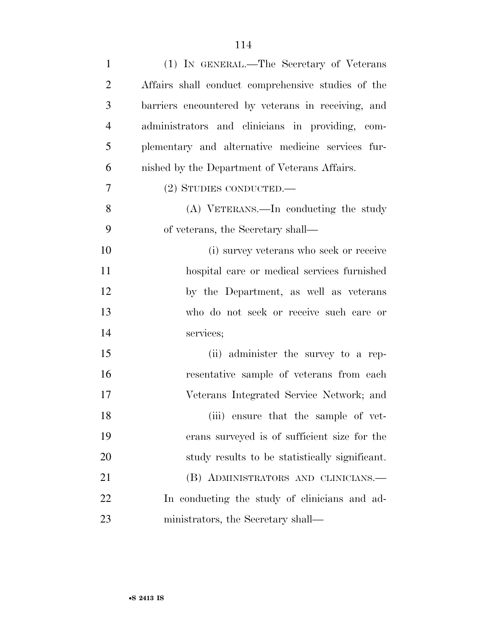| $\mathbf{1}$   | (1) IN GENERAL.—The Secretary of Veterans          |
|----------------|----------------------------------------------------|
| $\overline{2}$ | Affairs shall conduct comprehensive studies of the |
| 3              | barriers encountered by veterans in receiving, and |
| $\overline{4}$ | administrators and clinicians in providing, com-   |
| 5              | plementary and alternative medicine services fur-  |
| 6              | nished by the Department of Veterans Affairs.      |
| $\overline{7}$ | (2) STUDIES CONDUCTED.—                            |
| 8              | (A) VETERANS.—In conducting the study              |
| 9              | of veterans, the Secretary shall—                  |
| 10             | (i) survey veterans who seek or receive            |
| 11             | hospital care or medical services furnished        |
| 12             | by the Department, as well as veterans             |
| 13             | who do not seek or receive such care or            |
| 14             | services;                                          |
| 15             | (ii) administer the survey to a rep-               |
| 16             | resentative sample of veterans from each           |
| 17             | Veterans Integrated Service Network; and           |
| 18             | (iii) ensure that the sample of vet-               |
| 19             | erans surveyed is of sufficient size for the       |
| 20             | study results to be statistically significant.     |
| 21             | (B) ADMINISTRATORS AND CLINICIANS.—                |
| 22             | In conducting the study of clinicians and ad-      |
| 23             | ministrators, the Secretary shall—                 |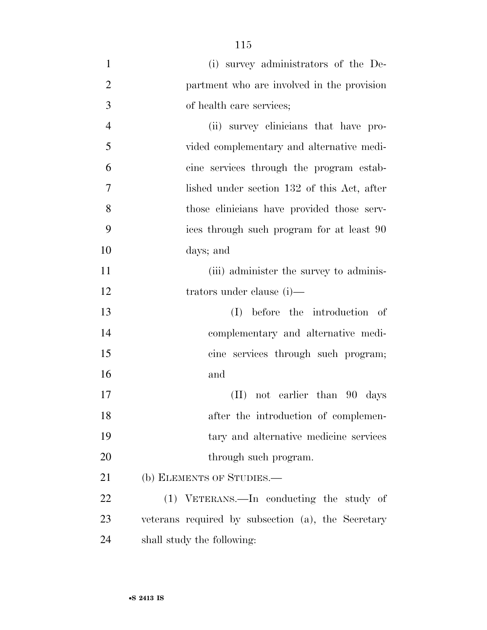| $\mathbf{1}$   | (i) survey administrators of the De-               |
|----------------|----------------------------------------------------|
| $\overline{2}$ | partment who are involved in the provision         |
| 3              | of health care services;                           |
| $\overline{4}$ | (ii) survey clinicians that have pro-              |
| 5              | vided complementary and alternative medi-          |
| 6              | cine services through the program estab-           |
| 7              | lished under section 132 of this Act, after        |
| 8              | those clinicians have provided those serv-         |
| 9              | ices through such program for at least 90          |
| 10             | days; and                                          |
| 11             | (iii) administer the survey to adminis-            |
| 12             | trators under clause $(i)$ —                       |
| 13             | before the introduction of<br>(I)                  |
| 14             | complementary and alternative medi-                |
| 15             | cine services through such program;                |
| 16             | and                                                |
| 17             | (II) not earlier than 90 days                      |
| 18             | after the introduction of complemen-               |
| 19             | tary and alternative medicine services             |
| 20             | through such program.                              |
| 21             | (b) ELEMENTS OF STUDIES.—                          |
| 22             | (1) VETERANS.—In conducting the study of           |
| 23             | veterans required by subsection (a), the Secretary |
| 24             | shall study the following:                         |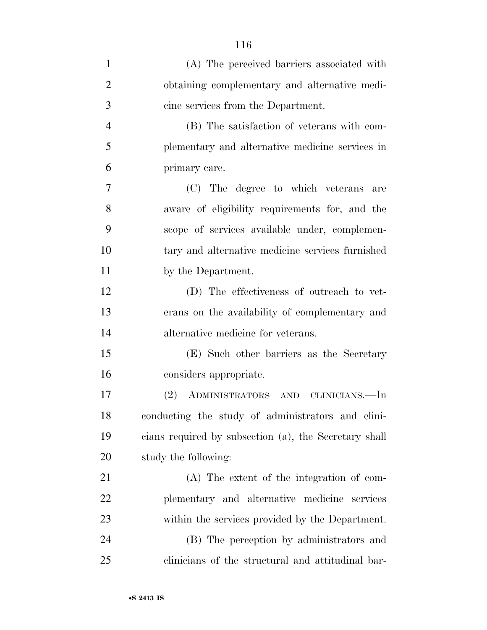| $\mathbf{1}$   | (A) The perceived barriers associated with            |
|----------------|-------------------------------------------------------|
| $\overline{2}$ | obtaining complementary and alternative medi-         |
| 3              | cine services from the Department.                    |
| $\overline{4}$ | (B) The satisfaction of veterans with com-            |
| 5              | plementary and alternative medicine services in       |
| 6              | primary care.                                         |
| 7              | (C) The degree to which veterans<br>are               |
| 8              | aware of eligibility requirements for, and the        |
| 9              | scope of services available under, complemen-         |
| 10             | tary and alternative medicine services furnished      |
| 11             | by the Department.                                    |
| 12             | (D) The effectiveness of outreach to vet-             |
| 13             | erans on the availability of complementary and        |
| 14             | alternative medicine for veterans.                    |
| 15             | (E) Such other barriers as the Secretary              |
| 16             | considers appropriate.                                |
| 17             | ADMINISTRATORS AND CLINICIANS.—In<br>(2)              |
| 18             | conducting the study of administrators and clini-     |
| 19             | cians required by subsection (a), the Secretary shall |
| 20             | study the following:                                  |
| 21             | (A) The extent of the integration of com-             |
| 22             | plementary and alternative medicine<br>services       |
| 23             | within the services provided by the Department.       |
| 24             | (B) The perception by administrators and              |
| 25             | clinicians of the structural and attitudinal bar-     |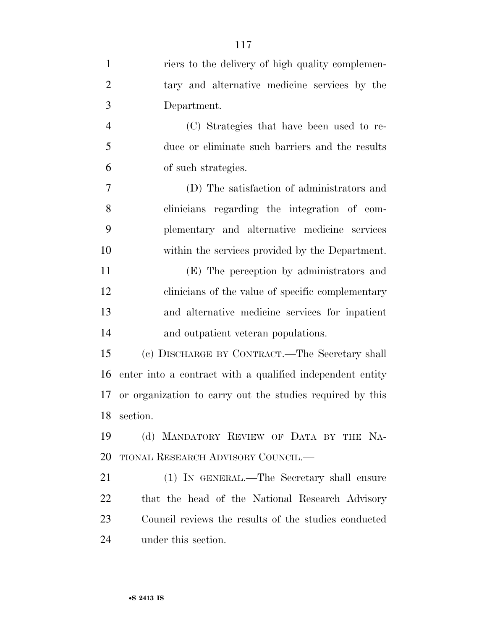| $\mathbf{1}$   | riers to the delivery of high quality complemen-          |
|----------------|-----------------------------------------------------------|
| $\overline{2}$ | tary and alternative medicine services by the             |
| 3              | Department.                                               |
| $\overline{4}$ | (C) Strategies that have been used to re-                 |
| 5              | duce or eliminate such barriers and the results           |
| 6              | of such strategies.                                       |
| 7              | (D) The satisfaction of administrators and                |
| 8              | clinicians regarding the integration of com-              |
| 9              | plementary and alternative medicine services              |
| 10             | within the services provided by the Department.           |
| 11             | (E) The perception by administrators and                  |
| 12             | clinicians of the value of specific complementary         |
| 13             | and alternative medicine services for inpatient           |
| 14             | and outpatient veteran populations.                       |
| 15             | (c) DISCHARGE BY CONTRACT.—The Secretary shall            |
| 16             | enter into a contract with a qualified independent entity |
| 17             | or organization to carry out the studies required by this |
|                | 18 section.                                               |
| 19             | (d) MANDATORY REVIEW OF DATA BY THE NA-                   |
| 20             | TIONAL RESEARCH ADVISORY COUNCIL.—                        |
| 21             | (1) IN GENERAL.—The Secretary shall ensure                |
| 22             | that the head of the National Research Advisory           |
| 23             | Council reviews the results of the studies conducted      |
| 24             | under this section.                                       |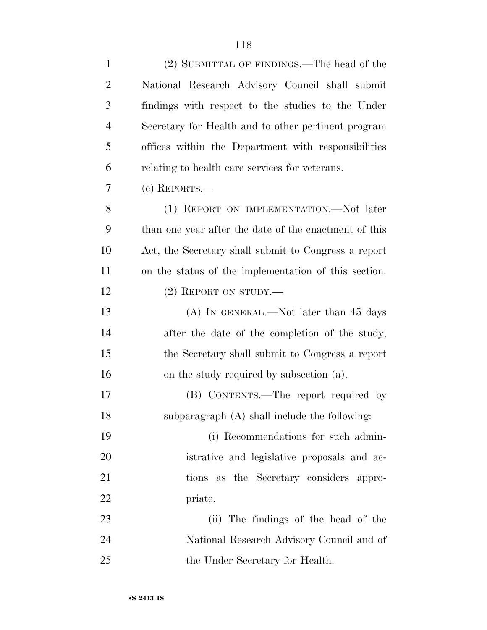| $\mathbf{1}$   | (2) SUBMITTAL OF FINDINGS.—The head of the            |
|----------------|-------------------------------------------------------|
| $\overline{2}$ | National Research Advisory Council shall submit       |
| 3              | findings with respect to the studies to the Under     |
| $\overline{4}$ | Secretary for Health and to other pertinent program   |
| 5              | offices within the Department with responsibilities   |
| 6              | relating to health care services for veterans.        |
| 7              | $(e)$ REPORTS.—                                       |
| 8              | (1) REPORT ON IMPLEMENTATION.—Not later               |
| 9              | than one year after the date of the enactment of this |
| 10             | Act, the Secretary shall submit to Congress a report  |
| 11             | on the status of the implementation of this section.  |
| 12             | $(2)$ REPORT ON STUDY.—                               |
| 13             | (A) IN GENERAL.—Not later than 45 days                |
| 14             | after the date of the completion of the study,        |
| 15             | the Secretary shall submit to Congress a report       |
| 16             | on the study required by subsection (a).              |
| 17             | (B) CONTENTS.—The report required by                  |
| 18             | subparagraph (A) shall include the following:         |
| 19             | (i) Recommendations for such admin-                   |
| <b>20</b>      | istrative and legislative proposals and ac-           |
| 21             | tions as the Secretary considers appro-               |
| 22             | priate.                                               |
| 23             | (ii) The findings of the head of the                  |
| 24             | National Research Advisory Council and of             |
| 25             | the Under Secretary for Health.                       |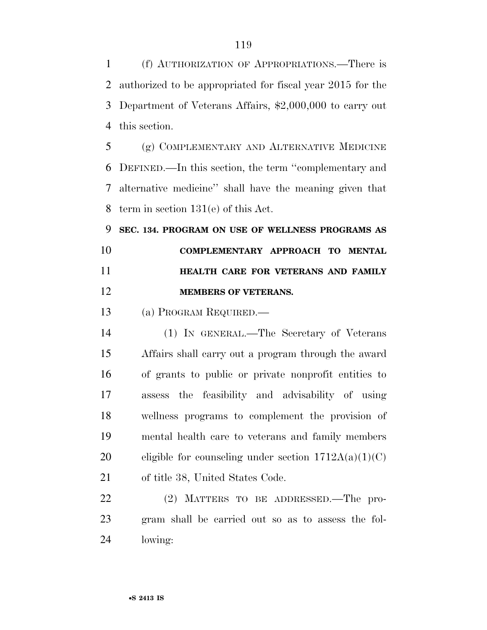(f) AUTHORIZATION OF APPROPRIATIONS.—There is authorized to be appropriated for fiscal year 2015 for the Department of Veterans Affairs, \$2,000,000 to carry out this section.

 (g) COMPLEMENTARY AND ALTERNATIVE MEDICINE DEFINED.—In this section, the term ''complementary and alternative medicine'' shall have the meaning given that term in section 131(e) of this Act.

 **SEC. 134. PROGRAM ON USE OF WELLNESS PROGRAMS AS COMPLEMENTARY APPROACH TO MENTAL HEALTH CARE FOR VETERANS AND FAMILY MEMBERS OF VETERANS.** 

(a) PROGRAM REQUIRED.—

 (1) IN GENERAL.—The Secretary of Veterans Affairs shall carry out a program through the award of grants to public or private nonprofit entities to assess the feasibility and advisability of using wellness programs to complement the provision of mental health care to veterans and family members 20 eligible for counseling under section  $1712A(a)(1)(C)$ of title 38, United States Code.

 (2) MATTERS TO BE ADDRESSED.—The pro- gram shall be carried out so as to assess the fol-lowing: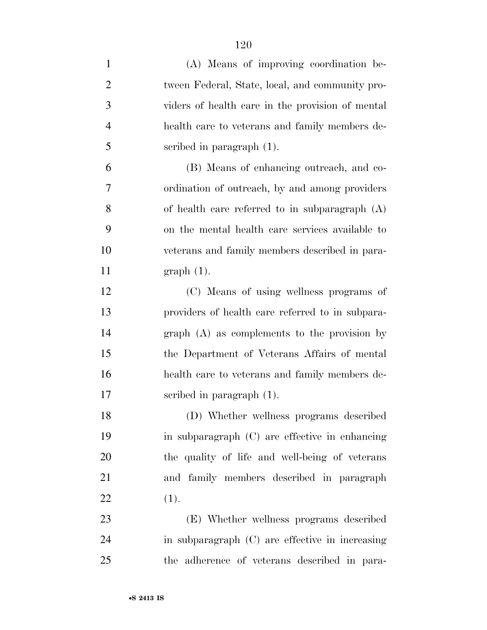| $\mathbf{1}$   | (A) Means of improving coordination be-          |
|----------------|--------------------------------------------------|
| $\overline{2}$ | tween Federal, State, local, and community pro-  |
| 3              | viders of health care in the provision of mental |
| $\overline{4}$ | health care to veterans and family members de-   |
| 5              | scribed in paragraph $(1)$ .                     |
| 6              | (B) Means of enhancing outreach, and co-         |
| 7              | ordination of outreach, by and among providers   |
| 8              | of health care referred to in subparagraph $(A)$ |
| 9              | on the mental health care services available to  |
| 10             | veterans and family members described in para-   |
| 11             | $graph(1)$ .                                     |
| 12             | (C) Means of using wellness programs of          |
| 13             | providers of health care referred to in subpara- |
| 14             | $graph(A)$ as complements to the provision by    |
| 15             | the Department of Veterans Affairs of mental     |
| 16             | health care to veterans and family members de-   |
| 17             | scribed in paragraph $(1)$ .                     |
| 18             | (D) Whether wellness programs described          |
| 19             | in subparagraph (C) are effective in enhancing   |
| 20             | the quality of life and well-being of veterans   |
| 21             | and family members described in paragraph        |
| 22             | (1).                                             |
| 23             | (E) Whether wellness programs described          |
| 24             | in subparagraph (C) are effective in increasing  |
| 25             | the adherence of veterans described in para-     |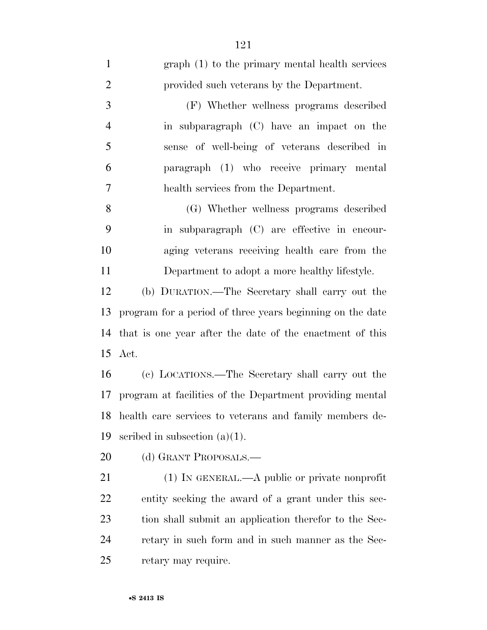| $\mathbf{1}$   | graph (1) to the primary mental health services           |
|----------------|-----------------------------------------------------------|
| $\overline{2}$ | provided such veterans by the Department.                 |
| 3              | (F) Whether wellness programs described                   |
| $\overline{4}$ | in subparagraph (C) have an impact on the                 |
| 5              | sense of well-being of veterans described in              |
| 6              | paragraph (1) who receive primary mental                  |
| 7              | health services from the Department.                      |
| 8              | (G) Whether wellness programs described                   |
| 9              | in subparagraph (C) are effective in encour-              |
| 10             | aging veterans receiving health care from the             |
| 11             | Department to adopt a more healthy lifestyle.             |
| 12             | (b) DURATION.—The Secretary shall carry out the           |
| 13             | program for a period of three years beginning on the date |
| 14             | that is one year after the date of the enactment of this  |
|                | 15 Act.                                                   |
| 16             | (c) LOCATIONS.—The Secretary shall carry out the          |
| 17             | program at facilities of the Department providing mental  |
| 18             | health care services to veterans and family members de-   |
| 19             | scribed in subsection $(a)(1)$ .                          |
| 20             | (d) GRANT PROPOSALS.—                                     |
| 21             | $(1)$ In GENERAL.—A public or private nonprofit           |
| 22             | entity seeking the award of a grant under this sec-       |
| 23             | tion shall submit an application therefor to the Sec-     |
| 24             | retary in such form and in such manner as the Sec-        |
| 25             | retary may require.                                       |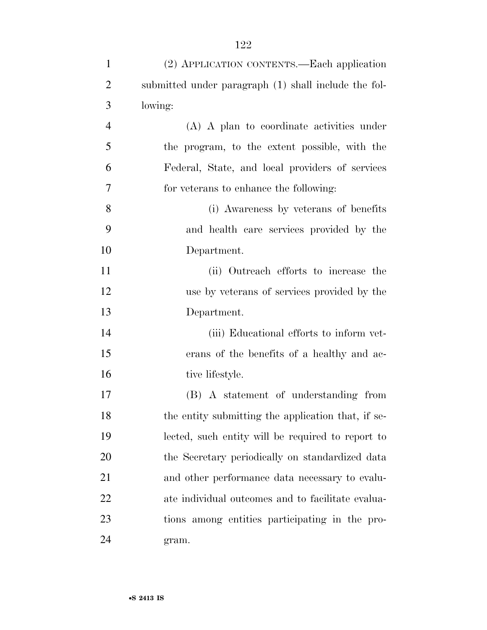| $\mathbf{1}$   | (2) APPLICATION CONTENTS.—Each application           |
|----------------|------------------------------------------------------|
| $\overline{2}$ | submitted under paragraph (1) shall include the fol- |
| 3              | lowing:                                              |
| $\overline{4}$ | (A) A plan to coordinate activities under            |
| 5              | the program, to the extent possible, with the        |
| 6              | Federal, State, and local providers of services      |
| 7              | for veterans to enhance the following:               |
| 8              | (i) Awareness by veterans of benefits                |
| 9              | and health care services provided by the             |
| 10             | Department.                                          |
| 11             | (ii) Outreach efforts to increase the                |
| 12             | use by veterans of services provided by the          |
| 13             | Department.                                          |
| 14             | (iii) Educational efforts to inform vet-             |
| 15             | erans of the benefits of a healthy and ac-           |
| 16             | tive lifestyle.                                      |
| 17             | (B) A statement of understanding from                |
| 18             | the entity submitting the application that, if se-   |
| 19             | lected, such entity will be required to report to    |
| 20             | the Secretary periodically on standardized data      |
| 21             | and other performance data necessary to evalu-       |
| 22             | ate individual outcomes and to facilitate evalua-    |
| 23             | tions among entities participating in the pro-       |
| 24             | gram.                                                |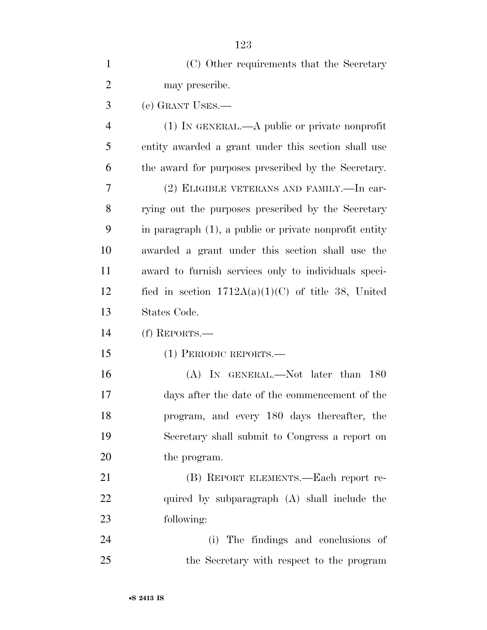| $\mathbf{1}$   | (C) Other requirements that the Secretary              |
|----------------|--------------------------------------------------------|
| $\overline{2}$ | may prescribe.                                         |
| 3              | (e) GRANT USES.—                                       |
| $\overline{4}$ | $(1)$ In GENERAL.—A public or private nonprofit        |
| 5              | entity awarded a grant under this section shall use    |
| 6              | the award for purposes prescribed by the Secretary.    |
| 7              | (2) ELIGIBLE VETERANS AND FAMILY. - In car-            |
| 8              | rying out the purposes prescribed by the Secretary     |
| 9              | in paragraph (1), a public or private nonprofit entity |
| 10             | awarded a grant under this section shall use the       |
| 11             | award to furnish services only to individuals speci-   |
| 12             | fied in section $1712A(a)(1)(C)$ of title 38, United   |
| 13             | States Code.                                           |
| 14             | $(f)$ REPORTS.—                                        |
| 15             | (1) PERIODIC REPORTS.—                                 |
| 16             | (A) IN GENERAL.—Not later than 180                     |
| 17             | days after the date of the commencement of the         |
| 18             | program, and every 180 days thereafter, the            |
| 19             | Secretary shall submit to Congress a report on         |
| 20             | the program.                                           |
| 21             | (B) REPORT ELEMENTS.—Each report re-                   |
| 22             | quired by subparagraph (A) shall include the           |
| 23             | following:                                             |
| 24             | (i) The findings and conclusions of                    |
| 25             | the Secretary with respect to the program              |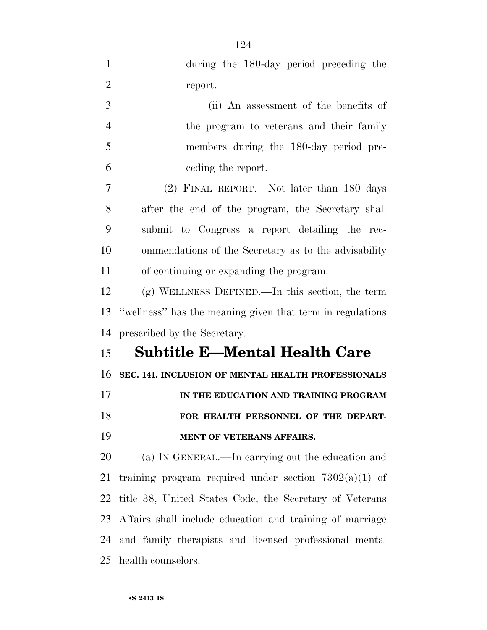| $\mathbf{1}$   | during the 180-day period preceding the                   |
|----------------|-----------------------------------------------------------|
| $\overline{2}$ | report.                                                   |
| 3              | (ii) An assessment of the benefits of                     |
| $\overline{4}$ | the program to veterans and their family                  |
| 5              | members during the 180-day period pre-                    |
| 6              | eeding the report.                                        |
| 7              | (2) FINAL REPORT.—Not later than 180 days                 |
| 8              | after the end of the program, the Secretary shall         |
| 9              | submit to Congress a report detailing the rec-            |
| 10             | ommendations of the Secretary as to the advisability      |
| 11             | of continuing or expanding the program.                   |
| 12             | $(g)$ WELLNESS DEFINED.—In this section, the term         |
| 13             | "wellness" has the meaning given that term in regulations |
| 14             | prescribed by the Secretary.                              |
| 15             | <b>Subtitle E-Mental Health Care</b>                      |
| 16             | SEC. 141. INCLUSION OF MENTAL HEALTH PROFESSIONALS        |
| 17             | IN THE EDUCATION AND TRAINING PROGRAM                     |
| 18             | FOR HEALTH PERSONNEL OF THE DEPART-                       |
| 19             | MENT OF VETERANS AFFAIRS.                                 |
| 20             | (a) IN GENERAL.—In carrying out the education and         |
| 21             | training program required under section $7302(a)(1)$ of   |
| 22             | title 38, United States Code, the Secretary of Veterans   |
| 23             | Affairs shall include education and training of marriage  |
| 24             | and family therapists and licensed professional mental    |
|                |                                                           |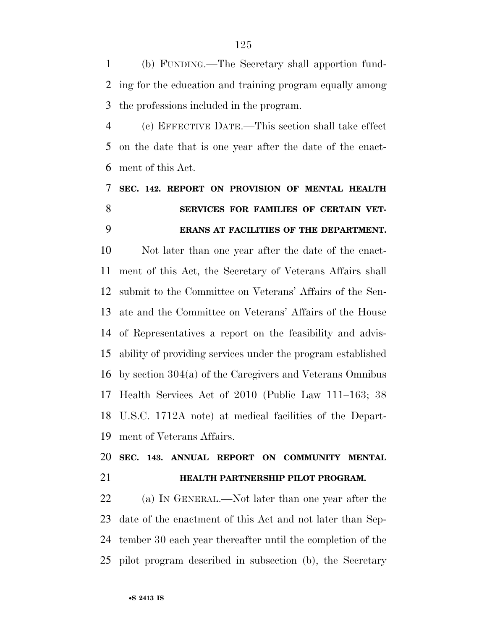(b) FUNDING.—The Secretary shall apportion fund- ing for the education and training program equally among the professions included in the program.

 (c) EFFECTIVE DATE.—This section shall take effect on the date that is one year after the date of the enact-ment of this Act.

## **SEC. 142. REPORT ON PROVISION OF MENTAL HEALTH SERVICES FOR FAMILIES OF CERTAIN VET-ERANS AT FACILITIES OF THE DEPARTMENT.**

 Not later than one year after the date of the enact- ment of this Act, the Secretary of Veterans Affairs shall submit to the Committee on Veterans' Affairs of the Sen- ate and the Committee on Veterans' Affairs of the House of Representatives a report on the feasibility and advis- ability of providing services under the program established by section 304(a) of the Caregivers and Veterans Omnibus Health Services Act of 2010 (Public Law 111–163; 38 U.S.C. 1712A note) at medical facilities of the Depart-ment of Veterans Affairs.

## **SEC. 143. ANNUAL REPORT ON COMMUNITY MENTAL HEALTH PARTNERSHIP PILOT PROGRAM.**

 (a) IN GENERAL.—Not later than one year after the date of the enactment of this Act and not later than Sep- tember 30 each year thereafter until the completion of the pilot program described in subsection (b), the Secretary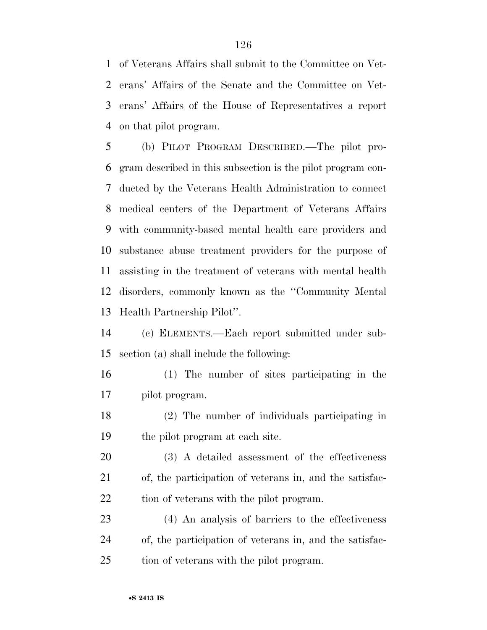of Veterans Affairs shall submit to the Committee on Vet- erans' Affairs of the Senate and the Committee on Vet- erans' Affairs of the House of Representatives a report on that pilot program.

 (b) PILOT PROGRAM DESCRIBED.—The pilot pro- gram described in this subsection is the pilot program con- ducted by the Veterans Health Administration to connect medical centers of the Department of Veterans Affairs with community-based mental health care providers and substance abuse treatment providers for the purpose of assisting in the treatment of veterans with mental health disorders, commonly known as the ''Community Mental Health Partnership Pilot''.

 (c) ELEMENTS.—Each report submitted under sub-section (a) shall include the following:

- (1) The number of sites participating in the pilot program.
- (2) The number of individuals participating in the pilot program at each site.

 (3) A detailed assessment of the effectiveness of, the participation of veterans in, and the satisfac-22 tion of veterans with the pilot program.

 (4) An analysis of barriers to the effectiveness of, the participation of veterans in, and the satisfac-tion of veterans with the pilot program.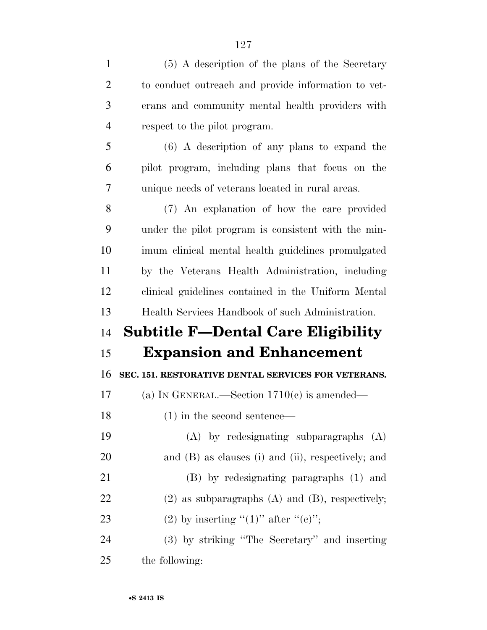| $\mathbf{1}$   | (5) A description of the plans of the Secretary           |
|----------------|-----------------------------------------------------------|
| $\overline{2}$ | to conduct outreach and provide information to vet-       |
| 3              | erans and community mental health providers with          |
| $\overline{4}$ | respect to the pilot program.                             |
| 5              | $(6)$ A description of any plans to expand the            |
| 6              | pilot program, including plans that focus on the          |
| $\overline{7}$ | unique needs of veterans located in rural areas.          |
| 8              | (7) An explanation of how the care provided               |
| 9              | under the pilot program is consistent with the min-       |
| 10             | imum clinical mental health guidelines promulgated        |
| 11             | by the Veterans Health Administration, including          |
| 12             | clinical guidelines contained in the Uniform Mental       |
|                |                                                           |
| 13             | Health Services Handbook of such Administration.          |
| 14             | <b>Subtitle F-Dental Care Eligibility</b>                 |
| 15             | <b>Expansion and Enhancement</b>                          |
| 16             | SEC. 151. RESTORATIVE DENTAL SERVICES FOR VETERANS.       |
| 17             | (a) IN GENERAL.—Section $1710(c)$ is amended—             |
| 18             | $(1)$ in the second sentence—                             |
| 19             | (A) by redesignating subparagraphs (A)                    |
| 20             | and $(B)$ as clauses $(i)$ and $(ii)$ , respectively; and |
| 21             | (B) by redesignating paragraphs (1) and                   |
| 22             | $(2)$ as subparagraphs $(A)$ and $(B)$ , respectively;    |
| 23             | (2) by inserting " $(1)$ " after " $(e)$ ";               |

the following: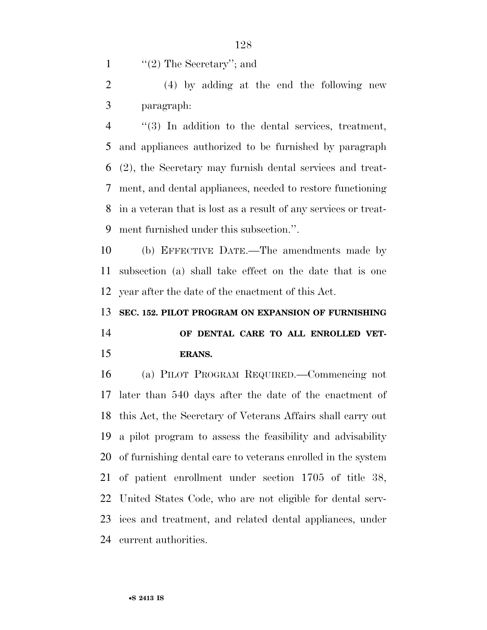1  $\frac{1}{2}$  The Secretary'; and

 (4) by adding at the end the following new paragraph:

 ''(3) In addition to the dental services, treatment, and appliances authorized to be furnished by paragraph (2), the Secretary may furnish dental services and treat- ment, and dental appliances, needed to restore functioning in a veteran that is lost as a result of any services or treat-ment furnished under this subsection.''.

 (b) EFFECTIVE DATE.—The amendments made by subsection (a) shall take effect on the date that is one year after the date of the enactment of this Act.

**SEC. 152. PILOT PROGRAM ON EXPANSION OF FURNISHING** 

 **OF DENTAL CARE TO ALL ENROLLED VET-ERANS.** 

 (a) PILOT PROGRAM REQUIRED.—Commencing not later than 540 days after the date of the enactment of this Act, the Secretary of Veterans Affairs shall carry out a pilot program to assess the feasibility and advisability of furnishing dental care to veterans enrolled in the system of patient enrollment under section 1705 of title 38, United States Code, who are not eligible for dental serv- ices and treatment, and related dental appliances, under current authorities.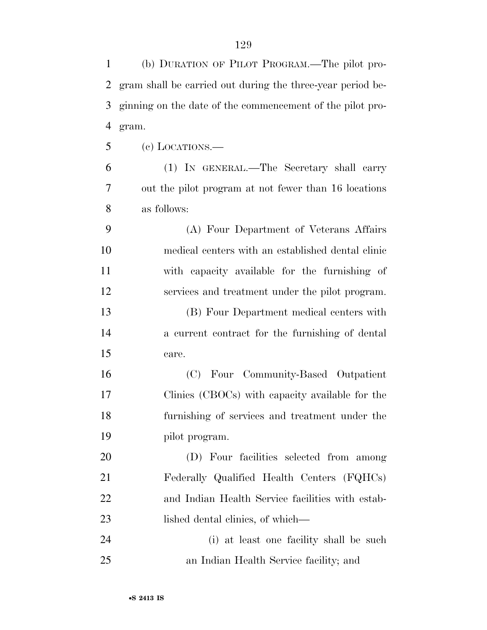(b) DURATION OF PILOT PROGRAM.—The pilot pro- gram shall be carried out during the three-year period be- ginning on the date of the commencement of the pilot pro- gram. (c) LOCATIONS.— (1) IN GENERAL.—The Secretary shall carry out the pilot program at not fewer than 16 locations as follows: (A) Four Department of Veterans Affairs medical centers with an established dental clinic with capacity available for the furnishing of services and treatment under the pilot program. (B) Four Department medical centers with a current contract for the furnishing of dental care. (C) Four Community-Based Outpatient Clinics (CBOCs) with capacity available for the furnishing of services and treatment under the pilot program. (D) Four facilities selected from among Federally Qualified Health Centers (FQHCs) and Indian Health Service facilities with estab-23 lished dental clinics, of which— (i) at least one facility shall be such an Indian Health Service facility; and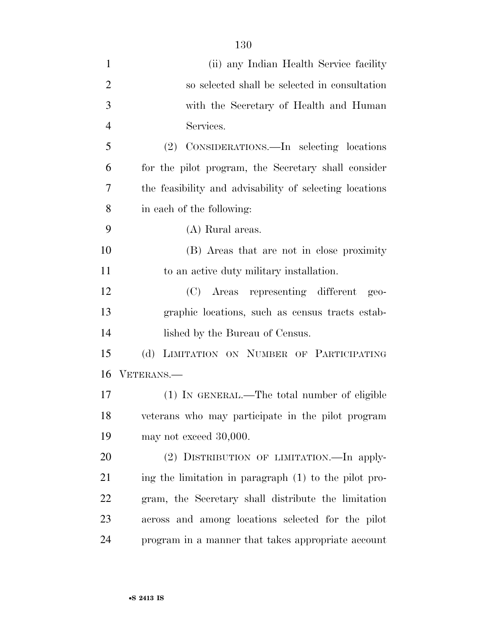| $\mathbf{1}$   | (ii) any Indian Health Service facility                 |
|----------------|---------------------------------------------------------|
| $\overline{2}$ | so selected shall be selected in consultation           |
| 3              | with the Secretary of Health and Human                  |
| $\overline{4}$ | Services.                                               |
| 5              | CONSIDERATIONS.—In selecting locations<br>(2)           |
| 6              | for the pilot program, the Secretary shall consider     |
| 7              | the feasibility and advisability of selecting locations |
| 8              | in each of the following:                               |
| 9              | (A) Rural areas.                                        |
| 10             | (B) Areas that are not in close proximity               |
| 11             | to an active duty military installation.                |
| 12             | (C) Areas representing different<br>$geo-$              |
| 13             | graphic locations, such as census tracts estab-         |
| 14             | lished by the Bureau of Census.                         |
| 15             | LIMITATION ON NUMBER OF PARTICIPATING<br>(d)            |
| 16             | VETERANS.—                                              |
| 17             | (1) IN GENERAL.—The total number of eligible            |
| 18             | veterans who may participate in the pilot program       |
| 19             | may not exceed 30,000.                                  |
| 20             | (2) DISTRIBUTION OF LIMITATION. In apply-               |
| 21             | ing the limitation in paragraph (1) to the pilot pro-   |
| 22             | gram, the Secretary shall distribute the limitation     |
| 23             | across and among locations selected for the pilot       |
| 24             | program in a manner that takes appropriate account      |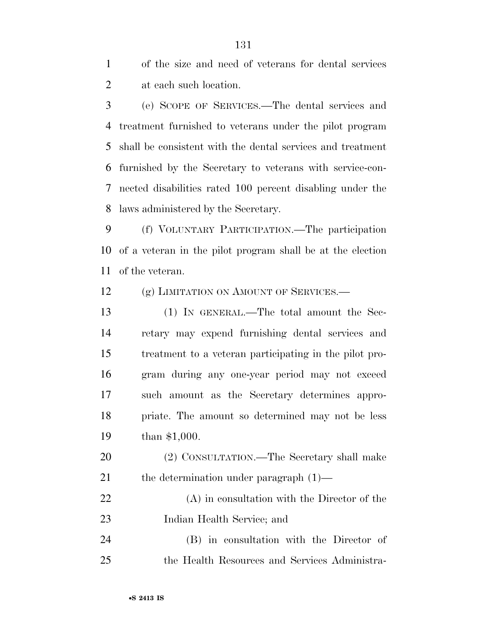of the size and need of veterans for dental services at each such location.

 (e) SCOPE OF SERVICES.—The dental services and treatment furnished to veterans under the pilot program shall be consistent with the dental services and treatment furnished by the Secretary to veterans with service-con- nected disabilities rated 100 percent disabling under the laws administered by the Secretary.

 (f) VOLUNTARY PARTICIPATION.—The participation of a veteran in the pilot program shall be at the election of the veteran.

12 (g) LIMITATION ON AMOUNT OF SERVICES.—

 (1) IN GENERAL.—The total amount the Sec- retary may expend furnishing dental services and treatment to a veteran participating in the pilot pro- gram during any one-year period may not exceed such amount as the Secretary determines appro- priate. The amount so determined may not be less than \$1,000.

 (2) CONSULTATION.—The Secretary shall make 21 the determination under paragraph  $(1)$ —

 (A) in consultation with the Director of the Indian Health Service; and

 (B) in consultation with the Director of the Health Resources and Services Administra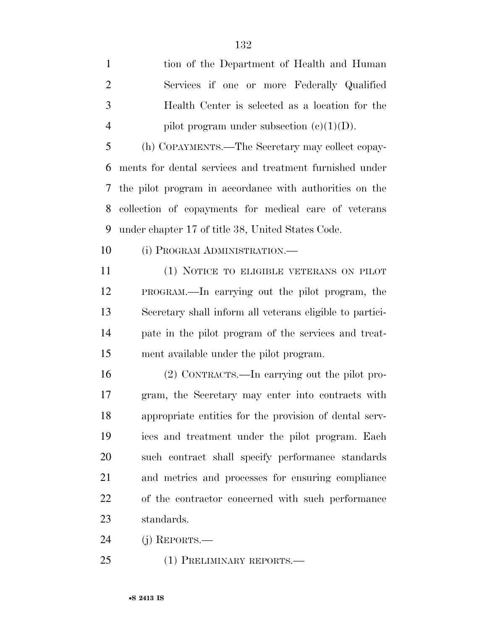tion of the Department of Health and Human Services if one or more Federally Qualified Health Center is selected as a location for the 4 pilot program under subsection  $(c)(1)(D)$ .

 (h) COPAYMENTS.—The Secretary may collect copay- ments for dental services and treatment furnished under the pilot program in accordance with authorities on the collection of copayments for medical care of veterans under chapter 17 of title 38, United States Code.

10 (i) PROGRAM ADMINISTRATION.—

 (1) NOTICE TO ELIGIBLE VETERANS ON PILOT PROGRAM.—In carrying out the pilot program, the Secretary shall inform all veterans eligible to partici- pate in the pilot program of the services and treat-ment available under the pilot program.

 (2) CONTRACTS.—In carrying out the pilot pro- gram, the Secretary may enter into contracts with appropriate entities for the provision of dental serv- ices and treatment under the pilot program. Each such contract shall specify performance standards and metrics and processes for ensuring compliance of the contractor concerned with such performance standards.

(j) REPORTS.—

(1) PRELIMINARY REPORTS.—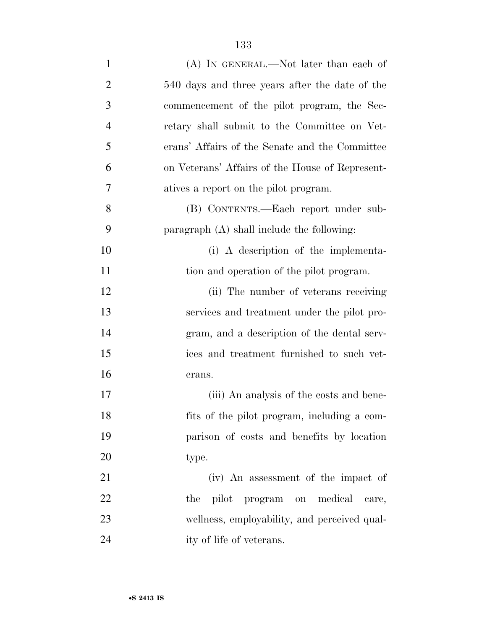| $\mathbf{1}$   | (A) IN GENERAL.—Not later than each of          |
|----------------|-------------------------------------------------|
| $\overline{2}$ | 540 days and three years after the date of the  |
| 3              | commencement of the pilot program, the Sec-     |
| $\overline{4}$ | retary shall submit to the Committee on Vet-    |
| 5              | erans' Affairs of the Senate and the Committee  |
| 6              | on Veterans' Affairs of the House of Represent- |
| 7              | atives a report on the pilot program.           |
| 8              | (B) CONTENTS.—Each report under sub-            |
| 9              | paragraph $(A)$ shall include the following:    |
| 10             | (i) A description of the implementa-            |
| 11             | tion and operation of the pilot program.        |
| 12             | (ii) The number of veterans receiving           |
| 13             | services and treatment under the pilot pro-     |
| 14             | gram, and a description of the dental serv-     |
| 15             | ices and treatment furnished to such vet-       |
| 16             | erans.                                          |
| 17             | (iii) An analysis of the costs and bene-        |
| 18             | fits of the pilot program, including a com-     |
| 19             | parison of costs and benefits by location       |
| 20             | type.                                           |
| 21             | (iv) An assessment of the impact of             |
| 22             | pilot program on medical<br>the<br>care,        |
| 23             | wellness, employability, and perceived qual-    |
| 24             | ity of life of veterans.                        |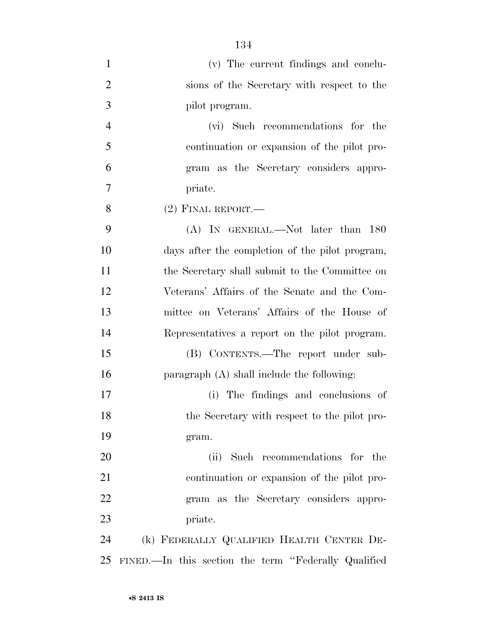| $\mathbf{1}$   | (v) The current findings and conclu-                 |
|----------------|------------------------------------------------------|
| $\overline{2}$ | sions of the Secretary with respect to the           |
| $\mathfrak{Z}$ | pilot program.                                       |
| $\overline{4}$ | (vi) Such recommendations for the                    |
| 5              | continuation or expansion of the pilot pro-          |
| 6              | gram as the Secretary considers appro-               |
| 7              | priate.                                              |
| 8              | $(2)$ FINAL REPORT.—                                 |
| 9              | (A) IN GENERAL.—Not later than 180                   |
| 10             | days after the completion of the pilot program,      |
| 11             | the Secretary shall submit to the Committee on       |
| 12             | Veterans' Affairs of the Senate and the Com-         |
| 13             | mittee on Veterans' Affairs of the House of          |
| 14             | Representatives a report on the pilot program.       |
| 15             | (B) CONTENTS.—The report under sub-                  |
| 16             | paragraph (A) shall include the following:           |
| 17             | (i) The findings and conclusions of                  |
| 18             | the Secretary with respect to the pilot pro-         |
| 19             | gram.                                                |
| 20             | (ii) Such recommendations for the                    |
| 21             | continuation or expansion of the pilot pro-          |
| 22             | gram as the Secretary considers appro-               |
| 23             | priate.                                              |
| 24             | (k) FEDERALLY QUALIFIED HEALTH CENTER DE-            |
| 25             | FINED.—In this section the term "Federally Qualified |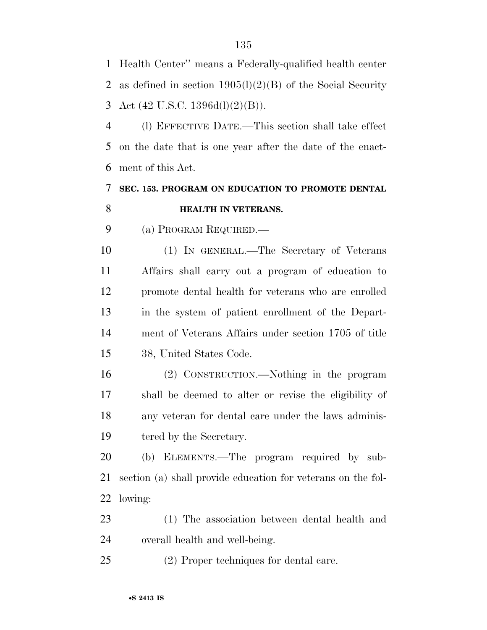Health Center'' means a Federally-qualified health center as defined in section 1905(l)(2)(B) of the Social Security Act (42 U.S.C. 1396d(l)(2)(B)).

 (l) EFFECTIVE DATE.—This section shall take effect on the date that is one year after the date of the enact-ment of this Act.

### **SEC. 153. PROGRAM ON EDUCATION TO PROMOTE DENTAL HEALTH IN VETERANS.**

(a) PROGRAM REQUIRED.—

 (1) IN GENERAL.—The Secretary of Veterans Affairs shall carry out a program of education to promote dental health for veterans who are enrolled in the system of patient enrollment of the Depart- ment of Veterans Affairs under section 1705 of title 38, United States Code.

 (2) CONSTRUCTION.—Nothing in the program shall be deemed to alter or revise the eligibility of any veteran for dental care under the laws adminis-19 tered by the Secretary.

 (b) ELEMENTS.—The program required by sub- section (a) shall provide education for veterans on the fol-lowing:

 (1) The association between dental health and overall health and well-being.

(2) Proper techniques for dental care.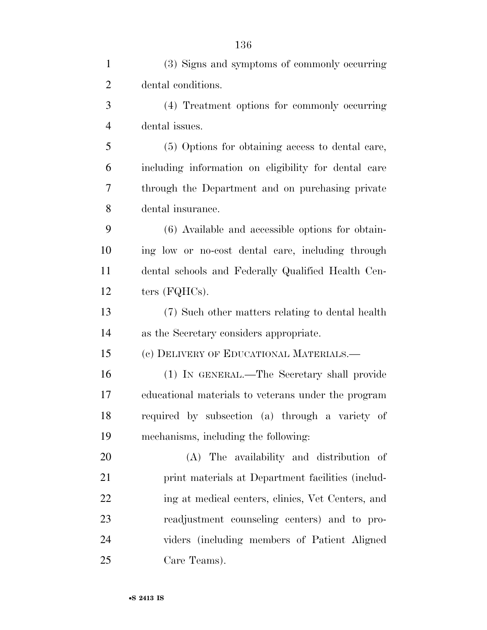| $\mathbf{1}$   | (3) Signs and symptoms of commonly occurring         |
|----------------|------------------------------------------------------|
| $\overline{2}$ | dental conditions.                                   |
| 3              | (4) Treatment options for commonly occurring         |
| $\overline{4}$ | dental issues.                                       |
| 5              | (5) Options for obtaining access to dental care,     |
| 6              | including information on eligibility for dental care |
| 7              | through the Department and on purchasing private     |
| 8              | dental insurance.                                    |
| 9              | (6) Available and accessible options for obtain-     |
| 10             | ing low or no-cost dental care, including through    |
| 11             | dental schools and Federally Qualified Health Cen-   |
| 12             | ters $(FQHCs)$ .                                     |
| 13             | (7) Such other matters relating to dental health     |
| 14             | as the Secretary considers appropriate.              |
| 15             | (c) DELIVERY OF EDUCATIONAL MATERIALS.-              |
| 16             | (1) IN GENERAL.—The Secretary shall provide          |
| 17             | educational materials to veterans under the program  |
| 18             | required by subsection (a) through a variety of      |
| 19             | mechanisms, including the following:                 |
| 20             | (A) The availability and distribution of             |
| 21             | print materials at Department facilities (includ-    |
| 22             | ing at medical centers, clinics, Vet Centers, and    |
| 23             | readjustment counseling centers) and to pro-         |
| 24             | viders (including members of Patient Aligned         |
| 25             | Care Teams).                                         |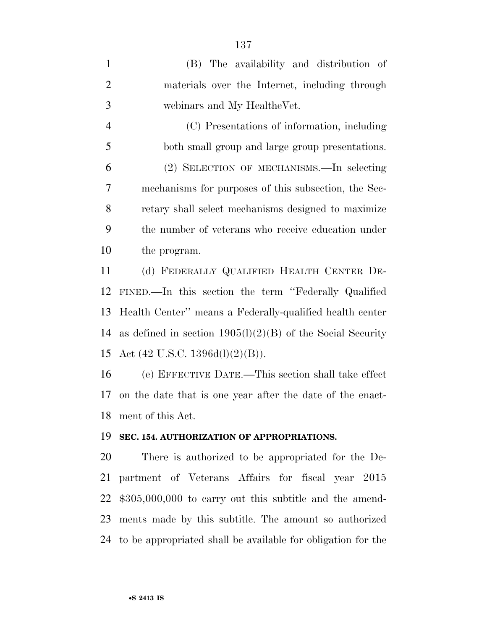(B) The availability and distribution of materials over the Internet, including through webinars and My HealtheVet. (C) Presentations of information, including both small group and large group presentations. (2) SELECTION OF MECHANISMS.—In selecting mechanisms for purposes of this subsection, the Sec- retary shall select mechanisms designed to maximize the number of veterans who receive education under the program. (d) FEDERALLY QUALIFIED HEALTH CENTER DE- FINED.—In this section the term ''Federally Qualified Health Center'' means a Federally-qualified health center as defined in section 1905(l)(2)(B) of the Social Security Act (42 U.S.C. 1396d(l)(2)(B)).

 (e) EFFECTIVE DATE.—This section shall take effect on the date that is one year after the date of the enact-ment of this Act.

#### **SEC. 154. AUTHORIZATION OF APPROPRIATIONS.**

 There is authorized to be appropriated for the De- partment of Veterans Affairs for fiscal year 2015 \$305,000,000 to carry out this subtitle and the amend- ments made by this subtitle. The amount so authorized to be appropriated shall be available for obligation for the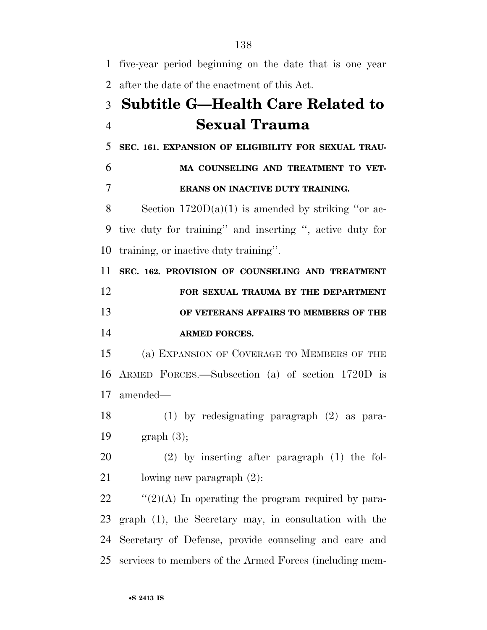| $\mathbf{1}$   | five-year period beginning on the date that is one year  |
|----------------|----------------------------------------------------------|
| $\overline{2}$ | after the date of the enactment of this Act.             |
| 3              | <b>Subtitle G—Health Care Related to</b>                 |
| $\overline{4}$ | <b>Sexual Trauma</b>                                     |
| 5              | SEC. 161. EXPANSION OF ELIGIBILITY FOR SEXUAL TRAU-      |
| 6              | MA COUNSELING AND TREATMENT TO VET-                      |
| $\overline{7}$ | ERANS ON INACTIVE DUTY TRAINING.                         |
| 8              | Section $1720D(a)(1)$ is amended by striking "or ac-     |
| 9              | tive duty for training" and inserting ", active duty for |
| 10             | training, or inactive duty training".                    |
| 11             | SEC. 162. PROVISION OF COUNSELING AND TREATMENT          |
| 12             | FOR SEXUAL TRAUMA BY THE DEPARTMENT                      |
| 13             | OF VETERANS AFFAIRS TO MEMBERS OF THE                    |
|                |                                                          |
|                | <b>ARMED FORCES.</b>                                     |
|                | (a) EXPANSION OF COVERAGE TO MEMBERS OF THE              |
| 14<br>15<br>16 | ARMED FORCES.—Subsection (a) of section 1720D is         |
|                | 17 amended—                                              |
|                | 18 (1) by redesignating paragraph (2) as para-           |
| 19             | graph(3);                                                |
| 20             | $(2)$ by inserting after paragraph $(1)$ the fol-        |
| 21             | lowing new paragraph $(2)$ :                             |
| 22             | " $(2)(A)$ In operating the program required by para-    |
| 23             | graph (1), the Secretary may, in consultation with the   |
| 24             | Secretary of Defense, provide counseling and care and    |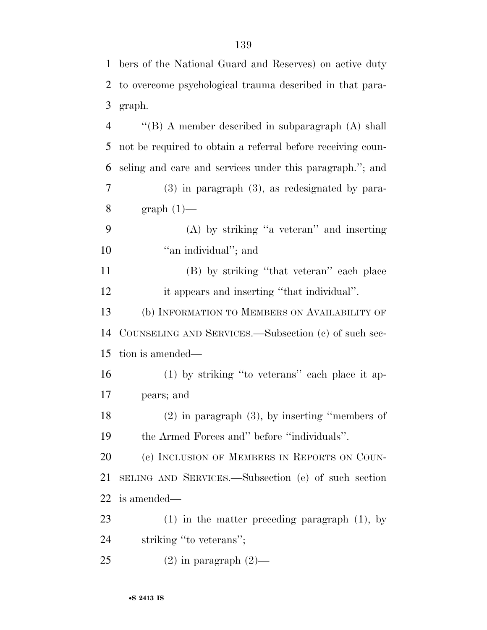bers of the National Guard and Reserves) on active duty

|                | 2 to overcome psychological trauma described in that para-  |
|----------------|-------------------------------------------------------------|
| 3              | graph.                                                      |
| $\overline{4}$ | "(B) A member described in subparagraph (A) shall           |
| 5              | not be required to obtain a referral before receiving coun- |
| 6              | seling and care and services under this paragraph."; and    |
| 7              | $(3)$ in paragraph $(3)$ , as redesignated by para-         |
| 8              | $graph(1)$ —                                                |
| 9              | $(A)$ by striking "a veteran" and inserting                 |
| 10             | "an individual"; and                                        |
| 11             | (B) by striking "that veteran" each place                   |
| 12             | it appears and inserting "that individual".                 |
| 13             | (b) INFORMATION TO MEMBERS ON AVAILABILITY OF               |
| 14             | COUNSELING AND SERVICES.—Subsection (c) of such sec-        |
| 15             | tion is amended—                                            |
| 16             | $(1)$ by striking "to veterans" each place it ap-           |
| 17             | pears; and                                                  |
| 18             | $(2)$ in paragraph $(3)$ , by inserting "members of         |
| 19             | the Armed Forces and" before "individuals".                 |
| 20             | (c) INCLUSION OF MEMBERS IN REPORTS ON COUN-                |
| 21             | SELING AND SERVICES.—Subsection (e) of such section         |
| 22             | is amended—                                                 |
| 23             | $(1)$ in the matter preceding paragraph $(1)$ , by          |
| 24             | striking "to veterans";                                     |
| 25             | $(2)$ in paragraph $(2)$ —                                  |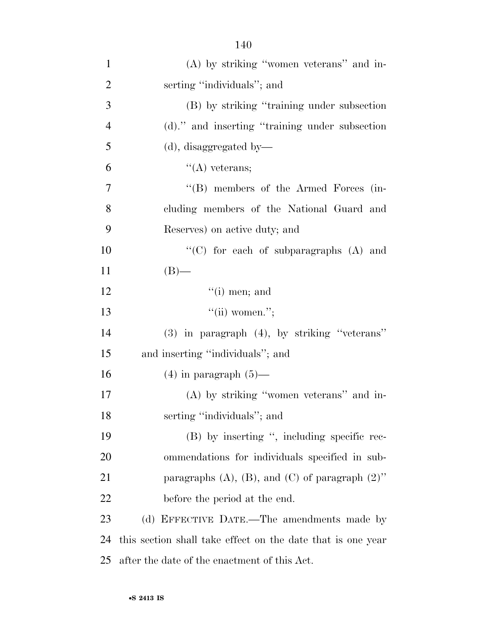| $\overline{2}$ | serting "individuals"; and                                  |
|----------------|-------------------------------------------------------------|
| 3              | (B) by striking "training under subsection                  |
| $\overline{4}$ | (d)." and inserting "training under subsection              |
| 5              | $(d)$ , disaggregated by-                                   |
| 6              | $\lq\lq$ veterans;                                          |
| $\tau$         | "(B) members of the Armed Forces (in-                       |
| 8              | cluding members of the National Guard and                   |
| 9              | Reserves) on active duty; and                               |
| 10             | "(C) for each of subparagraphs $(A)$ and                    |
| 11             | $(B)$ —                                                     |
| 12             | $``(i)$ men; and                                            |
| 13             | $``(ii)$ women.";                                           |
| 14             | $(3)$ in paragraph $(4)$ , by striking "veterans"           |
| 15             | and inserting "individuals"; and                            |
| 16             | $(4)$ in paragraph $(5)$ —                                  |
| 17             | $(A)$ by striking "women veterans" and in-                  |
| 18             | serting "individuals"; and                                  |
| 19             | (B) by inserting ", including specific rec-                 |
| 20             | ommendations for individuals specified in sub-              |
| 21             | paragraphs $(A)$ , $(B)$ , and $(C)$ of paragraph $(2)$ "   |
| 22             | before the period at the end.                               |
| 23             | (d) EFFECTIVE DATE.—The amendments made by                  |
| 24             | this section shall take effect on the date that is one year |

after the date of the enactment of this Act.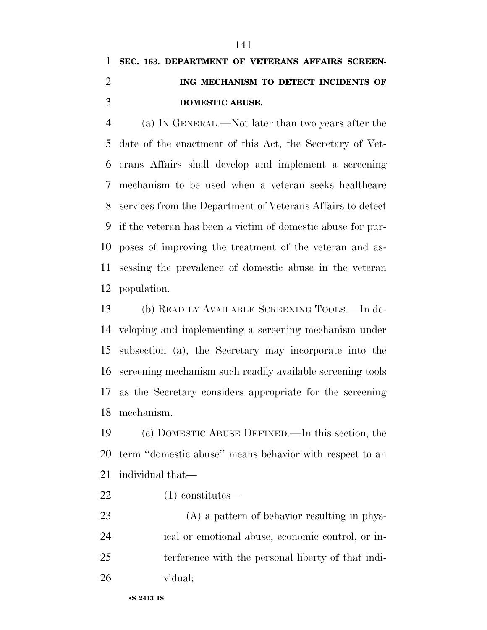# **SEC. 163. DEPARTMENT OF VETERANS AFFAIRS SCREEN- ING MECHANISM TO DETECT INCIDENTS OF DOMESTIC ABUSE.**

 (a) IN GENERAL.—Not later than two years after the date of the enactment of this Act, the Secretary of Vet- erans Affairs shall develop and implement a screening mechanism to be used when a veteran seeks healthcare services from the Department of Veterans Affairs to detect if the veteran has been a victim of domestic abuse for pur- poses of improving the treatment of the veteran and as- sessing the prevalence of domestic abuse in the veteran population.

 (b) READILY AVAILABLE SCREENING TOOLS.—In de- veloping and implementing a screening mechanism under subsection (a), the Secretary may incorporate into the screening mechanism such readily available screening tools as the Secretary considers appropriate for the screening mechanism.

 (c) DOMESTIC ABUSE DEFINED.—In this section, the term ''domestic abuse'' means behavior with respect to an individual that—

(1) constitutes—

 (A) a pattern of behavior resulting in phys- ical or emotional abuse, economic control, or in- terference with the personal liberty of that indi-vidual;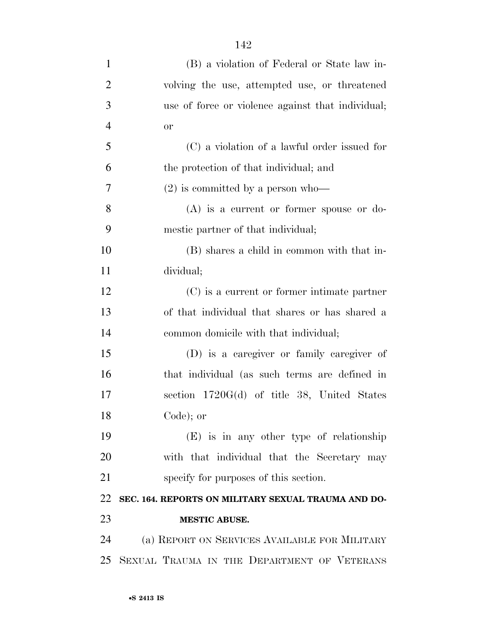| $\mathbf{1}$   | (B) a violation of Federal or State law in-         |
|----------------|-----------------------------------------------------|
| $\overline{2}$ | volving the use, attempted use, or threatened       |
| 3              | use of force or violence against that individual;   |
| $\overline{4}$ | <b>or</b>                                           |
| 5              | (C) a violation of a lawful order issued for        |
| 6              | the protection of that individual; and              |
| $\tau$         | $(2)$ is committed by a person who-                 |
| 8              | $(A)$ is a current or former spouse or do-          |
| 9              | mestic partner of that individual;                  |
| 10             | (B) shares a child in common with that in-          |
| 11             | dividual;                                           |
| 12             | $(C)$ is a current or former intimate partner       |
| 13             | of that individual that shares or has shared a      |
| 14             | common domicile with that individual;               |
| 15             | (D) is a caregiver or family caregiver of           |
| 16             | that individual (as such terms are defined in       |
| 17             | section $1720G(d)$ of title 38, United States       |
| 18             | Code); or                                           |
| 19             | $(E)$ is in any other type of relationship          |
| 20             | with that individual that the Secretary may         |
| 21             | specify for purposes of this section.               |
| 22             | SEC. 164. REPORTS ON MILITARY SEXUAL TRAUMA AND DO- |
| 23             | <b>MESTIC ABUSE.</b>                                |
| 24             | (a) REPORT ON SERVICES AVAILABLE FOR MILITARY       |
| 25             | SEXUAL TRAUMA IN THE DEPARTMENT OF VETERANS         |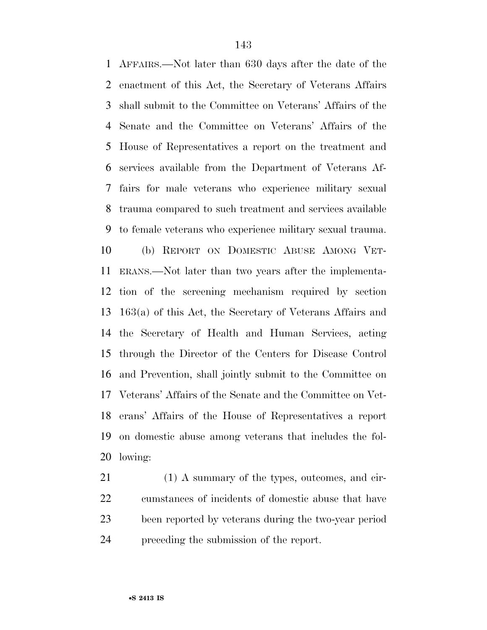AFFAIRS.—Not later than 630 days after the date of the enactment of this Act, the Secretary of Veterans Affairs shall submit to the Committee on Veterans' Affairs of the Senate and the Committee on Veterans' Affairs of the House of Representatives a report on the treatment and services available from the Department of Veterans Af- fairs for male veterans who experience military sexual trauma compared to such treatment and services available to female veterans who experience military sexual trauma. (b) REPORT ON DOMESTIC ABUSE AMONG VET- ERANS.—Not later than two years after the implementa- tion of the screening mechanism required by section 163(a) of this Act, the Secretary of Veterans Affairs and the Secretary of Health and Human Services, acting through the Director of the Centers for Disease Control and Prevention, shall jointly submit to the Committee on Veterans' Affairs of the Senate and the Committee on Vet- erans' Affairs of the House of Representatives a report on domestic abuse among veterans that includes the fol-lowing:

21 (1) A summary of the types, outcomes, and cir- cumstances of incidents of domestic abuse that have been reported by veterans during the two-year period preceding the submission of the report.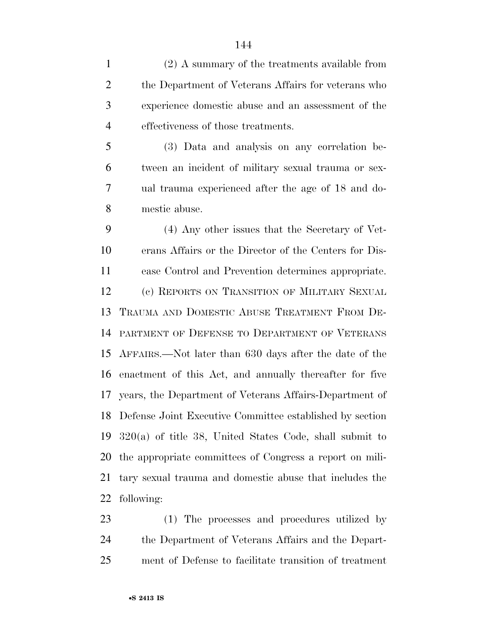(2) A summary of the treatments available from the Department of Veterans Affairs for veterans who experience domestic abuse and an assessment of the effectiveness of those treatments.

 (3) Data and analysis on any correlation be- tween an incident of military sexual trauma or sex- ual trauma experienced after the age of 18 and do-mestic abuse.

 (4) Any other issues that the Secretary of Vet- erans Affairs or the Director of the Centers for Dis- ease Control and Prevention determines appropriate. (c) REPORTS ON TRANSITION OF MILITARY SEXUAL TRAUMA AND DOMESTIC ABUSE TREATMENT FROM DE- PARTMENT OF DEFENSE TO DEPARTMENT OF VETERANS AFFAIRS.—Not later than 630 days after the date of the enactment of this Act, and annually thereafter for five years, the Department of Veterans Affairs-Department of Defense Joint Executive Committee established by section 320(a) of title 38, United States Code, shall submit to the appropriate committees of Congress a report on mili- tary sexual trauma and domestic abuse that includes the following:

 (1) The processes and procedures utilized by the Department of Veterans Affairs and the Depart-ment of Defense to facilitate transition of treatment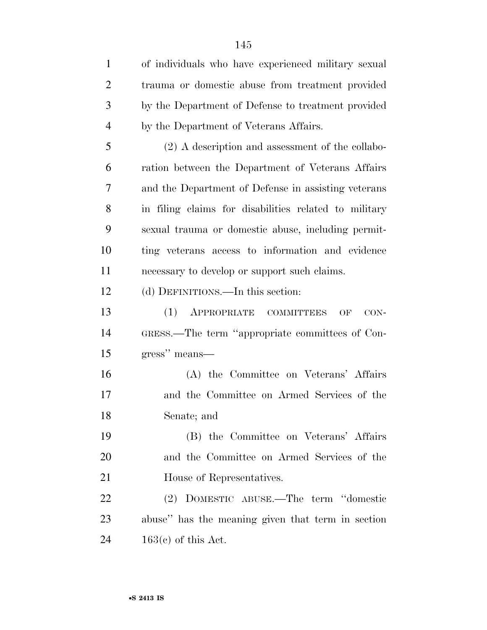| $\mathbf{1}$   | of individuals who have experienced military sexual   |
|----------------|-------------------------------------------------------|
| $\overline{2}$ | trauma or domestic abuse from treatment provided      |
| 3              | by the Department of Defense to treatment provided    |
| $\overline{4}$ | by the Department of Veterans Affairs.                |
| 5              | $(2)$ A description and assessment of the collabo-    |
| 6              | ration between the Department of Veterans Affairs     |
| 7              | and the Department of Defense in assisting veterans   |
| 8              | in filing claims for disabilities related to military |
| 9              | sexual trauma or domestic abuse, including permit-    |
| 10             | ting veterans access to information and evidence      |
| 11             | necessary to develop or support such claims.          |
| 12             | (d) DEFINITIONS.—In this section:                     |
| 13             | (1)<br>APPROPRIATE COMMITTEES<br>OF<br>$CON-$         |
| 14             | GRESS.—The term "appropriate committees of Con-       |
| 15             | gress" means—                                         |
| 16             | (A) the Committee on Veterans' Affairs                |
| 17             | and the Committee on Armed Services of the            |
| 18             | Senate; and                                           |
| 19             | (B) the Committee on Veterans' Affairs                |
| 20             | and the Committee on Armed Services of the            |
| 21             | House of Representatives.                             |
| 22             | (2) DOMESTIC ABUSE.—The term "domestic                |
| 23             | abuse" has the meaning given that term in section     |
| 24             | $163(e)$ of this Act.                                 |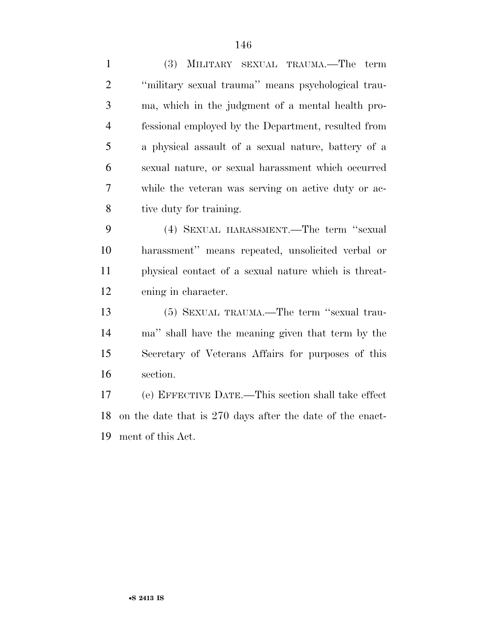(3) MILITARY SEXUAL TRAUMA.—The term ''military sexual trauma'' means psychological trau- ma, which in the judgment of a mental health pro- fessional employed by the Department, resulted from a physical assault of a sexual nature, battery of a sexual nature, or sexual harassment which occurred while the veteran was serving on active duty or ac-tive duty for training.

 (4) SEXUAL HARASSMENT.—The term ''sexual harassment'' means repeated, unsolicited verbal or physical contact of a sexual nature which is threat-ening in character.

 (5) SEXUAL TRAUMA.—The term ''sexual trau- ma'' shall have the meaning given that term by the Secretary of Veterans Affairs for purposes of this section.

 (e) EFFECTIVE DATE.—This section shall take effect on the date that is 270 days after the date of the enact-ment of this Act.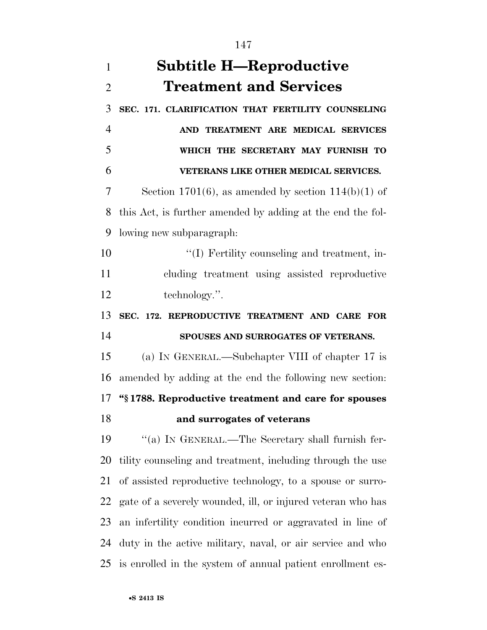| $\mathbf{1}$   | <b>Subtitle H—Reproductive</b>                              |
|----------------|-------------------------------------------------------------|
| $\overline{2}$ | <b>Treatment and Services</b>                               |
| 3              | SEC. 171. CLARIFICATION THAT FERTILITY COUNSELING           |
| $\overline{4}$ | AND TREATMENT ARE MEDICAL SERVICES                          |
| 5              | WHICH THE SECRETARY MAY FURNISH TO                          |
| 6              | VETERANS LIKE OTHER MEDICAL SERVICES.                       |
| 7              | Section 1701(6), as amended by section $114(b)(1)$ of       |
| 8              | this Act, is further amended by adding at the end the fol-  |
| 9              | lowing new subparagraph:                                    |
| 10             | "(I) Fertility counseling and treatment, in-                |
| 11             | cluding treatment using assisted reproductive               |
| 12             | technology.".                                               |
| 13             | SEC. 172. REPRODUCTIVE TREATMENT AND CARE FOR               |
| 14             | SPOUSES AND SURROGATES OF VETERANS.                         |
| 15             | (a) IN GENERAL.—Subchapter VIII of chapter 17 is            |
| 16             | amended by adding at the end the following new section:     |
|                | 17 "§1788. Reproductive treatment and care for spouses      |
| 18             | and surrogates of veterans                                  |
| 19             | "(a) IN GENERAL.—The Secretary shall furnish fer-           |
| 20             | tility counseling and treatment, including through the use  |
| 21             | of assisted reproductive technology, to a spouse or surro-  |
| 22             | gate of a severely wounded, ill, or injured veteran who has |
| 23             | an infertility condition incurred or aggravated in line of  |
| 24             | duty in the active military, naval, or air service and who  |
| 25             | is enrolled in the system of annual patient enrollment es-  |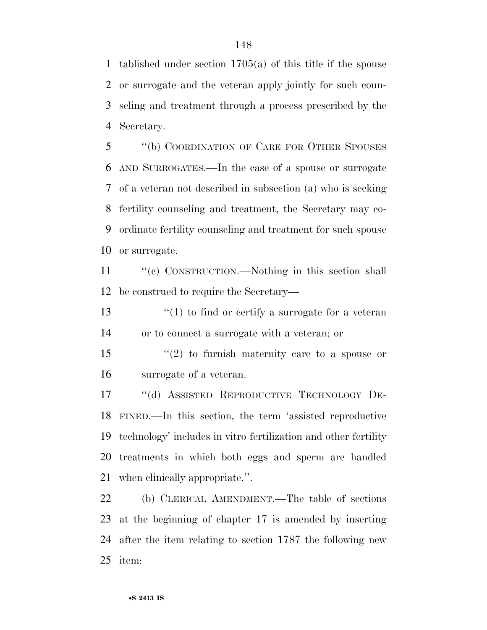tablished under section 1705(a) of this title if the spouse or surrogate and the veteran apply jointly for such coun- seling and treatment through a process prescribed by the Secretary.

 ''(b) COORDINATION OF CARE FOR OTHER SPOUSES AND SURROGATES.—In the case of a spouse or surrogate of a veteran not described in subsection (a) who is seeking fertility counseling and treatment, the Secretary may co- ordinate fertility counseling and treatment for such spouse or surrogate.

11 "(c) CONSTRUCTION.—Nothing in this section shall be construed to require the Secretary—

13  $\frac{1}{2}$  (1) to find or certify a surrogate for a veteran or to connect a surrogate with a veteran; or

 ''(2) to furnish maternity care to a spouse or surrogate of a veteran.

 ''(d) ASSISTED REPRODUCTIVE TECHNOLOGY DE- FINED.—In this section, the term 'assisted reproductive technology' includes in vitro fertilization and other fertility treatments in which both eggs and sperm are handled when clinically appropriate.''.

 (b) CLERICAL AMENDMENT.—The table of sections at the beginning of chapter 17 is amended by inserting after the item relating to section 1787 the following new item: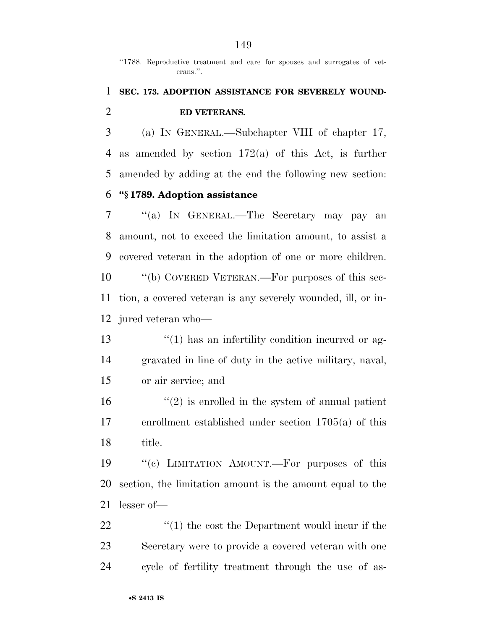"1788. Reproductive treatment and care for spouses and surrogates of veterans.''.

#### **SEC. 173. ADOPTION ASSISTANCE FOR SEVERELY WOUND-ED VETERANS.**

 (a) IN GENERAL.—Subchapter VIII of chapter 17, as amended by section 172(a) of this Act, is further amended by adding at the end the following new section: **''§ 1789. Adoption assistance** 

 ''(a) IN GENERAL.—The Secretary may pay an amount, not to exceed the limitation amount, to assist a

 covered veteran in the adoption of one or more children. ''(b) COVERED VETERAN.—For purposes of this sec- tion, a covered veteran is any severely wounded, ill, or in-jured veteran who—

13 ''(1) has an infertility condition incurred or ag- gravated in line of duty in the active military, naval, or air service; and

 $(2)$  is enrolled in the system of annual patient enrollment established under section 1705(a) of this title.

 ''(c) LIMITATION AMOUNT.—For purposes of this section, the limitation amount is the amount equal to the lesser of—

22 ''(1) the cost the Department would incur if the Secretary were to provide a covered veteran with one cycle of fertility treatment through the use of as-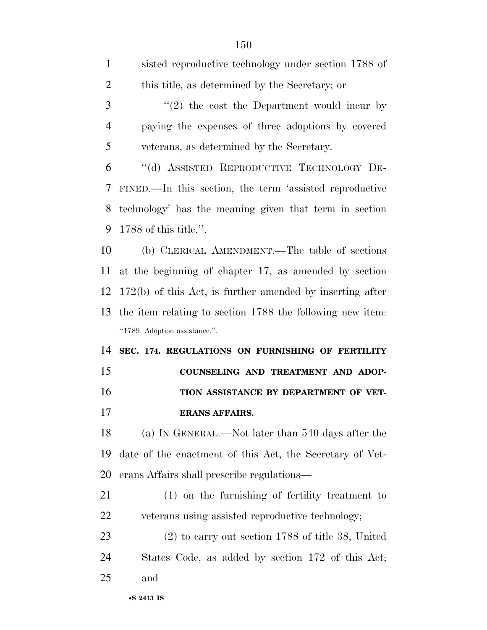| $\mathbf{1}$   | sisted reproductive technology under section 1788 of        |
|----------------|-------------------------------------------------------------|
| $\overline{2}$ | this title, as determined by the Secretary; or              |
| 3              | $\lq(2)$ the cost the Department would incur by             |
| $\overline{4}$ | paying the expenses of three adoptions by covered           |
| 5              | veterans, as determined by the Secretary.                   |
| 6              | "(d) ASSISTED REPRODUCTIVE TECHNOLOGY DE-                   |
| 7              | FINED.—In this section, the term 'assisted reproductive     |
| 8              | technology' has the meaning given that term in section      |
| 9              | 1788 of this title.".                                       |
| 10             | (b) CLERICAL AMENDMENT.—The table of sections               |
| 11             | at the beginning of chapter 17, as amended by section       |
| 12             | $172(b)$ of this Act, is further amended by inserting after |
| 13             | the item relating to section 1788 the following new item.   |
|                |                                                             |
|                | "1789. Adoption assistance.".                               |
| 14             | SEC. 174. REGULATIONS ON FURNISHING OF FERTILITY            |
| 15             | COUNSELING AND TREATMENT AND ADOP-                          |
| 16             | TION ASSISTANCE BY DEPARTMENT OF VET-                       |
| 17             | <b>ERANS AFFAIRS.</b>                                       |
| 18             | (a) IN GENERAL.—Not later than 540 days after the           |
| 19             | date of the enactment of this Act, the Secretary of Vet-    |
| 20             | erans Affairs shall prescribe regulations—                  |
| 21             | (1) on the furnishing of fertility treatment to             |
| <u>22</u>      | veterans using assisted reproductive technology;            |
| 23             | $(2)$ to carry out section 1788 of title 38, United         |
| 24             | States Code, as added by section 172 of this Act;           |
| 25             | and                                                         |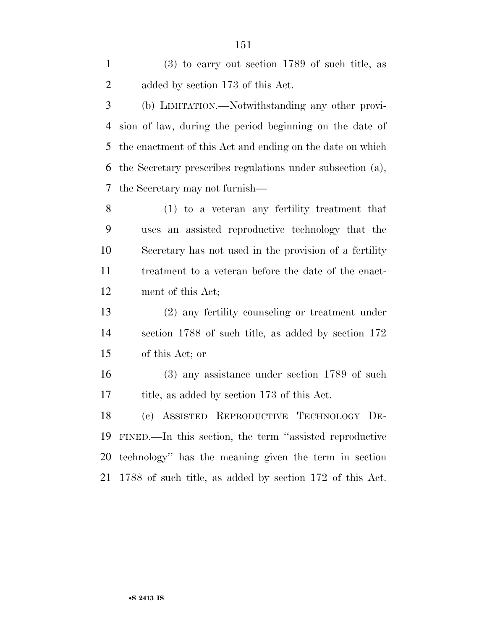(3) to carry out section 1789 of such title, as added by section 173 of this Act.

 (b) LIMITATION.—Notwithstanding any other provi- sion of law, during the period beginning on the date of the enactment of this Act and ending on the date on which the Secretary prescribes regulations under subsection (a), the Secretary may not furnish—

 (1) to a veteran any fertility treatment that uses an assisted reproductive technology that the Secretary has not used in the provision of a fertility treatment to a veteran before the date of the enact-ment of this Act;

 (2) any fertility counseling or treatment under section 1788 of such title, as added by section 172 of this Act; or

 (3) any assistance under section 1789 of such title, as added by section 173 of this Act.

 (c) ASSISTED REPRODUCTIVE TECHNOLOGY DE- FINED.—In this section, the term ''assisted reproductive technology'' has the meaning given the term in section 1788 of such title, as added by section 172 of this Act.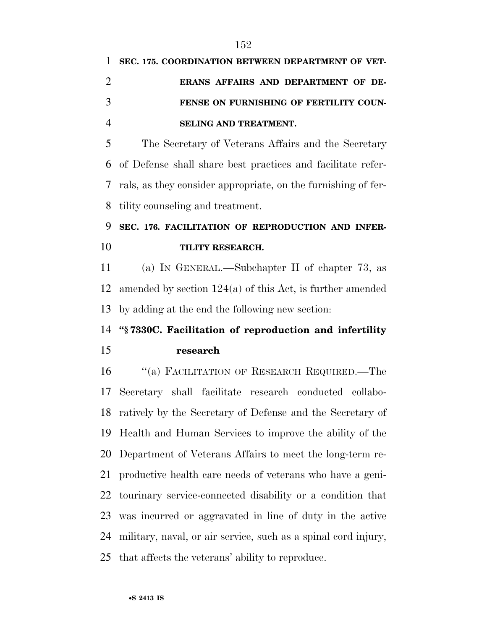# **SEC. 175. COORDINATION BETWEEN DEPARTMENT OF VET- ERANS AFFAIRS AND DEPARTMENT OF DE- FENSE ON FURNISHING OF FERTILITY COUN-SELING AND TREATMENT.**

 The Secretary of Veterans Affairs and the Secretary of Defense shall share best practices and facilitate refer- rals, as they consider appropriate, on the furnishing of fer-tility counseling and treatment.

## **SEC. 176. FACILITATION OF REPRODUCTION AND INFER-TILITY RESEARCH.**

 (a) IN GENERAL.—Subchapter II of chapter 73, as amended by section 124(a) of this Act, is further amended by adding at the end the following new section:

### **''§ 7330C. Facilitation of reproduction and infertility research**

 ''(a) FACILITATION OF RESEARCH REQUIRED.—The Secretary shall facilitate research conducted collabo- ratively by the Secretary of Defense and the Secretary of Health and Human Services to improve the ability of the Department of Veterans Affairs to meet the long-term re- productive health care needs of veterans who have a geni- tourinary service-connected disability or a condition that was incurred or aggravated in line of duty in the active military, naval, or air service, such as a spinal cord injury, that affects the veterans' ability to reproduce.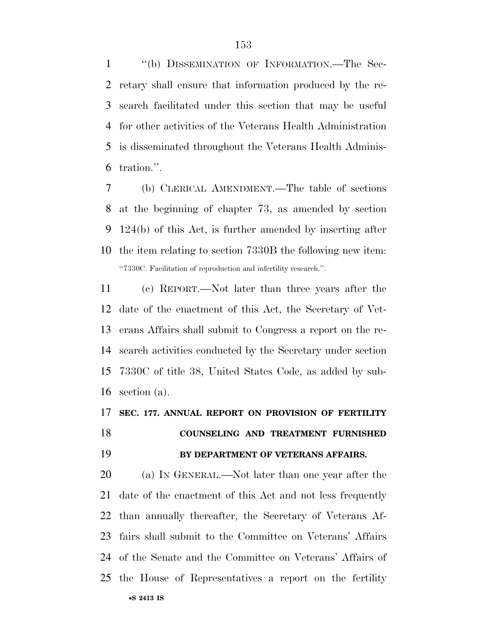''(b) DISSEMINATION OF INFORMATION.—The Sec- retary shall ensure that information produced by the re- search facilitated under this section that may be useful for other activities of the Veterans Health Administration is disseminated throughout the Veterans Health Adminis-tration.''.

 (b) CLERICAL AMENDMENT.—The table of sections at the beginning of chapter 73, as amended by section 124(b) of this Act, is further amended by inserting after the item relating to section 7330B the following new item: ''7330C. Facilitation of reproduction and infertility research.''.

 (c) REPORT.—Not later than three years after the date of the enactment of this Act, the Secretary of Vet- erans Affairs shall submit to Congress a report on the re- search activities conducted by the Secretary under section 7330C of title 38, United States Code, as added by sub-section (a).

# **SEC. 177. ANNUAL REPORT ON PROVISION OF FERTILITY COUNSELING AND TREATMENT FURNISHED BY DEPARTMENT OF VETERANS AFFAIRS.**

•**S 2413 IS** (a) IN GENERAL.—Not later than one year after the date of the enactment of this Act and not less frequently than annually thereafter, the Secretary of Veterans Af- fairs shall submit to the Committee on Veterans' Affairs of the Senate and the Committee on Veterans' Affairs of the House of Representatives a report on the fertility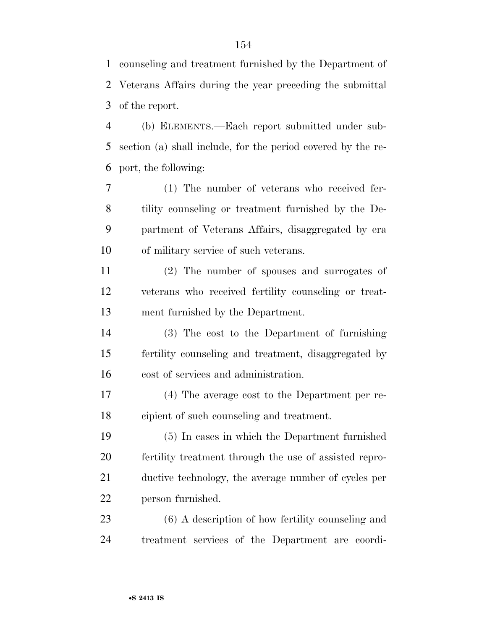counseling and treatment furnished by the Department of Veterans Affairs during the year preceding the submittal of the report.

 (b) ELEMENTS.—Each report submitted under sub- section (a) shall include, for the period covered by the re-port, the following:

 (1) The number of veterans who received fer- tility counseling or treatment furnished by the De- partment of Veterans Affairs, disaggregated by era of military service of such veterans.

 (2) The number of spouses and surrogates of veterans who received fertility counseling or treat-ment furnished by the Department.

 (3) The cost to the Department of furnishing fertility counseling and treatment, disaggregated by cost of services and administration.

 (4) The average cost to the Department per re-cipient of such counseling and treatment.

 (5) In cases in which the Department furnished fertility treatment through the use of assisted repro- ductive technology, the average number of cycles per person furnished.

 (6) A description of how fertility counseling and treatment services of the Department are coordi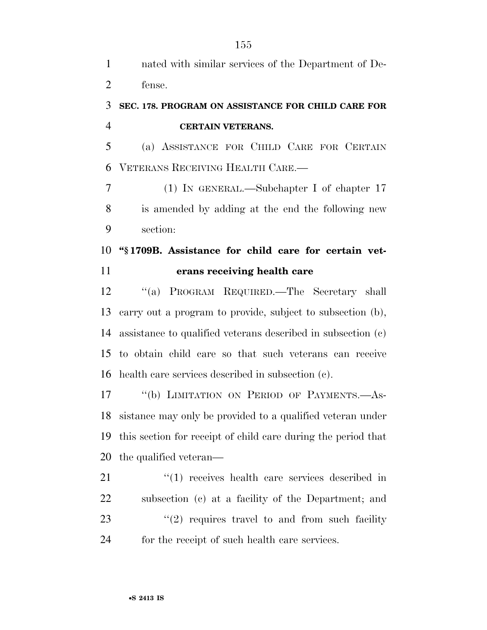nated with similar services of the Department of De-fense.

#### **SEC. 178. PROGRAM ON ASSISTANCE FOR CHILD CARE FOR CERTAIN VETERANS.**

 (a) ASSISTANCE FOR CHILD CARE FOR CERTAIN VETERANS RECEIVING HEALTH CARE.—

 (1) IN GENERAL.—Subchapter I of chapter 17 is amended by adding at the end the following new section:

#### **''§ 1709B. Assistance for child care for certain vet-erans receiving health care**

 ''(a) PROGRAM REQUIRED.—The Secretary shall carry out a program to provide, subject to subsection (b), assistance to qualified veterans described in subsection (c) to obtain child care so that such veterans can receive health care services described in subsection (c).

 ''(b) LIMITATION ON PERIOD OF PAYMENTS.—As- sistance may only be provided to a qualified veteran under this section for receipt of child care during the period that the qualified veteran—

 $\frac{1}{2}$  (1) receives health care services described in subsection (c) at a facility of the Department; and ''(2) requires travel to and from such facility for the receipt of such health care services.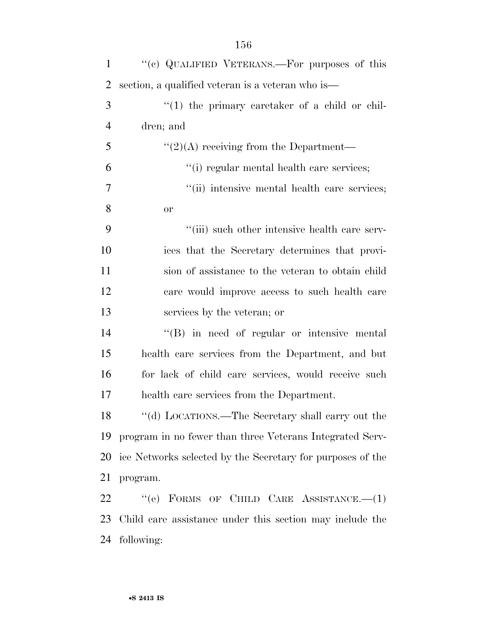| $\mathbf{1}$   | "(c) QUALIFIED VETERANS.—For purposes of this              |
|----------------|------------------------------------------------------------|
| 2              | section, a qualified veteran is a veteran who is—          |
| 3              | $(1)$ the primary caretaker of a child or chil-            |
| $\overline{4}$ | dren; and                                                  |
| 5              | $\lq(2)(A)$ receiving from the Department—                 |
| 6              | "(i) regular mental health care services;                  |
| 7              | "(ii) intensive mental health care services;               |
| 8              | <b>or</b>                                                  |
| 9              | "(iii) such other intensive health care serv-              |
| 10             | ices that the Secretary determines that provi-             |
| 11             | sion of assistance to the veteran to obtain child          |
| 12             | care would improve access to such health care              |
| 13             | services by the veteran; or                                |
| 14             | $\lq\lq$ in need of regular or intensive mental            |
| 15             | health care services from the Department, and but          |
| 16             | for lack of child care services, would receive such        |
| 17             | health care services from the Department.                  |
| 18             | "(d) LOCATIONS.—The Secretary shall carry out the          |
| 19             | program in no fewer than three Veterans Integrated Serv-   |
| 20             | ice Networks selected by the Secretary for purposes of the |
| 21             | program.                                                   |
| 22             | "(e) FORMS OF CHILD CARE ASSISTANCE.— $(1)$                |
| 23             | Child care assistance under this section may include the   |
| 24             | following:                                                 |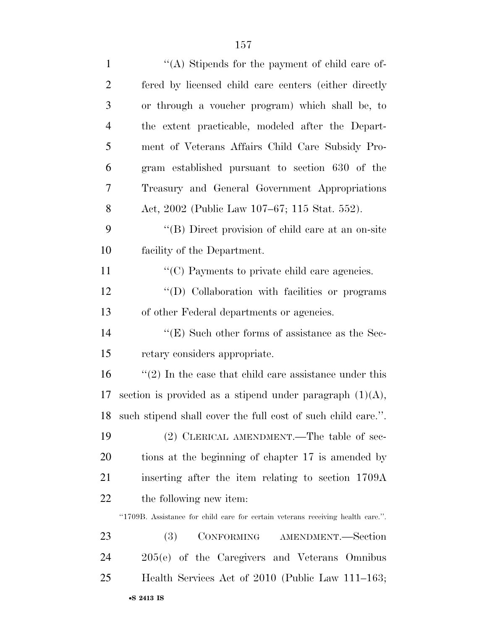| $\mathbf{1}$   | "(A) Stipends for the payment of child care of-                                 |
|----------------|---------------------------------------------------------------------------------|
| $\overline{2}$ | fered by licensed child care centers (either directly                           |
| 3              | or through a voucher program) which shall be, to                                |
| $\overline{4}$ | the extent practicable, modeled after the Depart-                               |
| 5              | ment of Veterans Affairs Child Care Subsidy Pro-                                |
| 6              | gram established pursuant to section 630 of the                                 |
| 7              | Treasury and General Government Appropriations                                  |
| 8              | Act, 2002 (Public Law 107–67; 115 Stat. 552).                                   |
| 9              | "(B) Direct provision of child care at an on-site                               |
| 10             | facility of the Department.                                                     |
| 11             | $\lq\lq$ Payments to private child care agencies.                               |
| 12             | "(D) Collaboration with facilities or programs                                  |
| 13             | of other Federal departments or agencies.                                       |
| 14             | $\lq\lq$ (E) Such other forms of assistance as the Sec-                         |
| 15             | retary considers appropriate.                                                   |
| 16             | $\lq(2)$ In the case that child care assistance under this                      |
| 17             | section is provided as a stipend under paragraph $(1)(A)$ ,                     |
| 18             | such stipend shall cover the full cost of such child care.".                    |
| 19             | (2) CLERICAL AMENDMENT.—The table of sec-                                       |
| 20             | tions at the beginning of chapter 17 is amended by                              |
| 21             | inserting after the item relating to section 1709A                              |
| 22             | the following new item:                                                         |
|                | "1709B. Assistance for child care for certain veterans receiving health care.". |
| 23             | CONFORMING AMENDMENT.-Section<br><b>(3)</b>                                     |
| 24             | 205(e) of the Caregivers and Veterans Omnibus                                   |
| 25             | Health Services Act of 2010 (Public Law 111–163;                                |
|                | •S 2413 IS                                                                      |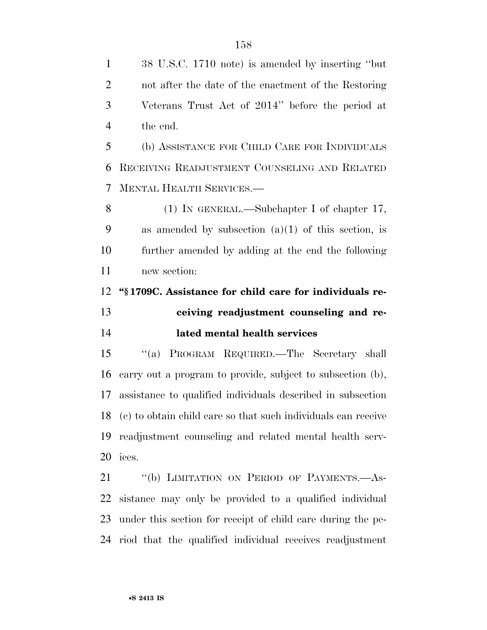38 U.S.C. 1710 note) is amended by inserting ''but not after the date of the enactment of the Restoring Veterans Trust Act of 2014'' before the period at the end.

 (b) ASSISTANCE FOR CHILD CARE FOR INDIVIDUALS RECEIVING READJUSTMENT COUNSELING AND RELATED MENTAL HEALTH SERVICES.—

 (1) IN GENERAL.—Subchapter I of chapter 17, as amended by subsection (a)(1) of this section, is further amended by adding at the end the following new section:

## **''§ 1709C. Assistance for child care for individuals re- ceiving readjustment counseling and re-lated mental health services**

 ''(a) PROGRAM REQUIRED.—The Secretary shall carry out a program to provide, subject to subsection (b), assistance to qualified individuals described in subsection (c) to obtain child care so that such individuals can receive readjustment counseling and related mental health serv-ices.

21 "(b) LIMITATION ON PERIOD OF PAYMENTS.—As- sistance may only be provided to a qualified individual under this section for receipt of child care during the pe-riod that the qualified individual receives readjustment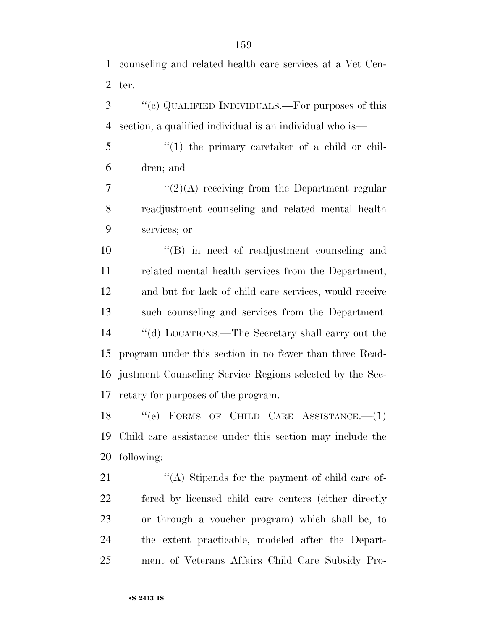counseling and related health care services at a Vet Cen-ter.

 ''(c) QUALIFIED INDIVIDUALS.—For purposes of this section, a qualified individual is an individual who is—

 ''(1) the primary caretaker of a child or chil-dren; and

 "(2)(A) receiving from the Department regular readjustment counseling and related mental health services; or

10 "(B) in need of readjustment counseling and related mental health services from the Department, and but for lack of child care services, would receive such counseling and services from the Department. ''(d) LOCATIONS.—The Secretary shall carry out the program under this section in no fewer than three Read- justment Counseling Service Regions selected by the Sec-retary for purposes of the program.

18 "(e) FORMS OF CHILD CARE ASSISTANCE. (1) Child care assistance under this section may include the following:

21 ''(A) Stipends for the payment of child care of- fered by licensed child care centers (either directly or through a voucher program) which shall be, to the extent practicable, modeled after the Depart-ment of Veterans Affairs Child Care Subsidy Pro-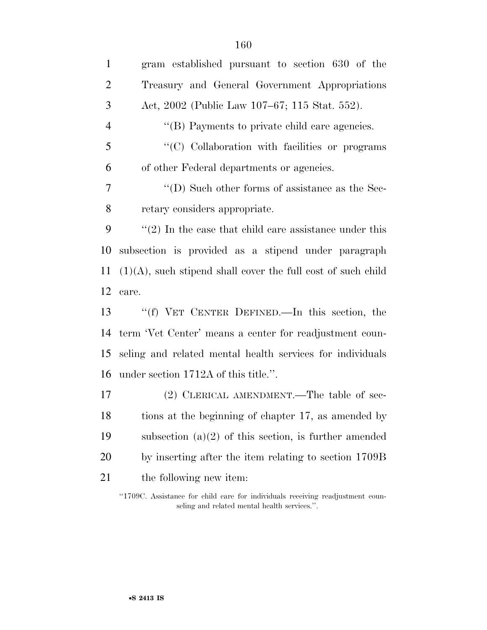gram established pursuant to section 630 of the Treasury and General Government Appropriations Act, 2002 (Public Law 107–67; 115 Stat. 552). 4 "(B) Payments to private child care agencies. ''(C) Collaboration with facilities or programs of other Federal departments or agencies. ''(D) Such other forms of assistance as the Sec- retary considers appropriate. ''(2) In the case that child care assistance under this subsection is provided as a stipend under paragraph  $11 \quad (1)(A)$ , such stipend shall cover the full cost of such child care. ''(f) VET CENTER DEFINED.—In this section, the term 'Vet Center' means a center for readjustment coun- seling and related mental health services for individuals under section 1712A of this title.''. (2) CLERICAL AMENDMENT.—The table of sec- tions at the beginning of chapter 17, as amended by subsection (a)(2) of this section, is further amended by inserting after the item relating to section 1709B 21 the following new item:

''1709C. Assistance for child care for individuals receiving readjustment counseling and related mental health services.''.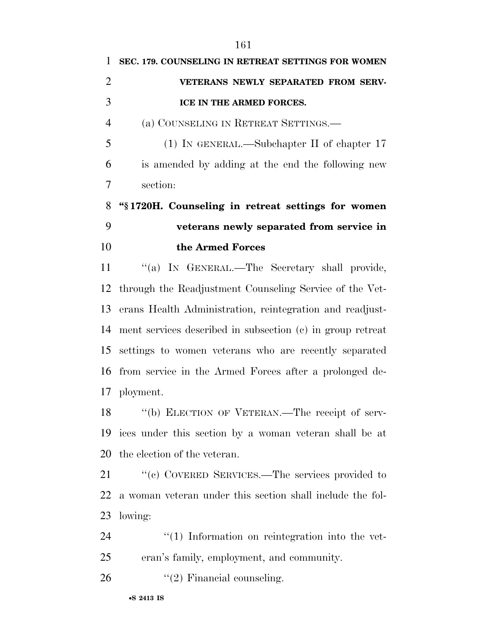| 1              | SEC. 179. COUNSELING IN RETREAT SETTINGS FOR WOMEN         |
|----------------|------------------------------------------------------------|
| $\overline{2}$ | VETERANS NEWLY SEPARATED FROM SERV-                        |
| 3              | ICE IN THE ARMED FORCES.                                   |
| $\overline{4}$ | (a) COUNSELING IN RETREAT SETTINGS.                        |
| 5              | $(1)$ IN GENERAL.—Subchapter II of chapter 17              |
| 6              | is amended by adding at the end the following new          |
| 7              | section:                                                   |
| 8              | "§1720H. Counseling in retreat settings for women          |
| 9              | veterans newly separated from service in                   |
| 10             | the Armed Forces                                           |
| 11             | "(a) IN GENERAL.—The Secretary shall provide,              |
| 12             | through the Readjustment Counseling Service of the Vet-    |
| 13             | erans Health Administration, reintegration and readjust-   |
| 14             | ment services described in subsection (c) in group retreat |
| 15             | settings to women veterans who are recently separated      |
| 16             | from service in the Armed Forces after a prolonged de-     |
|                | 17 ployment.                                               |
| 18             | "(b) ELECTION OF VETERAN.—The receipt of serv-             |
| 19             | ices under this section by a woman veteran shall be at     |
| 20             | the election of the veteran.                               |
| 21             | "(c) COVERED SERVICES.—The services provided to            |
| 22             | a woman veteran under this section shall include the fol-  |
| 23             | lowing:                                                    |
| 24             | $\lq(1)$ Information on reintegration into the vet-        |
| 25             | eran's family, employment, and community.                  |
|                |                                                            |

26  $"(2)$  Financial counseling.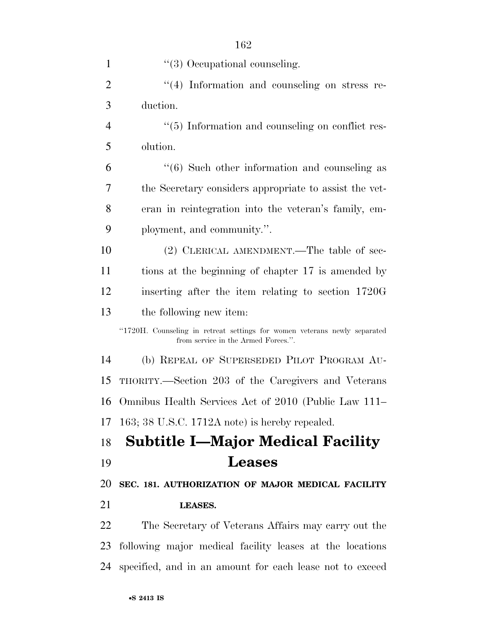| $\mathbf{1}$   | $\lq(3)$ Occupational counseling.                                                                                |
|----------------|------------------------------------------------------------------------------------------------------------------|
| $\overline{2}$ | "(4) Information and counseling on stress re-                                                                    |
| 3              | duction.                                                                                                         |
| $\overline{4}$ | "(5) Information and counseling on conflict res-                                                                 |
| 5              | olution.                                                                                                         |
| 6              | $\cdot\cdot$ (6) Such other information and counseling as                                                        |
| 7              | the Secretary considers appropriate to assist the vet-                                                           |
| 8              | eran in reintegration into the veteran's family, em-                                                             |
| 9              | ployment, and community.".                                                                                       |
| 10             | (2) CLERICAL AMENDMENT.—The table of sec-                                                                        |
| 11             | tions at the beginning of chapter 17 is amended by                                                               |
| 12             | inserting after the item relating to section 1720G                                                               |
| 13             | the following new item:                                                                                          |
|                | "1720H. Counseling in retreat settings for women veterans newly separated<br>from service in the Armed Forces.". |
| 14             | (b) REPEAL OF SUPERSEDED PILOT PROGRAM AU-                                                                       |
| 15             | THORITY.—Section 203 of the Caregivers and Veterans                                                              |
| 16             | Omnibus Health Services Act of 2010 (Public Law 111–                                                             |
| 17             | 163; 38 U.S.C. 1712A note) is hereby repealed.                                                                   |
| 18             | <b>Subtitle I—Major Medical Facility</b>                                                                         |
| 19             | <b>Leases</b>                                                                                                    |
| 20             | SEC. 181. AUTHORIZATION OF MAJOR MEDICAL FACILITY                                                                |
| 21             | LEASES.                                                                                                          |
| 22             | The Secretary of Veterans Affairs may carry out the                                                              |
| 23             | following major medical facility leases at the locations                                                         |

specified, and in an amount for each lease not to exceed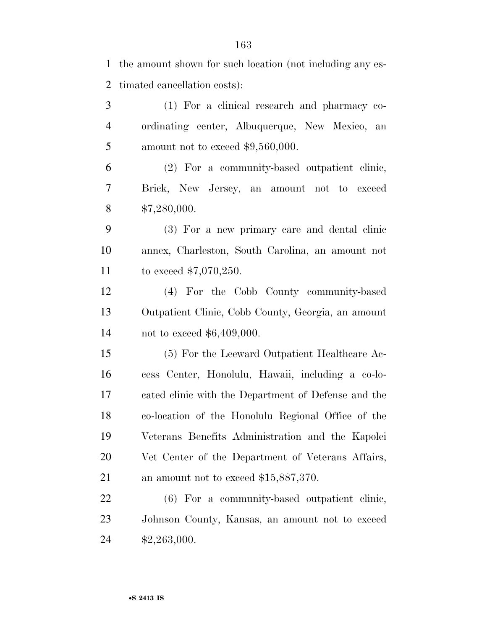timated cancellation costs):

the amount shown for such location (not including any es-

•**S 2413 IS** (1) For a clinical research and pharmacy co- ordinating center, Albuquerque, New Mexico, an 5 amount not to exceed  $$9,560,000$ . (2) For a community-based outpatient clinic, Brick, New Jersey, an amount not to exceed \$7,280,000. (3) For a new primary care and dental clinic annex, Charleston, South Carolina, an amount not to exceed \$7,070,250. (4) For the Cobb County community-based Outpatient Clinic, Cobb County, Georgia, an amount not to exceed \$6,409,000. (5) For the Leeward Outpatient Healthcare Ac- cess Center, Honolulu, Hawaii, including a co-lo- cated clinic with the Department of Defense and the co-location of the Honolulu Regional Office of the Veterans Benefits Administration and the Kapolei Vet Center of the Department of Veterans Affairs, 21 an amount not to exceed \$15,887,370. (6) For a community-based outpatient clinic, Johnson County, Kansas, an amount not to exceed \$2,263,000.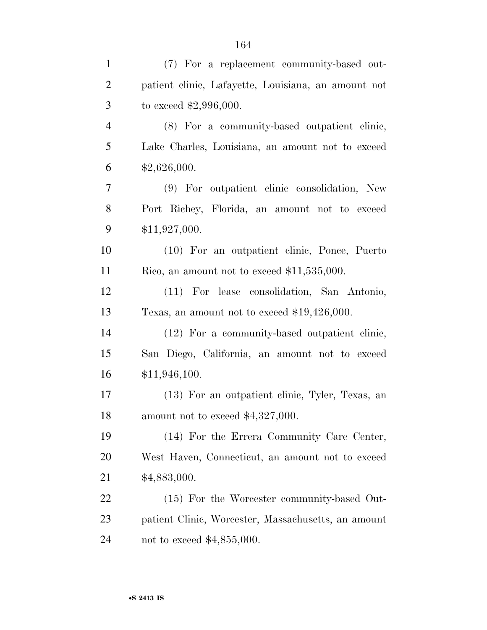| $\mathbf{1}$   | (7) For a replacement community-based out-          |
|----------------|-----------------------------------------------------|
| $\overline{2}$ | patient clinic, Lafayette, Louisiana, an amount not |
| 3              | to exceed $$2,996,000$ .                            |
| $\overline{4}$ | (8) For a community-based outpatient clinic,        |
| 5              | Lake Charles, Louisiana, an amount not to exceed    |
| 6              | \$2,626,000.                                        |
| 7              | (9) For outpatient clinic consolidation, New        |
| 8              | Port Richey, Florida, an amount not to exceed       |
| 9              | \$11,927,000.                                       |
| 10             | (10) For an outpatient clinic, Ponce, Puerto        |
| 11             | Rico, an amount not to exceed $$11,535,000$ .       |
| 12             | (11) For lease consolidation, San Antonio,          |
| 13             | Texas, an amount not to exceed $$19,426,000$ .      |
| 14             | (12) For a community-based outpatient clinic,       |
| 15             | San Diego, California, an amount not to exceed      |
| 16             | \$11,946,100.                                       |
| 17             | (13) For an outpatient clinic, Tyler, Texas, an     |
| 18             | amount not to exceed $$4,327,000$ .                 |
| 19             | (14) For the Errera Community Care Center,          |
| 20             | West Haven, Connecticut, an amount not to exceed    |
| 21             | \$4,883,000.                                        |
| 22             | (15) For the Worcester community-based Out-         |
| 23             | patient Clinic, Worcester, Massachusetts, an amount |
| 24             | not to exceed $$4,855,000$ .                        |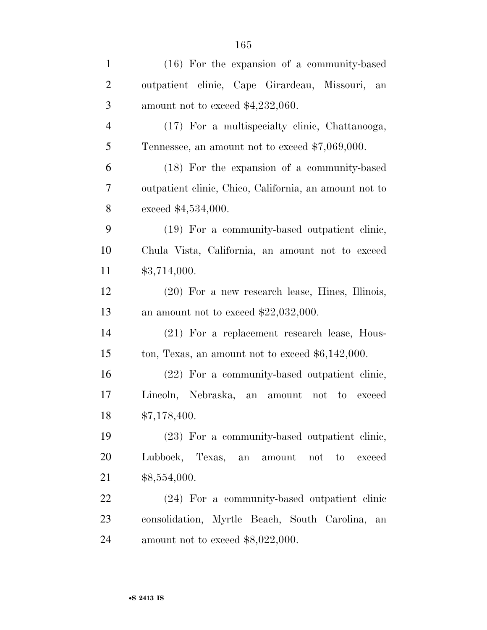| $\mathbf{1}$   | $(16)$ For the expansion of a community-based          |
|----------------|--------------------------------------------------------|
| $\overline{2}$ | outpatient clinic, Cape Girardeau, Missouri,<br>an     |
| 3              | amount not to exceed $$4,232,060$ .                    |
| $\overline{4}$ | (17) For a multispecialty clinic, Chattanooga,         |
| 5              | Tennessee, an amount not to exceed $$7,069,000$ .      |
| 6              | (18) For the expansion of a community-based            |
| 7              | outpatient clinic, Chico, California, an amount not to |
| 8              | exceed \$4,534,000.                                    |
| 9              | (19) For a community-based outpatient clinic,          |
| 10             | Chula Vista, California, an amount not to exceed       |
| 11             | \$3,714,000.                                           |
| 12             | $(20)$ For a new research lease, Hines, Illinois,      |
| 13             | an amount not to exceed $$22,032,000$ .                |
| 14             | (21) For a replacement research lease, Hous-           |
| 15             | ton, Texas, an amount not to exceed $$6,142,000$ .     |
| 16             | (22) For a community-based outpatient clinic,          |
| 17             | Lincoln, Nebraska,<br>an amount<br>not<br>to exceed    |
| 18             | \$7,178,400.                                           |
| 19             | (23) For a community-based outpatient clinic,          |
| 20             | Lubbock, Texas, an amount<br>not<br>to<br>exceed       |
| 21             | \$8,554,000.                                           |
| 22             | (24) For a community-based outpatient clinic           |
| 23             | consolidation, Myrtle Beach, South Carolina,<br>an     |
| 24             | amount not to exceed $$8,022,000$ .                    |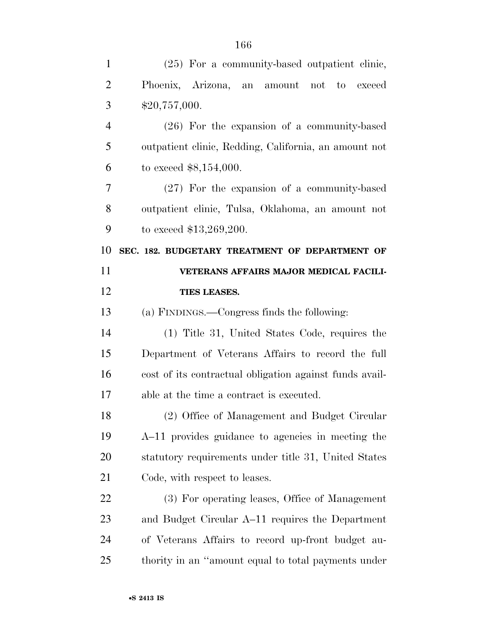| $\mathbf{1}$   | (25) For a community-based outpatient clinic,           |
|----------------|---------------------------------------------------------|
| $\overline{2}$ | Phoenix, Arizona, an amount not to exceed               |
| 3              | \$20,757,000.                                           |
| $\overline{4}$ | $(26)$ For the expansion of a community-based           |
| 5              | outpatient clinic, Redding, California, an amount not   |
| 6              | to exceed $$8,154,000$ .                                |
| 7              | $(27)$ For the expansion of a community-based           |
| 8              | outpatient clinic, Tulsa, Oklahoma, an amount not       |
| 9              | to exceed $$13,269,200$ .                               |
| 10             | SEC. 182. BUDGETARY TREATMENT OF DEPARTMENT OF          |
| 11             | VETERANS AFFAIRS MAJOR MEDICAL FACILI-                  |
| 12             | TIES LEASES.                                            |
| 13             | (a) FINDINGS.—Congress finds the following:             |
| 14             | (1) Title 31, United States Code, requires the          |
| 15             | Department of Veterans Affairs to record the full       |
| 16             | cost of its contractual obligation against funds avail- |
| 17             | able at the time a contract is executed.                |
| 18             | (2) Office of Management and Budget Circular            |
| 19             | A-11 provides guidance to agencies in meeting the       |
| 20             | statutory requirements under title 31, United States    |
| 21             | Code, with respect to leases.                           |
| 22             | (3) For operating leases, Office of Management          |
| 23             | and Budget Circular A-11 requires the Department        |
| 24             | of Veterans Affairs to record up-front budget au-       |
| 25             | thority in an "amount equal to total payments under     |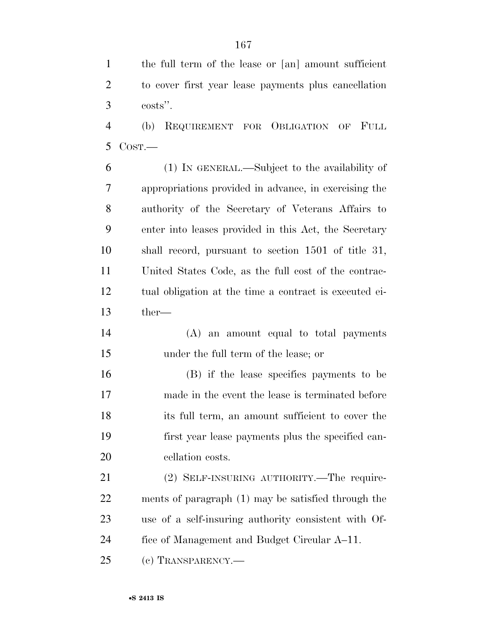the full term of the lease or [an] amount sufficient to cover first year lease payments plus cancellation costs''.

 (b) REQUIREMENT FOR OBLIGATION OF FULL COST.—

 (1) IN GENERAL.—Subject to the availability of appropriations provided in advance, in exercising the authority of the Secretary of Veterans Affairs to enter into leases provided in this Act, the Secretary shall record, pursuant to section 1501 of title 31, United States Code, as the full cost of the contrac- tual obligation at the time a contract is executed ei-ther—

 (A) an amount equal to total payments under the full term of the lease; or

 (B) if the lease specifies payments to be made in the event the lease is terminated before its full term, an amount sufficient to cover the first year lease payments plus the specified can-cellation costs.

21 (2) SELF-INSURING AUTHORITY.—The require- ments of paragraph (1) may be satisfied through the use of a self-insuring authority consistent with Of- fice of Management and Budget Circular A–11. (c) TRANSPARENCY.—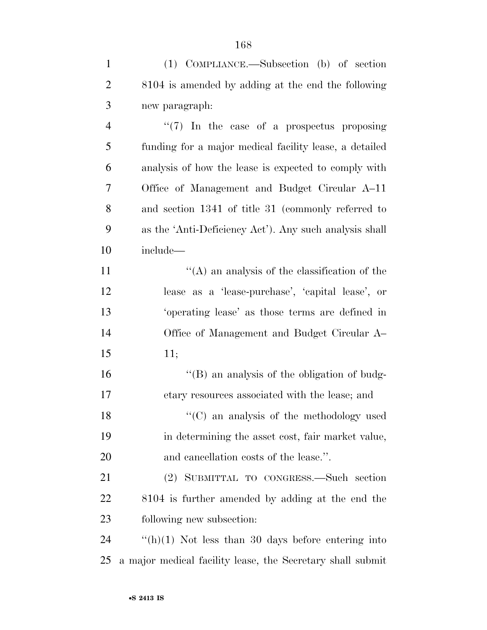(1) COMPLIANCE.—Subsection (b) of section 8104 is amended by adding at the end the following new paragraph:

4 ''(7) In the case of a prospectus proposing funding for a major medical facility lease, a detailed analysis of how the lease is expected to comply with Office of Management and Budget Circular A–11 and section 1341 of title 31 (commonly referred to as the 'Anti-Deficiency Act'). Any such analysis shall include—

 $'$ (A) an analysis of the classification of the lease as a 'lease-purchase', 'capital lease', or 'operating lease' as those terms are defined in Office of Management and Budget Circular A– 11;

 ''(B) an analysis of the obligation of budg-etary resources associated with the lease; and

 ''(C) an analysis of the methodology used in determining the asset cost, fair market value, and cancellation costs of the lease.''.

 (2) SUBMITTAL TO CONGRESS.—Such section 8104 is further amended by adding at the end the following new subsection:

 ''(h)(1) Not less than 30 days before entering into a major medical facility lease, the Secretary shall submit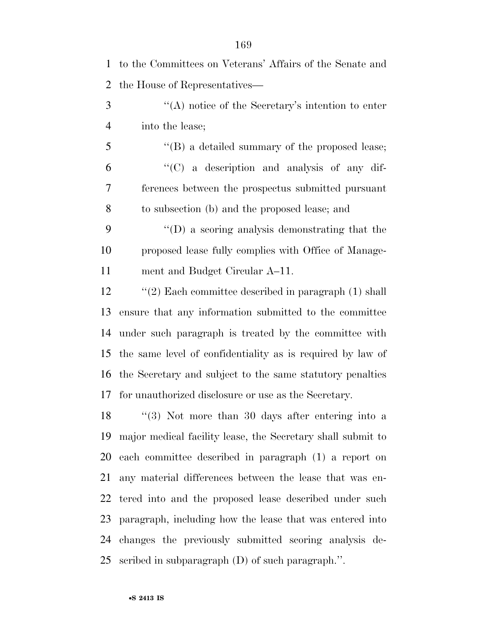| $\mathbf{1}$   | to the Committees on Veterans' Affairs of the Senate and       |
|----------------|----------------------------------------------------------------|
| $\overline{2}$ | the House of Representatives—                                  |
| 3              | "(A) notice of the Secretary's intention to enter              |
| $\overline{4}$ | into the lease;                                                |
| 5              | $\lq\lq$ (B) a detailed summary of the proposed lease;         |
| 6              | "(C) a description and analysis of any dif-                    |
| 7              | ferences between the prospectus submitted pursuant             |
| 8              | to subsection (b) and the proposed lease; and                  |
| 9              | $\lq\lq$ as seed of a sequence analysis demonstrating that the |
| 10             | proposed lease fully complies with Office of Manage-           |
| 11             | ment and Budget Circular A–11.                                 |
| 12             | $\lq(2)$ Each committee described in paragraph (1) shall       |
| 13             | ensure that any information submitted to the committee         |
| 14             | under such paragraph is treated by the committee with          |
| 15             | the same level of confidentiality as is required by law of     |
|                | 16 the Secretary and subject to the same statutory penalties   |
| 17             | for unauthorized disclosure or use as the Secretary.           |
| 18             | $\lq(3)$ Not more than 30 days after entering into a           |
| 19             | major medical facility lease, the Secretary shall submit to    |
| 20             | each committee described in paragraph (1) a report on          |
| 21             | any material differences between the lease that was en-        |
| 22             | tered into and the proposed lease described under such         |
| 23             | paragraph, including how the lease that was entered into       |
| 24             | changes the previously submitted scoring analysis de-          |
| 25             | scribed in subparagraph $(D)$ of such paragraph.".             |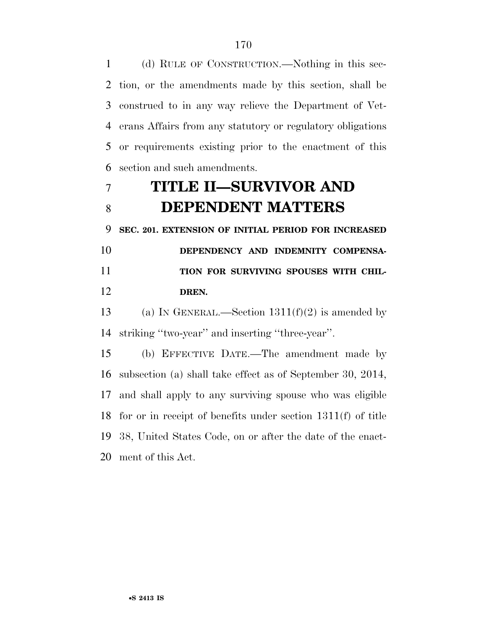(d) RULE OF CONSTRUCTION.—Nothing in this sec- tion, or the amendments made by this section, shall be construed to in any way relieve the Department of Vet- erans Affairs from any statutory or regulatory obligations or requirements existing prior to the enactment of this section and such amendments.

# **TITLE II—SURVIVOR AND DEPENDENT MATTERS**

**SEC. 201. EXTENSION OF INITIAL PERIOD FOR INCREASED** 

 **DEPENDENCY AND INDEMNITY COMPENSA-TION FOR SURVIVING SPOUSES WITH CHIL-DREN.** 

13 (a) IN GENERAL.—Section  $1311(f)(2)$  is amended by striking ''two-year'' and inserting ''three-year''.

 (b) EFFECTIVE DATE.—The amendment made by subsection (a) shall take effect as of September 30, 2014, and shall apply to any surviving spouse who was eligible for or in receipt of benefits under section 1311(f) of title 38, United States Code, on or after the date of the enact-ment of this Act.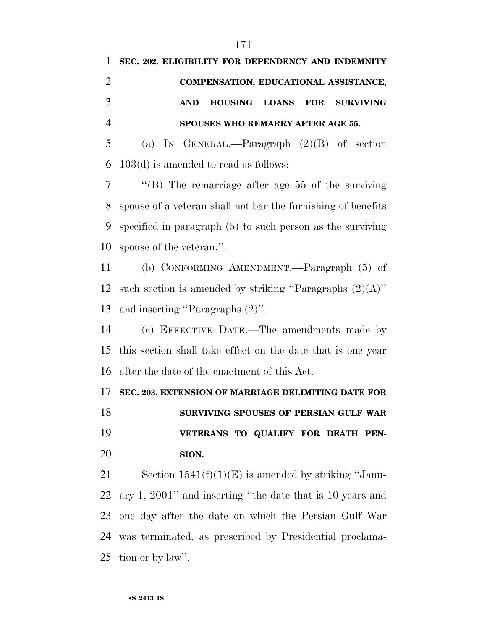| $\mathbf{1}$   | SEC. 202. ELIGIBILITY FOR DEPENDENCY AND INDEMNITY            |
|----------------|---------------------------------------------------------------|
| $\overline{2}$ | COMPENSATION, EDUCATIONAL ASSISTANCE,                         |
| 3              | <b>AND</b><br>HOUSING LOANS<br><b>FOR</b><br><b>SURVIVING</b> |
| $\overline{4}$ | SPOUSES WHO REMARRY AFTER AGE 55.                             |
| 5              | (a) IN GENERAL.—Paragraph $(2)(B)$ of section                 |
| 6              | $103(d)$ is amended to read as follows:                       |
| 7              | "(B) The remarriage after age $55$ of the surviving           |
| 8              | spouse of a veteran shall not bar the furnishing of benefits  |
| 9              | specified in paragraph $(5)$ to such person as the surviving  |
| 10             | spouse of the veteran.".                                      |
| 11             | (b) CONFORMING AMENDMENT.—Paragraph (5) of                    |
| 12             | such section is amended by striking "Paragraphs $(2)(A)$ "    |
| 13             | and inserting "Paragraphs $(2)$ ".                            |
| 14             | (c) EFFECTIVE DATE.—The amendments made by                    |
| 15             | this section shall take effect on the date that is one year   |
| 16             | after the date of the enactment of this Act.                  |
| 17             | SEC. 203. EXTENSION OF MARRIAGE DELIMITING DATE FOR           |
| 18             | SURVIVING SPOUSES OF PERSIAN GULF WAR                         |
| 19             | VETERANS TO QUALIFY FOR DEATH PEN-                            |
| 20             | SION.                                                         |
| 21             | Section $1541(f)(1)(E)$ is amended by striking "Janu-         |
| 22             | ary 1, 2001" and inserting "the date that is 10 years and     |
| 23             | one day after the date on which the Persian Gulf War          |
| 24             | was terminated, as prescribed by Presidential proclama-       |

tion or by law''.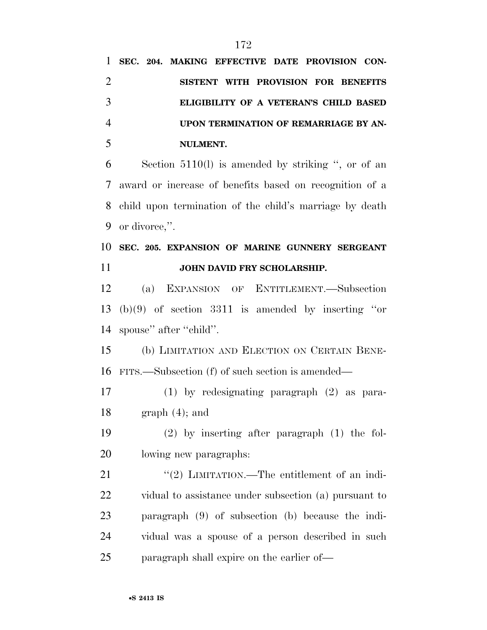| $\mathbf{1}$   | SEC. 204. MAKING EFFECTIVE DATE PROVISION CON-          |
|----------------|---------------------------------------------------------|
| $\overline{2}$ | SISTENT WITH PROVISION FOR BENEFITS                     |
| 3              | ELIGIBILITY OF A VETERAN'S CHILD BASED                  |
| $\overline{4}$ | UPON TERMINATION OF REMARRIAGE BY AN-                   |
| 5              | NULMENT.                                                |
| 6              | Section $5110(l)$ is amended by striking ", or of an    |
| 7              | award or increase of benefits based on recognition of a |
| 8              | child upon termination of the child's marriage by death |
| 9              | or divorce,".                                           |
| 10             | SEC. 205. EXPANSION OF MARINE GUNNERY SERGEANT          |
| 11             | JOHN DAVID FRY SCHOLARSHIP.                             |
| 12             | (a) EXPANSION OF ENTITLEMENT. Subsection                |
| 13             | $(b)(9)$ of section 3311 is amended by inserting "or    |
| 14             | spouse" after "child".                                  |
| 15             | (b) LIMITATION AND ELECTION ON CERTAIN BENE-            |
| 16             | FITS.—Subsection (f) of such section is amended—        |
| 17             | $(1)$ by redesignating paragraph $(2)$ as para-         |
| 18             | $graph(4);$ and                                         |
| 19             | $(2)$ by inserting after paragraph $(1)$ the fol-       |
| 20             | lowing new paragraphs:                                  |
| 21             | "(2) LIMITATION.—The entitlement of an indi-            |
| 22             | vidual to assistance under subsection (a) pursuant to   |
| 23             | paragraph (9) of subsection (b) because the indi-       |
| 24             | vidual was a spouse of a person described in such       |
| 25             | paragraph shall expire on the earlier of—               |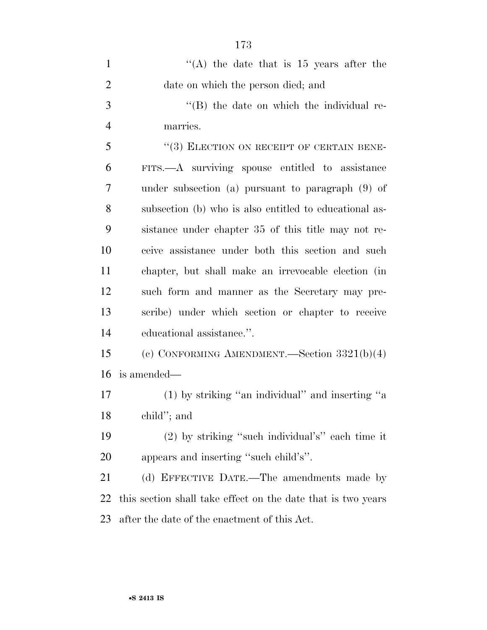| $\mathbf{1}$   | "(A) the date that is $15$ years after the                   |
|----------------|--------------------------------------------------------------|
| $\overline{2}$ | date on which the person died; and                           |
| 3              | "(B) the date on which the individual re-                    |
| $\overline{4}$ | marries.                                                     |
| 5              | "(3) ELECTION ON RECEIPT OF CERTAIN BENE-                    |
| 6              | FITS.—A surviving spouse entitled to assistance              |
| 7              | under subsection (a) pursuant to paragraph $(9)$ of          |
| 8              | subsection (b) who is also entitled to educational as-       |
| 9              | sistance under chapter 35 of this title may not re-          |
| 10             | ceive assistance under both this section and such            |
| 11             | chapter, but shall make an irrevocable election (in          |
| 12             | such form and manner as the Secretary may pre-               |
| 13             | scribe) under which section or chapter to receive            |
| 14             | educational assistance.".                                    |
| 15             | (c) CONFORMING AMENDMENT.—Section $3321(b)(4)$               |
| 16             | is amended—                                                  |
| 17             | $(1)$ by striking "an individual" and inserting "a           |
| 18             | child"; and                                                  |
| 19             | $(2)$ by striking "such individual's" each time it           |
| 20             | appears and inserting "such child's".                        |
| 21             | (d) EFFECTIVE DATE.—The amendments made by                   |
| 22             | this section shall take effect on the date that is two years |
| 23             | after the date of the enactment of this Act.                 |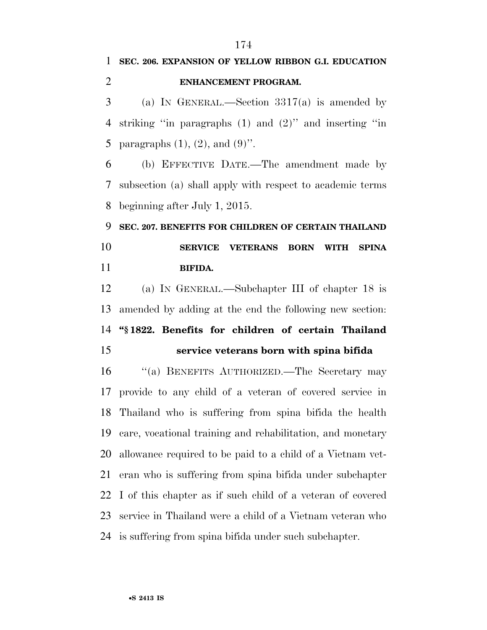### **SEC. 206. EXPANSION OF YELLOW RIBBON G.I. EDUCATION ENHANCEMENT PROGRAM.**

 (a) IN GENERAL.—Section 3317(a) is amended by striking ''in paragraphs (1) and (2)'' and inserting ''in 5 paragraphs  $(1)$ ,  $(2)$ , and  $(9)$ ".

 (b) EFFECTIVE DATE.—The amendment made by subsection (a) shall apply with respect to academic terms beginning after July 1, 2015.

# **SEC. 207. BENEFITS FOR CHILDREN OF CERTAIN THAILAND SERVICE VETERANS BORN WITH SPINA BIFIDA.**

 (a) IN GENERAL.—Subchapter III of chapter 18 is amended by adding at the end the following new section: **''§ 1822. Benefits for children of certain Thailand service veterans born with spina bifida** 

 ''(a) BENEFITS AUTHORIZED.—The Secretary may provide to any child of a veteran of covered service in Thailand who is suffering from spina bifida the health care, vocational training and rehabilitation, and monetary allowance required to be paid to a child of a Vietnam vet- eran who is suffering from spina bifida under subchapter I of this chapter as if such child of a veteran of covered service in Thailand were a child of a Vietnam veteran who is suffering from spina bifida under such subchapter.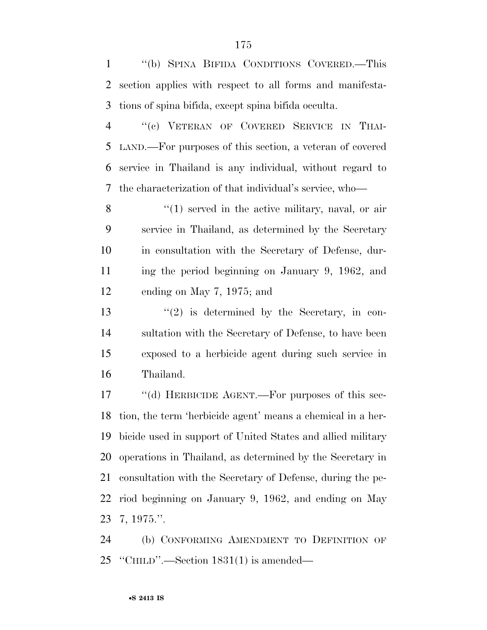''(b) SPINA BIFIDA CONDITIONS COVERED.—This section applies with respect to all forms and manifesta-tions of spina bifida, except spina bifida occulta.

 ''(c) VETERAN OF COVERED SERVICE IN THAI- LAND.—For purposes of this section, a veteran of covered service in Thailand is any individual, without regard to the characterization of that individual's service, who—

 ''(1) served in the active military, naval, or air service in Thailand, as determined by the Secretary in consultation with the Secretary of Defense, dur- ing the period beginning on January 9, 1962, and ending on May 7, 1975; and

 $(2)$  is determined by the Secretary, in con- sultation with the Secretary of Defense, to have been exposed to a herbicide agent during such service in Thailand.

 ''(d) HERBICIDE AGENT.—For purposes of this sec- tion, the term 'herbicide agent' means a chemical in a her- bicide used in support of United States and allied military operations in Thailand, as determined by the Secretary in consultation with the Secretary of Defense, during the pe- riod beginning on January 9, 1962, and ending on May 7, 1975.''.

 (b) CONFORMING AMENDMENT TO DEFINITION OF ''CHILD''.—Section 1831(1) is amended—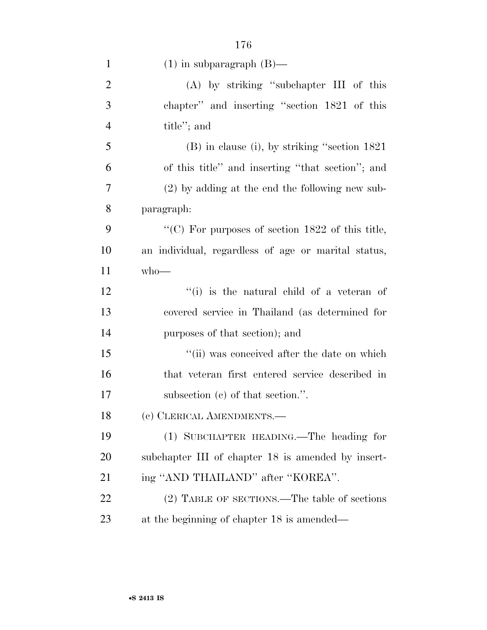| $\mathbf{1}$   | $(1)$ in subparagraph $(B)$ —                       |
|----------------|-----------------------------------------------------|
| $\overline{c}$ | (A) by striking "subchapter III of this             |
| 3              | chapter" and inserting "section 1821 of this        |
| $\overline{4}$ | title"; and                                         |
| 5              | $(B)$ in clause (i), by striking "section 1821      |
| 6              | of this title" and inserting "that section"; and    |
| 7              | $(2)$ by adding at the end the following new sub-   |
| 8              | paragraph:                                          |
| 9              | "(C) For purposes of section $1822$ of this title,  |
| 10             | an individual, regardless of age or marital status, |
| 11             | $who$ —                                             |
| 12             | "(i) is the natural child of a veteran of           |
| 13             | covered service in Thailand (as determined for      |
| 14             | purposes of that section); and                      |
| 15             | "(ii) was conceived after the date on which         |
| 16             | that veteran first entered service described in     |
| 17             | subsection (c) of that section.".                   |
| 18             | (c) CLERICAL AMENDMENTS.-                           |
| 19             | (1) SUBCHAPTER HEADING.—The heading for             |
| <b>20</b>      | subchapter III of chapter 18 is amended by insert-  |
| 21             | ing "AND THAILAND" after "KOREA".                   |
| 22             | (2) TABLE OF SECTIONS.—The table of sections        |
| 23             | at the beginning of chapter 18 is amended—          |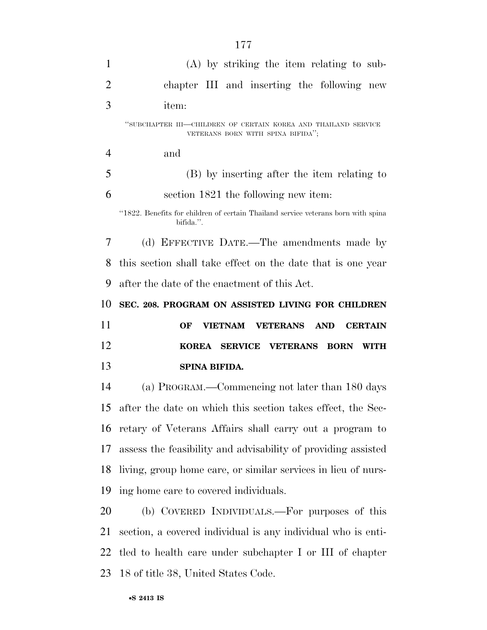| $\mathbf{1}$   | $(A)$ by striking the item relating to sub-                                                         |
|----------------|-----------------------------------------------------------------------------------------------------|
| $\overline{2}$ | chapter III and inserting the following new                                                         |
| 3              | item:                                                                                               |
|                | "SUBCHAPTER III—CHILDREN OF CERTAIN KOREA AND THAILAND SERVICE<br>VETERANS BORN WITH SPINA BIFIDA"; |
| $\overline{4}$ | and                                                                                                 |
| 5              | (B) by inserting after the item relating to                                                         |
| 6              | section 1821 the following new item:                                                                |
|                | "1822. Benefits for children of certain Thailand service veterans born with spina<br>bifida.".      |
| 7              | (d) EFFECTIVE DATE.—The amendments made by                                                          |
| 8              | this section shall take effect on the date that is one year                                         |
| 9              | after the date of the enactment of this Act.                                                        |
| 10             | SEC. 208. PROGRAM ON ASSISTED LIVING FOR CHILDREN                                                   |
|                |                                                                                                     |
| 11             | <b>VIETNAM VETERANS</b><br>OF<br><b>AND</b><br><b>CERTAIN</b>                                       |
| 12             | KOREA SERVICE VETERANS BORN<br><b>WITH</b>                                                          |
| 13             | SPINA BIFIDA.                                                                                       |
| 14             | (a) PROGRAM.—Commencing not later than 180 days                                                     |
|                | 15 after the date on which this section takes effect, the Sec-                                      |
| 16             | retary of Veterans Affairs shall carry out a program to                                             |
| 17             | assess the feasibility and advisability of providing assisted                                       |
| 18             | living, group home care, or similar services in lieu of nurs-                                       |
| 19             | ing home care to covered individuals.                                                               |
| 20             | (b) COVERED INDIVIDUALS.—For purposes of this                                                       |

 section, a covered individual is any individual who is enti- tled to health care under subchapter I or III of chapter 18 of title 38, United States Code.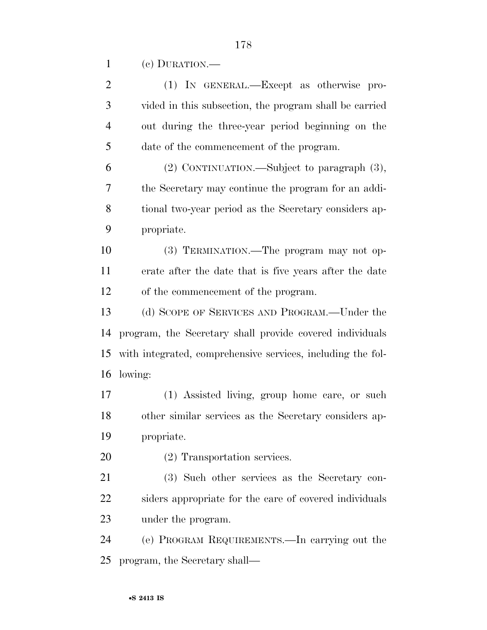(c) DURATION.—

| $\overline{2}$ | (1) IN GENERAL.—Except as otherwise pro-                    |
|----------------|-------------------------------------------------------------|
| 3              | vided in this subsection, the program shall be carried      |
| $\overline{4}$ | out during the three-year period beginning on the           |
| 5              | date of the commencement of the program.                    |
| 6              | $(2)$ CONTINUATION.—Subject to paragraph $(3)$ ,            |
| 7              | the Secretary may continue the program for an addi-         |
| 8              | tional two-year period as the Secretary considers ap-       |
| 9              | propriate.                                                  |
| 10             | (3) TERMINATION.—The program may not op-                    |
| 11             | erate after the date that is five years after the date      |
| 12             | of the commencement of the program.                         |
| 13             | (d) SCOPE OF SERVICES AND PROGRAM.—Under the                |
| 14             | program, the Secretary shall provide covered individuals    |
| 15             | with integrated, comprehensive services, including the fol- |
| 16             | lowing:                                                     |
| 17             | (1) Assisted living, group home care, or such               |
| 18             | other similar services as the Secretary considers ap-       |
| 19             | propriate.                                                  |
| 20             |                                                             |
|                | (2) Transportation services.                                |
| 21             | (3) Such other services as the Secretary con-               |
| 22             | siders appropriate for the care of covered individuals      |
| 23             | under the program.                                          |
| 24             | (e) PROGRAM REQUIREMENTS.—In carrying out the               |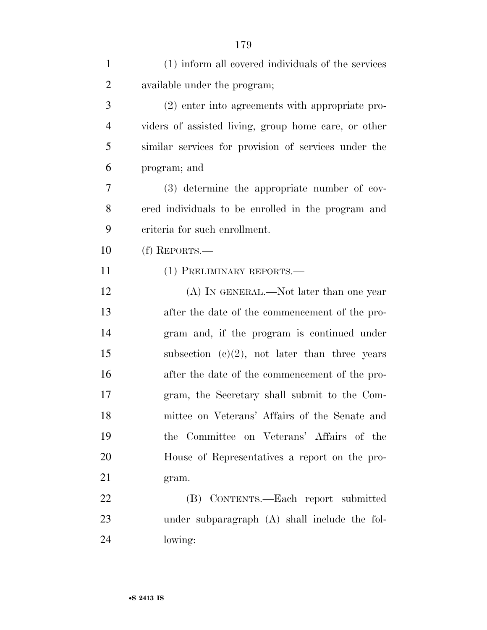| $\mathbf{1}$   | (1) inform all covered individuals of the services   |
|----------------|------------------------------------------------------|
| $\overline{2}$ | available under the program;                         |
| 3              | (2) enter into agreements with appropriate pro-      |
| $\overline{4}$ | viders of assisted living, group home care, or other |
| 5              | similar services for provision of services under the |
| 6              | program; and                                         |
| 7              | (3) determine the appropriate number of cov-         |
| 8              | ered individuals to be enrolled in the program and   |
| 9              | criteria for such enrollment.                        |
| 10             | (f) REPORTS.-                                        |
| 11             | (1) PRELIMINARY REPORTS.-                            |
| 12             | (A) IN GENERAL.—Not later than one year              |
| 13             | after the date of the commencement of the pro-       |
| 14             | gram and, if the program is continued under          |
| 15             | subsection $(c)(2)$ , not later than three years     |
| 16             | after the date of the commencement of the pro-       |
| 17             | gram, the Secretary shall submit to the Com-         |
| 18             | mittee on Veterans' Affairs of the Senate and        |
| 19             | the Committee on Veterans' Affairs of the            |
| 20             | House of Representatives a report on the pro-        |
| 21             | gram.                                                |
| 22             | (B) CONTENTS.—Each report submitted                  |
| 23             | under subparagraph (A) shall include the fol-        |
| 24             | lowing:                                              |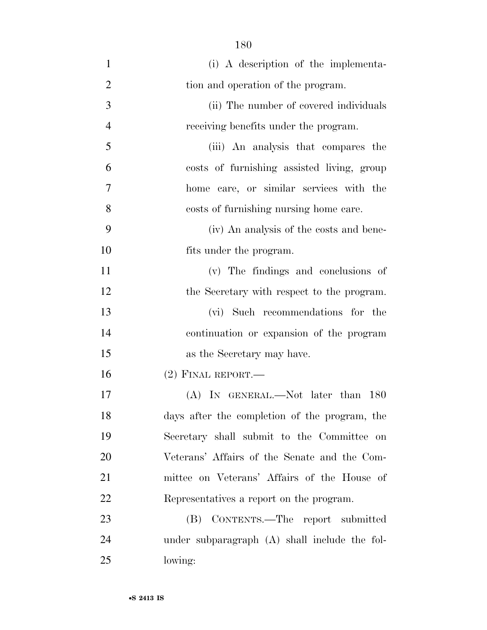(i) A description of the implementa-2 tion and operation of the program. (ii) The number of covered individuals receiving benefits under the program. (iii) An analysis that compares the costs of furnishing assisted living, group home care, or similar services with the costs of furnishing nursing home care. (iv) An analysis of the costs and bene- fits under the program. (v) The findings and conclusions of 12 the Secretary with respect to the program. (vi) Such recommendations for the continuation or expansion of the program as the Secretary may have. (2) FINAL REPORT.— (A) IN GENERAL.—Not later than 180 days after the completion of the program, the Secretary shall submit to the Committee on Veterans' Affairs of the Senate and the Com- mittee on Veterans' Affairs of the House of Representatives a report on the program. (B) CONTENTS.—The report submitted under subparagraph (A) shall include the fol-lowing: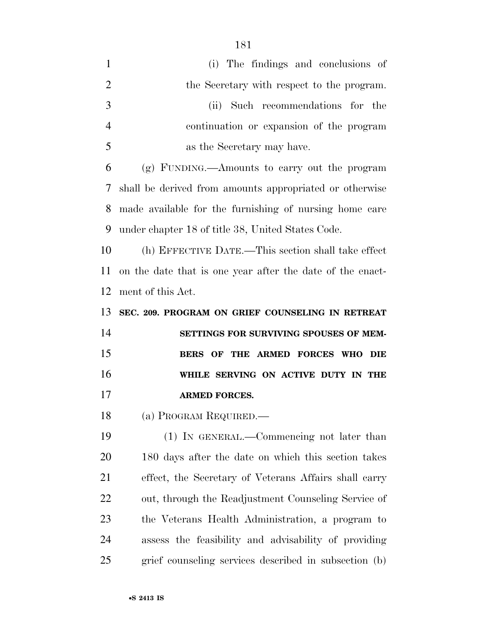- (i) The findings and conclusions of 2 the Secretary with respect to the program. (ii) Such recommendations for the continuation or expansion of the program as the Secretary may have. (g) FUNDING.—Amounts to carry out the program shall be derived from amounts appropriated or otherwise made available for the furnishing of nursing home care under chapter 18 of title 38, United States Code. (h) EFFECTIVE DATE.—This section shall take effect on the date that is one year after the date of the enact- ment of this Act. **SEC. 209. PROGRAM ON GRIEF COUNSELING IN RETREAT SETTINGS FOR SURVIVING SPOUSES OF MEM- BERS OF THE ARMED FORCES WHO DIE WHILE SERVING ON ACTIVE DUTY IN THE ARMED FORCES.**  (a) PROGRAM REQUIRED.— (1) IN GENERAL.—Commencing not later than 180 days after the date on which this section takes effect, the Secretary of Veterans Affairs shall carry out, through the Readjustment Counseling Service of
- the Veterans Health Administration, a program to assess the feasibility and advisability of providing grief counseling services described in subsection (b)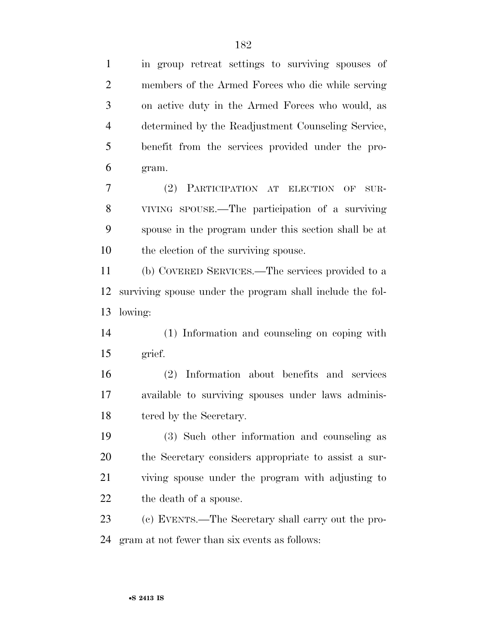in group retreat settings to surviving spouses of members of the Armed Forces who die while serving on active duty in the Armed Forces who would, as determined by the Readjustment Counseling Service, benefit from the services provided under the pro- gram. (2) PARTICIPATION AT ELECTION OF SUR- VIVING SPOUSE.—The participation of a surviving spouse in the program under this section shall be at the election of the surviving spouse. (b) COVERED SERVICES.—The services provided to a surviving spouse under the program shall include the fol- lowing: (1) Information and counseling on coping with grief. (2) Information about benefits and services available to surviving spouses under laws adminis-18 tered by the Secretary. (3) Such other information and counseling as the Secretary considers appropriate to assist a sur- viving spouse under the program with adjusting to 22 the death of a spouse. (c) EVENTS.—The Secretary shall carry out the pro-gram at not fewer than six events as follows: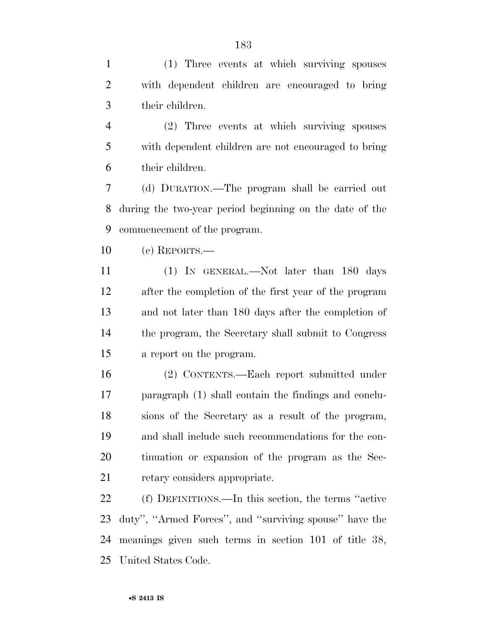(1) Three events at which surviving spouses with dependent children are encouraged to bring their children.

 (2) Three events at which surviving spouses with dependent children are not encouraged to bring their children.

 (d) DURATION.—The program shall be carried out during the two-year period beginning on the date of the commencement of the program.

(e) REPORTS.—

 (1) IN GENERAL.—Not later than 180 days after the completion of the first year of the program and not later than 180 days after the completion of the program, the Secretary shall submit to Congress a report on the program.

 (2) CONTENTS.—Each report submitted under paragraph (1) shall contain the findings and conclu- sions of the Secretary as a result of the program, and shall include such recommendations for the con- tinuation or expansion of the program as the Sec-retary considers appropriate.

 (f) DEFINITIONS.—In this section, the terms ''active duty'', ''Armed Forces'', and ''surviving spouse'' have the meanings given such terms in section 101 of title 38, United States Code.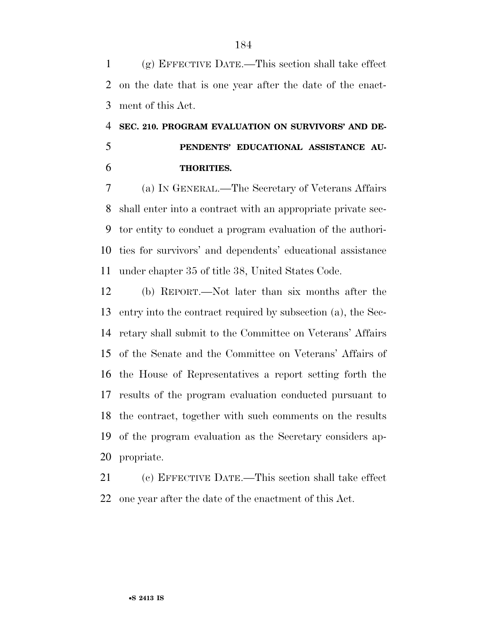(g) EFFECTIVE DATE.—This section shall take effect on the date that is one year after the date of the enact-ment of this Act.

# **SEC. 210. PROGRAM EVALUATION ON SURVIVORS' AND DE- PENDENTS' EDUCATIONAL ASSISTANCE AU-THORITIES.**

 (a) IN GENERAL.—The Secretary of Veterans Affairs shall enter into a contract with an appropriate private sec- tor entity to conduct a program evaluation of the authori- ties for survivors' and dependents' educational assistance under chapter 35 of title 38, United States Code.

 (b) REPORT.—Not later than six months after the entry into the contract required by subsection (a), the Sec- retary shall submit to the Committee on Veterans' Affairs of the Senate and the Committee on Veterans' Affairs of the House of Representatives a report setting forth the results of the program evaluation conducted pursuant to the contract, together with such comments on the results of the program evaluation as the Secretary considers ap-propriate.

 (c) EFFECTIVE DATE.—This section shall take effect one year after the date of the enactment of this Act.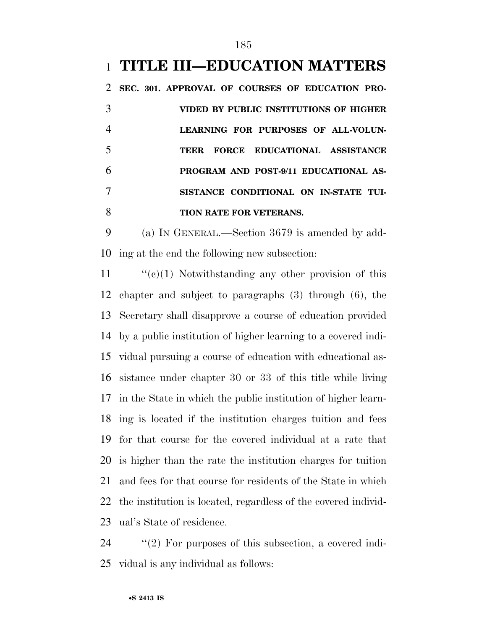### **TITLE III—EDUCATION MATTERS**

 **SEC. 301. APPROVAL OF COURSES OF EDUCATION PRO- VIDED BY PUBLIC INSTITUTIONS OF HIGHER LEARNING FOR PURPOSES OF ALL-VOLUN- TEER FORCE EDUCATIONAL ASSISTANCE PROGRAM AND POST-9/11 EDUCATIONAL AS- SISTANCE CONDITIONAL ON IN-STATE TUI-TION RATE FOR VETERANS.** 

 (a) IN GENERAL.—Section 3679 is amended by add-ing at the end the following new subsection:

 $\frac{1}{2}$  (c)(1) Notwithstanding any other provision of this chapter and subject to paragraphs (3) through (6), the Secretary shall disapprove a course of education provided by a public institution of higher learning to a covered indi- vidual pursuing a course of education with educational as- sistance under chapter 30 or 33 of this title while living in the State in which the public institution of higher learn- ing is located if the institution charges tuition and fees for that course for the covered individual at a rate that is higher than the rate the institution charges for tuition and fees for that course for residents of the State in which the institution is located, regardless of the covered individ-ual's State of residence.

 ''(2) For purposes of this subsection, a covered indi-vidual is any individual as follows: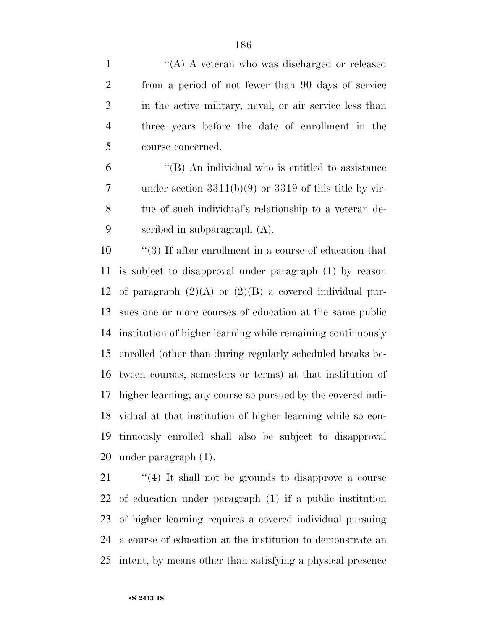1 ''(A) A veteran who was discharged or released from a period of not fewer than 90 days of service in the active military, naval, or air service less than three years before the date of enrollment in the course concerned.

 ''(B) An individual who is entitled to assistance under section 3311(b)(9) or 3319 of this title by vir- tue of such individual's relationship to a veteran de-scribed in subparagraph (A).

 ''(3) If after enrollment in a course of education that is subject to disapproval under paragraph (1) by reason 12 of paragraph  $(2)(A)$  or  $(2)(B)$  a covered individual pur- sues one or more courses of education at the same public institution of higher learning while remaining continuously enrolled (other than during regularly scheduled breaks be- tween courses, semesters or terms) at that institution of higher learning, any course so pursued by the covered indi- vidual at that institution of higher learning while so con- tinuously enrolled shall also be subject to disapproval under paragraph (1).

 $\frac{1}{2}$  (4) It shall not be grounds to disapprove a course of education under paragraph (1) if a public institution of higher learning requires a covered individual pursuing a course of education at the institution to demonstrate an intent, by means other than satisfying a physical presence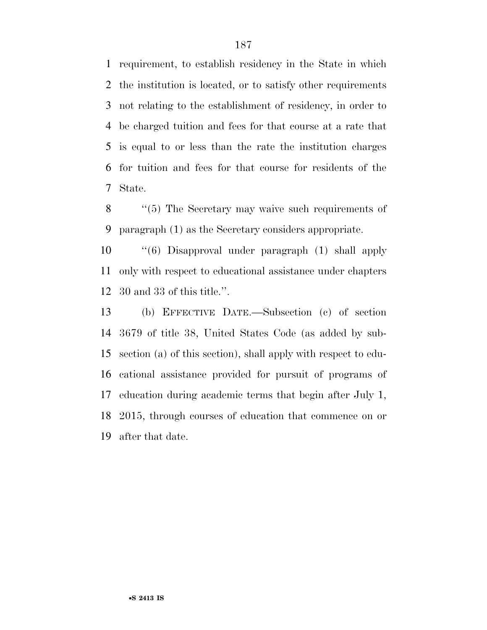requirement, to establish residency in the State in which the institution is located, or to satisfy other requirements not relating to the establishment of residency, in order to be charged tuition and fees for that course at a rate that is equal to or less than the rate the institution charges for tuition and fees for that course for residents of the State.

8 "(5) The Secretary may waive such requirements of paragraph (1) as the Secretary considers appropriate.

 ''(6) Disapproval under paragraph (1) shall apply only with respect to educational assistance under chapters 30 and 33 of this title.''.

 (b) EFFECTIVE DATE.—Subsection (c) of section 3679 of title 38, United States Code (as added by sub- section (a) of this section), shall apply with respect to edu- cational assistance provided for pursuit of programs of education during academic terms that begin after July 1, 2015, through courses of education that commence on or after that date.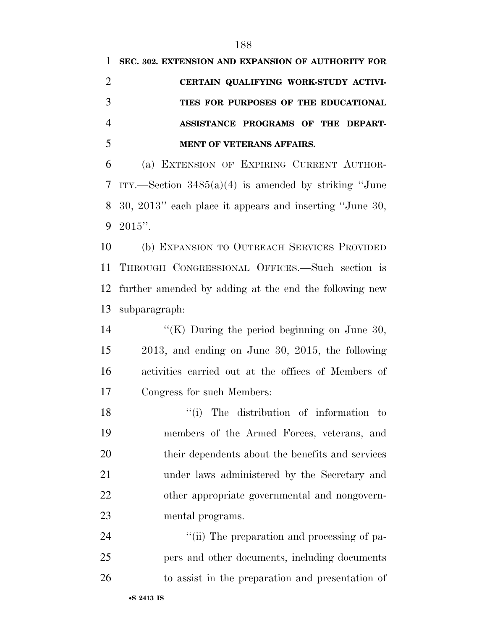**SEC. 302. EXTENSION AND EXPANSION OF AUTHORITY FOR** 

| $\overline{2}$ | CERTAIN QUALIFYING WORK-STUDY ACTIVI-                   |
|----------------|---------------------------------------------------------|
| 3              | TIES FOR PURPOSES OF THE EDUCATIONAL                    |
| $\overline{4}$ | ASSISTANCE PROGRAMS OF THE DEPART-                      |
| 5              | MENT OF VETERANS AFFAIRS.                               |
| 6              | (a) EXTENSION OF EXPIRING CURRENT AUTHOR-               |
| 7              | ITY.—Section $3485(a)(4)$ is amended by striking "June  |
| 8              | 30, 2013" each place it appears and inserting "June 30, |
| 9              | $2015$ ".                                               |
| 10             | (b) EXPANSION TO OUTREACH SERVICES PROVIDED             |
| 11             | THROUGH CONGRESSIONAL OFFICES.—Such section is          |
| 12             | further amended by adding at the end the following new  |
| 13             | subparagraph:                                           |
| 14             | "(K) During the period beginning on June 30,            |
| 15             | $2013$ , and ending on June 30, 2015, the following     |
| 16             | activities carried out at the offices of Members of     |
| 17             | Congress for such Members:                              |
| 18             | ``(i)<br>The distribution of information to             |
| 19             | members of the Armed Forces, veterans, and              |
| 20             | their dependents about the benefits and services        |
| 21             | under laws administered by the Secretary and            |
| 22             | other appropriate governmental and nongovern-           |
| 23             | mental programs.                                        |
| 24             | "(ii) The preparation and processing of pa-             |
| 25             | pers and other documents, including documents           |
| 26             | to assist in the preparation and presentation of        |
|                |                                                         |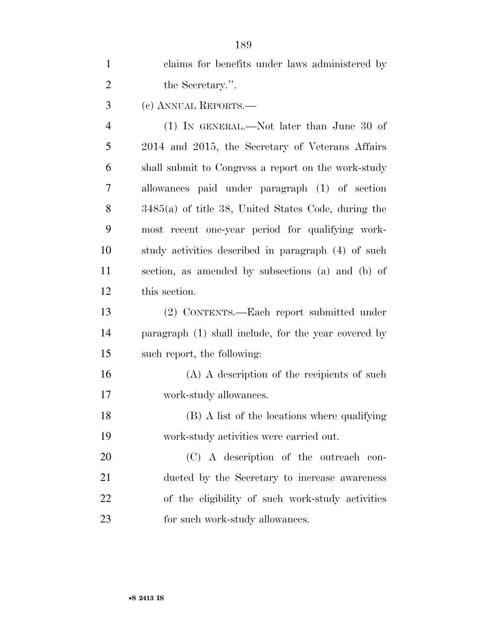| $\mathbf{1}$   | claims for benefits under laws administered by       |
|----------------|------------------------------------------------------|
| $\overline{2}$ | the Secretary.".                                     |
| 3              | (c) ANNUAL REPORTS.—                                 |
| $\overline{4}$ | $(1)$ In GENERAL.—Not later than June 30 of          |
| 5              | 2014 and 2015, the Secretary of Veterans Affairs     |
| 6              | shall submit to Congress a report on the work-study  |
| 7              | allowances paid under paragraph (1) of section       |
| 8              | 3485(a) of title 38, United States Code, during the  |
| 9              | most recent one-year period for qualifying work-     |
| 10             | study activities described in paragraph (4) of such  |
| 11             | section, as amended by subsections (a) and (b) of    |
| 12             | this section.                                        |
| 13             | (2) CONTENTS.—Each report submitted under            |
| 14             | paragraph (1) shall include, for the year covered by |
| 15             | such report, the following:                          |
| 16             | $(A)$ A description of the recipients of such        |
| 17             | work-study allowances.                               |
| 18             | (B) A list of the locations where qualifying         |
| 19             | work-study activities were carried out.              |
| 20             | (C) A description of the outreach con-               |
| 21             | ducted by the Secretary to increase awareness        |
| 22             | of the eligibility of such work-study activities     |
| 23             | for such work-study allowances.                      |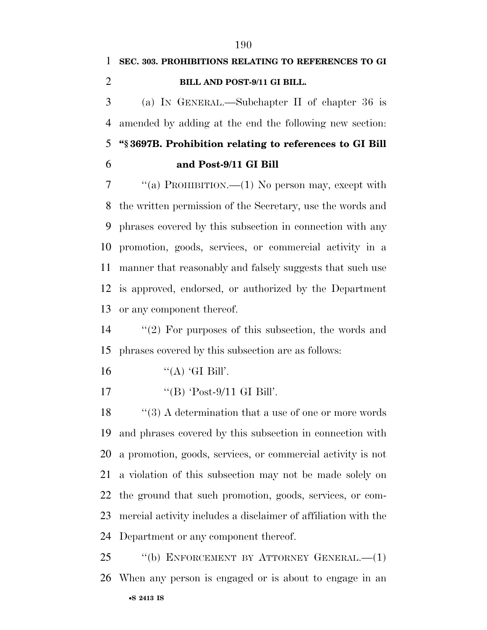# **SEC. 303. PROHIBITIONS RELATING TO REFERENCES TO GI BILL AND POST-9/11 GI BILL.**

 (a) IN GENERAL.—Subchapter II of chapter 36 is amended by adding at the end the following new section: **''§ 3697B. Prohibition relating to references to GI Bill** 

**and Post-9/11 GI Bill** 

 ''(a) PROHIBITION.—(1) No person may, except with the written permission of the Secretary, use the words and phrases covered by this subsection in connection with any promotion, goods, services, or commercial activity in a manner that reasonably and falsely suggests that such use is approved, endorsed, or authorized by the Department or any component thereof.

 ''(2) For purposes of this subsection, the words and phrases covered by this subsection are as follows:

- 16  $"({\rm A})$  'GI Bill'.
- 17  $\text{``(B) 'Post-9/11 GI Bill'.}$

18 ''(3) A determination that a use of one or more words and phrases covered by this subsection in connection with a promotion, goods, services, or commercial activity is not a violation of this subsection may not be made solely on the ground that such promotion, goods, services, or com- mercial activity includes a disclaimer of affiliation with the Department or any component thereof.

•**S 2413 IS** ''(b) ENFORCEMENT BY ATTORNEY GENERAL.—(1) When any person is engaged or is about to engage in an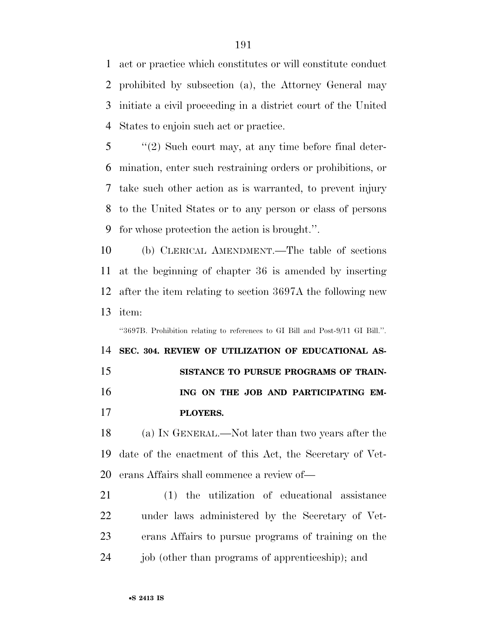act or practice which constitutes or will constitute conduct prohibited by subsection (a), the Attorney General may initiate a civil proceeding in a district court of the United States to enjoin such act or practice.

 ''(2) Such court may, at any time before final deter- mination, enter such restraining orders or prohibitions, or take such other action as is warranted, to prevent injury to the United States or to any person or class of persons for whose protection the action is brought.''.

 (b) CLERICAL AMENDMENT.—The table of sections at the beginning of chapter 36 is amended by inserting after the item relating to section 3697A the following new item:

''3697B. Prohibition relating to references to GI Bill and Post-9/11 GI Bill.''.

 **SEC. 304. REVIEW OF UTILIZATION OF EDUCATIONAL AS- SISTANCE TO PURSUE PROGRAMS OF TRAIN-ING ON THE JOB AND PARTICIPATING EM-PLOYERS.** 

 (a) IN GENERAL.—Not later than two years after the date of the enactment of this Act, the Secretary of Vet-erans Affairs shall commence a review of—

 (1) the utilization of educational assistance under laws administered by the Secretary of Vet- erans Affairs to pursue programs of training on the 24 job (other than programs of apprenticeship); and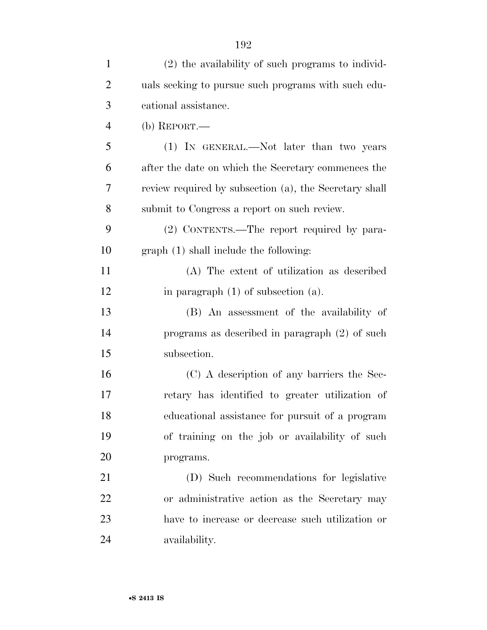| $\mathbf{1}$   | (2) the availability of such programs to individ-      |
|----------------|--------------------------------------------------------|
| $\overline{2}$ | uals seeking to pursue such programs with such edu-    |
| 3              | cational assistance.                                   |
| $\overline{4}$ | (b) $REPORT.$ —                                        |
| 5              | (1) IN GENERAL.—Not later than two years               |
| 6              | after the date on which the Secretary commences the    |
| 7              | review required by subsection (a), the Secretary shall |
| 8              | submit to Congress a report on such review.            |
| 9              | (2) CONTENTS.—The report required by para-             |
| 10             | graph (1) shall include the following:                 |
| 11             | (A) The extent of utilization as described             |
| 12             | in paragraph $(1)$ of subsection $(a)$ .               |
| 13             | (B) An assessment of the availability of               |
| 14             | programs as described in paragraph (2) of such         |
| 15             | subsection.                                            |
| 16             | (C) A description of any barriers the Sec-             |
| 17             | retary has identified to greater utilization of        |
| 18             | educational assistance for pursuit of a program        |
| 19             | of training on the job or availability of such         |
| 20             | programs.                                              |
| 21             | (D) Such recommendations for legislative               |
| 22             | or administrative action as the Secretary may          |
| 23             | have to increase or decrease such utilization or       |
| 24             | availability.                                          |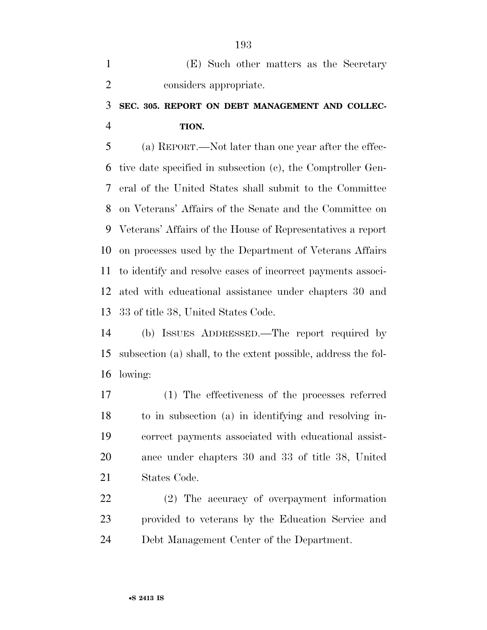| (E) Such other matters as the Secretary |
|-----------------------------------------|
| considers appropriate.                  |

### **SEC. 305. REPORT ON DEBT MANAGEMENT AND COLLEC-TION.**

 (a) REPORT.—Not later than one year after the effec- tive date specified in subsection (c), the Comptroller Gen- eral of the United States shall submit to the Committee on Veterans' Affairs of the Senate and the Committee on Veterans' Affairs of the House of Representatives a report on processes used by the Department of Veterans Affairs to identify and resolve cases of incorrect payments associ- ated with educational assistance under chapters 30 and 33 of title 38, United States Code.

 (b) ISSUES ADDRESSED.—The report required by subsection (a) shall, to the extent possible, address the fol-lowing:

 (1) The effectiveness of the processes referred to in subsection (a) in identifying and resolving in- correct payments associated with educational assist- ance under chapters 30 and 33 of title 38, United States Code.

 (2) The accuracy of overpayment information provided to veterans by the Education Service and Debt Management Center of the Department.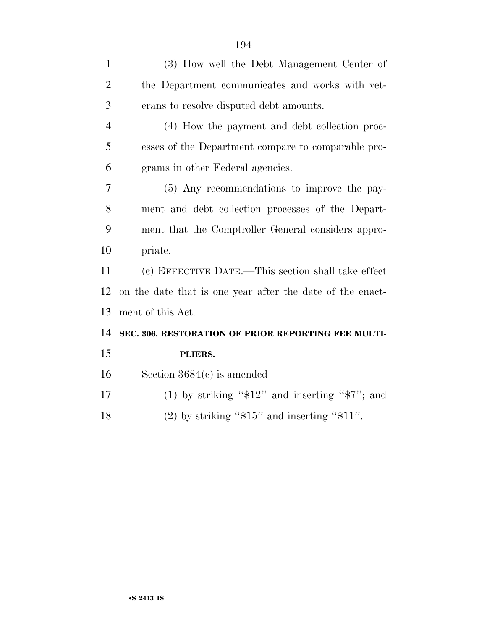| $\mathbf{1}$   | (3) How well the Debt Management Center of                |
|----------------|-----------------------------------------------------------|
| $\overline{2}$ | the Department communicates and works with vet-           |
| 3              | erans to resolve disputed debt amounts.                   |
| $\overline{4}$ | (4) How the payment and debt collection proc-             |
| 5              | esses of the Department compare to comparable pro-        |
| 6              | grams in other Federal agencies.                          |
| 7              | (5) Any recommendations to improve the pay-               |
| 8              | ment and debt collection processes of the Depart-         |
| 9              | ment that the Comptroller General considers appro-        |
| 10             | priate.                                                   |
| 11             | (c) EFFECTIVE DATE.—This section shall take effect        |
| 12             | on the date that is one year after the date of the enact- |
| 13             | ment of this Act.                                         |
| 14             | SEC. 306. RESTORATION OF PRIOR REPORTING FEE MULTI-       |
| 15             | PLIERS.                                                   |
| 16             | Section $3684(c)$ is amended—                             |
| 17             | (1) by striking " $$12"$ and inserting " $$7"$ ; and      |
| 18             | $(2)$ by striking "\$15" and inserting "\$11".            |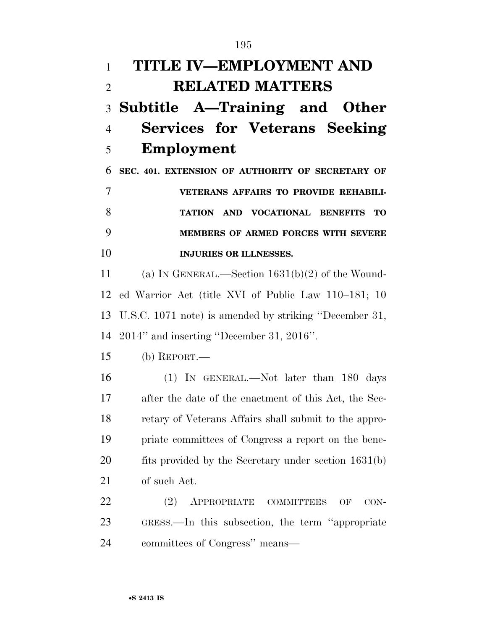**TITLE IV—EMPLOYMENT AND RELATED MATTERS Subtitle A—Training and Other Services for Veterans Seeking Employment SEC. 401. EXTENSION OF AUTHORITY OF SECRETARY OF VETERANS AFFAIRS TO PROVIDE REHABILI- TATION AND VOCATIONAL BENEFITS TO MEMBERS OF ARMED FORCES WITH SEVERE INJURIES OR ILLNESSES.**  (a) IN GENERAL.—Section 1631(b)(2) of the Wound- ed Warrior Act (title XVI of Public Law 110–181; 10 U.S.C. 1071 note) is amended by striking ''December 31, 2014'' and inserting ''December 31, 2016''. (b) REPORT.— (1) IN GENERAL.—Not later than 180 days after the date of the enactment of this Act, the Sec- retary of Veterans Affairs shall submit to the appro- priate committees of Congress a report on the bene-20 fits provided by the Secretary under section 1631(b) of such Act. 22 (2) APPROPRIATE COMMITTEES OF CON- GRESS.—In this subsection, the term ''appropriate committees of Congress'' means—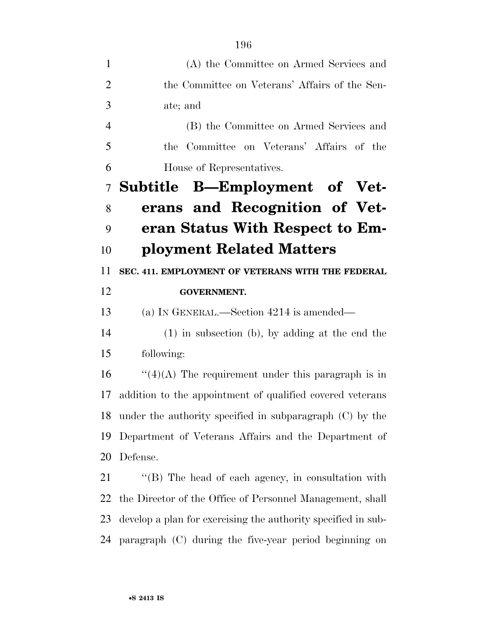| (A) the Committee on Armed Services and                       |
|---------------------------------------------------------------|
| the Committee on Veterans' Affairs of the Sen-                |
| ate; and                                                      |
| (B) the Committee on Armed Services and                       |
| Committee on Veterans' Affairs of the<br>the                  |
| House of Representatives.                                     |
| Subtitle B—Employment of Vet-                                 |
| erans and Recognition of Vet-                                 |
| eran Status With Respect to Em-                               |
| ployment Related Matters                                      |
| SEC. 411. EMPLOYMENT OF VETERANS WITH THE FEDERAL             |
| <b>GOVERNMENT.</b>                                            |
| (a) IN GENERAL.—Section $4214$ is amended—                    |
| $(1)$ in subsection (b), by adding at the end the             |
| following:                                                    |
| $\lq(4)(A)$ The requirement under this paragraph is in        |
| addition to the appointment of qualified covered veterans     |
| under the authority specified in subparagraph $(C)$ by the    |
| Department of Veterans Affairs and the Department of          |
| Defense.                                                      |
| $\lq$ (B) The head of each agency, in consultation with       |
| the Director of the Office of Personnel Management, shall     |
| develop a plan for exercising the authority specified in sub- |
| paragraph (C) during the five-year period beginning on        |
|                                                               |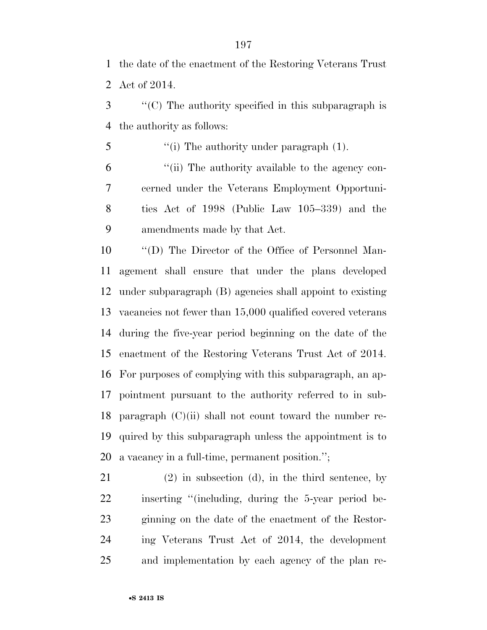the date of the enactment of the Restoring Veterans Trust Act of 2014.

 ''(C) The authority specified in this subparagraph is the authority as follows:

5 "(i) The authority under paragraph (1).

 ''(ii) The authority available to the agency con- cerned under the Veterans Employment Opportuni- ties Act of 1998 (Public Law 105–339) and the amendments made by that Act.

 ''(D) The Director of the Office of Personnel Man- agement shall ensure that under the plans developed under subparagraph (B) agencies shall appoint to existing vacancies not fewer than 15,000 qualified covered veterans during the five-year period beginning on the date of the enactment of the Restoring Veterans Trust Act of 2014. For purposes of complying with this subparagraph, an ap- pointment pursuant to the authority referred to in sub-18 paragraph  $(C)(ii)$  shall not count toward the number re- quired by this subparagraph unless the appointment is to a vacancy in a full-time, permanent position.'';

 (2) in subsection (d), in the third sentence, by inserting ''(including, during the 5-year period be- ginning on the date of the enactment of the Restor- ing Veterans Trust Act of 2014, the development and implementation by each agency of the plan re-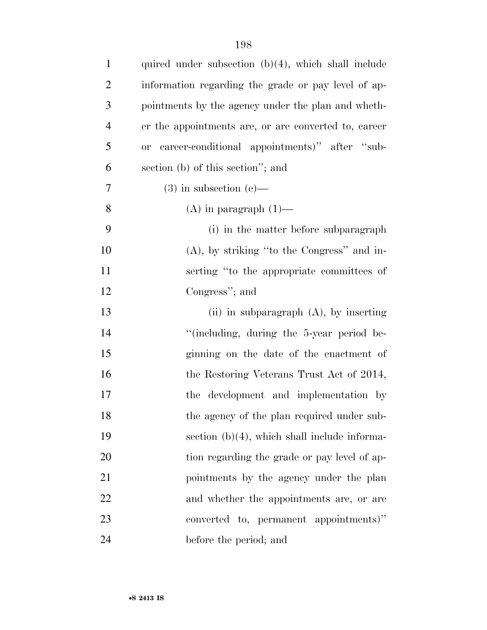| $\mathbf{1}$   | quired under subsection $(b)(4)$ , which shall include     |
|----------------|------------------------------------------------------------|
| $\overline{2}$ | information regarding the grade or pay level of ap-        |
| 3              | pointments by the agency under the plan and wheth-         |
| $\overline{4}$ | er the appointments are, or are converted to, career       |
| 5              | career-conditional appointments)" after "sub-<br><b>or</b> |
| 6              | section (b) of this section"; and                          |
| 7              | $(3)$ in subsection $(e)$ —                                |
| 8              | $(A)$ in paragraph $(1)$ —                                 |
| 9              | (i) in the matter before subparagraph                      |
| 10             | $(A)$ , by striking "to the Congress" and in-              |
| 11             | serting "to the appropriate committees of                  |
| 12             | Congress"; and                                             |
| 13             | (ii) in subparagraph $(A)$ , by inserting                  |
| 14             | "(including, during the 5-year period be-                  |
| 15             | ginning on the date of the enactment of                    |
| 16             | the Restoring Veterans Trust Act of 2014,                  |
| 17             | the development and implementation by                      |
| 18             | the agency of the plan required under sub-                 |
| 19             | section $(b)(4)$ , which shall include informa-            |
| 20             | tion regarding the grade or pay level of ap-               |
| 21             | pointments by the agency under the plan                    |
| 22             | and whether the appointments are, or are                   |
| 23             | converted to, permanent appointments)"                     |
| 24             | before the period; and                                     |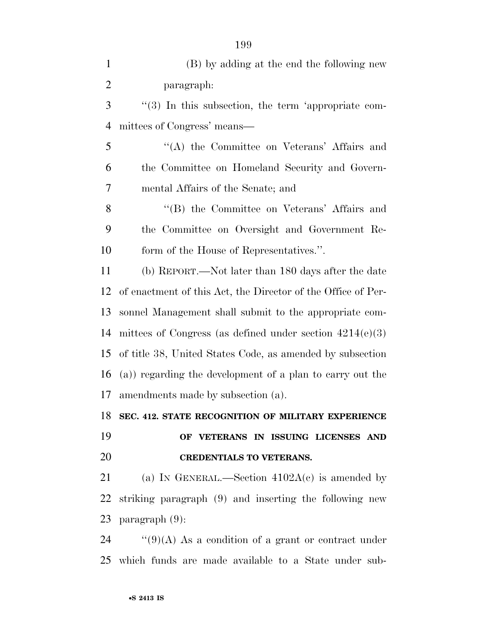| $\mathbf{1}$   | (B) by adding at the end the following new                   |
|----------------|--------------------------------------------------------------|
| $\overline{2}$ | paragraph:                                                   |
| 3              | "(3) In this subsection, the term 'appropriate com-          |
| $\overline{4}$ | mittees of Congress' means—                                  |
| 5              | "(A) the Committee on Veterans' Affairs and                  |
| 6              | the Committee on Homeland Security and Govern-               |
| 7              | mental Affairs of the Senate; and                            |
| 8              | "(B) the Committee on Veterans' Affairs and                  |
| 9              | the Committee on Oversight and Government Re-                |
| 10             | form of the House of Representatives.".                      |
| 11             | (b) REPORT.—Not later than 180 days after the date           |
| 12             | of enactment of this Act, the Director of the Office of Per- |
| 13             | sonnel Management shall submit to the appropriate com-       |
| 14             | mittees of Congress (as defined under section $4214(e)(3)$ ) |
| 15             | of title 38, United States Code, as amended by subsection    |
| 16             | (a)) regarding the development of a plan to carry out the    |
| 17             | amendments made by subsection (a).                           |
| 18             | SEC. 412. STATE RECOGNITION OF MILITARY EXPERIENCE           |
| 19             | OF VETERANS IN ISSUING LICENSES AND                          |
| 20             | <b>CREDENTIALS TO VETERANS.</b>                              |
| 21             | (a) IN GENERAL.—Section $4102A(c)$ is amended by             |
| 22             | striking paragraph (9) and inserting the following new       |
| 23             | paragraph $(9)$ :                                            |
| 24             | "(9)(A) As a condition of a grant or contract under          |
|                | 25 which funds are made available to a State under sub-      |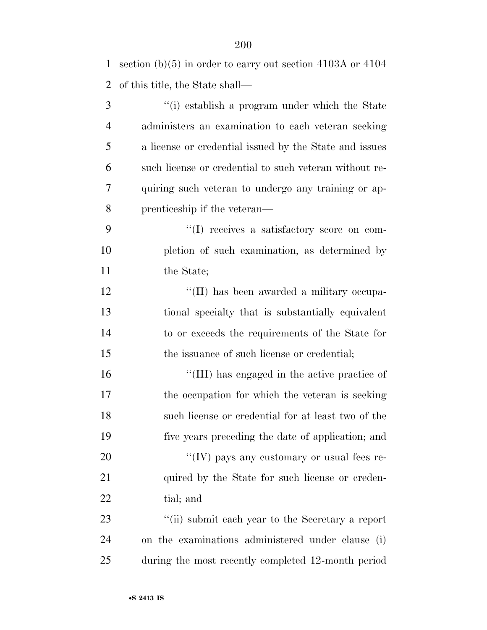| 1              | section $(b)(5)$ in order to carry out section 4103A or 4104 |
|----------------|--------------------------------------------------------------|
| $\overline{2}$ | of this title, the State shall—                              |
| 3              | "(i) establish a program under which the State               |
| $\overline{4}$ | administers an examination to each veteran seeking           |
| 5              | a license or credential issued by the State and issues       |
| 6              | such license or credential to such veteran without re-       |
| 7              | quiring such veteran to undergo any training or ap-          |
| 8              | prenticeship if the veteran—                                 |
| 9              | "(I) receives a satisfactory score on com-                   |
| 10             | pletion of such examination, as determined by                |
| 11             | the State;                                                   |
| 12             | "(II) has been awarded a military occupa-                    |
| 13             | tional specialty that is substantially equivalent            |
| 14             | to or exceeds the requirements of the State for              |
| 15             | the issuance of such license or credential;                  |
| 16             | "(III) has engaged in the active practice of                 |
| 17             | the occupation for which the veteran is seeking              |
| 18             | such license or credential for at least two of the           |
| 19             | five years preceding the date of application; and            |
| 20             | "(IV) pays any customary or usual fees re-                   |
| 21             | quired by the State for such license or creden-              |
| 22             | tial; and                                                    |
| 23             | "(ii) submit each year to the Secretary a report             |
| 24             | on the examinations administered under clause (i)            |
| 25             | during the most recently completed 12-month period           |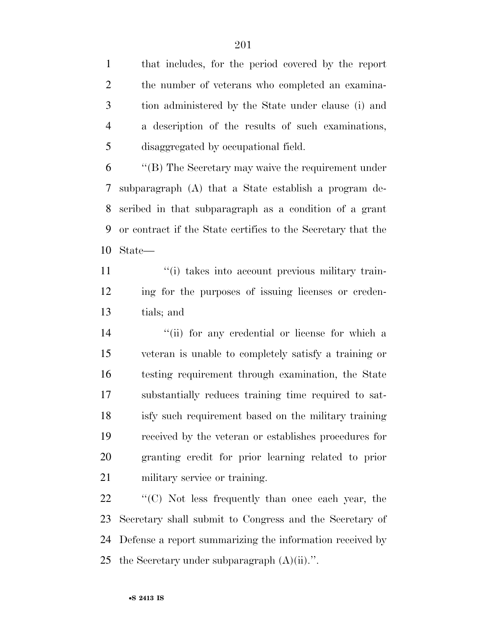that includes, for the period covered by the report the number of veterans who completed an examina- tion administered by the State under clause (i) and a description of the results of such examinations, disaggregated by occupational field.

 ''(B) The Secretary may waive the requirement under subparagraph (A) that a State establish a program de- scribed in that subparagraph as a condition of a grant or contract if the State certifies to the Secretary that the State—

11  $\frac{1}{10}$  takes into account previous military train- ing for the purposes of issuing licenses or creden-tials; and

14 ''(ii) for any credential or license for which a veteran is unable to completely satisfy a training or testing requirement through examination, the State substantially reduces training time required to sat- isfy such requirement based on the military training received by the veteran or establishes procedures for granting credit for prior learning related to prior military service or training.

 ''(C) Not less frequently than once each year, the Secretary shall submit to Congress and the Secretary of Defense a report summarizing the information received by 25 the Secretary under subparagraph  $(A)(ii)$ .".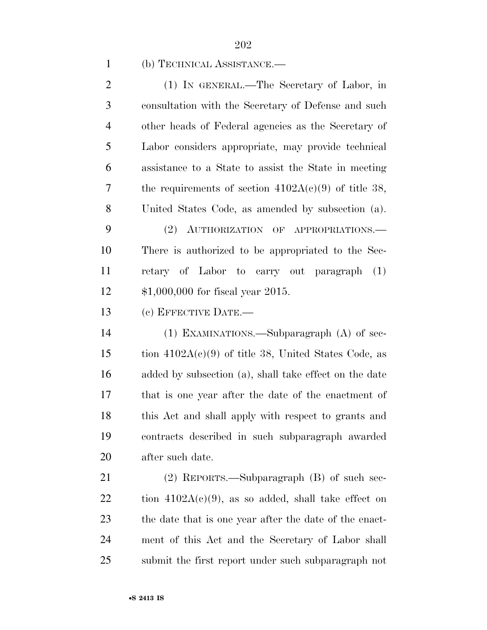#### (b) TECHNICAL ASSISTANCE.—

 (1) IN GENERAL.—The Secretary of Labor, in consultation with the Secretary of Defense and such other heads of Federal agencies as the Secretary of Labor considers appropriate, may provide technical assistance to a State to assist the State in meeting the requirements of section 4102A(c)(9) of title 38, United States Code, as amended by subsection (a). (2) AUTHORIZATION OF APPROPRIATIONS.— There is authorized to be appropriated to the Sec- retary of Labor to carry out paragraph (1) \$1,000,000 for fiscal year 2015. (c) EFFECTIVE DATE.—

 (1) EXAMINATIONS.—Subparagraph (A) of sec-15 tion  $4102A(c)(9)$  of title 38, United States Code, as added by subsection (a), shall take effect on the date that is one year after the date of the enactment of this Act and shall apply with respect to grants and contracts described in such subparagraph awarded after such date.

 (2) REPORTS.—Subparagraph (B) of such sec-22 tion  $4102A(c)(9)$ , as so added, shall take effect on the date that is one year after the date of the enact- ment of this Act and the Secretary of Labor shall submit the first report under such subparagraph not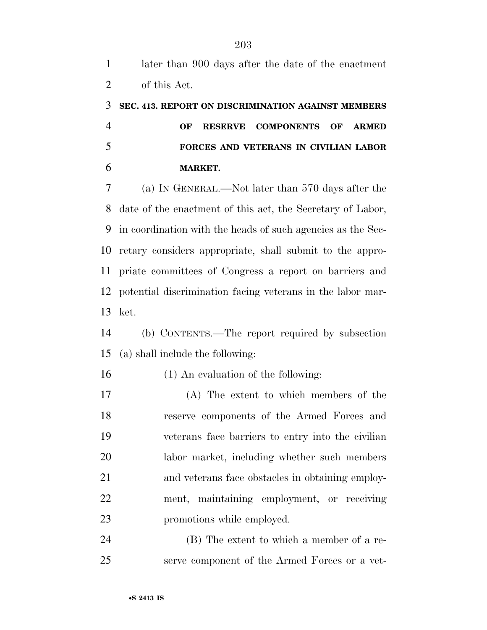# **SEC. 413. REPORT ON DISCRIMINATION AGAINST MEMBERS OF RESERVE COMPONENTS OF ARMED FORCES AND VETERANS IN CIVILIAN LABOR MARKET.**

 (a) IN GENERAL.—Not later than 570 days after the date of the enactment of this act, the Secretary of Labor, in coordination with the heads of such agencies as the Sec- retary considers appropriate, shall submit to the appro- priate committees of Congress a report on barriers and potential discrimination facing veterans in the labor mar-ket.

 (b) CONTENTS.—The report required by subsection (a) shall include the following:

(1) An evaluation of the following:

 (A) The extent to which members of the reserve components of the Armed Forces and veterans face barriers to entry into the civilian labor market, including whether such members and veterans face obstacles in obtaining employ- ment, maintaining employment, or receiving promotions while employed.

 (B) The extent to which a member of a re-serve component of the Armed Forces or a vet-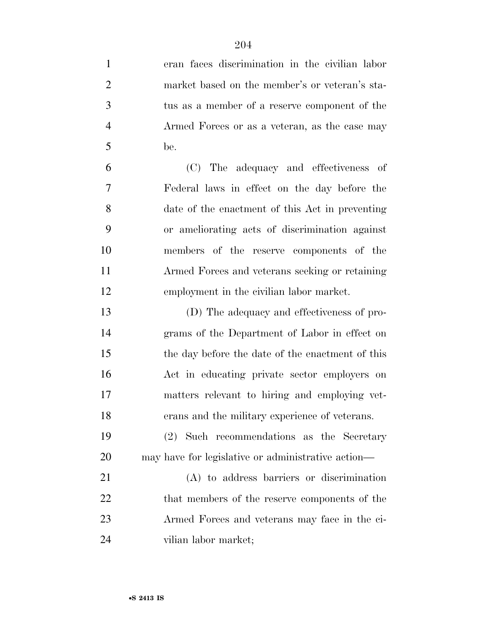eran faces discrimination in the civilian labor market based on the member's or veteran's sta- tus as a member of a reserve component of the Armed Forces or as a veteran, as the case may be. (C) The adequacy and effectiveness of Federal laws in effect on the day before the date of the enactment of this Act in preventing or ameliorating acts of discrimination against members of the reserve components of the Armed Forces and veterans seeking or retaining

 (D) The adequacy and effectiveness of pro- grams of the Department of Labor in effect on the day before the date of the enactment of this Act in educating private sector employers on matters relevant to hiring and employing vet-erans and the military experience of veterans.

employment in the civilian labor market.

 (2) Such recommendations as the Secretary may have for legislative or administrative action—

 (A) to address barriers or discrimination 22 that members of the reserve components of the Armed Forces and veterans may face in the ci-vilian labor market;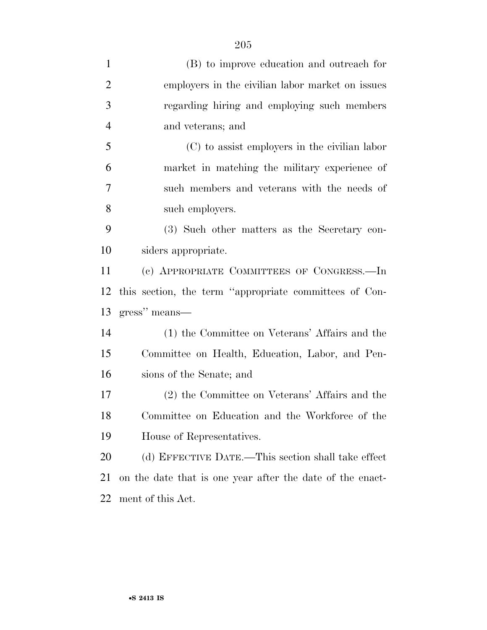| $\mathbf{1}$   | (B) to improve education and outreach for                 |
|----------------|-----------------------------------------------------------|
| $\overline{2}$ | employers in the civilian labor market on issues          |
| 3              | regarding hiring and employing such members               |
| $\overline{4}$ | and veterans; and                                         |
| 5              | (C) to assist employers in the civilian labor             |
| 6              | market in matching the military experience of             |
| 7              | such members and veterans with the needs of               |
| 8              | such employers.                                           |
| 9              | (3) Such other matters as the Secretary con-              |
| 10             | siders appropriate.                                       |
| 11             | (c) APPROPRIATE COMMITTEES OF CONGRESS.-In                |
| 12             | this section, the term "appropriate committees of Con-    |
| 13             | gress" means—                                             |
| 14             | (1) the Committee on Veterans' Affairs and the            |
| 15             | Committee on Health, Education, Labor, and Pen-           |
| 16             | sions of the Senate; and                                  |
| 17             | (2) the Committee on Veterans' Affairs and the            |
| 18             | Committee on Education and the Workforce of the           |
| 19             | House of Representatives.                                 |
| 20             | (d) EFFECTIVE DATE.—This section shall take effect        |
| 21             | on the date that is one year after the date of the enact- |
| 22             | ment of this Act.                                         |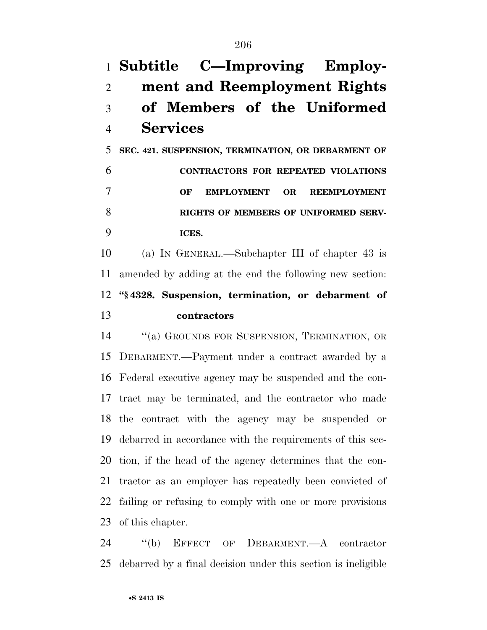# **Subtitle C—Improving Employ- ment and Reemployment Rights of Members of the Uniformed Services SEC. 421. SUSPENSION, TERMINATION, OR DEBARMENT OF**

 **CONTRACTORS FOR REPEATED VIOLATIONS OF EMPLOYMENT OR REEMPLOYMENT RIGHTS OF MEMBERS OF UNIFORMED SERV-ICES.** 

 (a) IN GENERAL.—Subchapter III of chapter 43 is amended by adding at the end the following new section: **''§ 4328. Suspension, termination, or debarment of contractors** 

 ''(a) GROUNDS FOR SUSPENSION, TERMINATION, OR DEBARMENT.—Payment under a contract awarded by a Federal executive agency may be suspended and the con- tract may be terminated, and the contractor who made the contract with the agency may be suspended or debarred in accordance with the requirements of this sec- tion, if the head of the agency determines that the con- tractor as an employer has repeatedly been convicted of failing or refusing to comply with one or more provisions of this chapter.

 ''(b) EFFECT OF DEBARMENT.—A contractor debarred by a final decision under this section is ineligible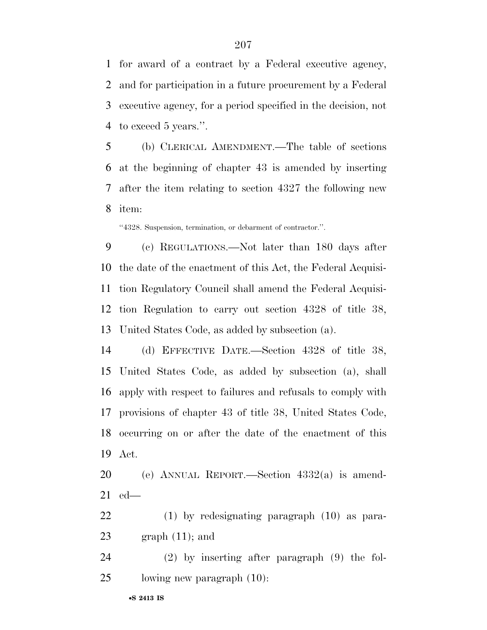for award of a contract by a Federal executive agency, and for participation in a future procurement by a Federal executive agency, for a period specified in the decision, not to exceed 5 years.''.

 (b) CLERICAL AMENDMENT.—The table of sections at the beginning of chapter 43 is amended by inserting after the item relating to section 4327 the following new item:

''4328. Suspension, termination, or debarment of contractor.''.

 (c) REGULATIONS.—Not later than 180 days after the date of the enactment of this Act, the Federal Acquisi- tion Regulatory Council shall amend the Federal Acquisi- tion Regulation to carry out section 4328 of title 38, United States Code, as added by subsection (a).

 (d) EFFECTIVE DATE.—Section 4328 of title 38, United States Code, as added by subsection (a), shall apply with respect to failures and refusals to comply with provisions of chapter 43 of title 38, United States Code, occurring on or after the date of the enactment of this Act.

 (e) ANNUAL REPORT.—Section 4332(a) is amend-ed—

 (1) by redesignating paragraph (10) as para-23 graph  $(11)$ ; and

 (2) by inserting after paragraph (9) the fol-lowing new paragraph (10):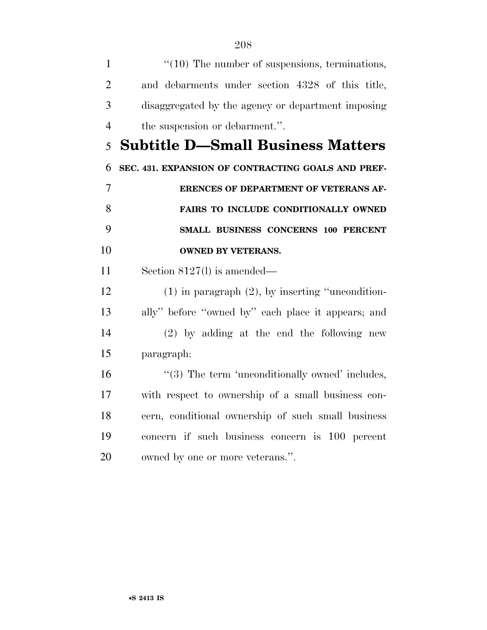| $\mathbf{1}$   | $\lq(10)$ The number of suspensions, terminations,    |
|----------------|-------------------------------------------------------|
| $\overline{2}$ | and debarments under section 4328 of this title,      |
| 3              | disaggregated by the agency or department imposing    |
| $\overline{4}$ | the suspension or debarment.".                        |
| 5              | <b>Subtitle D-Small Business Matters</b>              |
| 6              | SEC. 431. EXPANSION OF CONTRACTING GOALS AND PREF-    |
| 7              | <b>ERENCES OF DEPARTMENT OF VETERANS AF-</b>          |
| 8              | FAIRS TO INCLUDE CONDITIONALLY OWNED                  |
| 9              | SMALL BUSINESS CONCERNS 100 PERCENT                   |
| 10             | <b>OWNED BY VETERANS.</b>                             |
| 11             | Section $8127(1)$ is amended—                         |
| 12             | $(1)$ in paragraph $(2)$ , by inserting "uncondition- |
| 13             | ally" before "owned by" each place it appears; and    |
| 14             | $(2)$ by adding at the end the following new          |
| 15             | paragraph:                                            |
| 16             | $\lq(3)$ The term 'unconditionally owned' includes,   |
| 17             | with respect to ownership of a small business con-    |
| 18             | cern, conditional ownership of such small business    |
| 19             | concern if such business concern is 100 percent       |
| 20             | owned by one or more veterans.".                      |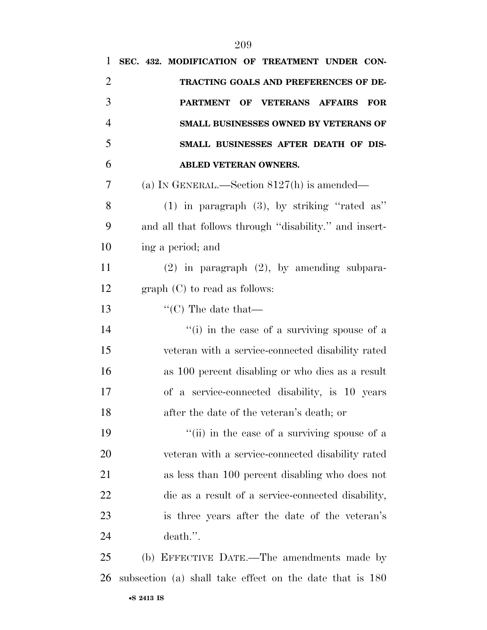| 1              | SEC. 432. MODIFICATION OF TREATMENT UNDER CON-           |
|----------------|----------------------------------------------------------|
| $\overline{2}$ | TRACTING GOALS AND PREFERENCES OF DE-                    |
| 3              | PARTMENT OF VETERANS AFFAIRS<br><b>FOR</b>               |
| $\overline{4}$ | SMALL BUSINESSES OWNED BY VETERANS OF                    |
| 5              | SMALL BUSINESSES AFTER DEATH OF DIS-                     |
| 6              | <b>ABLED VETERAN OWNERS.</b>                             |
| 7              | (a) IN GENERAL.—Section $8127(h)$ is amended—            |
| 8              | $(1)$ in paragraph $(3)$ , by striking "rated as"        |
| 9              | and all that follows through "disability." and insert-   |
| 10             | ing a period; and                                        |
| 11             | $(2)$ in paragraph $(2)$ , by amending subpara-          |
| 12             | $graph (C)$ to read as follows:                          |
| 13             | $\lq\lq$ (C) The date that —                             |
| 14             | "(i) in the case of a surviving spouse of a              |
| 15             | veteran with a service-connected disability rated        |
| 16             | as 100 percent disabling or who dies as a result         |
| 17             | of a service-connected disability, is 10 years           |
| 18             | after the date of the veteran's death; or                |
| 19             | "(ii) in the case of a surviving spouse of a             |
| 20             | veteran with a service-connected disability rated        |
| 21             | as less than 100 percent disabling who does not          |
| 22             | die as a result of a service-connected disability,       |
| 23             | is three years after the date of the veteran's           |
| 24             | death.".                                                 |
| 25             | (b) EFFECTIVE DATE.—The amendments made by               |
| 26             | subsection (a) shall take effect on the date that is 180 |
|                |                                                          |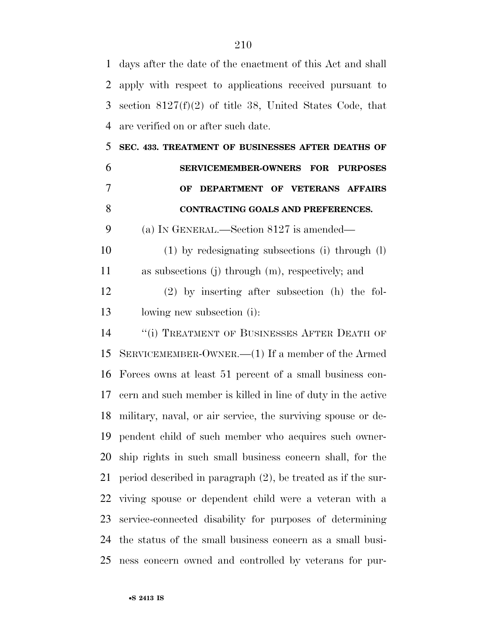days after the date of the enactment of this Act and shall apply with respect to applications received pursuant to section 8127(f)(2) of title 38, United States Code, that are verified on or after such date.

 **SEC. 433. TREATMENT OF BUSINESSES AFTER DEATHS OF SERVICEMEMBER-OWNERS FOR PURPOSES OF DEPARTMENT OF VETERANS AFFAIRS CONTRACTING GOALS AND PREFERENCES.** 

(a) IN GENERAL.—Section 8127 is amended—

 (1) by redesignating subsections (i) through (l) as subsections (j) through (m), respectively; and

 (2) by inserting after subsection (h) the fol-lowing new subsection (i):

14 "(i) TREATMENT OF BUSINESSES AFTER DEATH OF SERVICEMEMBER-OWNER.—(1) If a member of the Armed Forces owns at least 51 percent of a small business con- cern and such member is killed in line of duty in the active military, naval, or air service, the surviving spouse or de- pendent child of such member who acquires such owner- ship rights in such small business concern shall, for the period described in paragraph (2), be treated as if the sur- viving spouse or dependent child were a veteran with a service-connected disability for purposes of determining the status of the small business concern as a small busi-ness concern owned and controlled by veterans for pur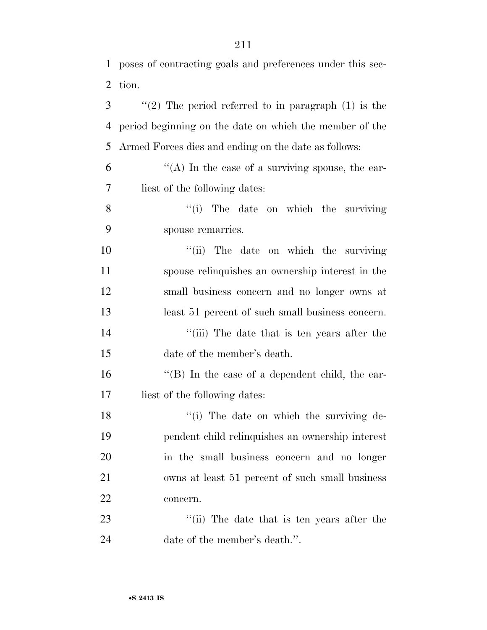poses of contracting goals and preferences under this sec-

| 3  | "(2) The period referred to in paragraph $(1)$ is the   |
|----|---------------------------------------------------------|
| 4  | period beginning on the date on which the member of the |
| 5  | Armed Forces dies and ending on the date as follows:    |
| 6  | "(A) In the case of a surviving spouse, the ear-        |
| 7  | liest of the following dates:                           |
| 8  | "(i) The date on which the surviving                    |
| 9  | spouse remarries.                                       |
| 10 | "(ii) The date on which the surviving                   |
| 11 | spouse relinquishes an ownership interest in the        |
| 12 | small business concern and no longer owns at            |
| 13 | least 51 percent of such small business concern.        |
| 14 | "(iii) The date that is ten years after the             |
| 15 | date of the member's death.                             |
| 16 | $\lq\lq (B)$ In the case of a dependent child, the ear- |
| 17 | liest of the following dates:                           |
| 18 | "(i) The date on which the surviving de-                |
| 19 | pendent child relinquishes an ownership interest        |
| 20 | in the small business concern and no longer             |
| 21 | owns at least 51 percent of such small business         |
| 22 | concern.                                                |
| 23 | "(ii) The date that is ten years after the              |
| 24 | date of the member's death.".                           |
|    |                                                         |

tion.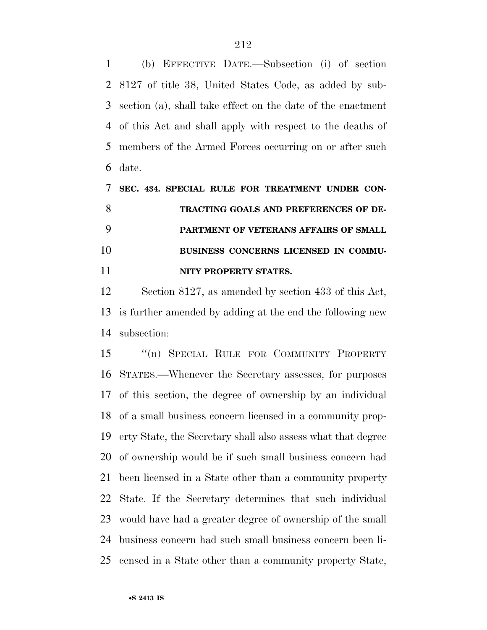(b) EFFECTIVE DATE.—Subsection (i) of section 8127 of title 38, United States Code, as added by sub- section (a), shall take effect on the date of the enactment of this Act and shall apply with respect to the deaths of members of the Armed Forces occurring on or after such date.

 **SEC. 434. SPECIAL RULE FOR TREATMENT UNDER CON- TRACTING GOALS AND PREFERENCES OF DE- PARTMENT OF VETERANS AFFAIRS OF SMALL BUSINESS CONCERNS LICENSED IN COMMU-NITY PROPERTY STATES.** 

 Section 8127, as amended by section 433 of this Act, is further amended by adding at the end the following new subsection:

 ''(n) SPECIAL RULE FOR COMMUNITY PROPERTY STATES.—Whenever the Secretary assesses, for purposes of this section, the degree of ownership by an individual of a small business concern licensed in a community prop- erty State, the Secretary shall also assess what that degree of ownership would be if such small business concern had been licensed in a State other than a community property State. If the Secretary determines that such individual would have had a greater degree of ownership of the small business concern had such small business concern been li-censed in a State other than a community property State,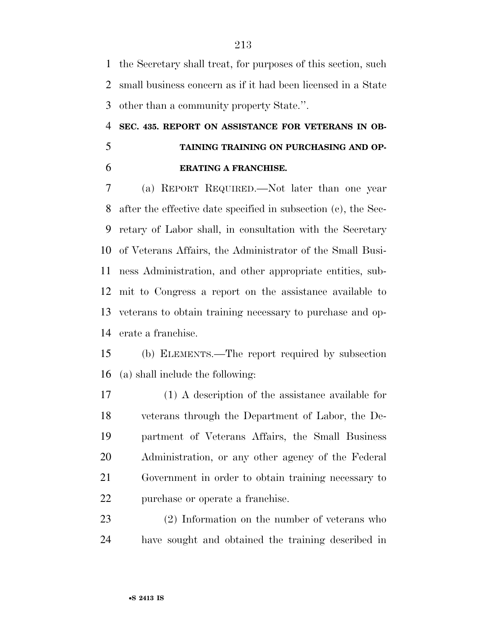the Secretary shall treat, for purposes of this section, such small business concern as if it had been licensed in a State other than a community property State.''.

## **SEC. 435. REPORT ON ASSISTANCE FOR VETERANS IN OB- TAINING TRAINING ON PURCHASING AND OP-ERATING A FRANCHISE.**

 (a) REPORT REQUIRED.—Not later than one year after the effective date specified in subsection (c), the Sec- retary of Labor shall, in consultation with the Secretary of Veterans Affairs, the Administrator of the Small Busi- ness Administration, and other appropriate entities, sub- mit to Congress a report on the assistance available to veterans to obtain training necessary to purchase and op-erate a franchise.

 (b) ELEMENTS.—The report required by subsection (a) shall include the following:

 (1) A description of the assistance available for veterans through the Department of Labor, the De- partment of Veterans Affairs, the Small Business Administration, or any other agency of the Federal Government in order to obtain training necessary to purchase or operate a franchise.

 (2) Information on the number of veterans who have sought and obtained the training described in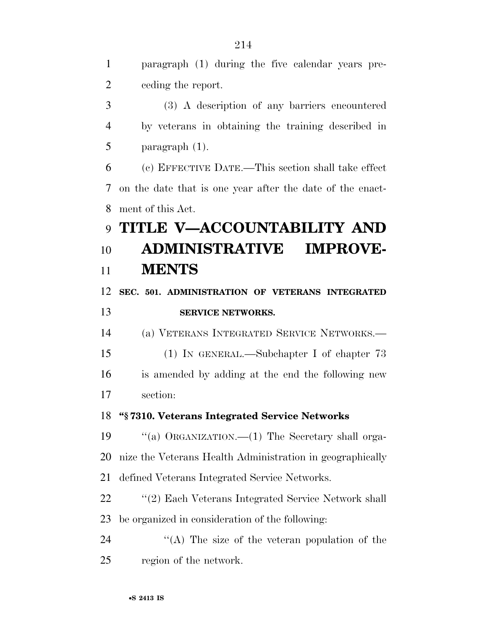paragraph (1) during the five calendar years pre-ceding the report.

 (3) A description of any barriers encountered by veterans in obtaining the training described in paragraph (1).

 (c) EFFECTIVE DATE.—This section shall take effect on the date that is one year after the date of the enact-ment of this Act.

# **TITLE V—ACCOUNTABILITY AND ADMINISTRATIVE IMPROVE-MENTS**

 **SEC. 501. ADMINISTRATION OF VETERANS INTEGRATED SERVICE NETWORKS.** 

(a) VETERANS INTEGRATED SERVICE NETWORKS.—

 (1) IN GENERAL.—Subchapter I of chapter 73 is amended by adding at the end the following new section:

#### **''§ 7310. Veterans Integrated Service Networks**

 ''(a) ORGANIZATION.—(1) The Secretary shall orga- nize the Veterans Health Administration in geographically defined Veterans Integrated Service Networks.

22 ''(2) Each Veterans Integrated Service Network shall be organized in consideration of the following:

24 ''(A) The size of the veteran population of the region of the network.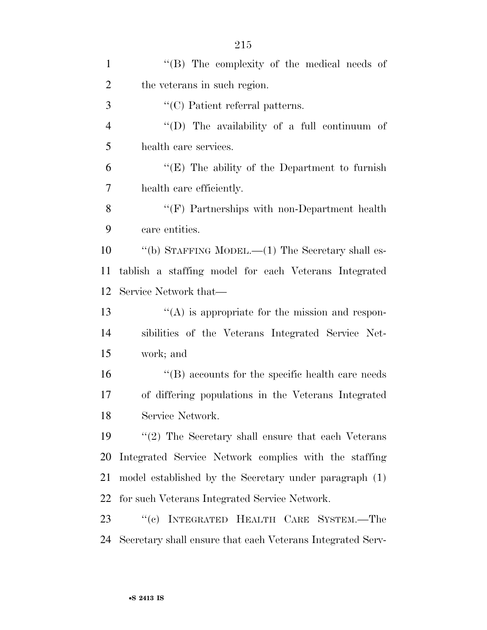| $\mathbf{1}$   | "(B) The complexity of the medical needs of                |
|----------------|------------------------------------------------------------|
| $\overline{2}$ | the veterans in such region.                               |
| 3              | $\lq\lq$ Patient referral patterns.                        |
| $\overline{4}$ | "(D) The availability of a full continuum of               |
| 5              | health care services.                                      |
| 6              | " $(E)$ The ability of the Department to furnish           |
| $\overline{7}$ | health care efficiently.                                   |
| 8              | $\lq\lq(F)$ Partnerships with non-Department health        |
| 9              | care entities.                                             |
| 10             | "(b) STAFFING MODEL.— $(1)$ The Secretary shall es-        |
| 11             | tablish a staffing model for each Veterans Integrated      |
| 12             | Service Network that—                                      |
| 13             | $\lq\lq$ is appropriate for the mission and respon-        |
| 14             | sibilities of the Veterans Integrated Service Net-         |
| 15             | work; and                                                  |
| 16             | $\cdot$ (B) accounts for the specific health care needs    |
| 17             | of differing populations in the Veterans Integrated        |
| 18             | Service Network.                                           |
| 19             | $\lq(2)$ The Secretary shall ensure that each Veterans     |
| 20             | Integrated Service Network complies with the staffing      |
| 21             | model established by the Secretary under paragraph (1)     |
| 22             | for such Veterans Integrated Service Network.              |
| 23             | "(c) INTEGRATED HEALTH CARE SYSTEM.-The                    |
| 24             | Secretary shall ensure that each Veterans Integrated Serv- |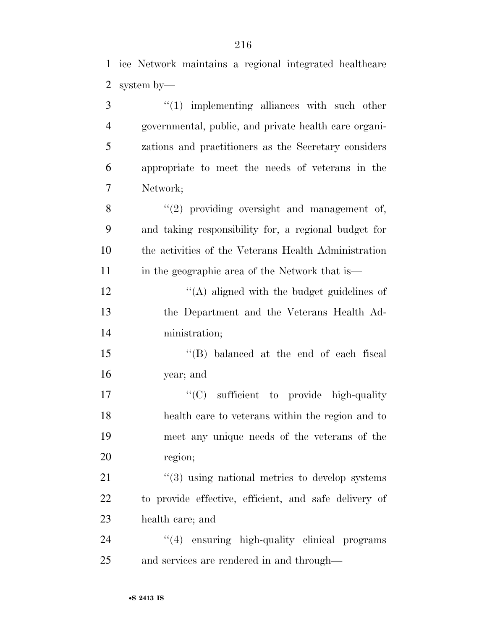ice Network maintains a regional integrated healthcare

|   | 2 system by—                                          |
|---|-------------------------------------------------------|
| 3 | $\lq(1)$ implementing alliances with such other       |
| 4 | governmental, public, and private health care organi- |
| 5 | zations and practitioners as the Secretary considers  |
| 6 | appropriate to meet the needs of veterans in the      |
| 7 | Network;                                              |
| 8 | $\lq(2)$ providing oversight and management of,       |

 and taking responsibility for, a regional budget for the activities of the Veterans Health Administration 11 in the geographic area of the Network that is—

12 ''(A) aligned with the budget guidelines of the Department and the Veterans Health Ad-ministration;

 ''(B) balanced at the end of each fiscal year; and

 $C(C)$  sufficient to provide high-quality health care to veterans within the region and to meet any unique needs of the veterans of the region;

21 ''(3) using national metrics to develop systems to provide effective, efficient, and safe delivery of health care; and

24  $\frac{4}{4}$  ensuring high-quality clinical programs and services are rendered in and through—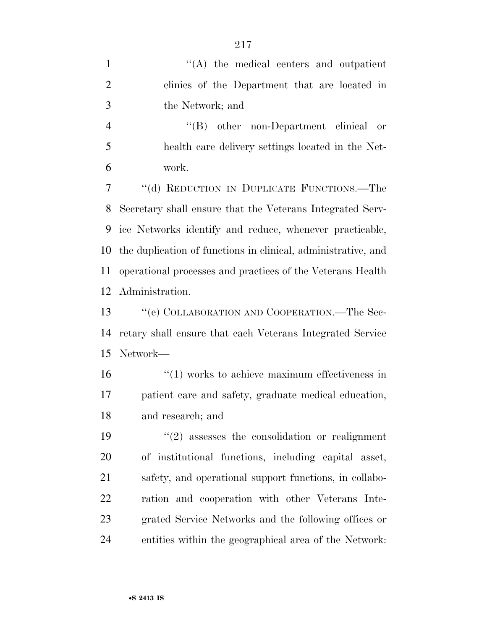| $\mathbf{1}$   | $\lq\lq$ the medical centers and outpatient                    |
|----------------|----------------------------------------------------------------|
| $\overline{2}$ | clinics of the Department that are located in                  |
| 3              | the Network; and                                               |
| $\overline{4}$ | "(B) other non-Department clinical or                          |
| 5              | health care delivery settings located in the Net-              |
| 6              | work.                                                          |
| 7              | "(d) REDUCTION IN DUPLICATE FUNCTIONS.—The                     |
| 8              | Secretary shall ensure that the Veterans Integrated Serv-      |
| 9              | ice Networks identify and reduce, whenever practicable,        |
| 10             | the duplication of functions in clinical, administrative, and  |
| 11             | operational processes and practices of the Veterans Health     |
| 12             | Administration.                                                |
| 13             | "(e) COLLABORATION AND COOPERATION.—The Sec-                   |
| 14             | retary shall ensure that each Veterans Integrated Service      |
| 15             | Network-                                                       |
| 16             | $\cdot\cdot\cdot(1)$ works to achieve maximum effectiveness in |
| 17             | patient care and safety, graduate medical education,           |
| 18             | and research; and                                              |
| 19             | $\cdot\cdot(2)$ assesses the consolidation or realignment      |
| 20             | of institutional functions, including capital asset,           |
| 21             | safety, and operational support functions, in collabo-         |
| 22             | ration and cooperation with other Veterans Inte-               |
| 23             | grated Service Networks and the following offices or           |
| 24             | entities within the geographical area of the Network:          |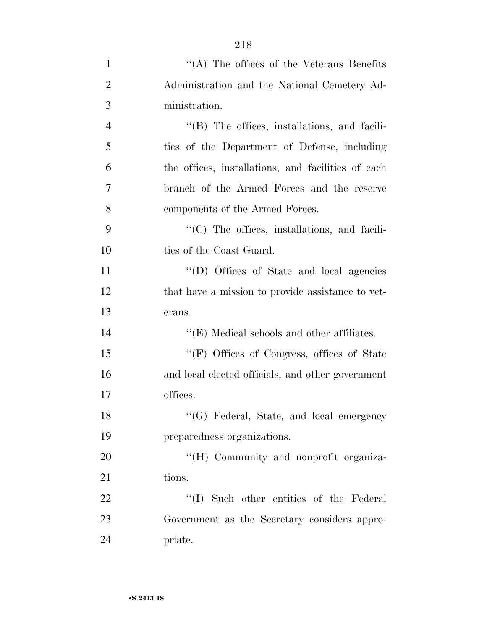| 1              | "(A) The offices of the Veterans Benefits            |
|----------------|------------------------------------------------------|
| $\overline{2}$ | Administration and the National Cemetery Ad-         |
| 3              | ministration.                                        |
| $\overline{4}$ | $\lq\lq$ (B) The offices, installations, and facili- |
| 5              | ties of the Department of Defense, including         |
| 6              | the offices, installations, and facilities of each   |
| 7              | branch of the Armed Forces and the reserve           |
| 8              | components of the Armed Forces.                      |
| 9              | $\lq\lq$ (C) The offices, installations, and facili- |
| 10             | ties of the Coast Guard.                             |
| 11             | "(D) Offices of State and local agencies             |
| 12             | that have a mission to provide assistance to vet-    |
| 13             | erans.                                               |
| 14             | $\lq\lq$ (E) Medical schools and other affiliates.   |
| 15             | "(F) Offices of Congress, offices of State           |
| 16             | and local elected officials, and other government    |
| 17             | offices.                                             |
| 18             | "(G) Federal, State, and local emergency             |
| 19             | preparedness organizations.                          |
| 20             | "(H) Community and nonprofit organiza-               |
| 21             | tions.                                               |
| 22             | "(I) Such other entities of the Federal              |
| 23             | Government as the Secretary considers appro-         |
| 24             | priate.                                              |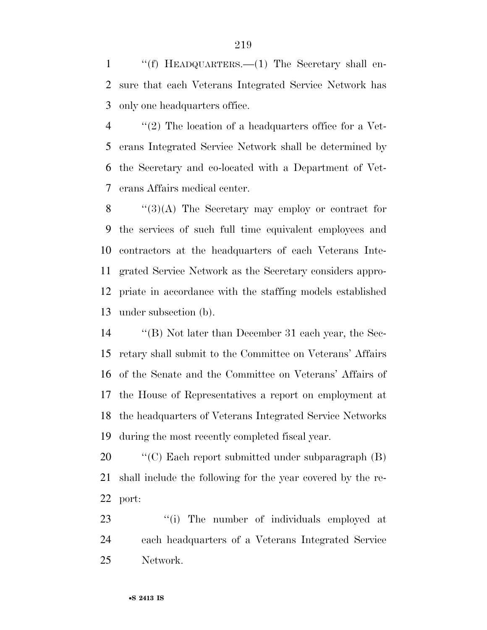''(f) HEADQUARTERS.—(1) The Secretary shall en- sure that each Veterans Integrated Service Network has only one headquarters office.

 $\langle$  (2) The location of a headquarters office for a Vet- erans Integrated Service Network shall be determined by the Secretary and co-located with a Department of Vet-erans Affairs medical center.

 "(3)(A) The Secretary may employ or contract for the services of such full time equivalent employees and contractors at the headquarters of each Veterans Inte- grated Service Network as the Secretary considers appro- priate in accordance with the staffing models established under subsection (b).

 ''(B) Not later than December 31 each year, the Sec- retary shall submit to the Committee on Veterans' Affairs of the Senate and the Committee on Veterans' Affairs of the House of Representatives a report on employment at the headquarters of Veterans Integrated Service Networks during the most recently completed fiscal year.

 ''(C) Each report submitted under subparagraph (B) shall include the following for the year covered by the re-port:

23  $\cdot$  (i) The number of individuals employed at each headquarters of a Veterans Integrated Service Network.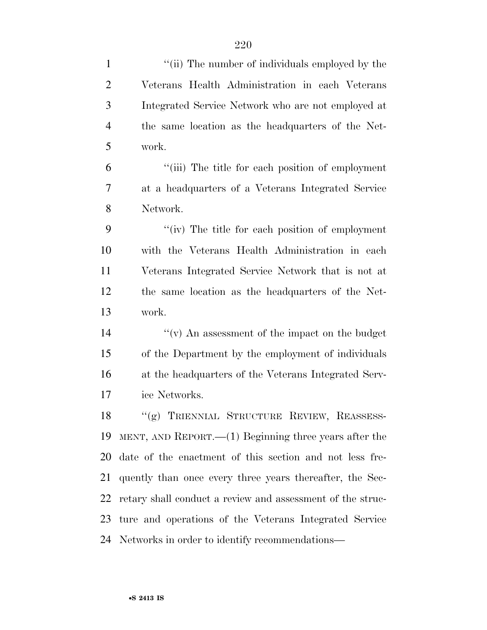| $\mathbf{1}$   | "(ii) The number of individuals employed by the            |
|----------------|------------------------------------------------------------|
| $\overline{2}$ | Veterans Health Administration in each Veterans            |
| 3              | Integrated Service Network who are not employed at         |
| $\overline{4}$ | the same location as the headquarters of the Net-          |
| 5              | work.                                                      |
| 6              | "(iii) The title for each position of employment           |
| 7              | at a headquarters of a Veterans Integrated Service         |
| 8              | Network.                                                   |
| 9              | "(iv) The title for each position of employment            |
| 10             | with the Veterans Health Administration in each            |
| 11             | Veterans Integrated Service Network that is not at         |
| 12             | the same location as the headquarters of the Net-          |
| 13             | work.                                                      |
| 14             | $``(v)$ An assessment of the impact on the budget          |
| 15             | of the Department by the employment of individuals         |
| 16             | at the headquarters of the Veterans Integrated Serv-       |
| 17             | ice Networks.                                              |
| 18             | "(g) TRIENNIAL STRUCTURE REVIEW, REASSESS-                 |
| 19             | MENT, AND REPORT.— $(1)$ Beginning three years after the   |
| 20             | date of the enactment of this section and not less fre-    |
| 21             | quently than once every three years thereafter, the Sec-   |
| 22             | retary shall conduct a review and assessment of the struc- |
| 23             | ture and operations of the Veterans Integrated Service     |
|                | 24 Networks in order to identify recommendations—          |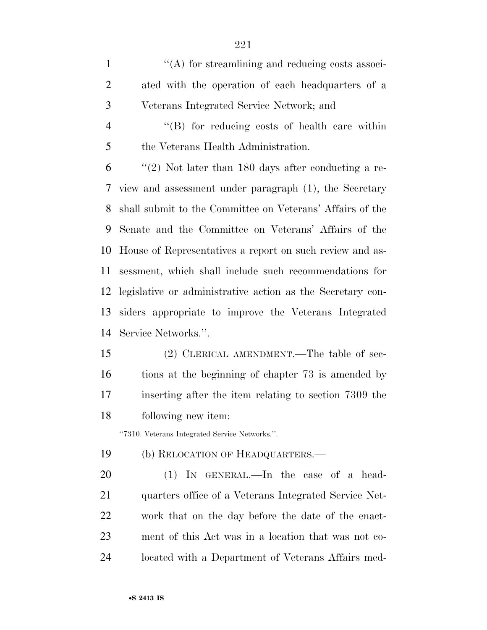$\langle (A)$  for streamlining and reducing costs associ- ated with the operation of each headquarters of a Veterans Integrated Service Network; and ''(B) for reducing costs of health care within the Veterans Health Administration. "(2) Not later than 180 days after conducting a re- view and assessment under paragraph (1), the Secretary shall submit to the Committee on Veterans' Affairs of the Senate and the Committee on Veterans' Affairs of the House of Representatives a report on such review and as-

 sessment, which shall include such recommendations for legislative or administrative action as the Secretary con- siders appropriate to improve the Veterans Integrated Service Networks.''.

 (2) CLERICAL AMENDMENT.—The table of sec- tions at the beginning of chapter 73 is amended by inserting after the item relating to section 7309 the following new item:

''7310. Veterans Integrated Service Networks.''.

(b) RELOCATION OF HEADQUARTERS.—

 (1) IN GENERAL.—In the case of a head- quarters office of a Veterans Integrated Service Net- work that on the day before the date of the enact- ment of this Act was in a location that was not co-located with a Department of Veterans Affairs med-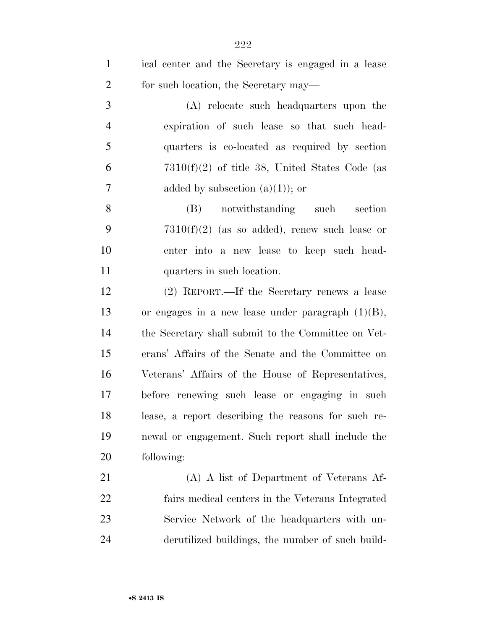| $\mathbf{1}$   | ical center and the Secretary is engaged in a lease  |
|----------------|------------------------------------------------------|
| $\overline{2}$ | for such location, the Secretary may—                |
| 3              | (A) relocate such headquarters upon the              |
| $\overline{4}$ | expiration of such lease so that such head-          |
| 5              | quarters is co-located as required by section        |
| 6              | $7310(f)(2)$ of title 38, United States Code (as     |
| 7              | added by subsection $(a)(1)$ ; or                    |
| 8              | (B) notwithstanding such section                     |
| 9              | $7310(f)(2)$ (as so added), renew such lease or      |
| 10             | enter into a new lease to keep such head-            |
| 11             | quarters in such location.                           |
| 12             | (2) REPORT.—If the Secretary renews a lease          |
| 13             | or engages in a new lease under paragraph $(1)(B)$ , |
| 14             | the Secretary shall submit to the Committee on Vet-  |
| 15             | erans' Affairs of the Senate and the Committee on    |
| 16             | Veterans' Affairs of the House of Representatives,   |
| 17             | before renewing such lease or engaging in such       |
| 18             | lease, a report describing the reasons for such re-  |
| 19             | newal or engagement. Such report shall include the   |
| 20             | following:                                           |
| 21             | (A) A list of Department of Veterans Af-             |
| 22             | fairs medical centers in the Veterans Integrated     |
| 23             | Service Network of the headquarters with un-         |
| 24             | derutilized buildings, the number of such build-     |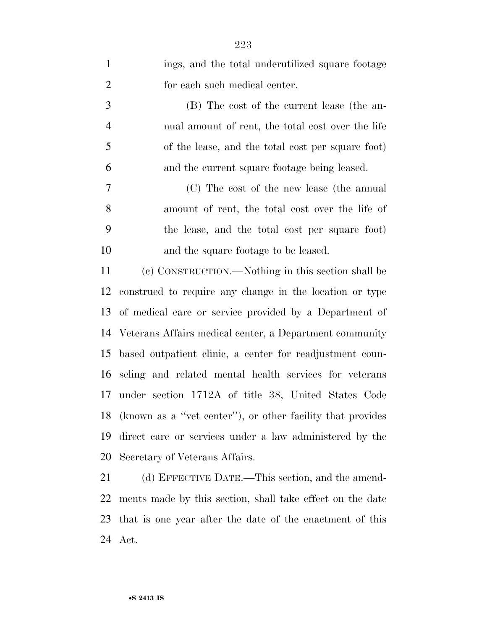| $\mathbf{1}$   | ings, and the total underutilized square footage           |
|----------------|------------------------------------------------------------|
| $\overline{2}$ | for each such medical center.                              |
| 3              | (B) The cost of the current lease (the an-                 |
| $\overline{4}$ | nual amount of rent, the total cost over the life          |
| 5              | of the lease, and the total cost per square foot)          |
| 6              | and the current square footage being leased.               |
| 7              | (C) The cost of the new lease (the annual                  |
| 8              | amount of rent, the total cost over the life of            |
| 9              | the lease, and the total cost per square foot)             |
| 10             | and the square footage to be leased.                       |
| 11             | (c) CONSTRUCTION.—Nothing in this section shall be         |
| 12             | construed to require any change in the location or type    |
| 13             | of medical care or service provided by a Department of     |
| 14             | Veterans Affairs medical center, a Department community    |
| 15             | based outpatient clinic, a center for readjustment coun-   |
| 16             | seling and related mental health services for veterans     |
| 17             | under section 1712A of title 38, United States Code        |
| 18             | (known as a "vet center"), or other facility that provides |
| 19             | direct care or services under a law administered by the    |
| 20             | Secretary of Veterans Affairs.                             |
| 21             | (d) EFFECTIVE DATE.—This section, and the amend-           |
|                |                                                            |

 ments made by this section, shall take effect on the date that is one year after the date of the enactment of this Act.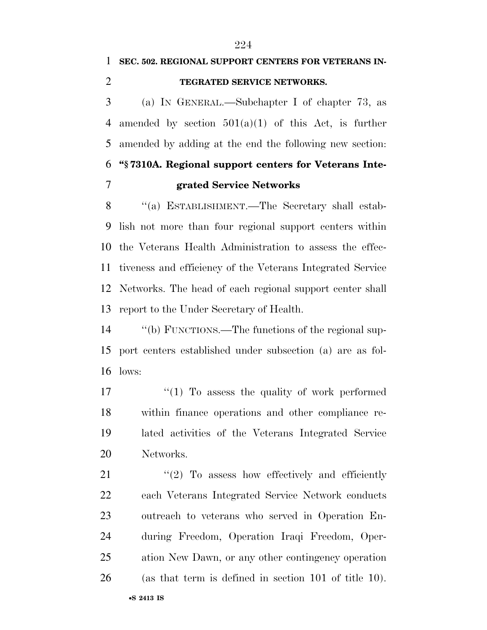## **SEC. 502. REGIONAL SUPPORT CENTERS FOR VETERANS IN-TEGRATED SERVICE NETWORKS.**

 (a) IN GENERAL.—Subchapter I of chapter 73, as 4 amended by section  $501(a)(1)$  of this Act, is further amended by adding at the end the following new section: **''§ 7310A. Regional support centers for Veterans Inte-grated Service Networks** 

 ''(a) ESTABLISHMENT.—The Secretary shall estab- lish not more than four regional support centers within the Veterans Health Administration to assess the effec- tiveness and efficiency of the Veterans Integrated Service Networks. The head of each regional support center shall report to the Under Secretary of Health.

 ''(b) FUNCTIONS.—The functions of the regional sup- port centers established under subsection (a) are as fol-lows:

 $\frac{17}{2}$  To assess the quality of work performed within finance operations and other compliance re- lated activities of the Veterans Integrated Service Networks.

21 ''(2) To assess how effectively and efficiently each Veterans Integrated Service Network conducts outreach to veterans who served in Operation En- during Freedom, Operation Iraqi Freedom, Oper- ation New Dawn, or any other contingency operation (as that term is defined in section 101 of title 10).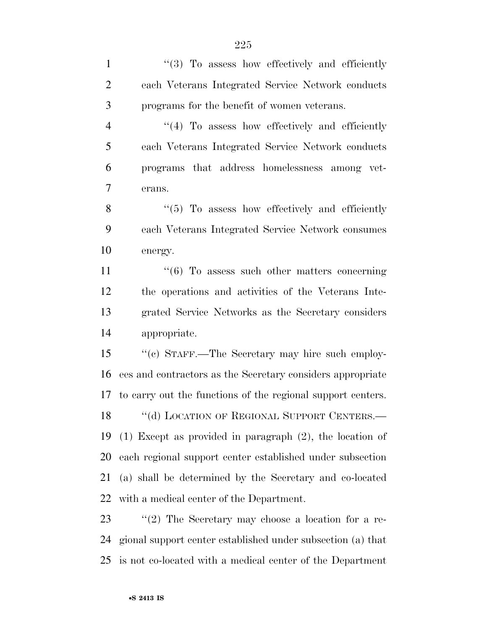1 ''(3) To assess how effectively and efficiently each Veterans Integrated Service Network conducts programs for the benefit of women veterans. 4 "(4) To assess how effectively and efficiently each Veterans Integrated Service Network conducts programs that address homelessness among vet- erans. 8 "(5) To assess how effectively and efficiently each Veterans Integrated Service Network consumes energy.  $\frac{1}{6}$  To assess such other matters concerning the operations and activities of the Veterans Inte- grated Service Networks as the Secretary considers appropriate. ''(c) STAFF.—The Secretary may hire such employ- ees and contractors as the Secretary considers appropriate to carry out the functions of the regional support centers. 18 "(d) LOCATION OF REGIONAL SUPPORT CENTERS.— (1) Except as provided in paragraph (2), the location of each regional support center established under subsection (a) shall be determined by the Secretary and co-located with a medical center of the Department. 23 ''(2) The Secretary may choose a location for a re- gional support center established under subsection (a) that is not co-located with a medical center of the Department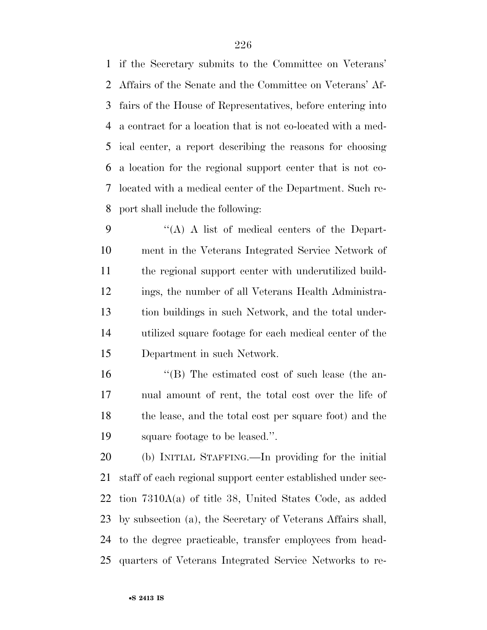if the Secretary submits to the Committee on Veterans' Affairs of the Senate and the Committee on Veterans' Af- fairs of the House of Representatives, before entering into a contract for a location that is not co-located with a med- ical center, a report describing the reasons for choosing a location for the regional support center that is not co- located with a medical center of the Department. Such re-port shall include the following:

 ''(A) A list of medical centers of the Depart- ment in the Veterans Integrated Service Network of the regional support center with underutilized build- ings, the number of all Veterans Health Administra- tion buildings in such Network, and the total under- utilized square footage for each medical center of the Department in such Network.

 ''(B) The estimated cost of such lease (the an- nual amount of rent, the total cost over the life of the lease, and the total cost per square foot) and the square footage to be leased.''.

 (b) INITIAL STAFFING.—In providing for the initial staff of each regional support center established under sec- tion 7310A(a) of title 38, United States Code, as added by subsection (a), the Secretary of Veterans Affairs shall, to the degree practicable, transfer employees from head-quarters of Veterans Integrated Service Networks to re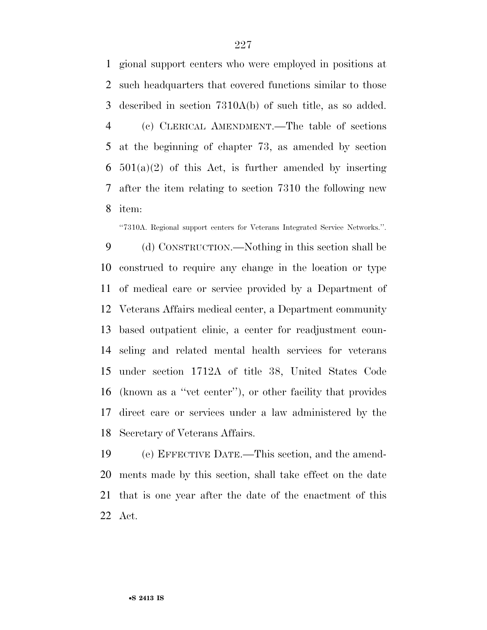gional support centers who were employed in positions at such headquarters that covered functions similar to those described in section 7310A(b) of such title, as so added. (c) CLERICAL AMENDMENT.—The table of sections at the beginning of chapter 73, as amended by section  $501(a)(2)$  of this Act, is further amended by inserting after the item relating to section 7310 the following new item:

''7310A. Regional support centers for Veterans Integrated Service Networks.''.

 (d) CONSTRUCTION.—Nothing in this section shall be construed to require any change in the location or type of medical care or service provided by a Department of Veterans Affairs medical center, a Department community based outpatient clinic, a center for readjustment coun- seling and related mental health services for veterans under section 1712A of title 38, United States Code (known as a ''vet center''), or other facility that provides direct care or services under a law administered by the Secretary of Veterans Affairs.

 (e) EFFECTIVE DATE.—This section, and the amend- ments made by this section, shall take effect on the date that is one year after the date of the enactment of this Act.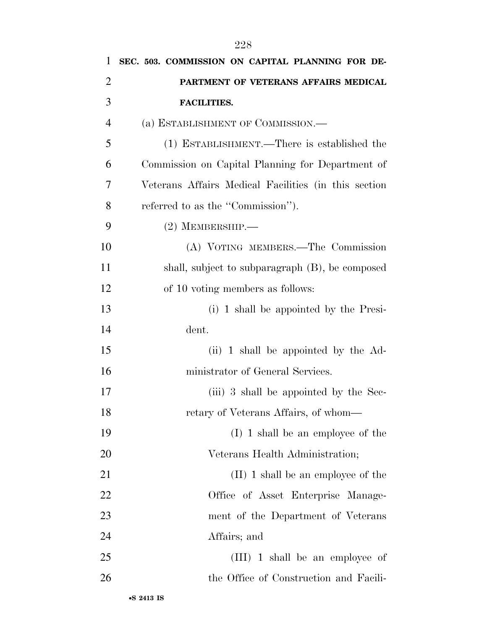| SEC. 503. COMMISSION ON CAPITAL PLANNING FOR DE-     |
|------------------------------------------------------|
| PARTMENT OF VETERANS AFFAIRS MEDICAL                 |
| <b>FACILITIES.</b>                                   |
| (a) ESTABLISHMENT OF COMMISSION.—                    |
| (1) ESTABLISHMENT.—There is established the          |
| Commission on Capital Planning for Department of     |
| Veterans Affairs Medical Facilities (in this section |
| referred to as the "Commission").                    |
| $(2)$ MEMBERSHIP.—                                   |
| (A) VOTING MEMBERS.—The Commission                   |
| shall, subject to subparagraph (B), be composed      |
| of 10 voting members as follows:                     |
| (i) 1 shall be appointed by the Presi-               |
| dent.                                                |
| (ii) 1 shall be appointed by the Ad-                 |
| ministrator of General Services.                     |
| (iii) 3 shall be appointed by the Sec-               |
| retary of Veterans Affairs, of whom—                 |
| $(I)$ 1 shall be an employee of the                  |
| Veterans Health Administration;                      |
| $(II)$ 1 shall be an employee of the                 |
| Office of Asset Enterprise Manage-                   |
| ment of the Department of Veterans                   |
| Affairs; and                                         |
| $(III)$ 1 shall be an employee of                    |
| the Office of Construction and Facili-               |
|                                                      |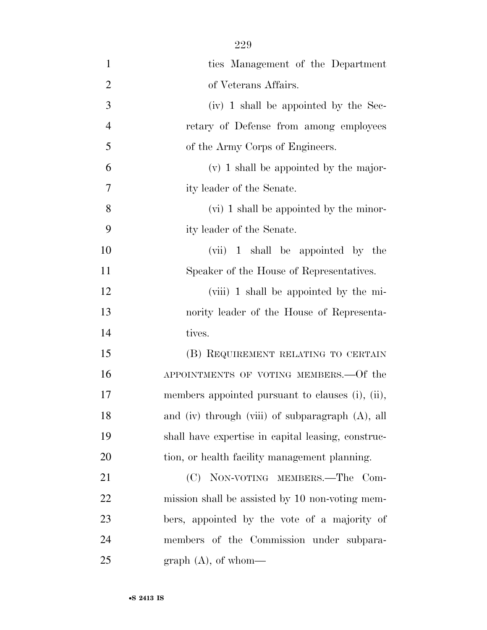| $\mathbf{1}$   | ties Management of the Department                  |
|----------------|----------------------------------------------------|
| $\overline{2}$ | of Veterans Affairs.                               |
| 3              | (iv) 1 shall be appointed by the Sec-              |
| $\overline{4}$ | retary of Defense from among employees             |
| 5              | of the Army Corps of Engineers.                    |
| 6              | $(v)$ 1 shall be appointed by the major-           |
| 7              | ity leader of the Senate.                          |
| 8              | (vi) 1 shall be appointed by the minor-            |
| 9              | ity leader of the Senate.                          |
| 10             | (vii) 1 shall be appointed by the                  |
| 11             | Speaker of the House of Representatives.           |
| 12             | (viii) 1 shall be appointed by the mi-             |
| 13             | nority leader of the House of Representa-          |
| 14             | tives.                                             |
| 15             | (B) REQUIREMENT RELATING TO CERTAIN                |
| 16             | APPOINTMENTS OF VOTING MEMBERS. - Of the           |
| 17             | members appointed pursuant to clauses (i), (ii),   |
| 18             | and (iv) through (viii) of subparagraph (A), all   |
| 19             | shall have expertise in capital leasing, construc- |
| 20             | tion, or health facility management planning.      |
| 21             | (C) NON-VOTING MEMBERS.—The Com-                   |
| 22             | mission shall be assisted by 10 non-voting mem-    |
| 23             | bers, appointed by the vote of a majority of       |
| 24             | members of the Commission under subpara-           |
| 25             | graph $(A)$ , of whom—                             |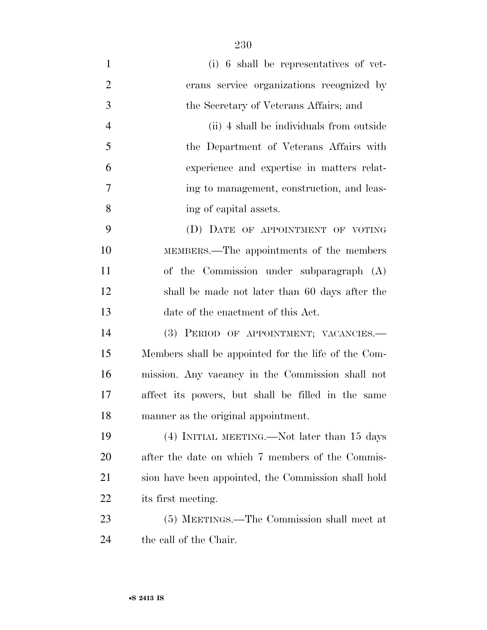| $\mathbf{1}$   | (i) 6 shall be representatives of vet-              |
|----------------|-----------------------------------------------------|
| $\overline{2}$ | erans service organizations recognized by           |
| 3              | the Secretary of Veterans Affairs; and              |
| $\overline{4}$ | (ii) 4 shall be individuals from outside            |
| 5              | the Department of Veterans Affairs with             |
| 6              | experience and expertise in matters relat-          |
| 7              | ing to management, construction, and leas-          |
| 8              | ing of capital assets.                              |
| 9              | (D) DATE OF APPOINTMENT OF VOTING                   |
| 10             | MEMBERS.—The appointments of the members            |
| 11             | of the Commission under subparagraph (A)            |
| 12             | shall be made not later than 60 days after the      |
| 13             | date of the enactment of this Act.                  |
| 14             | (3) PERIOD OF APPOINTMENT; VACANCIES.-              |
| 15             | Members shall be appointed for the life of the Com- |
| 16             | mission. Any vacancy in the Commission shall not    |
| 17             | affect its powers, but shall be filled in the same  |
| 18             | manner as the original appointment.                 |
| 19             | $(4)$ INITIAL MEETING.—Not later than 15 days       |
| 20             | after the date on which 7 members of the Commis-    |
| 21             | sion have been appointed, the Commission shall hold |
| 22             | its first meeting.                                  |
| 23             | (5) MEETINGS.—The Commission shall meet at          |
| 24             | the call of the Chair.                              |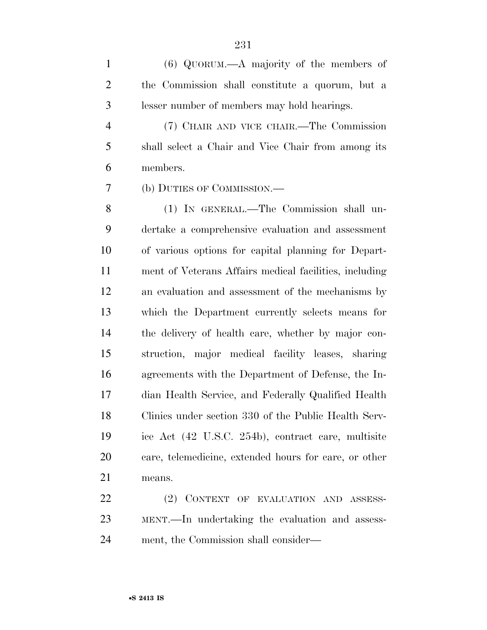(6) QUORUM.—A majority of the members of the Commission shall constitute a quorum, but a lesser number of members may hold hearings.

 (7) CHAIR AND VICE CHAIR.—The Commission shall select a Chair and Vice Chair from among its members.

(b) DUTIES OF COMMISSION.—

 (1) IN GENERAL.—The Commission shall un- dertake a comprehensive evaluation and assessment of various options for capital planning for Depart- ment of Veterans Affairs medical facilities, including an evaluation and assessment of the mechanisms by which the Department currently selects means for the delivery of health care, whether by major con- struction, major medical facility leases, sharing agreements with the Department of Defense, the In- dian Health Service, and Federally Qualified Health Clinics under section 330 of the Public Health Serv- ice Act (42 U.S.C. 254b), contract care, multisite care, telemedicine, extended hours for care, or other means.

 (2) CONTEXT OF EVALUATION AND ASSESS- MENT.—In undertaking the evaluation and assess-ment, the Commission shall consider—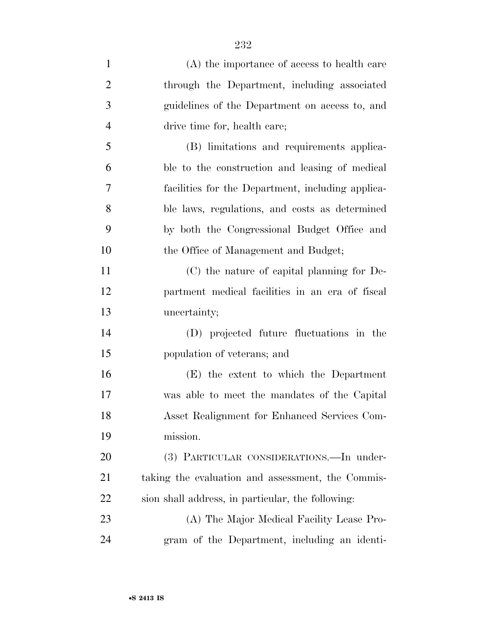| $\mathbf{1}$   | (A) the importance of access to health care       |
|----------------|---------------------------------------------------|
| $\overline{2}$ | through the Department, including associated      |
| 3              | guidelines of the Department on access to, and    |
| $\overline{4}$ | drive time for, health care;                      |
| 5              | (B) limitations and requirements applica-         |
| 6              | ble to the construction and leasing of medical    |
| 7              | facilities for the Department, including applica- |
| 8              | ble laws, regulations, and costs as determined    |
| 9              | by both the Congressional Budget Office and       |
| 10             | the Office of Management and Budget;              |
| 11             | (C) the nature of capital planning for De-        |
| 12             | partment medical facilities in an era of fiscal   |
| 13             | uncertainty;                                      |
| 14             | (D) projected future fluctuations in the          |
| 15             | population of veterans; and                       |
| 16             | (E) the extent to which the Department            |
| 17             | was able to meet the mandates of the Capital      |
| 18             | Asset Realignment for Enhanced Services Com-      |
| 19             | mission.                                          |
| 20             | (3) PARTICULAR CONSIDERATIONS.—In under-          |
| 21             | taking the evaluation and assessment, the Commis- |
| <u>22</u>      | sion shall address, in particular, the following: |
| 23             | (A) The Major Medical Facility Lease Pro-         |
| 24             | gram of the Department, including an identi-      |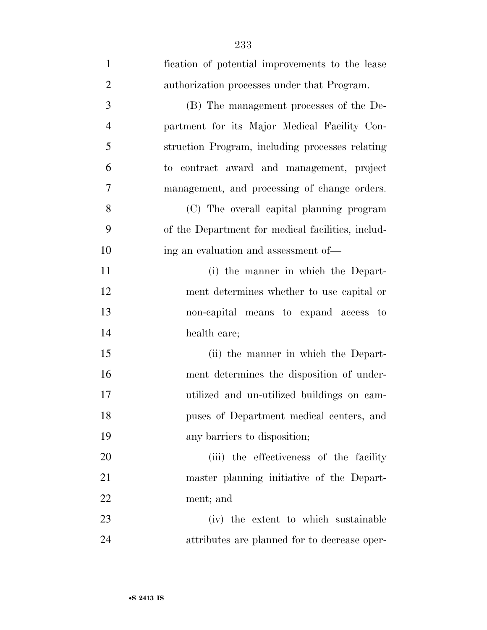| $\mathbf{1}$   | fication of potential improvements to the lease   |
|----------------|---------------------------------------------------|
| $\overline{2}$ | authorization processes under that Program.       |
| 3              | (B) The management processes of the De-           |
| $\overline{4}$ | partment for its Major Medical Facility Con-      |
| 5              | struction Program, including processes relating   |
| 6              | to contract award and management, project         |
| $\overline{7}$ | management, and processing of change orders.      |
| 8              | (C) The overall capital planning program          |
| 9              | of the Department for medical facilities, includ- |
| 10             | ing an evaluation and assessment of—              |
| 11             | (i) the manner in which the Depart-               |
| 12             | ment determines whether to use capital or         |
| 13             | non-capital means to expand access to             |
| 14             | health care;                                      |
| 15             | (ii) the manner in which the Depart-              |
| 16             | ment determines the disposition of under-         |
| 17             | utilized and un-utilized buildings on cam-        |
| 18             | puses of Department medical centers, and          |
| 19             | any barriers to disposition;                      |
| 20             | (iii) the effectiveness of the facility           |
| 21             | master planning initiative of the Depart-         |
| 22             | ment; and                                         |
| 23             | (iv) the extent to which sustainable              |
| 24             | attributes are planned for to decrease oper-      |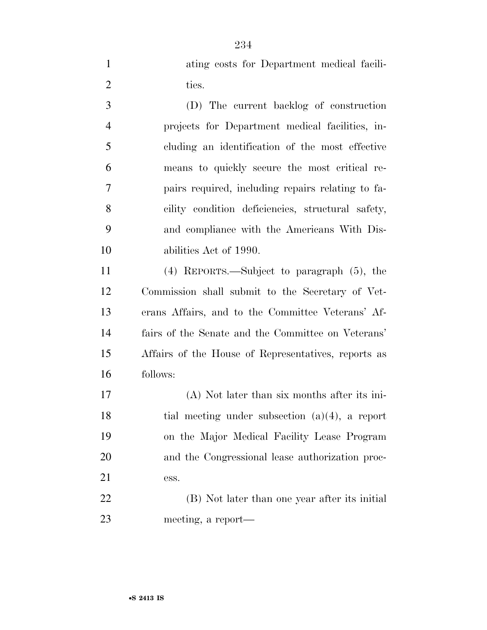ating costs for Department medical facili-2 ties.

 (D) The current backlog of construction projects for Department medical facilities, in- cluding an identification of the most effective means to quickly secure the most critical re- pairs required, including repairs relating to fa- cility condition deficiencies, structural safety, and compliance with the Americans With Dis-abilities Act of 1990.

 (4) REPORTS.—Subject to paragraph (5), the Commission shall submit to the Secretary of Vet- erans Affairs, and to the Committee Veterans' Af- fairs of the Senate and the Committee on Veterans' Affairs of the House of Representatives, reports as follows:

 (A) Not later than six months after its ini- tial meeting under subsection (a)(4), a report on the Major Medical Facility Lease Program and the Congressional lease authorization proc-ess.

 (B) Not later than one year after its initial meeting, a report—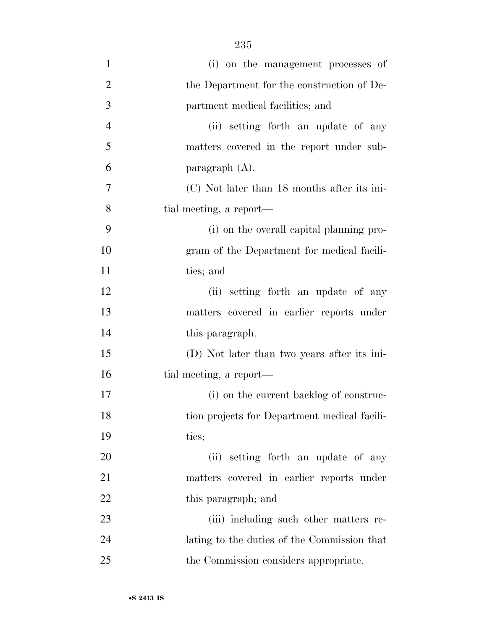| $\mathbf{1}$   | (i) on the management processes of           |
|----------------|----------------------------------------------|
| $\overline{2}$ | the Department for the construction of De-   |
| 3              | partment medical facilities; and             |
| $\overline{4}$ | (ii) setting forth an update of any          |
| 5              | matters covered in the report under sub-     |
| 6              | paragraph $(A)$ .                            |
| $\overline{7}$ | (C) Not later than 18 months after its ini-  |
| 8              | tial meeting, a report—                      |
| 9              | (i) on the overall capital planning pro-     |
| 10             | gram of the Department for medical facili-   |
| 11             | ties; and                                    |
| 12             | (ii) setting forth an update of any          |
| 13             | matters covered in earlier reports under     |
| 14             | this paragraph.                              |
| 15             | (D) Not later than two years after its ini-  |
| 16             | tial meeting, a report—                      |
| 17             | (i) on the current backlog of construc-      |
| 18             | tion projects for Department medical facili- |
| 19             | ties;                                        |
| 20             | (ii) setting forth an update of any          |
| 21             | matters covered in earlier reports under     |
| 22             | this paragraph; and                          |
| 23             | (iii) including such other matters re-       |
| 24             | lating to the duties of the Commission that  |
| 25             | the Commission considers appropriate.        |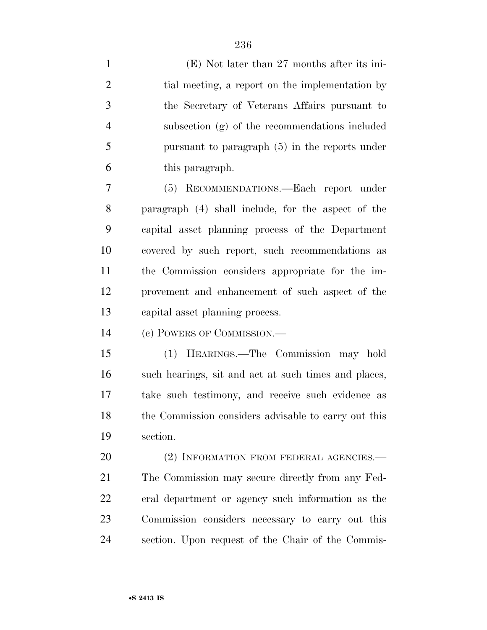| $\mathbf{1}$   | $(E)$ Not later than 27 months after its ini-        |
|----------------|------------------------------------------------------|
| $\overline{2}$ | tial meeting, a report on the implementation by      |
| 3              | the Secretary of Veterans Affairs pursuant to        |
| $\overline{4}$ | subsection (g) of the recommendations included       |
| 5              | pursuant to paragraph $(5)$ in the reports under     |
| 6              | this paragraph.                                      |
| 7              | (5) RECOMMENDATIONS.—Each report under               |
| 8              | paragraph (4) shall include, for the aspect of the   |
| 9              | capital asset planning process of the Department     |
| 10             | covered by such report, such recommendations as      |
| 11             | the Commission considers appropriate for the im-     |
| 12             | provement and enhancement of such aspect of the      |
| 13             | capital asset planning process.                      |
| 14             | (c) POWERS OF COMMISSION.—                           |
| 15             | (1) HEARINGS.—The Commission may hold                |
| 16             | such hearings, sit and act at such times and places, |
| 17             | take such testimony, and receive such evidence as    |
| 18             | the Commission considers advisable to carry out this |
| 19             | section.                                             |
| 20             | (2) INFORMATION FROM FEDERAL AGENCIES.—              |
| 21             | The Commission may secure directly from any Fed-     |
| 22             | eral department or agency such information as the    |
| 23             | Commission considers necessary to carry out this     |
| 24             | section. Upon request of the Chair of the Commis-    |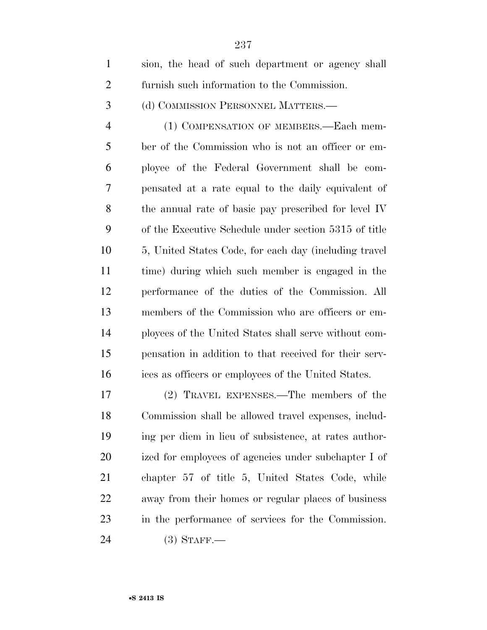| $\mathbf{1}$   | sion, the head of such department or agency shall      |
|----------------|--------------------------------------------------------|
| $\overline{2}$ | furnish such information to the Commission.            |
| 3              | (d) COMMISSION PERSONNEL MATTERS.—                     |
| $\overline{4}$ | (1) COMPENSATION OF MEMBERS.—Each mem-                 |
| 5              | ber of the Commission who is not an officer or em-     |
| 6              | ployee of the Federal Government shall be com-         |
| 7              | pensated at a rate equal to the daily equivalent of    |
| 8              | the annual rate of basic pay prescribed for level IV   |
| 9              | of the Executive Schedule under section 5315 of title  |
| 10             | 5, United States Code, for each day (including travel) |
| 11             | time) during which such member is engaged in the       |
| 12             | performance of the duties of the Commission. All       |
| 13             | members of the Commission who are officers or em-      |
| 14             | ployees of the United States shall serve without com-  |
| 15             | pensation in addition to that received for their serv- |
| 16             | ices as officers or employees of the United States.    |
| 17             | (2) TRAVEL EXPENSES.—The members of the                |
| 18             | Commission shall be allowed travel expenses, includ-   |
| 19             | ing per diem in lieu of subsistence, at rates author-  |
| 20             | ized for employees of agencies under subchapter I of   |
| 21             | chapter 57 of title 5, United States Code, while       |
| 22             | away from their homes or regular places of business    |
| 23             | in the performance of services for the Commission.     |

(3) STAFF.—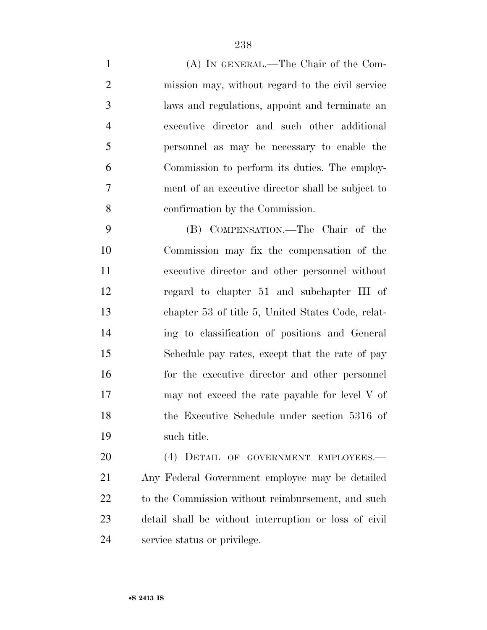(A) IN GENERAL.—The Chair of the Com- mission may, without regard to the civil service laws and regulations, appoint and terminate an executive director and such other additional personnel as may be necessary to enable the Commission to perform its duties. The employ- ment of an executive director shall be subject to confirmation by the Commission.

 (B) COMPENSATION.—The Chair of the Commission may fix the compensation of the executive director and other personnel without regard to chapter 51 and subchapter III of chapter 53 of title 5, United States Code, relat- ing to classification of positions and General Schedule pay rates, except that the rate of pay for the executive director and other personnel 17 may not exceed the rate payable for level V of the Executive Schedule under section 5316 of such title.

 (4) DETAIL OF GOVERNMENT EMPLOYEES.— Any Federal Government employee may be detailed 22 to the Commission without reimbursement, and such detail shall be without interruption or loss of civil service status or privilege.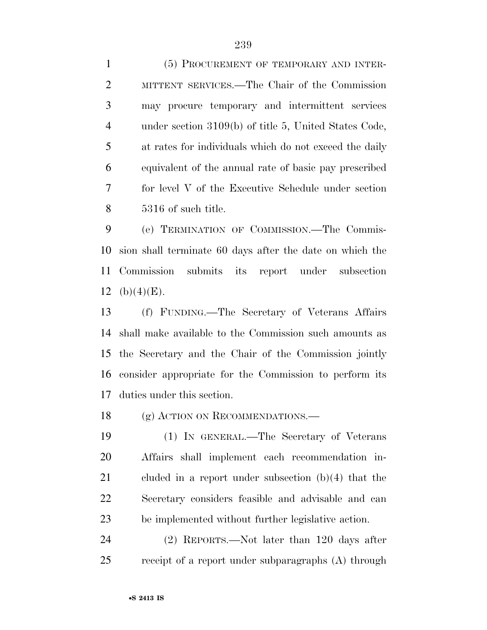(5) PROCUREMENT OF TEMPORARY AND INTER- MITTENT SERVICES.—The Chair of the Commission may procure temporary and intermittent services under section 3109(b) of title 5, United States Code, at rates for individuals which do not exceed the daily

 equivalent of the annual rate of basic pay prescribed for level V of the Executive Schedule under section 5316 of such title.

 (e) TERMINATION OF COMMISSION.—The Commis- sion shall terminate 60 days after the date on which the Commission submits its report under subsection 12 (b) $(4)(E)$ .

 (f) FUNDING.—The Secretary of Veterans Affairs shall make available to the Commission such amounts as the Secretary and the Chair of the Commission jointly consider appropriate for the Commission to perform its duties under this section.

18 (g) ACTION ON RECOMMENDATIONS.—

 (1) IN GENERAL.—The Secretary of Veterans Affairs shall implement each recommendation in- cluded in a report under subsection (b)(4) that the Secretary considers feasible and advisable and can be implemented without further legislative action.

 (2) REPORTS.—Not later than 120 days after receipt of a report under subparagraphs (A) through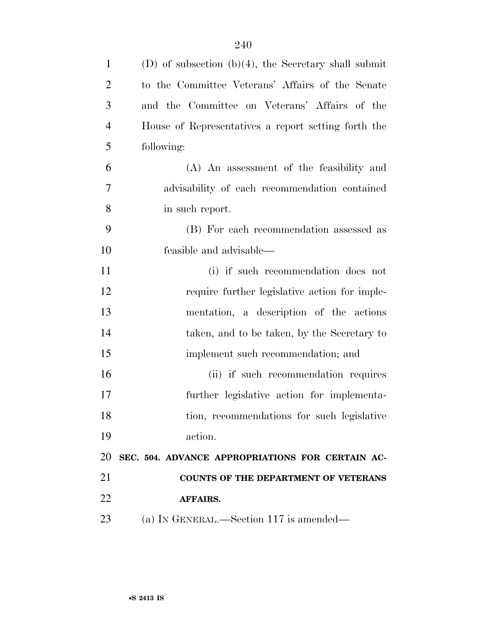| $\mathbf{1}$   | (D) of subsection $(b)(4)$ , the Secretary shall submit |
|----------------|---------------------------------------------------------|
| $\overline{2}$ | to the Committee Veterans' Affairs of the Senate        |
| 3              | and the Committee on Veterans' Affairs of the           |
| $\overline{4}$ | House of Representatives a report setting forth the     |
| 5              | following:                                              |
| 6              | (A) An assessment of the feasibility and                |
| 7              | advisability of each recommendation contained           |
| 8              | in such report.                                         |
| 9              | (B) For each recommendation assessed as                 |
| 10             | feasible and advisable—                                 |
| 11             | (i) if such recommendation does not                     |
| 12             | require further legislative action for imple-           |
| 13             | mentation, a description of the actions                 |
| 14             | taken, and to be taken, by the Secretary to             |
| 15             | implement such recommendation; and                      |
| 16             | (ii) if such recommendation requires                    |
| 17             | further legislative action for implementa-              |
| 18             | tion, recommendations for such legislative              |
| 19             | action.                                                 |
| 20             | SEC. 504. ADVANCE APPROPRIATIONS FOR CERTAIN AC-        |
| 21             | <b>COUNTS OF THE DEPARTMENT OF VETERANS</b>             |
| 22             | AFFAIRS.                                                |
| 23             | (a) IN GENERAL.—Section 117 is amended—                 |
|                |                                                         |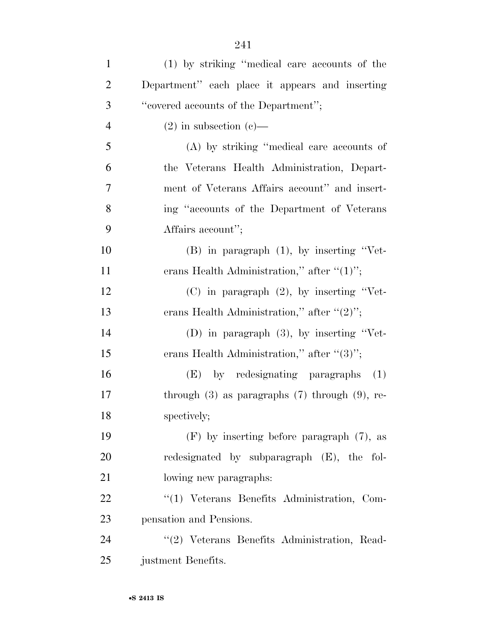| $\mathbf{1}$   | (1) by striking "medical care accounts of the         |
|----------------|-------------------------------------------------------|
| $\overline{2}$ | Department" each place it appears and inserting       |
| 3              | "covered accounts of the Department";                 |
| $\overline{4}$ | $(2)$ in subsection $(e)$ —                           |
| 5              | (A) by striking "medical care accounts of             |
| 6              | the Veterans Health Administration, Depart-           |
| 7              | ment of Veterans Affairs account" and insert-         |
| 8              | ing "accounts of the Department of Veterans"          |
| 9              | Affairs account";                                     |
| 10             | $(B)$ in paragraph $(1)$ , by inserting "Vet-         |
| 11             | erans Health Administration," after " $(1)$ ";        |
| 12             | $(C)$ in paragraph $(2)$ , by inserting "Vet-         |
| 13             | erans Health Administration," after " $(2)$ ";        |
| 14             | (D) in paragraph $(3)$ , by inserting "Vet-           |
| 15             | erans Health Administration," after " $(3)$ ";        |
| 16             | (E) by redesignating paragraphs (1)                   |
| 17             | through $(3)$ as paragraphs $(7)$ through $(9)$ , re- |
| 18             | spectively;                                           |
| 19             | $(F)$ by inserting before paragraph $(7)$ , as        |
| 20             | redesignated by subparagraph (E), the fol-            |
| 21             | lowing new paragraphs:                                |
| 22             | "(1) Veterans Benefits Administration, Com-           |
| 23             | pensation and Pensions.                               |
| 24             | "(2) Veterans Benefits Administration, Read-          |
| 25             | justment Benefits.                                    |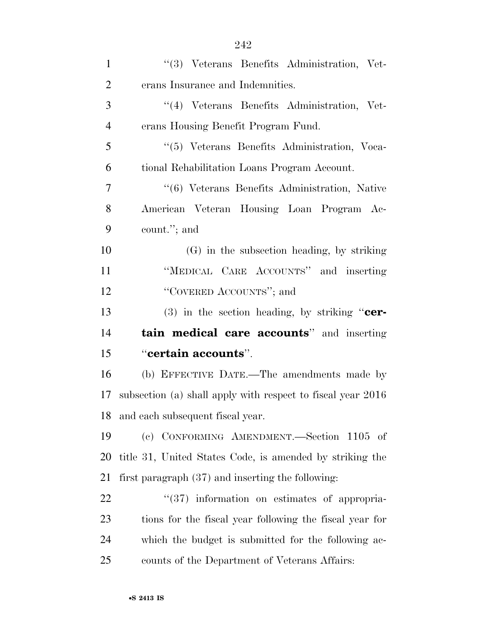| $\mathbf{1}$   | "(3) Veterans Benefits Administration, Vet-                 |
|----------------|-------------------------------------------------------------|
| $\overline{2}$ | erans Insurance and Indemnities.                            |
| 3              | "(4) Veterans Benefits Administration, Vet-                 |
| $\overline{4}$ | erans Housing Benefit Program Fund.                         |
| 5              | "(5) Veterans Benefits Administration, Voca-                |
| 6              | tional Rehabilitation Loans Program Account.                |
| 7              | "(6) Veterans Benefits Administration, Native               |
| 8              | American Veteran Housing Loan Program Ac-                   |
| 9              | count."; and                                                |
| 10             | (G) in the subsection heading, by striking                  |
| 11             | "MEDICAL CARE ACCOUNTS" and inserting                       |
| 12             | "COVERED ACCOUNTS"; and                                     |
|                |                                                             |
| 13             | $(3)$ in the section heading, by striking " <b>cer-</b>     |
| 14             | <b>tain medical care accounts</b> " and inserting           |
| 15             | "certain accounts".                                         |
| 16             | (b) EFFECTIVE DATE.—The amendments made by                  |
| 17             | subsection (a) shall apply with respect to fiscal year 2016 |
| 18             | and each subsequent fiscal year.                            |
| 19             | (c) CONFORMING AMENDMENT.—Section 1105 of                   |
| 20             | title 31, United States Code, is amended by striking the    |
| 21             | first paragraph $(37)$ and inserting the following:         |
| 22             | $\cdot\cdot(37)$ information on estimates of appropria-     |
| 23             | tions for the fiscal year following the fiscal year for     |
| 24             | which the budget is submitted for the following ac-         |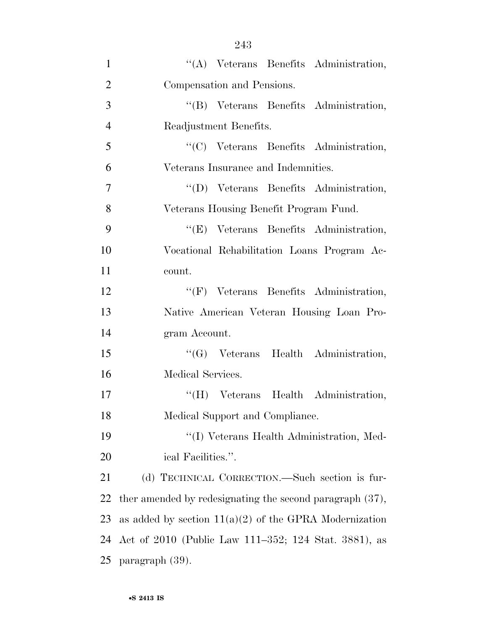| $\mathbf{1}$   | "(A) Veterans Benefits Administration,                      |
|----------------|-------------------------------------------------------------|
| $\overline{2}$ | Compensation and Pensions.                                  |
| 3              | "(B) Veterans Benefits Administration,                      |
| $\overline{4}$ | Readjustment Benefits.                                      |
| 5              | "(C) Veterans Benefits Administration,                      |
| 6              | Veterans Insurance and Indemnities.                         |
| 7              | "(D) Veterans Benefits Administration,                      |
| 8              | Veterans Housing Benefit Program Fund.                      |
| 9              | "(E) Veterans Benefits Administration,                      |
| 10             | Vocational Rehabilitation Loans Program Ac-                 |
| 11             | count.                                                      |
| 12             | "(F) Veterans Benefits Administration,                      |
| 13             | Native American Veteran Housing Loan Pro-                   |
| 14             | gram Account.                                               |
| 15             | "(G) Veterans Health Administration,                        |
| 16             | Medical Services.                                           |
| 17             | "(H) Veterans Health Administration,                        |
| 18             | Medical Support and Compliance.                             |
| 19             | "(I) Veterans Health Administration, Med-                   |
| 20             | ical Facilities.".                                          |
| 21             | (d) TECHNICAL CORRECTION.—Such section is fur-              |
| 22             | ther amended by redesignating the second paragraph $(37)$ , |
| 23             | as added by section $11(a)(2)$ of the GPRA Modernization    |
| 24             | Act of 2010 (Public Law 111–352; 124 Stat. 3881), as        |
| 25             | paragraph (39).                                             |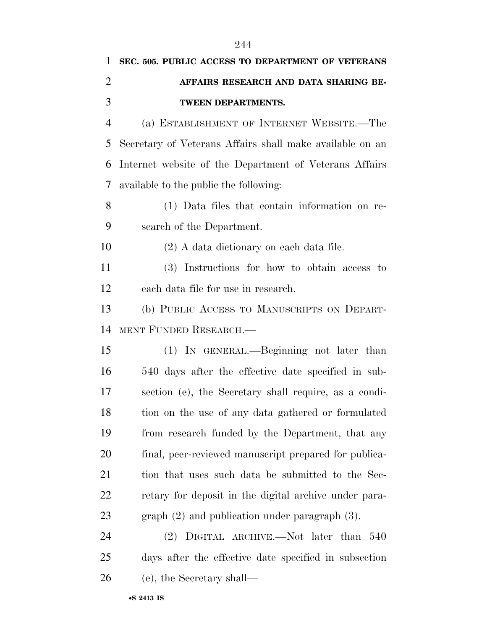| $\mathbf{1}$   | SEC. 505. PUBLIC ACCESS TO DEPARTMENT OF VETERANS        |
|----------------|----------------------------------------------------------|
| $\overline{2}$ | AFFAIRS RESEARCH AND DATA SHARING BE-                    |
| 3              | TWEEN DEPARTMENTS.                                       |
| $\overline{4}$ | (a) ESTABLISHMENT OF INTERNET WEBSITE.—The               |
| 5              | Secretary of Veterans Affairs shall make available on an |
| 6              | Internet website of the Department of Veterans Affairs   |
| 7              | available to the public the following:                   |
| 8              | (1) Data files that contain information on re-           |
| 9              | search of the Department.                                |
| 10             | $(2)$ A data dictionary on each data file.               |
| 11             | (3) Instructions for how to obtain access to             |
| 12             | each data file for use in research.                      |
| 13             | (b) PUBLIC ACCESS TO MANUSCRIPTS ON DEPART-              |
| 14             | MENT FUNDED RESEARCH.-                                   |
| 15             | (1) IN GENERAL.—Beginning not later than                 |
| 16             | 540 days after the effective date specified in sub-      |
| 17             | section (e), the Secretary shall require, as a condi-    |
| 18             | tion on the use of any data gathered or formulated       |
| 19             | from research funded by the Department, that any         |
| 20             | final, peer-reviewed manuscript prepared for publica-    |
| 21             | tion that uses such data be submitted to the Sec-        |
| 22             | retary for deposit in the digital archive under para-    |
| 23             | graph $(2)$ and publication under paragraph $(3)$ .      |
| 24             | $(2)$ DIGITAL ARCHIVE.—Not later than 540                |
| 25             | days after the effective date specified in subsection    |
| 26             | (e), the Secretary shall—                                |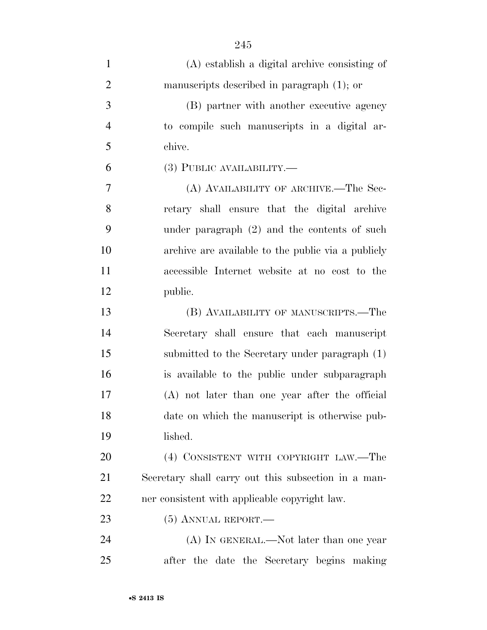| $\mathbf{1}$   | $(A)$ establish a digital archive consisting of     |
|----------------|-----------------------------------------------------|
| $\overline{2}$ | manuscripts described in paragraph $(1)$ ; or       |
| 3              | (B) partner with another executive agency           |
| $\overline{4}$ | to compile such manuscripts in a digital ar-        |
| 5              | chive.                                              |
| 6              | (3) PUBLIC AVAILABILITY.—                           |
| 7              | (A) AVAILABILITY OF ARCHIVE.—The Sec-               |
| 8              | retary shall ensure that the digital archive        |
| 9              | under paragraph $(2)$ and the contents of such      |
| 10             | archive are available to the public via a publicly  |
| 11             | accessible Internet website at no cost to the       |
| 12             | public.                                             |
| 13             | (B) AVAILABILITY OF MANUSCRIPTS.—The                |
| 14             | Secretary shall ensure that each manuscript         |
| 15             | submitted to the Secretary under paragraph (1)      |
| 16             | is available to the public under subparagraph       |
| 17             | (A) not later than one year after the official      |
| 18             | date on which the manuscript is otherwise pub-      |
| 19             | lished.                                             |
| 20             | (4) CONSISTENT WITH COPYRIGHT LAW.—The              |
| 21             | Secretary shall carry out this subsection in a man- |
| 22             | ner consistent with applicable copyright law.       |
| 23             | $(5)$ ANNUAL REPORT.—                               |
| 24             | (A) IN GENERAL.—Not later than one year             |
| 25             | after the date the Secretary begins making          |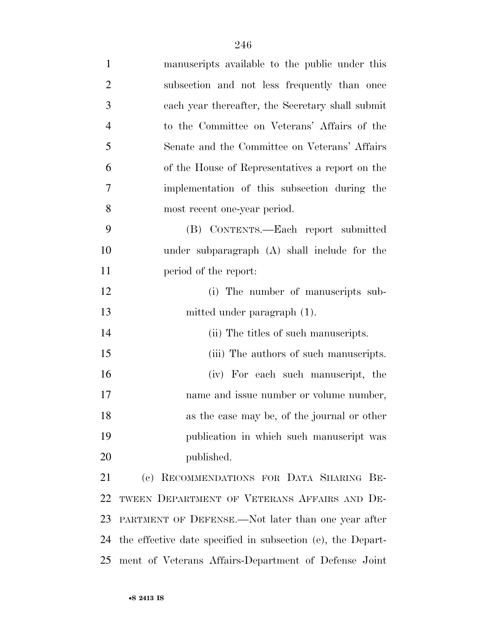| $\mathbf{1}$   | manuscripts available to the public under this              |
|----------------|-------------------------------------------------------------|
| $\overline{2}$ | subsection and not less frequently than once                |
| 3              | each year thereafter, the Secretary shall submit            |
| $\overline{4}$ | to the Committee on Veterans' Affairs of the                |
| 5              | Senate and the Committee on Veterans' Affairs               |
| 6              | of the House of Representatives a report on the             |
| 7              | implementation of this subsection during the                |
| 8              | most recent one-year period.                                |
| 9              | (B) CONTENTS.—Each report submitted                         |
| 10             | under subparagraph (A) shall include for the                |
| 11             | period of the report:                                       |
| 12             | (i) The number of manuscripts sub-                          |
| 13             | mitted under paragraph (1).                                 |
| 14             | (ii) The titles of such manuscripts.                        |
| 15             | (iii) The authors of such manuscripts.                      |
| 16             | (iv) For each such manuscript, the                          |
| 17             | name and issue number or volume number,                     |
| 18             | as the case may be, of the journal or other                 |
| 19             | publication in which such manuscript was                    |
| 20             | published.                                                  |
| 21             | (c) RECOMMENDATIONS FOR DATA SHARING BE-                    |
| 22             | TWEEN DEPARTMENT OF VETERANS AFFAIRS AND DE-                |
| 23             | PARTMENT OF DEFENSE.—Not later than one year after          |
| 24             | the effective date specified in subsection (e), the Depart- |
| 25             | ment of Veterans Affairs-Department of Defense Joint        |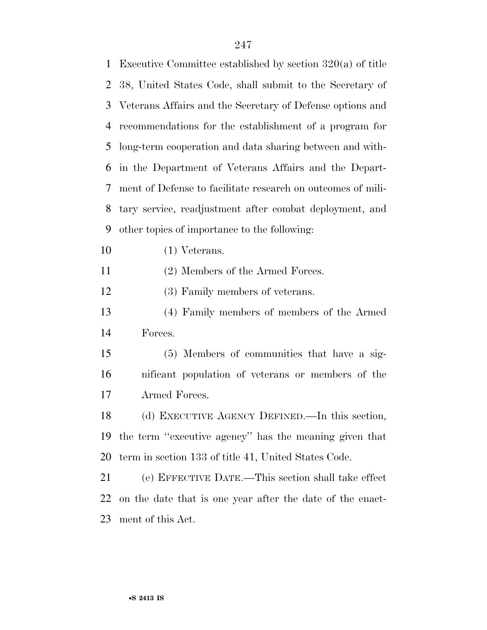| $\mathbf{1}$   | Executive Committee established by section $320(a)$ of title |
|----------------|--------------------------------------------------------------|
| $\overline{2}$ | 38, United States Code, shall submit to the Secretary of     |
| 3              | Veterans Affairs and the Secretary of Defense options and    |
| 4              | recommendations for the establishment of a program for       |
| 5              | long-term cooperation and data sharing between and with-     |
| 6              | in the Department of Veterans Affairs and the Depart-        |
| 7              | ment of Defense to facilitate research on outcomes of mili-  |
| 8              | tary service, readjustment after combat deployment, and      |
| 9              | other topics of importance to the following:                 |
| 10             | $(1)$ Veterans.                                              |
| 11             | (2) Members of the Armed Forces.                             |
| 12             | (3) Family members of veterans.                              |
| 13             | (4) Family members of members of the Armed                   |
| 14             | Forces.                                                      |
| 15             | (5) Members of communities that have a sig-                  |
| 16             | nificant population of veterans or members of the            |
| 17             | Armed Forces.                                                |
| 18             | (d) EXECUTIVE AGENCY DEFINED. In this section,               |
| 19             | the term "executive agency" has the meaning given that       |
| 20             | term in section 133 of title 41, United States Code.         |
| 21             | (e) EFFECTIVE DATE.—This section shall take effect           |
| 22             | on the date that is one year after the date of the enact-    |
| 23             | ment of this Act.                                            |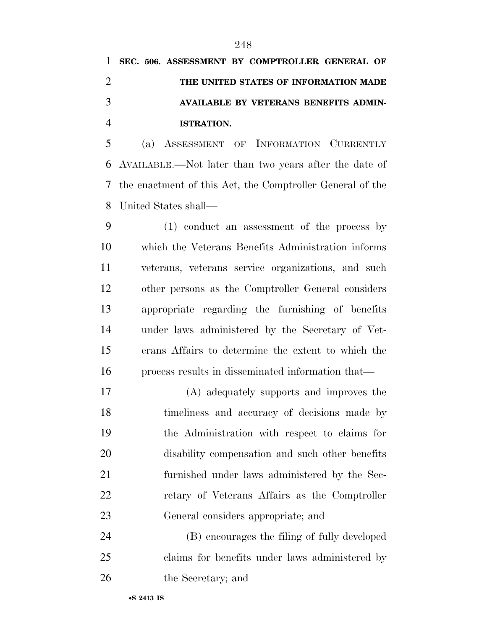(a) ASSESSMENT OF INFORMATION CURRENTLY AVAILABLE.—Not later than two years after the date of the enactment of this Act, the Comptroller General of the United States shall—

 (1) conduct an assessment of the process by which the Veterans Benefits Administration informs veterans, veterans service organizations, and such other persons as the Comptroller General considers appropriate regarding the furnishing of benefits under laws administered by the Secretary of Vet- erans Affairs to determine the extent to which the process results in disseminated information that—

 (A) adequately supports and improves the timeliness and accuracy of decisions made by the Administration with respect to claims for disability compensation and such other benefits furnished under laws administered by the Sec- retary of Veterans Affairs as the Comptroller General considers appropriate; and

 (B) encourages the filing of fully developed claims for benefits under laws administered by the Secretary; and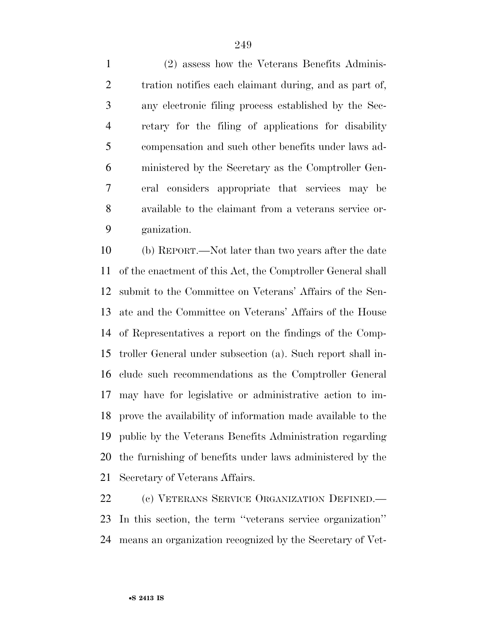(2) assess how the Veterans Benefits Adminis-2 tration notifies each claimant during, and as part of, any electronic filing process established by the Sec- retary for the filing of applications for disability compensation and such other benefits under laws ad- ministered by the Secretary as the Comptroller Gen- eral considers appropriate that services may be available to the claimant from a veterans service or-ganization.

 (b) REPORT.—Not later than two years after the date of the enactment of this Act, the Comptroller General shall submit to the Committee on Veterans' Affairs of the Sen- ate and the Committee on Veterans' Affairs of the House of Representatives a report on the findings of the Comp- troller General under subsection (a). Such report shall in- clude such recommendations as the Comptroller General may have for legislative or administrative action to im- prove the availability of information made available to the public by the Veterans Benefits Administration regarding the furnishing of benefits under laws administered by the Secretary of Veterans Affairs.

 (c) VETERANS SERVICE ORGANIZATION DEFINED.— In this section, the term ''veterans service organization'' means an organization recognized by the Secretary of Vet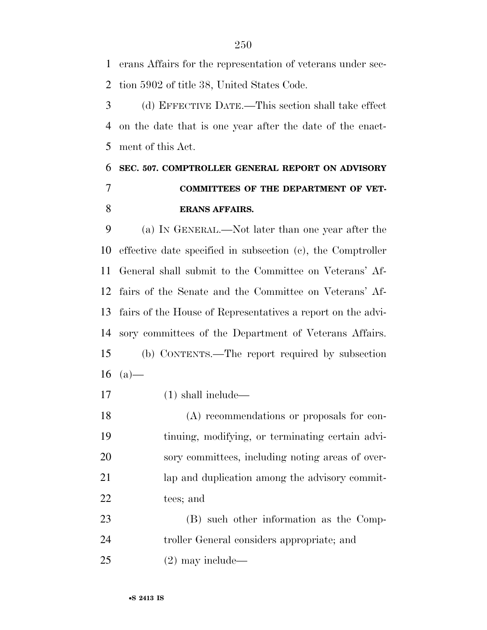erans Affairs for the representation of veterans under sec-tion 5902 of title 38, United States Code.

 (d) EFFECTIVE DATE.—This section shall take effect on the date that is one year after the date of the enact-ment of this Act.

## **SEC. 507. COMPTROLLER GENERAL REPORT ON ADVISORY COMMITTEES OF THE DEPARTMENT OF VET-ERANS AFFAIRS.**

 (a) IN GENERAL.—Not later than one year after the effective date specified in subsection (c), the Comptroller General shall submit to the Committee on Veterans' Af- fairs of the Senate and the Committee on Veterans' Af- fairs of the House of Representatives a report on the advi- sory committees of the Department of Veterans Affairs. (b) CONTENTS.—The report required by subsection  $(a)$ —

(1) shall include—

 (A) recommendations or proposals for con- tinuing, modifying, or terminating certain advi- sory committees, including noting areas of over-21 lap and duplication among the advisory commit-tees; and

 (B) such other information as the Comp- troller General considers appropriate; and (2) may include—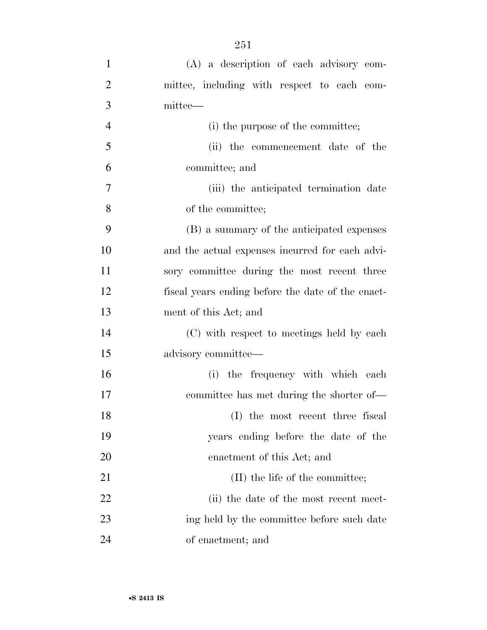| $\mathbf{1}$   | (A) a description of each advisory com-           |
|----------------|---------------------------------------------------|
| $\overline{2}$ | mittee, including with respect to each com-       |
| 3              | mittee—                                           |
| $\overline{4}$ | (i) the purpose of the committee;                 |
| 5              | (ii) the commencement date of the                 |
| 6              | committee; and                                    |
| 7              | (iii) the anticipated termination date            |
| 8              | of the committee;                                 |
| 9              | (B) a summary of the anticipated expenses         |
| 10             | and the actual expenses incurred for each advi-   |
| 11             | sory committee during the most recent three       |
| 12             | fiscal years ending before the date of the enact- |
| 13             | ment of this Act; and                             |
| 14             | (C) with respect to meetings held by each         |
| 15             | advisory committee-                               |
| 16             | (i) the frequency with which each                 |
| 17             | committee has met during the shorter of—          |
| 18             | (I) the most recent three fiscal                  |
| 19             | years ending before the date of the               |
| 20             | enactment of this Act; and                        |
| 21             | (II) the life of the committee;                   |
| 22             | (ii) the date of the most recent meet-            |
| 23             | ing held by the committee before such date        |
| 24             | of enactment; and                                 |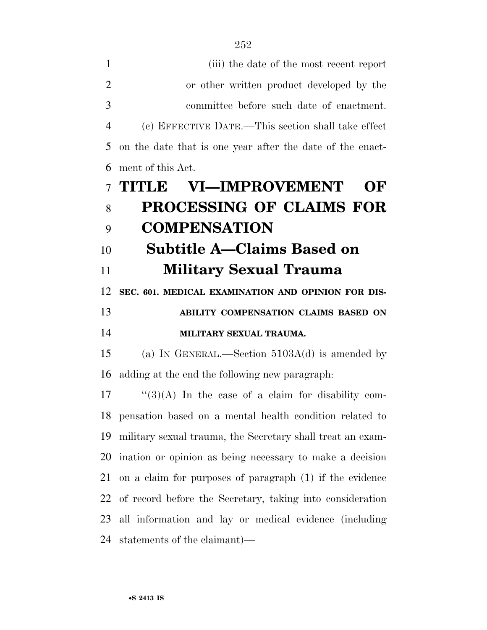| $\mathbf{1}$   | (iii) the date of the most recent report                    |
|----------------|-------------------------------------------------------------|
| $\overline{2}$ | or other written product developed by the                   |
| 3              | committee before such date of enactment.                    |
| $\overline{4}$ | (c) EFFECTIVE DATE.—This section shall take effect          |
| 5              | on the date that is one year after the date of the enact-   |
| 6              | ment of this Act.                                           |
| $\overline{7}$ | <b>VI-IMPROVEMENT</b><br><b>THINLE</b><br>OF                |
| 8              | PROCESSING OF CLAIMS FOR                                    |
| 9              | <b>COMPENSATION</b>                                         |
| 10             | Subtitle A–Claims Based on                                  |
| 11             | <b>Military Sexual Trauma</b>                               |
| 12             | SEC. 601. MEDICAL EXAMINATION AND OPINION FOR DIS-          |
| 13             | ABILITY COMPENSATION CLAIMS BASED ON                        |
| 14             | MILITARY SEXUAL TRAUMA.                                     |
| 15             | (a) IN GENERAL.—Section $5103A(d)$ is amended by            |
| 16             | adding at the end the following new paragraph.              |
| 17             | " $(3)(A)$ In the case of a claim for disability com-       |
|                | 18 pensation based on a mental health condition related to  |
| 19             | military sexual trauma, the Secretary shall treat an exam-  |
|                | 20 ination or opinion as being necessary to make a decision |
| 21             | on a claim for purposes of paragraph (1) if the evidence    |
| 22             | of record before the Secretary, taking into consideration   |
| 23             | all information and lay or medical evidence (including      |
|                |                                                             |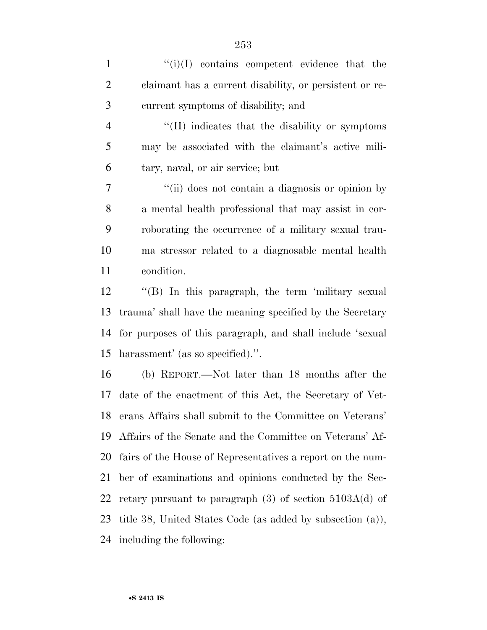1  $\langle i \rangle$ (i)(I) contains competent evidence that the claimant has a current disability, or persistent or re-current symptoms of disability; and

4 "(II) indicates that the disability or symptoms may be associated with the claimant's active mili-tary, naval, or air service; but

 ''(ii) does not contain a diagnosis or opinion by a mental health professional that may assist in cor- roborating the occurrence of a military sexual trau- ma stressor related to a diagnosable mental health condition.

 ''(B) In this paragraph, the term 'military sexual trauma' shall have the meaning specified by the Secretary for purposes of this paragraph, and shall include 'sexual harassment' (as so specified).''.

 (b) REPORT.—Not later than 18 months after the date of the enactment of this Act, the Secretary of Vet- erans Affairs shall submit to the Committee on Veterans' Affairs of the Senate and the Committee on Veterans' Af- fairs of the House of Representatives a report on the num- ber of examinations and opinions conducted by the Sec-22 retary pursuant to paragraph  $(3)$  of section  $5103A(d)$  of title 38, United States Code (as added by subsection (a)), including the following: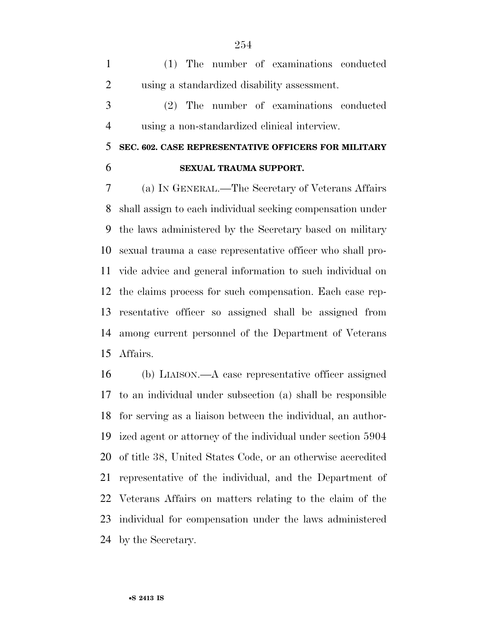(1) The number of examinations conducted using a standardized disability assessment.

 (2) The number of examinations conducted using a non-standardized clinical interview.

## **SEC. 602. CASE REPRESENTATIVE OFFICERS FOR MILITARY SEXUAL TRAUMA SUPPORT.**

 (a) IN GENERAL.—The Secretary of Veterans Affairs shall assign to each individual seeking compensation under the laws administered by the Secretary based on military sexual trauma a case representative officer who shall pro- vide advice and general information to such individual on the claims process for such compensation. Each case rep- resentative officer so assigned shall be assigned from among current personnel of the Department of Veterans Affairs.

 (b) LIAISON.—A case representative officer assigned to an individual under subsection (a) shall be responsible for serving as a liaison between the individual, an author- ized agent or attorney of the individual under section 5904 of title 38, United States Code, or an otherwise accredited representative of the individual, and the Department of Veterans Affairs on matters relating to the claim of the individual for compensation under the laws administered by the Secretary.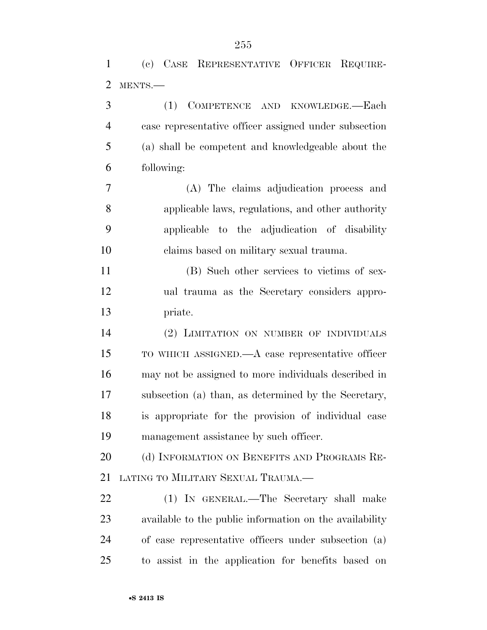|               | (c) CASE REPRESENTATIVE OFFICER REQUIRE-              |
|---------------|-------------------------------------------------------|
| $\mathcal{L}$ | MENTS.-                                               |
| 3             | COMPETENCE AND KNOWLEDGE.-Each<br>(1)                 |
| 4             | case representative officer assigned under subsection |
| 5             | (a) shall be competent and knowledgeable about the    |
| 6             | following:                                            |
|               | (A) The claims adjudication process and               |

 applicable laws, regulations, and other authority applicable to the adjudication of disability claims based on military sexual trauma.

 (B) Such other services to victims of sex- ual trauma as the Secretary considers appro-priate.

 (2) LIMITATION ON NUMBER OF INDIVIDUALS TO WHICH ASSIGNED.—A case representative officer may not be assigned to more individuals described in subsection (a) than, as determined by the Secretary, is appropriate for the provision of individual case management assistance by such officer.

20 (d) INFORMATION ON BENEFITS AND PROGRAMS RE-LATING TO MILITARY SEXUAL TRAUMA.—

 (1) IN GENERAL.—The Secretary shall make available to the public information on the availability of case representative officers under subsection (a) to assist in the application for benefits based on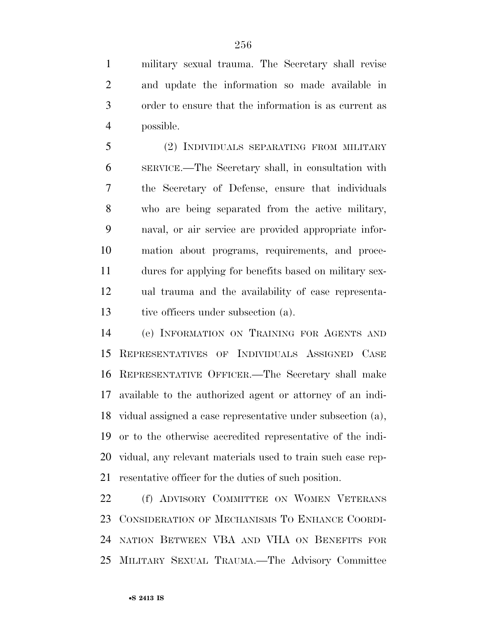military sexual trauma. The Secretary shall revise and update the information so made available in order to ensure that the information is as current as possible.

 (2) INDIVIDUALS SEPARATING FROM MILITARY SERVICE.—The Secretary shall, in consultation with the Secretary of Defense, ensure that individuals who are being separated from the active military, naval, or air service are provided appropriate infor- mation about programs, requirements, and proce- dures for applying for benefits based on military sex- ual trauma and the availability of case representa-tive officers under subsection (a).

 (e) INFORMATION ON TRAINING FOR AGENTS AND REPRESENTATIVES OF INDIVIDUALS ASSIGNED CASE REPRESENTATIVE OFFICER.—The Secretary shall make available to the authorized agent or attorney of an indi- vidual assigned a case representative under subsection (a), or to the otherwise accredited representative of the indi- vidual, any relevant materials used to train such case rep-resentative officer for the duties of such position.

22 (f) ADVISORY COMMITTEE ON WOMEN VETERANS CONSIDERATION OF MECHANISMS TO ENHANCE COORDI- NATION BETWEEN VBA AND VHA ON BENEFITS FOR MILITARY SEXUAL TRAUMA.—The Advisory Committee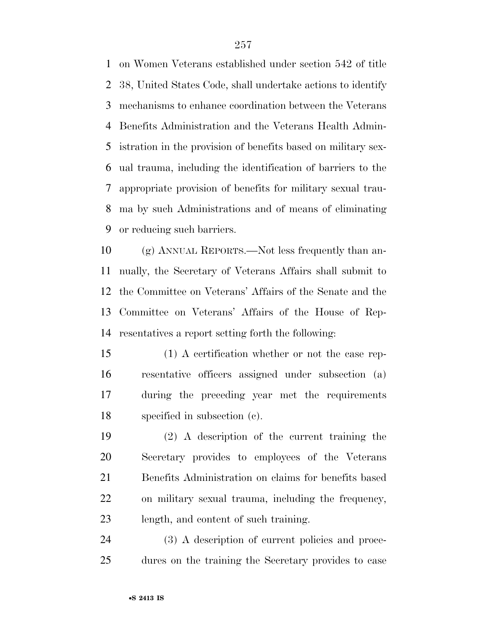on Women Veterans established under section 542 of title 38, United States Code, shall undertake actions to identify mechanisms to enhance coordination between the Veterans Benefits Administration and the Veterans Health Admin- istration in the provision of benefits based on military sex- ual trauma, including the identification of barriers to the appropriate provision of benefits for military sexual trau- ma by such Administrations and of means of eliminating or reducing such barriers.

 (g) ANNUAL REPORTS.—Not less frequently than an- nually, the Secretary of Veterans Affairs shall submit to the Committee on Veterans' Affairs of the Senate and the Committee on Veterans' Affairs of the House of Rep-resentatives a report setting forth the following:

 (1) A certification whether or not the case rep- resentative officers assigned under subsection (a) during the preceding year met the requirements specified in subsection (c).

 (2) A description of the current training the Secretary provides to employees of the Veterans Benefits Administration on claims for benefits based on military sexual trauma, including the frequency, length, and content of such training.

 (3) A description of current policies and proce-dures on the training the Secretary provides to case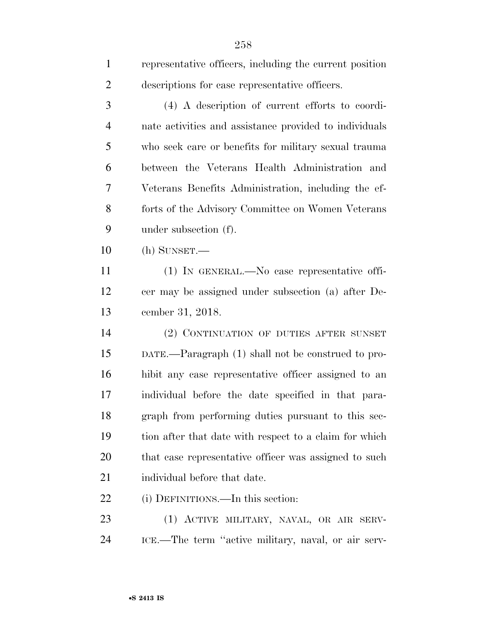| $\mathbf{1}$   | representative officers, including the current position |
|----------------|---------------------------------------------------------|
| $\overline{2}$ | descriptions for case representative officers.          |
| 3              | (4) A description of current efforts to coordi-         |
| $\overline{4}$ | nate activities and assistance provided to individuals  |
| 5              | who seek care or benefits for military sexual trauma    |
| 6              | between the Veterans Health Administration and          |
| 7              | Veterans Benefits Administration, including the ef-     |
| 8              | forts of the Advisory Committee on Women Veterans       |
| 9              | under subsection (f).                                   |
| 10             | $(h)$ SUNSET.—                                          |
| 11             | (1) IN GENERAL.—No case representative offi-            |
| 12             | cer may be assigned under subsection (a) after De-      |
| 13             | cember 31, 2018.                                        |
| 14             | (2) CONTINUATION OF DUTIES AFTER SUNSET                 |
| 15             | DATE.—Paragraph (1) shall not be construed to pro-      |
| 16             | hibit any case representative officer assigned to an    |
| 17             | individual before the date specified in that para-      |
| 18             | graph from performing duties pursuant to this sec-      |
| 19             | tion after that date with respect to a claim for which  |
| 20             | that case representative officer was assigned to such   |
| 21             | individual before that date.                            |
| 22             | (i) DEFINITIONS.—In this section:                       |
| 23             | (1) ACTIVE MILITARY, NAVAL, OR AIR SERV-                |
|                |                                                         |

ICE.—The term ''active military, naval, or air serv-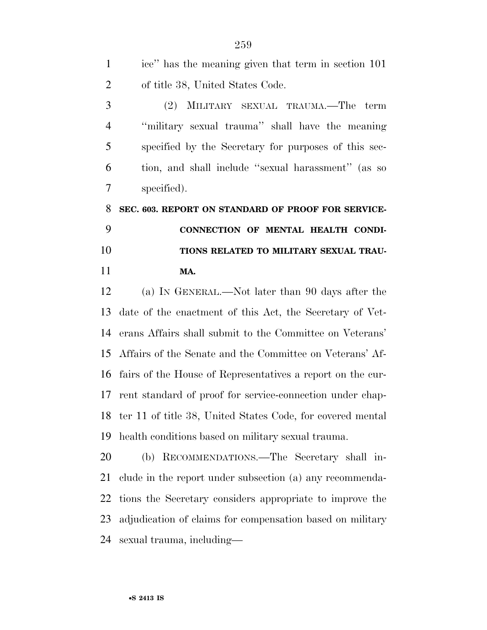| ice" has the meaning given that term in section 101 |
|-----------------------------------------------------|
| of title 38, United States Code.                    |

 (2) MILITARY SEXUAL TRAUMA.—The term ''military sexual trauma'' shall have the meaning specified by the Secretary for purposes of this sec- tion, and shall include ''sexual harassment'' (as so specified).

 **SEC. 603. REPORT ON STANDARD OF PROOF FOR SERVICE- CONNECTION OF MENTAL HEALTH CONDI- TIONS RELATED TO MILITARY SEXUAL TRAU-MA.** 

 (a) IN GENERAL.—Not later than 90 days after the date of the enactment of this Act, the Secretary of Vet- erans Affairs shall submit to the Committee on Veterans' Affairs of the Senate and the Committee on Veterans' Af- fairs of the House of Representatives a report on the cur- rent standard of proof for service-connection under chap- ter 11 of title 38, United States Code, for covered mental health conditions based on military sexual trauma.

 (b) RECOMMENDATIONS.—The Secretary shall in- clude in the report under subsection (a) any recommenda- tions the Secretary considers appropriate to improve the adjudication of claims for compensation based on military sexual trauma, including—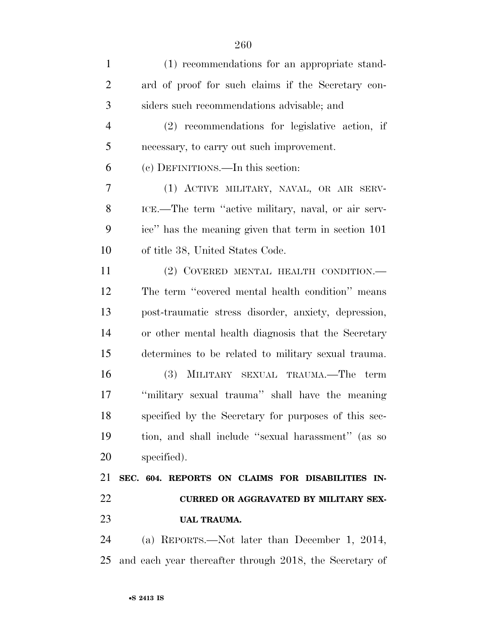| $\mathbf{1}$   | (1) recommendations for an appropriate stand-        |
|----------------|------------------------------------------------------|
| $\overline{2}$ | ard of proof for such claims if the Secretary con-   |
| 3              | siders such recommendations advisable; and           |
| $\overline{4}$ | $(2)$ recommendations for legislative action, if     |
| 5              | necessary, to carry out such improvement.            |
| 6              | (c) DEFINITIONS.—In this section:                    |
| 7              | (1) ACTIVE MILITARY, NAVAL, OR AIR SERV-             |
| 8              | ICE.—The term "active military, naval, or air serv-  |
| 9              | ice" has the meaning given that term in section 101  |
| 10             | of title 38, United States Code.                     |
| 11             | (2) COVERED MENTAL HEALTH CONDITION.—                |
| 12             | The term "covered mental health condition" means     |
| 13             | post-traumatic stress disorder, anxiety, depression, |
| 14             | or other mental health diagnosis that the Secretary  |
| 15             | determines to be related to military sexual trauma.  |
| 16             | (3) MILITARY SEXUAL TRAUMA.—The term                 |
| 17             | "military sexual trauma" shall have the meaning      |
| 18             | specified by the Secretary for purposes of this sec- |
| 19             | tion, and shall include "sexual harassment" (as so   |
| 20             | specified).                                          |
| 21             | SEC. 604. REPORTS ON CLAIMS FOR DISABILITIES IN-     |
| 22             | <b>CURRED OR AGGRAVATED BY MILITARY SEX-</b>         |
| 23             | <b>UAL TRAUMA.</b>                                   |

 (a) REPORTS.—Not later than December 1, 2014, and each year thereafter through 2018, the Secretary of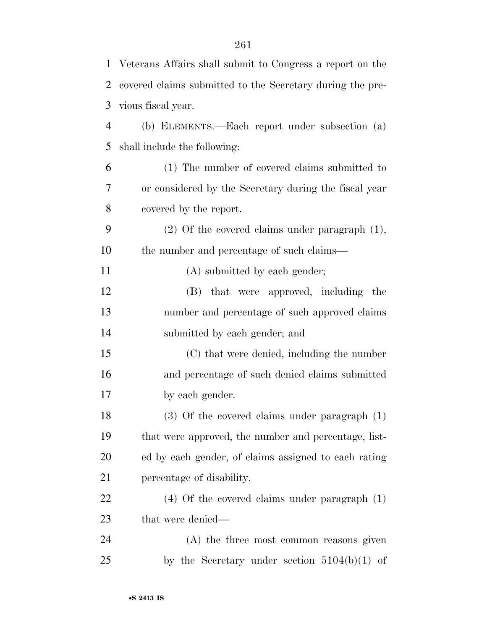| $\mathbf{1}$   | Veterans Affairs shall submit to Congress a report on the |
|----------------|-----------------------------------------------------------|
| $\overline{2}$ | covered claims submitted to the Secretary during the pre- |
| 3              | vious fiscal year.                                        |
| $\overline{4}$ | (b) ELEMENTS.—Each report under subsection (a)            |
| 5              | shall include the following:                              |
| 6              | (1) The number of covered claims submitted to             |
| 7              | or considered by the Secretary during the fiscal year     |
| 8              | covered by the report.                                    |
| 9              | $(2)$ Of the covered claims under paragraph $(1)$ ,       |
| 10             | the number and percentage of such claims—                 |
| 11             | (A) submitted by each gender;                             |
| 12             | (B) that were approved, including the                     |
| 13             | number and percentage of such approved claims             |
| 14             | submitted by each gender; and                             |
| 15             | (C) that were denied, including the number                |
| 16             | and percentage of such denied claims submitted            |
| 17             | by each gender.                                           |
| 18             | $(3)$ Of the covered claims under paragraph $(1)$         |
| 19             | that were approved, the number and percentage, list-      |
| 20             | ed by each gender, of claims assigned to each rating      |
| 21             | percentage of disability.                                 |
| 22             | $(4)$ Of the covered claims under paragraph $(1)$         |
| 23             | that were denied—                                         |
| 24             | (A) the three most common reasons given                   |
| 25             | by the Secretary under section $5104(b)(1)$ of            |
|                |                                                           |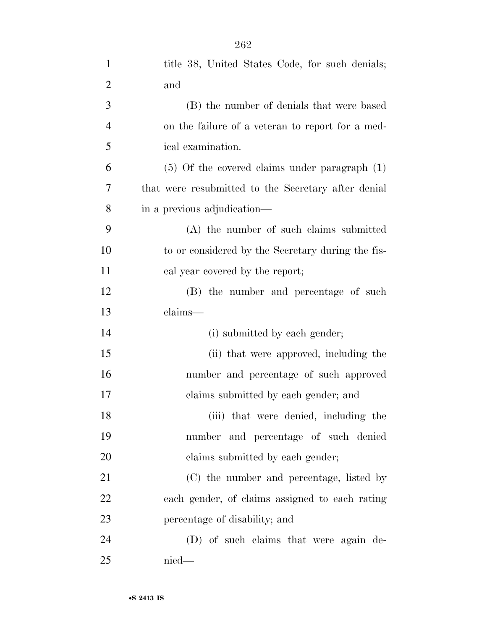| $\mathbf{1}$   | title 38, United States Code, for such denials;     |
|----------------|-----------------------------------------------------|
| $\overline{2}$ | and                                                 |
| 3              | (B) the number of denials that were based           |
| $\overline{4}$ | on the failure of a veteran to report for a med-    |
| 5              | ical examination.                                   |
| 6              | $(5)$ Of the covered claims under paragraph $(1)$   |
| 7              | that were resubmitted to the Secretary after denial |
| 8              | in a previous adjudication—                         |
| 9              | (A) the number of such claims submitted             |
| 10             | to or considered by the Secretary during the fis-   |
| 11             | cal year covered by the report;                     |
| 12             | (B) the number and percentage of such               |
| 13             | claims-                                             |
| 14             | (i) submitted by each gender;                       |
| 15             | (ii) that were approved, including the              |
| 16             | number and percentage of such approved              |
| 17             |                                                     |
|                | claims submitted by each gender; and                |
| 18             | (iii) that were denied, including the               |
| 19             | number and percentage of such denied                |
| 20             | claims submitted by each gender;                    |
| 21             | (C) the number and percentage, listed by            |
| 22             | each gender, of claims assigned to each rating      |
| 23             | percentage of disability; and                       |
| 24             | (D) of such claims that were again de-              |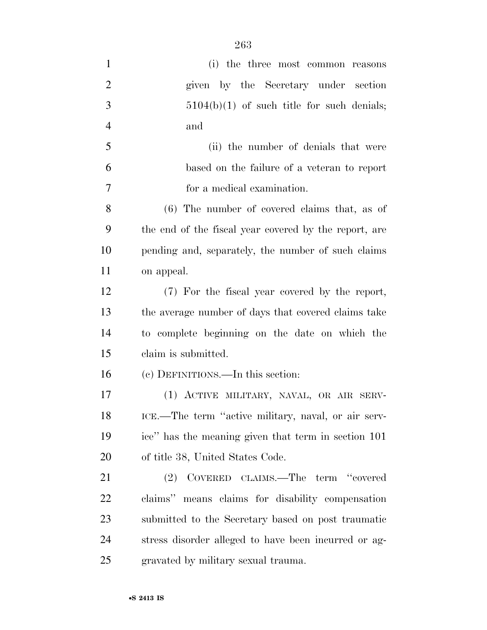| $\mathbf{1}$   | (i) the three most common reasons                     |
|----------------|-------------------------------------------------------|
| $\overline{2}$ | given by the Secretary under section                  |
| 3              | $5104(b)(1)$ of such title for such denials;          |
| $\overline{4}$ | and                                                   |
| 5              | (ii) the number of denials that were                  |
| 6              | based on the failure of a veteran to report           |
| 7              | for a medical examination.                            |
| 8              | $(6)$ The number of covered claims that, as of        |
| 9              | the end of the fiscal year covered by the report, are |
| 10             | pending and, separately, the number of such claims    |
| 11             | on appeal.                                            |
| 12             | (7) For the fiscal year covered by the report,        |
| 13             | the average number of days that covered claims take   |
| 14             | to complete beginning on the date on which the        |
| 15             | claim is submitted.                                   |
| 16             | (c) DEFINITIONS.—In this section:                     |
| 17             | (1) ACTIVE MILITARY, NAVAL, OR AIR SERV-              |
| 18             | ICE.—The term "active military, naval, or air serv-   |
| 19             | ice" has the meaning given that term in section 101   |
| 20             | of title 38, United States Code.                      |
| 21             | COVERED CLAIMS.—The term "covered<br>(2)              |
| 22             | claims" means claims for disability compensation      |
| 23             | submitted to the Secretary based on post traumatic    |
| 24             | stress disorder alleged to have been incurred or ag-  |
| 25             | gravated by military sexual trauma.                   |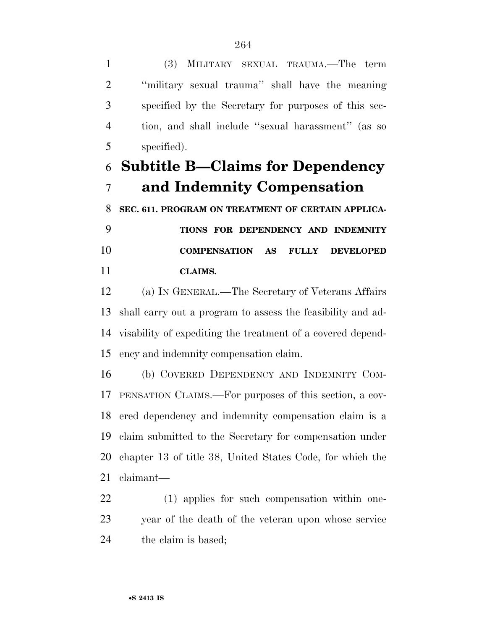(3) MILITARY SEXUAL TRAUMA.—The term ''military sexual trauma'' shall have the meaning specified by the Secretary for purposes of this sec- tion, and shall include ''sexual harassment'' (as so specified).

# **Subtitle B—Claims for Dependency and Indemnity Compensation**

**SEC. 611. PROGRAM ON TREATMENT OF CERTAIN APPLICA-**

 **TIONS FOR DEPENDENCY AND INDEMNITY COMPENSATION AS FULLY DEVELOPED CLAIMS.** 

 (a) IN GENERAL.—The Secretary of Veterans Affairs shall carry out a program to assess the feasibility and ad- visability of expediting the treatment of a covered depend-ency and indemnity compensation claim.

 (b) COVERED DEPENDENCY AND INDEMNITY COM- PENSATION CLAIMS.—For purposes of this section, a cov- ered dependency and indemnity compensation claim is a claim submitted to the Secretary for compensation under chapter 13 of title 38, United States Code, for which the claimant—

 (1) applies for such compensation within one- year of the death of the veteran upon whose service the claim is based;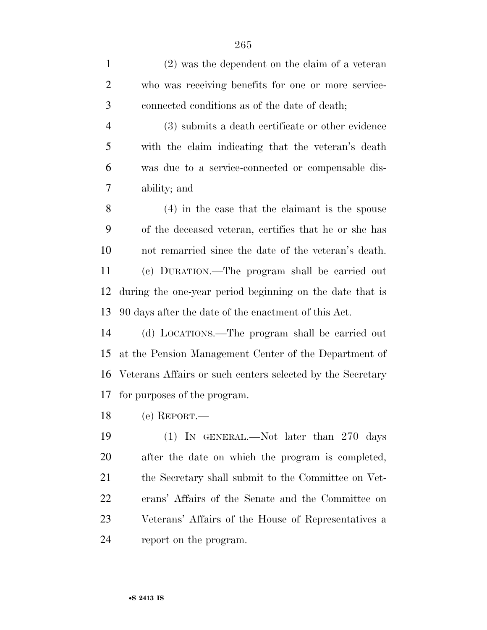| $\mathbf{1}$   | $(2)$ was the dependent on the claim of a veteran          |
|----------------|------------------------------------------------------------|
| $\overline{2}$ | who was receiving benefits for one or more service-        |
| 3              | connected conditions as of the date of death;              |
| $\overline{4}$ | (3) submits a death certificate or other evidence          |
| 5              | with the claim indicating that the veteran's death         |
| 6              | was due to a service-connected or compensable dis-         |
| $\tau$         | ability; and                                               |
| 8              | $(4)$ in the case that the claimant is the spouse          |
| 9              | of the deceased veteran, certifies that he or she has      |
| 10             | not remarried since the date of the veteran's death.       |
| 11             | (c) DURATION.—The program shall be carried out             |
| 12             | during the one-year period beginning on the date that is   |
| 13             | 90 days after the date of the enactment of this Act.       |
| 14             | (d) LOCATIONS.—The program shall be carried out            |
| 15             | at the Pension Management Center of the Department of      |
| 16             | Veterans Affairs or such centers selected by the Secretary |
| 17             | for purposes of the program.                               |
| 18             | (e) REPORT.—                                               |
| 19             | $(1)$ In GENERAL.—Not later than 270 days                  |
| <b>20</b>      | after the date on which the program is completed,          |
| 21             | the Secretary shall submit to the Committee on Vet-        |
| 22             | erans' Affairs of the Senate and the Committee on          |
| 23             | Veterans' Affairs of the House of Representatives a        |

report on the program.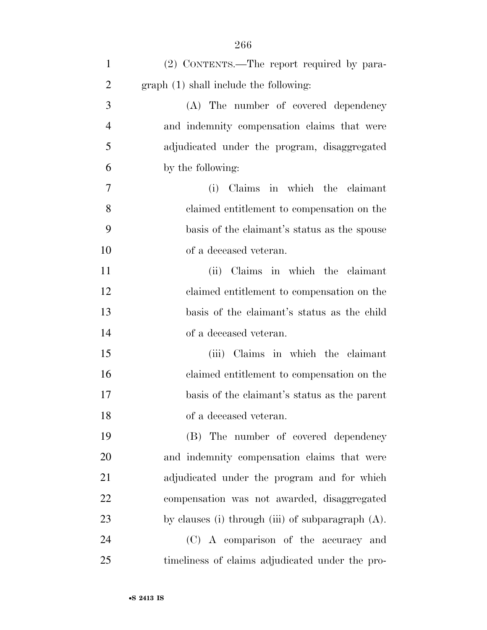| $\mathbf{1}$   | (2) CONTENTS.—The report required by para-           |
|----------------|------------------------------------------------------|
| $\overline{2}$ | graph (1) shall include the following:               |
| 3              | (A) The number of covered dependency                 |
| $\overline{4}$ | and indemnity compensation claims that were          |
| 5              | adjudicated under the program, disaggregated         |
| 6              | by the following:                                    |
| 7              | (i) Claims in which the claimant                     |
| 8              | claimed entitlement to compensation on the           |
| 9              | basis of the claimant's status as the spouse         |
| 10             | of a deceased veteran.                               |
| 11             | (ii) Claims in which the claimant                    |
| 12             | claimed entitlement to compensation on the           |
| 13             | basis of the claimant's status as the child          |
| 14             | of a deceased veteran.                               |
| 15             | (iii) Claims in which the claimant                   |
| 16             | claimed entitlement to compensation on the           |
| 17             | basis of the claimant's status as the parent         |
| 18             | of a deceased veteran.                               |
| 19             | (B) The number of covered dependency                 |
| 20             | and indemnity compensation claims that were          |
| 21             | adjudicated under the program and for which          |
| 22             | compensation was not awarded, disaggregated          |
| 23             | by clauses (i) through (iii) of subparagraph $(A)$ . |
| 24             | (C) A comparison of the accuracy and                 |
| 25             | timeliness of claims adjudicated under the pro-      |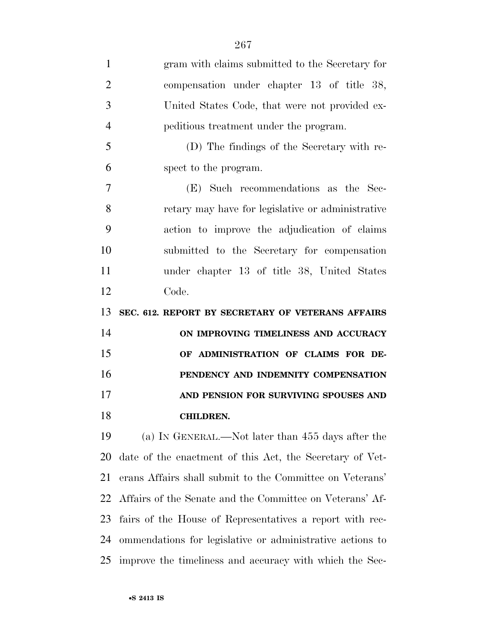| $\mathbf{1}$   | gram with claims submitted to the Secretary for           |
|----------------|-----------------------------------------------------------|
| $\overline{2}$ | compensation under chapter 13 of title 38,                |
| 3              | United States Code, that were not provided ex-            |
| $\overline{4}$ | peditious treatment under the program.                    |
| 5              | (D) The findings of the Secretary with re-                |
| 6              | spect to the program.                                     |
| $\overline{7}$ | (E) Such recommendations as the Sec-                      |
| 8              | retary may have for legislative or administrative         |
| 9              | action to improve the adjudication of claims              |
| 10             | submitted to the Secretary for compensation               |
| 11             | under chapter 13 of title 38, United States               |
| 12             | Code.                                                     |
| 13             | SEC. 612. REPORT BY SECRETARY OF VETERANS AFFAIRS         |
| 14             | ON IMPROVING TIMELINESS AND ACCURACY                      |
| 15             | OF ADMINISTRATION OF CLAIMS FOR DE-                       |
| 16             | PENDENCY AND INDEMNITY COMPENSATION                       |
| 17             | AND PENSION FOR SURVIVING SPOUSES AND                     |
| 18             | <b>CHILDREN.</b>                                          |
| 19             | (a) IN GENERAL.—Not later than 455 days after the         |
| 20             | date of the enactment of this Act, the Secretary of Vet-  |
| 21             | erans Affairs shall submit to the Committee on Veterans'  |
| 22             | Affairs of the Senate and the Committee on Veterans' Af-  |
| 23             | fairs of the House of Representatives a report with rec-  |
|                |                                                           |
| 24             | ommendations for legislative or administrative actions to |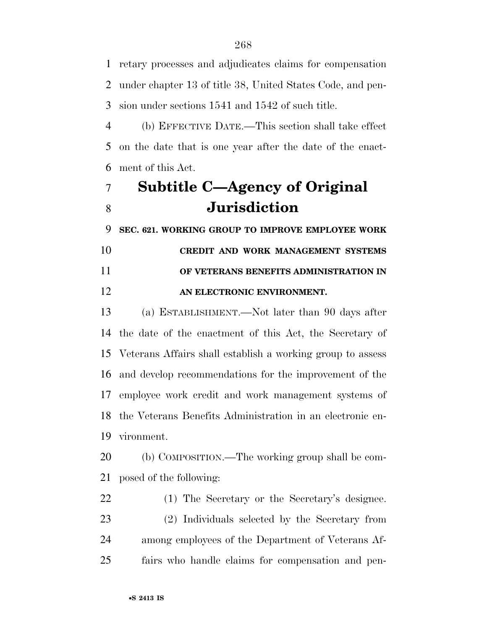retary processes and adjudicates claims for compensation under chapter 13 of title 38, United States Code, and pen-sion under sections 1541 and 1542 of such title.

 (b) EFFECTIVE DATE.—This section shall take effect on the date that is one year after the date of the enact-ment of this Act.

# **Subtitle C—Agency of Original Jurisdiction**

**SEC. 621. WORKING GROUP TO IMPROVE EMPLOYEE WORK** 

## **CREDIT AND WORK MANAGEMENT SYSTEMS OF VETERANS BENEFITS ADMINISTRATION IN AN ELECTRONIC ENVIRONMENT.**

 (a) ESTABLISHMENT.—Not later than 90 days after the date of the enactment of this Act, the Secretary of Veterans Affairs shall establish a working group to assess and develop recommendations for the improvement of the employee work credit and work management systems of the Veterans Benefits Administration in an electronic en-vironment.

 (b) COMPOSITION.—The working group shall be com-posed of the following:

 (1) The Secretary or the Secretary's designee. (2) Individuals selected by the Secretary from among employees of the Department of Veterans Af-fairs who handle claims for compensation and pen-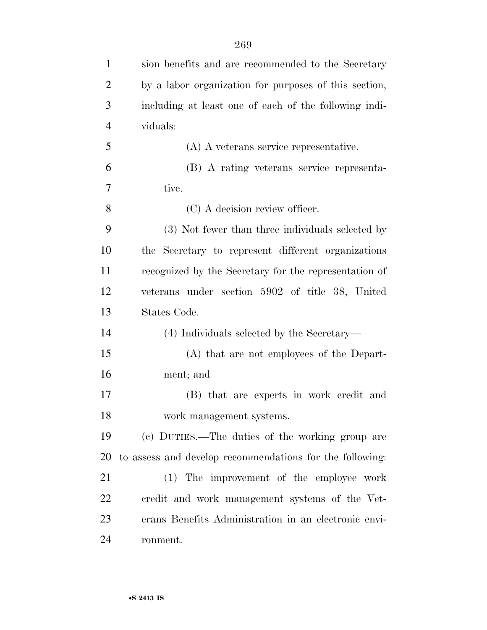| $\mathbf{1}$   | sion benefits and are recommended to the Secretary       |
|----------------|----------------------------------------------------------|
| $\overline{2}$ | by a labor organization for purposes of this section,    |
| 3              | including at least one of each of the following indi-    |
| $\overline{4}$ | viduals:                                                 |
| 5              | $(A)$ A veterans service representative.                 |
| 6              | (B) A rating veterans service representa-                |
| 7              | tive.                                                    |
| 8              | (C) A decision review officer.                           |
| 9              | (3) Not fewer than three individuals selected by         |
| 10             | the Secretary to represent different organizations       |
| 11             | recognized by the Secretary for the representation of    |
| 12             | veterans under section 5902 of title 38, United          |
| 13             | States Code.                                             |
| 14             | (4) Individuals selected by the Secretary—               |
| 15             | (A) that are not employees of the Depart-                |
| 16             | ment; and                                                |
| 17             | (B) that are experts in work credit and                  |
| 18             | work management systems.                                 |
| 19             | (c) DUTIES.—The duties of the working group are          |
| 20             | to assess and develop recommendations for the following: |
| 21             | (1) The improvement of the employee work                 |
| 22             | credit and work management systems of the Vet-           |
| 23             | erans Benefits Administration in an electronic envi-     |
| 24             | ronment.                                                 |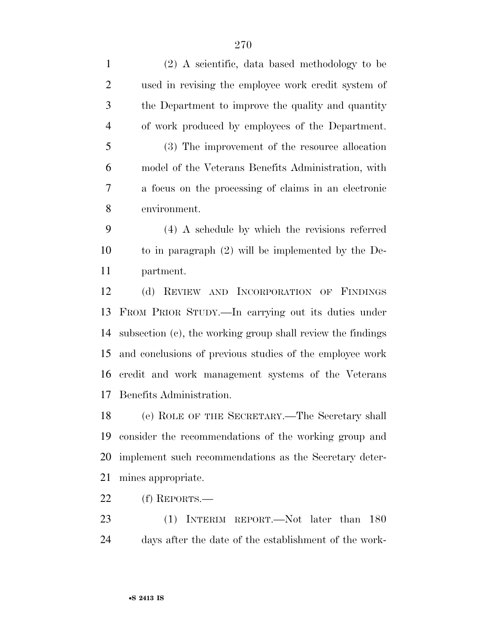| $\mathbf{1}$   | (2) A scientific, data based methodology to be              |
|----------------|-------------------------------------------------------------|
| $\overline{2}$ | used in revising the employee work credit system of         |
| 3              | the Department to improve the quality and quantity          |
| $\overline{4}$ | of work produced by employees of the Department.            |
| 5              | (3) The improvement of the resource allocation              |
| 6              | model of the Veterans Benefits Administration, with         |
| $\tau$         | a focus on the processing of claims in an electronic        |
| 8              | environment.                                                |
| 9              | $(4)$ A schedule by which the revisions referred            |
| 10             | to in paragraph $(2)$ will be implemented by the De-        |
| 11             | partment.                                                   |
| 12             | (d) REVIEW AND INCORPORATION OF FINDINGS                    |
| 13             | FROM PRIOR STUDY.—In carrying out its duties under          |
| 14             | subsection (c), the working group shall review the findings |
| 15             | and conclusions of previous studies of the employee work    |
| 16             | eredit and work management systems of the Veterans          |
| 17             | Benefits Administration.                                    |
| 18             | (e) ROLE OF THE SECRETARY.—The Secretary shall              |
| 19             | consider the recommendations of the working group and       |
| 20             | implement such recommendations as the Secretary deter-      |
| 21             | mines appropriate.                                          |
| 22             | $(f)$ REPORTS.—                                             |
| 23             | (1) INTERIM REPORT.—Not later than<br>180                   |
| 24             | days after the date of the establishment of the work-       |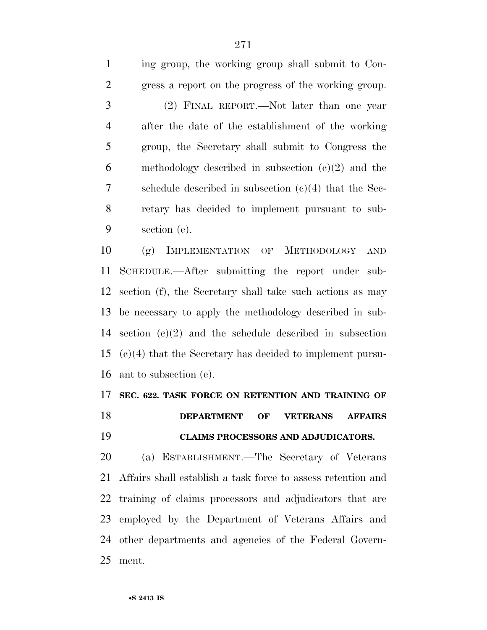ing group, the working group shall submit to Con- gress a report on the progress of the working group. (2) FINAL REPORT.—Not later than one year after the date of the establishment of the working group, the Secretary shall submit to Congress the 6 methodology described in subsection  $(c)(2)$  and the schedule described in subsection (c)(4) that the Sec- retary has decided to implement pursuant to sub-section (e).

 (g) IMPLEMENTATION OF METHODOLOGY AND SCHEDULE.—After submitting the report under sub- section (f), the Secretary shall take such actions as may be necessary to apply the methodology described in sub- section (c)(2) and the schedule described in subsection (c)(4) that the Secretary has decided to implement pursu-ant to subsection (e).

### **SEC. 622. TASK FORCE ON RETENTION AND TRAINING OF**

**DEPARTMENT OF VETERANS AFFAIRS** 

# **CLAIMS PROCESSORS AND ADJUDICATORS.**

 (a) ESTABLISHMENT.—The Secretary of Veterans Affairs shall establish a task force to assess retention and training of claims processors and adjudicators that are employed by the Department of Veterans Affairs and other departments and agencies of the Federal Govern-ment.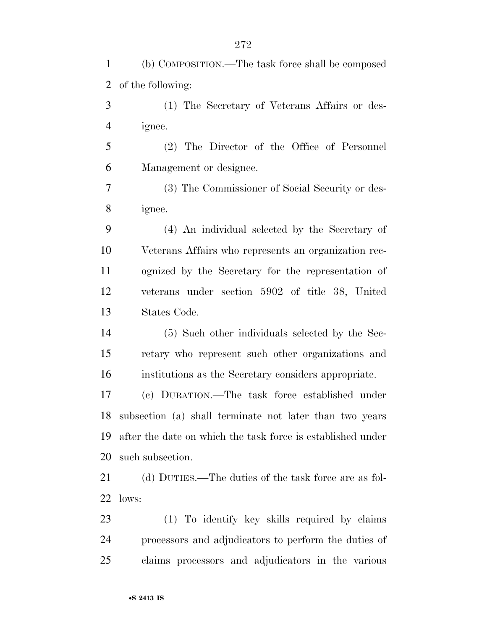(b) COMPOSITION.—The task force shall be composed of the following:

 (1) The Secretary of Veterans Affairs or des-ignee.

 (2) The Director of the Office of Personnel Management or designee.

 (3) The Commissioner of Social Security or des-ignee.

 (4) An individual selected by the Secretary of Veterans Affairs who represents an organization rec- ognized by the Secretary for the representation of veterans under section 5902 of title 38, United States Code.

 (5) Such other individuals selected by the Sec- retary who represent such other organizations and institutions as the Secretary considers appropriate.

 (c) DURATION.—The task force established under subsection (a) shall terminate not later than two years after the date on which the task force is established under such subsection.

21 (d) DUTIES.—The duties of the task force are as fol-lows:

 (1) To identify key skills required by claims processors and adjudicators to perform the duties of claims processors and adjudicators in the various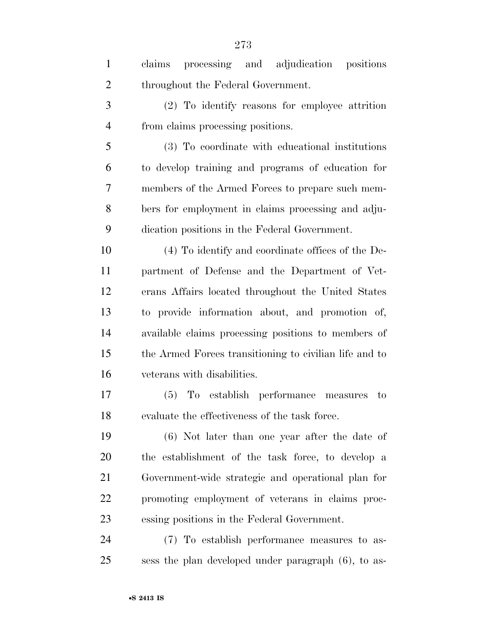| $\mathbf{1}$   | claims processing and adjudication positions           |
|----------------|--------------------------------------------------------|
| $\overline{2}$ | throughout the Federal Government.                     |
| 3              | (2) To identify reasons for employee attrition         |
| $\overline{4}$ | from claims processing positions.                      |
| 5              | (3) To coordinate with educational institutions        |
| 6              | to develop training and programs of education for      |
| 7              | members of the Armed Forces to prepare such mem-       |
| 8              | bers for employment in claims processing and adju-     |
| 9              | dication positions in the Federal Government.          |
| 10             | (4) To identify and coordinate offices of the De-      |
| 11             | partment of Defense and the Department of Vet-         |
| 12             | erans Affairs located throughout the United States     |
| 13             | to provide information about, and promotion of,        |
| 14             | available claims processing positions to members of    |
| 15             | the Armed Forces transitioning to civilian life and to |
| 16             | veterans with disabilities.                            |
| 17             | To establish performance measures<br>(5)<br>to         |
| 18             | evaluate the effectiveness of the task force.          |
| 19             | (6) Not later than one year after the date of          |
| 20             | the establishment of the task force, to develop a      |
| 21             | Government-wide strategic and operational plan for     |
| 22             | promoting employment of veterans in claims proc-       |
| 23             | essing positions in the Federal Government.            |
| 24             | (7) To establish performance measures to as-           |
| 25             | sess the plan developed under paragraph (6), to as-    |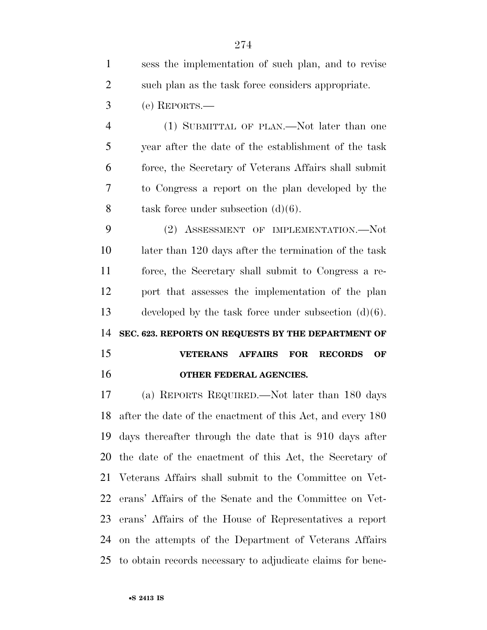| $\mathbf{1}$   | sess the implementation of such plan, and to revise             |
|----------------|-----------------------------------------------------------------|
| $\overline{2}$ | such plan as the task force considers appropriate.              |
| 3              | (e) REPORTS.—                                                   |
| $\overline{4}$ | (1) SUBMITTAL OF PLAN.—Not later than one                       |
| 5              | year after the date of the establishment of the task            |
| 6              | force, the Secretary of Veterans Affairs shall submit           |
| 7              | to Congress a report on the plan developed by the               |
| 8              | task force under subsection $(d)(6)$ .                          |
| 9              | (2) ASSESSMENT OF IMPLEMENTATION.—Not                           |
| 10             | later than 120 days after the termination of the task           |
| 11             | force, the Secretary shall submit to Congress a re-             |
| 12             | port that assesses the implementation of the plan               |
| 13             | developed by the task force under subsection $(d)(6)$ .         |
| 14             | SEC. 623. REPORTS ON REQUESTS BY THE DEPARTMENT OF              |
| 15             | <b>VETERANS AFFAIRS</b><br><b>RECORDS</b><br><b>FOR</b><br>OF   |
| 16             | OTHER FEDERAL AGENCIES.                                         |
| 17             | (a) REPORTS REQUIRED.—Not later than 180 days                   |
|                | 10 often the data of the graphic and $f$ this Ast and grows 100 |

 after the date of the enactment of this Act, and every 180 days thereafter through the date that is 910 days after the date of the enactment of this Act, the Secretary of Veterans Affairs shall submit to the Committee on Vet- erans' Affairs of the Senate and the Committee on Vet- erans' Affairs of the House of Representatives a report on the attempts of the Department of Veterans Affairs to obtain records necessary to adjudicate claims for bene-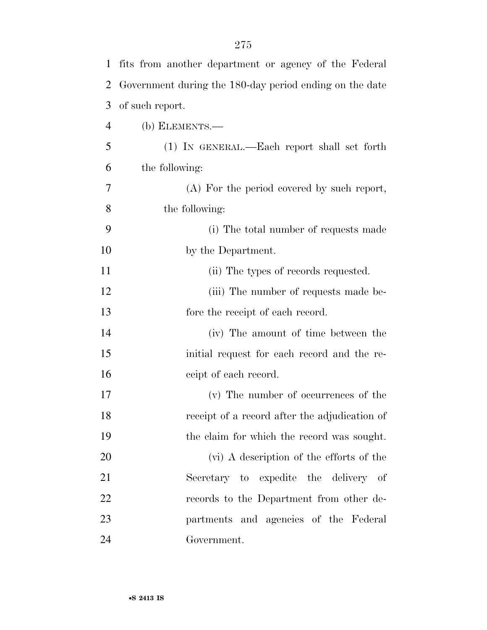| 1  | fits from another department or agency of the Federal   |
|----|---------------------------------------------------------|
| 2  | Government during the 180-day period ending on the date |
| 3  | of such report.                                         |
| 4  | $(b)$ ELEMENTS.—                                        |
| 5  | (1) IN GENERAL.—Each report shall set forth             |
| 6  | the following:                                          |
| 7  | (A) For the period covered by such report,              |
| 8  | the following:                                          |
| 9  | (i) The total number of requests made                   |
| 10 | by the Department.                                      |
| 11 | (ii) The types of records requested.                    |
| 12 | (iii) The number of requests made be-                   |
| 13 | fore the receipt of each record.                        |
| 14 | (iv) The amount of time between the                     |
| 15 | initial request for each record and the re-             |
| 16 | ceipt of each record.                                   |
| 17 | (v) The number of occurrences of the                    |
| 18 | receipt of a record after the adjudication of           |
| 19 | the claim for which the record was sought.              |
| 20 | (vi) A description of the efforts of the                |
| 21 | Secretary to expedite the delivery of                   |
| 22 | records to the Department from other de-                |
| 23 | partments and agencies of the Federal                   |
| 24 | Government.                                             |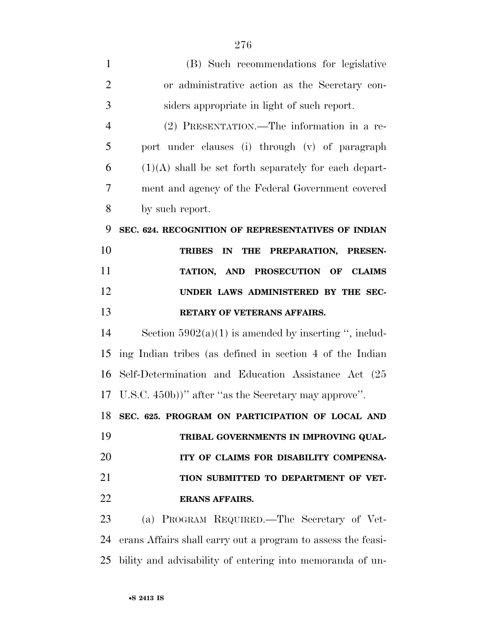| $\mathbf{1}$   | (B) Such recommendations for legislative                     |
|----------------|--------------------------------------------------------------|
| $\overline{2}$ | or administrative action as the Secretary con-               |
| 3              | siders appropriate in light of such report.                  |
| $\overline{4}$ | (2) PRESENTATION.—The information in a re-                   |
| 5              | port under clauses (i) through (v) of paragraph              |
| 6              | $(1)(A)$ shall be set forth separately for each depart-      |
| 7              | ment and agency of the Federal Government covered            |
| 8              | by such report.                                              |
| 9              | SEC. 624. RECOGNITION OF REPRESENTATIVES OF INDIAN           |
| 10             | IN<br><b>THE</b><br>PREPARATION, PRESEN-<br><b>TRIBES</b>    |
| 11             | TATION, AND PROSECUTION OF CLAIMS                            |
| 12             | UNDER LAWS ADMINISTERED BY THE SEC-                          |
| 13             | RETARY OF VETERANS AFFAIRS.                                  |
| 14             | Section $5902(a)(1)$ is amended by inserting ", includ-      |
| 15             | ing Indian tribes (as defined in section 4 of the Indian     |
| 16             | Self-Determination and Education Assistance Act (25          |
| 17             | U.S.C. 450b))" after "as the Secretary may approve".         |
| 18             | SEC. 625. PROGRAM ON PARTICIPATION OF LOCAL AND              |
| 19             | TRIBAL GOVERNMENTS IN IMPROVING QUAL-                        |
| 20             | ITY OF CLAIMS FOR DISABILITY COMPENSA-                       |
| 21             | TION SUBMITTED TO DEPARTMENT OF VET-                         |
| 22             | <b>ERANS AFFAIRS.</b>                                        |
| 23             | (a) PROGRAM REQUIRED.—The Secretary of Vet-                  |
| 24             | erans Affairs shall carry out a program to assess the feasi- |
| 25             | bility and advisability of entering into memoranda of un-    |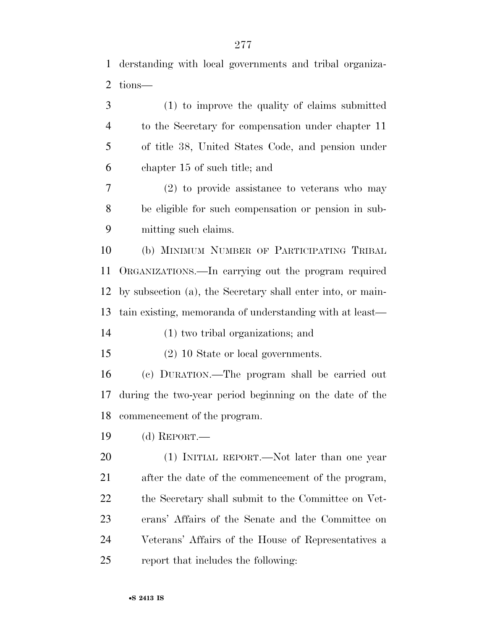derstanding with local governments and tribal organiza- tions— (1) to improve the quality of claims submitted to the Secretary for compensation under chapter 11 of title 38, United States Code, and pension under chapter 15 of such title; and (2) to provide assistance to veterans who may be eligible for such compensation or pension in sub- mitting such claims. (b) MINIMUM NUMBER OF PARTICIPATING TRIBAL

 ORGANIZATIONS.—In carrying out the program required by subsection (a), the Secretary shall enter into, or main-tain existing, memoranda of understanding with at least—

(1) two tribal organizations; and

(2) 10 State or local governments.

 (c) DURATION.—The program shall be carried out during the two-year period beginning on the date of the commencement of the program.

(d) REPORT.—

 (1) INITIAL REPORT.—Not later than one year after the date of the commencement of the program, the Secretary shall submit to the Committee on Vet- erans' Affairs of the Senate and the Committee on Veterans' Affairs of the House of Representatives a report that includes the following: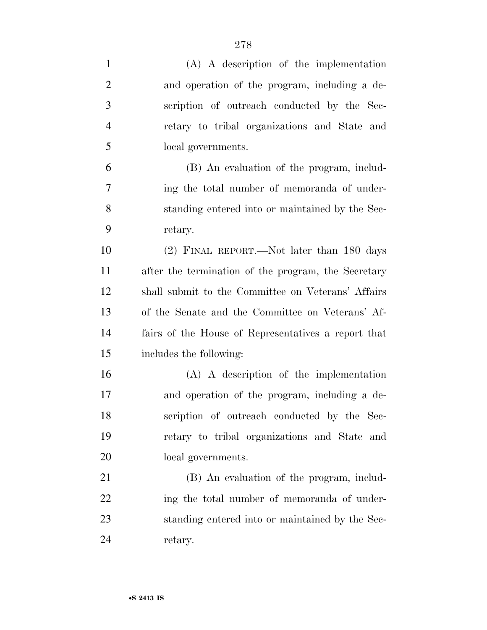| $\mathbf{1}$   | $(A)$ A description of the implementation           |
|----------------|-----------------------------------------------------|
| $\overline{2}$ | and operation of the program, including a de-       |
| 3              | scription of outreach conducted by the Sec-         |
| $\overline{4}$ | retary to tribal organizations and State and        |
| 5              | local governments.                                  |
| 6              | (B) An evaluation of the program, includ-           |
| 7              | ing the total number of memoranda of under-         |
| 8              | standing entered into or maintained by the Sec-     |
| 9              | retary.                                             |
| 10             | (2) FINAL REPORT.—Not later than 180 days           |
| 11             | after the termination of the program, the Secretary |
| 12             | shall submit to the Committee on Veterans' Affairs  |
| 13             | of the Senate and the Committee on Veterans' Af-    |
| 14             | fairs of the House of Representatives a report that |
| 15             | includes the following:                             |
| 16             | $(A)$ A description of the implementation           |
| 17             | and operation of the program, including a de-       |
| 18             | scription of outreach conducted by the Sec-         |
| 19             | retary to tribal organizations and State and        |
| 20             | local governments.                                  |
| 21             | (B) An evaluation of the program, includ-           |
| 22             | ing the total number of memoranda of under-         |
| 23             | standing entered into or maintained by the Sec-     |
| 24             | retary.                                             |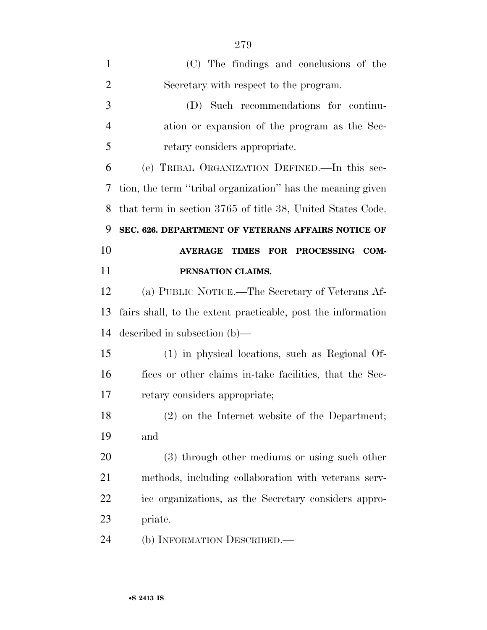| $\mathbf{1}$   | (C) The findings and conclusions of the                      |
|----------------|--------------------------------------------------------------|
| $\overline{2}$ | Secretary with respect to the program.                       |
| 3              | (D) Such recommendations for continu-                        |
| $\overline{4}$ | ation or expansion of the program as the Sec-                |
| 5              | retary considers appropriate.                                |
| 6              | (e) TRIBAL ORGANIZATION DEFINED.—In this sec-                |
| 7              | tion, the term "tribal organization" has the meaning given   |
| 8              | that term in section 3765 of title 38, United States Code.   |
| 9              | SEC. 626. DEPARTMENT OF VETERANS AFFAIRS NOTICE OF           |
| 10             | TIMES FOR PROCESSING COM-<br><b>AVERAGE</b>                  |
| 11             | PENSATION CLAIMS.                                            |
| 12             | (a) PUBLIC NOTICE.—The Secretary of Veterans Af-             |
| 13             | fairs shall, to the extent practicable, post the information |
| 14             | described in subsection $(b)$ —                              |
| 15             | (1) in physical locations, such as Regional Of-              |
| 16             | fices or other claims in-take facilities, that the Sec-      |
| 17             | retary considers appropriate;                                |
| 18             | (2) on the Internet website of the Department;               |
| 19             | and                                                          |
| 20             | (3) through other mediums or using such other                |
| 21             | methods, including collaboration with veterans serv-         |
| 22             | ice organizations, as the Secretary considers appro-         |
| 23             | priate.                                                      |
| 24             | (b) INFORMATION DESCRIBED.—                                  |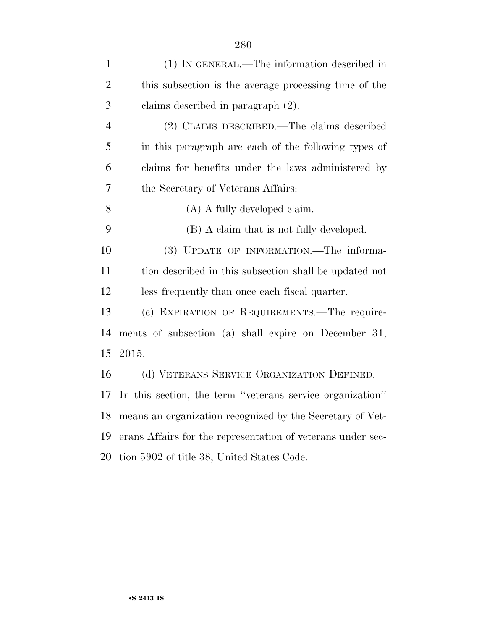| $\mathbf{1}$   | (1) IN GENERAL.—The information described in                |
|----------------|-------------------------------------------------------------|
| $\overline{2}$ | this subsection is the average processing time of the       |
| 3              | claims described in paragraph (2).                          |
| $\overline{4}$ | (2) CLAIMS DESCRIBED.—The claims described                  |
| 5              | in this paragraph are each of the following types of        |
| 6              | claims for benefits under the laws administered by          |
| $\overline{7}$ | the Secretary of Veterans Affairs:                          |
| 8              | (A) A fully developed claim.                                |
| 9              | (B) A claim that is not fully developed.                    |
| 10             | (3) UPDATE OF INFORMATION.—The informa-                     |
| 11             | tion described in this subsection shall be updated not      |
| 12             | less frequently than once each fiscal quarter.              |
| 13             | (c) EXPIRATION OF REQUIREMENTS.—The require-                |
| 14             | ments of subsection (a) shall expire on December 31,        |
| 15             | 2015.                                                       |
| 16             | (d) VETERANS SERVICE ORGANIZATION DEFINED.                  |
| 17             | In this section, the term "veterans service organization"   |
| 18             | means an organization recognized by the Secretary of Vet-   |
| 19             | erans Affairs for the representation of veterans under sec- |
| 20             | tion 5902 of title 38, United States Code.                  |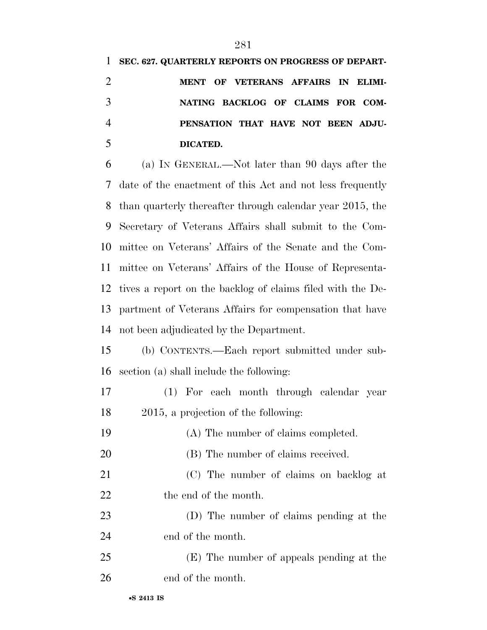#### **SEC. 627. QUARTERLY REPORTS ON PROGRESS OF DEPART-**

| $\overline{2}$ | MENT OF VETERANS AFFAIRS IN ELIMI- |
|----------------|------------------------------------|
| 3              | NATING BACKLOG OF CLAIMS FOR COM-  |
| $\overline{4}$ | PENSATION THAT HAVE NOT BEEN ADJU- |
| 5              | DICATED.                           |

 (a) IN GENERAL.—Not later than 90 days after the date of the enactment of this Act and not less frequently than quarterly thereafter through calendar year 2015, the Secretary of Veterans Affairs shall submit to the Com- mittee on Veterans' Affairs of the Senate and the Com- mittee on Veterans' Affairs of the House of Representa- tives a report on the backlog of claims filed with the De- partment of Veterans Affairs for compensation that have not been adjudicated by the Department.

 (b) CONTENTS.—Each report submitted under sub-section (a) shall include the following:

- (1) For each month through calendar year 2015, a projection of the following:
- (A) The number of claims completed.
- 20 (B) The number of claims received.
- (C) The number of claims on backlog at 22 the end of the month.
- (D) The number of claims pending at the end of the month.
- (E) The number of appeals pending at the end of the month.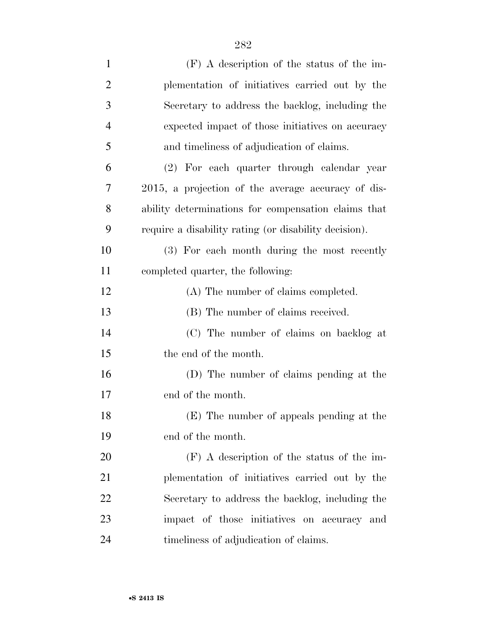| $\mathbf{1}$   | $(F)$ A description of the status of the im-          |
|----------------|-------------------------------------------------------|
| $\overline{2}$ | plementation of initiatives carried out by the        |
| 3              | Secretary to address the backlog, including the       |
| $\overline{4}$ | expected impact of those initiatives on accuracy      |
| 5              | and timeliness of adjudication of claims.             |
| 6              | (2) For each quarter through calendar year            |
| 7              | 2015, a projection of the average accuracy of dis-    |
| 8              | ability determinations for compensation claims that   |
| 9              | require a disability rating (or disability decision). |
| 10             | (3) For each month during the most recently           |
| 11             | completed quarter, the following:                     |
| 12             | (A) The number of claims completed.                   |
| 13             | (B) The number of claims received.                    |
| 14             | (C) The number of claims on backlog at                |
| 15             | the end of the month.                                 |
| 16             | (D) The number of claims pending at the               |
| 17             | end of the month.                                     |
| 18             | (E) The number of appeals pending at the              |
| 19             | end of the month.                                     |
| 20             | $(F)$ A description of the status of the im-          |
| 21             | plementation of initiatives carried out by the        |
| 22             | Secretary to address the backlog, including the       |
| 23             | impact of those initiatives on accuracy and           |
| 24             | timeliness of adjudication of claims.                 |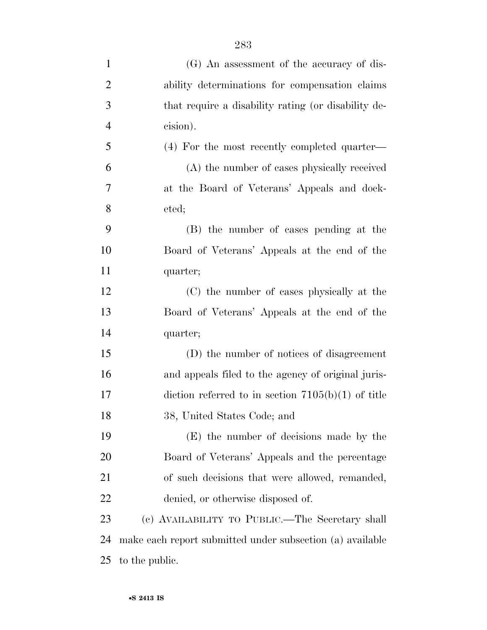| $\mathbf{1}$   | (G) An assessment of the accuracy of dis-                 |
|----------------|-----------------------------------------------------------|
| $\overline{2}$ | ability determinations for compensation claims            |
| 3              | that require a disability rating (or disability de-       |
| $\overline{4}$ | cision).                                                  |
| 5              | (4) For the most recently completed quarter—              |
| 6              | (A) the number of cases physically received               |
| $\overline{7}$ | at the Board of Veterans' Appeals and dock-               |
| 8              | eted;                                                     |
| 9              | (B) the number of cases pending at the                    |
| 10             | Board of Veterans' Appeals at the end of the              |
| 11             | quarter;                                                  |
| 12             | (C) the number of cases physically at the                 |
| 13             | Board of Veterans' Appeals at the end of the              |
| 14             | quarter;                                                  |
| 15             | (D) the number of notices of disagreement                 |
| 16             | and appeals filed to the agency of original juris-        |
| 17             | diction referred to in section $7105(b)(1)$ of title      |
| 18             | 38, United States Code; and                               |
| 19             | (E) the number of decisions made by the                   |
| 20             | Board of Veterans' Appeals and the percentage             |
| 21             | of such decisions that were allowed, remanded,            |
| 22             | denied, or otherwise disposed of.                         |
| 23             | (c) AVAILABILITY TO PUBLIC.—The Secretary shall           |
| 24             | make each report submitted under subsection (a) available |
| 25             | to the public.                                            |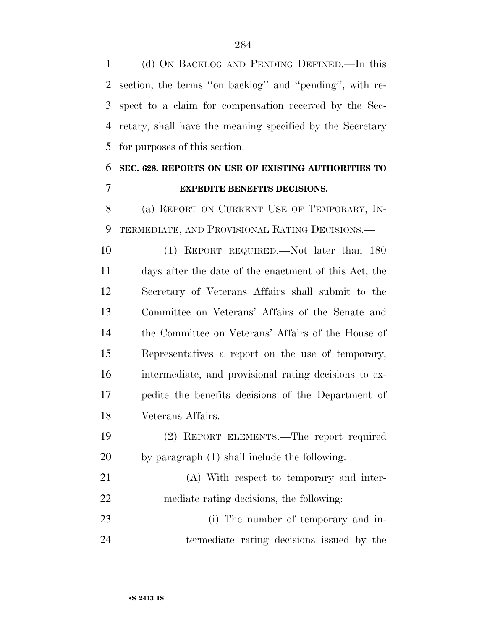(d) ON BACKLOG AND PENDING DEFINED.—In this section, the terms ''on backlog'' and ''pending'', with re- spect to a claim for compensation received by the Sec- retary, shall have the meaning specified by the Secretary for purposes of this section.

## **SEC. 628. REPORTS ON USE OF EXISTING AUTHORITIES TO EXPEDITE BENEFITS DECISIONS.**

 (a) REPORT ON CURRENT USE OF TEMPORARY, IN-TERMEDIATE, AND PROVISIONAL RATING DECISIONS.—

 (1) REPORT REQUIRED.—Not later than 180 days after the date of the enactment of this Act, the Secretary of Veterans Affairs shall submit to the Committee on Veterans' Affairs of the Senate and the Committee on Veterans' Affairs of the House of Representatives a report on the use of temporary, intermediate, and provisional rating decisions to ex- pedite the benefits decisions of the Department of Veterans Affairs.

- (2) REPORT ELEMENTS.—The report required by paragraph (1) shall include the following:
- (A) With respect to temporary and inter-mediate rating decisions, the following:
- 23 (i) The number of temporary and in-termediate rating decisions issued by the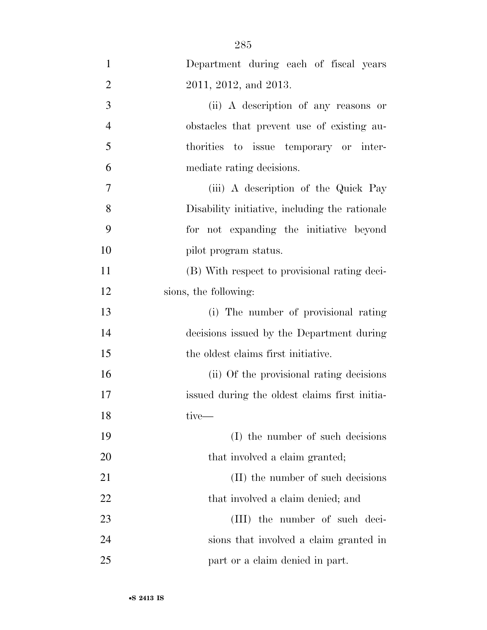| $\mathbf{1}$   | Department during each of fiscal years         |
|----------------|------------------------------------------------|
| $\overline{2}$ | 2011, 2012, and 2013.                          |
| 3              | (ii) A description of any reasons or           |
| $\overline{4}$ | obstacles that prevent use of existing au-     |
| 5              | thorities to issue temporary or inter-         |
| 6              | mediate rating decisions.                      |
| 7              | (iii) A description of the Quick Pay           |
| 8              | Disability initiative, including the rationale |
| 9              | for not expanding the initiative beyond        |
| 10             | pilot program status.                          |
| 11             | (B) With respect to provisional rating deci-   |
| 12             | sions, the following:                          |
| 13             | (i) The number of provisional rating           |
| 14             | decisions issued by the Department during      |
| 15             | the oldest claims first initiative.            |
| 16             | (ii) Of the provisional rating decisions       |
| 17             | issued during the oldest claims first initia-  |
| 18             | tive—                                          |
| 19             | (I) the number of such decisions               |
| 20             | that involved a claim granted;                 |
| 21             | (II) the number of such decisions              |
| 22             | that involved a claim denied; and              |
| 23             | (III) the number of such deci-                 |
| 24             | sions that involved a claim granted in         |
| 25             | part or a claim denied in part.                |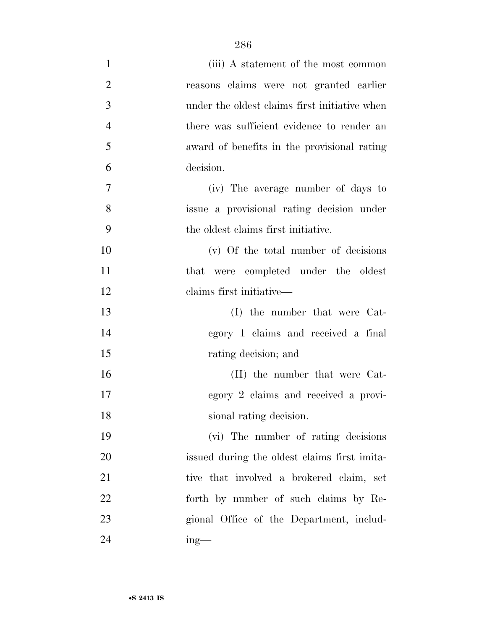| 1              | (iii) A statement of the most common          |
|----------------|-----------------------------------------------|
| $\overline{2}$ | reasons claims were not granted earlier       |
| 3              | under the oldest claims first initiative when |
| $\overline{4}$ | there was sufficient evidence to render an    |
| 5              | award of benefits in the provisional rating   |
| 6              | decision.                                     |
| $\tau$         | (iv) The average number of days to            |
| 8              | issue a provisional rating decision under     |
| 9              | the oldest claims first initiative.           |
| 10             | $(v)$ Of the total number of decisions        |
| 11             | that were completed under the oldest          |
| 12             | claims first initiative—                      |
| 13             | (I) the number that were Cat-                 |
| 14             | egory 1 claims and received a final           |
| 15             | rating decision; and                          |
| 16             | (II) the number that were Cat-                |
| 17             | egory 2 claims and received a provi-          |
| 18             | sional rating decision.                       |
| 19             | (vi) The number of rating decisions           |
| 20             | issued during the oldest claims first imita-  |
| 21             | tive that involved a brokered claim, set      |
| 22             | forth by number of such claims by Re-         |
| 23             | gional Office of the Department, includ-      |
| 24             | $ing$ —                                       |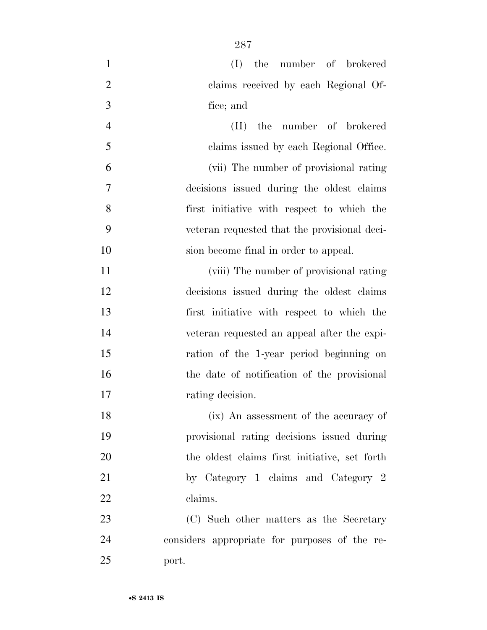| $\mathbf{1}$   | (I) the number of brokered                     |
|----------------|------------------------------------------------|
| $\overline{2}$ | claims received by each Regional Of-           |
| 3              | fice; and                                      |
| $\overline{4}$ | the number of brokered<br>$(\Pi)^{\mathsf{T}}$ |
| 5              | claims issued by each Regional Office.         |
| 6              | (vii) The number of provisional rating         |
| 7              | decisions issued during the oldest claims      |
| 8              | first initiative with respect to which the     |
| 9              | veteran requested that the provisional deci-   |
| 10             | sion become final in order to appeal.          |
| 11             | (viii) The number of provisional rating        |
| 12             | decisions issued during the oldest claims      |
| 13             | first initiative with respect to which the     |
| 14             | veteran requested an appeal after the expi-    |
| 15             | ration of the 1-year period beginning on       |
| 16             | the date of notification of the provisional    |
| 17             | rating decision.                               |
| 18             | (ix) An assessment of the accuracy of          |
| 19             | provisional rating decisions issued during     |
| 20             | the oldest claims first initiative, set forth  |
| 21             | by Category 1 claims and Category 2            |
| 22             | claims.                                        |
| 23             | (C) Such other matters as the Secretary        |
| 24             | considers appropriate for purposes of the re-  |
| 25             | port.                                          |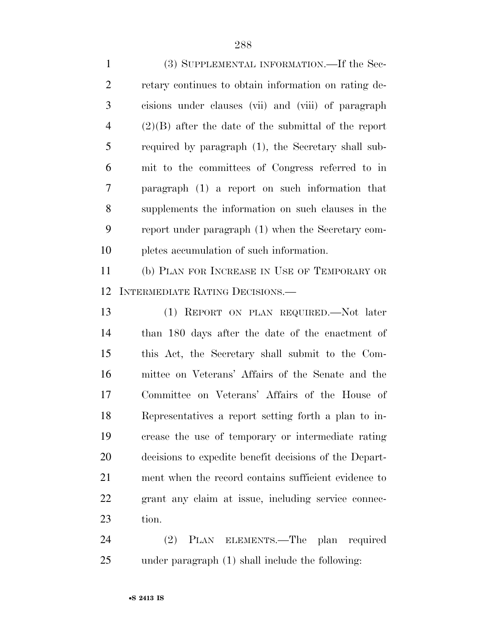(3) SUPPLEMENTAL INFORMATION.—If the Sec- retary continues to obtain information on rating de- cisions under clauses (vii) and (viii) of paragraph (2)(B) after the date of the submittal of the report required by paragraph (1), the Secretary shall sub- mit to the committees of Congress referred to in paragraph (1) a report on such information that supplements the information on such clauses in the report under paragraph (1) when the Secretary com- pletes accumulation of such information. (b) PLAN FOR INCREASE IN USE OF TEMPORARY OR INTERMEDIATE RATING DECISIONS.—

 (1) REPORT ON PLAN REQUIRED.—Not later than 180 days after the date of the enactment of this Act, the Secretary shall submit to the Com- mittee on Veterans' Affairs of the Senate and the Committee on Veterans' Affairs of the House of Representatives a report setting forth a plan to in- crease the use of temporary or intermediate rating decisions to expedite benefit decisions of the Depart- ment when the record contains sufficient evidence to grant any claim at issue, including service connec-23 tion.

 (2) PLAN ELEMENTS.—The plan required under paragraph (1) shall include the following: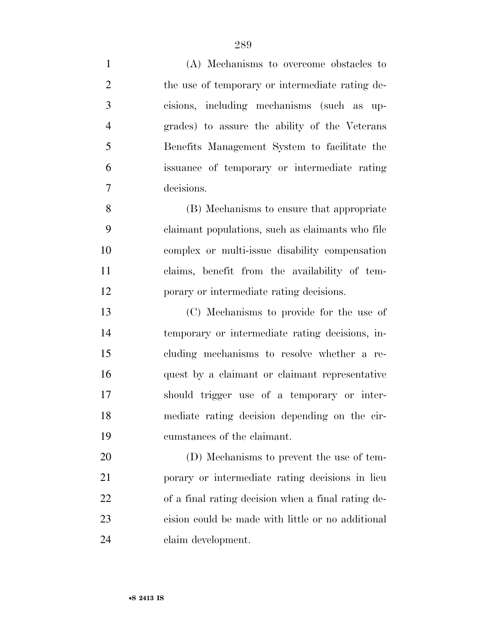(A) Mechanisms to overcome obstacles to 2 the use of temporary or intermediate rating de- cisions, including mechanisms (such as up- grades) to assure the ability of the Veterans Benefits Management System to facilitate the issuance of temporary or intermediate rating decisions. (B) Mechanisms to ensure that appropriate claimant populations, such as claimants who file complex or multi-issue disability compensation claims, benefit from the availability of tem- porary or intermediate rating decisions. (C) Mechanisms to provide for the use of temporary or intermediate rating decisions, in-

 should trigger use of a temporary or inter- mediate rating decision depending on the cir- cumstances of the claimant. (D) Mechanisms to prevent the use of tem- porary or intermediate rating decisions in lieu of a final rating decision when a final rating de-cision could be made with little or no additional

cluding mechanisms to resolve whether a re-

quest by a claimant or claimant representative

claim development.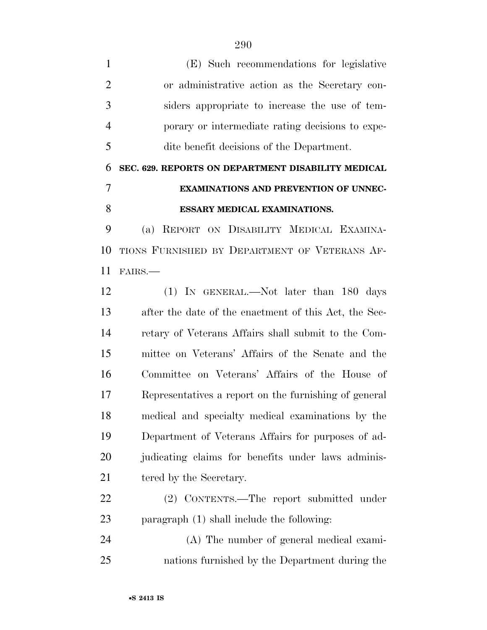(E) Such recommendations for legislative or administrative action as the Secretary con- siders appropriate to increase the use of tem- porary or intermediate rating decisions to expe-dite benefit decisions of the Department.

### **SEC. 629. REPORTS ON DEPARTMENT DISABILITY MEDICAL EXAMINATIONS AND PREVENTION OF UNNEC-ESSARY MEDICAL EXAMINATIONS.**

 (a) REPORT ON DISABILITY MEDICAL EXAMINA- TIONS FURNISHED BY DEPARTMENT OF VETERANS AF-FAIRS.—

 (1) IN GENERAL.—Not later than 180 days after the date of the enactment of this Act, the Sec- retary of Veterans Affairs shall submit to the Com- mittee on Veterans' Affairs of the Senate and the Committee on Veterans' Affairs of the House of Representatives a report on the furnishing of general medical and specialty medical examinations by the Department of Veterans Affairs for purposes of ad-20 judicating claims for benefits under laws adminis-21 tered by the Secretary.

 (2) CONTENTS.—The report submitted under paragraph (1) shall include the following:

 (A) The number of general medical exami-nations furnished by the Department during the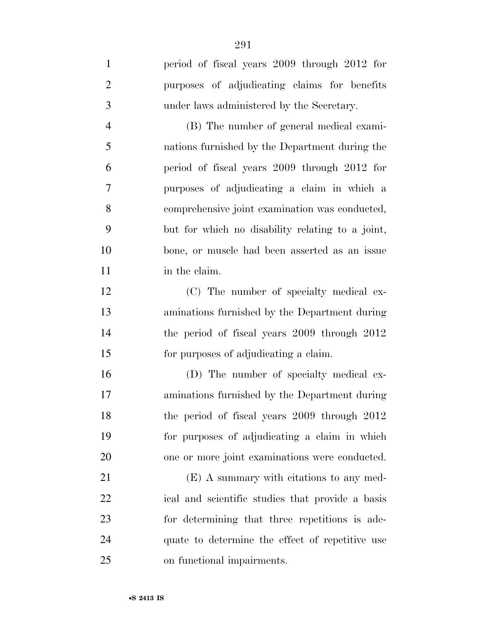| $\mathbf{1}$   | period of fiscal years 2009 through 2012 for     |
|----------------|--------------------------------------------------|
| $\overline{2}$ | purposes of adjudicating claims for benefits     |
| 3              | under laws administered by the Secretary.        |
| $\overline{4}$ | (B) The number of general medical exami-         |
| 5              | nations furnished by the Department during the   |
| 6              | period of fiscal years 2009 through 2012 for     |
| 7              | purposes of adjudicating a claim in which a      |
| 8              | comprehensive joint examination was conducted,   |
| 9              | but for which no disability relating to a joint, |
| 10             | bone, or muscle had been asserted as an issue    |
| 11             | in the claim.                                    |
| 12             | (C) The number of specialty medical ex-          |
| 13             | aminations furnished by the Department during    |
| 14             | the period of fiscal years 2009 through 2012     |
| 15             | for purposes of adjudicating a claim.            |
| 16             | (D) The number of specialty medical ex-          |
| 17             | aminations furnished by the Department during    |
| 18             | the period of fiscal years 2009 through 2012     |
| 19             | for purposes of adjudicating a claim in which    |
| 20             | one or more joint examinations were conducted.   |
| 21             | (E) A summary with citations to any med-         |
| 22             | ical and scientific studies that provide a basis |
| 23             | for determining that three repetitions is ade-   |
| 24             | quate to determine the effect of repetitive use  |
| 25             | on functional impairments.                       |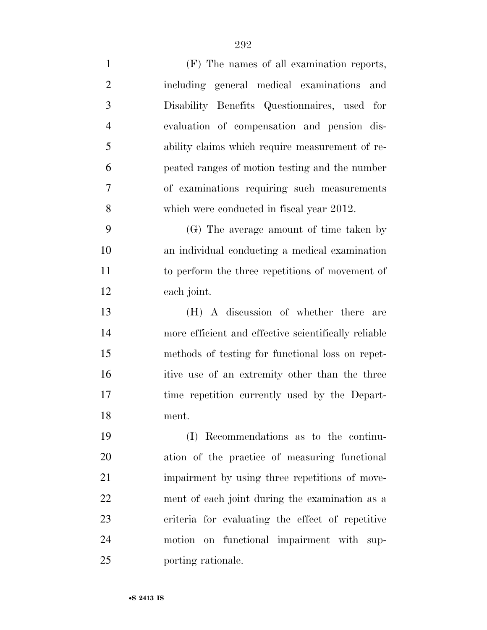| $\mathbf{1}$   | (F) The names of all examination reports,            |
|----------------|------------------------------------------------------|
| $\overline{2}$ | including general medical examinations and           |
| 3              | Disability Benefits Questionnaires, used for         |
| $\overline{4}$ | evaluation of compensation and pension dis-          |
| 5              | ability claims which require measurement of re-      |
| 6              | peated ranges of motion testing and the number       |
| 7              | of examinations requiring such measurements          |
| 8              | which were conducted in fiscal year 2012.            |
| 9              | (G) The average amount of time taken by              |
| 10             | an individual conducting a medical examination       |
| 11             | to perform the three repetitions of movement of      |
| 12             | each joint.                                          |
| 13             | (H) A discussion of whether there are                |
| 14             | more efficient and effective scientifically reliable |
| 15             | methods of testing for functional loss on repet-     |
| 16             | itive use of an extremity other than the three       |
| 17             | time repetition currently used by the Depart-        |
| 18             | ment.                                                |
| 19             | (I) Recommendations as to the continu-               |
| 20             | ation of the practice of measuring functional        |
| 21             | impairment by using three repetitions of move-       |
| 22             | ment of each joint during the examination as a       |
| 23             | criteria for evaluating the effect of repetitive     |
| 24             | motion on functional impairment with sup-            |
| 25             | porting rationale.                                   |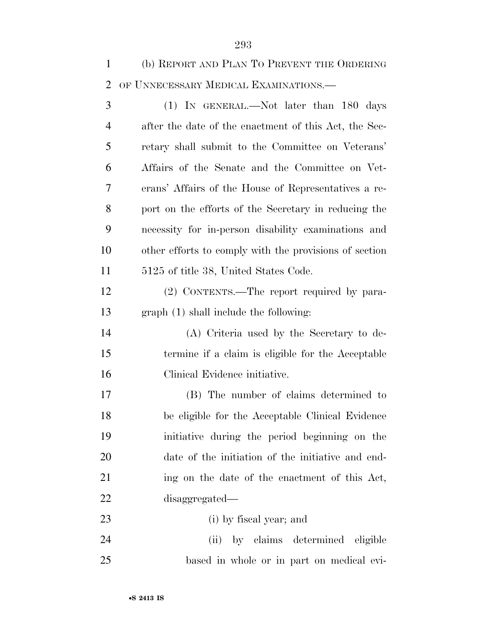(b) REPORT AND PLAN TO PREVENT THE ORDERING OF UNNECESSARY MEDICAL EXAMINATIONS.—

 (1) IN GENERAL.—Not later than 180 days after the date of the enactment of this Act, the Sec- retary shall submit to the Committee on Veterans' Affairs of the Senate and the Committee on Vet- erans' Affairs of the House of Representatives a re- port on the efforts of the Secretary in reducing the necessity for in-person disability examinations and other efforts to comply with the provisions of section 5125 of title 38, United States Code.

 (2) CONTENTS.—The report required by para-graph (1) shall include the following:

 (A) Criteria used by the Secretary to de- termine if a claim is eligible for the Acceptable Clinical Evidence initiative.

 (B) The number of claims determined to be eligible for the Acceptable Clinical Evidence initiative during the period beginning on the date of the initiation of the initiative and end- ing on the date of the enactment of this Act, disaggregated—

- (i) by fiscal year; and
- (ii) by claims determined eligible based in whole or in part on medical evi-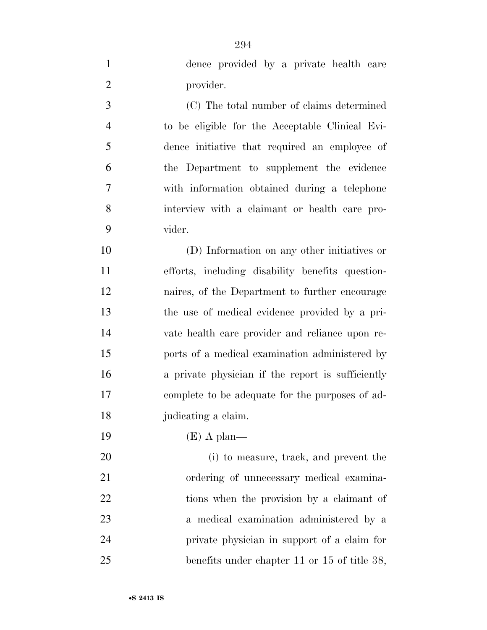dence provided by a private health care provider. (C) The total number of claims determined to be eligible for the Acceptable Clinical Evi- dence initiative that required an employee of the Department to supplement the evidence with information obtained during a telephone interview with a claimant or health care pro- vider. (D) Information on any other initiatives or efforts, including disability benefits question- naires, of the Department to further encourage the use of medical evidence provided by a pri- vate health care provider and reliance upon re- ports of a medical examination administered by a private physician if the report is sufficiently complete to be adequate for the purposes of ad- judicating a claim. (E) A plan— (i) to measure, track, and prevent the ordering of unnecessary medical examina-22 tions when the provision by a claimant of a medical examination administered by a

private physician in support of a claim for

benefits under chapter 11 or 15 of title 38,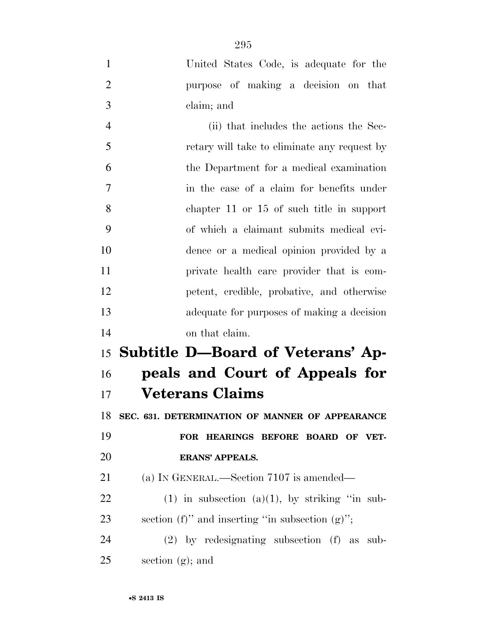- United States Code, is adequate for the purpose of making a decision on that claim; and (ii) that includes the actions the Sec- retary will take to eliminate any request by the Department for a medical examination in the case of a claim for benefits under chapter 11 or 15 of such title in support of which a claimant submits medical evi-
- dence or a medical opinion provided by a private health care provider that is com- petent, credible, probative, and otherwise adequate for purposes of making a decision on that claim.

# **Subtitle D—Board of Veterans' Ap- peals and Court of Appeals for Veterans Claims**

**SEC. 631. DETERMINATION OF MANNER OF APPEARANCE** 

 **FOR HEARINGS BEFORE BOARD OF VET-ERANS' APPEALS.** 

21 (a) IN GENERAL.—Section 7107 is amended—

22 (1) in subsection (a)(1), by striking "in sub-23 section (f)" and inserting "in subsection  $(g)$ ";

 (2) by redesignating subsection (f) as sub-section (g); and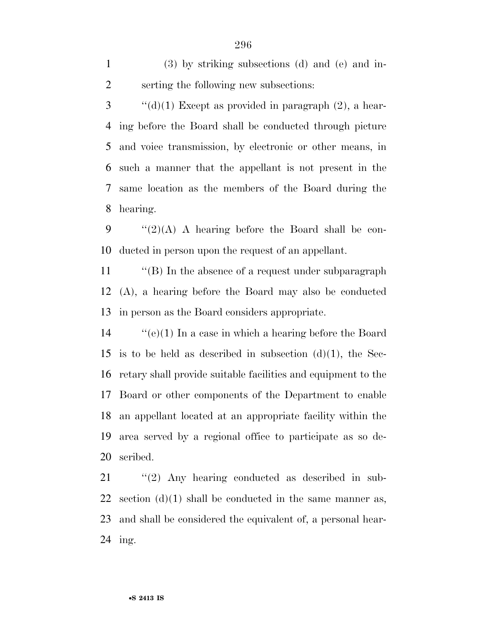(3) by striking subsections (d) and (e) and in-serting the following new subsections:

 ''(d)(1) Except as provided in paragraph (2), a hear- ing before the Board shall be conducted through picture and voice transmission, by electronic or other means, in such a manner that the appellant is not present in the same location as the members of the Board during the hearing.

9  $\frac{1}{2}(2)(A)$  A hearing before the Board shall be con-ducted in person upon the request of an appellant.

11 "(B) In the absence of a request under subparagraph (A), a hearing before the Board may also be conducted in person as the Board considers appropriate.

 ''(e)(1) In a case in which a hearing before the Board 15 is to be held as described in subsection  $(d)(1)$ , the Sec- retary shall provide suitable facilities and equipment to the Board or other components of the Department to enable an appellant located at an appropriate facility within the area served by a regional office to participate as so de-scribed.

 ''(2) Any hearing conducted as described in sub-22 section  $(d)(1)$  shall be conducted in the same manner as, and shall be considered the equivalent of, a personal hear-ing.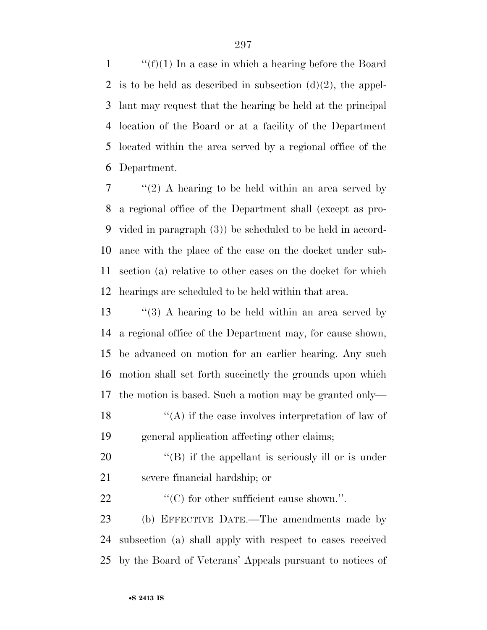$\langle f'(f)(1) \rangle$  In a case in which a hearing before the Board 2 is to be held as described in subsection  $(d)(2)$ , the appel- lant may request that the hearing be held at the principal location of the Board or at a facility of the Department located within the area served by a regional office of the Department.

 ''(2) A hearing to be held within an area served by a regional office of the Department shall (except as pro- vided in paragraph (3)) be scheduled to be held in accord- ance with the place of the case on the docket under sub- section (a) relative to other cases on the docket for which hearings are scheduled to be held within that area.

13 "(3) A hearing to be held within an area served by a regional office of the Department may, for cause shown, be advanced on motion for an earlier hearing. Any such motion shall set forth succinctly the grounds upon which the motion is based. Such a motion may be granted only—  $\langle A \rangle$  if the case involves interpretation of law of general application affecting other claims;

20  $\langle$  (B) if the appellant is seriously ill or is under severe financial hardship; or

22  $\cdot$  (C) for other sufficient cause shown.".

 (b) EFFECTIVE DATE.—The amendments made by subsection (a) shall apply with respect to cases received by the Board of Veterans' Appeals pursuant to notices of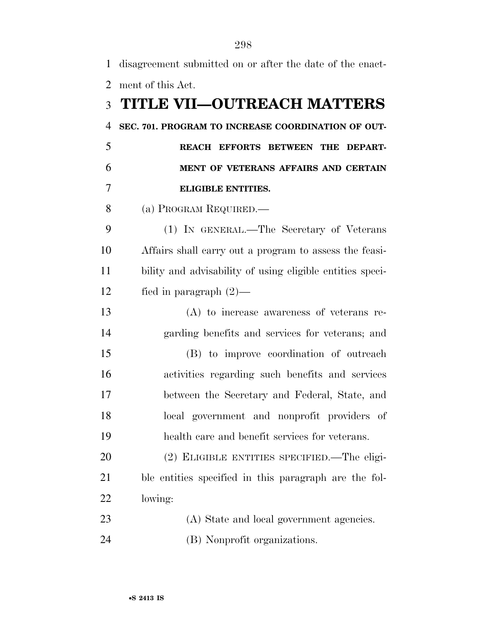| $\mathbf{1}$   | disagreement submitted on or after the date of the enact- |
|----------------|-----------------------------------------------------------|
| $\overline{2}$ | ment of this Act.                                         |
| 3              | <b>TITLE VII-OUTREACH MATTERS</b>                         |
| $\overline{4}$ | SEC. 701. PROGRAM TO INCREASE COORDINATION OF OUT-        |
| 5              | REACH EFFORTS BETWEEN THE<br><b>DEPART-</b>               |
| 6              | MENT OF VETERANS AFFAIRS AND CERTAIN                      |
| 7              | <b>ELIGIBLE ENTITIES.</b>                                 |
| 8              | (a) PROGRAM REQUIRED.—                                    |
| 9              | (1) IN GENERAL.—The Secretary of Veterans                 |
| 10             | Affairs shall carry out a program to assess the feasi-    |
| 11             | bility and advisability of using eligible entities speci- |
| 12             | fied in paragraph $(2)$ —                                 |
| 13             | $(A)$ to increase awareness of veterans re-               |
| 14             | garding benefits and services for veterans; and           |
| 15             | (B) to improve coordination of outreach                   |
| 16             | activities regarding such benefits and services           |
| 17             | between the Secretary and Federal, State, and             |
| 18             | local government and nonprofit providers of               |
| 19             | health care and benefit services for veterans.            |
| 20             | (2) ELIGIBLE ENTITIES SPECIFIED.—The eligi-               |
| 21             | ble entities specified in this paragraph are the fol-     |
| 22             | lowing:                                                   |
| 23             | (A) State and local government agencies.                  |
| 24             | (B) Nonprofit organizations.                              |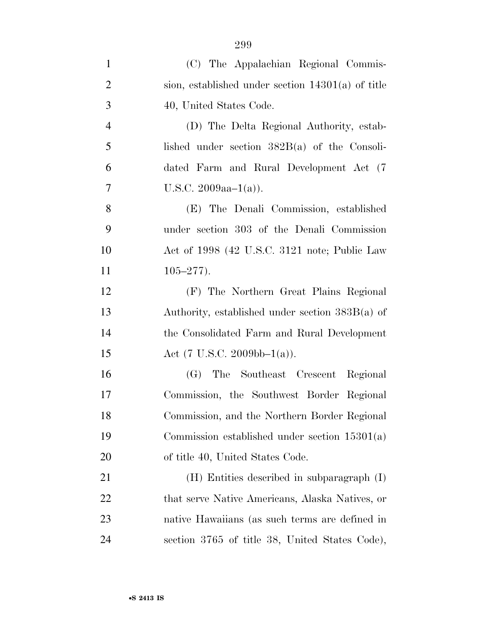| (C) The Appalachian Regional Commis-                |
|-----------------------------------------------------|
| sion, established under section $14301(a)$ of title |
| 40, United States Code.                             |
| (D) The Delta Regional Authority, estab-            |
| lished under section $382B(a)$ of the Consoli-      |
| dated Farm and Rural Development Act (7)            |
| U.S.C. $2009aa-1(a)$ .                              |
| (E) The Denali Commission, established              |
| under section 303 of the Denali Commission          |
| Act of 1998 (42 U.S.C. 3121 note; Public Law        |
| $105 - 277$ ).                                      |
| (F) The Northern Great Plains Regional              |
| Authority, established under section $383B(a)$ of   |
| the Consolidated Farm and Rural Development         |
| Act (7 U.S.C. 2009bb-1(a)).                         |
| The Southeast Crescent Regional<br>(G)              |
| Commission, the Southwest Border Regional           |
| Commission, and the Northern Border Regional        |
| Commission established under section $15301(a)$     |
| of title 40, United States Code.                    |
| (H) Entities described in subparagraph (I)          |
| that serve Native Americans, Alaska Natives, or     |
| native Hawaiians (as such terms are defined in      |
| section 3765 of title 38, United States Code),      |
|                                                     |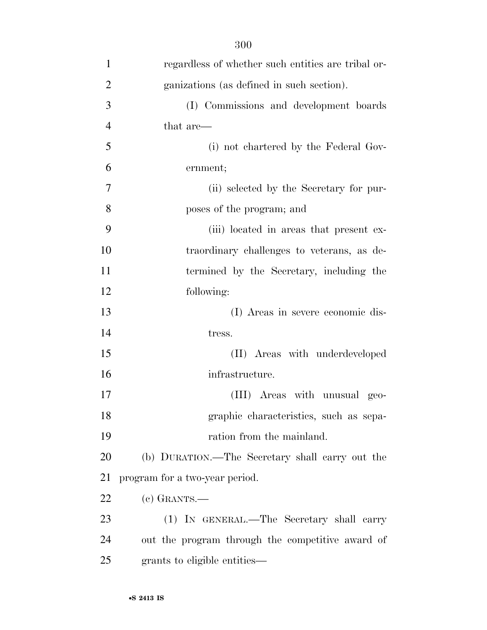| $\mathbf{1}$   | regardless of whether such entities are tribal or- |
|----------------|----------------------------------------------------|
| $\overline{2}$ | ganizations (as defined in such section).          |
| 3              | (I) Commissions and development boards             |
| $\overline{4}$ | that are—                                          |
| 5              | (i) not chartered by the Federal Gov-              |
| 6              | ernment;                                           |
| 7              | (ii) selected by the Secretary for pur-            |
| 8              | poses of the program; and                          |
| 9              | (iii) located in areas that present ex-            |
| 10             | traordinary challenges to veterans, as de-         |
| 11             | termined by the Secretary, including the           |
| 12             | following:                                         |
| 13             | (I) Areas in severe economic dis-                  |
| 14             | tress.                                             |
| 15             | (II) Areas with underdeveloped                     |
| 16             | infrastructure.                                    |
| 17             | (III) Areas with unusual geo-                      |
| 18             | graphic characteristics, such as sepa-             |
| 19             | ration from the mainland.                          |
| 20             | (b) DURATION.—The Secretary shall carry out the    |
| 21             | program for a two-year period.                     |
| 22             | $(c)$ GRANTS.—                                     |
| 23             | (1) IN GENERAL.—The Secretary shall carry          |
| 24             | out the program through the competitive award of   |
| 25             | grants to eligible entities—                       |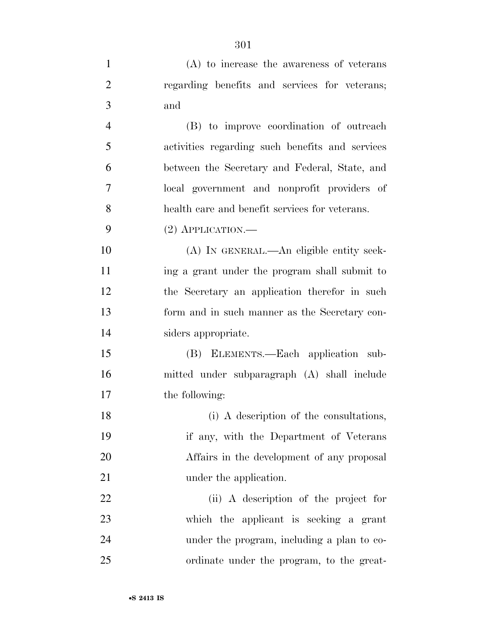| $\mathbf{1}$   | $(A)$ to increase the awareness of veterans     |
|----------------|-------------------------------------------------|
| $\overline{2}$ | regarding benefits and services for veterans;   |
| 3              | and                                             |
| $\overline{4}$ | (B) to improve coordination of outreach         |
| 5              | activities regarding such benefits and services |
| 6              | between the Secretary and Federal, State, and   |
| 7              | local government and nonprofit providers of     |
| 8              | health care and benefit services for veterans.  |
| 9              | $(2)$ APPLICATION.—                             |
| 10             | (A) IN GENERAL.—An eligible entity seek-        |
| 11             | ing a grant under the program shall submit to   |
| 12             | the Secretary an application therefor in such   |
| 13             | form and in such manner as the Secretary con-   |
| 14             | siders appropriate.                             |
| 15             | (B) ELEMENTS.—Each application sub-             |
| 16             | mitted under subparagraph (A) shall include     |
| 17             | the following:                                  |
| 18             | (i) A description of the consultations,         |
| 19             | if any, with the Department of Veterans         |
| 20             | Affairs in the development of any proposal      |
| 21             | under the application.                          |
| 22             | (ii) A description of the project for           |
| 23             | which the applicant is seeking a grant          |
| 24             | under the program, including a plan to co-      |
| 25             | ordinate under the program, to the great-       |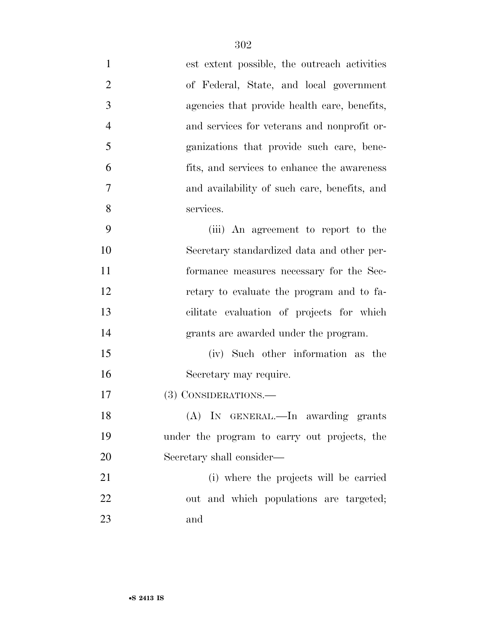| $\mathbf{1}$   | est extent possible, the outreach activities |
|----------------|----------------------------------------------|
| $\overline{2}$ | of Federal, State, and local government      |
| 3              | agencies that provide health care, benefits, |
| $\overline{4}$ | and services for veterans and nonprofit or-  |
| 5              | ganizations that provide such care, bene-    |
| 6              | fits, and services to enhance the awareness  |
| 7              | and availability of such care, benefits, and |
| 8              | services.                                    |
| 9              | (iii) An agreement to report to the          |
| 10             | Secretary standardized data and other per-   |
| 11             | formance measures necessary for the Sec-     |
| 12             | retary to evaluate the program and to fa-    |
| 13             | cilitate evaluation of projects for which    |
| 14             | grants are awarded under the program.        |
| 15             | (iv) Such other information as the           |
| 16             | Secretary may require.                       |
| 17             | (3) CONSIDERATIONS.—                         |
| 18             | (A) IN GENERAL.—In awarding grants           |
| 19             | under the program to carry out projects, the |
| 20             | Secretary shall consider—                    |
| 21             | (i) where the projects will be carried       |
| 22             | out and which populations are targeted;      |
| 23             | and                                          |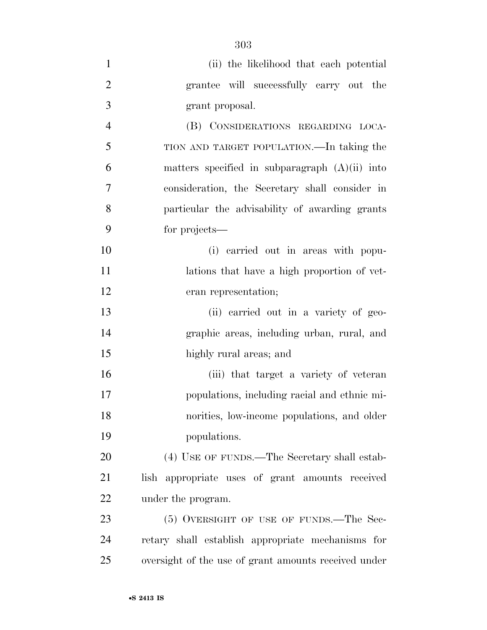| $\mathbf{1}$   | (ii) the likelihood that each potential              |
|----------------|------------------------------------------------------|
| $\overline{2}$ | grantee will successfully carry out the              |
| 3              | grant proposal.                                      |
| $\overline{4}$ | (B) CONSIDERATIONS REGARDING LOCA-                   |
| 5              | TION AND TARGET POPULATION.—In taking the            |
| 6              | matters specified in subparagraph $(A)(ii)$ into     |
| 7              | consideration, the Secretary shall consider in       |
| 8              | particular the advisability of awarding grants       |
| 9              | for projects—                                        |
| 10             | (i) carried out in areas with popu-                  |
| 11             | lations that have a high proportion of vet-          |
| 12             | eran representation;                                 |
| 13             | (ii) carried out in a variety of geo-                |
| 14             | graphic areas, including urban, rural, and           |
| 15             | highly rural areas; and                              |
| 16             | (iii) that target a variety of veteran               |
| 17             | populations, including racial and ethnic mi-         |
| 18             | norities, low-income populations, and older          |
| 19             | populations.                                         |
| 20             | (4) USE OF FUNDS.—The Secretary shall estab-         |
| 21             | lish appropriate uses of grant amounts received      |
| <u>22</u>      | under the program.                                   |
| 23             | (5) OVERSIGHT OF USE OF FUNDS.—The Sec-              |
| 24             | retary shall establish appropriate mechanisms for    |
| 25             | oversight of the use of grant amounts received under |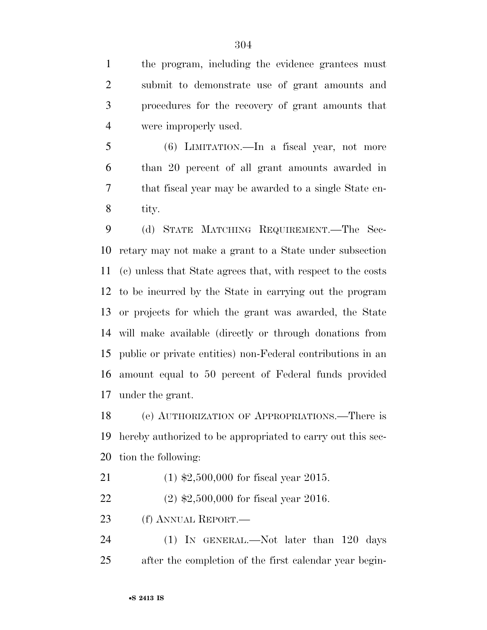the program, including the evidence grantees must submit to demonstrate use of grant amounts and procedures for the recovery of grant amounts that were improperly used.

 (6) LIMITATION.—In a fiscal year, not more than 20 percent of all grant amounts awarded in that fiscal year may be awarded to a single State en-tity.

 (d) STATE MATCHING REQUIREMENT.—The Sec- retary may not make a grant to a State under subsection (c) unless that State agrees that, with respect to the costs to be incurred by the State in carrying out the program or projects for which the grant was awarded, the State will make available (directly or through donations from public or private entities) non-Federal contributions in an amount equal to 50 percent of Federal funds provided under the grant.

 (e) AUTHORIZATION OF APPROPRIATIONS.—There is hereby authorized to be appropriated to carry out this sec-tion the following:

(1) \$2,500,000 for fiscal year 2015.

(2) \$2,500,000 for fiscal year 2016.

23 (f) ANNUAL REPORT.

24 (1) IN GENERAL.—Not later than 120 days after the completion of the first calendar year begin-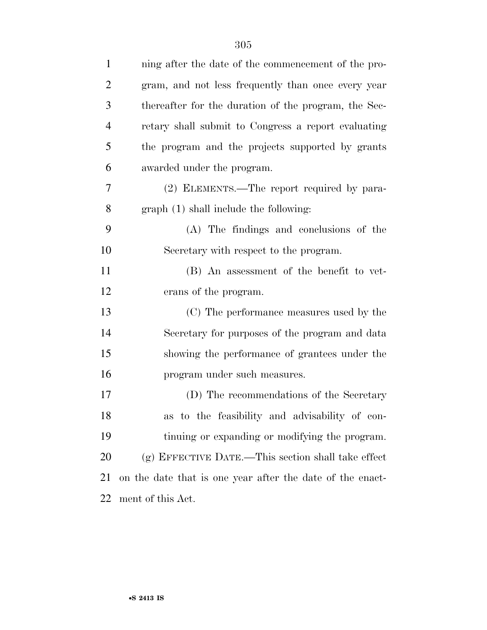| $\mathbf{1}$   | ning after the date of the commencement of the pro-       |
|----------------|-----------------------------------------------------------|
| $\overline{2}$ | gram, and not less frequently than once every year        |
| 3              | thereafter for the duration of the program, the Sec-      |
| $\overline{4}$ | retary shall submit to Congress a report evaluating       |
| 5              | the program and the projects supported by grants          |
| 6              | awarded under the program.                                |
| 7              | (2) ELEMENTS.—The report required by para-                |
| 8              | graph (1) shall include the following:                    |
| 9              | (A) The findings and conclusions of the                   |
| 10             | Secretary with respect to the program.                    |
| 11             | (B) An assessment of the benefit to vet-                  |
| 12             | erans of the program.                                     |
| 13             | (C) The performance measures used by the                  |
| 14             | Secretary for purposes of the program and data            |
| 15             | showing the performance of grantees under the             |
| 16             | program under such measures.                              |
| 17             | (D) The recommendations of the Secretary                  |
| 18             | as to the feasibility and advisability of con-            |
| 19             | tinuing or expanding or modifying the program.            |
| 20             | $(g)$ EFFECTIVE DATE.—This section shall take effect      |
| 21             | on the date that is one year after the date of the enact- |
| 22             | ment of this Act.                                         |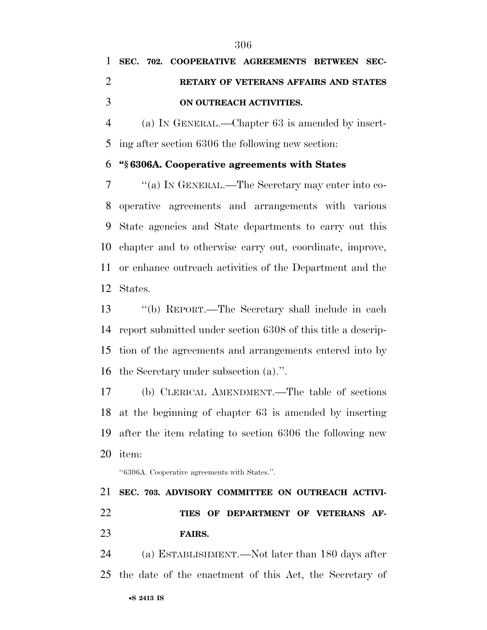(a) IN GENERAL.—Chapter 63 is amended by insert-ing after section 6306 the following new section:

#### **''§ 6306A. Cooperative agreements with States**

 ''(a) IN GENERAL.—The Secretary may enter into co- operative agreements and arrangements with various State agencies and State departments to carry out this chapter and to otherwise carry out, coordinate, improve, or enhance outreach activities of the Department and the States.

 ''(b) REPORT.—The Secretary shall include in each report submitted under section 6308 of this title a descrip- tion of the agreements and arrangements entered into by the Secretary under subsection (a).''.

 (b) CLERICAL AMENDMENT.—The table of sections at the beginning of chapter 63 is amended by inserting after the item relating to section 6306 the following new item:

''6306A. Cooperative agreements with States.''.

## **SEC. 703. ADVISORY COMMITTEE ON OUTREACH ACTIVI- TIES OF DEPARTMENT OF VETERANS AF-FAIRS.**

 (a) ESTABLISHMENT.—Not later than 180 days after the date of the enactment of this Act, the Secretary of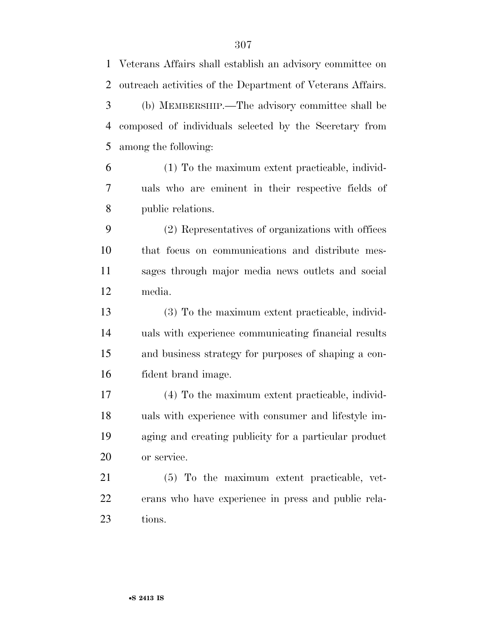| 1              | Veterans Affairs shall establish an advisory committee on  |
|----------------|------------------------------------------------------------|
| $\overline{2}$ | outreach activities of the Department of Veterans Affairs. |
| 3              | (b) MEMBERSHIP.—The advisory committee shall be            |
| $\overline{4}$ | composed of individuals selected by the Secretary from     |
| 5              | among the following:                                       |
| 6              | (1) To the maximum extent practicable, individ-            |
| 7              | uals who are eminent in their respective fields of         |
| 8              | public relations.                                          |
| 9              | (2) Representatives of organizations with offices          |
| 10             | that focus on communications and distribute mes-           |
| 11             | sages through major media news outlets and social          |
| 12             | media.                                                     |
| 13             | (3) To the maximum extent practicable, individ-            |
| 14             | uals with experience communicating financial results       |
| 15             | and business strategy for purposes of shaping a con-       |
| 16             | fident brand image.                                        |
| 17             | (4) To the maximum extent practicable, individ-            |
| 18             | uals with experience with consumer and lifestyle im-       |
| 19             | aging and creating publicity for a particular product      |
| 20             | or service.                                                |
| 21             | (5) To the maximum extent practicable, vet-                |
| 22             | erans who have experience in press and public rela-        |
| 23             | tions.                                                     |
|                |                                                            |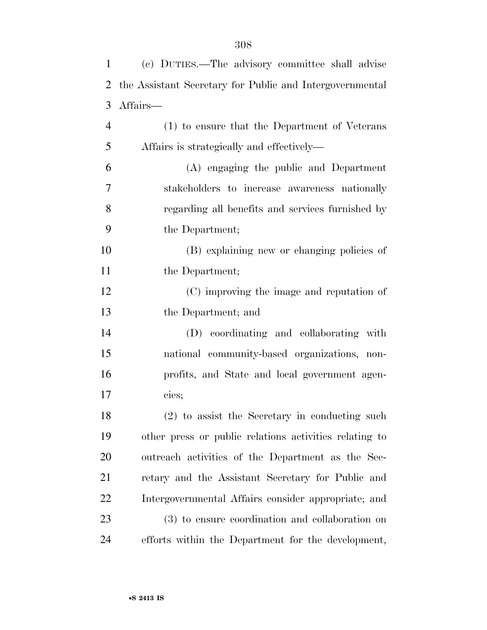|                | (c) DUTIES.—The advisory committee shall advise<br>$1 \quad \blacksquare$ |
|----------------|---------------------------------------------------------------------------|
|                | 2 the Assistant Secretary for Public and Intergovernmental                |
|                | 3 Affairs—                                                                |
| $\overline{4}$ | (1) to ensure that the Department of Veterans                             |

 (A) engaging the public and Department stakeholders to increase awareness nationally regarding all benefits and services furnished by the Department;

Affairs is strategically and effectively—

 (B) explaining new or changing policies of 11 the Department;

 (C) improving the image and reputation of the Department; and

 (D) coordinating and collaborating with national community-based organizations, non- profits, and State and local government agen-cies;

 (2) to assist the Secretary in conducting such other press or public relations activities relating to outreach activities of the Department as the Sec- retary and the Assistant Secretary for Public and Intergovernmental Affairs consider appropriate; and (3) to ensure coordination and collaboration on efforts within the Department for the development,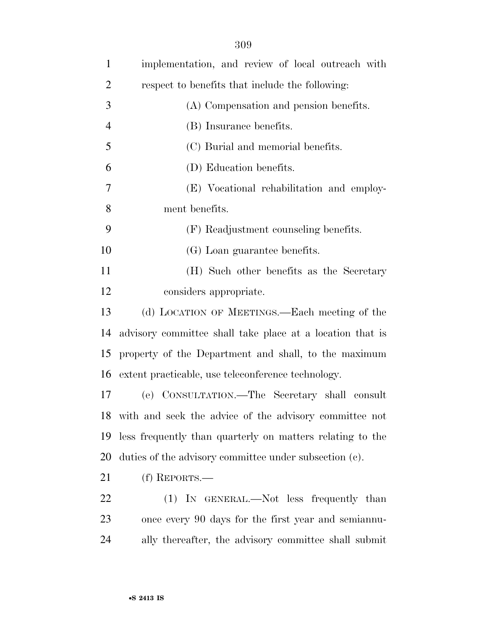| $\mathbf{1}$   | implementation, and review of local outreach with         |
|----------------|-----------------------------------------------------------|
| $\overline{2}$ | respect to benefits that include the following:           |
| 3              | (A) Compensation and pension benefits.                    |
| $\overline{4}$ | (B) Insurance benefits.                                   |
| 5              | (C) Burial and memorial benefits.                         |
| 6              | (D) Education benefits.                                   |
| 7              | (E) Vocational rehabilitation and employ-                 |
| 8              | ment benefits.                                            |
| 9              | (F) Readjustment counseling benefits.                     |
| 10             | (G) Loan guarantee benefits.                              |
| 11             | (H) Such other benefits as the Secretary                  |
| 12             | considers appropriate.                                    |
| 13             | (d) LOCATION OF MEETINGS.—Each meeting of the             |
| 14             | advisory committee shall take place at a location that is |
| 15             | property of the Department and shall, to the maximum      |
| 16             | extent practicable, use teleconference technology.        |
| 17             | (e) CONSULTATION.—The Secretary shall consult             |
|                | 18 with and seek the advice of the advisory committee not |
| 19             | less frequently than quarterly on matters relating to the |
| 20             | duties of the advisory committee under subsection (c).    |
| 21             | $(f)$ REPORTS.—                                           |
| 22             | (1) IN GENERAL.—Not less frequently than                  |
| 23             | once every 90 days for the first year and semiannu-       |
| 24             | ally thereafter, the advisory committee shall submit      |
|                |                                                           |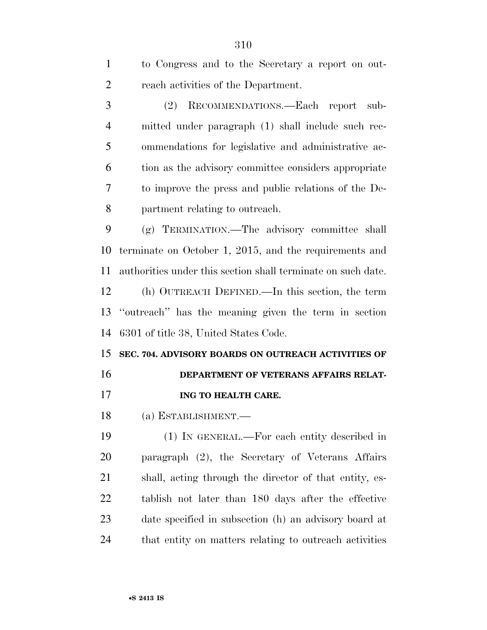| $\mathbf{1}$   | to Congress and to the Secretary a report on out-            |
|----------------|--------------------------------------------------------------|
| $\overline{2}$ | reach activities of the Department.                          |
| 3              | (2)<br>RECOMMENDATIONS.-Each report<br>sub-                  |
| $\overline{4}$ | mitted under paragraph (1) shall include such rec-           |
| 5              | ommendations for legislative and administrative ac-          |
| 6              | tion as the advisory committee considers appropriate         |
| 7              | to improve the press and public relations of the De-         |
| 8              | partment relating to outreach.                               |
| 9              | (g) TERMINATION.—The advisory committee shall                |
| 10             | terminate on October 1, 2015, and the requirements and       |
| 11             | authorities under this section shall terminate on such date. |
| 12             | (h) OUTREACH DEFINED.—In this section, the term              |
| 13             | "outreach" has the meaning given the term in section         |
| 14             | 6301 of title 38, United States Code.                        |
| 15             | SEC. 704. ADVISORY BOARDS ON OUTREACH ACTIVITIES OF          |
| 16             | DEPARTMENT OF VETERANS AFFAIRS RELAT-                        |
| 17             | ING TO HEALTH CARE.                                          |
| 18             | (a) ESTABLISHMENT.—                                          |
| 19             | (1) IN GENERAL.—For each entity described in                 |
| 20             | paragraph (2), the Secretary of Veterans Affairs             |
| 21             | shall, acting through the director of that entity, es-       |
| 22             | tablish not later than 180 days after the effective          |
| 23             | date specified in subsection (h) an advisory board at        |
|                |                                                              |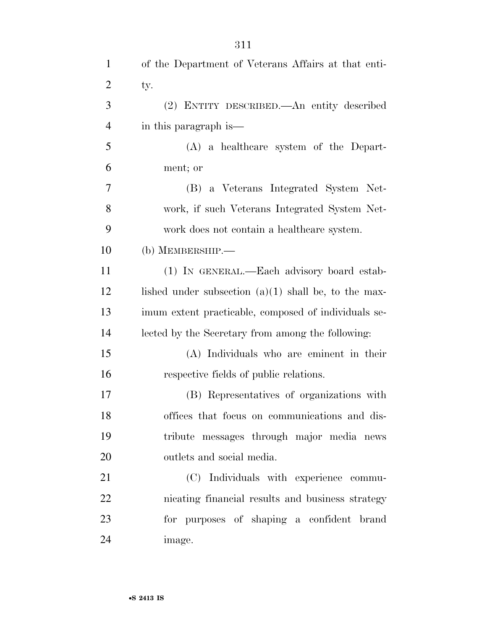| $\mathbf{1}$   | of the Department of Veterans Affairs at that enti-    |
|----------------|--------------------------------------------------------|
| $\overline{2}$ | ty.                                                    |
| 3              | (2) ENTITY DESCRIBED.—An entity described              |
| $\overline{4}$ | in this paragraph is—                                  |
| 5              | $(A)$ a healthcare system of the Depart-               |
| 6              | ment; or                                               |
| 7              | (B) a Veterans Integrated System Net-                  |
| 8              | work, if such Veterans Integrated System Net-          |
| 9              | work does not contain a healthcare system.             |
| 10             | $(b)$ MEMBERSHIP.—                                     |
| 11             | (1) IN GENERAL.—Each advisory board estab-             |
| 12             | lished under subsection $(a)(1)$ shall be, to the max- |
| 13             | imum extent practicable, composed of individuals se-   |
| 14             | lected by the Secretary from among the following:      |
| 15             | (A) Individuals who are eminent in their               |
| 16             | respective fields of public relations.                 |
| 17             | (B) Representatives of organizations with              |
| 18             | offices that focus on communications and dis-          |
| 19             | tribute messages through major media news              |
| 20             | outlets and social media.                              |
| 21             | (C) Individuals with experience commu-                 |
| 22             | nicating financial results and business strategy       |
| 23             | for purposes of shaping a confident brand              |
| 24             | image.                                                 |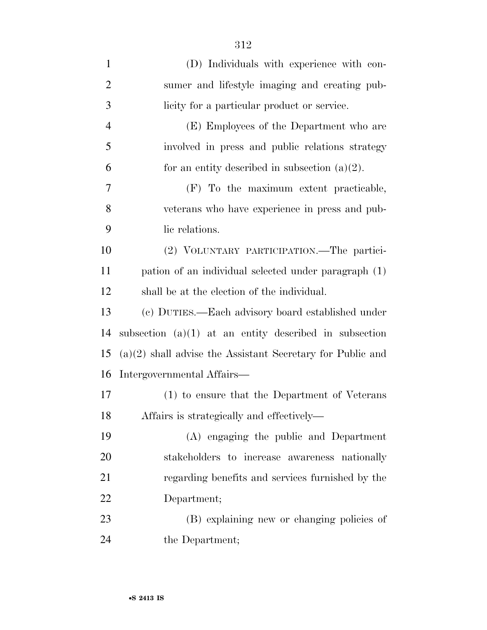| $\mathbf{1}$   | (D) Individuals with experience with con-                    |
|----------------|--------------------------------------------------------------|
| $\overline{2}$ | sumer and lifestyle imaging and creating pub-                |
| 3              | licity for a particular product or service.                  |
| $\overline{4}$ | (E) Employees of the Department who are                      |
| 5              | involved in press and public relations strategy              |
| 6              | for an entity described in subsection $(a)(2)$ .             |
| 7              | (F) To the maximum extent practicable,                       |
| 8              | veterans who have experience in press and pub-               |
| 9              | lic relations.                                               |
| 10             | (2) VOLUNTARY PARTICIPATION.—The partici-                    |
| 11             | pation of an individual selected under paragraph (1)         |
| 12             | shall be at the election of the individual.                  |
| 13             | (c) DUTIES.—Each advisory board established under            |
| 14             | subsection $(a)(1)$ at an entity described in subsection     |
| 15             | $(a)(2)$ shall advise the Assistant Secretary for Public and |
| 16             | Intergovernmental Affairs—                                   |
| 17             | (1) to ensure that the Department of Veterans                |
| 18             | Affairs is strategically and effectively—                    |
| 19             | (A) engaging the public and Department                       |
| 20             | stakeholders to increase awareness nationally                |
| 21             | regarding benefits and services furnished by the             |
| 22             | Department;                                                  |
| 23             | (B) explaining new or changing policies of                   |
| 24             | the Department;                                              |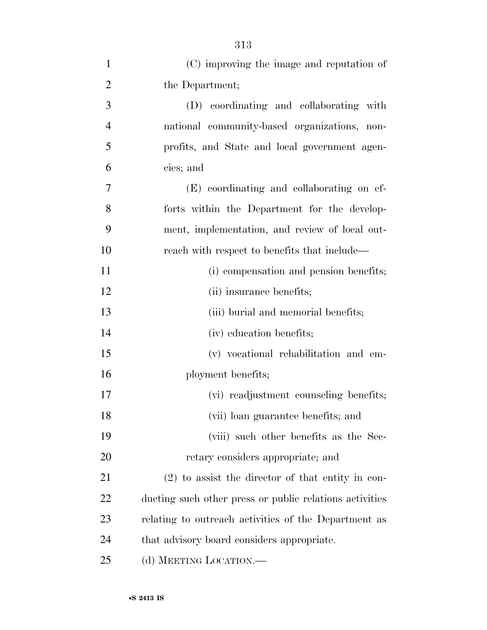| $\mathbf{1}$   | (C) improving the image and reputation of               |
|----------------|---------------------------------------------------------|
| $\overline{2}$ | the Department;                                         |
| 3              | (D) coordinating and collaborating with                 |
| $\overline{4}$ | national community-based organizations, non-            |
| 5              | profits, and State and local government agen-           |
| 6              | cies; and                                               |
| 7              | (E) coordinating and collaborating on ef-               |
| 8              | forts within the Department for the develop-            |
| 9              | ment, implementation, and review of local out-          |
| 10             | reach with respect to benefits that include—            |
| 11             | (i) compensation and pension benefits;                  |
| 12             | (ii) insurance benefits;                                |
| 13             | (iii) burial and memorial benefits;                     |
| 14             | (iv) education benefits;                                |
| 15             | (v) vocational rehabilitation and em-                   |
| 16             | ployment benefits;                                      |
| 17             | (vi) readjustment counseling benefits;                  |
| 18             | (vii) loan guarantee benefits; and                      |
| 19             | (viii) such other benefits as the Sec-                  |
| 20             | retary considers appropriate; and                       |
| 21             | $(2)$ to assist the director of that entity in con-     |
| 22             | ducting such other press or public relations activities |
| 23             | relating to outreach activities of the Department as    |
| 24             | that advisory board considers appropriate.              |
| 25             | (d) MEETING LOCATION.—                                  |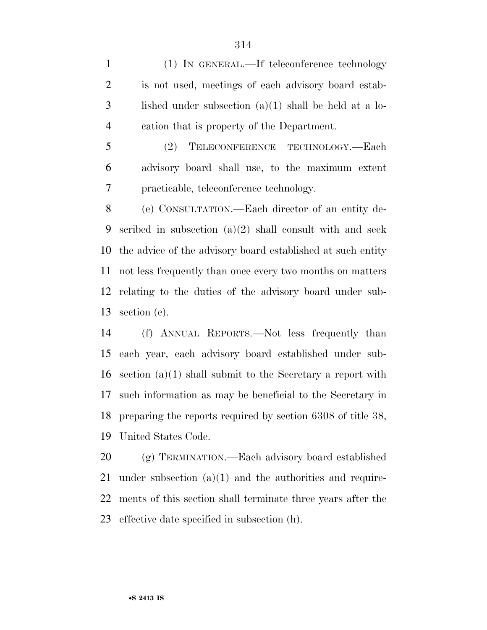(1) IN GENERAL.—If teleconference technology is not used, meetings of each advisory board estab- lished under subsection  $(a)(1)$  shall be held at a lo-cation that is property of the Department.

 (2) TELECONFERENCE TECHNOLOGY.—Each advisory board shall use, to the maximum extent practicable, teleconference technology.

 (e) CONSULTATION.—Each director of an entity de- scribed in subsection (a)(2) shall consult with and seek the advice of the advisory board established at such entity not less frequently than once every two months on matters relating to the duties of the advisory board under sub-section (c).

 (f) ANNUAL REPORTS.—Not less frequently than each year, each advisory board established under sub- section (a)(1) shall submit to the Secretary a report with such information as may be beneficial to the Secretary in preparing the reports required by section 6308 of title 38, United States Code.

 (g) TERMINATION.—Each advisory board established under subsection (a)(1) and the authorities and require- ments of this section shall terminate three years after the effective date specified in subsection (h).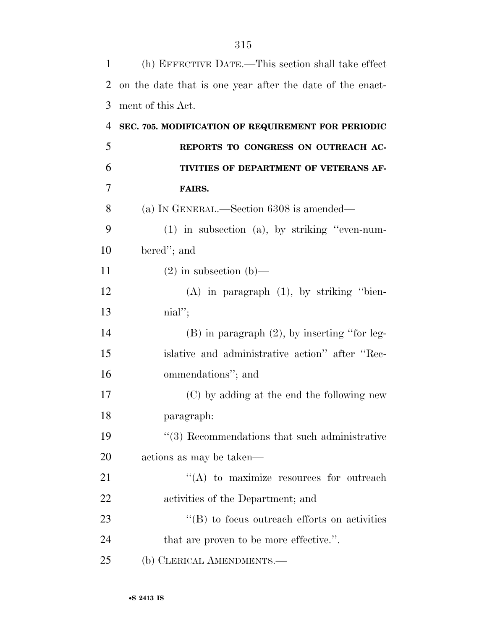| $\mathbf{1}$   | (h) EFFECTIVE DATE.—This section shall take effect        |
|----------------|-----------------------------------------------------------|
| 2              | on the date that is one year after the date of the enact- |
| 3              | ment of this Act.                                         |
| $\overline{4}$ | SEC. 705. MODIFICATION OF REQUIREMENT FOR PERIODIC        |
| 5              | REPORTS TO CONGRESS ON OUTREACH AC-                       |
| 6              | TIVITIES OF DEPARTMENT OF VETERANS AF-                    |
| 7              | FAIRS.                                                    |
| 8              | (a) IN GENERAL.—Section 6308 is amended—                  |
| 9              | $(1)$ in subsection $(a)$ , by striking "even-num-        |
| 10             | bered"; and                                               |
| 11             | $(2)$ in subsection $(b)$ —                               |
| 12             | $(A)$ in paragraph $(1)$ , by striking "bien-             |
| 13             | $\text{nil}"$                                             |
| 14             | $(B)$ in paragraph $(2)$ , by inserting "for leg-         |
| 15             | islative and administrative action" after "Rec-           |
| 16             | ommendations"; and                                        |
| 17             | (C) by adding at the end the following new                |
| 18             | paragraph:                                                |
| 19             | $\lq(3)$ Recommendations that such administrative         |
| 20             | actions as may be taken—                                  |
| 21             | $\lq\lq$ to maximize resources for outreach               |
| 22             | activities of the Department; and                         |
| 23             | $\mathrm{``(B)}$ to focus outreach efforts on activities  |
| 24             | that are proven to be more effective.".                   |
| 25             | (b) CLERICAL AMENDMENTS.—                                 |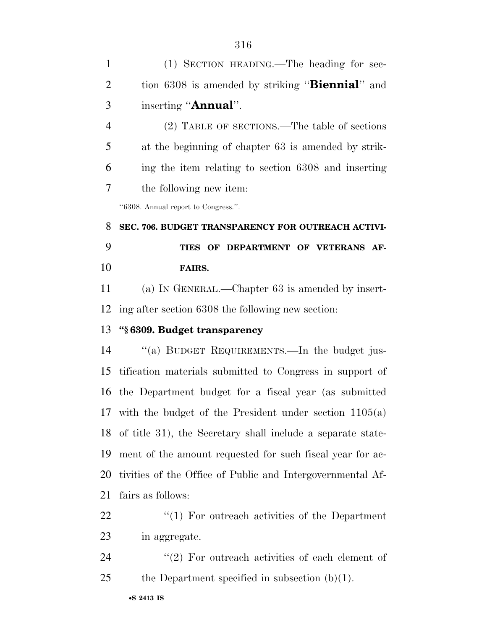(1) SECTION HEADING.—The heading for sec- tion 6308 is amended by striking ''**Biennial**'' and inserting ''**Annual**''. (2) TABLE OF SECTIONS.—The table of sections at the beginning of chapter 63 is amended by strik- ing the item relating to section 6308 and inserting the following new item: ''6308. Annual report to Congress.''. **SEC. 706. BUDGET TRANSPARENCY FOR OUTREACH ACTIVI- TIES OF DEPARTMENT OF VETERANS AF- FAIRS.**  (a) IN GENERAL.—Chapter 63 is amended by insert- ing after section 6308 the following new section: **''§ 6309. Budget transparency**  ''(a) BUDGET REQUIREMENTS.—In the budget jus- tification materials submitted to Congress in support of the Department budget for a fiscal year (as submitted with the budget of the President under section 1105(a) of title 31), the Secretary shall include a separate state- ment of the amount requested for such fiscal year for ac- tivities of the Office of Public and Intergovernmental Af- fairs as follows: 22 ''(1) For outreach activities of the Department in aggregate.  $\langle \langle 2 \rangle$  For outreach activities of each element of 25 the Department specified in subsection  $(b)(1)$ .

•**S 2413 IS**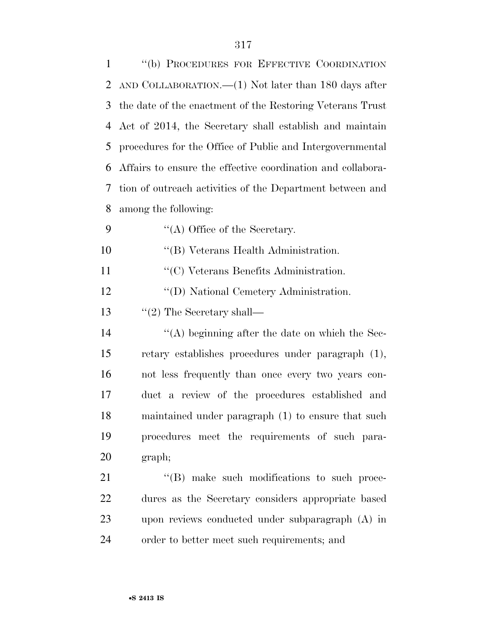| $\mathbf{1}$   | "(b) PROCEDURES FOR EFFECTIVE COORDINATION                  |
|----------------|-------------------------------------------------------------|
| $\overline{2}$ | AND COLLABORATION.— $(1)$ Not later than 180 days after     |
| 3              | the date of the enactment of the Restoring Veterans Trust   |
| 4              | Act of 2014, the Secretary shall establish and maintain     |
| 5              | procedures for the Office of Public and Intergovernmental   |
| 6              | Affairs to ensure the effective coordination and collabora- |
| 7              | tion of outreach activities of the Department between and   |
| 8              | among the following:                                        |
| 9              | $\lq\lq$ Office of the Secretary.                           |
| 10             | "(B) Veterans Health Administration.                        |
| 11             | "(C) Veterans Benefits Administration.                      |
| 12             | "(D) National Cemetery Administration.                      |
| 13             | $\lq(2)$ The Secretary shall—                               |
| 14             | $\lq\lq$ beginning after the date on which the Sec-         |
| 15             | retary establishes procedures under paragraph (1),          |
| 16             | not less frequently than once every two years con-          |
| 17             | duct a review of the procedures established and             |
| 18             | maintained under paragraph (1) to ensure that such          |
| 19             | procedures meet the requirements of such para-              |
| 20             | graph;                                                      |
| 21             | "(B) make such modifications to such proce-                 |
| 22             | dures as the Secretary considers appropriate based          |
| 23             | upon reviews conducted under subparagraph $(A)$ in          |
| 24             | order to better meet such requirements; and                 |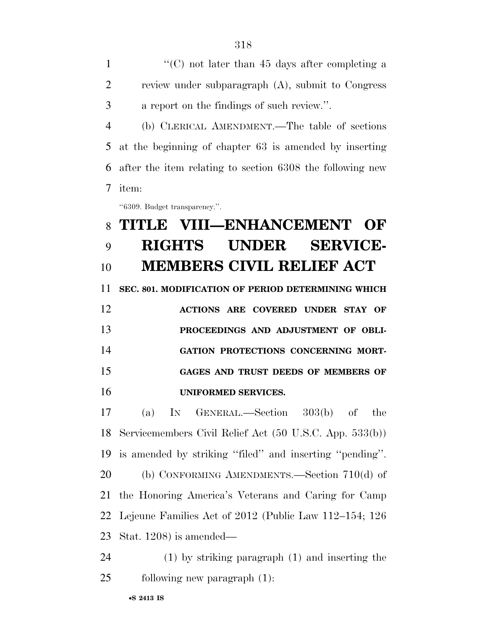1 ''(C) not later than 45 days after completing a review under subparagraph (A), submit to Congress a report on the findings of such review.''. (b) CLERICAL AMENDMENT.—The table of sections at the beginning of chapter 63 is amended by inserting after the item relating to section 6308 the following new item:

''6309. Budget transparency.''.

## **TITLE VIII—ENHANCEMENT OF RIGHTS UNDER SERVICE-MEMBERS CIVIL RELIEF ACT**

 **SEC. 801. MODIFICATION OF PERIOD DETERMINING WHICH ACTIONS ARE COVERED UNDER STAY OF** 

 **PROCEEDINGS AND ADJUSTMENT OF OBLI- GATION PROTECTIONS CONCERNING MORT- GAGES AND TRUST DEEDS OF MEMBERS OF UNIFORMED SERVICES.** 

 (a) IN GENERAL.—Section 303(b) of the Servicemembers Civil Relief Act (50 U.S.C. App. 533(b)) is amended by striking ''filed'' and inserting ''pending''. (b) CONFORMING AMENDMENTS.—Section 710(d) of the Honoring America's Veterans and Caring for Camp Lejeune Families Act of 2012 (Public Law 112–154; 126 Stat. 1208) is amended—

 (1) by striking paragraph (1) and inserting the following new paragraph (1):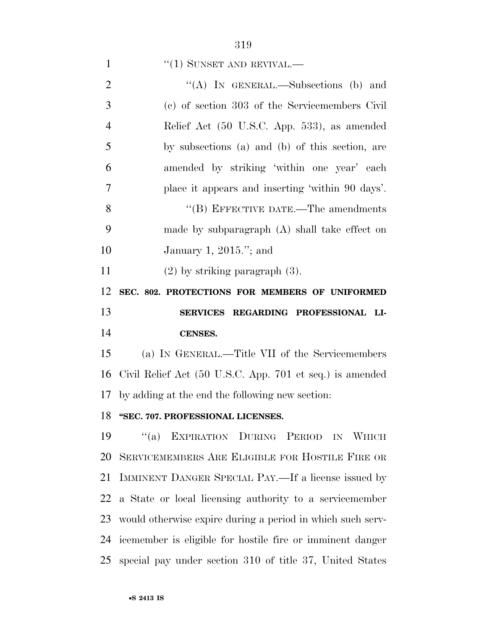#### 1  $"(1)$  SUNSET AND REVIVAL.—

| $\overline{2}$ | "(A) IN GENERAL.—Subsections (b) and                       |
|----------------|------------------------------------------------------------|
| 3              | (c) of section 303 of the Servicemembers Civil             |
| $\overline{4}$ | Relief Act (50 U.S.C. App. 533), as amended                |
| 5              | by subsections (a) and (b) of this section, are            |
| 6              | amended by striking 'within one year' each                 |
| $\overline{7}$ | place it appears and inserting 'within 90 days'.           |
| 8              | $\cdot$ (B) EFFECTIVE DATE.—The amendments                 |
| 9              | made by subparagraph $(A)$ shall take effect on            |
| 10             | January 1, $2015$ ."; and                                  |
| 11             | $(2)$ by striking paragraph $(3)$ .                        |
| 12             | SEC. 802. PROTECTIONS FOR MEMBERS OF UNIFORMED             |
|                |                                                            |
| 13             | SERVICES REGARDING PROFESSIONAL LI-                        |
| 14             | <b>CENSES.</b>                                             |
| 15             | (a) IN GENERAL.—Title VII of the Servicemembers            |
| 16             | Civil Relief Act (50 U.S.C. App. 701 et seq.) is amended   |
| 17             | by adding at the end the following new section:            |
| 18             | "SEC. 707. PROFESSIONAL LICENSES.                          |
|                | "(a) EXPIRATION DURING PERIOD IN WHICH<br>19               |
| 20             | SERVICEMEMBERS ARE ELIGIBLE FOR HOSTILE FIRE OR            |
| 21             | IMMINENT DANGER SPECIAL PAY.—If a license issued by        |
| 22             | a State or local licensing authority to a servicemember    |
| 23             | would otherwise expire during a period in which such serv- |

special pay under section 310 of title 37, United States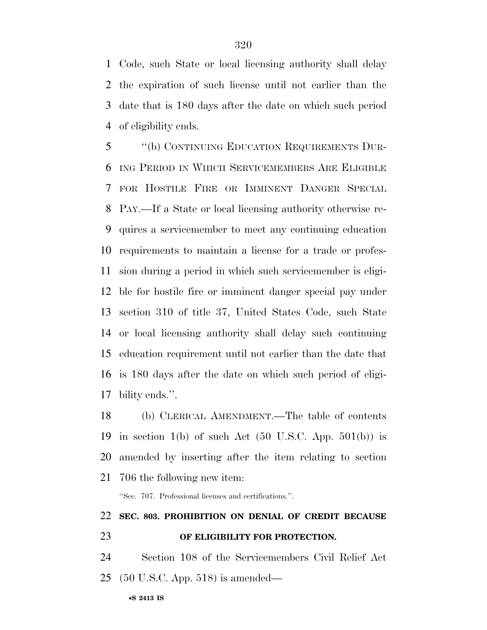Code, such State or local licensing authority shall delay the expiration of such license until not earlier than the date that is 180 days after the date on which such period of eligibility ends.

 ''(b) CONTINUING EDUCATION REQUIREMENTS DUR- ING PERIOD IN WHICH SERVICEMEMBERS ARE ELIGIBLE FOR HOSTILE FIRE OR IMMINENT DANGER SPECIAL PAY.—If a State or local licensing authority otherwise re- quires a servicemember to meet any continuing education requirements to maintain a license for a trade or profes- sion during a period in which such servicemember is eligi- ble for hostile fire or imminent danger special pay under section 310 of title 37, United States Code, such State or local licensing authority shall delay such continuing education requirement until not earlier than the date that is 180 days after the date on which such period of eligi-bility ends.''.

 (b) CLERICAL AMENDMENT.—The table of contents 19 in section 1(b) of such Act  $(50 \text{ U.S.C. App. } 501(b))$  is amended by inserting after the item relating to section 706 the following new item:

''Sec. 707. Professional licenses and certifications.''.

## **SEC. 803. PROHIBITION ON DENIAL OF CREDIT BECAUSE**

**OF ELIGIBILITY FOR PROTECTION.** 

 Section 108 of the Servicemembers Civil Relief Act (50 U.S.C. App. 518) is amended—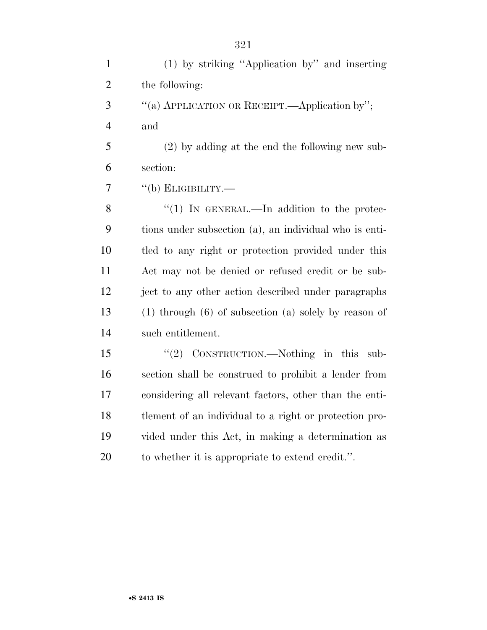| $\mathbf{1}$   | (1) by striking "Application by" and inserting              |
|----------------|-------------------------------------------------------------|
| $\mathfrak{2}$ | the following:                                              |
| 3              | "(a) APPLICATION OR RECEIPT.—Application by";               |
| $\overline{4}$ | and                                                         |
| 5              | $(2)$ by adding at the end the following new sub-           |
| 6              | section:                                                    |
| 7              | $``$ (b) ELIGIBILITY.—                                      |
| 8              | "(1) IN GENERAL.—In addition to the protec-                 |
| 9              | tions under subsection (a), an individual who is enti-      |
| 10             | tled to any right or protection provided under this         |
| 11             | Act may not be denied or refused credit or be sub-          |
| 12             | ject to any other action described under paragraphs         |
| 13             | $(1)$ through $(6)$ of subsection $(a)$ solely by reason of |
| 14             | such entitlement.                                           |
| 15             | " $(2)$ CONSTRUCTION.—Nothing in this sub-                  |
| 16             | section shall be construed to prohibit a lender from        |
| 17             | considering all relevant factors, other than the enti-      |
| 18             | tlement of an individual to a right or protection pro-      |
| 19             | vided under this Act, in making a determination as          |
| 20             | to whether it is appropriate to extend credit.".            |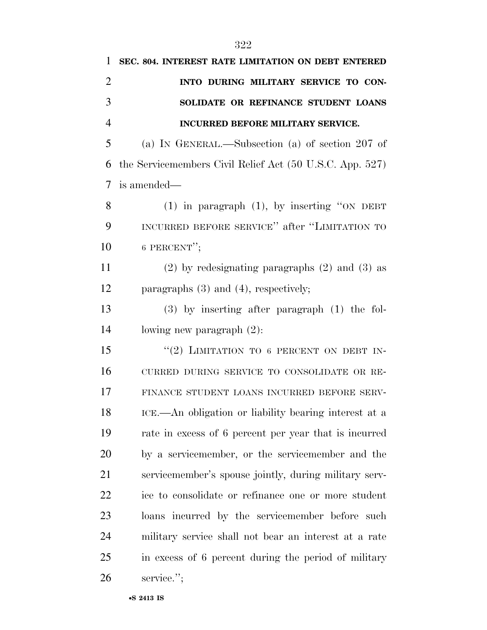| 1              | SEC. 804. INTEREST RATE LIMITATION ON DEBT ENTERED       |
|----------------|----------------------------------------------------------|
| $\overline{2}$ | INTO DURING MILITARY SERVICE TO CON-                     |
| 3              | SOLIDATE OR REFINANCE STUDENT LOANS                      |
| $\overline{4}$ | <b>INCURRED BEFORE MILITARY SERVICE.</b>                 |
| 5              | (a) IN GENERAL.—Subsection (a) of section 207 of         |
| 6              | the Servicemembers Civil Relief Act (50 U.S.C. App. 527) |
| 7              | is amended—                                              |
| 8              | $(1)$ in paragraph $(1)$ , by inserting "ON DEBT         |
| 9              | INCURRED BEFORE SERVICE" after "LIMITATION TO            |
| 10             | 6 PERCENT";                                              |
| 11             | $(2)$ by redesignating paragraphs $(2)$ and $(3)$ as     |
| 12             | paragraphs $(3)$ and $(4)$ , respectively;               |
| 13             | $(3)$ by inserting after paragraph $(1)$ the fol-        |
| 14             | lowing new paragraph $(2)$ :                             |
| 15             | "(2) LIMITATION TO 6 PERCENT ON DEBT IN-                 |
| 16             | CURRED DURING SERVICE TO CONSOLIDATE OR RE-              |
| 17             | FINANCE STUDENT LOANS INCURRED BEFORE SERV-              |
| 18             | ICE.—An obligation or liability bearing interest at a    |
| 19             | rate in excess of 6 percent per year that is incurred    |
| 20             | by a servicemember, or the servicemember and the         |
| 21             | servicemember's spouse jointly, during military serv-    |
| 22             | ice to consolidate or refinance one or more student      |
| 23             | loans incurred by the servicemember before such          |
| 24             | military service shall not bear an interest at a rate    |
| 25             | in excess of 6 percent during the period of military     |
| 26             | service.";                                               |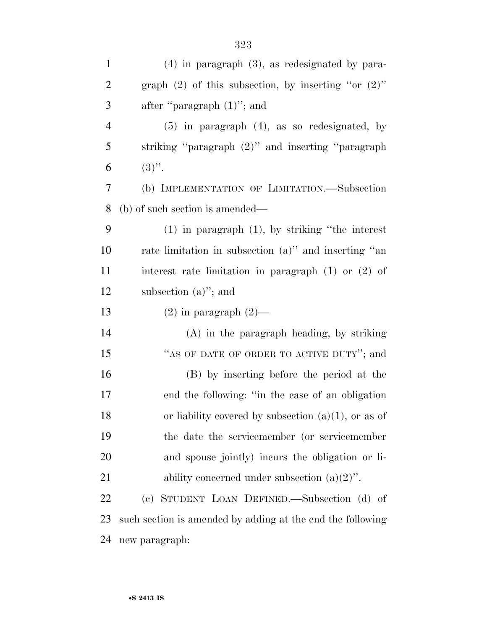| $\mathbf{1}$   | $(4)$ in paragraph $(3)$ , as redesignated by para-        |
|----------------|------------------------------------------------------------|
| $\mathbf{2}$   | graph $(2)$ of this subsection, by inserting "or $(2)$ "   |
| 3              | after "paragraph $(1)$ "; and                              |
| $\overline{4}$ | $(5)$ in paragraph $(4)$ , as so redesignated, by          |
| 5              | striking "paragraph (2)" and inserting "paragraph          |
| 6              | $(3)$ ".                                                   |
| $\tau$         | (b) IMPLEMENTATION OF LIMITATION.-Subsection               |
| 8              | (b) of such section is amended—                            |
| 9              | $(1)$ in paragraph $(1)$ , by striking "the interest"      |
| 10             | rate limitation in subsection (a)" and inserting "an       |
| 11             | interest rate limitation in paragraph $(1)$ or $(2)$ of    |
| 12             | subsection $(a)$ "; and                                    |
| 13             | $(2)$ in paragraph $(2)$ —                                 |
| 14             | $(A)$ in the paragraph heading, by striking                |
| 15             | "AS OF DATE OF ORDER TO ACTIVE DUTY"; and                  |
| 16             | (B) by inserting before the period at the                  |
| 17             | end the following: "in the case of an obligation           |
| 18             | or liability covered by subsection $(a)(1)$ , or as of     |
| 19             | the date the servicemember (or servicemember               |
| 20             | and spouse jointly) incurs the obligation or li-           |
| 21             | ability concerned under subsection $(a)(2)$ .              |
| 22             | (c) STUDENT LOAN DEFINED.—Subsection (d) of                |
| 23             | such section is amended by adding at the end the following |
| 24             | new paragraph:                                             |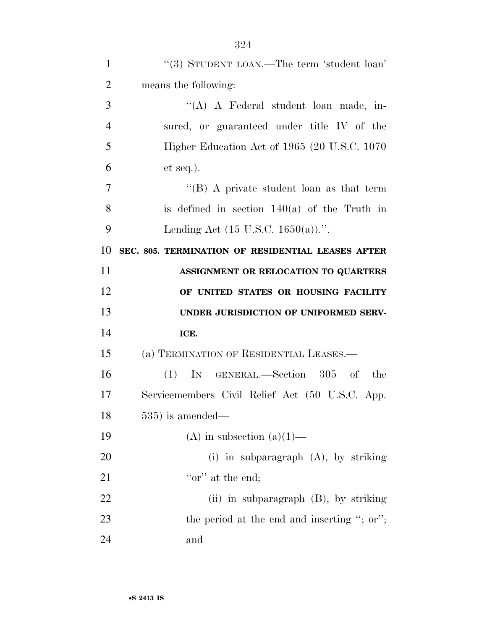| $\mathbf{1}$   | "(3) STUDENT LOAN.—The term 'student loan'        |
|----------------|---------------------------------------------------|
| $\overline{2}$ | means the following:                              |
| 3              | "(A) A Federal student loan made, in-             |
| $\overline{4}$ | sured, or guaranteed under title IV of the        |
| 5              | Higher Education Act of 1965 (20 U.S.C. 1070)     |
| 6              | $et seq.$ ).                                      |
| 7              | "(B) A private student loan as that term          |
| 8              | is defined in section $140(a)$ of the Truth in    |
| 9              | Lending Act $(15 \text{ U.S.C. } 1650(a))$ .".    |
| 10             | SEC. 805. TERMINATION OF RESIDENTIAL LEASES AFTER |
| 11             | ASSIGNMENT OR RELOCATION TO QUARTERS              |
|                | OF UNITED STATES OR HOUSING FACILITY              |
| 12             |                                                   |
| 13             | UNDER JURISDICTION OF UNIFORMED SERV-             |
| 14             | ICE.                                              |
| 15             | (a) TERMINATION OF RESIDENTIAL LEASES.—           |
| 16             | $(1)$ IN GENERAL.—Section 305 of the              |
| 17             | Servicemembers Civil Relief Act (50 U.S.C. App.   |
| 18             | $535$ ) is amended—                               |
| 19             | (A) in subsection (a)(1)—                         |
| 20             | (i) in subparagraph $(A)$ , by striking           |
| 21             | "or" at the end;                                  |
| 22             | $(ii)$ in subparagraph $(B)$ , by striking        |
| 23             | the period at the end and inserting "; or";       |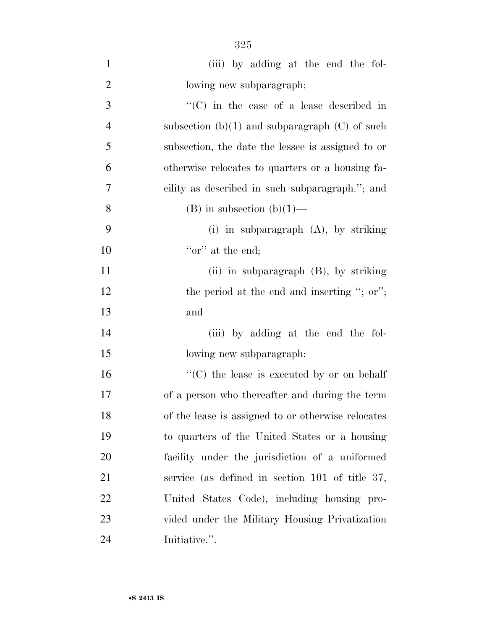| $\mathbf{1}$   | (iii) by adding at the end the fol-                |
|----------------|----------------------------------------------------|
| $\overline{2}$ | lowing new subparagraph:                           |
| 3              | $\lq\lq$ (C) in the case of a lease described in   |
| $\overline{4}$ | subsection $(b)(1)$ and subparagraph $(C)$ of such |
| 5              | subsection, the date the lessee is assigned to or  |
| 6              | otherwise relocates to quarters or a housing fa-   |
| 7              | cility as described in such subparagraph."; and    |
| 8              | $(B)$ in subsection $(b)(1)$ —                     |
| 9              | (i) in subparagraph $(A)$ , by striking            |
| 10             | "or" at the end;                                   |
| 11             | (ii) in subparagraph (B), by striking              |
| 12             | the period at the end and inserting "; or";        |
| 13             | and                                                |
| 14             | (iii) by adding at the end the fol-                |
| 15             | lowing new subparagraph:                           |
| 16             | $\lq\lq$ (C) the lease is executed by or on behalf |
| 17             | of a person who thereafter and during the term     |
| 18             | of the lease is assigned to or otherwise relocates |
| 19             | to quarters of the United States or a housing      |
| 20             | facility under the jurisdiction of a uniformed     |
| 21             | service (as defined in section $101$ of title 37,  |
| 22             | United States Code), including housing pro-        |
| 23             | vided under the Military Housing Privatization     |
| 24             | Initiative.".                                      |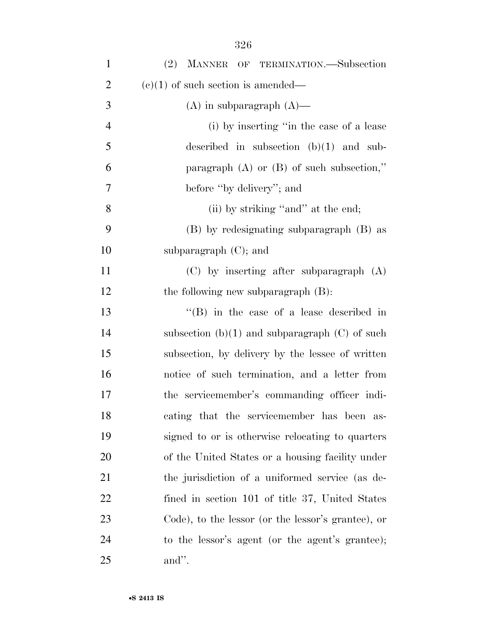| $\mathbf{1}$   | MANNER OF TERMINATION.-Subsection<br>(2)           |
|----------------|----------------------------------------------------|
| $\overline{2}$ | $(e)(1)$ of such section is amended—               |
| 3              | $(A)$ in subparagraph $(A)$ —                      |
| $\overline{4}$ | (i) by inserting "in the case of a lease           |
| 5              | described in subsection $(b)(1)$ and sub-          |
| 6              | paragraph $(A)$ or $(B)$ of such subsection,"      |
| 7              | before "by delivery"; and                          |
| 8              | (ii) by striking "and" at the end;                 |
| 9              | (B) by redesignating subparagraph (B) as           |
| 10             | subparagraph $(C)$ ; and                           |
| 11             | $(C)$ by inserting after subparagraph $(A)$        |
| 12             | the following new subparagraph $(B)$ :             |
| 13             | $\lq\lq$ (B) in the case of a lease described in   |
| 14             | subsection $(b)(1)$ and subparagraph $(C)$ of such |
| 15             | subsection, by delivery by the lessee of written   |
| 16             | notice of such termination, and a letter from      |
| 17             | the servicemember's commanding officer indi-       |
| 18             | cating that the servicemember has been as-         |
| 19             | signed to or is otherwise relocating to quarters   |
| 20             | of the United States or a housing facility under   |
| 21             | the jurisdiction of a uniformed service (as de-    |
| 22             | fined in section 101 of title 37, United States    |
| 23             | Code), to the lessor (or the lessor's grantee), or |
| 24             | to the lessor's agent (or the agent's grantee);    |
| 25             | and".                                              |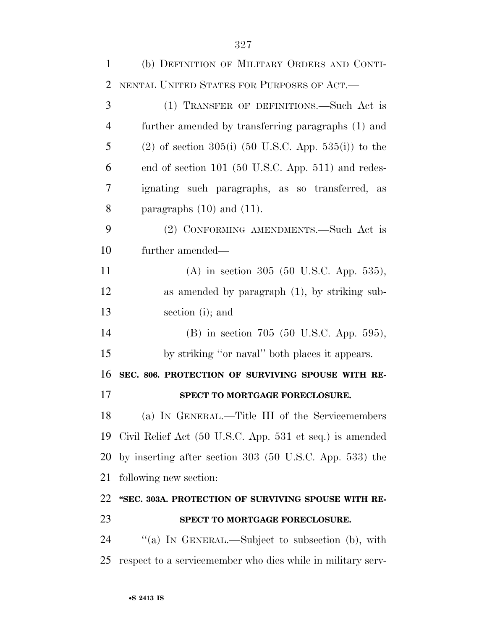| $\mathbf{1}$   | (b) DEFINITION OF MILITARY ORDERS AND CONTI-                |
|----------------|-------------------------------------------------------------|
| $\overline{2}$ | NENTAL UNITED STATES FOR PURPOSES OF ACT.                   |
| 3              | (1) TRANSFER OF DEFINITIONS.—Such Act is                    |
| $\overline{4}$ | further amended by transferring paragraphs (1) and          |
| 5              | $(2)$ of section 305(i) (50 U.S.C. App. 535(i)) to the      |
| 6              | end of section 101 (50 U.S.C. App. 511) and redes-          |
| 7              | ignating such paragraphs, as so transferred, as             |
| 8              | paragraphs $(10)$ and $(11)$ .                              |
| 9              | (2) CONFORMING AMENDMENTS.—Such Act is                      |
| 10             | further amended—                                            |
| 11             | (A) in section 305 (50 U.S.C. App. 535),                    |
| 12             | as amended by paragraph $(1)$ , by striking sub-            |
| 13             | section (i); and                                            |
| 14             | (B) in section 705 (50 U.S.C. App. 595),                    |
| 15             | by striking "or naval" both places it appears.              |
| 16             | SEC. 806. PROTECTION OF SURVIVING SPOUSE WITH RE-           |
| 17             | SPECT TO MORTGAGE FORECLOSURE.                              |
| 18             | (a) IN GENERAL.—Title III of the Servicemembers             |
| 19             | Civil Relief Act (50 U.S.C. App. 531 et seq.) is amended    |
| 20             | by inserting after section $303$ (50 U.S.C. App. 533) the   |
| 21             | following new section:                                      |
| 22             | "SEC. 303A. PROTECTION OF SURVIVING SPOUSE WITH RE-         |
| 23             | SPECT TO MORTGAGE FORECLOSURE.                              |
| 24             | "(a) IN GENERAL.—Subject to subsection (b), with            |
| 25             | respect to a servicemember who dies while in military serv- |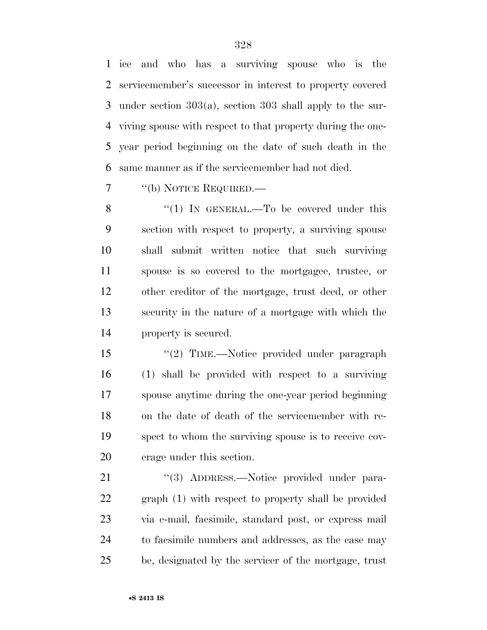ice and who has a surviving spouse who is the servicemember's successor in interest to property covered under section 303(a), section 303 shall apply to the sur- viving spouse with respect to that property during the one- year period beginning on the date of such death in the same manner as if the servicemember had not died.

''(b) NOTICE REQUIRED.—

8 "(1) IN GENERAL.—To be covered under this section with respect to property, a surviving spouse shall submit written notice that such surviving spouse is so covered to the mortgagee, trustee, or other creditor of the mortgage, trust deed, or other security in the nature of a mortgage with which the property is secured.

15 "(2) TIME.—Notice provided under paragraph (1) shall be provided with respect to a surviving spouse anytime during the one-year period beginning on the date of death of the servicemember with re- spect to whom the surviving spouse is to receive cov-erage under this section.

21 "(3) ADDRESS.—Notice provided under para- graph (1) with respect to property shall be provided via e-mail, facsimile, standard post, or express mail to facsimile numbers and addresses, as the case may be, designated by the servicer of the mortgage, trust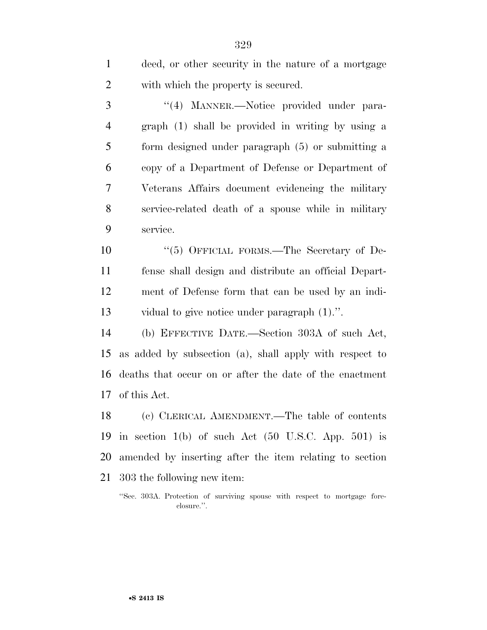deed, or other security in the nature of a mortgage with which the property is secured. 3 "(4) MANNER.—Notice provided under para- graph (1) shall be provided in writing by using a form designed under paragraph (5) or submitting a copy of a Department of Defense or Department of Veterans Affairs document evidencing the military service-related death of a spouse while in military service. 10 "(5) OFFICIAL FORMS.—The Secretary of De- fense shall design and distribute an official Depart- ment of Defense form that can be used by an indi- vidual to give notice under paragraph (1).''. (b) EFFECTIVE DATE.—Section 303A of such Act, as added by subsection (a), shall apply with respect to deaths that occur on or after the date of the enactment of this Act. (c) CLERICAL AMENDMENT.—The table of contents

 in section 1(b) of such Act (50 U.S.C. App. 501) is amended by inserting after the item relating to section 303 the following new item:

''Sec. 303A. Protection of surviving spouse with respect to mortgage foreclosure.''.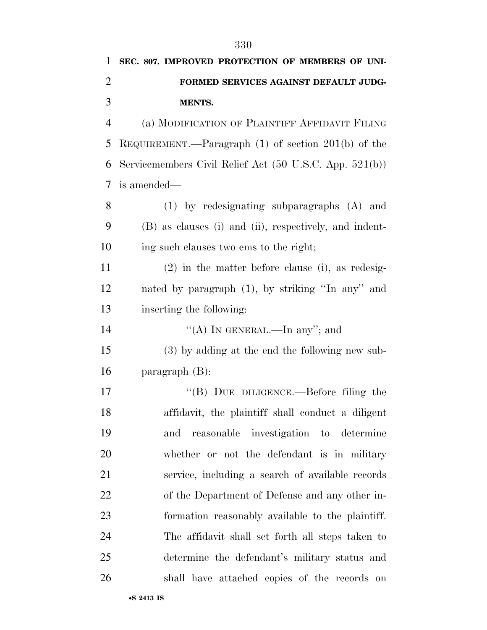| 1              | SEC. 807. IMPROVED PROTECTION OF MEMBERS OF UNI-        |
|----------------|---------------------------------------------------------|
| $\overline{2}$ | FORMED SERVICES AGAINST DEFAULT JUDG-                   |
| 3              | <b>MENTS.</b>                                           |
| $\overline{4}$ | (a) MODIFICATION OF PLAINTIFF AFFIDAVIT FILING          |
| 5              | REQUIREMENT.—Paragraph $(1)$ of section $201(b)$ of the |
| 6              | Servicemembers Civil Relief Act (50 U.S.C. App. 521(b)) |
| 7              | is amended—                                             |
| 8              | $(1)$ by redesignating subparagraphs $(A)$ and          |
| 9              | (B) as clauses (i) and (ii), respectively, and indent-  |
| 10             | ing such clauses two ems to the right;                  |
| 11             | $(2)$ in the matter before clause (i), as redesig-      |
| 12             | nated by paragraph (1), by striking "In any" and        |
| 13             | inserting the following:                                |
| 14             | "(A) IN GENERAL.—In any"; and                           |
| 15             | (3) by adding at the end the following new sub-         |
| 16             | paragraph $(B)$ :                                       |
| 17             | "(B) DUE DILIGENCE.—Before filing the                   |
| 18             | affidavit, the plaintiff shall conduct a diligent       |
| 19             | reasonable investigation to determine<br>and            |
| 20             | whether or not the defendant is in military             |
| 21             | service, including a search of available records        |
| 22             | of the Department of Defense and any other in-          |
| 23             | formation reasonably available to the plaintiff.        |
| 24             | The affidavit shall set forth all steps taken to        |
| 25             | determine the defendant's military status and           |
| 26             | shall have attached copies of the records on            |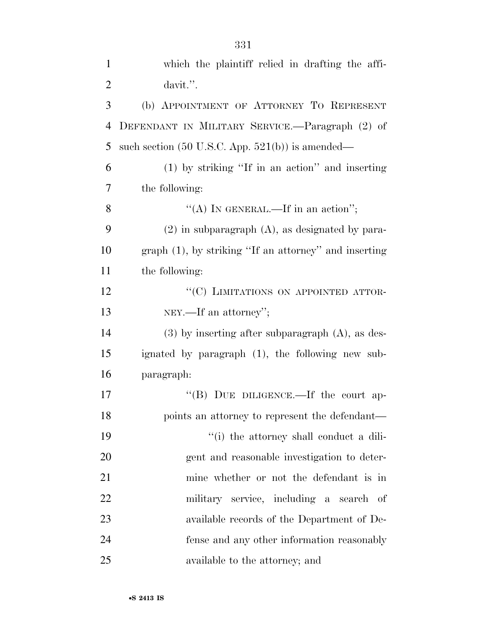| $\mathbf{1}$   | which the plaintiff relied in drafting the affi-            |
|----------------|-------------------------------------------------------------|
| $\overline{2}$ | davit.".                                                    |
| 3              | (b) APPOINTMENT OF ATTORNEY TO REPRESENT                    |
| $\overline{4}$ | DEFENDANT IN MILITARY SERVICE.—Paragraph (2) of             |
| 5              | such section $(50 \text{ U.S.C. App. } 521(b))$ is amended— |
| 6              | $(1)$ by striking "If in an action" and inserting           |
| 7              | the following:                                              |
| 8              | "(A) IN GENERAL.—If in an action";                          |
| 9              | $(2)$ in subparagraph $(A)$ , as designated by para-        |
| 10             | $graph(1)$ , by striking "If an attorney" and inserting     |
| 11             | the following:                                              |
| 12             | "(C) LIMITATIONS ON APPOINTED ATTOR-                        |
| 13             | NEY.—If an attorney";                                       |
| 14             | $(3)$ by inserting after subparagraph $(A)$ , as des-       |
| 15             | ignated by paragraph (1), the following new sub-            |
| 16             | paragraph:                                                  |
| 17             | "(B) DUE DILIGENCE.—If the court ap-                        |
| 18             | points an attorney to represent the defendant—              |
| 19             | "(i) the attorney shall conduct a dili-                     |
| 20             | gent and reasonable investigation to deter-                 |
| 21             | mine whether or not the defendant is in                     |
| 22             | military service, including a search of                     |
| 23             | available records of the Department of De-                  |
| 24             | fense and any other information reasonably                  |
| 25             | available to the attorney; and                              |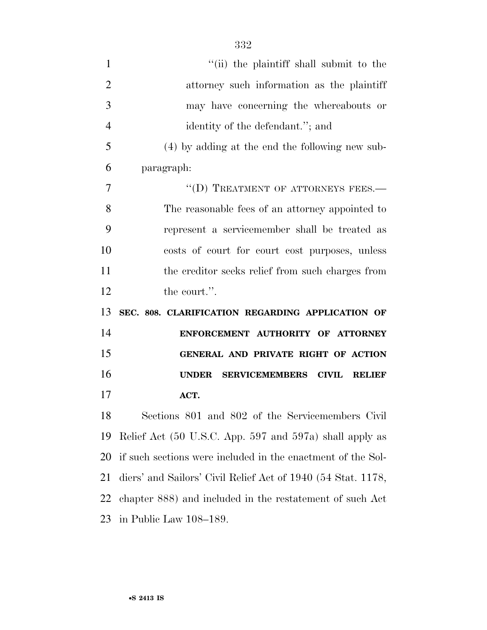| $\mathbf{1}$   | "(ii) the plaintiff shall submit to the                      |
|----------------|--------------------------------------------------------------|
| $\overline{2}$ | attorney such information as the plaintiff                   |
| 3              | may have concerning the whereabouts or                       |
| $\overline{4}$ | identity of the defendant."; and                             |
| 5              | (4) by adding at the end the following new sub-              |
| 6              | paragraph:                                                   |
| 7              | "(D) TREATMENT OF ATTORNEYS FEES.-                           |
| 8              | The reasonable fees of an attorney appointed to              |
| 9              | represent a servicemember shall be treated as                |
| 10             | costs of court for court cost purposes, unless               |
| 11             | the creditor seeks relief from such charges from             |
| 12             | the court.".                                                 |
|                |                                                              |
| 13             | SEC. 808. CLARIFICATION REGARDING APPLICATION OF             |
| 14             | ENFORCEMENT AUTHORITY OF ATTORNEY                            |
| 15             | GENERAL AND PRIVATE RIGHT OF ACTION                          |
| 16             | <b>UNDER</b><br>SERVICEMEMBERS CIVIL RELIEF                  |
| 17             | ACT.                                                         |
| 18             | Sections 801 and 802 of the Servicemembers Civil             |
| 19             | Relief Act (50 U.S.C. App. 597 and 597a) shall apply as      |
| 20             | if such sections were included in the enactment of the Sol-  |
| 21             | diers' and Sailors' Civil Relief Act of 1940 (54 Stat. 1178, |
| 22             | chapter 888) and included in the restatement of such Act     |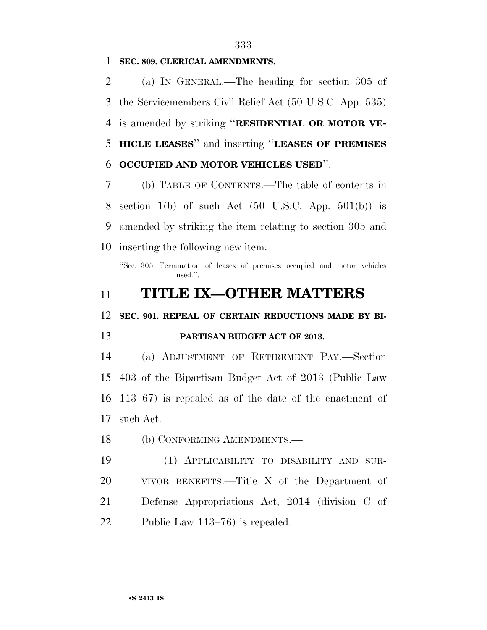#### **SEC. 809. CLERICAL AMENDMENTS.**

 (a) IN GENERAL.—The heading for section 305 of the Servicemembers Civil Relief Act (50 U.S.C. App. 535) is amended by striking ''**RESIDENTIAL OR MOTOR VE- HICLE LEASES**'' and inserting ''**LEASES OF PREMISES OCCUPIED AND MOTOR VEHICLES USED**''.

 (b) TABLE OF CONTENTS.—The table of contents in 8 section 1(b) of such Act  $(50 \text{ U.S.C. App. } 501(b))$  is amended by striking the item relating to section 305 and inserting the following new item:

''Sec. 305. Termination of leases of premises occupied and motor vehicles used.''.

## **TITLE IX—OTHER MATTERS**

**SEC. 901. REPEAL OF CERTAIN REDUCTIONS MADE BY BI-**

### **PARTISAN BUDGET ACT OF 2013.**

 (a) ADJUSTMENT OF RETIREMENT PAY.—Section 403 of the Bipartisan Budget Act of 2013 (Public Law 113–67) is repealed as of the date of the enactment of such Act.

(b) CONFORMING AMENDMENTS.—

 (1) APPLICABILITY TO DISABILITY AND SUR- VIVOR BENEFITS.—Title X of the Department of Defense Appropriations Act, 2014 (division C of Public Law 113–76) is repealed.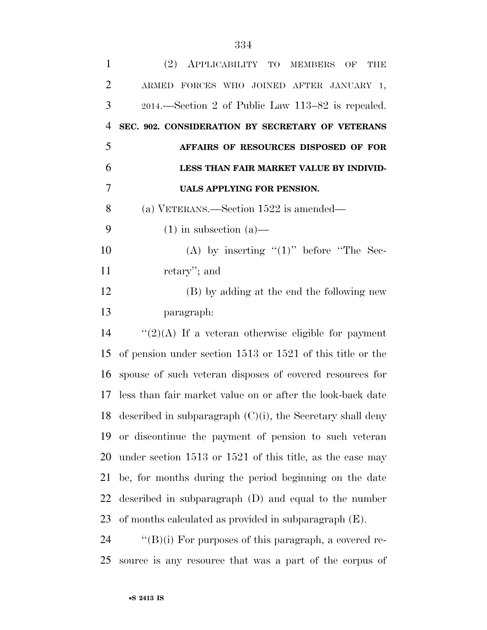| $\mathbf{1}$   | (2)<br>APPLICABILITY TO MEMBERS<br><b>THE</b><br>OF            |
|----------------|----------------------------------------------------------------|
| $\overline{2}$ | ARMED FORCES WHO JOINED AFTER JANUARY 1,                       |
| 3              | 2014.—Section 2 of Public Law 113–82 is repealed.              |
| 4              | SEC. 902. CONSIDERATION BY SECRETARY OF VETERANS               |
| 5              | AFFAIRS OF RESOURCES DISPOSED OF FOR                           |
| 6              | LESS THAN FAIR MARKET VALUE BY INDIVID-                        |
| 7              | UALS APPLYING FOR PENSION.                                     |
| 8              | (a) VETERANS.—Section 1522 is amended—                         |
| 9              | $(1)$ in subsection $(a)$ —                                    |
| 10             | (A) by inserting " $(1)$ " before "The Sec-                    |
| 11             | retary"; and                                                   |
| 12             | (B) by adding at the end the following new                     |
| 13             | paragraph:                                                     |
| 14             | " $(2)(A)$ If a veteran otherwise eligible for payment         |
| 15             | of pension under section $1513$ or $1521$ of this title or the |
| 16             | spouse of such veteran disposes of covered resources for       |
| 17             | less than fair market value on or after the look-back date     |
| 18             | described in subparagraph $(C)(i)$ , the Secretary shall deny  |
| 19             | or discontinue the payment of pension to such veteran          |
| 20             | under section 1513 or 1521 of this title, as the case may      |
| 21             | be, for months during the period beginning on the date         |
| 22             | described in subparagraph (D) and equal to the number          |
| 23             | of months calculated as provided in subparagraph $(E)$ .       |
| 24             | " $(B)(i)$ For purposes of this paragraph, a covered re-       |
| 25             | source is any resource that was a part of the corpus of        |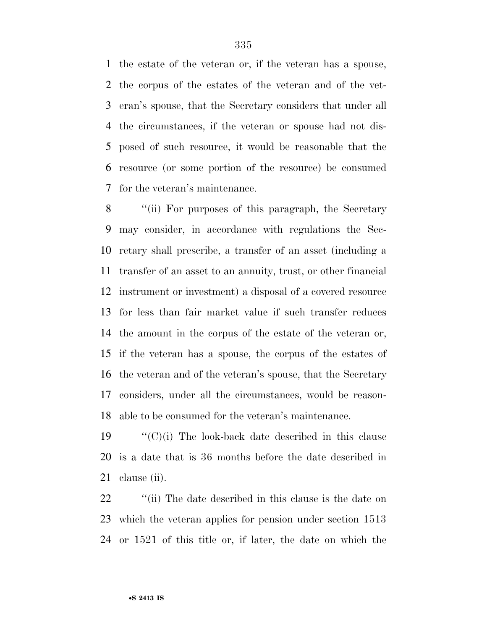the estate of the veteran or, if the veteran has a spouse, the corpus of the estates of the veteran and of the vet- eran's spouse, that the Secretary considers that under all the circumstances, if the veteran or spouse had not dis- posed of such resource, it would be reasonable that the resource (or some portion of the resource) be consumed for the veteran's maintenance.

8 "(ii) For purposes of this paragraph, the Secretary may consider, in accordance with regulations the Sec- retary shall prescribe, a transfer of an asset (including a transfer of an asset to an annuity, trust, or other financial instrument or investment) a disposal of a covered resource for less than fair market value if such transfer reduces the amount in the corpus of the estate of the veteran or, if the veteran has a spouse, the corpus of the estates of the veteran and of the veteran's spouse, that the Secretary considers, under all the circumstances, would be reason-able to be consumed for the veteran's maintenance.

19  $\langle (C)(i)$  The look-back date described in this clause is a date that is 36 months before the date described in clause (ii).

22 ''(ii) The date described in this clause is the date on which the veteran applies for pension under section 1513 or 1521 of this title or, if later, the date on which the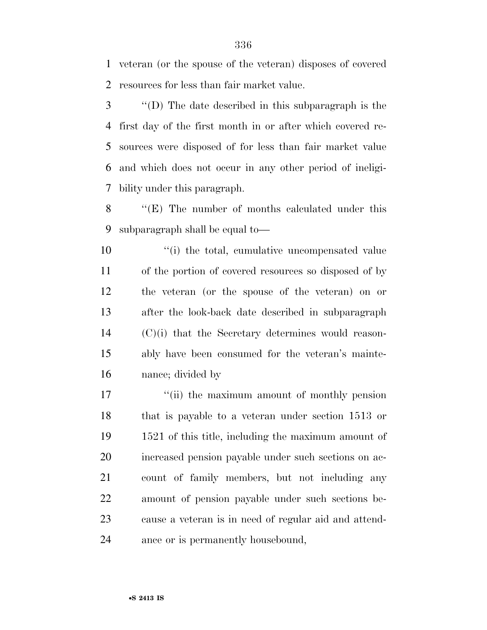veteran (or the spouse of the veteran) disposes of covered resources for less than fair market value.

 ''(D) The date described in this subparagraph is the first day of the first month in or after which covered re- sources were disposed of for less than fair market value and which does not occur in any other period of ineligi-bility under this paragraph.

 ''(E) The number of months calculated under this subparagraph shall be equal to—

 $\frac{1}{10}$  the total, cumulative uncompensated value of the portion of covered resources so disposed of by the veteran (or the spouse of the veteran) on or after the look-back date described in subparagraph (C)(i) that the Secretary determines would reason- ably have been consumed for the veteran's mainte-nance; divided by

17 ''(ii) the maximum amount of monthly pension that is payable to a veteran under section 1513 or 1521 of this title, including the maximum amount of increased pension payable under such sections on ac- count of family members, but not including any amount of pension payable under such sections be- cause a veteran is in need of regular aid and attend-ance or is permanently housebound,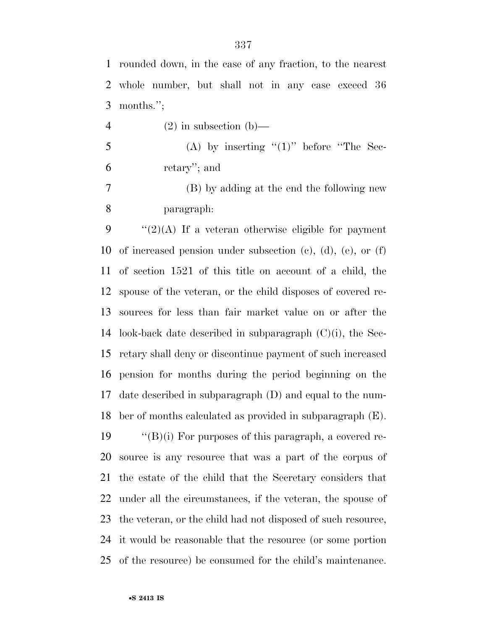rounded down, in the case of any fraction, to the nearest whole number, but shall not in any case exceed 36 months.'';

- 4 (2) in subsection (b)—
- (A) by inserting " $(1)$ " before "The Sec-retary''; and

 (B) by adding at the end the following new paragraph:

 "(2)(A) If a veteran otherwise eligible for payment of increased pension under subsection (c), (d), (e), or (f) of section 1521 of this title on account of a child, the spouse of the veteran, or the child disposes of covered re- sources for less than fair market value on or after the 14 look-back date described in subparagraph  $(C)(i)$ , the Sec- retary shall deny or discontinue payment of such increased pension for months during the period beginning on the date described in subparagraph (D) and equal to the num-ber of months calculated as provided in subparagraph (E).

 ''(B)(i) For purposes of this paragraph, a covered re- source is any resource that was a part of the corpus of the estate of the child that the Secretary considers that under all the circumstances, if the veteran, the spouse of the veteran, or the child had not disposed of such resource, it would be reasonable that the resource (or some portion of the resource) be consumed for the child's maintenance.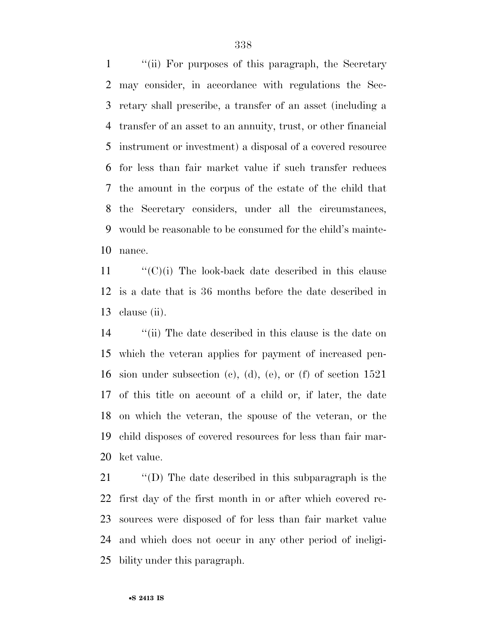''(ii) For purposes of this paragraph, the Secretary may consider, in accordance with regulations the Sec- retary shall prescribe, a transfer of an asset (including a transfer of an asset to an annuity, trust, or other financial instrument or investment) a disposal of a covered resource for less than fair market value if such transfer reduces the amount in the corpus of the estate of the child that the Secretary considers, under all the circumstances, would be reasonable to be consumed for the child's mainte-nance.

 "'(C)(i) The look-back date described in this clause is a date that is 36 months before the date described in clause (ii).

 ''(ii) The date described in this clause is the date on which the veteran applies for payment of increased pen- sion under subsection (c), (d), (e), or (f) of section 1521 of this title on account of a child or, if later, the date on which the veteran, the spouse of the veteran, or the child disposes of covered resources for less than fair mar-ket value.

 ''(D) The date described in this subparagraph is the first day of the first month in or after which covered re- sources were disposed of for less than fair market value and which does not occur in any other period of ineligi-bility under this paragraph.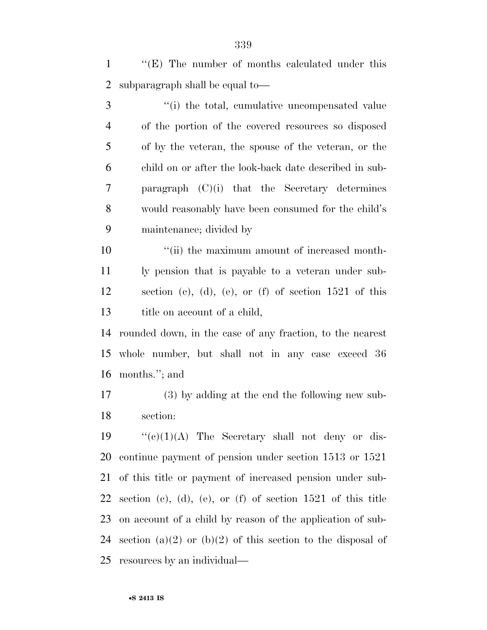1 ""(E) The number of months calculated under this subparagraph shall be equal to—

3 (i) the total, cumulative uncompensated value of the portion of the covered resources so disposed of by the veteran, the spouse of the veteran, or the child on or after the look-back date described in sub- paragraph (C)(i) that the Secretary determines would reasonably have been consumed for the child's maintenance; divided by

 $\frac{1}{10}$  the maximum amount of increased month- ly pension that is payable to a veteran under sub- section (c), (d), (e), or (f) of section 1521 of this 13 title on account of a child,

 rounded down, in the case of any fraction, to the nearest whole number, but shall not in any case exceed 36 months.''; and

 (3) by adding at the end the following new sub-section:

 $\langle (e)(1)(A)$  The Secretary shall not deny or dis- continue payment of pension under section 1513 or 1521 of this title or payment of increased pension under sub-22 section (c), (d), (e), or (f) of section of this title on account of a child by reason of the application of sub-24 section (a)(2) or (b)(2) of this section to the disposal of resources by an individual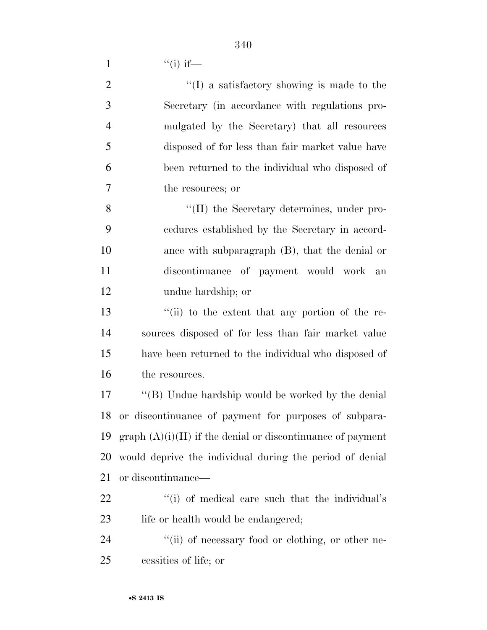1  $"$ (i) if—

| $\overline{2}$ | $\lq\lq$ a satisfactory showing is made to the               |
|----------------|--------------------------------------------------------------|
| 3              | Secretary (in accordance with regulations pro-               |
| $\overline{4}$ | mulgated by the Secretary) that all resources                |
| 5              | disposed of for less than fair market value have             |
| 6              | been returned to the individual who disposed of              |
| 7              | the resources; or                                            |
| 8              | "(II) the Secretary determines, under pro-                   |
| 9              | cedures established by the Secretary in accord-              |
| 10             | ance with subparagraph $(B)$ , that the denial or            |
| 11             | discontinuance of payment would work an                      |
| 12             | undue hardship; or                                           |
| 13             | "(ii) to the extent that any portion of the re-              |
| 14             | sources disposed of for less than fair market value          |
| 15             | have been returned to the individual who disposed of         |
| 16             | the resources.                                               |
| 17             | "(B) Undue hardship would be worked by the denial            |
| 18             | or discontinuance of payment for purposes of subpara-        |
| 19             | $graph(A)(i)(II)$ if the denial or discontinuance of payment |
| 20             | would deprive the individual during the period of denial     |
| 21             | or discontinuance—                                           |
| 22             | "(i) of medical care such that the individual's              |
| 23             | life or health would be endangered;                          |
| 24             | "(ii) of necessary food or clothing, or other ne-            |
| 25             | cessities of life; or                                        |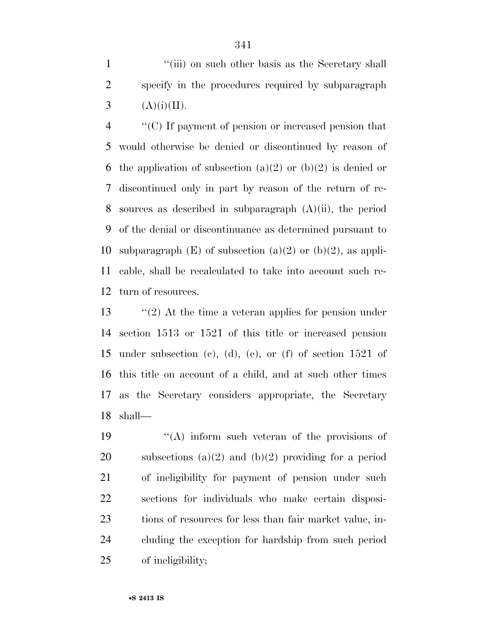1 ''(iii) on such other basis as the Secretary shall specify in the procedures required by subparagraph 3  $(A)(i)(II)$ .

 ''(C) If payment of pension or increased pension that would otherwise be denied or discontinued by reason of 6 the application of subsection (a)(2) or (b)(2) is denied or discontinued only in part by reason of the return of re- sources as described in subparagraph (A)(ii), the period of the denial or discontinuance as determined pursuant to 10 subparagraph  $(E)$  of subsection  $(a)(2)$  or  $(b)(2)$ , as appli- cable, shall be recalculated to take into account such re-turn of resources.

 ''(2) At the time a veteran applies for pension under section 1513 or 1521 of this title or increased pension under subsection (c), (d), (e), or (f) of section 1521 of this title on account of a child, and at such other times as the Secretary considers appropriate, the Secretary shall—

 $\langle (A)$  inform such veteran of the provisions of 20 subsections  $(a)(2)$  and  $(b)(2)$  providing for a period of ineligibility for payment of pension under such sections for individuals who make certain disposi- tions of resources for less than fair market value, in- cluding the exception for hardship from such period of ineligibility;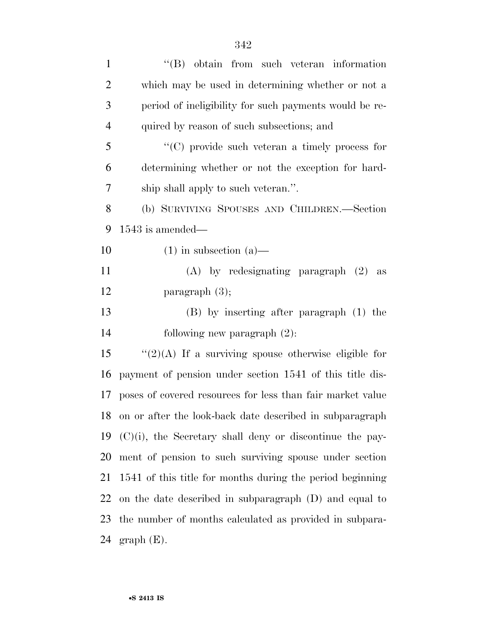| $\mathbf{1}$   | $\lq\lq$ obtain from such veteran information               |
|----------------|-------------------------------------------------------------|
| $\overline{2}$ | which may be used in determining whether or not a           |
| 3              | period of ineligibility for such payments would be re-      |
| $\overline{4}$ | quired by reason of such subsections; and                   |
| 5              | $\lq\lq$ (C) provide such veteran a timely process for      |
| 6              | determining whether or not the exception for hard-          |
| 7              | ship shall apply to such veteran.".                         |
| 8              | (b) SURVIVING SPOUSES AND CHILDREN.—Section                 |
| 9              | $1543$ is amended—                                          |
| 10             | $(1)$ in subsection $(a)$ —                                 |
| 11             | $(A)$ by redesignating paragraph $(2)$ as                   |
| 12             | paragraph $(3)$ ;                                           |
| 13             | $(B)$ by inserting after paragraph $(1)$ the                |
| 14             | following new paragraph $(2)$ :                             |
| 15             | " $(2)(A)$ If a surviving spouse otherwise eligible for     |
| 16             | payment of pension under section 1541 of this title dis-    |
| 17             | poses of covered resources for less than fair market value  |
| 18             | on or after the look-back date described in subparagraph    |
| 19             | $(C)(i)$ , the Secretary shall deny or discontinue the pay- |
| 20             | ment of pension to such surviving spouse under section      |
| 21             | 1541 of this title for months during the period beginning   |
| 22             | on the date described in subparagraph $(D)$ and equal to    |
| 23             | the number of months calculated as provided in subpara-     |
| 24             | $graph(E)$ .                                                |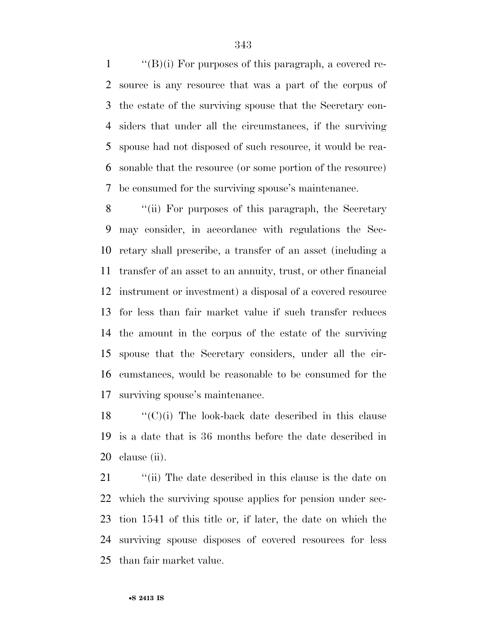$\langle$  (B)(i) For purposes of this paragraph, a covered re- source is any resource that was a part of the corpus of the estate of the surviving spouse that the Secretary con- siders that under all the circumstances, if the surviving spouse had not disposed of such resource, it would be rea- sonable that the resource (or some portion of the resource) be consumed for the surviving spouse's maintenance.

 ''(ii) For purposes of this paragraph, the Secretary may consider, in accordance with regulations the Sec- retary shall prescribe, a transfer of an asset (including a transfer of an asset to an annuity, trust, or other financial instrument or investment) a disposal of a covered resource for less than fair market value if such transfer reduces the amount in the corpus of the estate of the surviving spouse that the Secretary considers, under all the cir- cumstances, would be reasonable to be consumed for the surviving spouse's maintenance.

 "'(C)(i) The look-back date described in this clause is a date that is 36 months before the date described in clause (ii).

21 ''(ii) The date described in this clause is the date on which the surviving spouse applies for pension under sec- tion 1541 of this title or, if later, the date on which the surviving spouse disposes of covered resources for less than fair market value.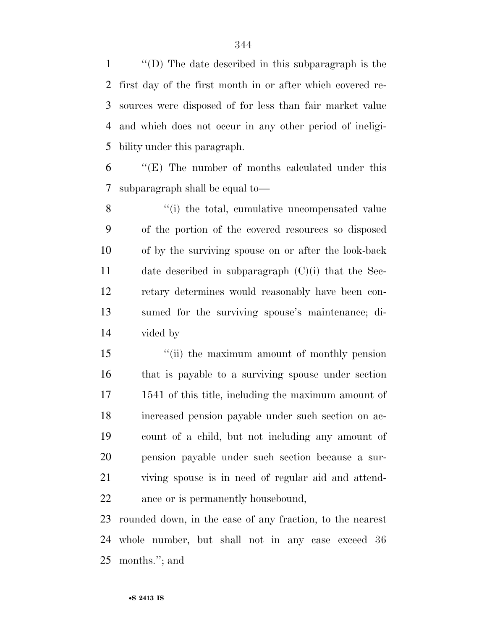''(D) The date described in this subparagraph is the first day of the first month in or after which covered re- sources were disposed of for less than fair market value and which does not occur in any other period of ineligi-bility under this paragraph.

 ''(E) The number of months calculated under this subparagraph shall be equal to—

8 ''(i) the total, cumulative uncompensated value of the portion of the covered resources so disposed of by the surviving spouse on or after the look-back date described in subparagraph (C)(i) that the Sec- retary determines would reasonably have been con- sumed for the surviving spouse's maintenance; di-vided by

 ''(ii) the maximum amount of monthly pension that is payable to a surviving spouse under section 1541 of this title, including the maximum amount of increased pension payable under such section on ac- count of a child, but not including any amount of pension payable under such section because a sur- viving spouse is in need of regular aid and attend-ance or is permanently housebound,

 rounded down, in the case of any fraction, to the nearest whole number, but shall not in any case exceed 36 months.''; and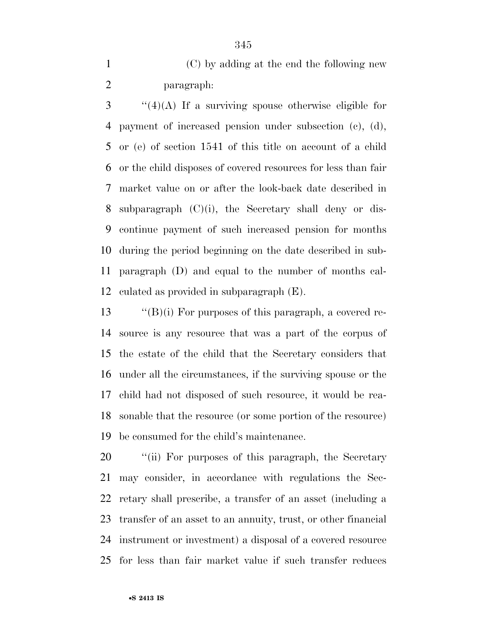(C) by adding at the end the following new paragraph:

 ''(4)(A) If a surviving spouse otherwise eligible for payment of increased pension under subsection (c), (d), or (e) of section 1541 of this title on account of a child or the child disposes of covered resources for less than fair market value on or after the look-back date described in subparagraph (C)(i), the Secretary shall deny or dis- continue payment of such increased pension for months during the period beginning on the date described in sub- paragraph (D) and equal to the number of months cal-culated as provided in subparagraph (E).

 ''(B)(i) For purposes of this paragraph, a covered re- source is any resource that was a part of the corpus of the estate of the child that the Secretary considers that under all the circumstances, if the surviving spouse or the child had not disposed of such resource, it would be rea- sonable that the resource (or some portion of the resource) be consumed for the child's maintenance.

20 "(ii) For purposes of this paragraph, the Secretary may consider, in accordance with regulations the Sec- retary shall prescribe, a transfer of an asset (including a transfer of an asset to an annuity, trust, or other financial instrument or investment) a disposal of a covered resource for less than fair market value if such transfer reduces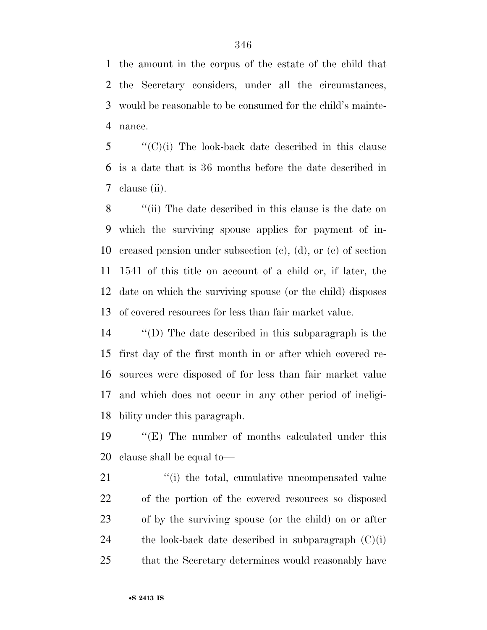the amount in the corpus of the estate of the child that the Secretary considers, under all the circumstances, would be reasonable to be consumed for the child's mainte-nance.

 ''(C)(i) The look-back date described in this clause is a date that is 36 months before the date described in clause (ii).

 ''(ii) The date described in this clause is the date on which the surviving spouse applies for payment of in- creased pension under subsection (c), (d), or (e) of section 1541 of this title on account of a child or, if later, the date on which the surviving spouse (or the child) disposes of covered resources for less than fair market value.

 ''(D) The date described in this subparagraph is the first day of the first month in or after which covered re- sources were disposed of for less than fair market value and which does not occur in any other period of ineligi-bility under this paragraph.

 ''(E) The number of months calculated under this clause shall be equal to—

21 ''(i) the total, cumulative uncompensated value of the portion of the covered resources so disposed of by the surviving spouse (or the child) on or after 24 the look-back date described in subparagraph  $(C)(i)$ that the Secretary determines would reasonably have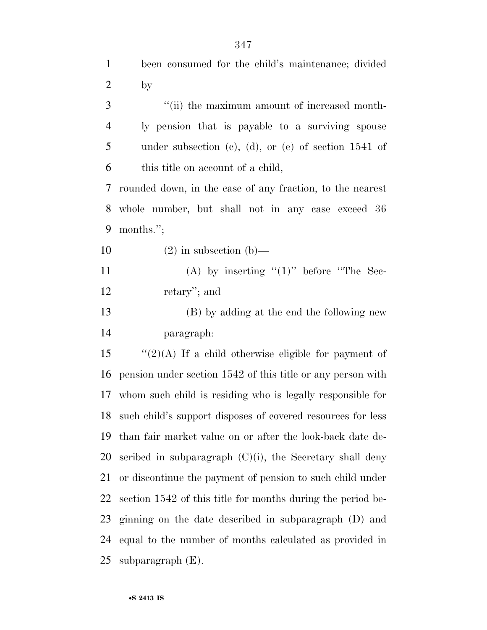| $\mathbf{1}$   | been consumed for the child's maintenance; divided             |
|----------------|----------------------------------------------------------------|
| $\mathbf{2}$   | by                                                             |
| 3              | "(ii) the maximum amount of increased month-                   |
| $\overline{4}$ | ly pension that is payable to a surviving spouse               |
| 5              | under subsection (c), (d), or (e) of section $1541$ of         |
| 6              | this title on account of a child,                              |
| 7              | rounded down, in the case of any fraction, to the nearest      |
| 8              | whole number, but shall not in any case exceed 36              |
| 9              | months.";                                                      |
| 10             | $(2)$ in subsection $(b)$ —                                    |
| 11             | (A) by inserting " $(1)$ " before "The Sec-                    |
| 12             | retary'; and                                                   |
| 13             | (B) by adding at the end the following new                     |
| 14             | paragraph:                                                     |
| 15             | " $(2)(A)$ If a child otherwise eligible for payment of        |
| 16             | pension under section 1542 of this title or any person with    |
| 17             | whom such child is residing who is legally responsible for     |
|                | 18 such child's support disposes of covered resources for less |
| 19             | than fair market value on or after the look-back date de-      |
| 20             | scribed in subparagraph $(C)(i)$ , the Secretary shall deny    |
| 21             | or discontinue the payment of pension to such child under      |
| 22             | section 1542 of this title for months during the period be-    |
| 23             | ginning on the date described in subparagraph (D) and          |
| 24             | equal to the number of months calculated as provided in        |
| 25             | subparagraph $(E)$ .                                           |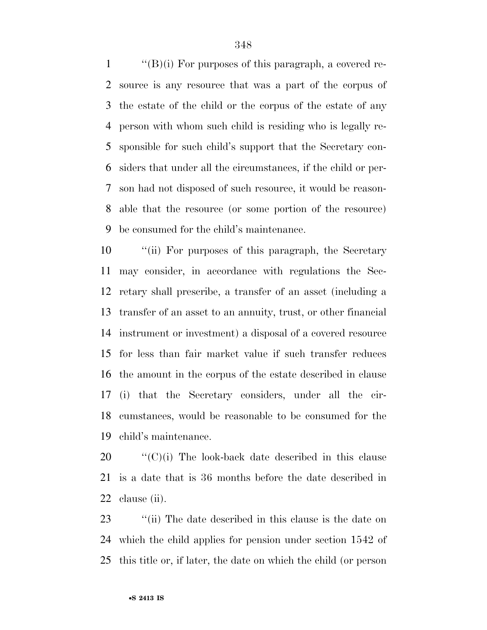$\langle$  (B)(i) For purposes of this paragraph, a covered re- source is any resource that was a part of the corpus of the estate of the child or the corpus of the estate of any person with whom such child is residing who is legally re- sponsible for such child's support that the Secretary con- siders that under all the circumstances, if the child or per- son had not disposed of such resource, it would be reason- able that the resource (or some portion of the resource) be consumed for the child's maintenance.

 ''(ii) For purposes of this paragraph, the Secretary may consider, in accordance with regulations the Sec- retary shall prescribe, a transfer of an asset (including a transfer of an asset to an annuity, trust, or other financial instrument or investment) a disposal of a covered resource for less than fair market value if such transfer reduces the amount in the corpus of the estate described in clause (i) that the Secretary considers, under all the cir- cumstances, would be reasonable to be consumed for the child's maintenance.

 ''(C)(i) The look-back date described in this clause is a date that is 36 months before the date described in clause (ii).

23 ''(ii) The date described in this clause is the date on which the child applies for pension under section 1542 of this title or, if later, the date on which the child (or person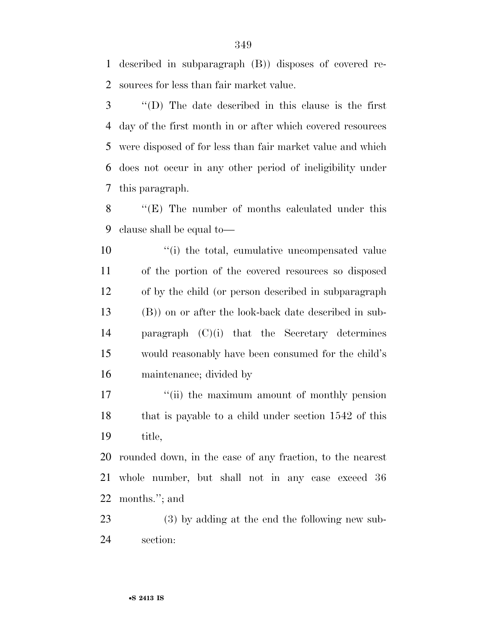described in subparagraph (B)) disposes of covered re-sources for less than fair market value.

 ''(D) The date described in this clause is the first day of the first month in or after which covered resources were disposed of for less than fair market value and which does not occur in any other period of ineligibility under this paragraph.

 ''(E) The number of months calculated under this clause shall be equal to—

 $\frac{1}{10}$  the total, cumulative uncompensated value of the portion of the covered resources so disposed of by the child (or person described in subparagraph (B)) on or after the look-back date described in sub- paragraph (C)(i) that the Secretary determines would reasonably have been consumed for the child's maintenance; divided by

17 <sup>"</sup>(ii) the maximum amount of monthly pension 18 that is payable to a child under section 1542 of this title,

 rounded down, in the case of any fraction, to the nearest whole number, but shall not in any case exceed 36 months.''; and

 (3) by adding at the end the following new sub-section: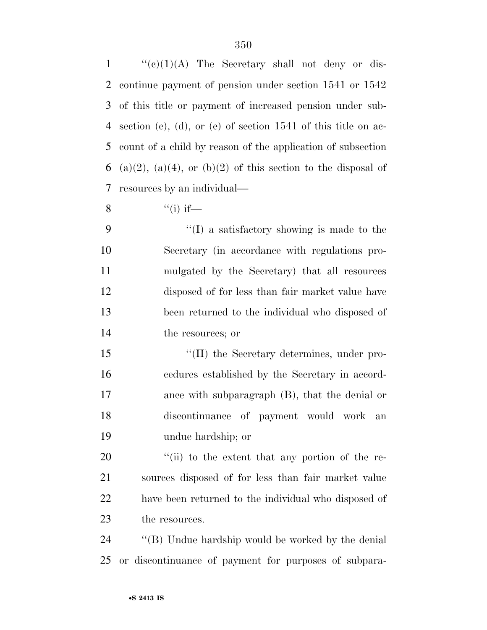''(e)(1)(A) The Secretary shall not deny or dis- continue payment of pension under section 1541 or 1542 of this title or payment of increased pension under sub- section (c), (d), or (e) of section 1541 of this title on ac- count of a child by reason of the application of subsection 6 (a)(2), (a)(4), or (b)(2) of this section to the disposal of resources by an individual—

8  $"$ (i) if—

 ''(I) a satisfactory showing is made to the Secretary (in accordance with regulations pro- mulgated by the Secretary) that all resources disposed of for less than fair market value have been returned to the individual who disposed of 14 the resources; or

 $\langle (II)$  the Secretary determines, under pro- cedures established by the Secretary in accord- ance with subparagraph (B), that the denial or discontinuance of payment would work an undue hardship; or

 $\frac{1}{20}$  (ii) to the extent that any portion of the re- sources disposed of for less than fair market value have been returned to the individual who disposed of 23 the resources.

 ''(B) Undue hardship would be worked by the denial or discontinuance of payment for purposes of subpara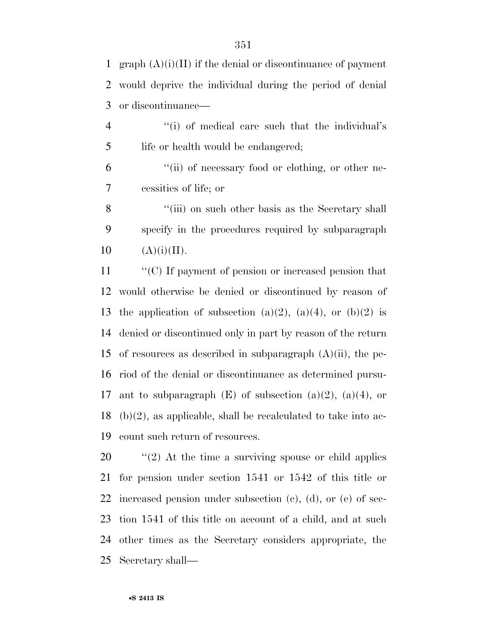1 graph  $(A)(i)(II)$  if the denial or discontinuance of payment would deprive the individual during the period of denial or discontinuance—

4 ''(i) of medical care such that the individual's 5 life or health would be endangered;

 ''(ii) of necessary food or clothing, or other ne-cessities of life; or

8 ''(iii) on such other basis as the Secretary shall specify in the procedures required by subparagraph 10  $(A)(i)(II)$ .

 ''(C) If payment of pension or increased pension that would otherwise be denied or discontinued by reason of 13 the application of subsection (a)(2), (a)(4), or (b)(2) is denied or discontinued only in part by reason of the return 15 of resources as described in subparagraph  $(A)(ii)$ , the pe- riod of the denial or discontinuance as determined pursu-17 ant to subparagraph  $(E)$  of subsection  $(a)(2)$ ,  $(a)(4)$ , or (b)(2), as applicable, shall be recalculated to take into ac-count such return of resources.

 $\frac{1}{2}$  (2) At the time a surviving spouse or child applies for pension under section 1541 or 1542 of this title or increased pension under subsection (c), (d), or (e) of sec- tion 1541 of this title on account of a child, and at such other times as the Secretary considers appropriate, the Secretary shall—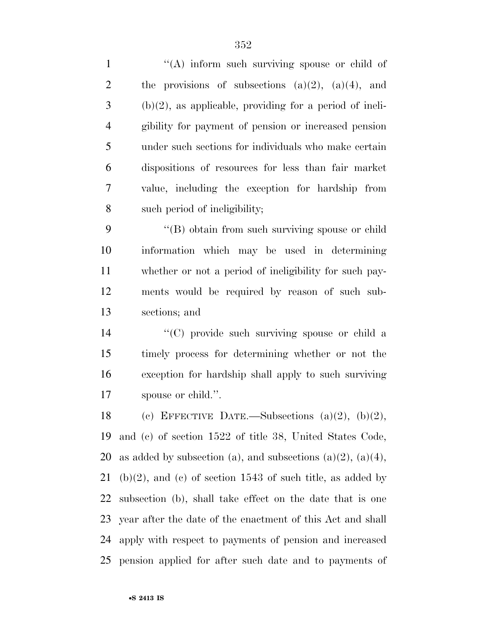| $\mathbf{1}$   | "(A) inform such surviving spouse or child of                 |
|----------------|---------------------------------------------------------------|
| $\overline{c}$ | the provisions of subsections $(a)(2)$ , $(a)(4)$ , and       |
| 3              | $(b)(2)$ , as applicable, providing for a period of ineli-    |
| $\overline{4}$ | gibility for payment of pension or increased pension          |
| 5              | under such sections for individuals who make certain          |
| 6              | dispositions of resources for less than fair market           |
| $\tau$         | value, including the exception for hardship from              |
| 8              | such period of ineligibility;                                 |
| 9              | "(B) obtain from such surviving spouse or child               |
| 10             | information which may be used in determining                  |
| 11             | whether or not a period of ineligibility for such pay-        |
| 12             | ments would be required by reason of such sub-                |
| 13             | sections; and                                                 |
| 14             | "(C) provide such surviving spouse or child a                 |
| 15             | timely process for determining whether or not the             |
| 16             | exception for hardship shall apply to such surviving          |
| 17             | spouse or child.".                                            |
| 18             | (c) EFFECTIVE DATE.—Subsections $(a)(2)$ , $(b)(2)$ ,         |
| 19             | and (c) of section 1522 of title 38, United States Code,      |
| 20             | as added by subsection (a), and subsections (a)(2), (a)(4),   |
| 21             | $(b)(2)$ , and (c) of section 1543 of such title, as added by |
| 22             | subsection (b), shall take effect on the date that is one     |
| 23             | year after the date of the enactment of this Act and shall    |
| 24             | apply with respect to payments of pension and increased       |
| 25             | pension applied for after such date and to payments of        |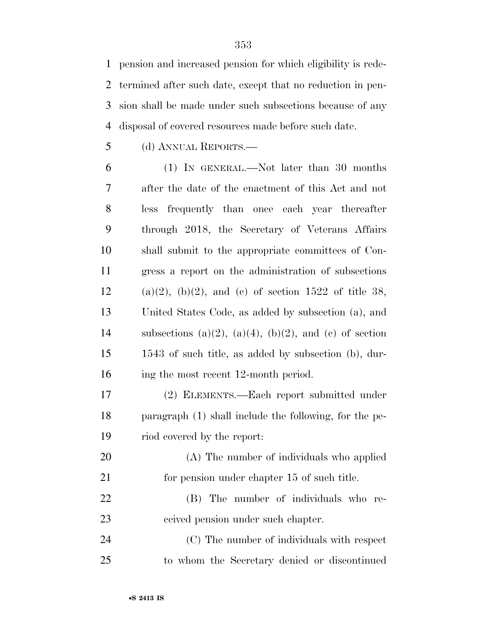pension and increased pension for which eligibility is rede- termined after such date, except that no reduction in pen- sion shall be made under such subsections because of any disposal of covered resources made before such date.

(d) ANNUAL REPORTS.—

 (1) IN GENERAL.—Not later than 30 months after the date of the enactment of this Act and not less frequently than once each year thereafter through 2018, the Secretary of Veterans Affairs shall submit to the appropriate committees of Con- gress a report on the administration of subsections 12 (a)(2), (b)(2), and (c) of section 1522 of title 38, United States Code, as added by subsection (a), and 14 subsections (a)(2), (a)(4), (b)(2), and (c) of section 1543 of such title, as added by subsection (b), dur-16 ing the most recent 12-month period.

 (2) ELEMENTS.—Each report submitted under paragraph (1) shall include the following, for the pe-riod covered by the report:

- (A) The number of individuals who applied 21 for pension under chapter 15 of such title.
- (B) The number of individuals who re-ceived pension under such chapter.

 (C) The number of individuals with respect to whom the Secretary denied or discontinued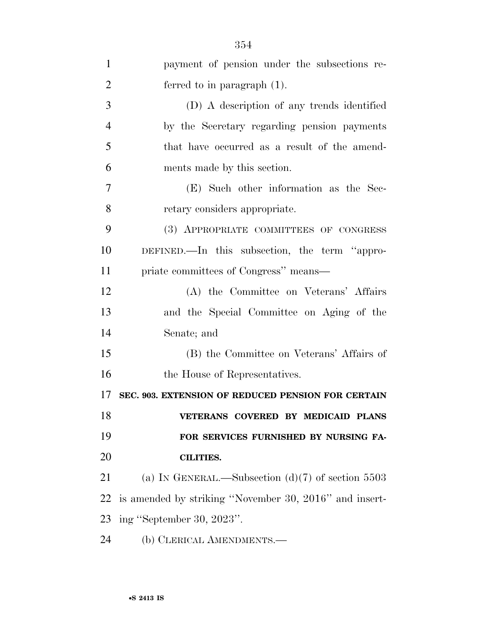| $\mathbf{1}$   | payment of pension under the subsections re-           |
|----------------|--------------------------------------------------------|
| $\overline{2}$ | ferred to in paragraph $(1)$ .                         |
| 3              | (D) A description of any trends identified             |
| $\overline{4}$ | by the Secretary regarding pension payments            |
| 5              | that have occurred as a result of the amend-           |
| 6              | ments made by this section.                            |
| $\overline{7}$ | (E) Such other information as the Sec-                 |
| 8              | retary considers appropriate.                          |
| 9              | (3) APPROPRIATE COMMITTEES OF CONGRESS                 |
| 10             | DEFINED.—In this subsection, the term "appro-          |
| 11             | priate committees of Congress" means—                  |
| 12             | (A) the Committee on Veterans' Affairs                 |
| 13             | and the Special Committee on Aging of the              |
| 14             | Senate; and                                            |
| 15             | (B) the Committee on Veterans' Affairs of              |
| 16             | the House of Representatives.                          |
| 17             | SEC. 903. EXTENSION OF REDUCED PENSION FOR CERTAIN     |
| 18             | VETERANS COVERED BY MEDICAID PLANS                     |
| 19             | FOR SERVICES FURNISHED BY NURSING FA-                  |
| 20             | <b>CILITIES.</b>                                       |
| 21             | (a) IN GENERAL.—Subsection $(d)(7)$ of section 5503    |
| 22             | is amended by striking "November 30, 2016" and insert- |
| 23             | ing "September 30, 2023".                              |
| 24             | (b) CLERICAL AMENDMENTS.—                              |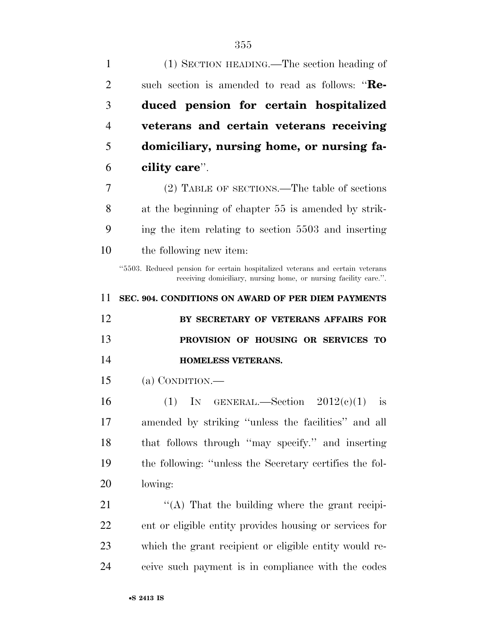| 1              | (1) SECTION HEADING.—The section heading of                                                                                                       |
|----------------|---------------------------------------------------------------------------------------------------------------------------------------------------|
| $\overline{2}$ | such section is amended to read as follows: "Re-                                                                                                  |
| 3              | duced pension for certain hospitalized                                                                                                            |
| $\overline{4}$ | veterans and certain veterans receiving                                                                                                           |
| 5              | domiciliary, nursing home, or nursing fa-                                                                                                         |
| 6              | cility care".                                                                                                                                     |
| 7              | (2) TABLE OF SECTIONS.—The table of sections                                                                                                      |
| 8              | at the beginning of chapter 55 is amended by strik-                                                                                               |
| 9              | ing the item relating to section 5503 and inserting                                                                                               |
| 10             | the following new item:                                                                                                                           |
|                | "5503. Reduced pension for certain hospitalized veterans and certain veterans<br>receiving domiciliary, nursing home, or nursing facility care.". |
| 11             | SEC. 904. CONDITIONS ON AWARD OF PER DIEM PAYMENTS                                                                                                |
|                |                                                                                                                                                   |
| 12             | BY SECRETARY OF VETERANS AFFAIRS FOR                                                                                                              |
| 13             | PROVISION OF HOUSING OR SERVICES TO                                                                                                               |
| 14             | <b>HOMELESS VETERANS.</b>                                                                                                                         |
| 15             | (a) CONDITION.—                                                                                                                                   |
| 16             | (1) IN GENERAL.—Section $2012(e)(1)$<br>is                                                                                                        |
| 17             | amended by striking "unless the facilities" and all                                                                                               |
| 18             | that follows through "may specify." and inserting                                                                                                 |
| 19             | the following: "unless the Secretary certifies the fol-                                                                                           |
| 20             | lowing:                                                                                                                                           |
| 21             | "(A) That the building where the grant recipi-                                                                                                    |
| 22             | ent or eligible entity provides housing or services for                                                                                           |
| 23             | which the grant recipient or eligible entity would re-                                                                                            |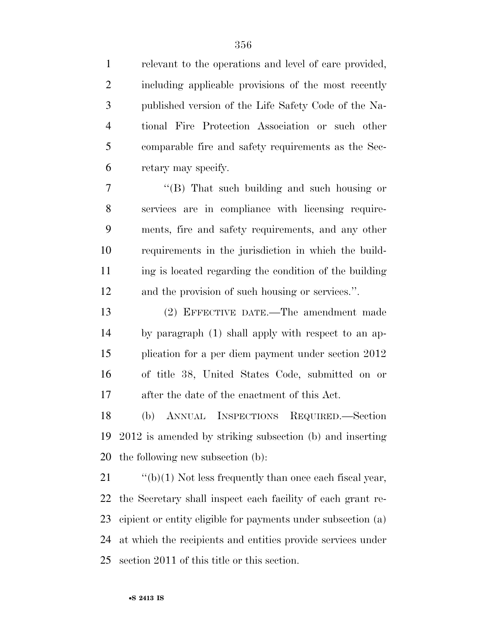relevant to the operations and level of care provided, including applicable provisions of the most recently published version of the Life Safety Code of the Na- tional Fire Protection Association or such other comparable fire and safety requirements as the Sec-retary may specify.

 ''(B) That such building and such housing or services are in compliance with licensing require- ments, fire and safety requirements, and any other requirements in the jurisdiction in which the build-11 ing is located regarding the condition of the building and the provision of such housing or services.''.

 (2) EFFECTIVE DATE.—The amendment made by paragraph (1) shall apply with respect to an ap- plication for a per diem payment under section 2012 of title 38, United States Code, submitted on or after the date of the enactment of this Act.

 (b) ANNUAL INSPECTIONS REQUIRED.—Section 2012 is amended by striking subsection (b) and inserting the following new subsection (b):

 $\cdot$  "(b)(1) Not less frequently than once each fiscal year, the Secretary shall inspect each facility of each grant re- cipient or entity eligible for payments under subsection (a) at which the recipients and entities provide services under section 2011 of this title or this section.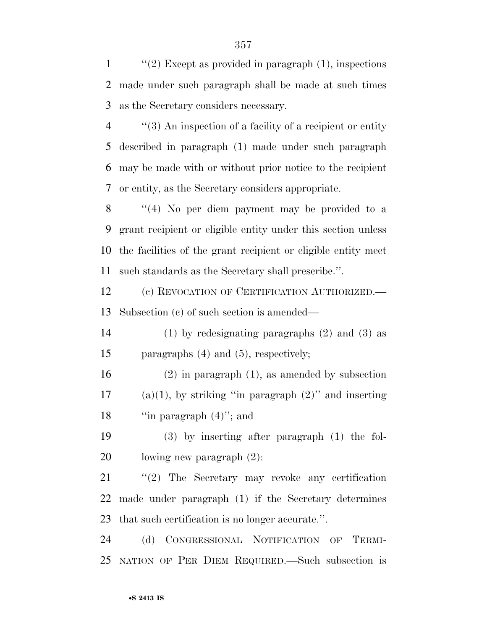1  $\frac{1}{2}$  Except as provided in paragraph (1), inspections made under such paragraph shall be made at such times as the Secretary considers necessary.

 ''(3) An inspection of a facility of a recipient or entity described in paragraph (1) made under such paragraph may be made with or without prior notice to the recipient or entity, as the Secretary considers appropriate.

 ''(4) No per diem payment may be provided to a grant recipient or eligible entity under this section unless the facilities of the grant recipient or eligible entity meet such standards as the Secretary shall prescribe.''.

 (c) REVOCATION OF CERTIFICATION AUTHORIZED.— Subsection (c) of such section is amended—

 (1) by redesignating paragraphs (2) and (3) as paragraphs (4) and (5), respectively;

 (2) in paragraph (1), as amended by subsection 17 (a)(1), by striking "in paragraph  $(2)$ " and inserting 18 "in paragraph  $(4)$ "; and

 (3) by inserting after paragraph (1) the fol-lowing new paragraph (2):

 ''(2) The Secretary may revoke any certification made under paragraph (1) if the Secretary determines that such certification is no longer accurate.''.

 (d) CONGRESSIONAL NOTIFICATION OF TERMI-NATION OF PER DIEM REQUIRED.—Such subsection is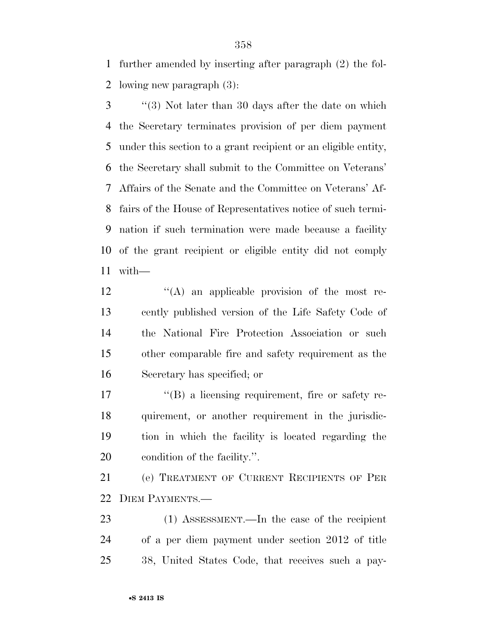further amended by inserting after paragraph (2) the fol-lowing new paragraph (3):

 ''(3) Not later than 30 days after the date on which the Secretary terminates provision of per diem payment under this section to a grant recipient or an eligible entity, the Secretary shall submit to the Committee on Veterans' Affairs of the Senate and the Committee on Veterans' Af- fairs of the House of Representatives notice of such termi- nation if such termination were made because a facility of the grant recipient or eligible entity did not comply with—

 ''(A) an applicable provision of the most re- cently published version of the Life Safety Code of the National Fire Protection Association or such other comparable fire and safety requirement as the Secretary has specified; or

 $\langle$  (B) a licensing requirement, fire or safety re- quirement, or another requirement in the jurisdic- tion in which the facility is located regarding the condition of the facility.''.

 (e) TREATMENT OF CURRENT RECIPIENTS OF PER DIEM PAYMENTS.—

 (1) ASSESSMENT.—In the case of the recipient of a per diem payment under section 2012 of title 38, United States Code, that receives such a pay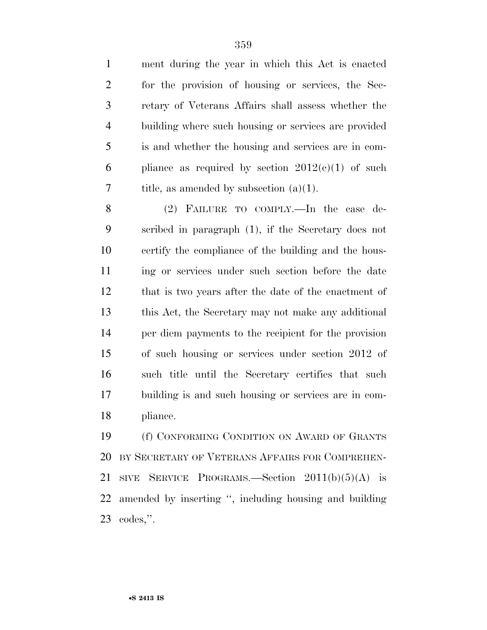ment during the year in which this Act is enacted for the provision of housing or services, the Sec- retary of Veterans Affairs shall assess whether the building where such housing or services are provided is and whether the housing and services are in com-6 pliance as required by section  $2012(e)(1)$  of such 7 title, as amended by subsection  $(a)(1)$ .

 (2) FAILURE TO COMPLY.—In the case de- scribed in paragraph (1), if the Secretary does not certify the compliance of the building and the hous- ing or services under such section before the date that is two years after the date of the enactment of this Act, the Secretary may not make any additional per diem payments to the recipient for the provision of such housing or services under section 2012 of such title until the Secretary certifies that such building is and such housing or services are in com-pliance.

 (f) CONFORMING CONDITION ON AWARD OF GRANTS BY SECRETARY OF VETERANS AFFAIRS FOR COMPREHEN-21 SIVE SERVICE PROGRAMS.—Section  $2011(b)(5)(A)$  is amended by inserting '', including housing and building codes,''.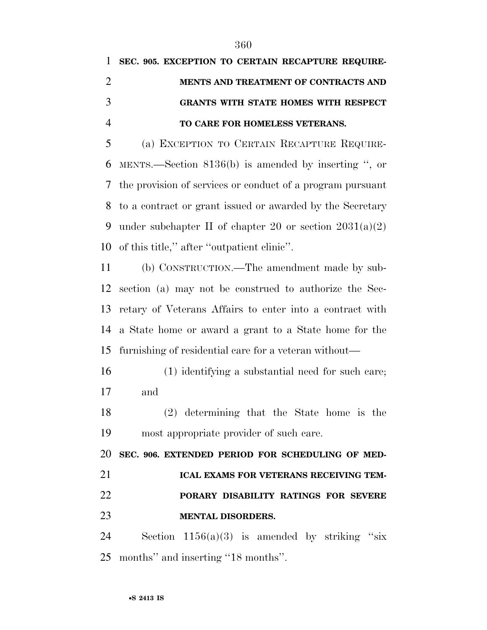# **SEC. 905. EXCEPTION TO CERTAIN RECAPTURE REQUIRE- MENTS AND TREATMENT OF CONTRACTS AND GRANTS WITH STATE HOMES WITH RESPECT TO CARE FOR HOMELESS VETERANS.**

 (a) EXCEPTION TO CERTAIN RECAPTURE REQUIRE- MENTS.—Section 8136(b) is amended by inserting '', or the provision of services or conduct of a program pursuant to a contract or grant issued or awarded by the Secretary 9 under subchapter II of chapter 20 or section  $2031(a)(2)$ of this title,'' after ''outpatient clinic''.

 (b) CONSTRUCTION.—The amendment made by sub- section (a) may not be construed to authorize the Sec- retary of Veterans Affairs to enter into a contract with a State home or award a grant to a State home for the furnishing of residential care for a veteran without—

 (1) identifying a substantial need for such care; and

 (2) determining that the State home is the most appropriate provider of such care.

**SEC. 906. EXTENDED PERIOD FOR SCHEDULING OF MED-**

### **ICAL EXAMS FOR VETERANS RECEIVING TEM-**

## **PORARY DISABILITY RATINGS FOR SEVERE MENTAL DISORDERS.**

24 Section  $1156(a)(3)$  is amended by striking "six months'' and inserting ''18 months''.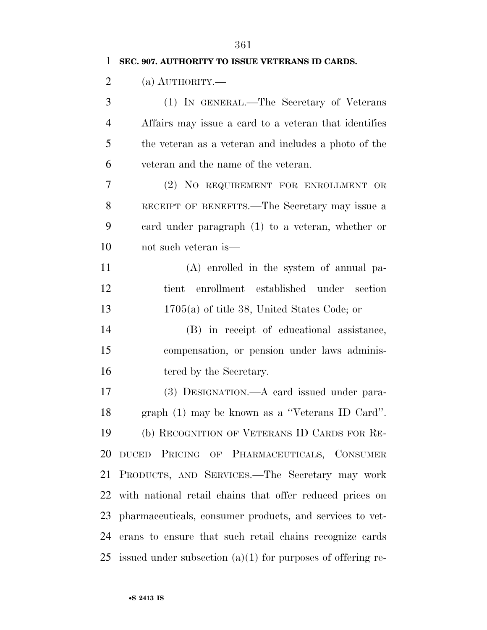| 1              | SEC. 907. AUTHORITY TO ISSUE VETERANS ID CARDS.               |
|----------------|---------------------------------------------------------------|
| $\overline{2}$ | (a) $\text{AUTHORITY}$ .                                      |
| 3              | (1) IN GENERAL.—The Secretary of Veterans                     |
| 4              | Affairs may issue a card to a veteran that identifies         |
| 5              | the veteran as a veteran and includes a photo of the          |
| 6              | veteran and the name of the veteran.                          |
| 7              | (2) NO REQUIREMENT FOR ENROLLMENT OR                          |
| 8              | RECEIPT OF BENEFITS.—The Secretary may issue a                |
| 9              | eard under paragraph (1) to a veteran, whether or             |
| 10             | not such veteran is—                                          |
| 11             | $(A)$ enrolled in the system of annual pa-                    |
| 12             | tient enrollment established under section                    |
| 13             | $1705(a)$ of title 38, United States Code; or                 |
| 14             | (B) in receipt of educational assistance,                     |
| 15             | compensation, or pension under laws adminis-                  |
| 16             | tered by the Secretary.                                       |
| 17             | (3) DESIGNATION.—A card issued under para-                    |
| 18             | graph (1) may be known as a "Veterans ID Card".               |
| 19             | (b) RECOGNITION OF VETERANS ID CARDS FOR RE-                  |
| 20             | PRICING OF PHARMACEUTICALS, CONSUMER<br>$DUCED$               |
| 21             | PRODUCTS, AND SERVICES.—The Secretary may work                |
| 22             | with national retail chains that offer reduced prices on      |
| 23             | pharmaceuticals, consumer products, and services to vet-      |
| 24             | erans to ensure that such retail chains recognize cards       |
| 25             | issued under subsection $(a)(1)$ for purposes of offering re- |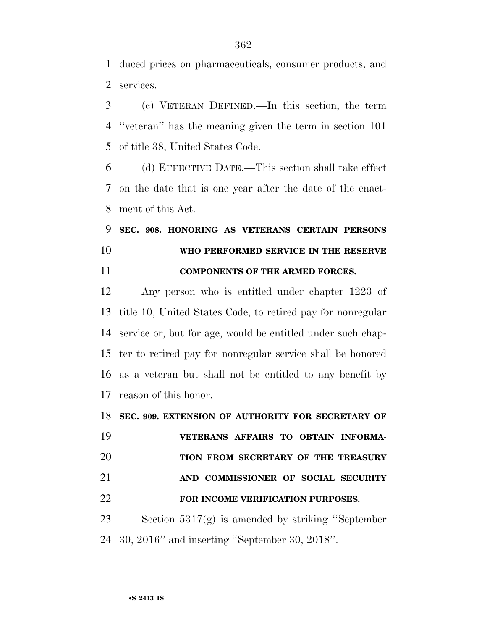duced prices on pharmaceuticals, consumer products, and services.

 (c) VETERAN DEFINED.—In this section, the term ''veteran'' has the meaning given the term in section 101 of title 38, United States Code.

 (d) EFFECTIVE DATE.—This section shall take effect on the date that is one year after the date of the enact-ment of this Act.

 **SEC. 908. HONORING AS VETERANS CERTAIN PERSONS WHO PERFORMED SERVICE IN THE RESERVE COMPONENTS OF THE ARMED FORCES.** 

 Any person who is entitled under chapter 1223 of title 10, United States Code, to retired pay for nonregular service or, but for age, would be entitled under such chap- ter to retired pay for nonregular service shall be honored as a veteran but shall not be entitled to any benefit by reason of this honor.

**SEC. 909. EXTENSION OF AUTHORITY FOR SECRETARY OF** 

 **VETERANS AFFAIRS TO OBTAIN INFORMA- TION FROM SECRETARY OF THE TREASURY AND COMMISSIONER OF SOCIAL SECURITY FOR INCOME VERIFICATION PURPOSES.** 

 Section 5317(g) is amended by striking ''September 30, 2016'' and inserting ''September 30, 2018''.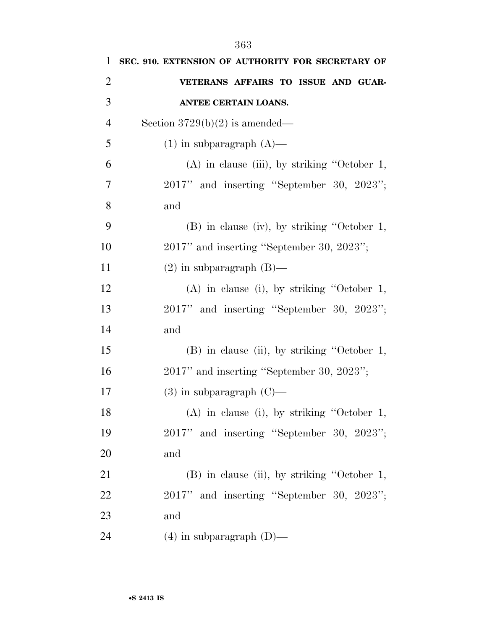| 1              | SEC. 910. EXTENSION OF AUTHORITY FOR SECRETARY OF |  |
|----------------|---------------------------------------------------|--|
| $\overline{2}$ | VETERANS AFFAIRS TO ISSUE AND GUAR-               |  |
| 3              | <b>ANTEE CERTAIN LOANS.</b>                       |  |
| $\overline{4}$ | Section $3729(b)(2)$ is amended—                  |  |
| 5              | $(1)$ in subparagraph $(A)$ —                     |  |
| 6              | $(A)$ in clause (iii), by striking "October 1,    |  |
| 7              | 2017" and inserting "September 30, 2023";         |  |
| 8              | and                                               |  |
| 9              | $(B)$ in clause (iv), by striking "October 1,     |  |
| 10             | $2017"$ and inserting "September 30, $2023"$ ;    |  |
| 11             | $(2)$ in subparagraph $(B)$ —                     |  |
| 12             | $(A)$ in clause (i), by striking "October 1,      |  |
| 13             | 2017" and inserting "September 30, 2023";         |  |
| 14             | and                                               |  |
| 15             | (B) in clause (ii), by striking "October 1,       |  |
| 16             | $2017"$ and inserting "September 30, $2023"$ ;    |  |
| 17             | $(3)$ in subparagraph $(C)$ —                     |  |
| 18             | (A) in clause (i), by striking "October 1,        |  |
| 19             | 2017" and inserting "September 30, 2023";         |  |
| 20             | and                                               |  |
| 21             | (B) in clause (ii), by striking "October 1,       |  |
| 22             | 2017" and inserting "September 30, 2023";         |  |
| 23             | and                                               |  |
| 24             | $(4)$ in subparagraph $(D)$ —                     |  |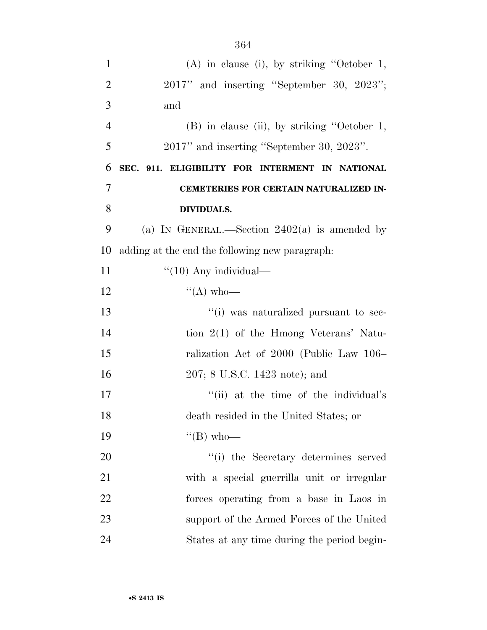| $\mathbf{1}$   | $(A)$ in clause (i), by striking "October 1,    |  |
|----------------|-------------------------------------------------|--|
| $\overline{2}$ | $2017"$ and inserting "September 30, $2023"$ ;  |  |
| 3              | and                                             |  |
| $\overline{4}$ | (B) in clause (ii), by striking "October 1,     |  |
| 5              | 2017" and inserting "September 30, 2023".       |  |
| 6              | SEC. 911. ELIGIBILITY FOR INTERMENT IN NATIONAL |  |
| 7              | CEMETERIES FOR CERTAIN NATURALIZED IN-          |  |
| 8              | <b>DIVIDUALS.</b>                               |  |
| 9              | (a) IN GENERAL.—Section $2402(a)$ is amended by |  |
| 10             | adding at the end the following new paragraph.  |  |
| 11             | $``(10)$ Any individual—                        |  |
| 12             | $\lq\lq$ (A) who-                               |  |
| 13             | "(i) was naturalized pursuant to sec-           |  |
| 14             | tion $2(1)$ of the Hmong Veterans' Natu-        |  |
| 15             | ralization Act of 2000 (Public Law 106–         |  |
| 16             | 207; 8 U.S.C. 1423 note); and                   |  |
| 17             | "(ii) at the time of the individual's           |  |
| 18             | death resided in the United States; or          |  |
| 19             | $\lq\lq (B)$ who-                               |  |
| 20             | "(i) the Secretary determines served            |  |
| 21             | with a special guerrilla unit or irregular      |  |
| 22             | forces operating from a base in Laos in         |  |
| 23             | support of the Armed Forces of the United       |  |
| 24             | States at any time during the period begin-     |  |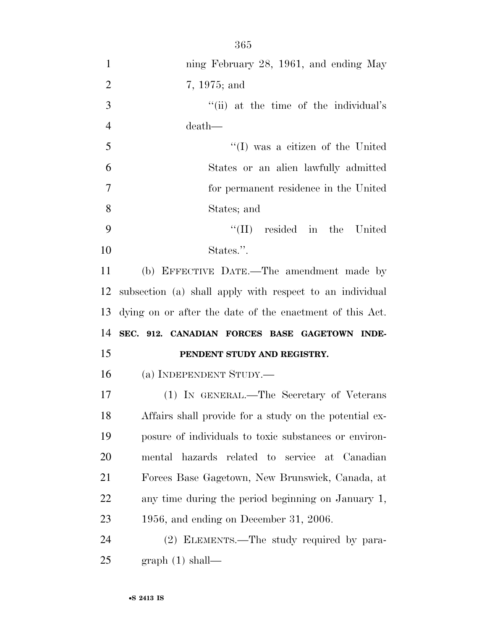| $\mathbf{1}$   | ning February 28, 1961, and ending May                   |  |
|----------------|----------------------------------------------------------|--|
| $\overline{2}$ | 7, 1975; and                                             |  |
| 3              | "(ii) at the time of the individual's                    |  |
| $\overline{4}$ | death—                                                   |  |
| 5              | "(I) was a citizen of the United                         |  |
| 6              | States or an alien lawfully admitted                     |  |
| 7              | for permanent residence in the United                    |  |
| 8              | States; and                                              |  |
| 9              | $\lq\lq$ (II) resided in the United                      |  |
| 10             | States.".                                                |  |
| 11             | (b) EFFECTIVE DATE.—The amendment made by                |  |
| 12             | subsection (a) shall apply with respect to an individual |  |
| 13             | dying on or after the date of the enactment of this Act. |  |
| 14             | SEC. 912. CANADIAN FORCES BASE GAGETOWN INDE-            |  |
| 15             | PENDENT STUDY AND REGISTRY.                              |  |
| 16             | (a) INDEPENDENT STUDY.—                                  |  |
| 17             | (1) IN GENERAL.—The Secretary of Veterans                |  |
| 18             | Affairs shall provide for a study on the potential ex-   |  |
| 19             | posure of individuals to toxic substances or environ-    |  |
| 20             | mental hazards related to service at Canadian            |  |
| 21             | Forces Base Gagetown, New Brunswick, Canada, at          |  |
| 22             | any time during the period beginning on January 1,       |  |
| 23             | $1956$ , and ending on December 31, 2006.                |  |
| 24             | (2) ELEMENTS.—The study required by para-                |  |
| 25             | graph(1) shall—                                          |  |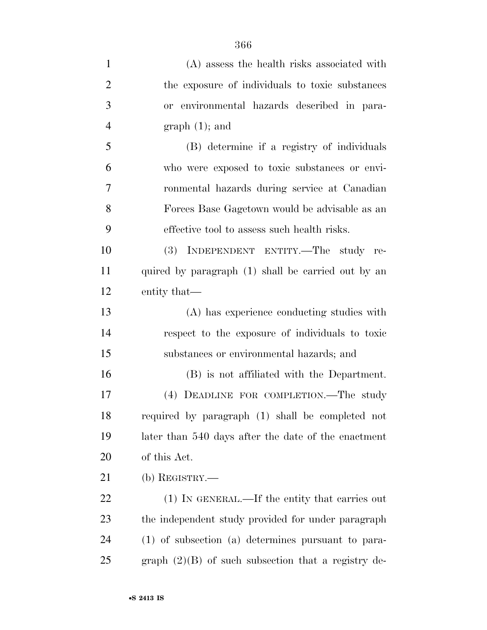| $\mathbf{1}$   | (A) assess the health risks associated with           |
|----------------|-------------------------------------------------------|
| $\overline{2}$ | the exposure of individuals to toxic substances       |
| 3              | or environmental hazards described in para-           |
| $\overline{4}$ | $graph(1);$ and                                       |
| 5              | (B) determine if a registry of individuals            |
| 6              | who were exposed to toxic substances or envi-         |
| 7              | ronmental hazards during service at Canadian          |
| 8              | Forces Base Gagetown would be advisable as an         |
| 9              | effective tool to assess such health risks.           |
| 10             | (3) INDEPENDENT ENTITY.—The study re-                 |
| 11             | quired by paragraph (1) shall be carried out by an    |
| 12             | entity that—                                          |
| 13             | (A) has experience conducting studies with            |
| 14             | respect to the exposure of individuals to toxic       |
| 15             | substances or environmental hazards; and              |
| 16             | (B) is not affiliated with the Department.            |
| 17             | (4) DEADLINE FOR COMPLETION.—The study                |
| 18             | required by paragraph (1) shall be completed not      |
| 19             | later than 540 days after the date of the enactment   |
| 20             | of this Act.                                          |
| 21             | (b) REGISTRY.—                                        |
| 22             | (1) IN GENERAL.—If the entity that carries out        |
| 23             | the independent study provided for under paragraph    |
| 24             | (1) of subsection (a) determines pursuant to para-    |
| 25             | graph $(2)(B)$ of such subsection that a registry de- |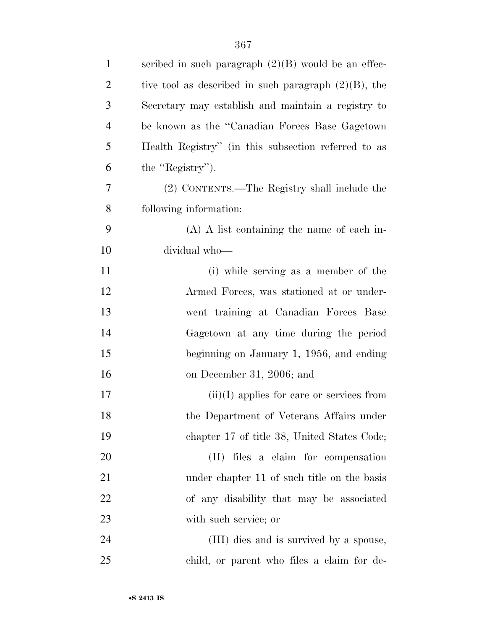| $\mathbf{1}$   | scribed in such paragraph $(2)(B)$ would be an effec-   |
|----------------|---------------------------------------------------------|
| $\overline{2}$ | tive tool as described in such paragraph $(2)(B)$ , the |
| 3              | Secretary may establish and maintain a registry to      |
| $\overline{4}$ | be known as the "Canadian Forces Base Gagetown"         |
| 5              | Health Registry" (in this subsection referred to as     |
| 6              | the "Registry").                                        |
| 7              | (2) CONTENTS.—The Registry shall include the            |
| 8              | following information:                                  |
| 9              | $(A)$ A list containing the name of each in-            |
| 10             | dividual who-                                           |
| 11             | (i) while serving as a member of the                    |
| 12             | Armed Forces, was stationed at or under-                |
| 13             | went training at Canadian Forces Base                   |
| 14             | Gagetown at any time during the period                  |
| 15             | beginning on January 1, $1956$ , and ending             |
| 16             | on December 31, 2006; and                               |
| 17             | $(ii)(I)$ applies for care or services from             |
| 18             | the Department of Veterans Affairs under                |
| 19             | chapter 17 of title 38, United States Code;             |
| 20             | (II) files a claim for compensation                     |
| 21             | under chapter 11 of such title on the basis             |
| 22             | of any disability that may be associated                |
| 23             | with such service; or                                   |
| 24             | (III) dies and is survived by a spouse,                 |
| 25             | child, or parent who files a claim for de-              |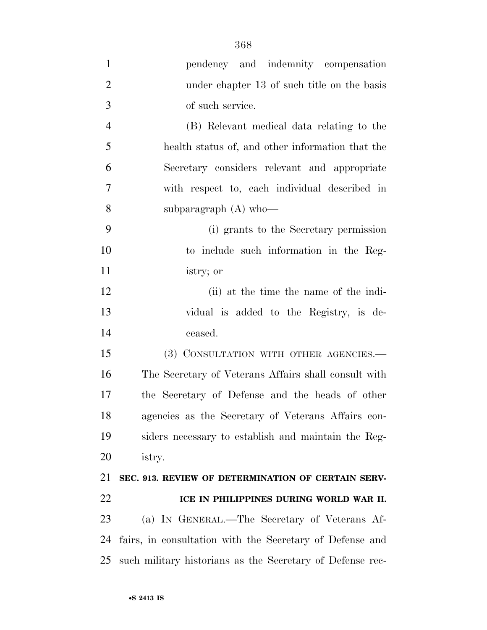| $\mathbf{1}$   | pendency and indemnity compensation                       |
|----------------|-----------------------------------------------------------|
| $\overline{2}$ | under chapter 13 of such title on the basis               |
| 3              | of such service.                                          |
| $\overline{4}$ | (B) Relevant medical data relating to the                 |
| 5              | health status of, and other information that the          |
| 6              | Secretary considers relevant and appropriate              |
| 7              | with respect to, each individual described in             |
| 8              | subparagraph $(A)$ who-                                   |
| 9              | (i) grants to the Secretary permission                    |
| 10             | to include such information in the Reg-                   |
| 11             | istry; or                                                 |
| 12             | (ii) at the time the name of the indi-                    |
| 13             | vidual is added to the Registry, is de-                   |
| 14             | ceased.                                                   |
| 15             | (3) CONSULTATION WITH OTHER AGENCIES.-                    |
| 16             | The Secretary of Veterans Affairs shall consult with      |
| 17             | the Secretary of Defense and the heads of other           |
| 18             | agencies as the Secretary of Veterans Affairs con-        |
| 19             | siders necessary to establish and maintain the Reg-       |
| 20             | istry.                                                    |
| 21             | SEC. 913. REVIEW OF DETERMINATION OF CERTAIN SERV-        |
| 22             | ICE IN PHILIPPINES DURING WORLD WAR II.                   |
| 23             | (a) IN GENERAL.—The Secretary of Veterans Af-             |
| 24             | fairs, in consultation with the Secretary of Defense and  |
| 25             | such military historians as the Secretary of Defense rec- |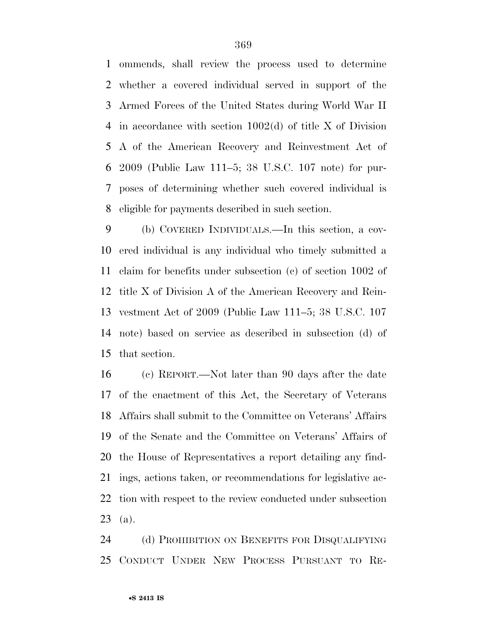ommends, shall review the process used to determine whether a covered individual served in support of the Armed Forces of the United States during World War II in accordance with section 1002(d) of title X of Division A of the American Recovery and Reinvestment Act of 2009 (Public Law 111–5; 38 U.S.C. 107 note) for pur- poses of determining whether such covered individual is eligible for payments described in such section.

 (b) COVERED INDIVIDUALS.—In this section, a cov- ered individual is any individual who timely submitted a claim for benefits under subsection (c) of section 1002 of title X of Division A of the American Recovery and Rein- vestment Act of 2009 (Public Law 111–5; 38 U.S.C. 107 note) based on service as described in subsection (d) of that section.

 (c) REPORT.—Not later than 90 days after the date of the enactment of this Act, the Secretary of Veterans Affairs shall submit to the Committee on Veterans' Affairs of the Senate and the Committee on Veterans' Affairs of the House of Representatives a report detailing any find- ings, actions taken, or recommendations for legislative ac- tion with respect to the review conducted under subsection (a).

 (d) PROHIBITION ON BENEFITS FOR DISQUALIFYING CONDUCT UNDER NEW PROCESS PURSUANT TO RE-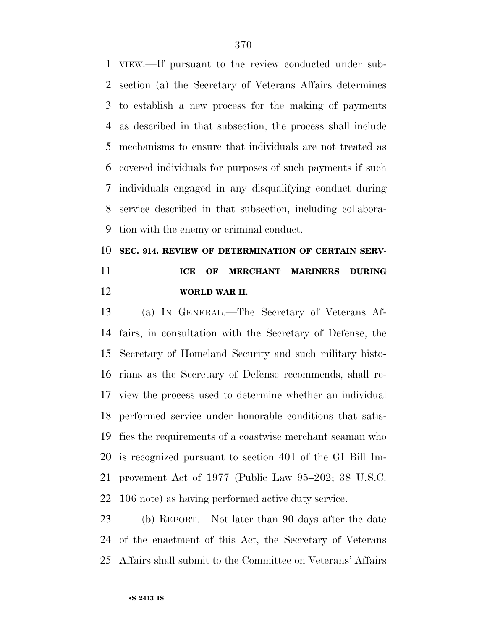VIEW.—If pursuant to the review conducted under sub- section (a) the Secretary of Veterans Affairs determines to establish a new process for the making of payments as described in that subsection, the process shall include mechanisms to ensure that individuals are not treated as covered individuals for purposes of such payments if such individuals engaged in any disqualifying conduct during service described in that subsection, including collabora-tion with the enemy or criminal conduct.

## **SEC. 914. REVIEW OF DETERMINATION OF CERTAIN SERV- ICE OF MERCHANT MARINERS DURING WORLD WAR II.**

 (a) IN GENERAL.—The Secretary of Veterans Af- fairs, in consultation with the Secretary of Defense, the Secretary of Homeland Security and such military histo- rians as the Secretary of Defense recommends, shall re- view the process used to determine whether an individual performed service under honorable conditions that satis- fies the requirements of a coastwise merchant seaman who is recognized pursuant to section 401 of the GI Bill Im- provement Act of 1977 (Public Law 95–202; 38 U.S.C. 106 note) as having performed active duty service.

 (b) REPORT.—Not later than 90 days after the date of the enactment of this Act, the Secretary of Veterans Affairs shall submit to the Committee on Veterans' Affairs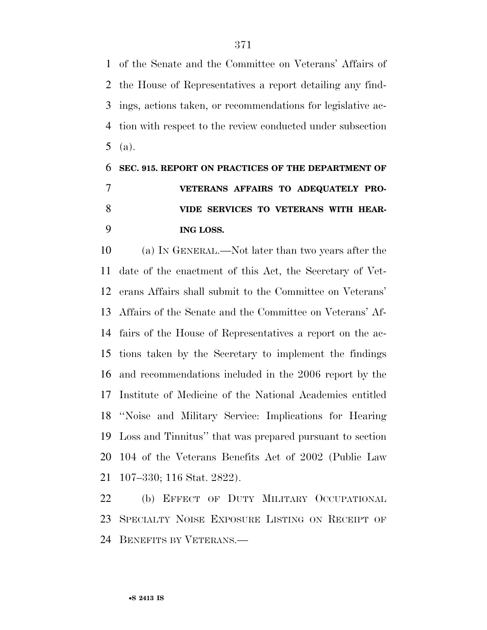of the Senate and the Committee on Veterans' Affairs of the House of Representatives a report detailing any find- ings, actions taken, or recommendations for legislative ac- tion with respect to the review conducted under subsection (a).

## **SEC. 915. REPORT ON PRACTICES OF THE DEPARTMENT OF VETERANS AFFAIRS TO ADEQUATELY PRO- VIDE SERVICES TO VETERANS WITH HEAR-ING LOSS.**

 (a) IN GENERAL.—Not later than two years after the date of the enactment of this Act, the Secretary of Vet- erans Affairs shall submit to the Committee on Veterans' Affairs of the Senate and the Committee on Veterans' Af- fairs of the House of Representatives a report on the ac- tions taken by the Secretary to implement the findings and recommendations included in the 2006 report by the Institute of Medicine of the National Academies entitled ''Noise and Military Service: Implications for Hearing Loss and Tinnitus'' that was prepared pursuant to section 104 of the Veterans Benefits Act of 2002 (Public Law 107–330; 116 Stat. 2822).

 (b) EFFECT OF DUTY MILITARY OCCUPATIONAL SPECIALTY NOISE EXPOSURE LISTING ON RECEIPT OF BENEFITS BY VETERANS.—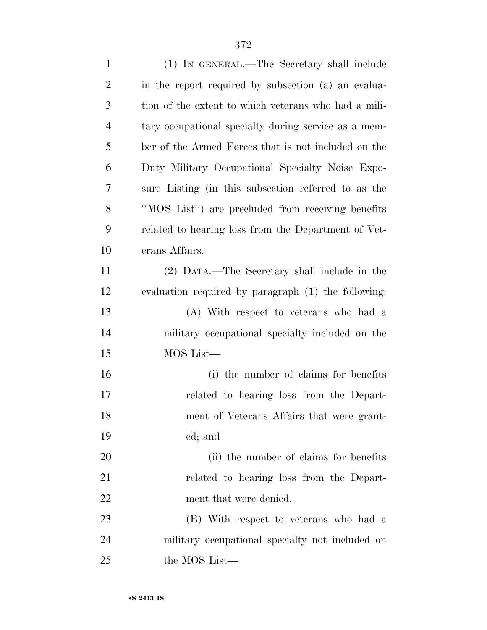| $\mathbf{1}$   | (1) IN GENERAL.—The Secretary shall include          |
|----------------|------------------------------------------------------|
| $\overline{2}$ | in the report required by subsection (a) an evalua-  |
| 3              | tion of the extent to which veterans who had a mili- |
| $\overline{4}$ | tary occupational specialty during service as a mem- |
| 5              | ber of the Armed Forces that is not included on the  |
| 6              | Duty Military Occupational Specialty Noise Expo-     |
| 7              | sure Listing (in this subsection referred to as the  |
| 8              | "MOS List") are precluded from receiving benefits    |
| 9              | related to hearing loss from the Department of Vet-  |
| 10             | erans Affairs.                                       |
| 11             | (2) DATA.—The Secretary shall include in the         |
| 12             | evaluation required by paragraph (1) the following:  |
| 13             | (A) With respect to veterans who had a               |
| 14             | military occupational specialty included on the      |
| 15             | MOS List-                                            |
| 16             | (i) the number of claims for benefits                |
| 17             | related to hearing loss from the Depart-             |
| 18             | ment of Veterans Affairs that were grant-            |
| 19             | ed; and                                              |
| 20             | (ii) the number of claims for benefits               |
| 21             | related to hearing loss from the Depart-             |
| 22             | ment that were denied.                               |
| 23             | (B) With respect to veterans who had a               |
| 24             | military occupational specialty not included on      |
| 25             | the MOS List—                                        |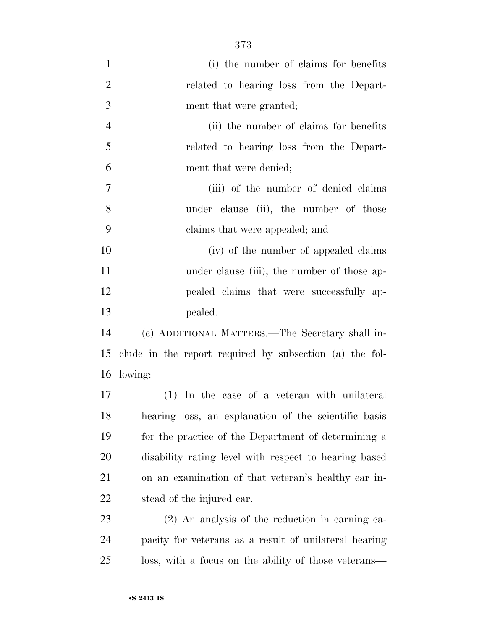| $\mathbf{1}$   | (i) the number of claims for benefits                   |  |
|----------------|---------------------------------------------------------|--|
| $\overline{2}$ | related to hearing loss from the Depart-                |  |
| 3              | ment that were granted;                                 |  |
| $\overline{4}$ | (ii) the number of claims for benefits                  |  |
| 5              | related to hearing loss from the Depart-                |  |
| 6              | ment that were denied;                                  |  |
| $\overline{7}$ | (iii) of the number of denied claims                    |  |
| 8              | under clause (ii), the number of those                  |  |
| 9              | claims that were appealed; and                          |  |
| 10             | (iv) of the number of appealed claims                   |  |
| 11             | under clause (iii), the number of those ap-             |  |
| 12             | pealed claims that were successfully ap-                |  |
| 13             | pealed.                                                 |  |
| 14             | (c) ADDITIONAL MATTERS.—The Secretary shall in-         |  |
| 15             | clude in the report required by subsection (a) the fol- |  |
| 16             | lowing:                                                 |  |
| 17             | (1) In the case of a veteran with unilateral            |  |
| 18             | hearing loss, an explanation of the scientific basis    |  |
| 19             | for the practice of the Department of determining a     |  |
| 20             | disability rating level with respect to hearing based   |  |
| 21             | on an examination of that veteran's healthy ear in-     |  |
| 22             | stead of the injured ear.                               |  |
| 23             | $(2)$ An analysis of the reduction in earning ca-       |  |
| 24             | pacity for veterans as a result of unilateral hearing   |  |
| 25             | loss, with a focus on the ability of those veterans—    |  |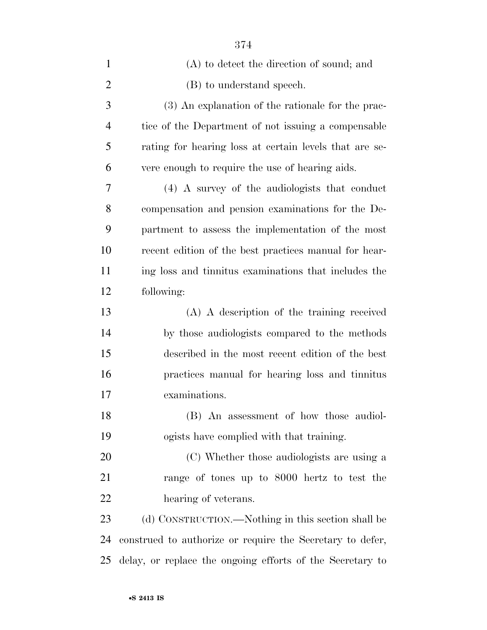| $\mathbf{1}$   | (A) to detect the direction of sound; and                 |
|----------------|-----------------------------------------------------------|
| $\overline{2}$ | (B) to understand speech.                                 |
| 3              | (3) An explanation of the rationale for the prac-         |
| $\overline{4}$ | tice of the Department of not issuing a compensable       |
| 5              | rating for hearing loss at certain levels that are se-    |
| 6              | vere enough to require the use of hearing aids.           |
| 7              | (4) A survey of the audiologists that conduct             |
| 8              | compensation and pension examinations for the De-         |
| 9              | partment to assess the implementation of the most         |
| 10             | recent edition of the best practices manual for hear-     |
| 11             | ing loss and tinnitus examinations that includes the      |
| 12             | following:                                                |
| 13             | (A) A description of the training received                |
| 14             | by those audiologists compared to the methods             |
| 15             | described in the most recent edition of the best          |
| 16             | practices manual for hearing loss and tinnitus            |
| 17             | examinations.                                             |
| 18             | (B) An assessment of how those audiol-                    |
| 19             | ogists have complied with that training.                  |
| 20             | (C) Whether those audiologists are using a                |
| 21             | range of tones up to 8000 hertz to test the               |
| 22             | hearing of veterans.                                      |
| 23             | (d) CONSTRUCTION.—Nothing in this section shall be        |
| 24             | construed to authorize or require the Secretary to defer, |
| 25             | delay, or replace the ongoing efforts of the Secretary to |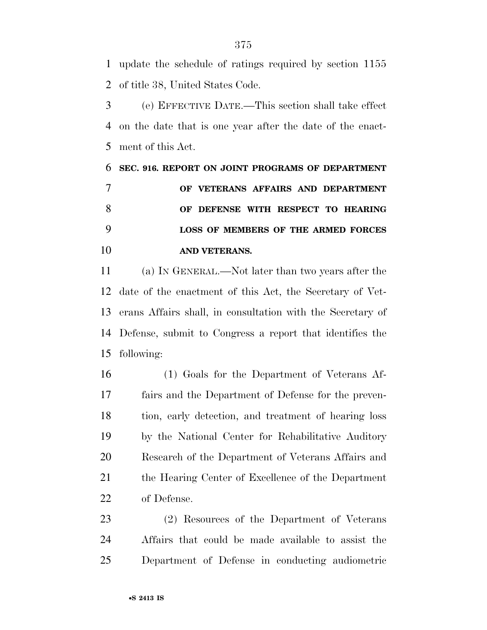update the schedule of ratings required by section 1155 of title 38, United States Code.

 (e) EFFECTIVE DATE.—This section shall take effect on the date that is one year after the date of the enact-ment of this Act.

 **SEC. 916. REPORT ON JOINT PROGRAMS OF DEPARTMENT OF VETERANS AFFAIRS AND DEPARTMENT OF DEFENSE WITH RESPECT TO HEARING LOSS OF MEMBERS OF THE ARMED FORCES AND VETERANS.** 

 (a) IN GENERAL.—Not later than two years after the date of the enactment of this Act, the Secretary of Vet- erans Affairs shall, in consultation with the Secretary of Defense, submit to Congress a report that identifies the following:

 (1) Goals for the Department of Veterans Af- fairs and the Department of Defense for the preven- tion, early detection, and treatment of hearing loss by the National Center for Rehabilitative Auditory Research of the Department of Veterans Affairs and the Hearing Center of Excellence of the Department of Defense.

 (2) Resources of the Department of Veterans Affairs that could be made available to assist the Department of Defense in conducting audiometric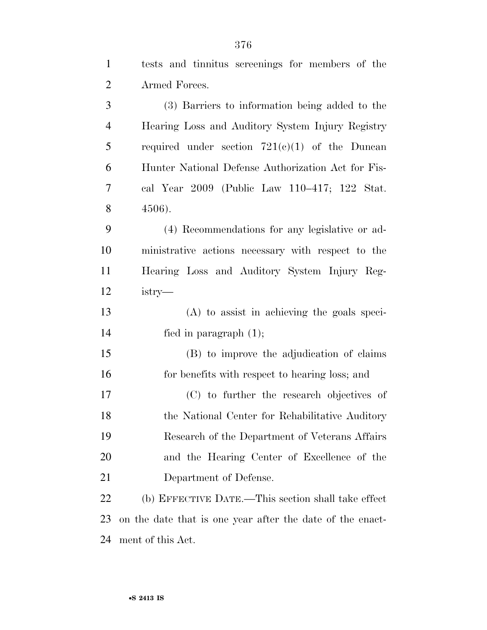| $\overline{2}$ | Armed Forces.                                             |
|----------------|-----------------------------------------------------------|
| 3              | (3) Barriers to information being added to the            |
| $\overline{4}$ | Hearing Loss and Auditory System Injury Registry          |
| 5              | required under section $721(e)(1)$ of the Duncan          |
| 6              | Hunter National Defense Authorization Act for Fis-        |
| 7              | cal Year 2009 (Public Law 110–417; 122 Stat.              |
| 8              | 4506).                                                    |
| 9              | (4) Recommendations for any legislative or ad-            |
| 10             | ministrative actions necessary with respect to the        |
| 11             | Hearing Loss and Auditory System Injury Reg-              |
| 12             | $istry$ —                                                 |
| 13             | $(A)$ to assist in achieving the goals speci-             |
| 14             | fied in paragraph $(1)$ ;                                 |
| 15             | (B) to improve the adjudication of claims                 |
| 16             | for benefits with respect to hearing loss; and            |
| 17             | (C) to further the research objectives of                 |
| 18             | the National Center for Rehabilitative Auditory           |
| 19             | Research of the Department of Veterans Affairs            |
| 20             | and the Hearing Center of Excellence of the               |
| 21             | Department of Defense.                                    |
| 22             | (b) EFFECTIVE DATE.—This section shall take effect        |
| 23             | on the date that is one year after the date of the enact- |
| 24             | ment of this Act.                                         |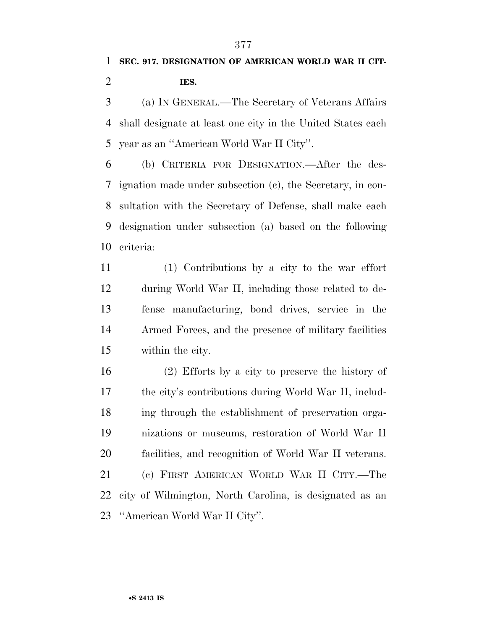(a) IN GENERAL.—The Secretary of Veterans Affairs shall designate at least one city in the United States each year as an ''American World War II City''.

 (b) CRITERIA FOR DESIGNATION.—After the des- ignation made under subsection (c), the Secretary, in con- sultation with the Secretary of Defense, shall make each designation under subsection (a) based on the following criteria:

 (1) Contributions by a city to the war effort during World War II, including those related to de- fense manufacturing, bond drives, service in the Armed Forces, and the presence of military facilities within the city.

 (2) Efforts by a city to preserve the history of the city's contributions during World War II, includ- ing through the establishment of preservation orga- nizations or museums, restoration of World War II facilities, and recognition of World War II veterans. (c) FIRST AMERICAN WORLD WAR II CITY.—The city of Wilmington, North Carolina, is designated as an ''American World War II City''.